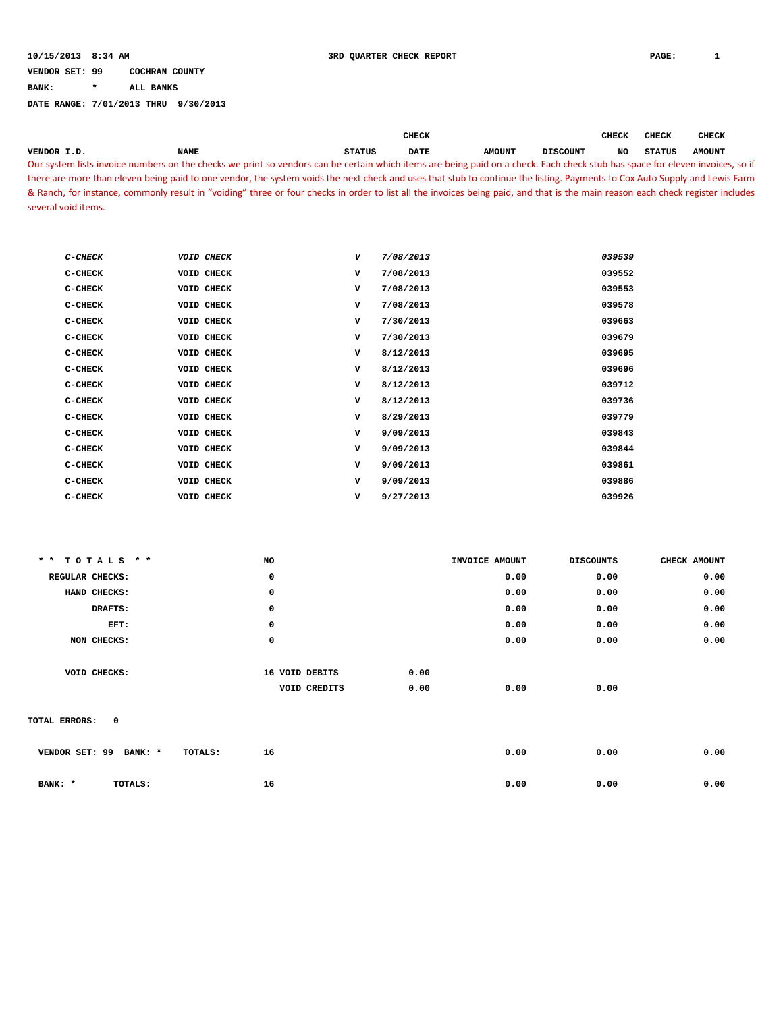**BANK: \* ALL BANKS**

|                     |                                                                                                                                                                                 |               | CHECK       |               |                 | CHECK | CHECK         | <b>CHECK</b>  |  |
|---------------------|---------------------------------------------------------------------------------------------------------------------------------------------------------------------------------|---------------|-------------|---------------|-----------------|-------|---------------|---------------|--|
| VENDOR I.D.         | <b>NAME</b>                                                                                                                                                                     | <b>STATUS</b> | <b>DATE</b> | <b>AMOUNT</b> | <b>DISCOUNT</b> | NO    | <b>STATUS</b> | <b>AMOUNT</b> |  |
|                     | Our system lists invoice numbers on the checks we print so vendors can be certain which items are being paid on a check. Each check stub has space for eleven invoices, so if   |               |             |               |                 |       |               |               |  |
|                     | there are more than eleven being paid to one vendor, the system voids the next check and uses that stub to continue the listing. Payments to Cox Auto Supply and Lewis Farm     |               |             |               |                 |       |               |               |  |
|                     | & Ranch, for instance, commonly result in "voiding" three or four checks in order to list all the invoices being paid, and that is the main reason each check register includes |               |             |               |                 |       |               |               |  |
| several void items. |                                                                                                                                                                                 |               |             |               |                 |       |               |               |  |

| $C$ -CHECK | VOID CHECK | V           | 7/08/2013 | 039539 |
|------------|------------|-------------|-----------|--------|
| C-CHECK    | VOID CHECK | $\mathbf v$ | 7/08/2013 | 039552 |
| C-CHECK    | VOID CHECK | v           | 7/08/2013 | 039553 |
| $C-CHECK$  | VOID CHECK | v           | 7/08/2013 | 039578 |
| $C-CHECK$  | VOID CHECK | v           | 7/30/2013 | 039663 |
| C-CHECK    | VOID CHECK | v           | 7/30/2013 | 039679 |
| $C-CHECK$  | VOID CHECK | $\mathbf v$ | 8/12/2013 | 039695 |
| C-CHECK    | VOID CHECK | v           | 8/12/2013 | 039696 |
| $C-CHECK$  | VOID CHECK | v           | 8/12/2013 | 039712 |
| C-CHECK    | VOID CHECK | $\mathbf v$ | 8/12/2013 | 039736 |
| $C-CHECK$  | VOID CHECK | v           | 8/29/2013 | 039779 |
| C-CHECK    | VOID CHECK | v           | 9/09/2013 | 039843 |
| C-CHECK    | VOID CHECK | $\mathbf v$ | 9/09/2013 | 039844 |
| C-CHECK    | VOID CHECK | v           | 9/09/2013 | 039861 |
| C-CHECK    | VOID CHECK | v           | 9/09/2013 | 039886 |
| C-CHECK    | VOID CHECK | v           | 9/27/2013 | 039926 |

| ** TOTALS **                         | NO             | INVOICE AMOUNT | <b>DISCOUNTS</b> | CHECK AMOUNT |
|--------------------------------------|----------------|----------------|------------------|--------------|
| REGULAR CHECKS:                      | 0              | 0.00           | 0.00             | 0.00         |
| HAND CHECKS:                         | $\mathbf 0$    | 0.00           | 0.00             | 0.00         |
| DRAFTS:                              | 0              | 0.00           | 0.00             | 0.00         |
| EFT:                                 | $\mathbf 0$    | 0.00           | 0.00             | 0.00         |
| NON CHECKS:                          | 0              | 0.00           | 0.00             | 0.00         |
|                                      |                |                |                  |              |
| VOID CHECKS:                         | 16 VOID DEBITS | 0.00           |                  |              |
|                                      | VOID CREDITS   | 0.00<br>0.00   | 0.00             |              |
|                                      |                |                |                  |              |
| $\mathbf 0$<br>TOTAL ERRORS:         |                |                |                  |              |
|                                      |                |                |                  |              |
| VENDOR SET: 99<br>BANK: *<br>TOTALS: | 16             | 0.00           | 0.00             | 0.00         |
|                                      |                |                |                  |              |
| BANK: *<br>TOTALS:                   | 16             | 0.00           | 0.00             | 0.00         |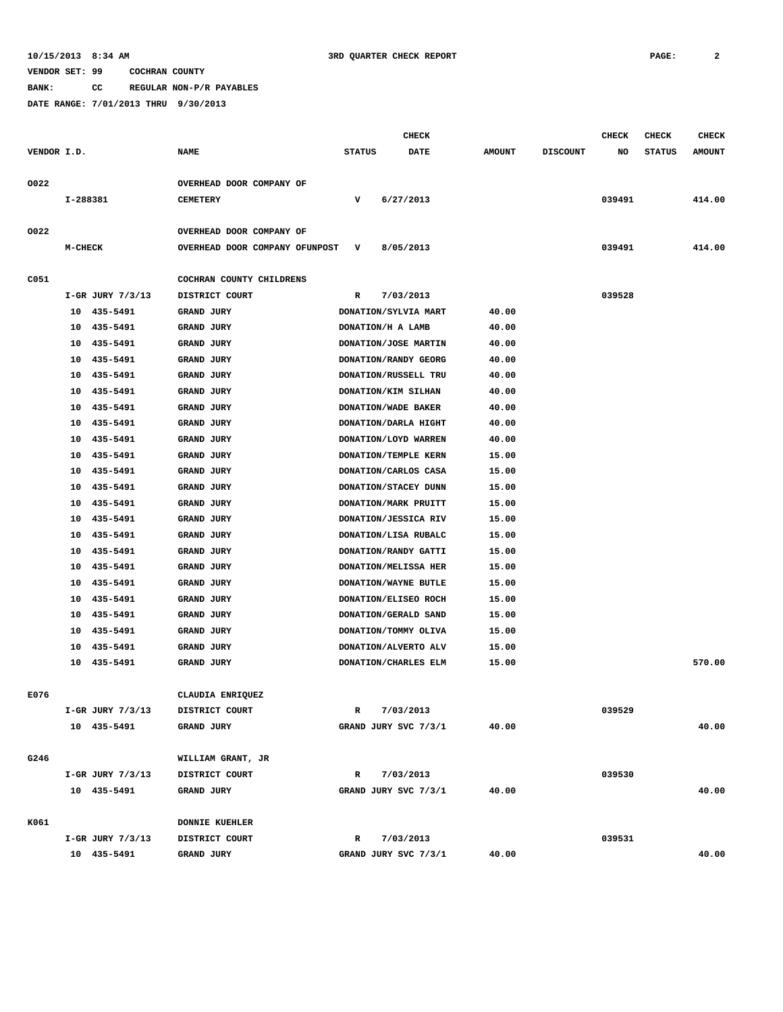**BANK: CC REGULAR NON-P/R PAYABLES**

|             |           |                      |                                | <b>CHECK</b>  |                      |  |               |                 | CHECK  | <b>CHECK</b>  | <b>CHECK</b>  |
|-------------|-----------|----------------------|--------------------------------|---------------|----------------------|--|---------------|-----------------|--------|---------------|---------------|
| VENDOR I.D. |           |                      | <b>NAME</b>                    | <b>STATUS</b> | DATE                 |  | <b>AMOUNT</b> | <b>DISCOUNT</b> | NO     | <b>STATUS</b> | <b>AMOUNT</b> |
|             |           |                      |                                |               |                      |  |               |                 |        |               |               |
| 0022        |           |                      | OVERHEAD DOOR COMPANY OF       |               |                      |  |               |                 |        |               |               |
|             | I-288381  |                      | <b>CEMETERY</b>                | v             | 6/27/2013            |  |               |                 | 039491 |               | 414.00        |
|             |           |                      |                                |               |                      |  |               |                 |        |               |               |
| 0022        |           |                      | OVERHEAD DOOR COMPANY OF       |               |                      |  |               |                 |        |               |               |
|             | $M-CHECK$ |                      | OVERHEAD DOOR COMPANY OFUNPOST | v             | 8/05/2013            |  |               |                 | 039491 |               | 414.00        |
|             |           |                      |                                |               |                      |  |               |                 |        |               |               |
| C051        |           |                      | COCHRAN COUNTY CHILDRENS       |               |                      |  |               |                 |        |               |               |
|             |           | I-GR JURY 7/3/13     | DISTRICT COURT                 | R             | 7/03/2013            |  |               |                 | 039528 |               |               |
|             |           | 10 435-5491          | GRAND JURY                     |               | DONATION/SYLVIA MART |  | 40.00         |                 |        |               |               |
|             | 10        | 435-5491             | GRAND JURY                     |               | DONATION/H A LAMB    |  | 40.00         |                 |        |               |               |
|             | 10        | 435-5491             | GRAND JURY                     |               | DONATION/JOSE MARTIN |  | 40.00         |                 |        |               |               |
|             | 10        | 435-5491             | GRAND JURY                     |               | DONATION/RANDY GEORG |  | 40.00         |                 |        |               |               |
|             | 10        | 435-5491             | <b>GRAND JURY</b>              |               | DONATION/RUSSELL TRU |  | 40.00         |                 |        |               |               |
|             | 10        | 435-5491             | GRAND JURY                     |               | DONATION/KIM SILHAN  |  | 40.00         |                 |        |               |               |
|             | 10        | 435-5491             | GRAND JURY                     |               | DONATION/WADE BAKER  |  | 40.00         |                 |        |               |               |
|             | 10        | 435-5491             | GRAND JURY                     |               | DONATION/DARLA HIGHT |  | 40.00         |                 |        |               |               |
|             | 10        | 435-5491             | GRAND JURY                     |               | DONATION/LOYD WARREN |  | 40.00         |                 |        |               |               |
|             | 10        | 435-5491             | GRAND JURY                     |               | DONATION/TEMPLE KERN |  | 15.00         |                 |        |               |               |
|             | 10        | 435-5491             | <b>GRAND JURY</b>              |               | DONATION/CARLOS CASA |  | 15.00         |                 |        |               |               |
|             | 10        | 435-5491             | <b>GRAND JURY</b>              |               | DONATION/STACEY DUNN |  | 15.00         |                 |        |               |               |
|             | 10        | 435-5491             | GRAND JURY                     |               | DONATION/MARK PRUITT |  | 15.00         |                 |        |               |               |
|             | 10        | 435-5491             | GRAND JURY                     |               | DONATION/JESSICA RIV |  | 15.00         |                 |        |               |               |
|             | 10        | 435-5491             | GRAND JURY                     |               | DONATION/LISA RUBALC |  | 15.00         |                 |        |               |               |
|             | 10        | 435-5491             | GRAND JURY                     |               | DONATION/RANDY GATTI |  | 15.00         |                 |        |               |               |
|             | 10        | 435-5491             | <b>GRAND JURY</b>              |               | DONATION/MELISSA HER |  | 15.00         |                 |        |               |               |
|             | 10        | 435-5491             | GRAND JURY                     |               | DONATION/WAYNE BUTLE |  | 15.00         |                 |        |               |               |
|             | 10        | 435-5491             | GRAND JURY                     |               | DONATION/ELISEO ROCH |  | 15.00         |                 |        |               |               |
|             | 10        | 435-5491             | GRAND JURY                     |               | DONATION/GERALD SAND |  | 15.00         |                 |        |               |               |
|             | 10        | 435-5491             | GRAND JURY                     |               | DONATION/TOMMY OLIVA |  | 15.00         |                 |        |               |               |
|             | 10        | 435-5491             | GRAND JURY                     |               | DONATION/ALVERTO ALV |  | 15.00         |                 |        |               |               |
|             | 10        | 435-5491             | GRAND JURY                     |               | DONATION/CHARLES ELM |  | 15.00         |                 |        |               | 570.00        |
|             |           |                      |                                |               |                      |  |               |                 |        |               |               |
| E076        |           |                      | CLAUDIA ENRIQUEZ               |               |                      |  |               |                 |        |               |               |
|             |           | $I-GR$ JURY $7/3/13$ | DISTRICT COURT                 | R             | 7/03/2013            |  |               |                 | 039529 |               |               |
|             |           | 10 435-5491          | GRAND JURY                     |               | GRAND JURY SVC 7/3/1 |  | 40.00         |                 |        |               | 40.00         |
|             |           |                      |                                |               |                      |  |               |                 |        |               |               |
| G246        |           |                      | WILLIAM GRANT, JR              |               |                      |  |               |                 |        |               |               |
|             |           | I-GR JURY 7/3/13     | DISTRICT COURT                 | R             | 7/03/2013            |  |               |                 | 039530 |               |               |
|             |           | 10 435-5491          | GRAND JURY                     |               | GRAND JURY SVC 7/3/1 |  | 40.00         |                 |        |               | 40.00         |
|             |           |                      |                                |               |                      |  |               |                 |        |               |               |
| K061        |           |                      | <b>DONNIE KUEHLER</b>          |               |                      |  |               |                 |        |               |               |
|             |           | $I-GR$ JURY $7/3/13$ | DISTRICT COURT                 | R             | 7/03/2013            |  |               |                 | 039531 |               |               |
|             |           | 10 435-5491          | GRAND JURY                     |               | GRAND JURY SVC 7/3/1 |  | 40.00         |                 |        |               | 40.00         |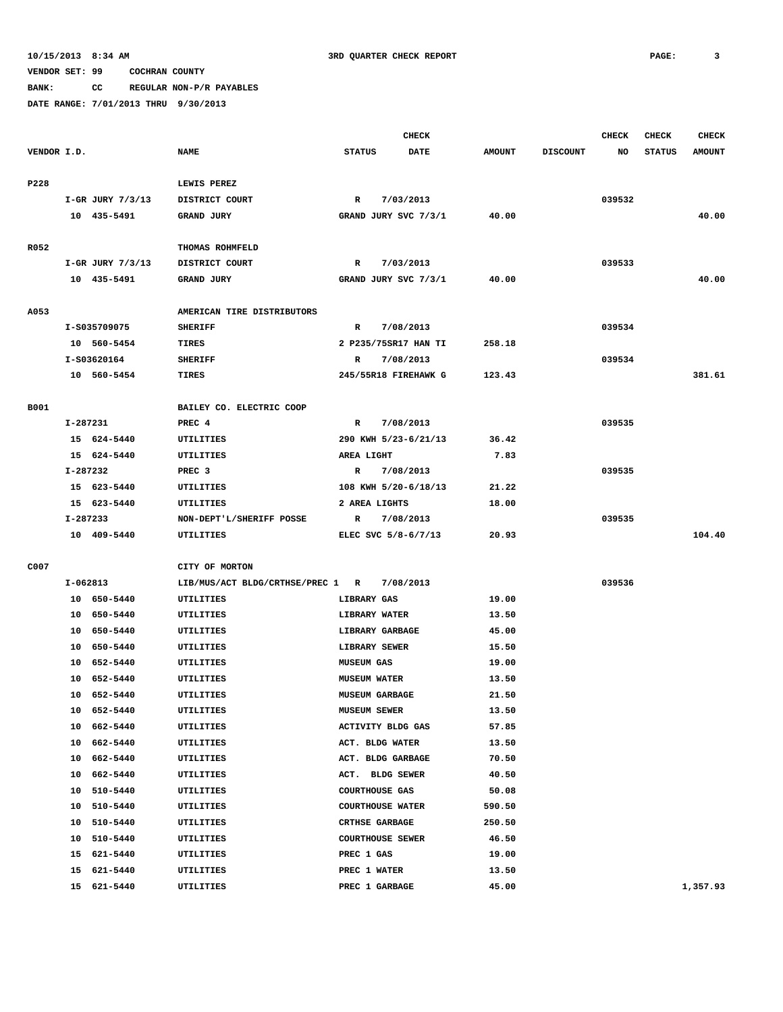**BANK: CC REGULAR NON-P/R PAYABLES**

|             |          |                  |                                  | <b>CHECK</b>            |                      |               |                 | <b>CHECK</b> | <b>CHECK</b>  | <b>CHECK</b>  |
|-------------|----------|------------------|----------------------------------|-------------------------|----------------------|---------------|-----------------|--------------|---------------|---------------|
| VENDOR I.D. |          |                  | <b>NAME</b>                      | <b>STATUS</b>           | DATE                 | <b>AMOUNT</b> | <b>DISCOUNT</b> | NO           | <b>STATUS</b> | <b>AMOUNT</b> |
|             |          |                  |                                  |                         |                      |               |                 |              |               |               |
| P228        |          |                  | LEWIS PEREZ                      |                         |                      |               |                 |              |               |               |
|             |          | I-GR JURY 7/3/13 | DISTRICT COURT                   | $\mathbb{R}$            | 7/03/2013            |               |                 | 039532       |               |               |
|             |          | 10 435-5491      | GRAND JURY                       |                         | GRAND JURY SVC 7/3/1 | 40.00         |                 |              |               | 40.00         |
| R052        |          |                  | THOMAS ROHMFELD                  |                         |                      |               |                 |              |               |               |
|             |          | I-GR JURY 7/3/13 | DISTRICT COURT                   | R                       | 7/03/2013            |               |                 | 039533       |               |               |
|             |          | 10 435-5491      | <b>GRAND JURY</b>                |                         | GRAND JURY SVC 7/3/1 | 40.00         |                 |              |               | 40.00         |
| A053        |          |                  | AMERICAN TIRE DISTRIBUTORS       |                         |                      |               |                 |              |               |               |
|             |          | I-S035709075     | <b>SHERIFF</b>                   | R                       | 7/08/2013            |               |                 | 039534       |               |               |
|             |          | 10 560-5454      | TIRES                            |                         | 2 P235/75SR17 HAN TI | 258.18        |                 |              |               |               |
|             |          | I-S03620164      | <b>SHERIFF</b>                   | R                       | 7/08/2013            |               |                 | 039534       |               |               |
|             |          | 10 560-5454      | TIRES                            |                         | 245/55R18 FIREHAWK G | 123.43        |                 |              |               | 381.61        |
|             |          |                  |                                  |                         |                      |               |                 |              |               |               |
| B001        |          |                  | BAILEY CO. ELECTRIC COOP         |                         |                      |               |                 |              |               |               |
|             | I-287231 |                  | PREC 4                           | $\mathbb{R}$            | 7/08/2013            |               |                 | 039535       |               |               |
|             |          | 15 624-5440      | UTILITIES                        |                         | 290 KWH 5/23-6/21/13 | 36.42         |                 |              |               |               |
|             |          | 15 624-5440      | UTILITIES                        | AREA LIGHT              |                      | 7.83          |                 |              |               |               |
|             | I-287232 |                  | PREC <sub>3</sub>                | R                       | 7/08/2013            |               |                 | 039535       |               |               |
|             |          | 15 623-5440      | <b>UTILITIES</b>                 |                         | 108 KWH 5/20-6/18/13 | 21.22         |                 |              |               |               |
|             |          | 15 623-5440      | UTILITIES                        | 2 AREA LIGHTS           |                      | 18.00         |                 |              |               |               |
|             | I-287233 |                  | NON-DEPT'L/SHERIFF POSSE         | R                       | 7/08/2013            |               |                 | 039535       |               |               |
|             |          | 10 409-5440      | UTILITIES                        |                         | ELEC SVC 5/8-6/7/13  | 20.93         |                 |              |               | 104.40        |
| C007        |          |                  | CITY OF MORTON                   |                         |                      |               |                 |              |               |               |
|             | I-062813 |                  | LIB/MUS/ACT BLDG/CRTHSE/PREC 1 R |                         | 7/08/2013            |               |                 | 039536       |               |               |
|             |          | 10 650-5440      | UTILITIES                        | LIBRARY GAS             |                      | 19.00         |                 |              |               |               |
|             |          | 10 650-5440      | UTILITIES                        | LIBRARY WATER           |                      | 13.50         |                 |              |               |               |
|             |          | 10 650-5440      | UTILITIES                        | LIBRARY GARBAGE         |                      | 45.00         |                 |              |               |               |
|             |          | 10 650-5440      | UTILITIES                        | LIBRARY SEWER           |                      | 15.50         |                 |              |               |               |
|             |          | 10 652-5440      | UTILITIES                        | <b>MUSEUM GAS</b>       |                      | 19.00         |                 |              |               |               |
|             | 10       | 652-5440         | UTILITIES                        | <b>MUSEUM WATER</b>     |                      | 13.50         |                 |              |               |               |
|             |          | 10 652-5440      | UTILITIES                        | <b>MUSEUM GARBAGE</b>   |                      | 21.50         |                 |              |               |               |
|             |          | 10 652-5440      | UTILITIES                        | <b>MUSEUM SEWER</b>     |                      | 13.50         |                 |              |               |               |
|             |          | 10 662-5440      | <b>UTILITIES</b>                 | ACTIVITY BLDG GAS       |                      | 57.85         |                 |              |               |               |
|             |          | 10 662-5440      | UTILITIES                        | ACT. BLDG WATER         |                      | 13.50         |                 |              |               |               |
|             |          | 10 662-5440      | UTILITIES                        | ACT. BLDG GARBAGE       |                      | 70.50         |                 |              |               |               |
|             |          | 10 662-5440      | UTILITIES                        | ACT. BLDG SEWER         |                      | 40.50         |                 |              |               |               |
|             |          | 10 510-5440      | UTILITIES                        | <b>COURTHOUSE GAS</b>   |                      | 50.08         |                 |              |               |               |
|             |          | 10 510-5440      | UTILITIES                        | <b>COURTHOUSE WATER</b> |                      | 590.50        |                 |              |               |               |
|             |          | 10 510-5440      | UTILITIES                        | <b>CRTHSE GARBAGE</b>   |                      | 250.50        |                 |              |               |               |
|             |          | 10 510-5440      | UTILITIES                        | <b>COURTHOUSE SEWER</b> |                      | 46.50         |                 |              |               |               |
|             |          | 15 621-5440      | UTILITIES                        | PREC 1 GAS              |                      | 19.00         |                 |              |               |               |
|             |          | 15 621-5440      | UTILITIES                        | PREC 1 WATER            |                      | 13.50         |                 |              |               |               |
|             |          | 15 621-5440      | UTILITIES                        | PREC 1 GARBAGE          |                      | 45.00         |                 |              |               | 1,357.93      |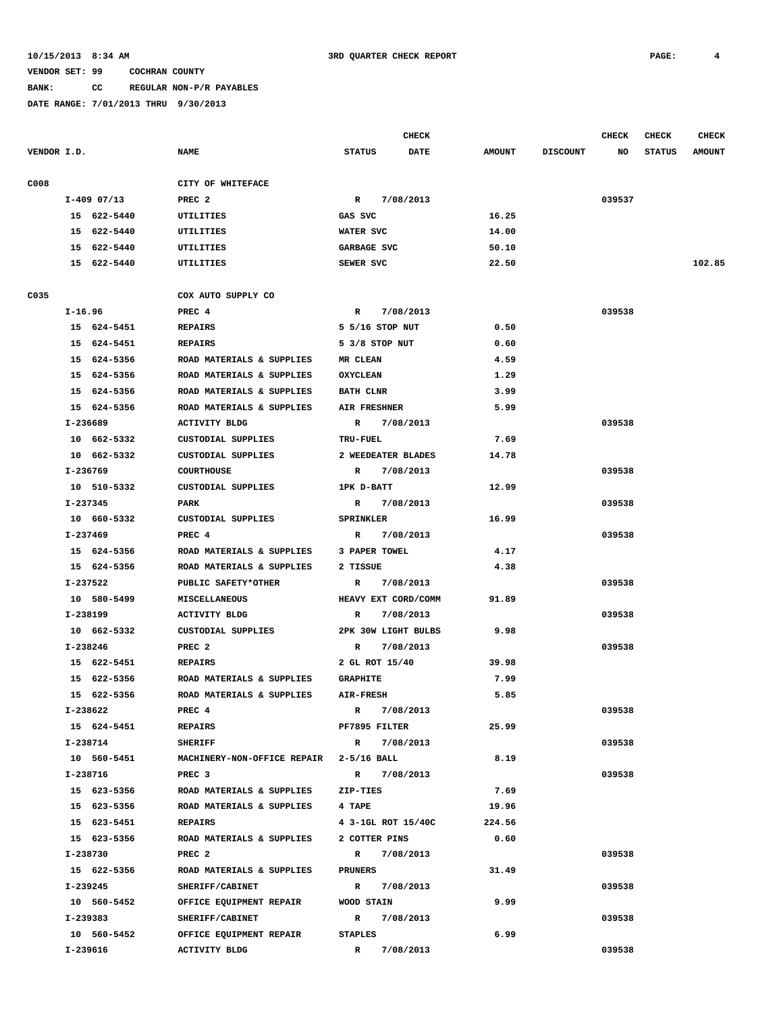## **BANK: CC REGULAR NON-P/R PAYABLES**

|             |               |                                         |                     | <b>CHECK</b> |               |                 | <b>CHECK</b> | <b>CHECK</b>  | <b>CHECK</b>  |
|-------------|---------------|-----------------------------------------|---------------------|--------------|---------------|-----------------|--------------|---------------|---------------|
| VENDOR I.D. |               | <b>NAME</b>                             | <b>STATUS</b>       | <b>DATE</b>  | <b>AMOUNT</b> | <b>DISCOUNT</b> | NO           | <b>STATUS</b> | <b>AMOUNT</b> |
| C008        |               | CITY OF WHITEFACE                       |                     |              |               |                 |              |               |               |
|             | $I-409$ 07/13 | PREC <sub>2</sub>                       | $\mathbb{R}$        | 7/08/2013    |               |                 | 039537       |               |               |
|             | 15 622-5440   | <b>UTILITIES</b>                        | GAS SVC             |              | 16.25         |                 |              |               |               |
|             | 15 622-5440   | UTILITIES                               | WATER SVC           |              | 14.00         |                 |              |               |               |
|             | 15 622-5440   | UTILITIES                               | GARBAGE SVC         |              | 50.10         |                 |              |               |               |
|             | 15 622-5440   | UTILITIES                               | SEWER SVC           |              | 22.50         |                 |              |               | 102.85        |
| C035        |               | COX AUTO SUPPLY CO                      |                     |              |               |                 |              |               |               |
|             | I-16.96       | PREC 4                                  | $\mathbb{R}$        | 7/08/2013    |               |                 | 039538       |               |               |
|             | 15 624-5451   | <b>REPAIRS</b>                          | 5 5/16 STOP NUT     |              | 0.50          |                 |              |               |               |
|             | 15 624-5451   | <b>REPAIRS</b>                          | 5 3/8 STOP NUT      |              | 0.60          |                 |              |               |               |
|             | 15 624-5356   | ROAD MATERIALS & SUPPLIES               | <b>MR CLEAN</b>     |              | 4.59          |                 |              |               |               |
|             |               |                                         |                     |              |               |                 |              |               |               |
|             | 15 624-5356   | ROAD MATERIALS & SUPPLIES               | <b>OXYCLEAN</b>     |              | 1.29          |                 |              |               |               |
|             | 15 624-5356   | ROAD MATERIALS & SUPPLIES               | <b>BATH CLNR</b>    |              | 3.99          |                 |              |               |               |
|             | 15 624-5356   | ROAD MATERIALS & SUPPLIES               | <b>AIR FRESHNER</b> |              | 5.99          |                 |              |               |               |
|             | I-236689      | <b>ACTIVITY BLDG</b>                    | $\mathbb{R}$        | 7/08/2013    |               |                 | 039538       |               |               |
|             | 10 662-5332   | CUSTODIAL SUPPLIES                      | <b>TRU-FUEL</b>     |              | 7.69          |                 |              |               |               |
|             | 10 662-5332   | <b>CUSTODIAL SUPPLIES</b>               | 2 WEEDEATER BLADES  |              | 14.78         |                 |              |               |               |
|             | I-236769      | <b>COURTHOUSE</b>                       | R 7/08/2013         |              |               |                 | 039538       |               |               |
|             | 10 510-5332   | CUSTODIAL SUPPLIES                      | 1PK D-BATT          |              | 12.99         |                 |              |               |               |
|             | I-237345      | PARK                                    | R 7/08/2013         |              |               |                 | 039538       |               |               |
|             | 10 660-5332   | CUSTODIAL SUPPLIES                      | <b>SPRINKLER</b>    |              | 16.99         |                 |              |               |               |
|             | I-237469      | PREC 4                                  | R                   | 7/08/2013    |               |                 | 039538       |               |               |
|             | 15 624-5356   | ROAD MATERIALS & SUPPLIES               | 3 PAPER TOWEL       |              | 4.17          |                 |              |               |               |
|             | 15 624-5356   | ROAD MATERIALS & SUPPLIES               | 2 TISSUE            |              | 4.38          |                 |              |               |               |
|             | I-237522      | PUBLIC SAFETY*OTHER                     | R                   | 7/08/2013    |               |                 | 039538       |               |               |
|             | 10 580-5499   | <b>MISCELLANEOUS</b>                    | HEAVY EXT CORD/COMM |              | 91.89         |                 |              |               |               |
|             | I-238199      | <b>ACTIVITY BLDG</b>                    | R                   | 7/08/2013    |               |                 | 039538       |               |               |
|             | 10 662-5332   | CUSTODIAL SUPPLIES                      | 2PK 30W LIGHT BULBS |              | 9.98          |                 |              |               |               |
|             | I-238246      | PREC <sub>2</sub>                       | $\mathbb{R}$        | 7/08/2013    |               |                 | 039538       |               |               |
|             | 15 622-5451   | <b>REPAIRS</b>                          | 2 GL ROT 15/40      |              | 39.98         |                 |              |               |               |
|             | 15 622-5356   | ROAD MATERIALS & SUPPLIES               | <b>GRAPHITE</b>     |              | 7.99          |                 |              |               |               |
|             | 15 622-5356   | ROAD MATERIALS & SUPPLIES               | AIR-FRESH           |              | 5.85          |                 |              |               |               |
|             | I-238622      | PREC 4                                  | $\mathbb{R}$        | 7/08/2013    |               |                 | 039538       |               |               |
|             | 15 624-5451   | <b>REPAIRS</b>                          | PF7895 FILTER       |              | 25.99         |                 |              |               |               |
|             | I-238714      | <b>SHERIFF</b>                          | $\mathbb{R}$        | 7/08/2013    |               |                 | 039538       |               |               |
|             | 10 560-5451   | MACHINERY-NON-OFFICE REPAIR 2-5/16 BALL |                     |              | 8.19          |                 |              |               |               |
|             | I-238716      | PREC <sub>3</sub>                       | R 7/08/2013         |              |               |                 | 039538       |               |               |
|             | 15 623-5356   | ROAD MATERIALS & SUPPLIES               | ZIP-TIES            |              | 7.69          |                 |              |               |               |
|             | 15 623-5356   | ROAD MATERIALS & SUPPLIES               | 4 TAPE              |              | 19.96         |                 |              |               |               |
|             | 15 623-5451   | <b>REPAIRS</b>                          | 4 3-1GL ROT 15/40C  |              | 224.56        |                 |              |               |               |
|             | 15 623-5356   | ROAD MATERIALS & SUPPLIES               | 2 COTTER PINS       |              | 0.60          |                 |              |               |               |
|             | I-238730      | PREC <sub>2</sub>                       | R 7/08/2013         |              |               |                 | 039538       |               |               |
|             | 15 622-5356   | ROAD MATERIALS & SUPPLIES               | PRUNERS             |              | 31.49         |                 |              |               |               |
|             | I-239245      | SHERIFF/CABINET                         | $\mathbb{R}$        | 7/08/2013    |               |                 | 039538       |               |               |
|             | 10 560-5452   | OFFICE EQUIPMENT REPAIR                 | WOOD STAIN          |              | 9.99          |                 |              |               |               |
|             | I-239383      | SHERIFF/CABINET                         | $\mathbb{R}$        | 7/08/2013    |               |                 | 039538       |               |               |
|             | 10 560-5452   | OFFICE EQUIPMENT REPAIR                 | <b>STAPLES</b>      |              | 6.99          |                 |              |               |               |
|             | I-239616      | <b>ACTIVITY BLDG</b>                    | R                   | 7/08/2013    |               |                 | 039538       |               |               |
|             |               |                                         |                     |              |               |                 |              |               |               |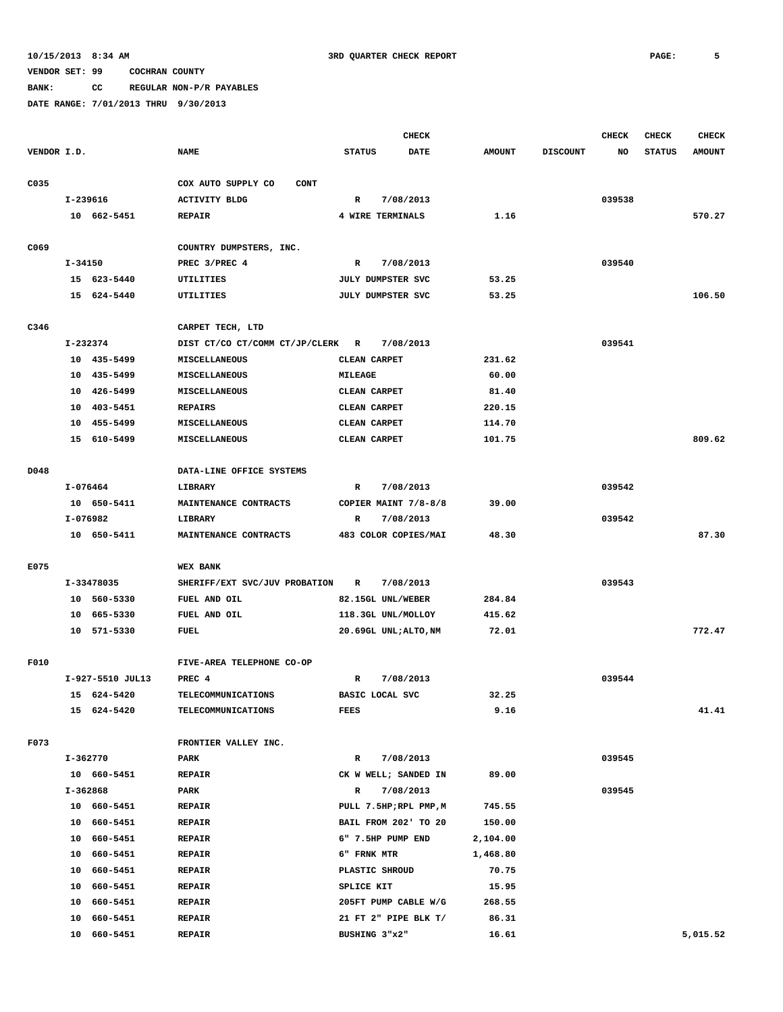**BANK: CC REGULAR NON-P/R PAYABLES**

|             |             |                  |                                   |                                   | <b>CHECK</b>          |               |                 | <b>CHECK</b> | <b>CHECK</b>  | <b>CHECK</b>  |
|-------------|-------------|------------------|-----------------------------------|-----------------------------------|-----------------------|---------------|-----------------|--------------|---------------|---------------|
| VENDOR I.D. |             |                  | <b>NAME</b>                       | <b>STATUS</b>                     | <b>DATE</b>           | <b>AMOUNT</b> | <b>DISCOUNT</b> | NO           | <b>STATUS</b> | <b>AMOUNT</b> |
| C035        |             |                  | COX AUTO SUPPLY CO<br><b>CONT</b> |                                   |                       |               |                 |              |               |               |
|             |             | I-239616         | <b>ACTIVITY BLDG</b>              | R                                 | 7/08/2013             |               |                 | 039538       |               |               |
|             |             | 10 662-5451      | <b>REPAIR</b>                     | 4 WIRE TERMINALS                  |                       | 1.16          |                 |              |               | 570.27        |
| C069        |             |                  | COUNTRY DUMPSTERS, INC.           |                                   |                       |               |                 |              |               |               |
|             | $I - 34150$ |                  | PREC 3/PREC 4                     | R                                 | 7/08/2013             |               |                 | 039540       |               |               |
|             |             | 15 623-5440      | UTILITIES                         | JULY DUMPSTER SVC                 |                       | 53.25         |                 |              |               |               |
|             |             |                  |                                   |                                   |                       |               |                 |              |               |               |
|             |             | 15 624-5440      | UTILITIES                         | JULY DUMPSTER SVC                 |                       | 53.25         |                 |              |               | 106.50        |
| C346        |             |                  | CARPET TECH, LTD                  |                                   |                       |               |                 |              |               |               |
|             |             | I-232374         | DIST CT/CO CT/COMM CT/JP/CLERK R  |                                   | 7/08/2013             |               |                 | 039541       |               |               |
|             |             | 10 435-5499      | MISCELLANEOUS                     | CLEAN CARPET                      |                       | 231.62        |                 |              |               |               |
|             |             | 10 435-5499      | MISCELLANEOUS                     | MILEAGE                           |                       | 60.00         |                 |              |               |               |
|             | 10          | 426-5499         | MISCELLANEOUS                     | CLEAN CARPET                      |                       | 81.40         |                 |              |               |               |
|             | 10          | 403-5451         | <b>REPAIRS</b>                    | CLEAN CARPET                      |                       | 220.15        |                 |              |               |               |
|             | 10          | 455-5499         | <b>MISCELLANEOUS</b>              | CLEAN CARPET                      |                       | 114.70        |                 |              |               |               |
|             |             | 15 610-5499      | MISCELLANEOUS                     | CLEAN CARPET                      |                       | 101.75        |                 |              |               | 809.62        |
| D048        |             |                  | DATA-LINE OFFICE SYSTEMS          |                                   |                       |               |                 |              |               |               |
|             |             | $I-076464$       | LIBRARY                           | R                                 |                       |               |                 | 039542       |               |               |
|             |             | 10 650-5411      | MAINTENANCE CONTRACTS             | 7/08/2013<br>COPIER MAINT 7/8-8/8 |                       | 39.00         |                 |              |               |               |
|             |             | I-076982         | LIBRARY                           | R<br>7/08/2013                    |                       |               |                 | 039542       |               |               |
|             |             | 10 650-5411      | MAINTENANCE CONTRACTS             |                                   | 483 COLOR COPIES/MAI  | 48.30         |                 |              |               | 87.30         |
|             |             |                  |                                   |                                   |                       |               |                 |              |               |               |
| E075        |             |                  | <b>WEX BANK</b>                   |                                   |                       |               |                 |              |               |               |
|             |             | I-33478035       | SHERIFF/EXT SVC/JUV PROBATION     | $\mathbb{R}$                      | 7/08/2013             |               |                 | 039543       |               |               |
|             |             | 10 560-5330      | FUEL AND OIL                      | 82.15GL UNL/WEBER                 |                       | 284.84        |                 |              |               |               |
|             |             | 10 665-5330      | FUEL AND OIL                      |                                   | 118.3GL UNL/MOLLOY    | 415.62        |                 |              |               |               |
|             |             | 10 571-5330      | FUEL                              |                                   | 20.69GL UNL;ALTO, NM  | 72.01         |                 |              |               | 772.47        |
| F010        |             |                  | FIVE-AREA TELEPHONE CO-OP         |                                   |                       |               |                 |              |               |               |
|             |             | I-927-5510 JUL13 | PREC 4                            | R                                 | 7/08/2013             |               |                 | 039544       |               |               |
|             |             | 15 624-5420      | <b>TELECOMMUNICATIONS</b>         | BASIC LOCAL SVC                   |                       | 32.25         |                 |              |               |               |
|             |             | 15 624-5420      | <b>TELECOMMUNICATIONS</b>         | <b>FEES</b>                       |                       | 9.16          |                 |              |               | 41.41         |
|             |             |                  |                                   |                                   |                       |               |                 |              |               |               |
| F073        |             |                  | FRONTIER VALLEY INC.              |                                   |                       |               |                 |              |               |               |
|             |             | I-362770         | <b>PARK</b>                       | $\mathbb{R}$                      | 7/08/2013             |               |                 | 039545       |               |               |
|             |             | 10 660-5451      | <b>REPAIR</b>                     |                                   | CK W WELL; SANDED IN  | 89.00         |                 |              |               |               |
|             |             | I-362868         | PARK                              | $\mathbb{R}$                      | 7/08/2013             |               |                 | 039545       |               |               |
|             |             | 10 660-5451      | <b>REPAIR</b>                     |                                   | PULL 7.5HP;RPL PMP, M | 745.55        |                 |              |               |               |
|             |             | 10 660-5451      | <b>REPAIR</b>                     |                                   | BAIL FROM 202' TO 20  | 150.00        |                 |              |               |               |
|             |             | 10 660-5451      | <b>REPAIR</b>                     |                                   | 6" 7.5HP PUMP END     | 2,104.00      |                 |              |               |               |
|             |             | 10 660-5451      | <b>REPAIR</b>                     | 6" FRNK MTR                       |                       | 1,468.80      |                 |              |               |               |
|             |             | 10 660-5451      | <b>REPAIR</b>                     | PLASTIC SHROUD                    |                       | 70.75         |                 |              |               |               |
|             |             | 10 660-5451      | <b>REPAIR</b>                     | SPLICE KIT                        |                       | 15.95         |                 |              |               |               |
|             |             | 10 660-5451      | <b>REPAIR</b>                     |                                   | 205FT PUMP CABLE W/G  | 268.55        |                 |              |               |               |
|             |             | 10 660-5451      | <b>REPAIR</b>                     |                                   | 21 FT 2" PIPE BLK T/  | 86.31         |                 |              |               |               |
|             |             | 10 660-5451      | <b>REPAIR</b>                     | BUSHING 3"x2"                     |                       | 16.61         |                 |              |               | 5,015.52      |
|             |             |                  |                                   |                                   |                       |               |                 |              |               |               |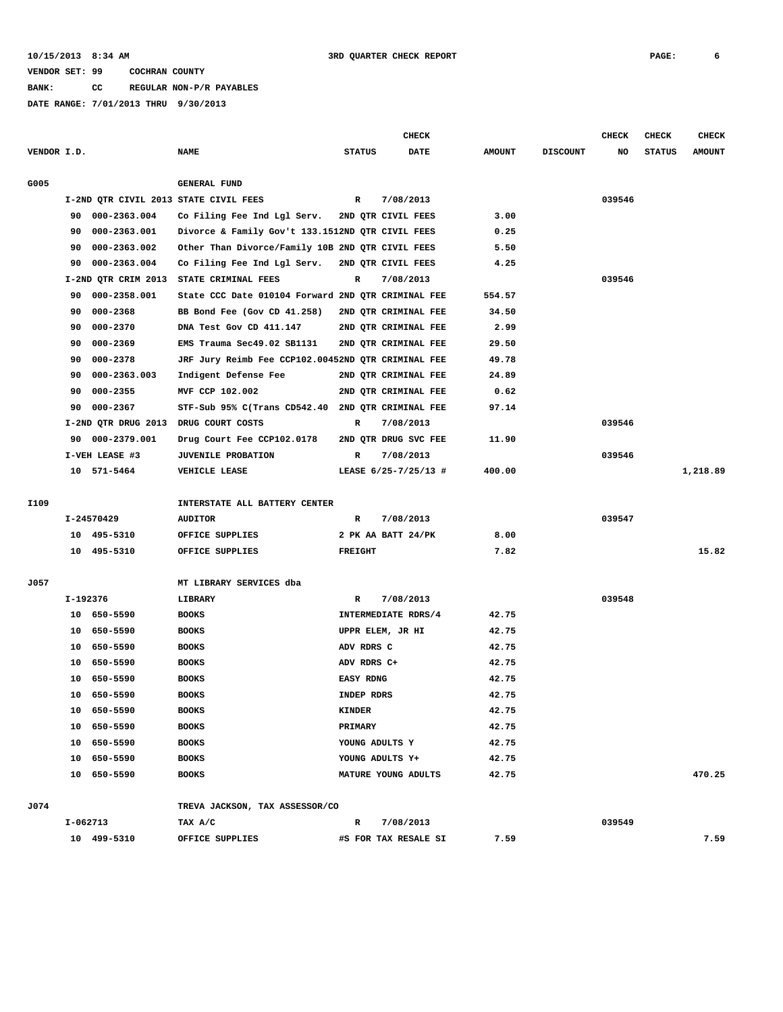**BANK: CC REGULAR NON-P/R PAYABLES**

|             |          |                     |                                                    |                  | <b>CHECK</b>         |               |                 | <b>CHECK</b> | <b>CHECK</b>  | <b>CHECK</b>  |
|-------------|----------|---------------------|----------------------------------------------------|------------------|----------------------|---------------|-----------------|--------------|---------------|---------------|
| VENDOR I.D. |          |                     | <b>NAME</b>                                        | <b>STATUS</b>    | <b>DATE</b>          | <b>AMOUNT</b> | <b>DISCOUNT</b> | NO           | <b>STATUS</b> | <b>AMOUNT</b> |
|             |          |                     |                                                    |                  |                      |               |                 |              |               |               |
| G005        |          |                     | <b>GENERAL FUND</b>                                |                  |                      |               |                 |              |               |               |
|             |          |                     | I-2ND QTR CIVIL 2013 STATE CIVIL FEES              | $\mathbb{R}$     | 7/08/2013            |               |                 | 039546       |               |               |
|             | 90       | 000-2363.004        | Co Filing Fee Ind Lgl Serv.                        |                  | 2ND OTR CIVIL FEES   | 3.00          |                 |              |               |               |
|             | 90       | 000-2363.001        | Divorce & Family Gov't 133.1512ND QTR CIVIL FEES   |                  |                      | 0.25          |                 |              |               |               |
|             | 90       | 000-2363.002        | Other Than Divorce/Family 10B 2ND QTR CIVIL FEES   |                  |                      | 5.50          |                 |              |               |               |
|             | 90       | 000-2363.004        | Co Filing Fee Ind Lgl Serv.                        |                  | 2ND QTR CIVIL FEES   | 4.25          |                 |              |               |               |
|             |          | I-2ND QTR CRIM 2013 | STATE CRIMINAL FEES                                | R                | 7/08/2013            |               |                 | 039546       |               |               |
|             | 90       | 000-2358.001        | State CCC Date 010104 Forward 2ND QTR CRIMINAL FEE |                  |                      | 554.57        |                 |              |               |               |
|             | 90       | 000-2368            | BB Bond Fee (Gov CD 41.258)                        |                  | 2ND QTR CRIMINAL FEE | 34.50         |                 |              |               |               |
|             | 90       | 000-2370            | DNA Test Gov CD 411.147                            |                  | 2ND QTR CRIMINAL FEE | 2.99          |                 |              |               |               |
|             | 90       | 000-2369            | EMS Trauma Sec49.02 SB1131                         |                  | 2ND QTR CRIMINAL FEE | 29.50         |                 |              |               |               |
|             | 90       | 000-2378            | JRF Jury Reimb Fee CCP102.00452ND QTR CRIMINAL FEE |                  |                      | 49.78         |                 |              |               |               |
|             | 90       | 000-2363.003        | Indigent Defense Fee                               |                  | 2ND QTR CRIMINAL FEE | 24.89         |                 |              |               |               |
|             | 90       | 000-2355            | MVF CCP 102.002                                    |                  | 2ND QTR CRIMINAL FEE | 0.62          |                 |              |               |               |
|             | 90       | 000-2367            | STF-Sub 95% C(Trans CD542.40 2ND QTR CRIMINAL FEE  |                  |                      | 97.14         |                 |              |               |               |
|             |          |                     | I-2ND QTR DRUG 2013 DRUG COURT COSTS               | R                | 7/08/2013            |               |                 | 039546       |               |               |
|             | 90       | 000-2379.001        | Drug Court Fee CCP102.0178                         |                  | 2ND QTR DRUG SVC FEE | 11.90         |                 |              |               |               |
|             |          | I-VEH LEASE #3      | <b>JUVENILE PROBATION</b>                          | R                | 7/08/2013            |               |                 | 039546       |               |               |
|             |          | 10 571-5464         | <b>VEHICLE LEASE</b>                               |                  | LEASE 6/25-7/25/13 # | 400.00        |                 |              |               | 1,218.89      |
|             |          |                     |                                                    |                  |                      |               |                 |              |               |               |
| I109        |          |                     | INTERSTATE ALL BATTERY CENTER                      |                  |                      |               |                 |              |               |               |
|             |          | I-24570429          | <b>AUDITOR</b>                                     | R                | 7/08/2013            |               |                 | 039547       |               |               |
|             |          | 10 495-5310         | OFFICE SUPPLIES                                    |                  | 2 PK AA BATT 24/PK   | 8.00          |                 |              |               |               |
|             |          | 10 495-5310         | OFFICE SUPPLIES                                    | <b>FREIGHT</b>   |                      | 7.82          |                 |              |               | 15.82         |
|             |          |                     |                                                    |                  |                      |               |                 |              |               |               |
| J057        |          |                     | MT LIBRARY SERVICES dba                            |                  |                      |               |                 |              |               |               |
|             | I-192376 |                     | LIBRARY                                            | R                | 7/08/2013            |               |                 | 039548       |               |               |
|             | 10       | 650-5590            | <b>BOOKS</b>                                       |                  | INTERMEDIATE RDRS/4  | 42.75         |                 |              |               |               |
|             | 10       | 650-5590            | <b>BOOKS</b>                                       |                  | UPPR ELEM, JR HI     | 42.75         |                 |              |               |               |
|             | 10       | 650-5590            | <b>BOOKS</b>                                       | ADV RDRS C       |                      | 42.75         |                 |              |               |               |
|             | 10       | 650-5590            | <b>BOOKS</b>                                       | ADV RDRS C+      |                      | 42.75         |                 |              |               |               |
|             | 10       | 650-5590            | <b>BOOKS</b>                                       | <b>EASY RDNG</b> |                      | 42.75         |                 |              |               |               |
|             | 10       | 650-5590            | <b>BOOKS</b>                                       | INDEP RDRS       |                      | 42.75         |                 |              |               |               |
|             |          | 10 650-5590         | <b>BOOKS</b>                                       | KINDER           |                      | 42.75         |                 |              |               |               |
|             |          | 10 650-5590         | <b>BOOKS</b>                                       | PRIMARY          |                      | 42.75         |                 |              |               |               |
|             |          | 10 650-5590         | <b>BOOKS</b>                                       | YOUNG ADULTS Y   |                      | 42.75         |                 |              |               |               |
|             |          | 10 650-5590         | <b>BOOKS</b>                                       |                  | YOUNG ADULTS Y+      | 42.75         |                 |              |               |               |
|             |          | 10 650-5590         | <b>BOOKS</b>                                       |                  | MATURE YOUNG ADULTS  | 42.75         |                 |              |               | 470.25        |
|             |          |                     |                                                    |                  |                      |               |                 |              |               |               |
| J074        |          |                     | TREVA JACKSON, TAX ASSESSOR/CO                     |                  |                      |               |                 |              |               |               |
|             | I-062713 |                     | TAX A/C                                            | R                | 7/08/2013            |               |                 | 039549       |               |               |
|             |          | 10 499-5310         | OFFICE SUPPLIES                                    |                  | #S FOR TAX RESALE SI | 7.59          |                 |              |               | 7.59          |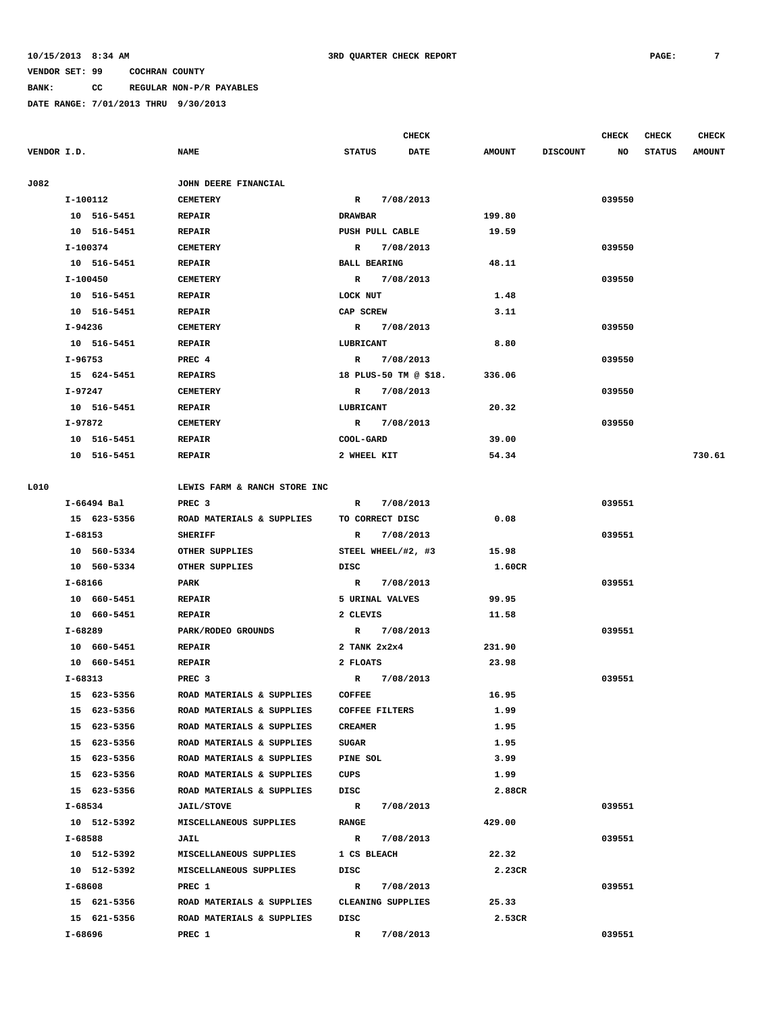### **BANK: CC REGULAR NON-P/R PAYABLES**

|             |             |                                       |                                | <b>CHECK</b> |               |                 | <b>CHECK</b> | <b>CHECK</b>  | <b>CHECK</b>  |
|-------------|-------------|---------------------------------------|--------------------------------|--------------|---------------|-----------------|--------------|---------------|---------------|
| VENDOR I.D. |             | <b>NAME</b>                           | <b>STATUS</b>                  | <b>DATE</b>  | <b>AMOUNT</b> | <b>DISCOUNT</b> | NO           | <b>STATUS</b> | <b>AMOUNT</b> |
| J082        |             | JOHN DEERE FINANCIAL                  |                                |              |               |                 |              |               |               |
|             | I-100112    | <b>CEMETERY</b>                       | R 7/08/2013                    |              |               |                 | 039550       |               |               |
|             | 10 516-5451 | <b>REPAIR</b>                         | <b>DRAWBAR</b>                 |              | 199.80        |                 |              |               |               |
|             | 10 516-5451 | <b>REPAIR</b>                         | PUSH PULL CABLE                |              | 19.59         |                 |              |               |               |
|             | I-100374    | <b>CEMETERY</b>                       | $\mathbb{R}$                   | 7/08/2013    |               |                 | 039550       |               |               |
|             | 10 516-5451 | <b>REPAIR</b>                         | <b>BALL BEARING</b>            |              | 48.11         |                 |              |               |               |
|             | I-100450    | <b>CEMETERY</b>                       | $\mathbb{R}$                   | 7/08/2013    |               |                 | 039550       |               |               |
|             | 10 516-5451 | <b>REPAIR</b>                         | LOCK NUT                       |              | 1.48          |                 |              |               |               |
|             |             | <b>REPAIR</b>                         | CAP SCREW                      |              | 3.11          |                 |              |               |               |
|             | 10 516-5451 |                                       |                                |              |               |                 |              |               |               |
|             | I-94236     | <b>CEMETERY</b>                       | $\mathbb{R}$                   | 7/08/2013    |               |                 | 039550       |               |               |
|             | 10 516-5451 | <b>REPAIR</b>                         | LUBRICANT                      |              | 8.80          |                 |              |               |               |
|             | I-96753     | PREC 4                                | $\mathbb{R}$                   | 7/08/2013    |               |                 | 039550       |               |               |
|             | 15 624-5451 | <b>REPAIRS</b>                        | 18 PLUS-50 TM @ \$18.          |              | 336.06        |                 |              |               |               |
|             | $I-97247$   | <b>CEMETERY</b>                       | R                              | 7/08/2013    |               |                 | 039550       |               |               |
|             | 10 516-5451 | <b>REPAIR</b>                         | LUBRICANT                      |              | 20.32         |                 |              |               |               |
|             | I-97872     | <b>CEMETERY</b>                       | R                              | 7/08/2013    |               |                 | 039550       |               |               |
|             | 10 516-5451 | <b>REPAIR</b>                         | COOL-GARD                      |              | 39.00         |                 |              |               |               |
|             | 10 516-5451 | <b>REPAIR</b>                         | 2 WHEEL KIT                    |              | 54.34         |                 |              |               | 730.61        |
| L010        |             | LEWIS FARM & RANCH STORE INC          |                                |              |               |                 |              |               |               |
|             | I-66494 Bal | PREC <sub>3</sub>                     | $\mathbb{R}$                   | 7/08/2013    |               |                 | 039551       |               |               |
|             | 15 623-5356 | ROAD MATERIALS & SUPPLIES             | TO CORRECT DISC                |              | 0.08          |                 |              |               |               |
|             | I-68153     | <b>SHERIFF</b>                        | R                              | 7/08/2013    |               |                 | 039551       |               |               |
|             | 10 560-5334 | OTHER SUPPLIES                        | STEEL WHEEL/#2, #3             |              | 15.98         |                 |              |               |               |
|             | 10 560-5334 | OTHER SUPPLIES                        | DISC                           |              | 1.60CR        |                 |              |               |               |
|             |             |                                       |                                |              |               |                 |              |               |               |
|             | I-68166     | PARK                                  | $\mathbb{R}$                   | 7/08/2013    |               |                 | 039551       |               |               |
|             | 10 660-5451 | <b>REPAIR</b>                         | 5 URINAL VALVES                |              | 99.95         |                 |              |               |               |
|             | 10 660-5451 | <b>REPAIR</b>                         | 2 CLEVIS                       |              | 11.58         |                 |              |               |               |
|             | I-68289     | PARK/RODEO GROUNDS                    | $\mathbb{R}$                   | 7/08/2013    |               |                 | 039551       |               |               |
|             | 10 660-5451 | <b>REPAIR</b>                         | $2$ TANK $2 \times 2 \times 4$ |              | 231.90        |                 |              |               |               |
|             | 10 660-5451 | <b>REPAIR</b>                         | 2 FLOATS                       |              | 23.98         |                 |              |               |               |
|             | I-68313     | PREC <sub>3</sub>                     | R                              | 7/08/2013    |               |                 | 039551       |               |               |
|             | 15 623-5356 | ROAD MATERIALS & SUPPLIES             | <b>COFFEE</b>                  |              | 16.95         |                 |              |               |               |
|             | 15 623-5356 | ROAD MATERIALS & SUPPLIES             | COFFEE FILTERS                 |              | 1.99          |                 |              |               |               |
|             | 15 623-5356 | ROAD MATERIALS & SUPPLIES             | <b>CREAMER</b>                 |              | 1.95          |                 |              |               |               |
|             | 15 623-5356 | ROAD MATERIALS & SUPPLIES             | SUGAR                          |              | 1.95          |                 |              |               |               |
|             | 15 623-5356 | ROAD MATERIALS & SUPPLIES PINE SOL    |                                |              | 3.99          |                 |              |               |               |
|             | 15 623-5356 | ROAD MATERIALS & SUPPLIES             | CUPS                           |              | 1.99          |                 |              |               |               |
|             | 15 623-5356 | ROAD MATERIALS & SUPPLIES             | DISC                           |              | 2.88CR        |                 |              |               |               |
|             | I-68534     | <b>JAIL/STOVE</b>                     | $\mathbb{R}$                   | 7/08/2013    |               |                 | 039551       |               |               |
|             | 10 512-5392 | MISCELLANEOUS SUPPLIES                | <b>RANGE</b>                   |              | 429.00        |                 |              |               |               |
|             | I-68588     | <b>JAIL</b>                           | $\mathbb{R}$                   | 7/08/2013    |               |                 | 039551       |               |               |
|             | 10 512-5392 | MISCELLANEOUS SUPPLIES                | 1 CS BLEACH                    |              | 22.32         |                 |              |               |               |
|             | 10 512-5392 | MISCELLANEOUS SUPPLIES                | DISC                           |              | 2.23CR        |                 |              |               |               |
|             | I-68608     | PREC 1                                | $\mathbb{R}$                   | 7/08/2013    |               |                 | 039551       |               |               |
|             |             | 15 621-5356 ROAD MATERIALS & SUPPLIES | CLEANING SUPPLIES              |              | 25.33         |                 |              |               |               |
|             |             |                                       |                                |              |               |                 |              |               |               |
|             | 15 621-5356 | ROAD MATERIALS & SUPPLIES             | DISC                           |              | 2.53CR        |                 |              |               |               |
|             | I-68696     | PREC 1                                | $\mathbb{R}$                   | 7/08/2013    |               |                 | 039551       |               |               |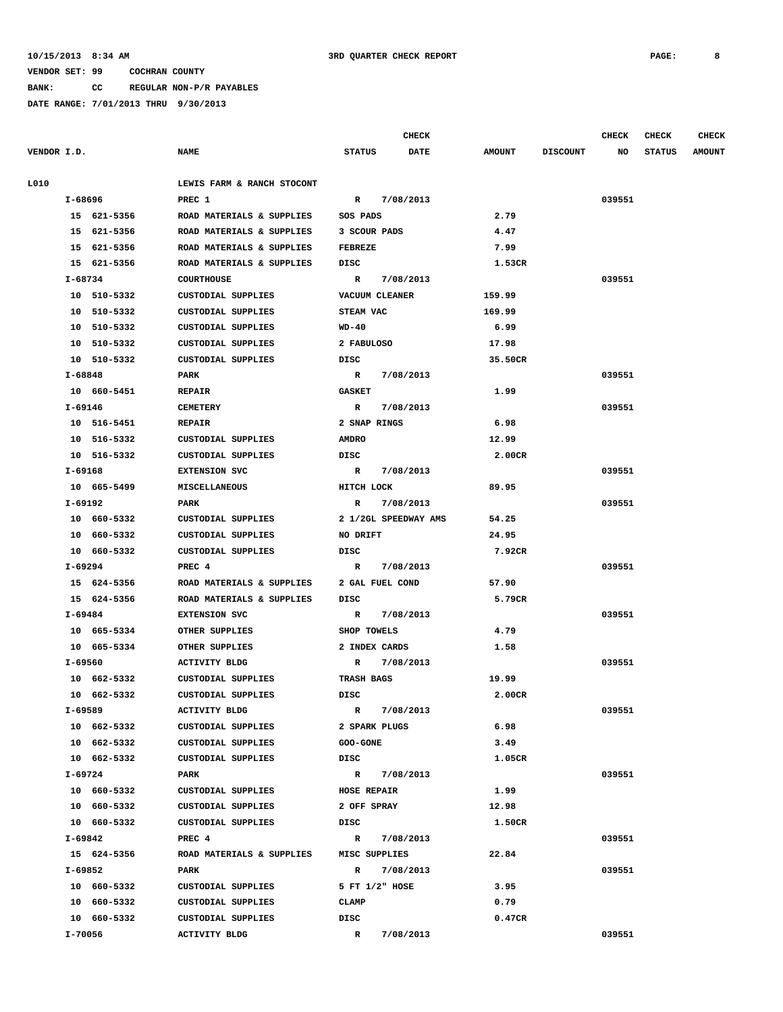### **10/15/2013 8:34 AM 3RD QUARTER CHECK REPORT PAGE: 8**

#### **VENDOR SET: 99 COCHRAN COUNTY**

**BANK: CC REGULAR NON-P/R PAYABLES**

|             |         |             |                                         |                            |             | <b>CHECK</b> |               |                 | <b>CHECK</b> | <b>CHECK</b>  | <b>CHECK</b>  |
|-------------|---------|-------------|-----------------------------------------|----------------------------|-------------|--------------|---------------|-----------------|--------------|---------------|---------------|
| VENDOR I.D. |         |             | <b>NAME</b>                             | <b>STATUS</b>              |             | <b>DATE</b>  | <b>AMOUNT</b> | <b>DISCOUNT</b> | NO           | <b>STATUS</b> | <b>AMOUNT</b> |
| L010        |         |             | LEWIS FARM & RANCH STOCONT              |                            |             |              |               |                 |              |               |               |
|             | I-68696 |             | PREC 1                                  | $\mathbb{R}$               | 7/08/2013   |              |               |                 | 039551       |               |               |
|             |         | 15 621-5356 | ROAD MATERIALS & SUPPLIES               | SOS PADS                   |             |              | 2.79          |                 |              |               |               |
|             |         | 15 621-5356 | ROAD MATERIALS & SUPPLIES               | 3 SCOUR PADS               |             |              | 4.47          |                 |              |               |               |
|             |         | 15 621-5356 | ROAD MATERIALS & SUPPLIES               | <b>FEBREZE</b>             |             |              | 7.99          |                 |              |               |               |
|             |         | 15 621-5356 | ROAD MATERIALS & SUPPLIES               | DISC                       |             |              | 1.53CR        |                 |              |               |               |
|             | I-68734 |             | <b>COURTHOUSE</b>                       |                            | R 7/08/2013 |              |               |                 | 039551       |               |               |
|             |         | 10 510-5332 | CUSTODIAL SUPPLIES                      | VACUUM CLEANER             |             |              | 159.99        |                 |              |               |               |
|             |         | 10 510-5332 | <b>CUSTODIAL SUPPLIES</b>               | <b>STEAM VAC</b>           |             |              | 169.99        |                 |              |               |               |
|             |         | 10 510-5332 | <b>CUSTODIAL SUPPLIES</b>               | WD-40                      |             |              | 6.99          |                 |              |               |               |
|             |         | 10 510-5332 | <b>CUSTODIAL SUPPLIES</b>               | 2 FABULOSO                 |             |              | 17.98         |                 |              |               |               |
|             |         | 10 510-5332 | CUSTODIAL SUPPLIES                      | DISC                       |             |              | 35.50CR       |                 |              |               |               |
|             | I-68848 |             | PARK                                    |                            | R 7/08/2013 |              |               |                 | 039551       |               |               |
|             |         | 10 660-5451 | <b>REPAIR</b>                           | <b>GASKET</b>              |             |              | 1.99          |                 |              |               |               |
|             |         | I-69146     | <b>CEMETERY</b>                         | R                          | 7/08/2013   |              |               |                 | 039551       |               |               |
|             |         | 10 516-5451 | <b>REPAIR</b>                           | 2 SNAP RINGS               |             |              | 6.98          |                 |              |               |               |
|             |         | 10 516-5332 | <b>CUSTODIAL SUPPLIES</b>               | <b>AMDRO</b>               |             |              | 12.99         |                 |              |               |               |
|             |         | 10 516-5332 | <b>CUSTODIAL SUPPLIES</b>               | <b>DISC</b>                |             |              | 2.00CR        |                 |              |               |               |
|             | I-69168 |             | <b>EXTENSION SVC</b>                    |                            |             |              |               |                 | 039551       |               |               |
|             |         |             | <b>MISCELLANEOUS</b>                    |                            | R 7/08/2013 |              | 89.95         |                 |              |               |               |
|             | I-69192 | 10 665-5499 | PARK                                    | HITCH LOCK<br>$\mathbb{R}$ | 7/08/2013   |              |               |                 | 039551       |               |               |
|             |         |             |                                         |                            |             |              |               |                 |              |               |               |
|             |         | 10 660-5332 | CUSTODIAL SUPPLIES                      | 2 1/2GL SPEEDWAY AMS       |             |              | 54.25         |                 |              |               |               |
|             |         | 10 660-5332 | CUSTODIAL SUPPLIES                      | NO DRIFT                   |             |              | 24.95         |                 |              |               |               |
|             |         | 10 660-5332 | <b>CUSTODIAL SUPPLIES</b>               | DISC                       |             |              | 7.92CR        |                 |              |               |               |
|             | I-69294 |             | PREC 4                                  | $\mathbb{R}$               | 7/08/2013   |              |               |                 | 039551       |               |               |
|             |         | 15 624-5356 | ROAD MATERIALS & SUPPLIES               | 2 GAL FUEL COND            |             |              | 57.90         |                 |              |               |               |
|             |         | 15 624-5356 | ROAD MATERIALS & SUPPLIES               | DISC                       |             |              | 5.79CR        |                 |              |               |               |
|             | I-69484 |             | <b>EXTENSION SVC</b>                    | $\mathbb{R}$               | 7/08/2013   |              |               |                 | 039551       |               |               |
|             |         | 10 665-5334 | OTHER SUPPLIES                          | SHOP TOWELS                |             |              | 4.79          |                 |              |               |               |
|             |         | 10 665-5334 | OTHER SUPPLIES                          | 2 INDEX CARDS              |             |              | 1.58          |                 |              |               |               |
|             |         | I-69560     | <b>ACTIVITY BLDG</b>                    | R                          | 7/08/2013   |              |               |                 | 039551       |               |               |
|             |         | 10 662-5332 | CUSTODIAL SUPPLIES                      | TRASH BAGS                 |             |              | 19.99         |                 |              |               |               |
|             |         | 10 662-5332 | <b>CUSTODIAL SUPPLIES</b>               | DISC                       |             |              | 2.00CR        |                 |              |               |               |
|             |         | I-69589     | <b>ACTIVITY BLDG</b>                    |                            | R 7/08/2013 |              |               |                 | 039551       |               |               |
|             |         | 10 662-5332 | CUSTODIAL SUPPLIES                      | 2 SPARK PLUGS              |             |              | 6.98          |                 |              |               |               |
|             |         | 10 662-5332 | CUSTODIAL SUPPLIES                      | <b>GOO-GONE</b>            |             |              | 3.49          |                 |              |               |               |
|             |         | 10 662-5332 | CUSTODIAL SUPPLIES                      | DISC                       |             |              | 1.05CR        |                 |              |               |               |
|             |         | I-69724     | PARK                                    | R 7/08/2013                |             |              |               |                 | 039551       |               |               |
|             |         | 10 660-5332 | CUSTODIAL SUPPLIES                      | <b>HOSE REPAIR</b>         |             |              | 1.99          |                 |              |               |               |
|             |         | 10 660-5332 | CUSTODIAL SUPPLIES                      | 2 OFF SPRAY                |             |              | 12.98         |                 |              |               |               |
|             |         | 10 660-5332 | CUSTODIAL SUPPLIES                      | DISC                       |             |              | 1.50CR        |                 |              |               |               |
|             |         | I-69842     | PREC 4                                  |                            | R 7/08/2013 |              |               |                 | 039551       |               |               |
|             |         | 15 624-5356 | ROAD MATERIALS & SUPPLIES MISC SUPPLIES |                            |             |              | 22.84         |                 |              |               |               |
|             |         | I-69852     | PARK                                    |                            | R 7/08/2013 |              |               |                 | 039551       |               |               |
|             |         | 10 660-5332 | CUSTODIAL SUPPLIES                      | 5 FT 1/2" HOSE             |             |              | 3.95          |                 |              |               |               |
|             |         | 10 660-5332 | CUSTODIAL SUPPLIES                      | CLAMP                      |             |              | 0.79          |                 |              |               |               |
|             |         | 10 660-5332 | CUSTODIAL SUPPLIES                      | DISC                       |             |              | 0.47CR        |                 |              |               |               |
|             |         | I-70056     | ACTIVITY BLDG                           | $\mathbb{R}$               | 7/08/2013   |              |               |                 | 039551       |               |               |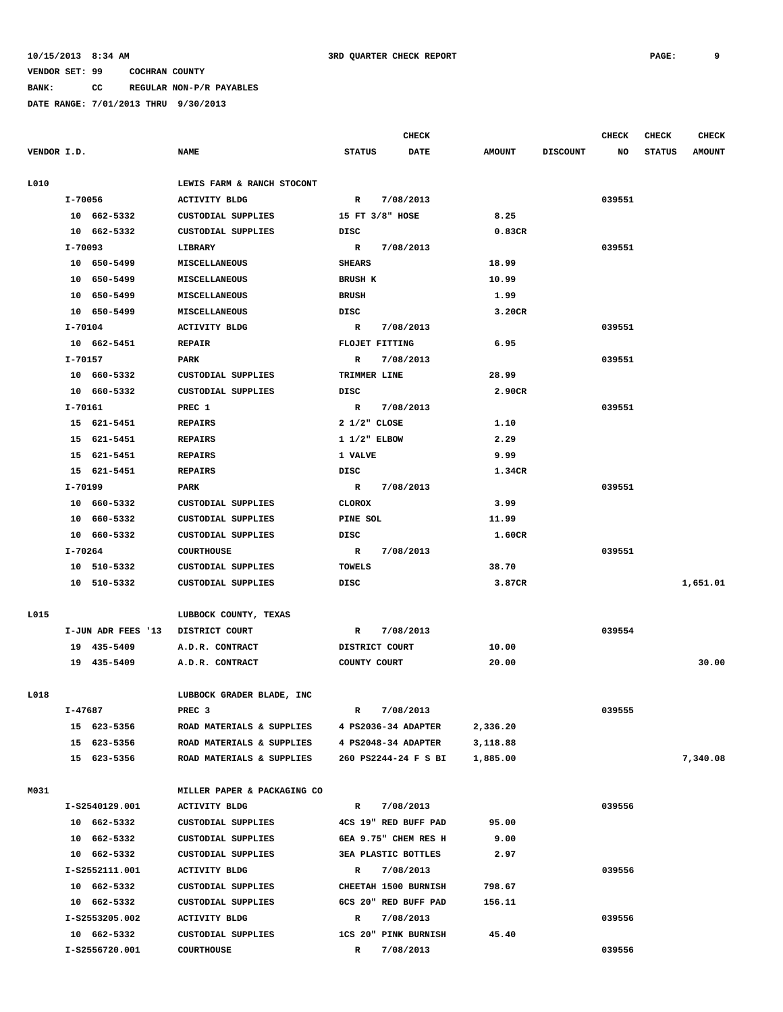## **BANK: CC REGULAR NON-P/R PAYABLES**

|             |                    |                             |                            | CHECK     |               |                 | <b>CHECK</b> | <b>CHECK</b>  | CHECK         |
|-------------|--------------------|-----------------------------|----------------------------|-----------|---------------|-----------------|--------------|---------------|---------------|
| VENDOR I.D. |                    | <b>NAME</b>                 | <b>STATUS</b>              | DATE      | <b>AMOUNT</b> | <b>DISCOUNT</b> | NO           | <b>STATUS</b> | <b>AMOUNT</b> |
| L010        |                    | LEWIS FARM & RANCH STOCONT  |                            |           |               |                 |              |               |               |
|             | I-70056            | <b>ACTIVITY BLDG</b>        | $\mathbb{R}$               | 7/08/2013 |               |                 | 039551       |               |               |
|             | 10 662-5332        | CUSTODIAL SUPPLIES          | 15 FT 3/8" HOSE            |           | 8.25          |                 |              |               |               |
|             | 10 662-5332        | CUSTODIAL SUPPLIES          | DISC                       |           | 0.83CR        |                 |              |               |               |
|             | I-70093            | LIBRARY                     | R                          | 7/08/2013 |               |                 | 039551       |               |               |
|             | 10 650-5499        | MISCELLANEOUS               | <b>SHEARS</b>              |           | 18.99         |                 |              |               |               |
|             | 10 650-5499        | MISCELLANEOUS               | <b>BRUSH K</b>             |           | 10.99         |                 |              |               |               |
|             | 10 650-5499        | <b>MISCELLANEOUS</b>        | <b>BRUSH</b>               |           | 1.99          |                 |              |               |               |
|             | 10 650-5499        | <b>MISCELLANEOUS</b>        | DISC                       |           | 3.20CR        |                 |              |               |               |
|             | I-70104            | <b>ACTIVITY BLDG</b>        | $\mathbb{R}$               | 7/08/2013 |               |                 | 039551       |               |               |
|             | 10 662-5451        | <b>REPAIR</b>               | <b>FLOJET FITTING</b>      |           | 6.95          |                 |              |               |               |
|             | I-70157            | PARK                        | R                          | 7/08/2013 |               |                 | 039551       |               |               |
|             | 10 660-5332        | CUSTODIAL SUPPLIES          | TRIMMER LINE               |           | 28.99         |                 |              |               |               |
|             | 10 660-5332        | <b>CUSTODIAL SUPPLIES</b>   | DISC                       |           | 2.90CR        |                 |              |               |               |
|             | I-70161            | PREC 1                      | R                          | 7/08/2013 |               |                 | 039551       |               |               |
|             | 15 621-5451        | <b>REPAIRS</b>              | $2 \frac{1}{2}$ CLOSE      |           | 1.10          |                 |              |               |               |
|             | 15 621-5451        | <b>REPAIRS</b>              | $1 \frac{1}{2}$ ELBOW      |           | 2.29          |                 |              |               |               |
|             | 15 621-5451        | <b>REPAIRS</b>              | 1 VALVE                    |           | 9.99          |                 |              |               |               |
|             | 15 621-5451        | <b>REPAIRS</b>              | DISC                       |           | 1.34CR        |                 |              |               |               |
|             | I-70199            | PARK                        | R                          | 7/08/2013 |               |                 | 039551       |               |               |
|             | 10 660-5332        | <b>CUSTODIAL SUPPLIES</b>   | CLOROX                     |           | 3.99          |                 |              |               |               |
|             | 10 660-5332        | CUSTODIAL SUPPLIES          | PINE SOL                   |           | 11.99         |                 |              |               |               |
|             | 10 660-5332        | CUSTODIAL SUPPLIES          | DISC                       |           | 1.60CR        |                 |              |               |               |
|             | I-70264            | <b>COURTHOUSE</b>           | $\mathbb{R}$               | 7/08/2013 |               |                 | 039551       |               |               |
|             | 10 510-5332        | CUSTODIAL SUPPLIES          | <b>TOWELS</b>              |           | 38.70         |                 |              |               |               |
|             | 10 510-5332        | CUSTODIAL SUPPLIES          | DISC                       |           | 3.87CR        |                 |              |               | 1,651.01      |
| L015        |                    | LUBBOCK COUNTY, TEXAS       |                            |           |               |                 |              |               |               |
|             | I-JUN ADR FEES '13 | DISTRICT COURT              | R                          | 7/08/2013 |               |                 | 039554       |               |               |
|             | 19 435-5409        | A.D.R. CONTRACT             | DISTRICT COURT             |           | 10.00         |                 |              |               |               |
|             | 19 435-5409        | A.D.R. CONTRACT             | COUNTY COURT               |           | 20.00         |                 |              |               | 30.00         |
|             |                    |                             |                            |           |               |                 |              |               |               |
| L018        |                    | LUBBOCK GRADER BLADE, INC   |                            |           |               |                 |              |               |               |
|             | I-47687            | PREC 3                      | $\mathbb{R}$               | 7/08/2013 |               |                 | 039555       |               |               |
|             | 15 623-5356        | ROAD MATERIALS & SUPPLIES   | 4 PS2036-34 ADAPTER        |           | 2,336.20      |                 |              |               |               |
|             | 15 623-5356        | ROAD MATERIALS & SUPPLIES   | 4 PS2048-34 ADAPTER        |           | 3,118.88      |                 |              |               |               |
|             | 15 623-5356        | ROAD MATERIALS & SUPPLIES   | 260 PS2244-24 F S BI       |           | 1,885.00      |                 |              |               | 7,340.08      |
| M031        |                    | MILLER PAPER & PACKAGING CO |                            |           |               |                 |              |               |               |
|             | I-S2540129.001     | ACTIVITY BLDG               | R                          | 7/08/2013 |               |                 | 039556       |               |               |
|             | 10 662-5332        | CUSTODIAL SUPPLIES          | 4CS 19" RED BUFF PAD       |           | 95.00         |                 |              |               |               |
|             | 10 662-5332        | CUSTODIAL SUPPLIES          | 6EA 9.75" CHEM RES H       |           | 9.00          |                 |              |               |               |
|             | 10 662-5332        | CUSTODIAL SUPPLIES          | <b>3EA PLASTIC BOTTLES</b> |           | 2.97          |                 |              |               |               |
|             | I-S2552111.001     | <b>ACTIVITY BLDG</b>        | R                          | 7/08/2013 |               |                 | 039556       |               |               |
|             | 10 662-5332        | CUSTODIAL SUPPLIES          | CHEETAH 1500 BURNISH       |           | 798.67        |                 |              |               |               |
|             | 10 662-5332        | CUSTODIAL SUPPLIES          | 6CS 20" RED BUFF PAD       |           | 156.11        |                 |              |               |               |
|             | I-S2553205.002     | <b>ACTIVITY BLDG</b>        | R                          | 7/08/2013 |               |                 | 039556       |               |               |
|             | 10 662-5332        | CUSTODIAL SUPPLIES          | 1CS 20" PINK BURNISH       |           | 45.40         |                 |              |               |               |
|             | I-S2556720.001     | <b>COURTHOUSE</b>           | R                          | 7/08/2013 |               |                 | 039556       |               |               |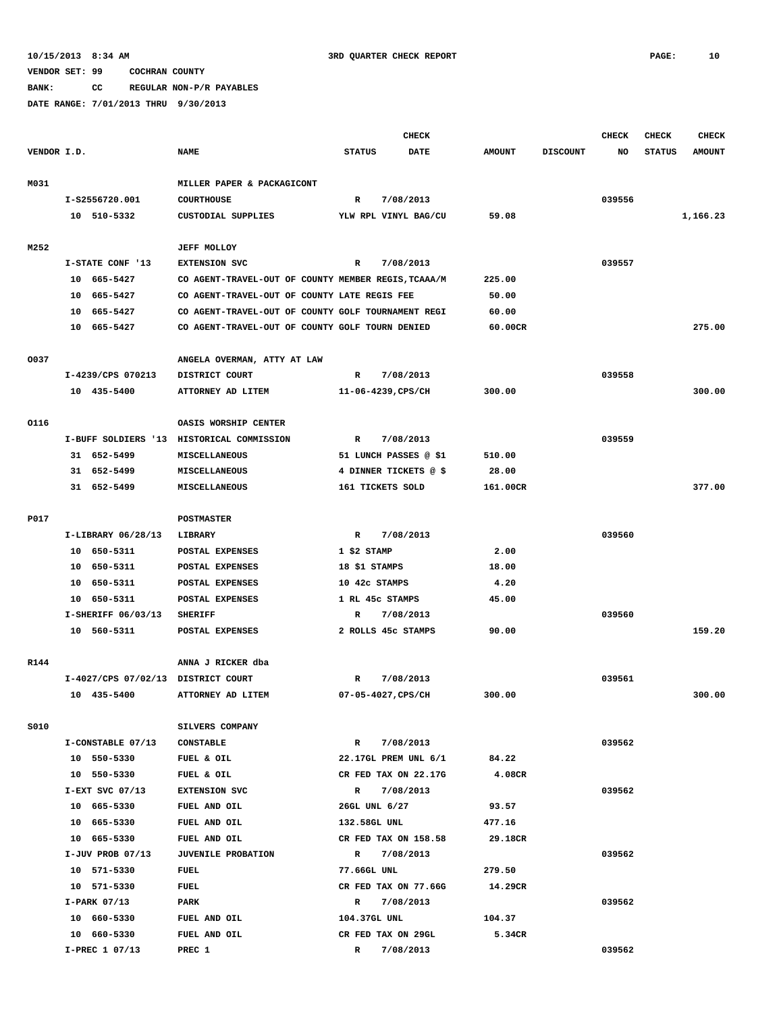#### **BANK: CC REGULAR NON-P/R PAYABLES**

|             |                                    |                                                     |                                    | <b>CHECK</b> |                  |                 | <b>CHECK</b> | <b>CHECK</b>  | <b>CHECK</b>  |
|-------------|------------------------------------|-----------------------------------------------------|------------------------------------|--------------|------------------|-----------------|--------------|---------------|---------------|
| VENDOR I.D. |                                    | <b>NAME</b>                                         | <b>STATUS</b>                      | <b>DATE</b>  | <b>AMOUNT</b>    | <b>DISCOUNT</b> | NO           | <b>STATUS</b> | <b>AMOUNT</b> |
|             |                                    |                                                     |                                    |              |                  |                 |              |               |               |
| M031        |                                    | MILLER PAPER & PACKAGICONT                          |                                    |              |                  |                 |              |               |               |
|             | I-S2556720.001                     | <b>COURTHOUSE</b>                                   | R                                  | 7/08/2013    |                  |                 | 039556       |               |               |
|             | 10 510-5332                        | CUSTODIAL SUPPLIES                                  | YLW RPL VINYL BAG/CU               |              | 59.08            |                 |              |               | 1,166.23      |
|             |                                    |                                                     |                                    |              |                  |                 |              |               |               |
| M252        |                                    | <b>JEFF MOLLOY</b>                                  |                                    |              |                  |                 |              |               |               |
|             | I-STATE CONF '13                   | <b>EXTENSION SVC</b>                                | R                                  | 7/08/2013    |                  |                 | 039557       |               |               |
|             | 10 665-5427                        | CO AGENT-TRAVEL-OUT OF COUNTY MEMBER REGIS, TCAAA/M |                                    |              | 225.00           |                 |              |               |               |
|             | 10 665-5427                        | CO AGENT-TRAVEL-OUT OF COUNTY LATE REGIS FEE        |                                    |              | 50.00            |                 |              |               |               |
|             | 10 665-5427                        | CO AGENT-TRAVEL-OUT OF COUNTY GOLF TOURNAMENT REGI  |                                    |              | 60.00            |                 |              |               |               |
|             | 10<br>665–5427                     | CO AGENT-TRAVEL-OUT OF COUNTY GOLF TOURN DENIED     |                                    |              | 60.00CR          |                 |              |               | 275.00        |
| 0037        |                                    |                                                     |                                    |              |                  |                 |              |               |               |
|             | I-4239/CPS 070213                  | ANGELA OVERMAN, ATTY AT LAW<br>DISTRICT COURT       | R                                  | 7/08/2013    |                  |                 | 039558       |               |               |
|             | 10 435-5400                        | ATTORNEY AD LITEM                                   | 11-06-4239, CPS/CH                 |              | 300.00           |                 |              |               | 300.00        |
|             |                                    |                                                     |                                    |              |                  |                 |              |               |               |
| 0116        |                                    | OASIS WORSHIP CENTER                                |                                    |              |                  |                 |              |               |               |
|             |                                    | I-BUFF SOLDIERS '13 HISTORICAL COMMISSION           | R                                  | 7/08/2013    |                  |                 | 039559       |               |               |
|             | 31 652-5499                        | MISCELLANEOUS                                       | 51 LUNCH PASSES @ \$1              |              | 510.00           |                 |              |               |               |
|             | 31 652-5499                        | MISCELLANEOUS                                       | 4 DINNER TICKETS @ \$              |              | 28.00            |                 |              |               |               |
|             | 31 652-5499                        | MISCELLANEOUS                                       | 161 TICKETS SOLD                   |              | 161.00CR         |                 |              |               | 377.00        |
|             |                                    |                                                     |                                    |              |                  |                 |              |               |               |
| P017        |                                    | <b>POSTMASTER</b>                                   |                                    |              |                  |                 |              |               |               |
|             | I-LIBRARY 06/28/13                 | LIBRARY                                             | R                                  | 7/08/2013    |                  |                 | 039560       |               |               |
|             | 10 650-5311                        | POSTAL EXPENSES                                     | $1$ \$2 STAMP                      |              | 2.00             |                 |              |               |               |
|             | 10 650-5311                        | POSTAL EXPENSES                                     | 18 \$1 STAMPS                      |              | 18.00            |                 |              |               |               |
|             | 650-5311<br>10                     | POSTAL EXPENSES                                     | 10 42c STAMPS                      |              | 4.20             |                 |              |               |               |
|             | 10 650-5311                        | POSTAL EXPENSES                                     | 1 RL 45c STAMPS                    |              | 45.00            |                 |              |               |               |
|             | I-SHERIFF 06/03/13                 | <b>SHERIFF</b>                                      | R                                  | 7/08/2013    |                  |                 | 039560       |               |               |
|             | 10 560-5311                        | POSTAL EXPENSES                                     | 2 ROLLS 45c STAMPS                 |              | 90.00            |                 |              |               | 159.20        |
|             |                                    |                                                     |                                    |              |                  |                 |              |               |               |
| R144        |                                    | ANNA J RICKER dba                                   |                                    |              |                  |                 |              |               |               |
|             | I-4027/CPS 07/02/13 DISTRICT COURT |                                                     | R                                  | 7/08/2013    |                  |                 | 039561       |               |               |
|             | 10 435-5400                        | ATTORNEY AD LITEM                                   | 07-05-4027, CPS/CH                 |              | 300.00           |                 |              |               | 300.00        |
|             |                                    |                                                     |                                    |              |                  |                 |              |               |               |
| S010        |                                    | SILVERS COMPANY                                     |                                    |              |                  |                 |              |               |               |
|             | I-CONSTABLE 07/13                  | <b>CONSTABLE</b>                                    | $\mathbf R$                        | 7/08/2013    |                  |                 | 039562       |               |               |
|             | 10 550-5330                        | FUEL & OIL                                          | 22.17GL PREM UNL 6/1               |              | 84.22            |                 |              |               |               |
|             | 10 550-5330                        | FUEL & OIL                                          | CR FED TAX ON 22.17G               |              | 4.08CR           |                 |              |               |               |
|             | $I-EXT$ SVC 07/13                  | <b>EXTENSION SVC</b>                                | $\mathbb{R}$                       | 7/08/2013    |                  |                 | 039562       |               |               |
|             | 10 665-5330                        | FUEL AND OIL                                        | 26GL UNL 6/27                      |              | 93.57            |                 |              |               |               |
|             | 10 665-5330                        | FUEL AND OIL                                        | 132.58GL UNL                       |              | 477.16           |                 |              |               |               |
|             | 10 665-5330                        | FUEL AND OIL                                        | CR FED TAX ON 158.58               |              | 29.18CR          |                 |              |               |               |
|             | I-JUV PROB 07/13                   | <b>JUVENILE PROBATION</b>                           | $\mathbb{R}$                       | 7/08/2013    |                  |                 | 039562       |               |               |
|             | 10 571-5330                        | FUEL                                                | 77.66GL UNL                        |              | 279.50           |                 |              |               |               |
|             | 10 571-5330                        | FUEL                                                | CR FED TAX ON 77.66G               |              | 14.29CR          |                 |              |               |               |
|             | $I-PARK$ 07/13                     | PARK                                                | R 7/08/2013                        |              |                  |                 | 039562       |               |               |
|             | 10 660-5330<br>10 660-5330         | FUEL AND OIL<br>FUEL AND OIL                        | 104.37GL UNL<br>CR FED TAX ON 29GL |              | 104.37<br>5.34CR |                 |              |               |               |
|             | I-PREC 1 07/13                     | PREC 1                                              | $\mathbb{R}$                       | 7/08/2013    |                  |                 | 039562       |               |               |
|             |                                    |                                                     |                                    |              |                  |                 |              |               |               |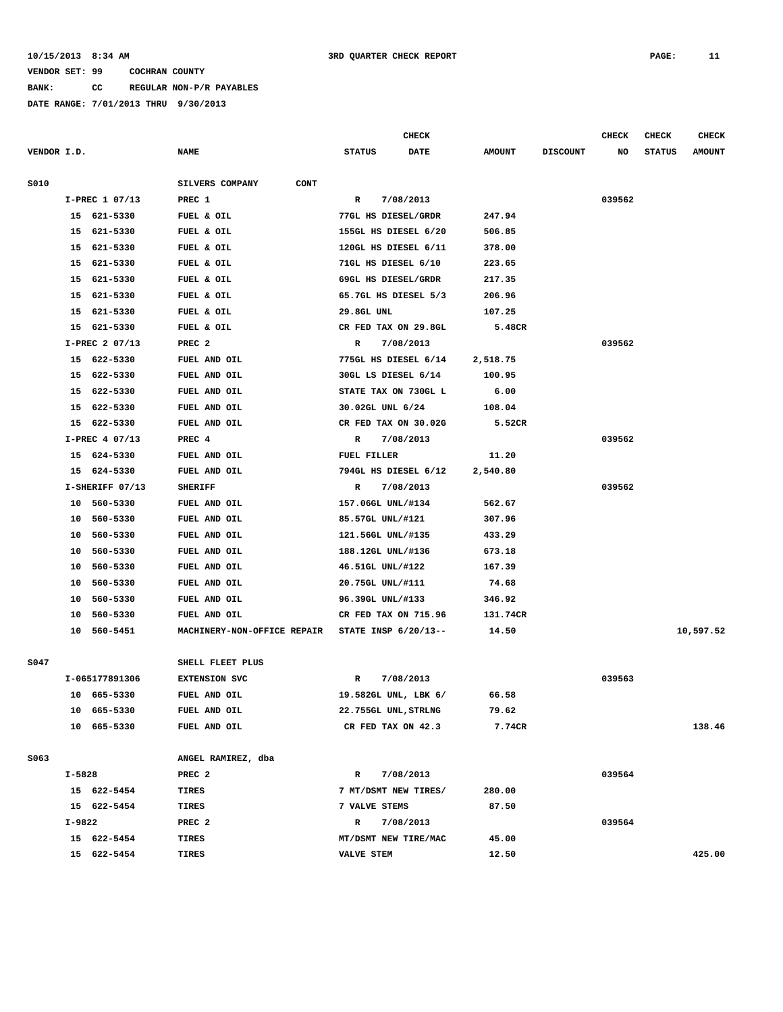**BANK: CC REGULAR NON-P/R PAYABLES**

|             |                 |                                | <b>CHECK</b>                 |               |                 | CHECK  | CHECK         | <b>CHECK</b>  |
|-------------|-----------------|--------------------------------|------------------------------|---------------|-----------------|--------|---------------|---------------|
| VENDOR I.D. |                 | <b>NAME</b>                    | <b>STATUS</b><br><b>DATE</b> | <b>AMOUNT</b> | <b>DISCOUNT</b> | NO     | <b>STATUS</b> | <b>AMOUNT</b> |
| S010        |                 | SILVERS COMPANY<br><b>CONT</b> |                              |               |                 |        |               |               |
|             | I-PREC 1 07/13  | PREC 1                         | 7/08/2013<br>R               |               |                 | 039562 |               |               |
|             | 15 621-5330     | FUEL & OIL                     | 77GL HS DIESEL/GRDR          | 247.94        |                 |        |               |               |
|             | 15 621-5330     | FUEL & OIL                     | 155GL HS DIESEL 6/20         | 506.85        |                 |        |               |               |
|             | 15 621-5330     | FUEL & OIL                     | 120GL HS DIESEL 6/11         | 378.00        |                 |        |               |               |
|             | 15 621-5330     | FUEL & OIL                     | 71GL HS DIESEL 6/10          | 223.65        |                 |        |               |               |
| 15          | 621-5330        | FUEL & OIL                     | 69GL HS DIESEL/GRDR          | 217.35        |                 |        |               |               |
|             | 15 621-5330     | FUEL & OIL                     | 65.7GL HS DIESEL 5/3         | 206.96        |                 |        |               |               |
|             | 15 621-5330     | FUEL & OIL                     | 29.8GL UNL                   | 107.25        |                 |        |               |               |
|             | 15 621-5330     | FUEL & OIL                     | CR FED TAX ON 29.8GL         | 5.48CR        |                 |        |               |               |
|             | I-PREC 2 07/13  | PREC <sub>2</sub>              | $\mathbb{R}$<br>7/08/2013    |               |                 | 039562 |               |               |
|             | 15 622-5330     | FUEL AND OIL                   | 775GL HS DIESEL 6/14         | 2,518.75      |                 |        |               |               |
|             | 15 622-5330     | FUEL AND OIL                   | 30GL LS DIESEL 6/14          | 100.95        |                 |        |               |               |
|             | 15 622-5330     | FUEL AND OIL                   | STATE TAX ON 730GL L         | 6.00          |                 |        |               |               |
|             | 15 622-5330     | FUEL AND OIL                   | 30.02GL UNL 6/24             | 108.04        |                 |        |               |               |
| 15          | 622-5330        | FUEL AND OIL                   | CR FED TAX ON 30.02G         | 5.52CR        |                 |        |               |               |
|             | I-PREC 4 07/13  | PREC 4                         | 7/08/2013<br>R               |               |                 | 039562 |               |               |
|             | 15 624-5330     | FUEL AND OIL                   | FUEL FILLER                  | 11.20         |                 |        |               |               |
|             | 15 624-5330     | FUEL AND OIL                   | 794GL HS DIESEL 6/12         | 2,540.80      |                 |        |               |               |
|             | I-SHERIFF 07/13 | <b>SHERIFF</b>                 | 7/08/2013<br>R               |               |                 | 039562 |               |               |
|             | 10 560-5330     | FUEL AND OIL                   | 157.06GL UNL/#134            | 562.67        |                 |        |               |               |
|             | 10 560-5330     | FUEL AND OIL                   | 85.57GL UNL/#121             | 307.96        |                 |        |               |               |
|             | 10 560-5330     | FUEL AND OIL                   | 121.56GL UNL/#135            | 433.29        |                 |        |               |               |
|             | 560-5330<br>10  | FUEL AND OIL                   | 188.12GL UNL/#136            | 673.18        |                 |        |               |               |
| 10          | 560-5330        | FUEL AND OIL                   | 46.51GL UNL/#122             | 167.39        |                 |        |               |               |
|             | 10<br>560-5330  | FUEL AND OIL                   | 20.75GL UNL/#111             | 74.68         |                 |        |               |               |
| 10          | 560-5330        | FUEL AND OIL                   | 96.39GL UNL/#133             | 346.92        |                 |        |               |               |
| 10          | 560-5330        | FUEL AND OIL                   | CR FED TAX ON 715.96         | 131.74CR      |                 |        |               |               |
|             | 10 560-5451     | MACHINERY-NON-OFFICE REPAIR    | STATE INSP 6/20/13--         | 14.50         |                 |        |               | 10,597.52     |
| S047        |                 | SHELL FLEET PLUS               |                              |               |                 |        |               |               |
|             | I-065177891306  | <b>EXTENSION SVC</b>           | 7/08/2013<br>R               |               |                 | 039563 |               |               |
|             | 10 665-5330     | FUEL AND OIL                   | 19.582GL UNL, LBK 6/         | 66.58         |                 |        |               |               |
|             | 10 665-5330     | FUEL AND OIL                   | 22.755GL UNL, STRLNG         | 79.62         |                 |        |               |               |
|             | 10 665-5330     | FUEL AND OIL                   | CR FED TAX ON 42.3           | 7.74CR        |                 |        |               | 138.46        |
|             |                 |                                |                              |               |                 |        |               |               |
| S063        |                 | ANGEL RAMIREZ, dba             |                              |               |                 |        |               |               |
|             | I-5828          | PREC <sub>2</sub>              | $\mathbf R$<br>7/08/2013     |               |                 | 039564 |               |               |
|             | 15 622-5454     | TIRES                          | 7 MT/DSMT NEW TIRES/         | 280.00        |                 |        |               |               |
|             | 15 622-5454     | TIRES                          | 7 VALVE STEMS                | 87.50         |                 |        |               |               |
|             | I-9822          | PREC <sub>2</sub>              | 7/08/2013<br>$\mathbb{R}$    |               |                 | 039564 |               |               |
|             | 15 622-5454     | TIRES                          | MT/DSMT NEW TIRE/MAC         | 45.00         |                 |        |               |               |
|             | 15 622-5454     | <b>TIRES</b>                   | VALVE STEM                   | 12.50         |                 |        |               | 425.00        |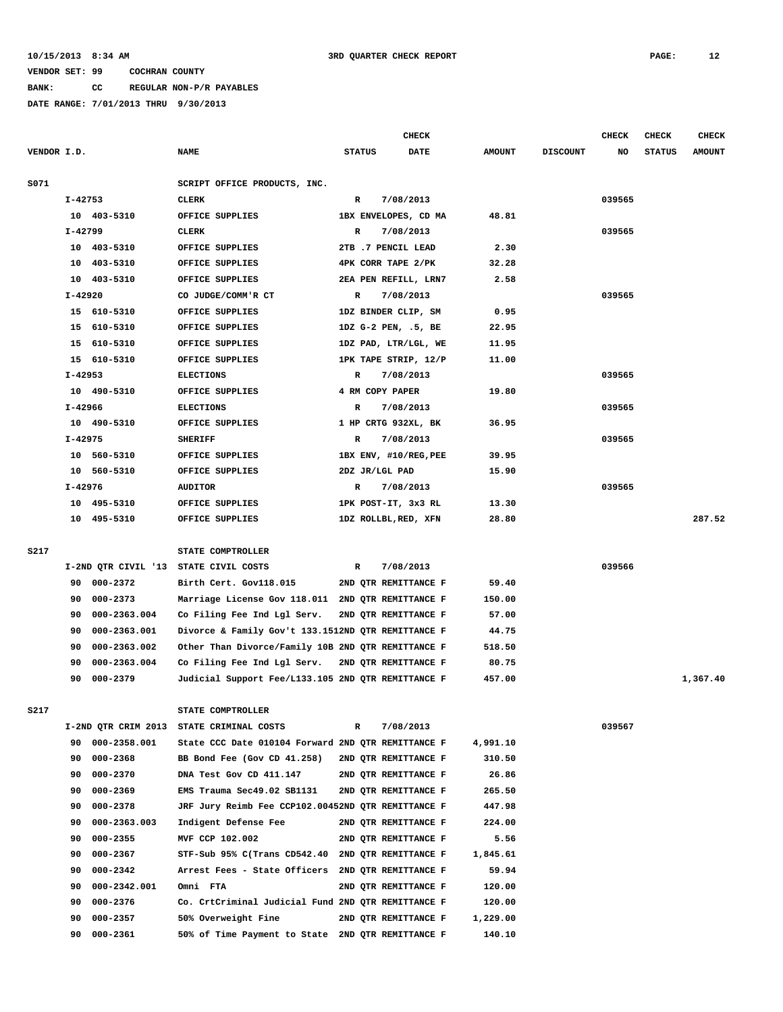**BANK: CC REGULAR NON-P/R PAYABLES**

|             |           |              |                                                    |                 | <b>CHECK</b>          |               |                 | <b>CHECK</b> | <b>CHECK</b>  | <b>CHECK</b>  |
|-------------|-----------|--------------|----------------------------------------------------|-----------------|-----------------------|---------------|-----------------|--------------|---------------|---------------|
| VENDOR I.D. |           |              | <b>NAME</b>                                        | <b>STATUS</b>   | <b>DATE</b>           | <b>AMOUNT</b> | <b>DISCOUNT</b> | NO           | <b>STATUS</b> | <b>AMOUNT</b> |
| S071        |           |              | SCRIPT OFFICE PRODUCTS, INC.                       |                 |                       |               |                 |              |               |               |
|             | I-42753   |              | <b>CLERK</b>                                       | R               | 7/08/2013             |               |                 | 039565       |               |               |
|             |           | 10 403-5310  | OFFICE SUPPLIES                                    |                 | 1BX ENVELOPES, CD MA  | 48.81         |                 |              |               |               |
|             | $I-42799$ |              | <b>CLERK</b>                                       | R               | 7/08/2013             |               |                 | 039565       |               |               |
|             |           | 10 403-5310  | OFFICE SUPPLIES                                    |                 | 2TB .7 PENCIL LEAD    | 2.30          |                 |              |               |               |
|             |           | 10 403-5310  | OFFICE SUPPLIES                                    |                 | 4PK CORR TAPE 2/PK    | 32.28         |                 |              |               |               |
|             |           | 10 403-5310  | OFFICE SUPPLIES                                    |                 | 2EA PEN REFILL, LRN7  | 2.58          |                 |              |               |               |
|             | $I-42920$ |              | CO JUDGE/COMM'R CT                                 | R               | 7/08/2013             |               |                 | 039565       |               |               |
|             |           | 15 610-5310  | OFFICE SUPPLIES                                    |                 | 1DZ BINDER CLIP, SM   | 0.95          |                 |              |               |               |
|             |           | 15 610-5310  | OFFICE SUPPLIES                                    |                 | 1DZ G-2 PEN, .5, BE   | 22.95         |                 |              |               |               |
|             |           | 15 610-5310  | OFFICE SUPPLIES                                    |                 | 1DZ PAD, LTR/LGL, WE  | 11.95         |                 |              |               |               |
|             |           | 15 610-5310  | OFFICE SUPPLIES                                    |                 | 1PK TAPE STRIP, 12/P  | 11.00         |                 |              |               |               |
|             | I-42953   |              | <b>ELECTIONS</b>                                   | R               | 7/08/2013             |               |                 | 039565       |               |               |
|             |           | 10 490-5310  | OFFICE SUPPLIES                                    | 4 RM COPY PAPER |                       | 19.80         |                 |              |               |               |
|             | I-42966   |              | <b>ELECTIONS</b>                                   | R               | 7/08/2013             |               |                 | 039565       |               |               |
|             |           | 10 490-5310  | OFFICE SUPPLIES                                    |                 | 1 HP CRTG 932XL, BK   | 36.95         |                 |              |               |               |
|             | I-42975   |              | <b>SHERIFF</b>                                     | R               | 7/08/2013             |               |                 | 039565       |               |               |
|             |           | 10 560-5310  | OFFICE SUPPLIES                                    |                 | 1BX ENV, #10/REG, PEE | 39.95         |                 |              |               |               |
|             |           | 10 560-5310  | OFFICE SUPPLIES                                    | 2DZ JR/LGL PAD  |                       | 15.90         |                 |              |               |               |
|             | I-42976   |              | <b>AUDITOR</b>                                     | R               | 7/08/2013             |               |                 | 039565       |               |               |
|             |           | 10 495-5310  | OFFICE SUPPLIES                                    |                 | 1PK POST-IT, 3x3 RL   | 13.30         |                 |              |               |               |
|             |           | 10 495-5310  | OFFICE SUPPLIES                                    |                 | 1DZ ROLLBL, RED, XFN  | 28.80         |                 |              |               | 287.52        |
|             |           |              |                                                    |                 |                       |               |                 |              |               |               |
| S217        |           |              | STATE COMPTROLLER                                  |                 |                       |               |                 |              |               |               |
|             |           |              | I-2ND QTR CIVIL '13 STATE CIVIL COSTS              | R               | 7/08/2013             |               |                 | 039566       |               |               |
|             |           | 90 000-2372  | Birth Cert. Gov118.015                             |                 | 2ND QTR REMITTANCE F  | 59.40         |                 |              |               |               |
|             | 90        | 000-2373     | Marriage License Gov 118.011 2ND QTR REMITTANCE F  |                 |                       | 150.00        |                 |              |               |               |
|             | 90        | 000-2363.004 | Co Filing Fee Ind Lgl Serv.                        |                 | 2ND QTR REMITTANCE F  | 57.00         |                 |              |               |               |
|             | 90        | 000-2363.001 | Divorce & Family Gov't 133.1512ND QTR REMITTANCE F |                 |                       | 44.75         |                 |              |               |               |
|             | 90        | 000-2363.002 | Other Than Divorce/Family 10B 2ND QTR REMITTANCE F |                 |                       | 518.50        |                 |              |               |               |
|             | 90        | 000-2363.004 | Co Filing Fee Ind Lgl Serv.                        |                 | 2ND OTR REMITTANCE F  | 80.75         |                 |              |               |               |
|             | 90        | 000-2379     | Judicial Support Fee/L133.105 2ND QTR REMITTANCE F |                 |                       | 457.00        |                 |              |               | 1,367.40      |
|             |           |              |                                                    |                 |                       |               |                 |              |               |               |
| S217        |           |              | STATE COMPTROLLER                                  |                 |                       |               |                 |              |               |               |
|             |           |              | I-2ND QTR CRIM 2013 STATE CRIMINAL COSTS           | R               | 7/08/2013             |               |                 | 039567       |               |               |
|             | 90        | 000-2358.001 | State CCC Date 010104 Forward 2ND QTR REMITTANCE F |                 |                       | 4,991.10      |                 |              |               |               |
|             | 90        | 000-2368     | BB Bond Fee (Gov CD 41.258)                        |                 | 2ND QTR REMITTANCE F  | 310.50        |                 |              |               |               |
|             | 90        | 000-2370     | DNA Test Gov CD 411.147                            |                 | 2ND QTR REMITTANCE F  | 26.86         |                 |              |               |               |
|             | 90        | 000-2369     | EMS Trauma Sec49.02 SB1131                         |                 | 2ND QTR REMITTANCE F  | 265.50        |                 |              |               |               |
|             | 90        | 000-2378     | JRF Jury Reimb Fee CCP102.00452ND QTR REMITTANCE F |                 |                       | 447.98        |                 |              |               |               |
|             | 90        | 000-2363.003 | Indigent Defense Fee                               |                 | 2ND OTR REMITTANCE F  | 224.00        |                 |              |               |               |
|             | 90        | $000 - 2355$ | MVF CCP 102.002                                    |                 | 2ND OTR REMITTANCE F  | 5.56          |                 |              |               |               |
|             | 90        | 000-2367     | STF-Sub 95% C(Trans CD542.40                       |                 | 2ND QTR REMITTANCE F  | 1,845.61      |                 |              |               |               |
|             | 90        | 000-2342     | Arrest Fees - State Officers                       |                 | 2ND QTR REMITTANCE F  | 59.94         |                 |              |               |               |
|             | 90        | 000-2342.001 | Omni FTA                                           |                 | 2ND QTR REMITTANCE F  | 120.00        |                 |              |               |               |
|             | 90        | 000-2376     | Co. CrtCriminal Judicial Fund 2ND QTR REMITTANCE F |                 |                       | 120.00        |                 |              |               |               |
|             | 90        | 000-2357     | 50% Overweight Fine                                |                 | 2ND QTR REMITTANCE F  | 1,229.00      |                 |              |               |               |
|             | 90        | 000-2361     | 50% of Time Payment to State 2ND QTR REMITTANCE F  |                 |                       | 140.10        |                 |              |               |               |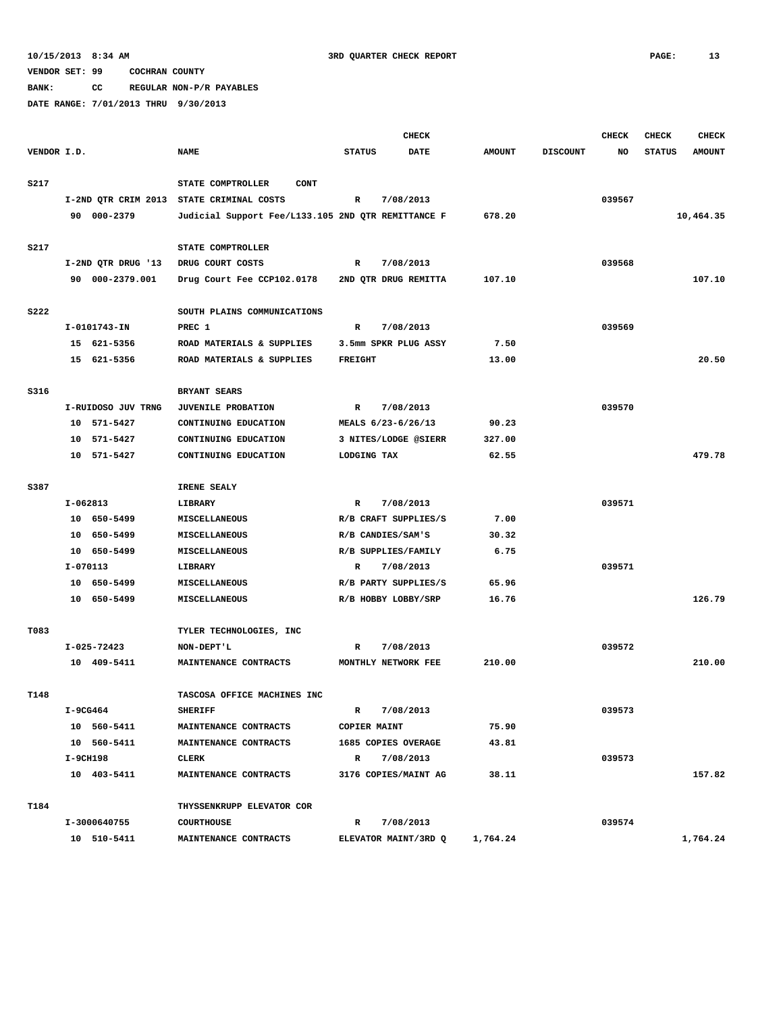**BANK: CC REGULAR NON-P/R PAYABLES**

|             |          |                    |                                                    |                | <b>CHECK</b>         |               |                 | <b>CHECK</b> | <b>CHECK</b>  | <b>CHECK</b>  |
|-------------|----------|--------------------|----------------------------------------------------|----------------|----------------------|---------------|-----------------|--------------|---------------|---------------|
| VENDOR I.D. |          |                    | <b>NAME</b>                                        | <b>STATUS</b>  | <b>DATE</b>          | <b>AMOUNT</b> | <b>DISCOUNT</b> | NO           | <b>STATUS</b> | <b>AMOUNT</b> |
|             |          |                    |                                                    |                |                      |               |                 |              |               |               |
| S217        |          |                    | STATE COMPTROLLER<br><b>CONT</b>                   |                |                      |               |                 |              |               |               |
|             |          |                    | I-2ND QTR CRIM 2013 STATE CRIMINAL COSTS           | R              | 7/08/2013            |               |                 | 039567       |               |               |
|             |          | 90 000-2379        | Judicial Support Fee/L133.105 2ND QTR REMITTANCE F |                |                      | 678.20        |                 |              |               | 10,464.35     |
|             |          |                    |                                                    |                |                      |               |                 |              |               |               |
| S217        |          |                    | STATE COMPTROLLER                                  |                |                      |               |                 |              |               |               |
|             |          | I-2ND QTR DRUG '13 | DRUG COURT COSTS                                   | R              | 7/08/2013            |               |                 | 039568       |               |               |
|             |          | 90 000-2379.001    | Drug Court Fee CCP102.0178                         |                | 2ND QTR DRUG REMITTA | 107.10        |                 |              |               | 107.10        |
| <b>S222</b> |          |                    | SOUTH PLAINS COMMUNICATIONS                        |                |                      |               |                 |              |               |               |
|             |          | I-0101743-IN       | PREC 1                                             | R              | 7/08/2013            |               |                 | 039569       |               |               |
|             |          | 15 621-5356        | ROAD MATERIALS & SUPPLIES                          |                | 3.5mm SPKR PLUG ASSY | 7.50          |                 |              |               |               |
|             |          | 15 621-5356        | ROAD MATERIALS & SUPPLIES                          | <b>FREIGHT</b> |                      | 13.00         |                 |              |               | 20.50         |
|             |          |                    |                                                    |                |                      |               |                 |              |               |               |
| S316        |          |                    | BRYANT SEARS                                       |                |                      |               |                 |              |               |               |
|             |          | I-RUIDOSO JUV TRNG | <b>JUVENILE PROBATION</b>                          | R              | 7/08/2013            |               |                 | 039570       |               |               |
|             |          | 10 571-5427        | CONTINUING EDUCATION                               |                | MEALS 6/23-6/26/13   | 90.23         |                 |              |               |               |
|             |          | 10 571-5427        | CONTINUING EDUCATION                               |                | 3 NITES/LODGE @SIERR | 327.00        |                 |              |               |               |
|             |          | 10 571-5427        | CONTINUING EDUCATION                               | LODGING TAX    |                      | 62.55         |                 |              |               | 479.78        |
|             |          |                    |                                                    |                |                      |               |                 |              |               |               |
| S387        |          |                    | IRENE SEALY                                        |                |                      |               |                 |              |               |               |
|             | I-062813 |                    | LIBRARY                                            | R              | 7/08/2013            |               |                 | 039571       |               |               |
|             |          | 10 650-5499        | MISCELLANEOUS                                      |                | R/B CRAFT SUPPLIES/S | 7.00          |                 |              |               |               |
|             |          | 10 650-5499        | MISCELLANEOUS                                      |                | R/B CANDIES/SAM'S    | 30.32         |                 |              |               |               |
|             |          | 10 650-5499        | MISCELLANEOUS                                      |                | R/B SUPPLIES/FAMILY  | 6.75          |                 |              |               |               |
|             | I-070113 |                    | LIBRARY                                            | R              | 7/08/2013            |               |                 | 039571       |               |               |
|             |          | 10 650-5499        | <b>MISCELLANEOUS</b>                               |                | R/B PARTY SUPPLIES/S | 65.96         |                 |              |               |               |
|             |          | 10 650-5499        | MISCELLANEOUS                                      |                | R/B HOBBY LOBBY/SRP  | 16.76         |                 |              |               | 126.79        |
|             |          |                    |                                                    |                |                      |               |                 |              |               |               |
| T083        |          |                    | TYLER TECHNOLOGIES, INC                            |                |                      |               |                 |              |               |               |
|             |          | I-025-72423        | NON-DEPT'L                                         | R              | 7/08/2013            |               |                 | 039572       |               |               |
|             |          | 10 409-5411        | MAINTENANCE CONTRACTS                              |                | MONTHLY NETWORK FEE  | 210.00        |                 |              |               | 210.00        |
|             |          |                    |                                                    |                |                      |               |                 |              |               |               |
| T148        |          |                    | TASCOSA OFFICE MACHINES INC                        |                |                      |               |                 |              |               |               |
|             | I-9CG464 |                    | <b>SHERIFF</b>                                     | R              | 7/08/2013            |               |                 | 039573       |               |               |
|             |          | 10 560-5411        | MAINTENANCE CONTRACTS                              | COPIER MAINT   |                      | 75.90         |                 |              |               |               |
|             |          | 10 560-5411        | MAINTENANCE CONTRACTS                              |                | 1685 COPIES OVERAGE  | 43.81         |                 |              |               |               |
|             | I-9CH198 |                    | CLERK                                              | $\mathbb{R}$   | 7/08/2013            |               |                 | 039573       |               |               |
|             |          | 10 403-5411        | MAINTENANCE CONTRACTS                              |                | 3176 COPIES/MAINT AG | 38.11         |                 |              |               | 157.82        |
| T184        |          |                    | THYSSENKRUPP ELEVATOR COR                          |                |                      |               |                 |              |               |               |
|             |          | I-3000640755       | <b>COURTHOUSE</b>                                  | R              | 7/08/2013            |               |                 | 039574       |               |               |
|             |          | 10 510-5411        | MAINTENANCE CONTRACTS                              |                | ELEVATOR MAINT/3RD Q | 1,764.24      |                 |              |               | 1,764.24      |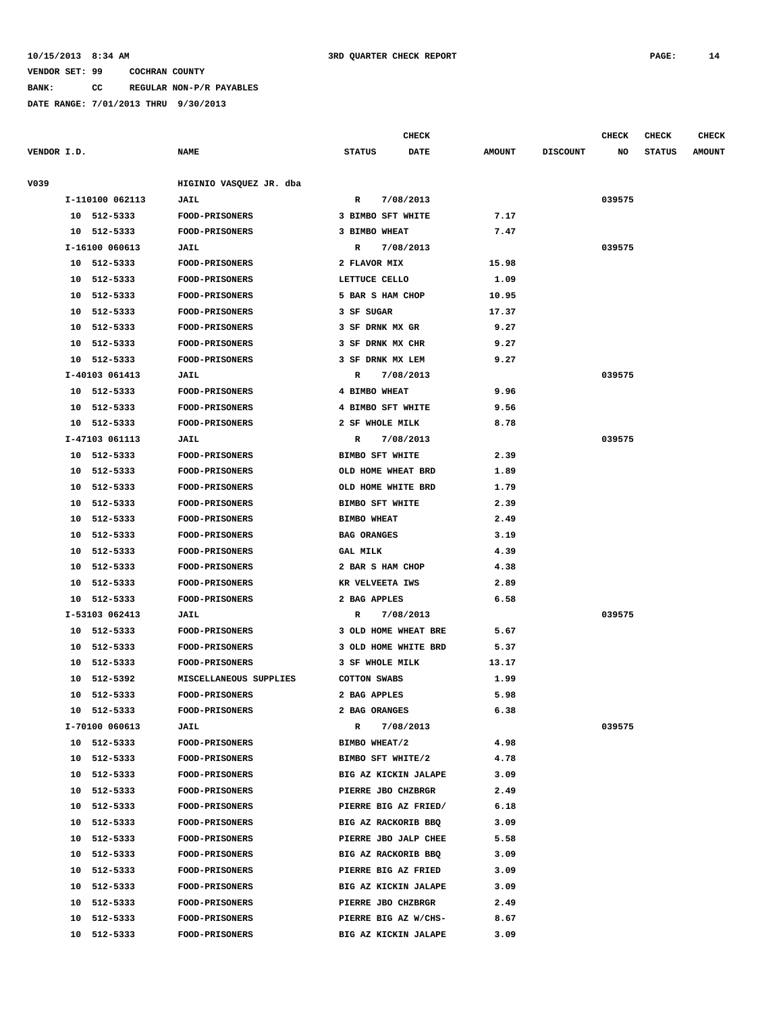**BANK: CC REGULAR NON-P/R PAYABLES**

**DATE RANGE: 7/01/2013 THRU 9/30/2013**

**CHECK CHECK CHECK CHECK** 

| VENDOR I.D. |    |                 | <b>NAME</b>             | <b>STATUS</b>          |           | DATE | <b>AMOUNT</b> | <b>DISCOUNT</b> | NO     | <b>STATUS</b> | <b>AMOUNT</b> |
|-------------|----|-----------------|-------------------------|------------------------|-----------|------|---------------|-----------------|--------|---------------|---------------|
| V039        |    |                 | HIGINIO VASQUEZ JR. dba |                        |           |      |               |                 |        |               |               |
|             |    | I-110100 062113 | <b>JAIL</b>             | R                      | 7/08/2013 |      |               |                 | 039575 |               |               |
|             |    | 10 512-5333     | <b>FOOD-PRISONERS</b>   | 3 BIMBO SFT WHITE      |           |      | 7.17          |                 |        |               |               |
|             |    | 10 512-5333     | <b>FOOD-PRISONERS</b>   | 3 BIMBO WHEAT          |           |      | 7.47          |                 |        |               |               |
|             |    | I-16100 060613  | <b>JAIL</b>             | R                      | 7/08/2013 |      |               |                 | 039575 |               |               |
|             |    | 10 512-5333     | <b>FOOD-PRISONERS</b>   | 2 FLAVOR MIX           |           |      | 15.98         |                 |        |               |               |
|             |    | 10 512-5333     | <b>FOOD-PRISONERS</b>   | LETTUCE CELLO          |           |      | 1.09          |                 |        |               |               |
|             |    | 10 512-5333     | FOOD-PRISONERS          | 5 BAR S HAM CHOP       |           |      | 10.95         |                 |        |               |               |
|             |    | 10 512-5333     | <b>FOOD-PRISONERS</b>   | 3 SF SUGAR             |           |      | 17.37         |                 |        |               |               |
|             |    | 10 512-5333     | FOOD-PRISONERS          | 3 SF DRNK MX GR        |           |      | 9.27          |                 |        |               |               |
|             |    | 10 512-5333     | FOOD-PRISONERS          | 3 SF DRNK MX CHR       |           |      | 9.27          |                 |        |               |               |
|             |    | 10 512-5333     | <b>FOOD-PRISONERS</b>   | 3 SF DRNK MX LEM       |           |      | 9.27          |                 |        |               |               |
|             |    | I-40103 061413  | <b>JAIL</b>             | $\mathbb{R}$           | 7/08/2013 |      |               |                 | 039575 |               |               |
|             |    | 10 512-5333     | <b>FOOD-PRISONERS</b>   | 4 BIMBO WHEAT          |           |      | 9.96          |                 |        |               |               |
|             |    | 10 512-5333     | <b>FOOD-PRISONERS</b>   | 4 BIMBO SFT WHITE      |           |      | 9.56          |                 |        |               |               |
|             |    | 10 512-5333     | FOOD-PRISONERS          | 2 SF WHOLE MILK        |           |      | 8.78          |                 |        |               |               |
|             |    | I-47103 061113  | <b>JAIL</b>             | R                      | 7/08/2013 |      |               |                 | 039575 |               |               |
|             |    | 10 512-5333     | <b>FOOD-PRISONERS</b>   | <b>BIMBO SFT WHITE</b> |           |      | 2.39          |                 |        |               |               |
|             |    | 10 512-5333     | FOOD-PRISONERS          | OLD HOME WHEAT BRD     |           |      | 1.89          |                 |        |               |               |
|             |    | 10 512-5333     | FOOD-PRISONERS          | OLD HOME WHITE BRD     |           |      | 1.79          |                 |        |               |               |
|             | 10 | 512-5333        | <b>FOOD-PRISONERS</b>   | <b>BIMBO SFT WHITE</b> |           |      | 2.39          |                 |        |               |               |
|             |    | 10 512-5333     | FOOD-PRISONERS          | <b>BIMBO WHEAT</b>     |           |      | 2.49          |                 |        |               |               |
|             | 10 | 512-5333        | FOOD-PRISONERS          | <b>BAG ORANGES</b>     |           |      | 3.19          |                 |        |               |               |
|             | 10 | 512-5333        | <b>FOOD-PRISONERS</b>   | GAL MILK               |           |      | 4.39          |                 |        |               |               |
|             |    | 10 512-5333     | <b>FOOD-PRISONERS</b>   | 2 BAR S HAM CHOP       |           |      | 4.38          |                 |        |               |               |
|             | 10 | 512-5333        | <b>FOOD-PRISONERS</b>   | KR VELVEETA IWS        |           |      | 2.89          |                 |        |               |               |
|             | 10 | 512-5333        | <b>FOOD-PRISONERS</b>   | 2 BAG APPLES           |           |      | 6.58          |                 |        |               |               |
|             |    | I-53103 062413  | <b>JAIL</b>             | R                      | 7/08/2013 |      |               |                 | 039575 |               |               |
|             |    | 10 512-5333     | FOOD-PRISONERS          | 3 OLD HOME WHEAT BRE   |           |      | 5.67          |                 |        |               |               |
|             |    | 10 512-5333     | <b>FOOD-PRISONERS</b>   | 3 OLD HOME WHITE BRD   |           |      | 5.37          |                 |        |               |               |
|             |    | 10 512-5333     | FOOD-PRISONERS          | 3 SF WHOLE MILK        |           |      | 13.17         |                 |        |               |               |
|             |    | 10 512-5392     | MISCELLANEOUS SUPPLIES  | <b>COTTON SWABS</b>    |           |      | 1.99          |                 |        |               |               |
|             | 10 | 512-5333        | <b>FOOD-PRISONERS</b>   | 2 BAG APPLES           |           |      | 5.98          |                 |        |               |               |
|             |    | 10 512-5333     | FOOD-PRISONERS          | 2 BAG ORANGES          |           |      | 6.38          |                 |        |               |               |
|             |    | I-70100 060613  | <b>JAIL</b>             | R                      | 7/08/2013 |      |               |                 | 039575 |               |               |
|             |    | 10 512-5333     | <b>FOOD-PRISONERS</b>   | BIMBO WHEAT/2          |           |      | 4.98          |                 |        |               |               |
|             |    | 10 512-5333     | FOOD-PRISONERS          | BIMBO SFT WHITE/2      |           |      | 4.78          |                 |        |               |               |
|             |    | 10 512-5333     | FOOD-PRISONERS          | BIG AZ KICKIN JALAPE   |           |      | 3.09          |                 |        |               |               |
|             |    | 10 512-5333     | <b>FOOD-PRISONERS</b>   | PIERRE JBO CHZBRGR     |           |      | 2.49          |                 |        |               |               |
|             |    | 10 512-5333     | <b>FOOD-PRISONERS</b>   | PIERRE BIG AZ FRIED/   |           |      | 6.18          |                 |        |               |               |
|             |    | 10 512-5333     | <b>FOOD-PRISONERS</b>   | BIG AZ RACKORIB BBQ    |           |      | 3.09          |                 |        |               |               |
|             | 10 | 512-5333        | <b>FOOD-PRISONERS</b>   | PIERRE JBO JALP CHEE   |           |      | 5.58          |                 |        |               |               |
|             | 10 | 512-5333        | <b>FOOD-PRISONERS</b>   | BIG AZ RACKORIB BBQ    |           |      | 3.09          |                 |        |               |               |
|             | 10 | 512-5333        | <b>FOOD-PRISONERS</b>   | PIERRE BIG AZ FRIED    |           |      | 3.09          |                 |        |               |               |
|             | 10 | 512-5333        | <b>FOOD-PRISONERS</b>   | BIG AZ KICKIN JALAPE   |           |      | 3.09          |                 |        |               |               |
|             | 10 | 512-5333        | <b>FOOD-PRISONERS</b>   | PIERRE JBO CHZBRGR     |           |      | 2.49          |                 |        |               |               |
|             | 10 | 512-5333        | <b>FOOD-PRISONERS</b>   | PIERRE BIG AZ W/CHS-   |           |      | 8.67          |                 |        |               |               |
|             | 10 | 512-5333        | <b>FOOD-PRISONERS</b>   | BIG AZ KICKIN JALAPE   |           |      | 3.09          |                 |        |               |               |
|             |    |                 |                         |                        |           |      |               |                 |        |               |               |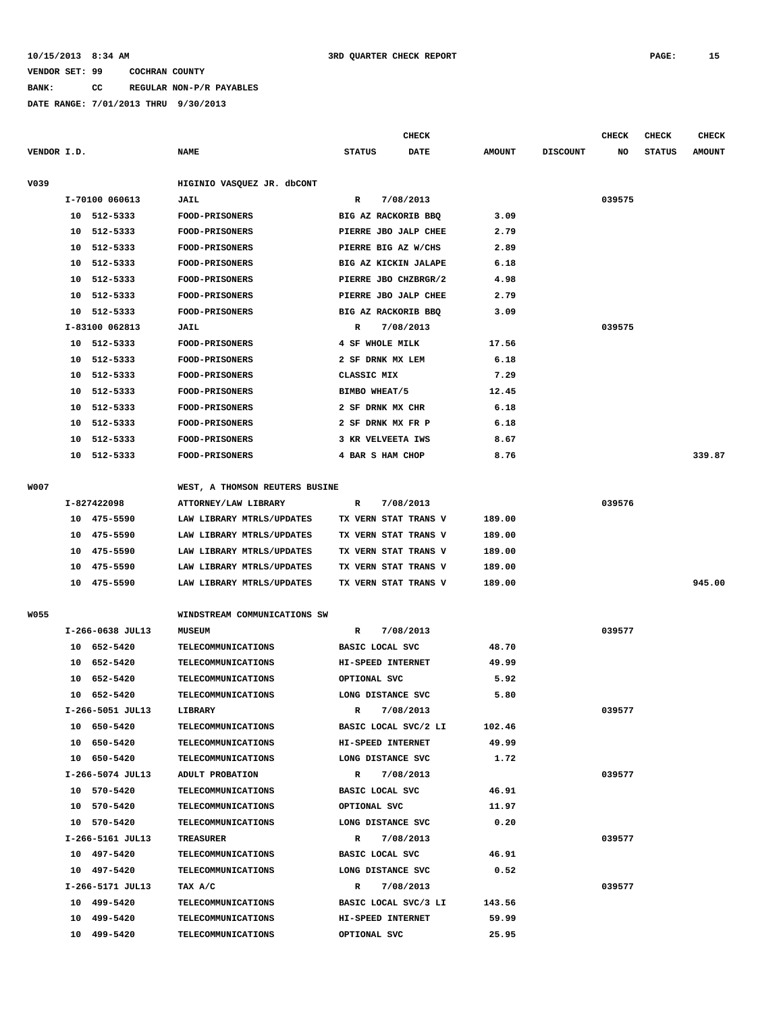## **BANK: CC REGULAR NON-P/R PAYABLES**

|             |    |                  |                                |                      | <b>CHECK</b> |               |                 | <b>CHECK</b> | <b>CHECK</b>  | <b>CHECK</b>  |
|-------------|----|------------------|--------------------------------|----------------------|--------------|---------------|-----------------|--------------|---------------|---------------|
| VENDOR I.D. |    |                  | <b>NAME</b>                    | <b>STATUS</b>        | <b>DATE</b>  | <b>AMOUNT</b> | <b>DISCOUNT</b> | NO           | <b>STATUS</b> | <b>AMOUNT</b> |
| V039        |    |                  | HIGINIO VASQUEZ JR. dbCONT     |                      |              |               |                 |              |               |               |
|             |    | I-70100 060613   | JAIL                           | R                    | 7/08/2013    |               |                 | 039575       |               |               |
|             |    | 10 512-5333      | <b>FOOD-PRISONERS</b>          | BIG AZ RACKORIB BBQ  |              | 3.09          |                 |              |               |               |
|             | 10 | 512-5333         | FOOD-PRISONERS                 | PIERRE JBO JALP CHEE |              | 2.79          |                 |              |               |               |
|             | 10 | 512-5333         | <b>FOOD-PRISONERS</b>          | PIERRE BIG AZ W/CHS  |              | 2.89          |                 |              |               |               |
|             | 10 | 512-5333         | <b>FOOD-PRISONERS</b>          | BIG AZ KICKIN JALAPE |              | 6.18          |                 |              |               |               |
|             | 10 | 512-5333         | FOOD-PRISONERS                 | PIERRE JBO CHZBRGR/2 |              | 4.98          |                 |              |               |               |
|             | 10 | 512-5333         | FOOD-PRISONERS                 | PIERRE JBO JALP CHEE |              | 2.79          |                 |              |               |               |
|             |    | 10 512-5333      | <b>FOOD-PRISONERS</b>          | BIG AZ RACKORIB BBQ  |              | 3.09          |                 |              |               |               |
|             |    | I-83100 062813   | JAIL                           | $\mathbb{R}$         | 7/08/2013    |               |                 | 039575       |               |               |
|             |    | 10 512-5333      | <b>FOOD-PRISONERS</b>          | 4 SF WHOLE MILK      |              | 17.56         |                 |              |               |               |
|             |    | 10 512-5333      | <b>FOOD-PRISONERS</b>          | 2 SF DRNK MX LEM     |              | 6.18          |                 |              |               |               |
|             | 10 | 512-5333         | <b>FOOD-PRISONERS</b>          | CLASSIC MIX          |              | 7.29          |                 |              |               |               |
|             | 10 | 512-5333         | <b>FOOD-PRISONERS</b>          | BIMBO WHEAT/5        |              | 12.45         |                 |              |               |               |
|             | 10 | 512-5333         | <b>FOOD-PRISONERS</b>          | 2 SF DRNK MX CHR     |              | 6.18          |                 |              |               |               |
|             | 10 | 512-5333         | <b>FOOD-PRISONERS</b>          | 2 SF DRNK MX FR P    |              | 6.18          |                 |              |               |               |
|             | 10 | 512-5333         | FOOD-PRISONERS                 | 3 KR VELVEETA IWS    |              | 8.67          |                 |              |               |               |
|             | 10 | 512-5333         | <b>FOOD-PRISONERS</b>          | 4 BAR S HAM CHOP     |              | 8.76          |                 |              |               | 339.87        |
|             |    |                  |                                |                      |              |               |                 |              |               |               |
| <b>W007</b> |    |                  | WEST, A THOMSON REUTERS BUSINE |                      |              |               |                 |              |               |               |
|             |    | I-827422098      | ATTORNEY/LAW LIBRARY           | R                    | 7/08/2013    |               |                 | 039576       |               |               |
|             |    | 10 475-5590      | LAW LIBRARY MTRLS/UPDATES      | TX VERN STAT TRANS V |              | 189.00        |                 |              |               |               |
|             |    | 10 475-5590      | LAW LIBRARY MTRLS/UPDATES      | TX VERN STAT TRANS V |              | 189.00        |                 |              |               |               |
|             |    | 10 475-5590      | LAW LIBRARY MTRLS/UPDATES      | TX VERN STAT TRANS V |              | 189.00        |                 |              |               |               |
|             | 10 | 475-5590         | LAW LIBRARY MTRLS/UPDATES      | TX VERN STAT TRANS V |              | 189.00        |                 |              |               |               |
|             |    | 10 475-5590      | LAW LIBRARY MTRLS/UPDATES      | TX VERN STAT TRANS V |              | 189.00        |                 |              |               | 945.00        |
| <b>W055</b> |    |                  | WINDSTREAM COMMUNICATIONS SW   |                      |              |               |                 |              |               |               |
|             |    | I-266-0638 JUL13 | <b>MUSEUM</b>                  | R                    | 7/08/2013    |               |                 | 039577       |               |               |
|             |    | 10 652-5420      | TELECOMMUNICATIONS             | BASIC LOCAL SVC      |              | 48.70         |                 |              |               |               |
|             | 10 | 652-5420         | TELECOMMUNICATIONS             | HI-SPEED INTERNET    |              | 49.99         |                 |              |               |               |
|             | 10 | 652-5420         | TELECOMMUNICATIONS             | OPTIONAL SVC         |              | 5.92          |                 |              |               |               |
|             |    | 10 652-5420      | TELECOMMUNICATIONS             | LONG DISTANCE SVC    |              | 5.80          |                 |              |               |               |
|             |    | I-266-5051 JUL13 | LIBRARY                        | R                    | 7/08/2013    |               |                 | 039577       |               |               |
|             |    | 10 650-5420      | <b>TELECOMMUNICATIONS</b>      | BASIC LOCAL SVC/2 LI |              | 102.46        |                 |              |               |               |
|             |    | 10 650-5420      | TELECOMMUNICATIONS             | HI-SPEED INTERNET    |              | 49.99         |                 |              |               |               |
|             |    | 10 650-5420      | <b>TELECOMMUNICATIONS</b>      | LONG DISTANCE SVC    |              | 1.72          |                 |              |               |               |
|             |    | I-266-5074 JUL13 | ADULT PROBATION                | R                    | 7/08/2013    |               |                 | 039577       |               |               |
|             |    | 10 570-5420      | <b>TELECOMMUNICATIONS</b>      | BASIC LOCAL SVC      |              | 46.91         |                 |              |               |               |
|             |    | 10 570-5420      | <b>TELECOMMUNICATIONS</b>      | OPTIONAL SVC         |              | 11.97         |                 |              |               |               |
|             |    | 10 570-5420      | TELECOMMUNICATIONS             | LONG DISTANCE SVC    |              | 0.20          |                 |              |               |               |
|             |    | I-266-5161 JUL13 | TREASURER                      | R                    | 7/08/2013    |               |                 | 039577       |               |               |
|             |    | 10 497-5420      | <b>TELECOMMUNICATIONS</b>      | BASIC LOCAL SVC      |              | 46.91         |                 |              |               |               |
|             |    | 10 497-5420      | TELECOMMUNICATIONS             | LONG DISTANCE SVC    |              | 0.52          |                 |              |               |               |
|             |    | I-266-5171 JUL13 | TAX A/C                        | R                    | 7/08/2013    |               |                 | 039577       |               |               |
|             |    | 10 499-5420      | <b>TELECOMMUNICATIONS</b>      | BASIC LOCAL SVC/3 LI |              | 143.56        |                 |              |               |               |
|             |    | 10 499-5420      | <b>TELECOMMUNICATIONS</b>      | HI-SPEED INTERNET    |              | 59.99         |                 |              |               |               |
|             |    | 10 499-5420      | <b>TELECOMMUNICATIONS</b>      | OPTIONAL SVC         |              | 25.95         |                 |              |               |               |
|             |    |                  |                                |                      |              |               |                 |              |               |               |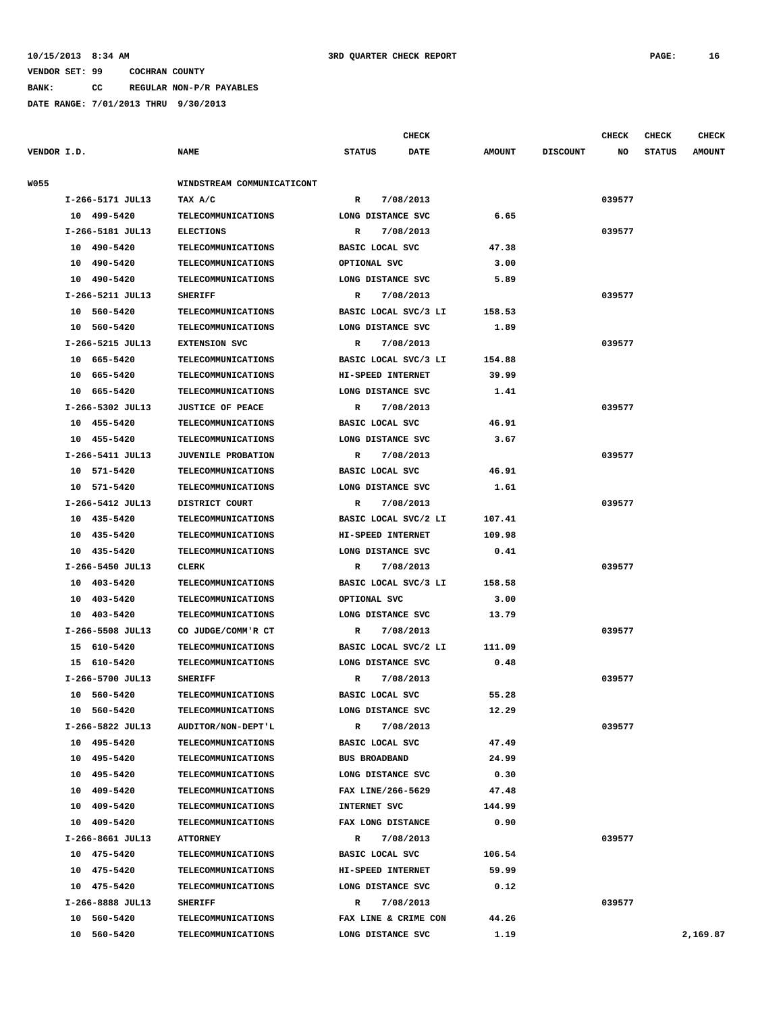**BANK: CC REGULAR NON-P/R PAYABLES**

|             |                  |                            |                      | <b>CHECK</b>         |               |                 | CHECK  | <b>CHECK</b>  | <b>CHECK</b>  |
|-------------|------------------|----------------------------|----------------------|----------------------|---------------|-----------------|--------|---------------|---------------|
| VENDOR I.D. |                  | <b>NAME</b>                | <b>STATUS</b>        | <b>DATE</b>          | <b>AMOUNT</b> | <b>DISCOUNT</b> | NO     | <b>STATUS</b> | <b>AMOUNT</b> |
| W055        |                  | WINDSTREAM COMMUNICATICONT |                      |                      |               |                 |        |               |               |
|             | I-266-5171 JUL13 | TAX A/C                    | $\mathbb{R}$         | 7/08/2013            |               |                 | 039577 |               |               |
|             | 10 499-5420      | TELECOMMUNICATIONS         | LONG DISTANCE SVC    |                      | 6.65          |                 |        |               |               |
|             | I-266-5181 JUL13 | <b>ELECTIONS</b>           | R                    | 7/08/2013            |               |                 | 039577 |               |               |
|             | 10 490-5420      | <b>TELECOMMUNICATIONS</b>  | BASIC LOCAL SVC      |                      | 47.38         |                 |        |               |               |
|             | 10 490-5420      | TELECOMMUNICATIONS         | OPTIONAL SVC         |                      | 3.00          |                 |        |               |               |
|             | 10 490-5420      | <b>TELECOMMUNICATIONS</b>  | LONG DISTANCE SVC    |                      | 5.89          |                 |        |               |               |
|             | I-266-5211 JUL13 | <b>SHERIFF</b>             | R                    | 7/08/2013            |               |                 | 039577 |               |               |
|             | 10 560-5420      | <b>TELECOMMUNICATIONS</b>  |                      | BASIC LOCAL SVC/3 LI | 158.53        |                 |        |               |               |
|             | 10 560-5420      | <b>TELECOMMUNICATIONS</b>  | LONG DISTANCE SVC    |                      | 1.89          |                 |        |               |               |
|             | I-266-5215 JUL13 | <b>EXTENSION SVC</b>       | R                    | 7/08/2013            |               |                 | 039577 |               |               |
|             | 10 665-5420      | <b>TELECOMMUNICATIONS</b>  |                      | BASIC LOCAL SVC/3 LI | 154.88        |                 |        |               |               |
|             | 10 665-5420      | <b>TELECOMMUNICATIONS</b>  | HI-SPEED INTERNET    |                      | 39.99         |                 |        |               |               |
|             | 10 665-5420      | <b>TELECOMMUNICATIONS</b>  | LONG DISTANCE SVC    |                      | 1.41          |                 |        |               |               |
|             | I-266-5302 JUL13 |                            |                      |                      |               |                 | 039577 |               |               |
|             |                  | <b>JUSTICE OF PEACE</b>    | R                    | 7/08/2013            |               |                 |        |               |               |
|             | 10 455-5420      | <b>TELECOMMUNICATIONS</b>  | BASIC LOCAL SVC      |                      | 46.91         |                 |        |               |               |
|             | 10 455-5420      | <b>TELECOMMUNICATIONS</b>  | LONG DISTANCE SVC    |                      | 3.67          |                 |        |               |               |
|             | I-266-5411 JUL13 | <b>JUVENILE PROBATION</b>  | $\mathbb{R}$         | 7/08/2013            |               |                 | 039577 |               |               |
|             | 10 571-5420      | <b>TELECOMMUNICATIONS</b>  | BASIC LOCAL SVC      |                      | 46.91         |                 |        |               |               |
|             | 10 571-5420      | <b>TELECOMMUNICATIONS</b>  | LONG DISTANCE SVC    |                      | 1.61          |                 |        |               |               |
|             | I-266-5412 JUL13 | DISTRICT COURT             | R                    | 7/08/2013            |               |                 | 039577 |               |               |
|             | 10 435-5420      | <b>TELECOMMUNICATIONS</b>  |                      | BASIC LOCAL SVC/2 LI | 107.41        |                 |        |               |               |
|             | 10 435-5420      | <b>TELECOMMUNICATIONS</b>  | HI-SPEED INTERNET    |                      | 109.98        |                 |        |               |               |
|             | 10 435-5420      | <b>TELECOMMUNICATIONS</b>  | LONG DISTANCE SVC    |                      | 0.41          |                 |        |               |               |
|             | I-266-5450 JUL13 | CLERK                      | R                    | 7/08/2013            |               |                 | 039577 |               |               |
|             | 10 403-5420      | TELECOMMUNICATIONS         |                      | BASIC LOCAL SVC/3 LI | 158.58        |                 |        |               |               |
|             | 10 403-5420      | <b>TELECOMMUNICATIONS</b>  | OPTIONAL SVC         |                      | 3.00          |                 |        |               |               |
|             | 10 403-5420      | <b>TELECOMMUNICATIONS</b>  | LONG DISTANCE SVC    |                      | 13.79         |                 |        |               |               |
|             | I-266-5508 JUL13 | CO JUDGE/COMM'R CT         | R                    | 7/08/2013            |               |                 | 039577 |               |               |
|             | 15 610-5420      | <b>TELECOMMUNICATIONS</b>  |                      | BASIC LOCAL SVC/2 LI | 111.09        |                 |        |               |               |
|             | 15 610-5420      | <b>TELECOMMUNICATIONS</b>  | LONG DISTANCE SVC    |                      | 0.48          |                 |        |               |               |
|             | I-266-5700 JUL13 | <b>SHERIFF</b>             | R                    | 7/08/2013            |               |                 | 039577 |               |               |
|             | 10 560-5420      | TELECOMMUNICATIONS         | BASIC LOCAL SVC      |                      | 55.28         |                 |        |               |               |
|             | 10 560-5420      | <b>TELECOMMUNICATIONS</b>  | LONG DISTANCE SVC    |                      | 12.29         |                 |        |               |               |
|             | I-266-5822 JUL13 | AUDITOR/NON-DEPT'L         | $\mathbb{R}$         | 7/08/2013            |               |                 | 039577 |               |               |
|             | 10 495-5420      | TELECOMMUNICATIONS         | BASIC LOCAL SVC      |                      | 47.49         |                 |        |               |               |
|             | 10 495-5420      | <b>TELECOMMUNICATIONS</b>  | <b>BUS BROADBAND</b> |                      | 24.99         |                 |        |               |               |
|             | 10 495-5420      | TELECOMMUNICATIONS         | LONG DISTANCE SVC    |                      | 0.30          |                 |        |               |               |
|             | 10 409-5420      | <b>TELECOMMUNICATIONS</b>  | FAX LINE/266-5629    |                      | 47.48         |                 |        |               |               |
|             | 10 409-5420      | <b>TELECOMMUNICATIONS</b>  | INTERNET SVC         |                      | 144.99        |                 |        |               |               |
|             | 10 409-5420      | TELECOMMUNICATIONS         | FAX LONG DISTANCE    |                      | 0.90          |                 |        |               |               |
|             | I-266-8661 JUL13 | <b>ATTORNEY</b>            | R                    | 7/08/2013            |               |                 | 039577 |               |               |
|             | 10 475-5420      | <b>TELECOMMUNICATIONS</b>  | BASIC LOCAL SVC      |                      | 106.54        |                 |        |               |               |
|             | 10 475-5420      | TELECOMMUNICATIONS         | HI-SPEED INTERNET    |                      | 59.99         |                 |        |               |               |
|             | 10 475-5420      | <b>TELECOMMUNICATIONS</b>  | LONG DISTANCE SVC    |                      | 0.12          |                 |        |               |               |
|             | I-266-8888 JUL13 | <b>SHERIFF</b>             | R                    | 7/08/2013            |               |                 | 039577 |               |               |
|             | 10 560-5420      | <b>TELECOMMUNICATIONS</b>  |                      | FAX LINE & CRIME CON | 44.26         |                 |        |               |               |
|             | 10 560-5420      | <b>TELECOMMUNICATIONS</b>  | LONG DISTANCE SVC    |                      | 1.19          |                 |        |               | 2,169.87      |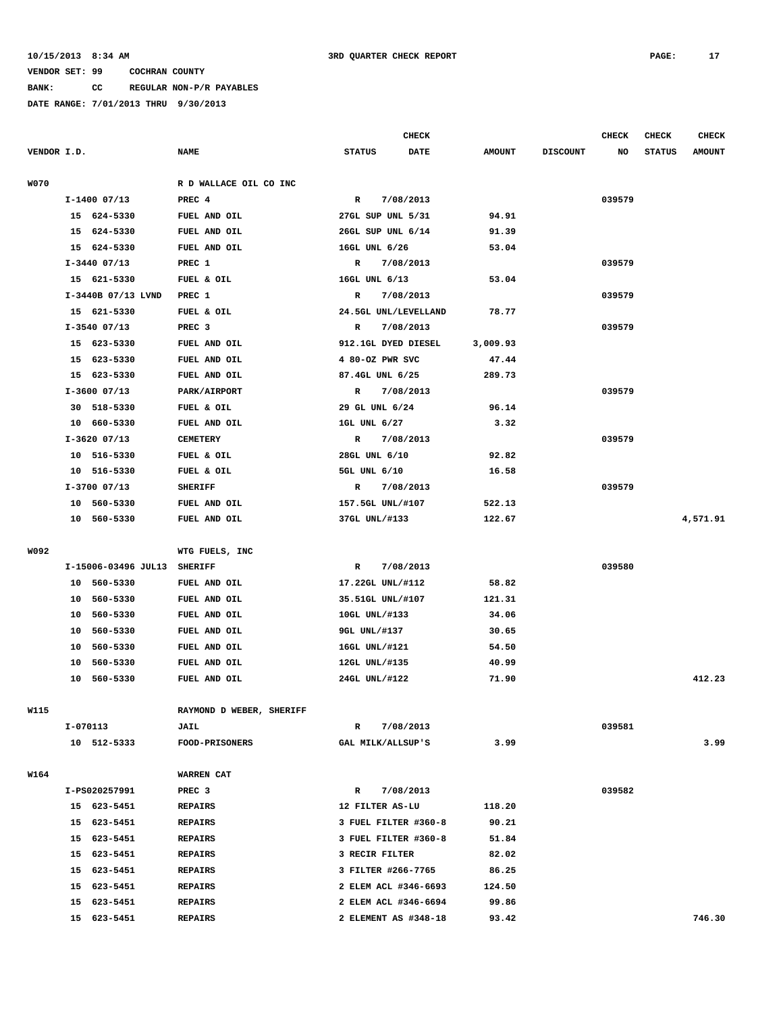**BANK: CC REGULAR NON-P/R PAYABLES**

|             |          |                         |                                  |                   | <b>CHECK</b>                                 |                 |                 | CHECK  | <b>CHECK</b>  | <b>CHECK</b>  |
|-------------|----------|-------------------------|----------------------------------|-------------------|----------------------------------------------|-----------------|-----------------|--------|---------------|---------------|
| VENDOR I.D. |          |                         | <b>NAME</b>                      | <b>STATUS</b>     | <b>DATE</b>                                  | <b>AMOUNT</b>   | <b>DISCOUNT</b> | NO     | <b>STATUS</b> | <b>AMOUNT</b> |
|             |          |                         |                                  |                   |                                              |                 |                 |        |               |               |
| <b>W070</b> |          |                         | R D WALLACE OIL CO INC           |                   |                                              |                 |                 |        |               |               |
|             |          | $I-1400$ 07/13          | PREC 4                           | $\mathbb{R}$      | 7/08/2013                                    |                 |                 | 039579 |               |               |
|             |          | 15 624-5330             | FUEL AND OIL                     | 27GL SUP UNL 5/31 |                                              | 94.91           |                 |        |               |               |
|             |          | 15 624-5330             | FUEL AND OIL                     | 26GL SUP UNL 6/14 |                                              | 91.39           |                 |        |               |               |
|             |          | 15 624-5330             | FUEL AND OIL                     | 16GL UNL 6/26     |                                              | 53.04           |                 |        |               |               |
|             |          | $I-3440$ 07/13          | PREC 1                           | R                 | 7/08/2013                                    |                 |                 | 039579 |               |               |
|             |          | 15 621-5330             | FUEL & OIL                       | 16GL UNL 6/13     |                                              | 53.04           |                 |        |               |               |
|             |          | I-3440B 07/13 LVND      | PREC 1                           | R                 | 7/08/2013                                    |                 |                 | 039579 |               |               |
|             |          | 15 621-5330             | FUEL & OIL                       |                   | 24.5GL UNL/LEVELLAND                         | 78.77           |                 |        |               |               |
|             |          | $I-3540$ 07/13          | PREC <sub>3</sub>                | R                 | 7/08/2013                                    |                 |                 | 039579 |               |               |
|             |          | 15 623-5330             | FUEL AND OIL                     |                   | 912.1GL DYED DIESEL                          | 3,009.93        |                 |        |               |               |
|             |          | 15 623-5330             | FUEL AND OIL                     | 4 80-OZ PWR SVC   |                                              | 47.44           |                 |        |               |               |
|             |          | 15 623-5330             | FUEL AND OIL                     | 87.4GL UNL 6/25   |                                              | 289.73          |                 |        |               |               |
|             |          | $I-3600$ 07/13          | PARK/AIRPORT                     |                   | R 7/08/2013                                  |                 |                 | 039579 |               |               |
|             |          | 30 518-5330             | FUEL & OIL                       | 29 GL UNL 6/24    |                                              | 96.14           |                 |        |               |               |
|             |          | 10 660-5330             | FUEL AND OIL                     | 1GL UNL 6/27      |                                              | 3.32            |                 |        |               |               |
|             |          | $I-3620$ 07/13          | <b>CEMETERY</b>                  | $\mathbb{R}$      | 7/08/2013                                    |                 |                 | 039579 |               |               |
|             |          | 10 516-5330             | FUEL & OIL                       | 28GL UNL 6/10     |                                              | 92.82           |                 |        |               |               |
|             |          | 10 516-5330             | FUEL & OIL                       | 5GL UNL 6/10      |                                              | 16.58           |                 |        |               |               |
|             |          | $I-3700$ 07/13          | <b>SHERIFF</b>                   | $\mathbb{R}$      | 7/08/2013                                    |                 |                 | 039579 |               |               |
|             |          | 10 560-5330             | FUEL AND OIL                     | 157.5GL UNL/#107  |                                              | 522.13          |                 |        |               |               |
|             |          | 10 560-5330             | FUEL AND OIL                     | 37GL UNL/#133     |                                              | 122.67          |                 |        |               | 4,571.91      |
|             |          |                         |                                  |                   |                                              |                 |                 |        |               |               |
| W092        |          |                         | WTG FUELS, INC                   |                   |                                              |                 |                 |        |               |               |
|             |          | I-15006-03496 JUL13     | <b>SHERIFF</b>                   | R                 | 7/08/2013                                    |                 |                 | 039580 |               |               |
|             |          | 10 560-5330             | FUEL AND OIL                     | 17.22GL UNL/#112  |                                              | 58.82           |                 |        |               |               |
|             | 10       | 560-5330                | FUEL AND OIL                     | 35.51GL UNL/#107  |                                              | 121.31          |                 |        |               |               |
|             | 10       | 560-5330                | FUEL AND OIL                     | 10GL UNL/#133     |                                              | 34.06           |                 |        |               |               |
|             | 10       | 560-5330                | FUEL AND OIL                     | 9GL UNL/#137      |                                              | 30.65           |                 |        |               |               |
|             | 10       | 560-5330                | FUEL AND OIL                     | 16GL UNL/#121     |                                              | 54.50           |                 |        |               |               |
|             | 10       | 560-5330                | FUEL AND OIL                     | 12GL UNL/#135     |                                              | 40.99           |                 |        |               |               |
|             |          | 10 560-5330             | FUEL AND OIL                     | 24GL UNL/#122     |                                              | 71.90           |                 |        |               | 412.23        |
|             |          |                         |                                  |                   |                                              |                 |                 |        |               |               |
| W115        |          |                         | RAYMOND D WEBER, SHERIFF         |                   |                                              |                 |                 |        |               |               |
|             | I-070113 |                         | JAIL                             | R                 | 7/08/2013                                    |                 |                 | 039581 |               |               |
|             |          | 10 512-5333             | FOOD-PRISONERS                   | GAL MILK/ALLSUP'S |                                              | 3.99            |                 |        |               | 3.99          |
|             |          |                         |                                  |                   |                                              |                 |                 |        |               |               |
| W164        |          |                         | WARREN CAT                       |                   |                                              |                 |                 |        |               |               |
|             |          | I-PS020257991           | PREC 3                           | R                 | 7/08/2013                                    |                 |                 | 039582 |               |               |
|             |          | 15 623-5451             | <b>REPAIRS</b>                   | 12 FILTER AS-LU   |                                              | 118.20          |                 |        |               |               |
|             |          | 15 623-5451             | <b>REPAIRS</b>                   |                   | 3 FUEL FILTER #360-8                         | 90.21           |                 |        |               |               |
|             |          | 15 623-5451             | <b>REPAIRS</b>                   |                   | 3 FUEL FILTER #360-8                         | 51.84           |                 |        |               |               |
|             |          | 15 623-5451             | <b>REPAIRS</b>                   | 3 RECIR FILTER    |                                              | 82.02           |                 |        |               |               |
|             |          | 15 623-5451             | <b>REPAIRS</b>                   |                   | 3 FILTER #266-7765                           | 86.25           |                 |        |               |               |
|             | 15       | 15 623-5451<br>623-5451 | <b>REPAIRS</b><br><b>REPAIRS</b> |                   | 2 ELEM ACL #346-6693<br>2 ELEM ACL #346-6694 | 124.50<br>99.86 |                 |        |               |               |
|             |          |                         |                                  |                   | 2 ELEMENT AS #348-18                         | 93.42           |                 |        |               | 746.30        |
|             |          | 15 623-5451             | <b>REPAIRS</b>                   |                   |                                              |                 |                 |        |               |               |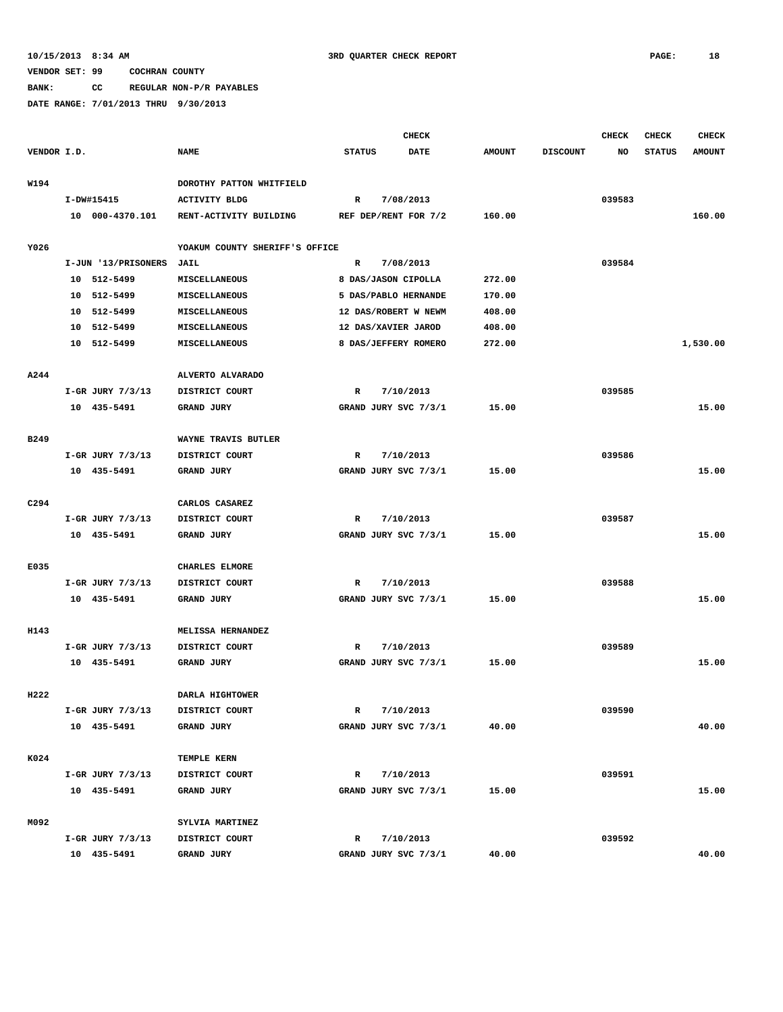**BANK: CC REGULAR NON-P/R PAYABLES**

|                  |                                     |                                     |                           | <b>CHECK</b> |               |                 | <b>CHECK</b> | <b>CHECK</b>  | <b>CHECK</b>  |
|------------------|-------------------------------------|-------------------------------------|---------------------------|--------------|---------------|-----------------|--------------|---------------|---------------|
| VENDOR I.D.      |                                     | <b>NAME</b>                         | <b>STATUS</b>             | <b>DATE</b>  | <b>AMOUNT</b> | <b>DISCOUNT</b> | NO           | <b>STATUS</b> | <b>AMOUNT</b> |
|                  |                                     |                                     |                           |              |               |                 |              |               |               |
| W194             |                                     | DOROTHY PATTON WHITFIELD            |                           |              |               |                 |              |               |               |
|                  | I-DW#15415<br>10 000-4370.101       | <b>ACTIVITY BLDG</b>                | $\mathbb{R}$              | 7/08/2013    | 160.00        |                 | 039583       |               | 160.00        |
|                  |                                     | RENT-ACTIVITY BUILDING              | REF DEP/RENT FOR 7/2      |              |               |                 |              |               |               |
| Y026             |                                     | YOAKUM COUNTY SHERIFF'S OFFICE      |                           |              |               |                 |              |               |               |
|                  | I-JUN '13/PRISONERS                 | JAIL                                | R                         | 7/08/2013    |               |                 | 039584       |               |               |
|                  | 10 512-5499                         | <b>MISCELLANEOUS</b>                | 8 DAS/JASON CIPOLLA       |              | 272.00        |                 |              |               |               |
|                  | 512-5499<br>10                      | MISCELLANEOUS                       | 5 DAS/PABLO HERNANDE      |              | 170.00        |                 |              |               |               |
|                  | 512-5499<br>10                      | <b>MISCELLANEOUS</b>                | 12 DAS/ROBERT W NEWM      |              | 408.00        |                 |              |               |               |
|                  | 10 512-5499                         | MISCELLANEOUS                       | 12 DAS/XAVIER JAROD       |              | 408.00        |                 |              |               |               |
|                  | 10 512-5499                         | MISCELLANEOUS                       | 8 DAS/JEFFERY ROMERO      |              | 272.00        |                 |              |               | 1,530.00      |
|                  |                                     |                                     |                           |              |               |                 |              |               |               |
| A244             |                                     | ALVERTO ALVARADO                    |                           |              |               |                 |              |               |               |
|                  | I-GR JURY 7/3/13                    | DISTRICT COURT                      | R                         | 7/10/2013    |               |                 | 039585       |               |               |
|                  | 10 435-5491                         | <b>GRAND JURY</b>                   | GRAND JURY SVC 7/3/1      |              | 15.00         |                 |              |               | 15.00         |
|                  |                                     |                                     |                           |              |               |                 |              |               |               |
| B249             |                                     | WAYNE TRAVIS BUTLER                 |                           |              |               |                 |              |               |               |
|                  | I-GR JURY $7/3/13$                  | DISTRICT COURT                      | R                         | 7/10/2013    |               |                 | 039586       |               |               |
|                  | 10 435-5491                         | <b>GRAND JURY</b>                   | GRAND JURY SVC 7/3/1      |              | 15.00         |                 |              |               | 15.00         |
| C <sub>294</sub> |                                     |                                     |                           |              |               |                 |              |               |               |
|                  |                                     | CARLOS CASAREZ<br>DISTRICT COURT    | R                         |              |               |                 | 039587       |               |               |
|                  | I-GR JURY 7/3/13<br>10 435-5491     | GRAND JURY                          | GRAND JURY SVC 7/3/1      | 7/10/2013    | 15.00         |                 |              |               | 15.00         |
|                  |                                     |                                     |                           |              |               |                 |              |               |               |
| E035             |                                     | CHARLES ELMORE                      |                           |              |               |                 |              |               |               |
|                  | I-GR JURY 7/3/13                    | DISTRICT COURT                      | R                         | 7/10/2013    |               |                 | 039588       |               |               |
|                  | 10 435-5491                         | <b>GRAND JURY</b>                   | GRAND JURY SVC 7/3/1      |              | 15.00         |                 |              |               | 15.00         |
|                  |                                     |                                     |                           |              |               |                 |              |               |               |
| H143             |                                     | MELISSA HERNANDEZ                   |                           |              |               |                 |              |               |               |
|                  | I-GR JURY 7/3/13                    | DISTRICT COURT                      | R                         | 7/10/2013    |               |                 | 039589       |               |               |
|                  | 10 435-5491                         | GRAND JURY                          | GRAND JURY SVC 7/3/1      |              | 15.00         |                 |              |               | 15.00         |
|                  |                                     |                                     |                           |              |               |                 |              |               |               |
| H222             |                                     | DARLA HIGHTOWER                     |                           |              |               |                 |              |               |               |
|                  | I-GR JURY 7/3/13                    | DISTRICT COURT                      | R                         | 7/10/2013    |               |                 | 039590       |               |               |
|                  | 10 435-5491                         | <b>GRAND JURY</b>                   | GRAND JURY SVC 7/3/1      |              | 40.00         |                 |              |               | 40.00         |
|                  |                                     |                                     |                           |              |               |                 |              |               |               |
| K024             |                                     | TEMPLE KERN                         |                           |              |               |                 |              |               |               |
|                  | $I-GR$ JURY $7/3/13$<br>10 435-5491 | DISTRICT COURT<br><b>GRAND JURY</b> | R<br>GRAND JURY SVC 7/3/1 | 7/10/2013    | 15.00         |                 | 039591       |               | 15.00         |
|                  |                                     |                                     |                           |              |               |                 |              |               |               |
| M092             |                                     | SYLVIA MARTINEZ                     |                           |              |               |                 |              |               |               |
|                  | I-GR JURY 7/3/13                    | DISTRICT COURT                      | R                         | 7/10/2013    |               |                 | 039592       |               |               |
|                  | 10 435-5491                         | GRAND JURY                          | GRAND JURY SVC 7/3/1      |              | 40.00         |                 |              |               | 40.00         |
|                  |                                     |                                     |                           |              |               |                 |              |               |               |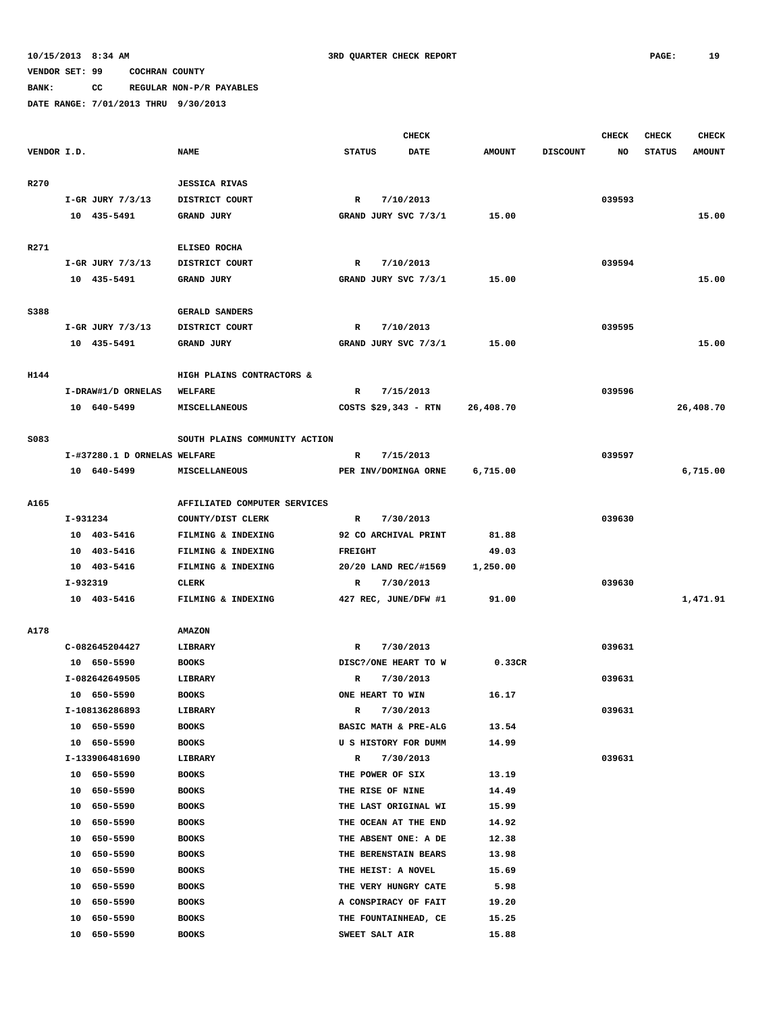# **BANK: CC REGULAR NON-P/R PAYABLES**

|             |          |                              |                               |                |                  | <b>CHECK</b>         |               |                 | <b>CHECK</b> | <b>CHECK</b>  | <b>CHECK</b>  |
|-------------|----------|------------------------------|-------------------------------|----------------|------------------|----------------------|---------------|-----------------|--------------|---------------|---------------|
| VENDOR I.D. |          |                              | <b>NAME</b>                   | <b>STATUS</b>  |                  | <b>DATE</b>          | <b>AMOUNT</b> | <b>DISCOUNT</b> | NO           | <b>STATUS</b> | <b>AMOUNT</b> |
|             |          |                              |                               |                |                  |                      |               |                 |              |               |               |
| R270        |          |                              | <b>JESSICA RIVAS</b>          |                |                  |                      |               |                 |              |               |               |
|             |          | I-GR JURY 7/3/13             | DISTRICT COURT                | R              |                  | 7/10/2013            |               |                 | 039593       |               |               |
|             |          | 10 435-5491                  | <b>GRAND JURY</b>             |                |                  | GRAND JURY SVC 7/3/1 | 15.00         |                 |              |               | 15.00         |
|             |          |                              |                               |                |                  |                      |               |                 |              |               |               |
| R271        |          |                              | ELISEO ROCHA                  |                |                  |                      |               |                 |              |               |               |
|             |          | I-GR JURY 7/3/13             | DISTRICT COURT                | R              |                  | 7/10/2013            |               |                 | 039594       |               |               |
|             |          | 10 435-5491                  | <b>GRAND JURY</b>             |                |                  | GRAND JURY SVC 7/3/1 | 15.00         |                 |              |               | 15.00         |
|             |          |                              |                               |                |                  |                      |               |                 |              |               |               |
| S388        |          |                              | GERALD SANDERS                |                |                  |                      |               |                 |              |               |               |
|             |          | I-GR JURY 7/3/13             | DISTRICT COURT                | R              |                  | 7/10/2013            |               |                 | 039595       |               |               |
|             |          | 10 435-5491                  | GRAND JURY                    |                |                  | GRAND JURY SVC 7/3/1 | 15.00         |                 |              |               | 15.00         |
|             |          |                              |                               |                |                  |                      |               |                 |              |               |               |
| H144        |          |                              | HIGH PLAINS CONTRACTORS &     |                |                  |                      |               |                 |              |               |               |
|             |          | I-DRAW#1/D ORNELAS           | <b>WELFARE</b>                | R              |                  | 7/15/2013            |               |                 | 039596       |               |               |
|             |          | 10 640-5499                  | <b>MISCELLANEOUS</b>          |                |                  | COSTS \$29,343 - RTN | 26,408.70     |                 |              |               | 26,408.70     |
|             |          |                              |                               |                |                  |                      |               |                 |              |               |               |
| S083        |          |                              | SOUTH PLAINS COMMUNITY ACTION |                |                  |                      |               |                 |              |               |               |
|             |          | I-#37280.1 D ORNELAS WELFARE |                               | R              |                  | 7/15/2013            |               |                 | 039597       |               |               |
|             |          | 10 640-5499                  | <b>MISCELLANEOUS</b>          |                |                  | PER INV/DOMINGA ORNE | 6,715.00      |                 |              |               | 6,715.00      |
|             |          |                              |                               |                |                  |                      |               |                 |              |               |               |
| <b>A165</b> |          |                              | AFFILIATED COMPUTER SERVICES  |                |                  |                      |               |                 |              |               |               |
|             | I-931234 |                              | COUNTY/DIST CLERK             | R              |                  | 7/30/2013            |               |                 | 039630       |               |               |
|             |          | 10 403-5416                  | FILMING & INDEXING            |                |                  | 92 CO ARCHIVAL PRINT | 81.88         |                 |              |               |               |
|             |          | 10 403-5416                  | FILMING & INDEXING            | <b>FREIGHT</b> |                  |                      | 49.03         |                 |              |               |               |
|             |          | 10 403-5416                  | FILMING & INDEXING            |                |                  | 20/20 LAND REC/#1569 | 1,250.00      |                 |              |               |               |
|             | I-932319 |                              | CLERK                         | R              |                  | 7/30/2013            |               |                 | 039630       |               |               |
|             |          | 10 403-5416                  | FILMING & INDEXING            |                |                  | 427 REC, JUNE/DFW #1 | 91.00         |                 |              |               | 1,471.91      |
|             |          |                              |                               |                |                  |                      |               |                 |              |               |               |
| A178        |          |                              | <b>AMAZON</b>                 |                |                  |                      |               |                 |              |               |               |
|             |          | C-082645204427               | LIBRARY                       | R              |                  | 7/30/2013            |               |                 | 039631       |               |               |
|             |          | 10 650-5590                  | <b>BOOKS</b>                  |                |                  | DISC?/ONE HEART TO W | 0.33CR        |                 |              |               |               |
|             |          | I-082642649505               | LIBRARY                       | R              |                  | 7/30/2013            |               |                 | 039631       |               |               |
|             |          | 10 650-5590                  | <b>BOOKS</b>                  |                | ONE HEART TO WIN |                      | 16.17         |                 |              |               |               |
|             |          | I-108136286893               | LIBRARY                       | R              |                  | 7/30/2013            |               |                 | 039631       |               |               |
|             |          | 10 650-5590                  | <b>BOOKS</b>                  |                |                  | BASIC MATH & PRE-ALG | 13.54         |                 |              |               |               |
|             |          | 10 650-5590                  | <b>BOOKS</b>                  |                |                  | U S HISTORY FOR DUMM | 14.99         |                 |              |               |               |
|             |          | I-133906481690               | LIBRARY                       | R              |                  | 7/30/2013            |               |                 | 039631       |               |               |
|             |          | 10 650-5590                  | <b>BOOKS</b>                  |                | THE POWER OF SIX |                      | 13.19         |                 |              |               |               |
|             | 10       | 650-5590                     | <b>BOOKS</b>                  |                | THE RISE OF NINE |                      | 14.49         |                 |              |               |               |
|             |          | 10 650-5590                  | <b>BOOKS</b>                  |                |                  | THE LAST ORIGINAL WI | 15.99         |                 |              |               |               |
|             | 10       | 650-5590                     | <b>BOOKS</b>                  |                |                  | THE OCEAN AT THE END | 14.92         |                 |              |               |               |
|             | 10       | 650-5590                     | <b>BOOKS</b>                  |                |                  | THE ABSENT ONE: A DE | 12.38         |                 |              |               |               |
|             | 10       | 650-5590                     | <b>BOOKS</b>                  |                |                  | THE BERENSTAIN BEARS | 13.98         |                 |              |               |               |
|             | 10       | 650-5590                     | <b>BOOKS</b>                  |                |                  | THE HEIST: A NOVEL   | 15.69         |                 |              |               |               |
|             | 10       | 650-5590                     | <b>BOOKS</b>                  |                |                  | THE VERY HUNGRY CATE | 5.98          |                 |              |               |               |
|             | 10       | 650-5590                     | <b>BOOKS</b>                  |                |                  | A CONSPIRACY OF FAIT | 19.20         |                 |              |               |               |
|             | 10       | 650-5590                     | <b>BOOKS</b>                  |                |                  | THE FOUNTAINHEAD, CE | 15.25         |                 |              |               |               |
|             | 10       | 650-5590                     | <b>BOOKS</b>                  |                | SWEET SALT AIR   |                      | 15.88         |                 |              |               |               |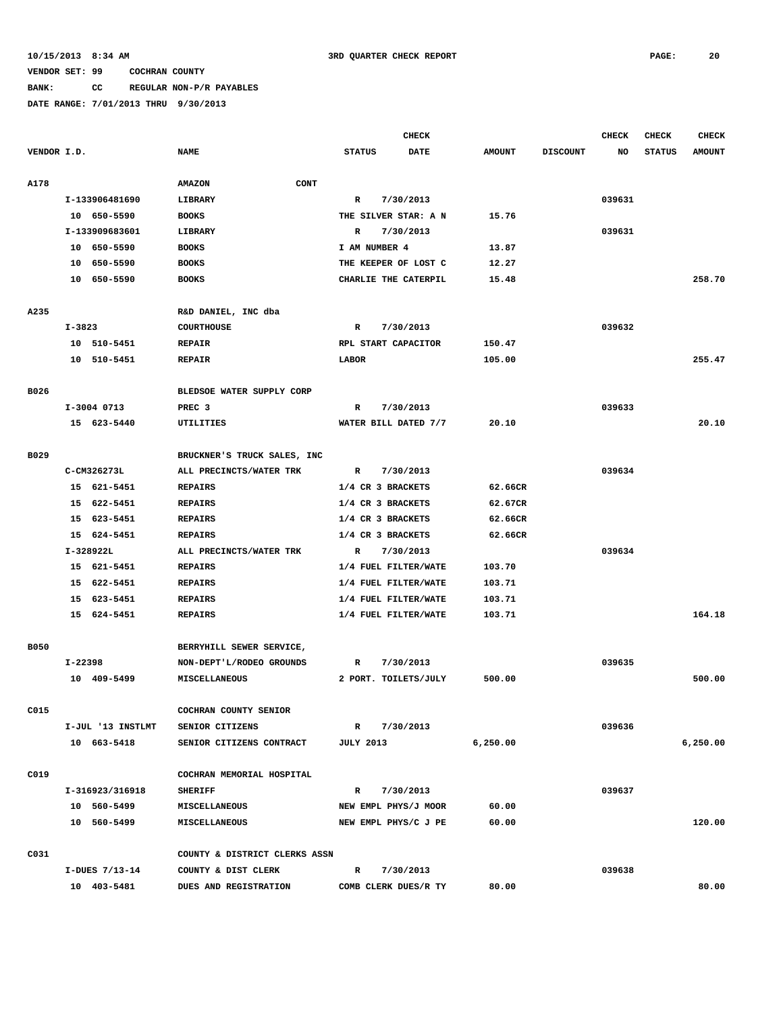### **BANK: CC REGULAR NON-P/R PAYABLES**

|             |         |                   |                               |                     | CHECK                |               |                 | <b>CHECK</b> | <b>CHECK</b>  | <b>CHECK</b>  |
|-------------|---------|-------------------|-------------------------------|---------------------|----------------------|---------------|-----------------|--------------|---------------|---------------|
| VENDOR I.D. |         |                   | <b>NAME</b>                   | <b>STATUS</b>       | <b>DATE</b>          | <b>AMOUNT</b> | <b>DISCOUNT</b> | NO           | <b>STATUS</b> | <b>AMOUNT</b> |
| A178        |         |                   | CONT<br><b>AMAZON</b>         |                     |                      |               |                 |              |               |               |
|             |         | I-133906481690    | <b>LIBRARY</b>                | R                   | 7/30/2013            |               |                 | 039631       |               |               |
|             |         | 10 650-5590       | <b>BOOKS</b>                  |                     | THE SILVER STAR: A N | 15.76         |                 |              |               |               |
|             |         | I-133909683601    | LIBRARY                       | R                   | 7/30/2013            |               |                 | 039631       |               |               |
|             |         | 10 650-5590       | <b>BOOKS</b>                  | I AM NUMBER 4       |                      | 13.87         |                 |              |               |               |
|             |         | 10 650-5590       | <b>BOOKS</b>                  |                     | THE KEEPER OF LOST C | 12.27         |                 |              |               |               |
|             |         | 10 650-5590       | <b>BOOKS</b>                  |                     | CHARLIE THE CATERPIL | 15.48         |                 |              |               | 258.70        |
| A235        |         |                   | R&D DANIEL, INC dba           |                     |                      |               |                 |              |               |               |
|             | I-3823  |                   | <b>COURTHOUSE</b>             | R                   | 7/30/2013            |               |                 | 039632       |               |               |
|             |         | 10 510-5451       | <b>REPAIR</b>                 | RPL START CAPACITOR |                      | 150.47        |                 |              |               |               |
|             |         | 10 510-5451       | <b>REPAIR</b>                 | LABOR               |                      | 105.00        |                 |              |               | 255.47        |
| B026        |         |                   | BLEDSOE WATER SUPPLY CORP     |                     |                      |               |                 |              |               |               |
|             |         | I-3004 0713       | PREC <sub>3</sub>             | R                   | 7/30/2013            |               |                 | 039633       |               |               |
|             |         | 15 623-5440       | UTILITIES                     |                     | WATER BILL DATED 7/7 | 20.10         |                 |              |               | 20.10         |
| B029        |         |                   | BRUCKNER'S TRUCK SALES, INC   |                     |                      |               |                 |              |               |               |
|             |         | C-CM326273L       | ALL PRECINCTS/WATER TRK       | R                   | 7/30/2013            |               |                 | 039634       |               |               |
|             |         | 15 621-5451       | <b>REPAIRS</b>                | 1/4 CR 3 BRACKETS   |                      | 62.66CR       |                 |              |               |               |
|             |         | 15 622-5451       | <b>REPAIRS</b>                | 1/4 CR 3 BRACKETS   |                      | 62.67CR       |                 |              |               |               |
|             |         | 15 623-5451       | <b>REPAIRS</b>                | 1/4 CR 3 BRACKETS   |                      | 62.66CR       |                 |              |               |               |
|             |         | 15 624-5451       | <b>REPAIRS</b>                | 1/4 CR 3 BRACKETS   |                      | 62.66CR       |                 |              |               |               |
|             |         | I-328922L         | ALL PRECINCTS/WATER TRK       | $\mathbb{R}$        | 7/30/2013            |               |                 | 039634       |               |               |
|             |         | 15 621-5451       | <b>REPAIRS</b>                |                     | 1/4 FUEL FILTER/WATE | 103.70        |                 |              |               |               |
|             |         | 15 622-5451       | <b>REPAIRS</b>                |                     | 1/4 FUEL FILTER/WATE | 103.71        |                 |              |               |               |
|             |         | 15 623-5451       | <b>REPAIRS</b>                |                     | 1/4 FUEL FILTER/WATE | 103.71        |                 |              |               |               |
|             |         | 15 624-5451       | <b>REPAIRS</b>                |                     | 1/4 FUEL FILTER/WATE | 103.71        |                 |              |               | 164.18        |
| <b>B050</b> |         |                   | BERRYHILL SEWER SERVICE,      |                     |                      |               |                 |              |               |               |
|             | I-22398 |                   | NON-DEPT'L/RODEO GROUNDS      | R                   | 7/30/2013            |               |                 | 039635       |               |               |
|             |         | 10 409-5499       | <b>MISCELLANEOUS</b>          |                     | 2 PORT. TOILETS/JULY | 500.00        |                 |              |               | 500.00        |
| C015        |         |                   | COCHRAN COUNTY SENIOR         |                     |                      |               |                 |              |               |               |
|             |         | I-JUL '13 INSTLMT | <b>SENIOR CITIZENS</b>        | R                   | 7/30/2013            |               |                 | 039636       |               |               |
|             |         | 10 663-5418       | SENIOR CITIZENS CONTRACT      | <b>JULY 2013</b>    |                      | 6, 250.00     |                 |              |               | 6,250.00      |
| C019        |         |                   | COCHRAN MEMORIAL HOSPITAL     |                     |                      |               |                 |              |               |               |
|             |         | I-316923/316918   | <b>SHERIFF</b>                | R                   | 7/30/2013            |               |                 | 039637       |               |               |
|             |         | 10 560-5499       | MISCELLANEOUS                 |                     | NEW EMPL PHYS/J MOOR | 60.00         |                 |              |               |               |
|             |         | 10 560-5499       | <b>MISCELLANEOUS</b>          |                     | NEW EMPL PHYS/C J PE | 60.00         |                 |              |               | 120.00        |
| C031        |         |                   | COUNTY & DISTRICT CLERKS ASSN |                     |                      |               |                 |              |               |               |
|             |         | I-DUES 7/13-14    | COUNTY & DIST CLERK           | R                   | 7/30/2013            |               |                 | 039638       |               |               |
|             |         | 10 403-5481       | DUES AND REGISTRATION         |                     | COMB CLERK DUES/R TY | 80.00         |                 |              |               | 80.00         |
|             |         |                   |                               |                     |                      |               |                 |              |               |               |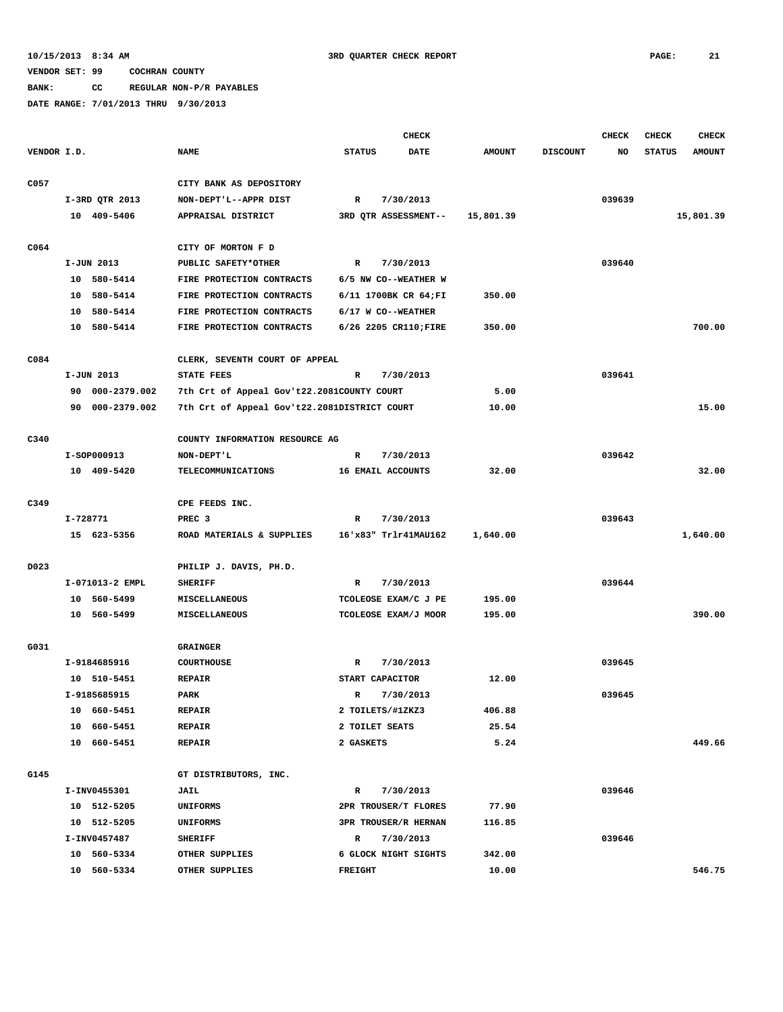**BANK: CC REGULAR NON-P/R PAYABLES**

|             |          |                 |                                              |                   | <b>CHECK</b>          |               |                 | <b>CHECK</b> | <b>CHECK</b>  | <b>CHECK</b>  |
|-------------|----------|-----------------|----------------------------------------------|-------------------|-----------------------|---------------|-----------------|--------------|---------------|---------------|
| VENDOR I.D. |          |                 | <b>NAME</b>                                  | <b>STATUS</b>     | DATE                  | <b>AMOUNT</b> | <b>DISCOUNT</b> | NO           | <b>STATUS</b> | <b>AMOUNT</b> |
| C057        |          |                 | CITY BANK AS DEPOSITORY                      |                   |                       |               |                 |              |               |               |
|             |          | I-3RD QTR 2013  | NON-DEPT'L--APPR DIST                        | R                 | 7/30/2013             |               |                 | 039639       |               |               |
|             |          | 10 409-5406     | APPRAISAL DISTRICT                           |                   | 3RD OTR ASSESSMENT--  | 15,801.39     |                 |              |               | 15,801.39     |
|             |          |                 |                                              |                   |                       |               |                 |              |               |               |
| C064        |          |                 | CITY OF MORTON F D                           |                   |                       |               |                 |              |               |               |
|             |          | I-JUN 2013      | PUBLIC SAFETY*OTHER                          | R                 | 7/30/2013             |               |                 | 039640       |               |               |
|             |          | 10 580-5414     | FIRE PROTECTION CONTRACTS                    |                   | 6/5 NW CO--WEATHER W  |               |                 |              |               |               |
|             |          | 10 580-5414     | FIRE PROTECTION CONTRACTS                    |                   | 6/11 1700BK CR 64;FI  | 350.00        |                 |              |               |               |
|             |          | 10 580-5414     | FIRE PROTECTION CONTRACTS                    |                   | 6/17 W CO--WEATHER    |               |                 |              |               |               |
|             |          | 10 580-5414     | FIRE PROTECTION CONTRACTS                    |                   | 6/26 2205 CR110; FIRE | 350.00        |                 |              |               | 700.00        |
|             |          |                 |                                              |                   |                       |               |                 |              |               |               |
| C084        |          |                 | CLERK, SEVENTH COURT OF APPEAL               |                   |                       |               |                 |              |               |               |
|             |          | I-JUN 2013      | <b>STATE FEES</b>                            | R                 | 7/30/2013             |               |                 | 039641       |               |               |
|             |          | 90 000-2379.002 | 7th Crt of Appeal Gov't22.2081COUNTY COURT   |                   |                       | 5.00          |                 |              |               |               |
|             |          | 90 000-2379.002 | 7th Crt of Appeal Gov't22.2081DISTRICT COURT |                   |                       | 10.00         |                 |              |               | 15.00         |
|             |          |                 |                                              |                   |                       |               |                 |              |               |               |
| C340        |          |                 | COUNTY INFORMATION RESOURCE AG               |                   |                       |               |                 |              |               |               |
|             |          | I-SOP000913     | NON-DEPT'L                                   | R                 | 7/30/2013             |               |                 | 039642       |               |               |
|             |          | 10 409-5420     | <b>TELECOMMUNICATIONS</b>                    | 16 EMAIL ACCOUNTS |                       | 32.00         |                 |              |               | 32.00         |
| C349        |          |                 | CPE FEEDS INC.                               |                   |                       |               |                 |              |               |               |
|             | I-728771 |                 | PREC <sub>3</sub>                            | R                 | 7/30/2013             |               |                 | 039643       |               |               |
|             |          | 15 623-5356     | ROAD MATERIALS & SUPPLIES                    |                   | 16'x83" Trlr41MAU162  | 1,640.00      |                 |              |               | 1,640.00      |
|             |          |                 |                                              |                   |                       |               |                 |              |               |               |
| D023        |          |                 | PHILIP J. DAVIS, PH.D.                       |                   |                       |               |                 |              |               |               |
|             |          | I-071013-2 EMPL | <b>SHERIFF</b>                               | R                 | 7/30/2013             |               |                 | 039644       |               |               |
|             |          | 10 560-5499     | <b>MISCELLANEOUS</b>                         |                   | TCOLEOSE EXAM/C J PE  | 195.00        |                 |              |               |               |
|             |          | 10 560-5499     | MISCELLANEOUS                                |                   | TCOLEOSE EXAM/J MOOR  | 195.00        |                 |              |               | 390.00        |
| G031        |          |                 | <b>GRAINGER</b>                              |                   |                       |               |                 |              |               |               |
|             |          | I-9184685916    | <b>COURTHOUSE</b>                            | R                 | 7/30/2013             |               |                 | 039645       |               |               |
|             |          | 10 510-5451     | <b>REPAIR</b>                                | START CAPACITOR   |                       | 12.00         |                 |              |               |               |
|             |          | I-9185685915    | PARK                                         | R                 |                       |               |                 | 039645       |               |               |
|             |          |                 |                                              |                   | 7/30/2013             |               |                 |              |               |               |
|             |          | 10 660-5451     | <b>REPAIR</b>                                | 2 TOILETS/#1ZKZ3  |                       | 406.88        |                 |              |               |               |
|             |          | 10 660-5451     | <b>REPAIR</b>                                | 2 TOILET SEATS    |                       | 25.54         |                 |              |               |               |
|             |          | 10 660-5451     | <b>REPAIR</b>                                | 2 GASKETS         |                       | 5.24          |                 |              |               | 449.66        |
| G145        |          |                 | GT DISTRIBUTORS, INC.                        |                   |                       |               |                 |              |               |               |
|             |          | I-INV0455301    | <b>JAIL</b>                                  | R                 | 7/30/2013             |               |                 | 039646       |               |               |
|             |          | 10 512-5205     | <b>UNIFORMS</b>                              |                   | 2PR TROUSER/T FLORES  | 77.90         |                 |              |               |               |
|             |          | 10 512-5205     | <b>UNIFORMS</b>                              |                   | 3PR TROUSER/R HERNAN  | 116.85        |                 |              |               |               |
|             |          | I-INV0457487    | <b>SHERIFF</b>                               | R                 | 7/30/2013             |               |                 | 039646       |               |               |
|             |          | 10 560-5334     | OTHER SUPPLIES                               |                   | 6 GLOCK NIGHT SIGHTS  | 342.00        |                 |              |               |               |
|             |          | 10 560-5334     | OTHER SUPPLIES                               | FREIGHT           |                       | 10.00         |                 |              |               | 546.75        |
|             |          |                 |                                              |                   |                       |               |                 |              |               |               |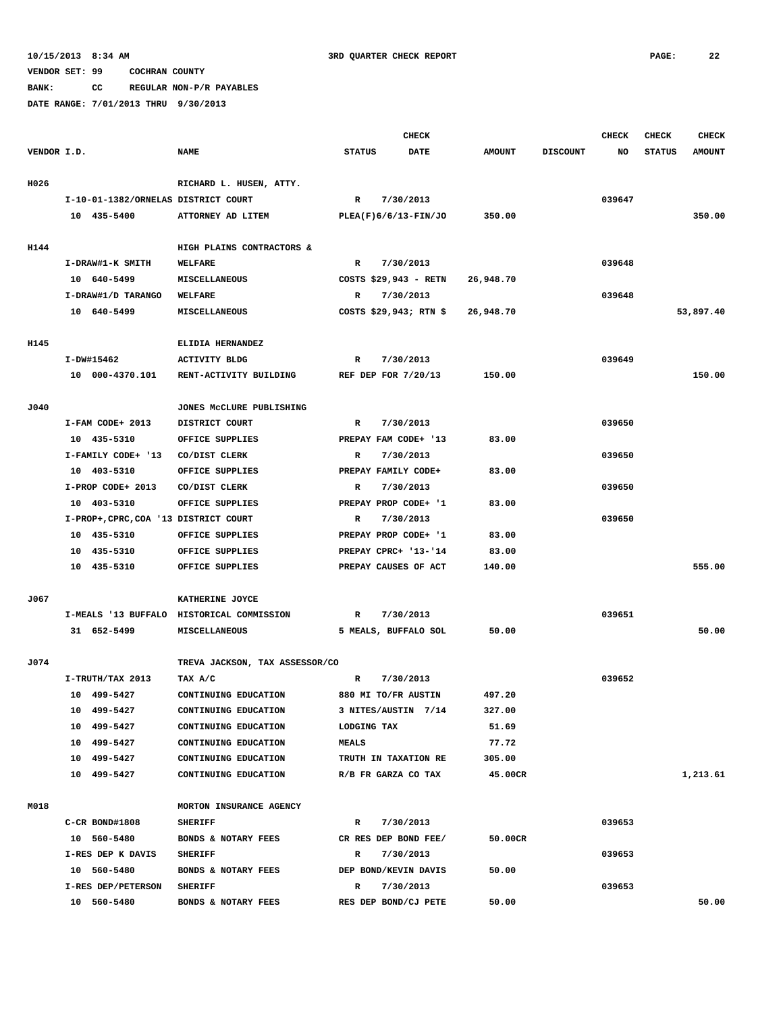**BANK: CC REGULAR NON-P/R PAYABLES**

|             |                                       |                                           |               | <b>CHECK</b>          |               |                 | <b>CHECK</b> | <b>CHECK</b>  | <b>CHECK</b>  |
|-------------|---------------------------------------|-------------------------------------------|---------------|-----------------------|---------------|-----------------|--------------|---------------|---------------|
| VENDOR I.D. |                                       | <b>NAME</b>                               | <b>STATUS</b> | <b>DATE</b>           | <b>AMOUNT</b> | <b>DISCOUNT</b> | NO           | <b>STATUS</b> | <b>AMOUNT</b> |
|             |                                       |                                           |               |                       |               |                 |              |               |               |
| H026        |                                       | RICHARD L. HUSEN, ATTY.                   |               |                       |               |                 |              |               |               |
|             | I-10-01-1382/ORNELAS DISTRICT COURT   |                                           | R             | 7/30/2013             |               |                 | 039647       |               |               |
|             | 10 435-5400                           | ATTORNEY AD LITEM                         |               | PLEA(F)6/6/13-FIN/JO  | 350.00        |                 |              |               | 350.00        |
|             |                                       |                                           |               |                       |               |                 |              |               |               |
| H144        |                                       | HIGH PLAINS CONTRACTORS &                 |               |                       |               |                 |              |               |               |
|             | I-DRAW#1-K SMITH                      | <b>WELFARE</b>                            | R             | 7/30/2013             |               |                 | 039648       |               |               |
|             | 10 640-5499                           | MISCELLANEOUS                             |               | COSTS \$29,943 - RETN | 26,948.70     |                 |              |               |               |
|             | I-DRAW#1/D TARANGO                    | WELFARE                                   | R             | 7/30/2013             |               |                 | 039648       |               |               |
|             | 10 640-5499                           | <b>MISCELLANEOUS</b>                      |               | COSTS $$29,943; RTN$$ | 26,948.70     |                 |              |               | 53,897.40     |
|             |                                       |                                           |               |                       |               |                 |              |               |               |
| H145        | I-DW#15462                            | ELIDIA HERNANDEZ<br><b>ACTIVITY BLDG</b>  | R             | 7/30/2013             |               |                 | 039649       |               |               |
|             | 10 000-4370.101                       | RENT-ACTIVITY BUILDING                    |               | REF DEP FOR 7/20/13   | 150.00        |                 |              |               | 150.00        |
|             |                                       |                                           |               |                       |               |                 |              |               |               |
| J040        |                                       | JONES MCCLURE PUBLISHING                  |               |                       |               |                 |              |               |               |
|             | I-FAM CODE+ 2013                      | DISTRICT COURT                            | R             | 7/30/2013             |               |                 | 039650       |               |               |
|             | 10 435-5310                           | OFFICE SUPPLIES                           |               | PREPAY FAM CODE+ '13  | 83.00         |                 |              |               |               |
|             | I-FAMILY CODE+ '13                    | CO/DIST CLERK                             | R             | 7/30/2013             |               |                 | 039650       |               |               |
|             | 10 403-5310                           | OFFICE SUPPLIES                           |               | PREPAY FAMILY CODE+   | 83.00         |                 |              |               |               |
|             | I-PROP CODE+ 2013                     | CO/DIST CLERK                             | R             | 7/30/2013             |               |                 | 039650       |               |               |
|             | 10 403-5310                           | OFFICE SUPPLIES                           |               | PREPAY PROP CODE+ '1  | 83.00         |                 |              |               |               |
|             | I-PROP+, CPRC, COA '13 DISTRICT COURT |                                           | R             | 7/30/2013             |               |                 | 039650       |               |               |
|             | 10 435-5310                           | OFFICE SUPPLIES                           |               | PREPAY PROP CODE+ '1  | 83.00         |                 |              |               |               |
|             | 10 435-5310                           | OFFICE SUPPLIES                           |               | PREPAY CPRC+ '13-'14  | 83.00         |                 |              |               |               |
|             | 10 435-5310                           | OFFICE SUPPLIES                           |               | PREPAY CAUSES OF ACT  | 140.00        |                 |              |               | 555.00        |
|             |                                       |                                           |               |                       |               |                 |              |               |               |
| J067        |                                       | KATHERINE JOYCE                           |               |                       |               |                 |              |               |               |
|             |                                       | I-MEALS '13 BUFFALO HISTORICAL COMMISSION | R             | 7/30/2013             |               |                 | 039651       |               |               |
|             | 31 652-5499                           | MISCELLANEOUS                             |               | 5 MEALS, BUFFALO SOL  | 50.00         |                 |              |               | 50.00         |
|             |                                       |                                           |               |                       |               |                 |              |               |               |
| J074        |                                       | TREVA JACKSON, TAX ASSESSOR/CO            |               |                       |               |                 |              |               |               |
|             | I-TRUTH/TAX 2013                      | TAX A/C                                   | R             | 7/30/2013             |               |                 | 039652       |               |               |
|             | 10 499-5427                           | CONTINUING EDUCATION                      |               | 880 MI TO/FR AUSTIN   | 497.20        |                 |              |               |               |
|             | 10 499-5427                           | CONTINUING EDUCATION                      |               | 3 NITES/AUSTIN 7/14   | 327.00        |                 |              |               |               |
|             | 10 499-5427                           | CONTINUING EDUCATION                      | LODGING TAX   |                       | 51.69         |                 |              |               |               |
|             | 10 499-5427                           | CONTINUING EDUCATION                      | <b>MEALS</b>  |                       | 77.72         |                 |              |               |               |
|             | 10 499-5427                           | CONTINUING EDUCATION                      |               | TRUTH IN TAXATION RE  | 305.00        |                 |              |               |               |
|             | 10 499-5427                           | CONTINUING EDUCATION                      |               | R/B FR GARZA CO TAX   | 45.00CR       |                 |              |               | 1,213.61      |
|             |                                       |                                           |               |                       |               |                 |              |               |               |
| M018        |                                       | MORTON INSURANCE AGENCY                   |               |                       |               |                 |              |               |               |
|             | C-CR BOND#1808                        | <b>SHERIFF</b>                            | R             | 7/30/2013             |               |                 | 039653       |               |               |
|             | 10 560-5480                           | BONDS & NOTARY FEES                       |               | CR RES DEP BOND FEE/  | 50.00CR       |                 |              |               |               |
|             | I-RES DEP K DAVIS                     | <b>SHERIFF</b>                            | R             | 7/30/2013             |               |                 | 039653       |               |               |
|             | 10 560-5480                           | BONDS & NOTARY FEES                       |               | DEP BOND/KEVIN DAVIS  | 50.00         |                 |              |               |               |
|             | I-RES DEP/PETERSON                    | <b>SHERIFF</b>                            | R             | 7/30/2013             |               |                 | 039653       |               |               |
|             | 10 560-5480                           | BONDS & NOTARY FEES                       |               | RES DEP BOND/CJ PETE  | 50.00         |                 |              |               | 50.00         |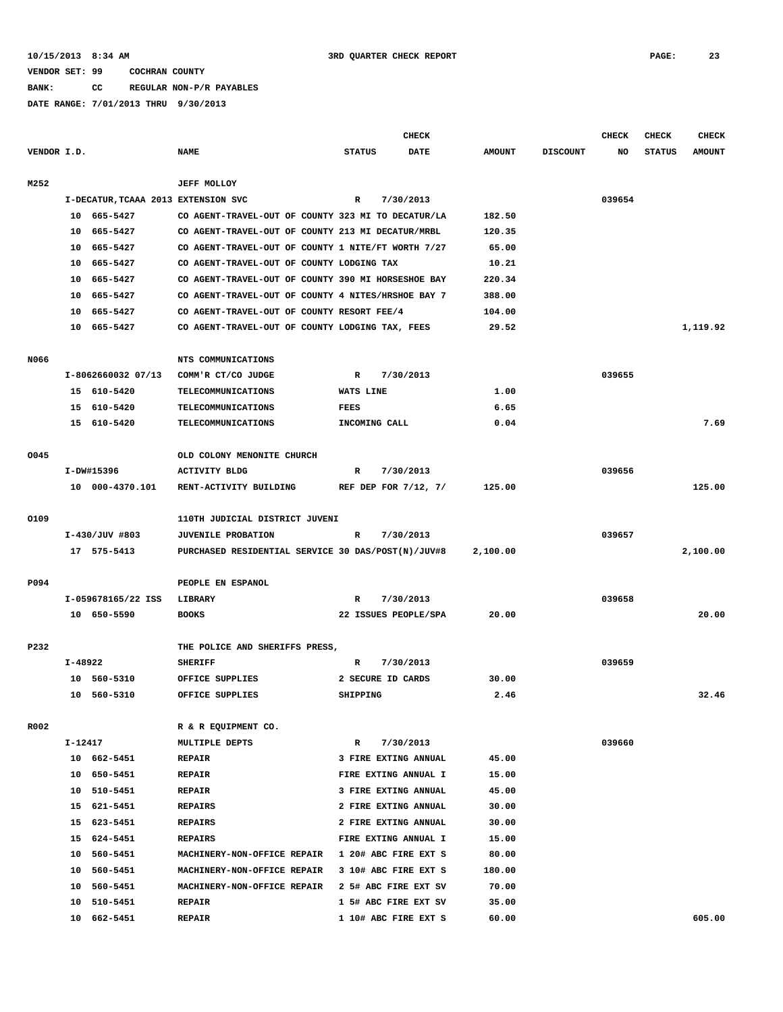**BANK: CC REGULAR NON-P/R PAYABLES**

|             |         |                                     |                                                    |               | <b>CHECK</b>              |               |                 | <b>CHECK</b> | CHECK         | <b>CHECK</b>  |
|-------------|---------|-------------------------------------|----------------------------------------------------|---------------|---------------------------|---------------|-----------------|--------------|---------------|---------------|
| VENDOR I.D. |         |                                     | <b>NAME</b>                                        | <b>STATUS</b> | DATE                      | <b>AMOUNT</b> | <b>DISCOUNT</b> | NO           | <b>STATUS</b> | <b>AMOUNT</b> |
| M252        |         |                                     | <b>JEFF MOLLOY</b>                                 |               |                           |               |                 |              |               |               |
|             |         | I-DECATUR, TCAAA 2013 EXTENSION SVC |                                                    | R             | 7/30/2013                 |               |                 | 039654       |               |               |
|             |         | 10 665-5427                         | CO AGENT-TRAVEL-OUT OF COUNTY 323 MI TO DECATUR/LA |               |                           | 182.50        |                 |              |               |               |
|             |         | 10 665-5427                         | CO AGENT-TRAVEL-OUT OF COUNTY 213 MI DECATUR/MRBL  |               |                           | 120.35        |                 |              |               |               |
|             | 10      | 665–5427                            | CO AGENT-TRAVEL-OUT OF COUNTY 1 NITE/FT WORTH 7/27 |               |                           | 65.00         |                 |              |               |               |
|             | 10      | 665–5427                            | CO AGENT-TRAVEL-OUT OF COUNTY LODGING TAX          |               |                           | 10.21         |                 |              |               |               |
|             | 10      | 665–5427                            | CO AGENT-TRAVEL-OUT OF COUNTY 390 MI HORSESHOE BAY |               |                           | 220.34        |                 |              |               |               |
|             | 10      | 665–5427                            | CO AGENT-TRAVEL-OUT OF COUNTY 4 NITES/HRSHOE BAY 7 |               |                           | 388.00        |                 |              |               |               |
|             | 10      | 665–5427                            | CO AGENT-TRAVEL-OUT OF COUNTY RESORT FEE/4         |               |                           | 104.00        |                 |              |               |               |
|             |         | 10 665-5427                         | CO AGENT-TRAVEL-OUT OF COUNTY LODGING TAX, FEES    |               |                           | 29.52         |                 |              |               | 1,119.92      |
| N066        |         |                                     | NTS COMMUNICATIONS                                 |               |                           |               |                 |              |               |               |
|             |         | I-8062660032 07/13                  | COMM'R CT/CO JUDGE                                 | R             | 7/30/2013                 |               |                 | 039655       |               |               |
|             |         | 15 610-5420                         | <b>TELECOMMUNICATIONS</b>                          | WATS LINE     |                           | 1.00          |                 |              |               |               |
|             |         | 15 610-5420                         | <b>TELECOMMUNICATIONS</b>                          | FEES          |                           | 6.65          |                 |              |               |               |
|             |         | 15 610-5420                         | TELECOMMUNICATIONS                                 | INCOMING CALL |                           | 0.04          |                 |              |               | 7.69          |
| 0045        |         |                                     | OLD COLONY MENONITE CHURCH                         |               |                           |               |                 |              |               |               |
|             |         | I-DW#15396                          | <b>ACTIVITY BLDG</b>                               | R             | 7/30/2013                 |               |                 | 039656       |               |               |
|             |         | 10 000-4370.101                     | RENT-ACTIVITY BUILDING                             |               | REF DEP FOR $7/12$ , $7/$ | 125.00        |                 |              |               | 125.00        |
| 0109        |         |                                     | 110TH JUDICIAL DISTRICT JUVENI                     |               |                           |               |                 |              |               |               |
|             |         | I-430/JUV #803                      | <b>JUVENILE PROBATION</b>                          | R             | 7/30/2013                 |               |                 | 039657       |               |               |
|             |         | 17 575-5413                         | PURCHASED RESIDENTIAL SERVICE 30 DAS/POST(N)/JUV#8 |               |                           | 2,100.00      |                 |              |               | 2,100.00      |
| P094        |         |                                     | PEOPLE EN ESPANOL                                  |               |                           |               |                 |              |               |               |
|             |         | I-059678165/22 ISS                  | LIBRARY                                            | R             | 7/30/2013                 |               |                 | 039658       |               |               |
|             |         | 10 650-5590                         | <b>BOOKS</b>                                       |               | 22 ISSUES PEOPLE/SPA      | 20.00         |                 |              |               | 20.00         |
| P232        |         |                                     | THE POLICE AND SHERIFFS PRESS,                     |               |                           |               |                 |              |               |               |
|             | I-48922 |                                     | <b>SHERIFF</b>                                     | R             | 7/30/2013                 |               |                 | 039659       |               |               |
|             |         | 10 560-5310                         | OFFICE SUPPLIES                                    |               | 2 SECURE ID CARDS         | 30.00         |                 |              |               |               |
|             |         | 10 560-5310                         | OFFICE SUPPLIES                                    | SHIPPING      |                           | 2.46          |                 |              |               | 32.46         |
| R002        |         |                                     | R & R EQUIPMENT CO.                                |               |                           |               |                 |              |               |               |
|             | I-12417 |                                     | MULTIPLE DEPTS                                     | R             | 7/30/2013                 |               |                 | 039660       |               |               |
|             |         | 10 662-5451                         | <b>REPAIR</b>                                      |               | 3 FIRE EXTING ANNUAL      | 45.00         |                 |              |               |               |
|             |         | 10 650-5451                         | <b>REPAIR</b>                                      |               | FIRE EXTING ANNUAL I      | 15.00         |                 |              |               |               |
|             |         | 10 510-5451                         | <b>REPAIR</b>                                      |               | 3 FIRE EXTING ANNUAL      | 45.00         |                 |              |               |               |
|             |         | 15 621-5451                         | <b>REPAIRS</b>                                     |               | 2 FIRE EXTING ANNUAL      | 30.00         |                 |              |               |               |
|             | 15      | 623-5451                            | <b>REPAIRS</b>                                     |               | 2 FIRE EXTING ANNUAL      | 30.00         |                 |              |               |               |
|             | 15      | 624-5451                            | <b>REPAIRS</b>                                     |               | FIRE EXTING ANNUAL I      | 15.00         |                 |              |               |               |
|             | 10      | 560-5451                            | MACHINERY-NON-OFFICE REPAIR                        |               | 1 20# ABC FIRE EXT S      | 80.00         |                 |              |               |               |
|             | 10      | 560-5451                            | MACHINERY-NON-OFFICE REPAIR                        |               | 3 10# ABC FIRE EXT S      | 180.00        |                 |              |               |               |
|             | 10      | 560-5451                            | MACHINERY-NON-OFFICE REPAIR                        |               | 2 5# ABC FIRE EXT SV      | 70.00         |                 |              |               |               |
|             | 10      | 510-5451                            | <b>REPAIR</b>                                      |               | 1 5# ABC FIRE EXT SV      | 35.00         |                 |              |               |               |
|             | 10      | 662-5451                            | <b>REPAIR</b>                                      |               | 1 10# ABC FIRE EXT S      | 60.00         |                 |              |               | 605.00        |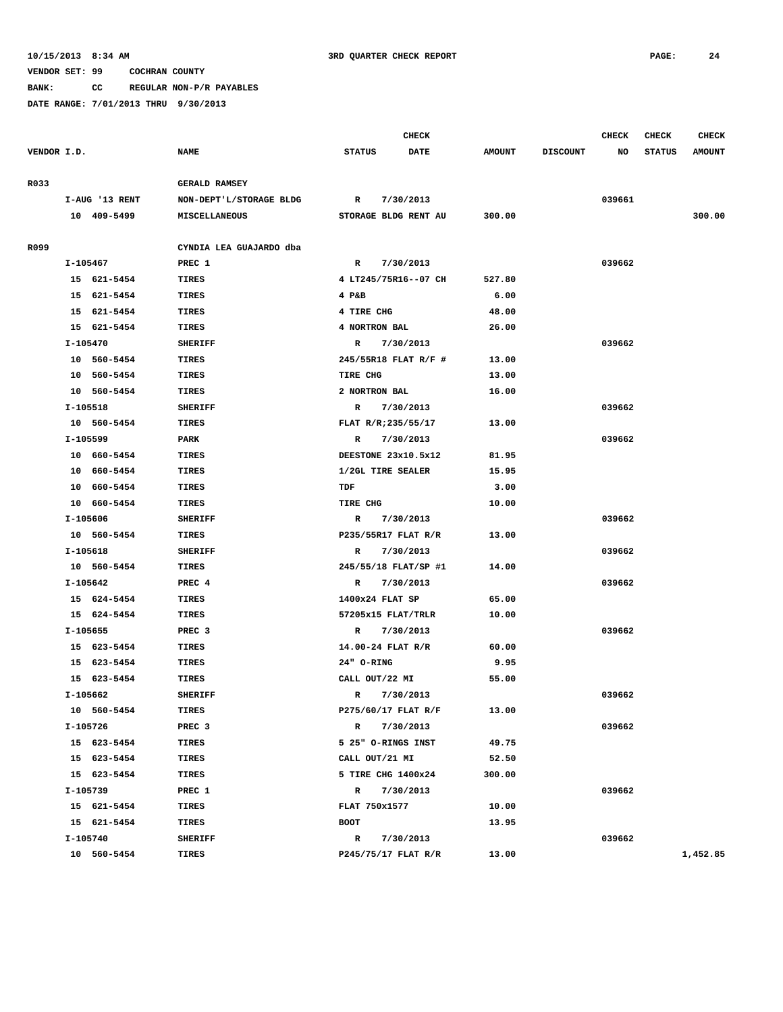**BANK: CC REGULAR NON-P/R PAYABLES**

**DATE RANGE: 7/01/2013 THRU 9/30/2013**

 **I-105642 PREC 4 R 7/30/2013 039662**

 **I-105662** SHERIFF R R 7/30/2013 8

 **I-105726 PREC 3 R 7/30/2013 039662**

 **I-105740 SHERIFF R 7/30/2013 039662**

 **10 560-5454 TIRES P245/75/17 FLAT R/R 13.00 1,452.85**

 **I-105739 PREC 1 R 7/30/2013 039662**

 **I-105655 PREC 3 R 7/30/2013 039662**

 **15 624-5454 TIRES 1400x24 FLAT SP 65.00 15 624-5454 TIRES 57205x15 FLAT/TRLR 10.00**

 **15 623-5454 TIRES 14.00-24 FLAT R/R 60.00 15 623-5454 TIRES 24" O-RING 9.95 15 623-5454 TIRES CALL OUT/22 MI 55.00**

 **10 560-5454 TIRES P275/60/17 FLAT R/F 13.00**

 **15 623-5454 TIRES 5 25" O-RINGS INST 49.75 15 623-5454 TIRES CALL OUT/21 MI 52.50 15 623-5454 TIRES 5 TIRE CHG 1400x24 300.00**

 **15 621-5454 TIRES FLAT 750x1577 10.00 15 621-5454 TIRES BOOT 13.95**

|             |                |                         |               | <b>CHECK</b>         |               |                 | <b>CHECK</b> | <b>CHECK</b>  | <b>CHECK</b>  |
|-------------|----------------|-------------------------|---------------|----------------------|---------------|-----------------|--------------|---------------|---------------|
| VENDOR I.D. |                | <b>NAME</b>             | <b>STATUS</b> | <b>DATE</b>          | <b>AMOUNT</b> | <b>DISCOUNT</b> | NO           | <b>STATUS</b> | <b>AMOUNT</b> |
|             |                |                         |               |                      |               |                 |              |               |               |
| R033        |                | <b>GERALD RAMSEY</b>    |               |                      |               |                 |              |               |               |
|             | I-AUG '13 RENT | NON-DEPT'L/STORAGE BLDG | $\mathbb{R}$  | 7/30/2013            |               |                 | 039661       |               |               |
|             | 10 409-5499    | <b>MISCELLANEOUS</b>    |               | STORAGE BLDG RENT AU | 300.00        |                 |              |               | 300.00        |
|             |                |                         |               |                      |               |                 |              |               |               |
| R099        |                | CYNDIA LEA GUAJARDO dba |               |                      |               |                 |              |               |               |
|             | I-105467       | PREC 1                  | $\mathbb{R}$  | 7/30/2013            |               |                 | 039662       |               |               |
|             | 15 621-5454    | TIRES                   |               | 4 LT245/75R16--07 CH | 527.80        |                 |              |               |               |
|             | 15 621-5454    | <b>TIRES</b>            | $4$ P&B       |                      | 6.00          |                 |              |               |               |
|             | 15 621-5454    | TIRES                   | 4 TIRE CHG    |                      | 48.00         |                 |              |               |               |
|             | 15 621-5454    | TIRES                   | 4 NORTRON BAL |                      | 26.00         |                 |              |               |               |
|             | I-105470       | <b>SHERIFF</b>          | R             | 7/30/2013            |               |                 | 039662       |               |               |
|             | 10 560-5454    | <b>TIRES</b>            |               | 245/55R18 FLAT R/F # | 13.00         |                 |              |               |               |
|             | 10 560-5454    | TIRES                   | TIRE CHG      |                      | 13.00         |                 |              |               |               |
|             | 10 560-5454    | TIRES                   | 2 NORTRON BAL |                      | 16.00         |                 |              |               |               |
|             | I-105518       | <b>SHERIFF</b>          | $\mathbb{R}$  | 7/30/2013            |               |                 | 039662       |               |               |
|             | 10 560-5454    | <b>TIRES</b>            |               | FLAT R/R;235/55/17   | 13.00         |                 |              |               |               |
|             | I-105599       | PARK                    | $\mathbb{R}$  | 7/30/2013            |               |                 | 039662       |               |               |
|             | 10 660-5454    | TIRES                   |               | DEESTONE 23x10.5x12  | 81.95         |                 |              |               |               |
|             | 10 660-5454    | <b>TIRES</b>            |               | 1/2GL TIRE SEALER    | 15.95         |                 |              |               |               |
|             | 10 660-5454    | TIRES                   | TDF           |                      | 3.00          |                 |              |               |               |
|             | 10 660-5454    | TIRES                   | TIRE CHG      |                      | 10.00         |                 |              |               |               |
|             | I-105606       | <b>SHERIFF</b>          | $\mathbb{R}$  | 7/30/2013            |               |                 | 039662       |               |               |
|             | 10 560-5454    | TIRES                   |               | P235/55R17 FLAT R/R  | 13.00         |                 |              |               |               |
|             | I-105618       | <b>SHERIFF</b>          | $\mathbb{R}$  | 7/30/2013            |               |                 | 039662       |               |               |
|             | 10 560-5454    | <b>TIRES</b>            |               | 245/55/18 FLAT/SP #1 | 14.00         |                 |              |               |               |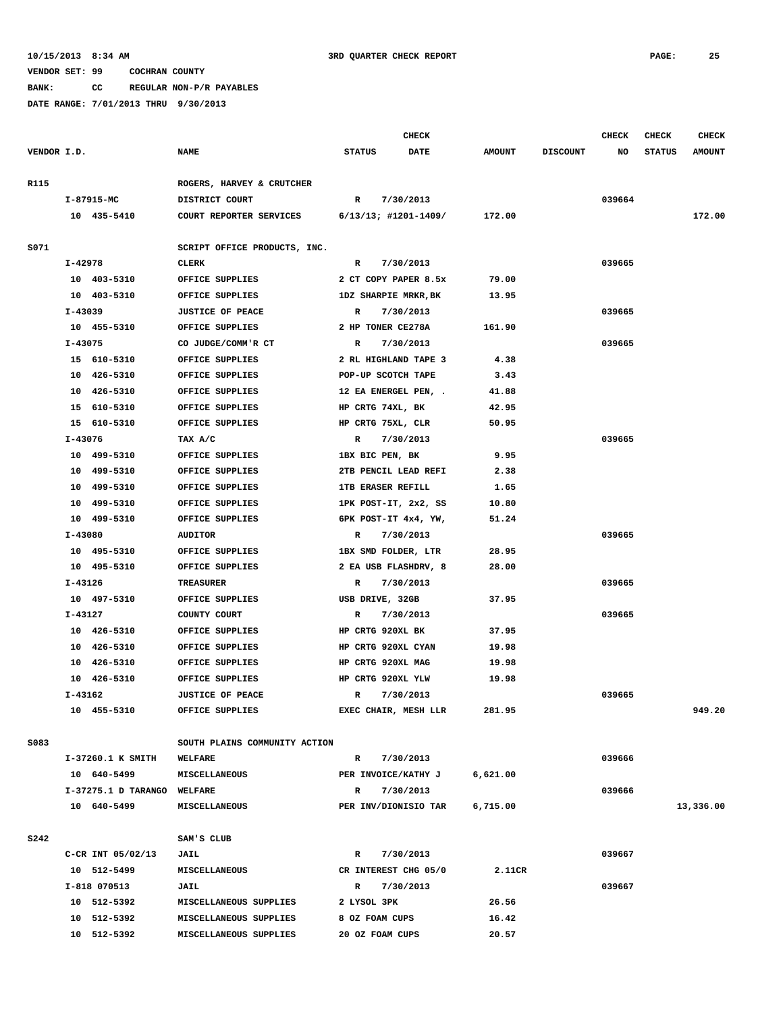**BANK: CC REGULAR NON-P/R PAYABLES**

|             |                                               |                             |                               |                      | <b>CHECK</b>             |               |                 | CHECK  | <b>CHECK</b>  | <b>CHECK</b>  |
|-------------|-----------------------------------------------|-----------------------------|-------------------------------|----------------------|--------------------------|---------------|-----------------|--------|---------------|---------------|
| VENDOR I.D. |                                               |                             | <b>NAME</b>                   | <b>STATUS</b>        | <b>DATE</b>              | <b>AMOUNT</b> | <b>DISCOUNT</b> | NO     | <b>STATUS</b> | <b>AMOUNT</b> |
| R115        |                                               |                             | ROGERS, HARVEY & CRUTCHER     |                      |                          |               |                 |        |               |               |
|             | I-87915-MC                                    |                             | DISTRICT COURT                | $\mathbb{R}$         | 7/30/2013                |               |                 | 039664 |               |               |
|             | 10 435-5410                                   |                             | COURT REPORTER SERVICES       |                      | 6/13/13; #1201-1409/     | 172.00        |                 |        |               | 172.00        |
| S071        |                                               |                             | SCRIPT OFFICE PRODUCTS, INC.  |                      |                          |               |                 |        |               |               |
|             | I-42978                                       |                             | <b>CLERK</b>                  | R                    | 7/30/2013                |               |                 | 039665 |               |               |
|             | 10 403-5310                                   |                             | OFFICE SUPPLIES               |                      | 2 CT COPY PAPER 8.5x     | 79.00         |                 |        |               |               |
|             | 10 403-5310                                   |                             | OFFICE SUPPLIES               |                      | 1DZ SHARPIE MRKR, BK     | 13.95         |                 |        |               |               |
|             | I-43039                                       |                             | <b>JUSTICE OF PEACE</b>       | R                    | 7/30/2013                |               |                 | 039665 |               |               |
|             | 10 455-5310                                   |                             | OFFICE SUPPLIES               |                      | 2 HP TONER CE278A        | 161.90        |                 |        |               |               |
|             | I-43075                                       |                             | CO JUDGE/COMM'R CT            | R                    | 7/30/2013                |               |                 | 039665 |               |               |
|             | 15 610-5310                                   |                             | OFFICE SUPPLIES               |                      | 2 RL HIGHLAND TAPE 3     | 4.38          |                 |        |               |               |
|             | 10 426-5310                                   |                             | OFFICE SUPPLIES               |                      | POP-UP SCOTCH TAPE       | 3.43          |                 |        |               |               |
|             | 10 426-5310                                   |                             | OFFICE SUPPLIES               |                      | 12 EA ENERGEL PEN, .     | 41.88         |                 |        |               |               |
|             | 15 610-5310                                   |                             | OFFICE SUPPLIES               |                      | HP CRTG 74XL, BK         | 42.95         |                 |        |               |               |
|             | 15 610-5310                                   |                             | OFFICE SUPPLIES               |                      | HP CRTG 75XL, CLR        | 50.95         |                 |        |               |               |
|             | $I - 43076$                                   |                             | TAX A/C                       | R                    | 7/30/2013                |               |                 | 039665 |               |               |
|             | 10 499-5310                                   |                             | OFFICE SUPPLIES               |                      | 1BX BIC PEN, BK          | 9.95          |                 |        |               |               |
|             | 10 499-5310                                   |                             | OFFICE SUPPLIES               |                      | 2TB PENCIL LEAD REFI     | 2.38          |                 |        |               |               |
|             | 10 499-5310                                   |                             | OFFICE SUPPLIES               |                      | <b>1TB ERASER REFILL</b> | 1.65          |                 |        |               |               |
|             |                                               |                             | OFFICE SUPPLIES               |                      | 1PK POST-IT, 2x2, SS     | 10.80         |                 |        |               |               |
|             | 10 499-5310<br>10 499-5310<br>OFFICE SUPPLIES |                             |                               | 6PK POST-IT 4x4, YW, | 51.24                    |               |                 |        |               |               |
|             | I-43080<br><b>AUDITOR</b>                     |                             | R                             | 7/30/2013            |                          |               | 039665          |        |               |               |
|             | 10 495-5310                                   |                             | OFFICE SUPPLIES               |                      | 1BX SMD FOLDER, LTR      | 28.95         |                 |        |               |               |
|             | 10 495-5310                                   |                             | OFFICE SUPPLIES               |                      | 2 EA USB FLASHDRV, 8     | 28.00         |                 |        |               |               |
|             | I-43126                                       |                             | <b>TREASURER</b>              |                      |                          |               |                 |        |               |               |
|             |                                               |                             |                               | R                    | 7/30/2013                |               |                 | 039665 |               |               |
|             | 10 497-5310                                   |                             | OFFICE SUPPLIES               |                      | USB DRIVE, 32GB          | 37.95         |                 |        |               |               |
|             | I-43127                                       |                             | COUNTY COURT                  | R                    | 7/30/2013                |               |                 | 039665 |               |               |
|             | 10 426-5310                                   |                             | OFFICE SUPPLIES               |                      | HP CRTG 920XL BK         | 37.95         |                 |        |               |               |
|             | 10 426-5310                                   |                             | OFFICE SUPPLIES               |                      | HP CRTG 920XL CYAN       | 19.98         |                 |        |               |               |
|             | 10 426-5310                                   |                             | OFFICE SUPPLIES               |                      | HP CRTG 920XL MAG        | 19.98         |                 |        |               |               |
|             | 10 426-5310                                   |                             | OFFICE SUPPLIES               |                      | HP CRTG 920XL YLW        | 19.98         |                 |        |               |               |
|             | I-43162                                       |                             | <b>JUSTICE OF PEACE</b>       | $\mathbb{R}$         | 7/30/2013                |               |                 | 039665 |               |               |
|             | 10 455-5310                                   |                             | OFFICE SUPPLIES               |                      | EXEC CHAIR, MESH LLR     | 281.95        |                 |        |               | 949.20        |
| S083        |                                               |                             | SOUTH PLAINS COMMUNITY ACTION |                      |                          |               |                 |        |               |               |
|             |                                               | I-37260.1 K SMITH           | <b>WELFARE</b>                | $\mathbb{R}$         | 7/30/2013                |               |                 | 039666 |               |               |
|             | 10 640-5499                                   |                             | <b>MISCELLANEOUS</b>          |                      | PER INVOICE/KATHY J      | 6,621.00      |                 |        |               |               |
|             |                                               | I-37275.1 D TARANGO WELFARE |                               | $\mathbf R$          | 7/30/2013                |               |                 | 039666 |               |               |
|             | 10 640-5499                                   |                             | <b>MISCELLANEOUS</b>          |                      | PER INV/DIONISIO TAR     | 6,715.00      |                 |        |               | 13,336.00     |
| <b>S242</b> |                                               |                             | SAM'S CLUB                    |                      |                          |               |                 |        |               |               |
|             |                                               | C-CR INT 05/02/13           | JAIL                          | $\mathbf{R}$         | 7/30/2013                |               |                 | 039667 |               |               |
|             | 10 512-5499                                   |                             | <b>MISCELLANEOUS</b>          |                      | CR INTEREST CHG 05/0     | 2.11CR        |                 |        |               |               |
|             | I-818 070513                                  |                             | JAIL                          | R                    | 7/30/2013                |               |                 | 039667 |               |               |
|             | 10 512-5392                                   |                             | MISCELLANEOUS SUPPLIES        | 2 LYSOL 3PK          |                          | 26.56         |                 |        |               |               |
|             | 10 512-5392                                   |                             | MISCELLANEOUS SUPPLIES        |                      | 8 OZ FOAM CUPS           | 16.42         |                 |        |               |               |
|             | 10 512-5392                                   |                             | MISCELLANEOUS SUPPLIES        |                      | 20 OZ FOAM CUPS          | 20.57         |                 |        |               |               |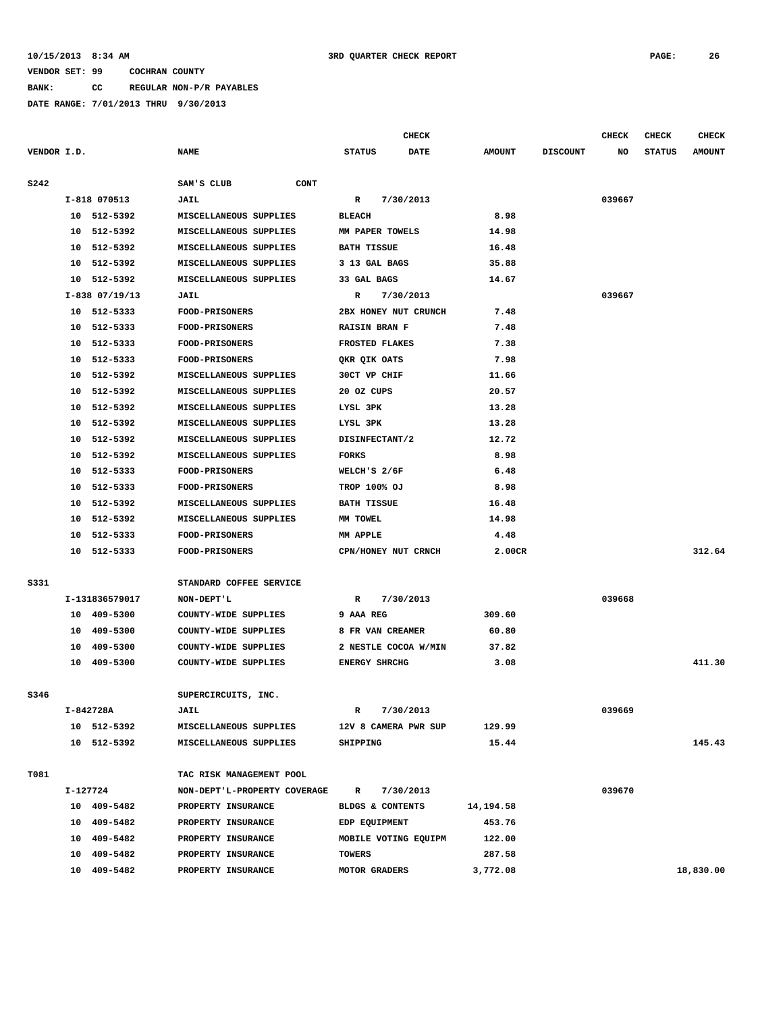**BANK: CC REGULAR NON-P/R PAYABLES**

|             |          |                      |                              |                                     | <b>CHECK</b> |               |                 | CHECK  | <b>CHECK</b>  | <b>CHECK</b>  |
|-------------|----------|----------------------|------------------------------|-------------------------------------|--------------|---------------|-----------------|--------|---------------|---------------|
| VENDOR I.D. |          |                      | <b>NAME</b>                  | <b>STATUS</b>                       | <b>DATE</b>  | <b>AMOUNT</b> | <b>DISCOUNT</b> | NO     | <b>STATUS</b> | <b>AMOUNT</b> |
|             |          |                      |                              |                                     |              |               |                 |        |               |               |
| S242        |          |                      | SAM'S CLUB<br>CONT           |                                     |              |               |                 |        |               |               |
|             |          | I-818 070513         | JAIL                         | R                                   | 7/30/2013    | 8.98          |                 | 039667 |               |               |
|             | 10       | 512-5392             | MISCELLANEOUS SUPPLIES       | <b>BLEACH</b>                       |              |               |                 |        |               |               |
|             | 10       | 512-5392             | MISCELLANEOUS SUPPLIES       | MM PAPER TOWELS                     |              | 14.98         |                 |        |               |               |
|             | 10       | 512-5392             | MISCELLANEOUS SUPPLIES       | <b>BATH TISSUE</b><br>3 13 GAL BAGS |              | 16.48         |                 |        |               |               |
|             | 10       | 512-5392<br>512-5392 | MISCELLANEOUS SUPPLIES       |                                     |              | 35.88         |                 |        |               |               |
|             | 10       |                      | MISCELLANEOUS SUPPLIES       | 33 GAL BAGS                         |              | 14.67         |                 | 039667 |               |               |
|             |          | $I-838$ 07/19/13     | JAIL                         | R<br>2BX HONEY NUT CRUNCH           | 7/30/2013    |               |                 |        |               |               |
|             | 10       | 512-5333             | <b>FOOD-PRISONERS</b>        |                                     |              | 7.48          |                 |        |               |               |
|             | 10       | 512-5333             | <b>FOOD-PRISONERS</b>        | <b>RAISIN BRAN F</b>                |              | 7.48          |                 |        |               |               |
|             | 10       | 512-5333             | <b>FOOD-PRISONERS</b>        | FROSTED FLAKES                      |              | 7.38          |                 |        |               |               |
|             | 10       | 512-5333             | <b>FOOD-PRISONERS</b>        | QKR QIK OATS                        |              | 7.98          |                 |        |               |               |
|             | 10       | 512-5392             | MISCELLANEOUS SUPPLIES       | 30CT VP CHIF                        |              | 11.66         |                 |        |               |               |
|             | 10       | 512-5392             | MISCELLANEOUS SUPPLIES       | 20 OZ CUPS                          |              | 20.57         |                 |        |               |               |
|             | 10       | 512-5392             | MISCELLANEOUS SUPPLIES       | LYSL 3PK                            |              | 13.28         |                 |        |               |               |
|             | 10       | 512-5392             | MISCELLANEOUS SUPPLIES       | LYSL 3PK                            |              | 13.28         |                 |        |               |               |
|             | 10       | 512-5392             | MISCELLANEOUS SUPPLIES       | DISINFECTANT/2                      |              | 12.72         |                 |        |               |               |
|             | 10       | 512-5392             | MISCELLANEOUS SUPPLIES       | FORKS                               |              | 8.98          |                 |        |               |               |
|             | 10       | 512-5333             | <b>FOOD-PRISONERS</b>        | WELCH'S 2/6F                        |              | 6.48          |                 |        |               |               |
|             | 10       | 512-5333             | <b>FOOD-PRISONERS</b>        | TROP 100% OJ                        |              | 8.98          |                 |        |               |               |
|             | 10       | 512-5392             | MISCELLANEOUS SUPPLIES       | <b>BATH TISSUE</b>                  |              | 16.48         |                 |        |               |               |
|             | 10       | 512-5392             | MISCELLANEOUS SUPPLIES       | MM TOWEL                            |              | 14.98         |                 |        |               |               |
|             | 10       | 512-5333             | <b>FOOD-PRISONERS</b>        | MM APPLE                            |              | 4.48          |                 |        |               |               |
|             | 10       | 512-5333             | <b>FOOD-PRISONERS</b>        | CPN/HONEY NUT CRNCH                 |              | 2.00CR        |                 |        |               | 312.64        |
| S331        |          |                      | STANDARD COFFEE SERVICE      |                                     |              |               |                 |        |               |               |
|             |          | I-131836579017       | NON-DEPT'L                   | R                                   | 7/30/2013    |               |                 | 039668 |               |               |
|             | 10       | 409-5300             | COUNTY-WIDE SUPPLIES         | 9 AAA REG                           |              | 309.60        |                 |        |               |               |
|             | 10       | 409-5300             | COUNTY-WIDE SUPPLIES         | 8 FR VAN CREAMER                    |              | 60.80         |                 |        |               |               |
|             | 10       | 409-5300             | COUNTY-WIDE SUPPLIES         | 2 NESTLE COCOA W/MIN                |              | 37.82         |                 |        |               |               |
|             | 10       | 409-5300             | COUNTY-WIDE SUPPLIES         | <b>ENERGY SHRCHG</b>                |              | 3.08          |                 |        |               | 411.30        |
|             |          |                      |                              |                                     |              |               |                 |        |               |               |
| S346        |          |                      | SUPERCIRCUITS, INC.          |                                     |              |               |                 |        |               |               |
|             |          | I-842728A            | <b>JAIL</b>                  | R                                   | 7/30/2013    |               |                 | 039669 |               |               |
|             |          | 10 512-5392          | MISCELLANEOUS SUPPLIES       | 12V 8 CAMERA PWR SUP                |              | 129.99        |                 |        |               |               |
|             |          | 10 512-5392          | MISCELLANEOUS SUPPLIES       | SHIPPING                            |              | 15.44         |                 |        |               | 145.43        |
| T081        |          |                      | TAC RISK MANAGEMENT POOL     |                                     |              |               |                 |        |               |               |
|             | I-127724 |                      | NON-DEPT'L-PROPERTY COVERAGE | R                                   | 7/30/2013    |               |                 | 039670 |               |               |
|             |          | 10 409-5482          | PROPERTY INSURANCE           | BLDGS & CONTENTS                    |              | 14,194.58     |                 |        |               |               |
|             |          | 10 409-5482          | PROPERTY INSURANCE           | EDP EQUIPMENT                       |              | 453.76        |                 |        |               |               |
|             |          | 10 409-5482          | PROPERTY INSURANCE           | MOBILE VOTING EQUIPM                |              | 122.00        |                 |        |               |               |
|             |          | 10 409-5482          | PROPERTY INSURANCE           | <b>TOWERS</b>                       |              | 287.58        |                 |        |               |               |
|             |          | 10 409-5482          | PROPERTY INSURANCE           | MOTOR GRADERS                       |              | 3,772.08      |                 |        |               | 18,830.00     |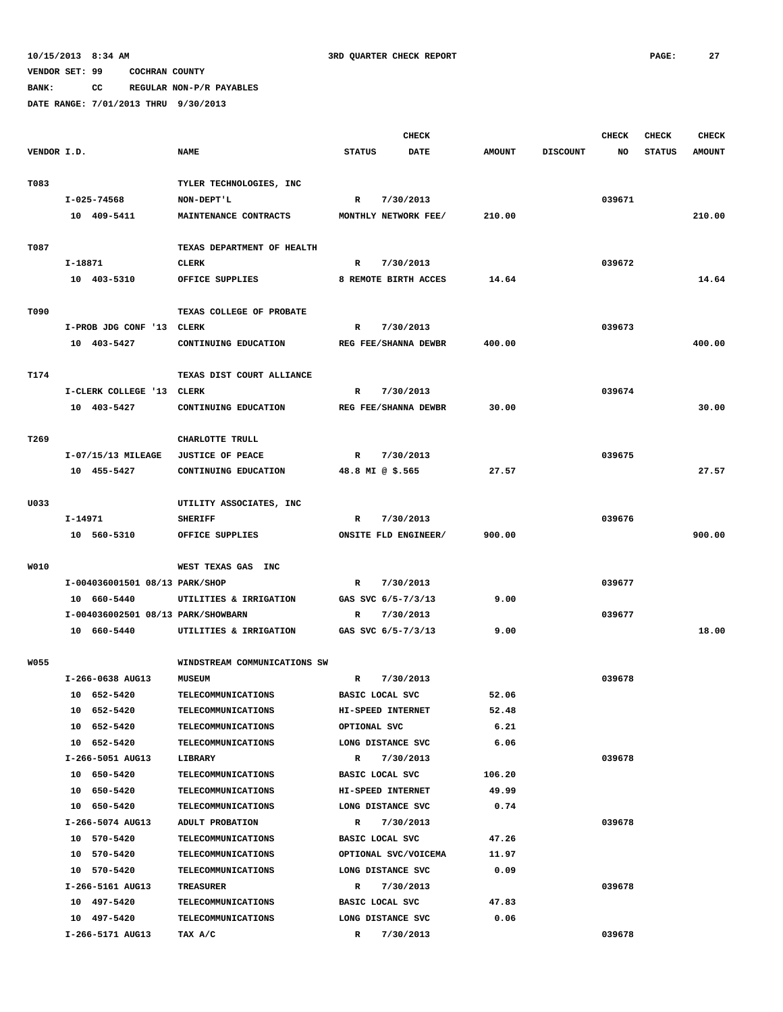**BANK: CC REGULAR NON-P/R PAYABLES**

|             |                                    |                              | <b>CHECK</b>     |                      |               |                 | <b>CHECK</b> | <b>CHECK</b>  | <b>CHECK</b>  |
|-------------|------------------------------------|------------------------------|------------------|----------------------|---------------|-----------------|--------------|---------------|---------------|
| VENDOR I.D. |                                    | <b>NAME</b>                  | <b>STATUS</b>    | <b>DATE</b>          | <b>AMOUNT</b> | <b>DISCOUNT</b> | NO           | <b>STATUS</b> | <b>AMOUNT</b> |
|             |                                    |                              |                  |                      |               |                 |              |               |               |
| T083        |                                    | TYLER TECHNOLOGIES, INC      |                  |                      |               |                 |              |               |               |
|             | I-025-74568                        | NON-DEPT'L                   | R                | 7/30/2013            |               |                 | 039671       |               |               |
|             | 10 409-5411                        | MAINTENANCE CONTRACTS        |                  | MONTHLY NETWORK FEE/ | 210.00        |                 |              |               | 210.00        |
|             |                                    |                              |                  |                      |               |                 |              |               |               |
| T087        |                                    | TEXAS DEPARTMENT OF HEALTH   |                  |                      |               |                 |              |               |               |
|             | I-18871                            | CLERK                        | R                | 7/30/2013            |               |                 | 039672       |               |               |
|             | 10 403-5310                        | OFFICE SUPPLIES              |                  | 8 REMOTE BIRTH ACCES | 14.64         |                 |              |               | 14.64         |
| T090        |                                    | TEXAS COLLEGE OF PROBATE     |                  |                      |               |                 |              |               |               |
|             | I-PROB JDG CONF '13 CLERK          |                              | R                | 7/30/2013            |               |                 | 039673       |               |               |
|             | 10 403-5427                        | CONTINUING EDUCATION         |                  | REG FEE/SHANNA DEWBR | 400.00        |                 |              |               | 400.00        |
|             |                                    |                              |                  |                      |               |                 |              |               |               |
| T174        |                                    | TEXAS DIST COURT ALLIANCE    |                  |                      |               |                 |              |               |               |
|             | I-CLERK COLLEGE '13 CLERK          |                              | R                | 7/30/2013            |               |                 | 039674       |               |               |
|             | 10 403-5427                        | CONTINUING EDUCATION         |                  | REG FEE/SHANNA DEWBR | 30.00         |                 |              |               | 30.00         |
|             |                                    |                              |                  |                      |               |                 |              |               |               |
| T269        |                                    | CHARLOTTE TRULL              |                  |                      |               |                 |              |               |               |
|             | I-07/15/13 MILEAGE                 | <b>JUSTICE OF PEACE</b>      | R                | 7/30/2013            |               |                 | 039675       |               |               |
|             | 10 455-5427                        | CONTINUING EDUCATION         | 48.8 MI @ \$.565 |                      | 27.57         |                 |              |               | 27.57         |
|             |                                    |                              |                  |                      |               |                 |              |               |               |
| U033        |                                    | UTILITY ASSOCIATES, INC      |                  |                      |               |                 |              |               |               |
|             | I-14971                            | <b>SHERIFF</b>               | R                | 7/30/2013            |               |                 | 039676       |               |               |
|             | 10 560-5310                        | OFFICE SUPPLIES              |                  | ONSITE FLD ENGINEER/ | 900.00        |                 |              |               | 900.00        |
|             |                                    |                              |                  |                      |               |                 |              |               |               |
| W010        |                                    | WEST TEXAS GAS INC           |                  |                      |               |                 |              |               |               |
|             | I-004036001501 08/13 PARK/SHOP     |                              | R                | 7/30/2013            |               |                 | 039677       |               |               |
|             | 10 660-5440                        | UTILITIES & IRRIGATION       |                  | GAS SVC 6/5-7/3/13   | 9.00          |                 |              |               |               |
|             | I-004036002501 08/13 PARK/SHOWBARN |                              | R                | 7/30/2013            | 9.00          |                 | 039677       |               | 18.00         |
|             | 10 660-5440                        | UTILITIES & IRRIGATION       |                  | GAS SVC 6/5-7/3/13   |               |                 |              |               |               |
| <b>W055</b> |                                    | WINDSTREAM COMMUNICATIONS SW |                  |                      |               |                 |              |               |               |
|             | I-266-0638 AUG13                   | <b>MUSEUM</b>                | R                | 7/30/2013            |               |                 | 039678       |               |               |
|             | 10 652-5420                        | <b>TELECOMMUNICATIONS</b>    | BASIC LOCAL SVC  |                      | 52.06         |                 |              |               |               |
|             | 10 652-5420                        | <b>TELECOMMUNICATIONS</b>    |                  | HI-SPEED INTERNET    | 52.48         |                 |              |               |               |
|             | 10 652-5420                        | <b>TELECOMMUNICATIONS</b>    | OPTIONAL SVC     |                      | 6.21          |                 |              |               |               |
|             | 10 652-5420                        | <b>TELECOMMUNICATIONS</b>    |                  | LONG DISTANCE SVC    | 6.06          |                 |              |               |               |
|             | I-266-5051 AUG13                   | LIBRARY                      | $\mathbb{R}$     | 7/30/2013            |               |                 | 039678       |               |               |
|             | 10 650-5420                        | <b>TELECOMMUNICATIONS</b>    | BASIC LOCAL SVC  |                      | 106.20        |                 |              |               |               |
|             | 10 650-5420                        | <b>TELECOMMUNICATIONS</b>    |                  | HI-SPEED INTERNET    | 49.99         |                 |              |               |               |
|             | 10 650-5420                        | <b>TELECOMMUNICATIONS</b>    |                  | LONG DISTANCE SVC    | 0.74          |                 |              |               |               |
|             | I-266-5074 AUG13                   | ADULT PROBATION              | R                | 7/30/2013            |               |                 | 039678       |               |               |
|             | 10 570-5420                        | <b>TELECOMMUNICATIONS</b>    | BASIC LOCAL SVC  |                      | 47.26         |                 |              |               |               |
|             | 10 570-5420                        | <b>TELECOMMUNICATIONS</b>    |                  | OPTIONAL SVC/VOICEMA | 11.97         |                 |              |               |               |
|             | 10 570-5420                        | <b>TELECOMMUNICATIONS</b>    |                  | LONG DISTANCE SVC    | 0.09          |                 |              |               |               |
|             | I-266-5161 AUG13                   | TREASURER                    | R                | 7/30/2013            |               |                 | 039678       |               |               |
|             | 10 497-5420                        | <b>TELECOMMUNICATIONS</b>    | BASIC LOCAL SVC  |                      | 47.83         |                 |              |               |               |
|             | 10 497-5420                        | <b>TELECOMMUNICATIONS</b>    |                  | LONG DISTANCE SVC    | 0.06          |                 |              |               |               |
|             | I-266-5171 AUG13                   | TAX A/C                      | R                | 7/30/2013            |               |                 | 039678       |               |               |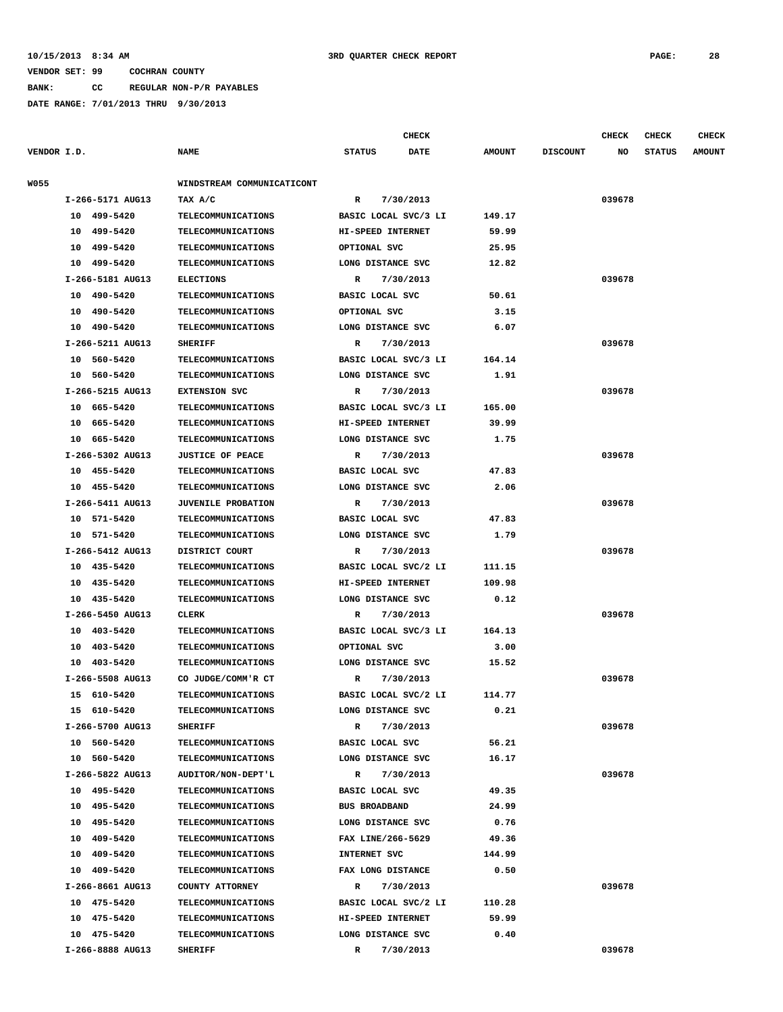#### **10/15/2013 8:34 AM 3RD QUARTER CHECK REPORT PAGE: 28**

#### **VENDOR SET: 99 COCHRAN COUNTY**

**BANK: CC REGULAR NON-P/R PAYABLES**

**DATE RANGE: 7/01/2013 THRU 9/30/2013**

|                  |                            | <b>CHECK</b>                 |               |                 | <b>CHECK</b> | <b>CHECK</b>  | <b>CHECK</b>  |  |
|------------------|----------------------------|------------------------------|---------------|-----------------|--------------|---------------|---------------|--|
| VENDOR I.D.      | <b>NAME</b>                | <b>STATUS</b><br><b>DATE</b> | <b>AMOUNT</b> | <b>DISCOUNT</b> | NO.          | <b>STATUS</b> | <b>AMOUNT</b> |  |
| W055             | WINDSTREAM COMMUNICATICONT |                              |               |                 |              |               |               |  |
| I-266-5171 AUG13 | TAX A/C                    | 7/30/2013<br>$\mathbb{R}$    |               |                 | 039678       |               |               |  |
| 499-5420<br>10   | <b>TELECOMMUNICATIONS</b>  | BASIC LOCAL SVC/3 LI         | 149.17        |                 |              |               |               |  |
| 499-5420<br>10   | <b>TELECOMMUNICATIONS</b>  | HI-SPEED INTERNET            | 59.99         |                 |              |               |               |  |
| 499-5420<br>10   | TELECOMMUNICATIONS         | OPTIONAL SVC                 | 25.95         |                 |              |               |               |  |
| 499-5420<br>10   | TELECOMMUNICATIONS         | LONG DISTANCE SVC            | 12.82         |                 |              |               |               |  |
| I-266-5181 AUG13 | <b>ELECTIONS</b>           | 7/30/2013<br>$\mathbb{R}$    |               |                 | 039678       |               |               |  |
| 10<br>490-5420   | <b>TELECOMMUNICATIONS</b>  | <b>BASIC LOCAL SVC</b>       | 50.61         |                 |              |               |               |  |
| 10<br>490-5420   | <b>TELECOMMUNICATIONS</b>  | OPTIONAL SVC                 | 3.15          |                 |              |               |               |  |
| 10<br>490-5420   | <b>TELECOMMUNICATIONS</b>  | LONG DISTANCE SVC            | 6.07          |                 |              |               |               |  |
| I-266-5211 AUG13 | <b>SHERIFF</b>             | $\mathbb{R}$<br>7/30/2013    |               |                 | 039678       |               |               |  |
| 10<br>560-5420   | TELECOMMUNICATIONS         | BASIC LOCAL SVC/3 LI         | 164.14        |                 |              |               |               |  |
| 560-5420<br>10   | TELECOMMUNICATIONS         | LONG DISTANCE SVC            | 1.91          |                 |              |               |               |  |
| I-266-5215 AUG13 | <b>EXTENSION SVC</b>       | 7/30/2013<br>R               |               |                 | 039678       |               |               |  |
| 665-5420<br>10   | TELECOMMUNICATIONS         | BASIC LOCAL SVC/3 LI         | 165.00        |                 |              |               |               |  |
| 665-5420<br>10   | <b>TELECOMMUNICATIONS</b>  | HI-SPEED INTERNET            | 39.99         |                 |              |               |               |  |
| 10 665-5420      | <b>TELECOMMUNICATIONS</b>  | LONG DISTANCE SVC            | 1.75          |                 |              |               |               |  |
| I-266-5302 AUG13 | <b>JUSTICE OF PEACE</b>    | R<br>7/30/2013               |               |                 | 039678       |               |               |  |
| 10 455-5420      | TELECOMMUNICATIONS         | BASIC LOCAL SVC              | 47.83         |                 |              |               |               |  |
| 10<br>455-5420   | TELECOMMUNICATIONS         | LONG DISTANCE SVC            | 2.06          |                 |              |               |               |  |
| I-266-5411 AUG13 | <b>JUVENILE PROBATION</b>  | R<br>7/30/2013               |               |                 | 039678       |               |               |  |
| 571-5420<br>10   | TELECOMMUNICATIONS         | BASIC LOCAL SVC              | 47.83         |                 |              |               |               |  |
| 10<br>571-5420   | TELECOMMUNICATIONS         | LONG DISTANCE SVC            | 1.79          |                 |              |               |               |  |
| I-266-5412 AUG13 | DISTRICT COURT             | $\mathbb{R}$<br>7/30/2013    |               |                 | 039678       |               |               |  |
| 435-5420<br>10   | <b>TELECOMMUNICATIONS</b>  | BASIC LOCAL SVC/2 LI         | 111.15        |                 |              |               |               |  |
| 10<br>435-5420   | TELECOMMUNICATIONS         | HI-SPEED INTERNET            | 109.98        |                 |              |               |               |  |
| 10<br>435-5420   | TELECOMMUNICATIONS         | LONG DISTANCE SVC            | 0.12          |                 |              |               |               |  |
| I-266-5450 AUG13 | <b>CLERK</b>               | $\mathbb{R}$<br>7/30/2013    |               |                 | 039678       |               |               |  |
| 403-5420<br>10   | TELECOMMUNICATIONS         | BASIC LOCAL SVC/3 LI         | 164.13        |                 |              |               |               |  |
| 10<br>403-5420   | TELECOMMUNICATIONS         | OPTIONAL SVC                 | 3.00          |                 |              |               |               |  |
| 403-5420<br>10   | TELECOMMUNICATIONS         | LONG DISTANCE SVC            | 15.52         |                 |              |               |               |  |
| I-266-5508 AUG13 | CO JUDGE/COMM'R CT         | $\mathbb R$<br>7/30/2013     |               |                 | 039678       |               |               |  |
| 15 610-5420      | TELECOMMUNICATIONS         | BASIC LOCAL SVC/2 LI         | 114.77        |                 |              |               |               |  |
| 15 610-5420      | <b>TELECOMMUNICATIONS</b>  | LONG DISTANCE SVC            | 0.21          |                 |              |               |               |  |
| I-266-5700 AUG13 | <b>SHERIFF</b>             | $\mathbb{R}$<br>7/30/2013    |               |                 | 039678       |               |               |  |

 **10 560-5420 TELECOMMUNICATIONS BASIC LOCAL SVC 56.21 10 560-5420 TELECOMMUNICATIONS LONG DISTANCE SVC 16.17 I-266-5822 AUG13 AUDITOR/NON-DEPT'L R 7/30/2013 039678 10 495-5420 TELECOMMUNICATIONS BASIC LOCAL SVC 49.35 10 495-5420 TELECOMMUNICATIONS BUS BROADBAND 24.99 10 495-5420 TELECOMMUNICATIONS LONG DISTANCE SVC 0.76 10 409-5420 TELECOMMUNICATIONS FAX LINE/266-5629 49.36 10 409-5420 TELECOMMUNICATIONS INTERNET SVC 144.99 10 409-5420 TELECOMMUNICATIONS FAX LONG DISTANCE 0.50 I-266-8661 AUG13 COUNTY ATTORNEY R 7/30/2013 039678 10 475-5420 TELECOMMUNICATIONS BASIC LOCAL SVC/2 LI 110.28 10 475-5420 TELECOMMUNICATIONS HI-SPEED INTERNET 59.99 10 475-5420 TELECOMMUNICATIONS LONG DISTANCE SVC 0.40 I-266-8888 AUG13 SHERIFF R 7/30/2013 039678**

| n | 396 |  |  |
|---|-----|--|--|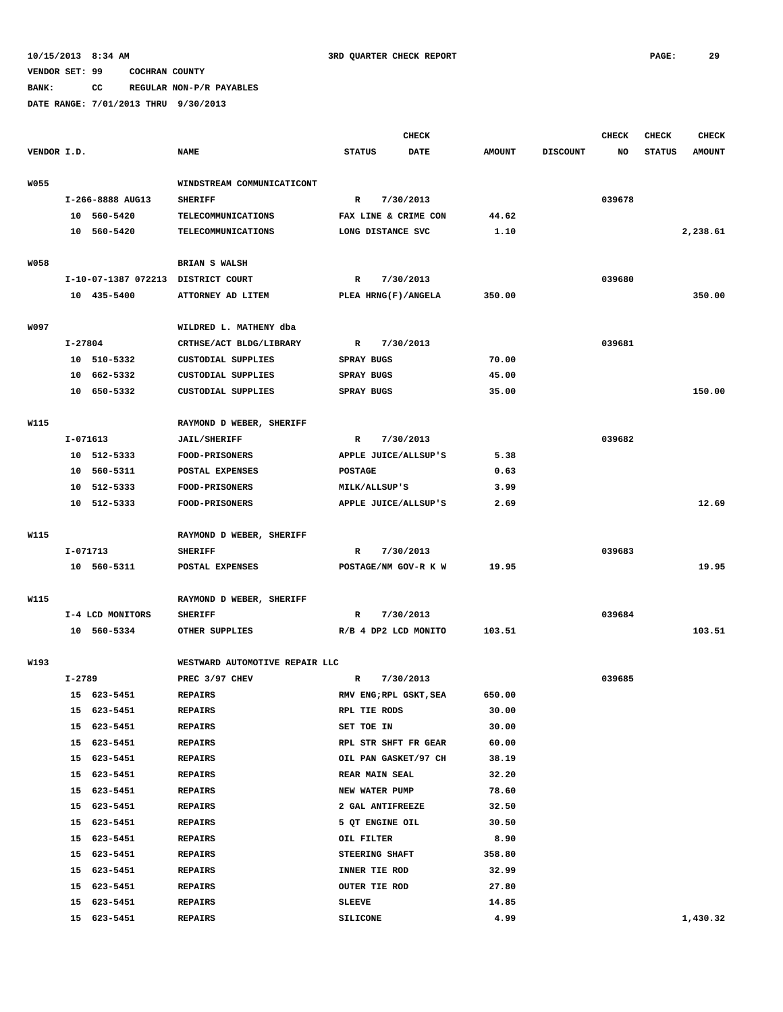**BANK: CC REGULAR NON-P/R PAYABLES**

|             |            |                                    |                                            |                           | <b>CHECK</b> |               |                 | <b>CHECK</b> | <b>CHECK</b>  | <b>CHECK</b>  |
|-------------|------------|------------------------------------|--------------------------------------------|---------------------------|--------------|---------------|-----------------|--------------|---------------|---------------|
| VENDOR I.D. |            |                                    | <b>NAME</b>                                | <b>STATUS</b>             | DATE         | <b>AMOUNT</b> | <b>DISCOUNT</b> | NO           | <b>STATUS</b> | <b>AMOUNT</b> |
| <b>W055</b> |            |                                    | WINDSTREAM COMMUNICATICONT                 |                           |              |               |                 |              |               |               |
|             |            | I-266-8888 AUG13                   | <b>SHERIFF</b>                             | $\mathbb{R}$              | 7/30/2013    |               |                 | 039678       |               |               |
|             |            | 10 560-5420                        | <b>TELECOMMUNICATIONS</b>                  | FAX LINE & CRIME CON      |              | 44.62         |                 |              |               |               |
|             |            | 10 560-5420                        | TELECOMMUNICATIONS                         | LONG DISTANCE SVC         |              | 1.10          |                 |              |               | 2,238.61      |
|             |            |                                    |                                            |                           |              |               |                 |              |               |               |
| <b>W058</b> |            |                                    | <b>BRIAN S WALSH</b>                       |                           |              |               |                 |              |               |               |
|             |            | I-10-07-1387 072213 DISTRICT COURT |                                            | R                         | 7/30/2013    |               |                 | 039680       |               |               |
|             |            | 10 435-5400                        | ATTORNEY AD LITEM                          | PLEA HRNG(F)/ANGELA       |              | 350.00        |                 |              |               | 350.00        |
|             |            |                                    |                                            |                           |              |               |                 |              |               |               |
| W097        |            |                                    | WILDRED L. MATHENY dba                     |                           |              |               |                 |              |               |               |
|             | I-27804    |                                    | CRTHSE/ACT BLDG/LIBRARY                    | R                         | 7/30/2013    |               |                 | 039681       |               |               |
|             |            | 10 510-5332                        | <b>CUSTODIAL SUPPLIES</b>                  | <b>SPRAY BUGS</b>         |              | 70.00         |                 |              |               |               |
|             |            | 10 662-5332                        | CUSTODIAL SUPPLIES                         | SPRAY BUGS                |              | 45.00         |                 |              |               |               |
|             |            | 10 650-5332                        | <b>CUSTODIAL SUPPLIES</b>                  | SPRAY BUGS                |              | 35.00         |                 |              |               | 150.00        |
|             |            |                                    |                                            |                           |              |               |                 |              |               |               |
| W115        |            |                                    | RAYMOND D WEBER, SHERIFF                   |                           |              |               |                 |              |               |               |
|             | I-071613   |                                    | <b>JAIL/SHERIFF</b>                        | R                         | 7/30/2013    |               |                 | 039682       |               |               |
|             |            | 10 512-5333                        | FOOD-PRISONERS                             | APPLE JUICE/ALLSUP'S      |              | 5.38          |                 |              |               |               |
|             |            | 10 560-5311                        | POSTAL EXPENSES                            | <b>POSTAGE</b>            |              | 0.63          |                 |              |               |               |
|             |            | 10 512-5333                        | <b>FOOD-PRISONERS</b>                      | MILK/ALLSUP'S             |              | 3.99          |                 |              |               |               |
|             |            | 10 512-5333                        | <b>FOOD-PRISONERS</b>                      | APPLE JUICE/ALLSUP'S      |              | 2.69          |                 |              |               | 12.69         |
|             |            |                                    |                                            |                           |              |               |                 |              |               |               |
| W115        |            |                                    | RAYMOND D WEBER, SHERIFF                   |                           |              |               |                 |              |               |               |
|             |            | I-071713                           | <b>SHERIFF</b>                             | R                         | 7/30/2013    |               |                 | 039683       |               |               |
|             |            | 10 560-5311                        | POSTAL EXPENSES                            | POSTAGE/NM GOV-R K W      |              | 19.95         |                 |              |               | 19.95         |
| W115        |            |                                    |                                            |                           |              |               |                 |              |               |               |
|             |            |                                    | RAYMOND D WEBER, SHERIFF<br><b>SHERIFF</b> |                           |              |               |                 | 039684       |               |               |
|             |            | I-4 LCD MONITORS                   | OTHER SUPPLIES                             | R<br>R/B 4 DP2 LCD MONITO | 7/30/2013    | 103.51        |                 |              |               | 103.51        |
|             |            | 10 560-5334                        |                                            |                           |              |               |                 |              |               |               |
| W193        |            |                                    | WESTWARD AUTOMOTIVE REPAIR LLC             |                           |              |               |                 |              |               |               |
|             | $I - 2789$ |                                    | PREC 3/97 CHEV                             | R                         | 7/30/2013    |               |                 | 039685       |               |               |
|             |            | 15 623-5451                        | <b>REPAIRS</b>                             | RMV ENG; RPL GSKT, SEA    |              | 650.00        |                 |              |               |               |
|             |            | 15 623-5451                        | <b>REPAIRS</b>                             | RPL TIE RODS              |              | 30.00         |                 |              |               |               |
|             |            | 15 623-5451                        | <b>REPAIRS</b>                             | SET TOE IN                |              | 30.00         |                 |              |               |               |
|             | 15         | 623-5451                           | <b>REPAIRS</b>                             | RPL STR SHFT FR GEAR      |              | 60.00         |                 |              |               |               |
|             | 15         | 623-5451                           | <b>REPAIRS</b>                             | OIL PAN GASKET/97 CH      |              | 38.19         |                 |              |               |               |
|             | 15         | 623-5451                           | <b>REPAIRS</b>                             | <b>REAR MAIN SEAL</b>     |              | 32.20         |                 |              |               |               |
|             | 15         | 623-5451                           | <b>REPAIRS</b>                             | NEW WATER PUMP            |              | 78.60         |                 |              |               |               |
|             | 15         | 623-5451                           | <b>REPAIRS</b>                             | 2 GAL ANTIFREEZE          |              | 32.50         |                 |              |               |               |
|             | 15         | 623-5451                           | <b>REPAIRS</b>                             | 5 QT ENGINE OIL           |              | 30.50         |                 |              |               |               |
|             | 15         | 623-5451                           | <b>REPAIRS</b>                             | OIL FILTER                |              | 8.90          |                 |              |               |               |
|             | 15         | 623-5451                           | <b>REPAIRS</b>                             | STEERING SHAFT            |              | 358.80        |                 |              |               |               |
|             | 15         | 623-5451                           | <b>REPAIRS</b>                             | INNER TIE ROD             |              | 32.99         |                 |              |               |               |
|             | 15         | 623-5451                           | <b>REPAIRS</b>                             | OUTER TIE ROD             |              | 27.80         |                 |              |               |               |
|             | 15         | 623-5451                           | <b>REPAIRS</b>                             | SLEEVE                    |              | 14.85         |                 |              |               |               |
|             |            | 15 623-5451                        | <b>REPAIRS</b>                             | <b>SILICONE</b>           |              | 4.99          |                 |              |               | 1,430.32      |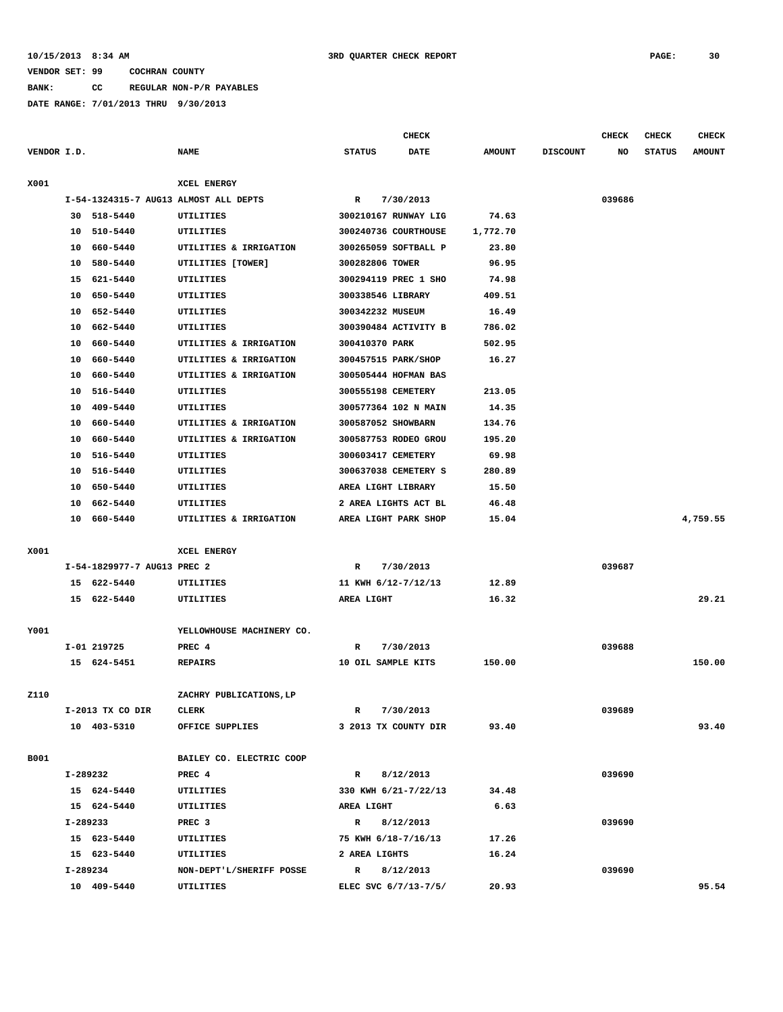**BANK: CC REGULAR NON-P/R PAYABLES**

|             |          |                             |                                       |                    | <b>CHECK</b>         |               |                 | <b>CHECK</b> | <b>CHECK</b>  | <b>CHECK</b>  |
|-------------|----------|-----------------------------|---------------------------------------|--------------------|----------------------|---------------|-----------------|--------------|---------------|---------------|
| VENDOR I.D. |          |                             | <b>NAME</b>                           | <b>STATUS</b>      | <b>DATE</b>          | <b>AMOUNT</b> | <b>DISCOUNT</b> | NO           | <b>STATUS</b> | <b>AMOUNT</b> |
| X001        |          |                             | XCEL ENERGY                           |                    |                      |               |                 |              |               |               |
|             |          |                             | I-54-1324315-7 AUG13 ALMOST ALL DEPTS | R                  | 7/30/2013            |               |                 | 039686       |               |               |
|             | 30       | 518-5440                    | UTILITIES                             |                    | 300210167 RUNWAY LIG | 74.63         |                 |              |               |               |
|             | 10       | 510-5440                    | UTILITIES                             |                    | 300240736 COURTHOUSE | 1,772.70      |                 |              |               |               |
|             | 10       | 660-5440                    | UTILITIES & IRRIGATION                |                    | 300265059 SOFTBALL P | 23.80         |                 |              |               |               |
|             | 10       | 580-5440                    | UTILITIES [TOWER]                     | 300282806 TOWER    |                      | 96.95         |                 |              |               |               |
|             | 15       | 621-5440                    | UTILITIES                             |                    | 300294119 PREC 1 SHO | 74.98         |                 |              |               |               |
|             | 10       | 650-5440                    | UTILITIES                             | 300338546 LIBRARY  |                      | 409.51        |                 |              |               |               |
|             | 10       | 652-5440                    | UTILITIES                             | 300342232 MUSEUM   |                      | 16.49         |                 |              |               |               |
|             | 10       | 662-5440                    | UTILITIES                             |                    | 300390484 ACTIVITY B | 786.02        |                 |              |               |               |
|             | 10       | 660-5440                    | UTILITIES & IRRIGATION                | 300410370 PARK     |                      | 502.95        |                 |              |               |               |
|             | 10       | 660-5440                    | UTILITIES & IRRIGATION                |                    | 300457515 PARK/SHOP  | 16.27         |                 |              |               |               |
|             | 10       | 660-5440                    | UTILITIES & IRRIGATION                |                    | 300505444 HOFMAN BAS |               |                 |              |               |               |
|             | 10       | 516-5440                    | UTILITIES                             | 300555198 CEMETERY |                      | 213.05        |                 |              |               |               |
|             | 10       | 409-5440                    | UTILITIES                             |                    | 300577364 102 N MAIN | 14.35         |                 |              |               |               |
|             | 10       | 660-5440                    | UTILITIES & IRRIGATION                | 300587052 SHOWBARN |                      | 134.76        |                 |              |               |               |
|             | 10       | 660-5440                    | UTILITIES & IRRIGATION                |                    | 300587753 RODEO GROU | 195.20        |                 |              |               |               |
|             | 10       | 516-5440                    | UTILITIES                             | 300603417 CEMETERY |                      | 69.98         |                 |              |               |               |
|             | 10       | 516-5440                    | UTILITIES                             |                    | 300637038 CEMETERY S | 280.89        |                 |              |               |               |
|             | 10       | 650-5440                    | UTILITIES                             | AREA LIGHT LIBRARY |                      | 15.50         |                 |              |               |               |
|             | 10       | 662-5440                    | UTILITIES                             |                    | 2 AREA LIGHTS ACT BL | 46.48         |                 |              |               |               |
|             | 10       | 660-5440                    | UTILITIES & IRRIGATION                |                    | AREA LIGHT PARK SHOP | 15.04         |                 |              |               | 4,759.55      |
| X001        |          |                             | XCEL ENERGY                           |                    |                      |               |                 |              |               |               |
|             |          | I-54-1829977-7 AUG13 PREC 2 |                                       | R                  | 7/30/2013            |               |                 | 039687       |               |               |
|             |          | 15 622-5440                 | UTILITIES                             |                    | 11 KWH 6/12-7/12/13  | 12.89         |                 |              |               |               |
|             |          | 15 622-5440                 | UTILITIES                             | AREA LIGHT         |                      | 16.32         |                 |              |               | 29.21         |
| Y001        |          |                             | YELLOWHOUSE MACHINERY CO.             |                    |                      |               |                 |              |               |               |
|             |          | I-01 219725                 | PREC 4                                | R                  | 7/30/2013            |               |                 | 039688       |               |               |
|             |          | 15 624-5451                 | <b>REPAIRS</b>                        | 10 OIL SAMPLE KITS |                      | 150.00        |                 |              |               | 150.00        |
|             |          |                             |                                       |                    |                      |               |                 |              |               |               |
| Z110        |          |                             | ZACHRY PUBLICATIONS, LP               |                    |                      |               |                 |              |               |               |
|             |          | I-2013 TX CO DIR            | CLERK                                 | $\mathbb{R}$       | 7/30/2013            |               |                 | 039689       |               |               |
|             |          | 10 403-5310                 | OFFICE SUPPLIES                       |                    | 3 2013 TX COUNTY DIR | 93.40         |                 |              |               | 93.40         |
| B001        |          |                             | BAILEY CO. ELECTRIC COOP              |                    |                      |               |                 |              |               |               |
|             | I-289232 |                             | PREC 4                                | $\mathbb{R}$       | 8/12/2013            |               |                 | 039690       |               |               |
|             |          | 15 624-5440                 | UTILITIES                             |                    | 330 KWH 6/21-7/22/13 | 34.48         |                 |              |               |               |
|             |          | 15 624-5440                 | UTILITIES                             | AREA LIGHT         |                      | 6.63          |                 |              |               |               |
|             | I-289233 |                             | PREC <sub>3</sub>                     | $\mathbb{R}$       | 8/12/2013            |               |                 | 039690       |               |               |
|             |          | 15 623-5440                 | UTILITIES                             |                    | 75 KWH 6/18-7/16/13  | 17.26         |                 |              |               |               |
|             |          | 15 623-5440                 | UTILITIES                             | 2 AREA LIGHTS      |                      | 16.24         |                 |              |               |               |
|             | I-289234 |                             | NON-DEPT'L/SHERIFF POSSE              | $\mathbf{R}$       | 8/12/2013            |               |                 | 039690       |               |               |
|             |          | 10 409-5440                 | UTILITIES                             |                    | ELEC SVC 6/7/13-7/5/ | 20.93         |                 |              |               | 95.54         |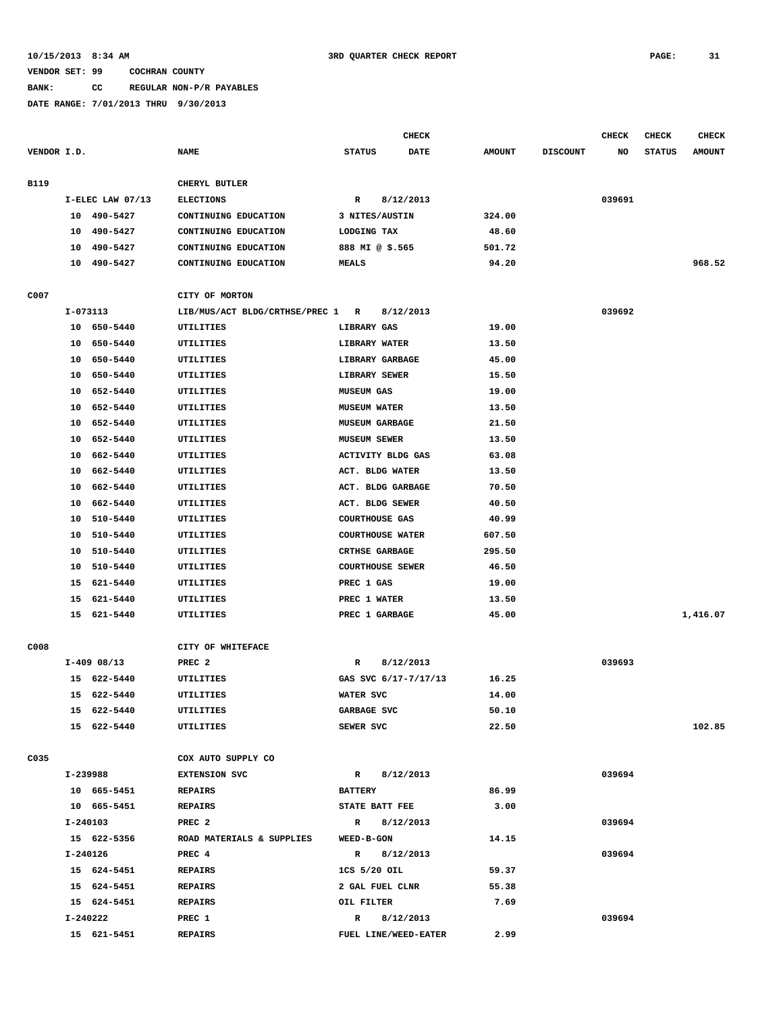# **BANK: CC REGULAR NON-P/R PAYABLES**

|             |          |                  |                                |                          | <b>CHECK</b> |               |                 | <b>CHECK</b> | <b>CHECK</b>  | <b>CHECK</b>  |
|-------------|----------|------------------|--------------------------------|--------------------------|--------------|---------------|-----------------|--------------|---------------|---------------|
| VENDOR I.D. |          |                  | <b>NAME</b>                    | <b>STATUS</b>            | <b>DATE</b>  | <b>AMOUNT</b> | <b>DISCOUNT</b> | NO           | <b>STATUS</b> | <b>AMOUNT</b> |
|             |          |                  |                                |                          |              |               |                 |              |               |               |
| B119        |          |                  | CHERYL BUTLER                  |                          |              |               |                 |              |               |               |
|             |          | I-ELEC LAW 07/13 | <b>ELECTIONS</b>               | R                        | 8/12/2013    |               |                 | 039691       |               |               |
|             |          | 10 490-5427      | CONTINUING EDUCATION           | 3 NITES/AUSTIN           |              | 324.00        |                 |              |               |               |
|             |          | 10 490-5427      | CONTINUING EDUCATION           | LODGING TAX              |              | 48.60         |                 |              |               |               |
|             | 10       | 490-5427         | CONTINUING EDUCATION           | 888 MI @ \$.565          |              | 501.72        |                 |              |               |               |
|             | 10       | 490-5427         | CONTINUING EDUCATION           | <b>MEALS</b>             |              | 94.20         |                 |              |               | 968.52        |
|             |          |                  |                                |                          |              |               |                 |              |               |               |
| C007        |          |                  | CITY OF MORTON                 |                          |              |               |                 |              |               |               |
|             | I-073113 |                  | LIB/MUS/ACT BLDG/CRTHSE/PREC 1 | R                        | 8/12/2013    |               |                 | 039692       |               |               |
|             |          | 10 650-5440      | UTILITIES                      | LIBRARY GAS              |              | 19.00         |                 |              |               |               |
|             |          | 10 650-5440      | UTILITIES                      | LIBRARY WATER            |              | 13.50         |                 |              |               |               |
|             |          | 10 650-5440      | UTILITIES                      | LIBRARY GARBAGE          |              | 45.00         |                 |              |               |               |
|             |          | 10 650-5440      | UTILITIES                      | LIBRARY SEWER            |              | 15.50         |                 |              |               |               |
|             |          | 10 652-5440      | UTILITIES                      | <b>MUSEUM GAS</b>        |              | 19.00         |                 |              |               |               |
|             | 10       | 652-5440         | UTILITIES                      | <b>MUSEUM WATER</b>      |              | 13.50         |                 |              |               |               |
|             | 10       | 652-5440         | UTILITIES                      | <b>MUSEUM GARBAGE</b>    |              | 21.50         |                 |              |               |               |
|             |          | 10 652-5440      | UTILITIES                      | MUSEUM SEWER             |              | 13.50         |                 |              |               |               |
|             | 10       | 662-5440         | UTILITIES                      | <b>ACTIVITY BLDG GAS</b> |              | 63.08         |                 |              |               |               |
|             | 10       | 662-5440         | UTILITIES                      | ACT. BLDG WATER          |              | 13.50         |                 |              |               |               |
|             | 10       | 662-5440         | UTILITIES                      | ACT. BLDG GARBAGE        |              | 70.50         |                 |              |               |               |
|             | 10       | 662-5440         | UTILITIES                      | ACT. BLDG SEWER          |              | 40.50         |                 |              |               |               |
|             | 10       | 510-5440         | UTILITIES                      | <b>COURTHOUSE GAS</b>    |              | 40.99         |                 |              |               |               |
|             | 10       | 510-5440         | UTILITIES                      | <b>COURTHOUSE WATER</b>  |              | 607.50        |                 |              |               |               |
|             |          | 10 510-5440      | UTILITIES                      | <b>CRTHSE GARBAGE</b>    |              | 295.50        |                 |              |               |               |
|             |          | 10 510-5440      | UTILITIES                      | <b>COURTHOUSE SEWER</b>  |              | 46.50         |                 |              |               |               |
|             |          | 15 621-5440      | UTILITIES                      | PREC 1 GAS               |              | 19.00         |                 |              |               |               |
|             | 15       | 621-5440         | UTILITIES                      | PREC 1 WATER             |              | 13.50         |                 |              |               |               |
|             | 15       | 621-5440         | UTILITIES                      | PREC 1 GARBAGE           |              | 45.00         |                 |              |               | 1,416.07      |
|             |          |                  |                                |                          |              |               |                 |              |               |               |
| C008        |          |                  | CITY OF WHITEFACE              |                          |              |               |                 |              |               |               |
|             |          | $I-409$ 08/13    | PREC <sub>2</sub>              | R                        | 8/12/2013    |               |                 | 039693       |               |               |
|             |          | 15 622-5440      | UTILITIES                      | GAS SVC 6/17-7/17/13     |              | 16.25         |                 |              |               |               |
|             |          | 15 622-5440      | UTILITIES                      | WATER SVC                |              | 14.00         |                 |              |               |               |
|             |          | 15 622-5440      | UTILITIES                      | GARBAGE SVC              |              | 50.10         |                 |              |               |               |
|             |          | 15 622-5440      | UTILITIES                      | SEWER SVC                |              | 22.50         |                 |              |               | 102.85        |
|             |          |                  |                                |                          |              |               |                 |              |               |               |
| C035        |          |                  | COX AUTO SUPPLY CO             |                          |              |               |                 |              |               |               |
|             |          | I-239988         | EXTENSION SVC                  | R 8/12/2013              |              |               |                 | 039694       |               |               |
|             |          | 10 665-5451      | <b>REPAIRS</b>                 | <b>BATTERY</b>           |              | 86.99         |                 |              |               |               |
|             |          | 10 665-5451      | <b>REPAIRS</b>                 | STATE BATT FEE           |              | 3.00          |                 |              |               |               |
|             |          | I-240103         | PREC <sub>2</sub>              | R 8/12/2013              |              |               |                 | 039694       |               |               |
|             |          | 15 622-5356      | ROAD MATERIALS & SUPPLIES      | <b>WEED-B-GON</b>        |              | 14.15         |                 |              |               |               |
|             |          | I-240126         | PREC 4                         | R 8/12/2013              |              |               |                 | 039694       |               |               |
|             |          | 15 624-5451      | <b>REPAIRS</b>                 | 1CS 5/20 OIL             |              | 59.37         |                 |              |               |               |
|             |          | 15 624-5451      | <b>REPAIRS</b>                 | 2 GAL FUEL CLNR          |              | 55.38         |                 |              |               |               |
|             |          | 15 624-5451      | <b>REPAIRS</b>                 | OIL FILTER               |              | 7.69          |                 |              |               |               |
|             |          | I-240222         | PREC 1                         | R 8/12/2013              |              |               |                 | 039694       |               |               |
|             |          | 15 621-5451      | <b>REPAIRS</b>                 | FUEL LINE/WEED-EATER     |              | 2.99          |                 |              |               |               |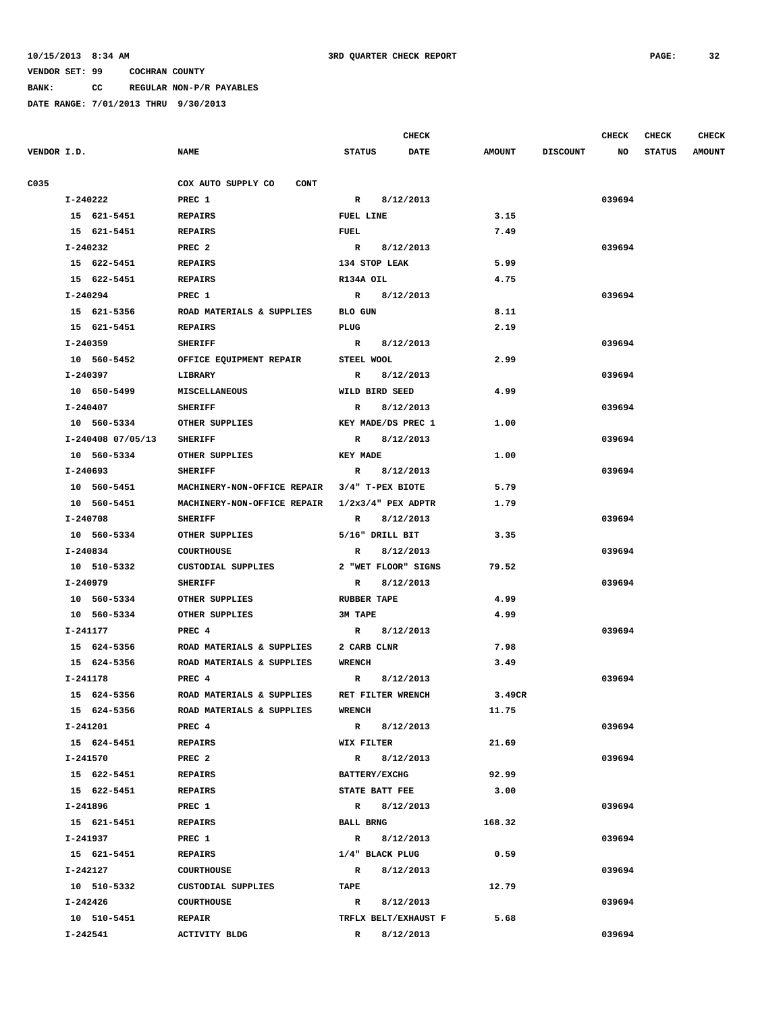**BANK: CC REGULAR NON-P/R PAYABLES**

|             |                   |                                                |                      | <b>CHECK</b> |               |                 | CHECK  | <b>CHECK</b>  | <b>CHECK</b>  |
|-------------|-------------------|------------------------------------------------|----------------------|--------------|---------------|-----------------|--------|---------------|---------------|
| VENDOR I.D. |                   | <b>NAME</b>                                    | <b>STATUS</b>        | <b>DATE</b>  | <b>AMOUNT</b> | <b>DISCOUNT</b> | NO     | <b>STATUS</b> | <b>AMOUNT</b> |
| C035        |                   | COX AUTO SUPPLY CO<br>CONT                     |                      |              |               |                 |        |               |               |
|             | I-240222          | PREC 1                                         | $\mathbf{R}$         | 8/12/2013    |               |                 | 039694 |               |               |
|             | 15 621-5451       | <b>REPAIRS</b>                                 | FUEL LINE            |              | 3.15          |                 |        |               |               |
|             | 15 621-5451       | REPAIRS                                        | <b>FUEL</b>          |              | 7.49          |                 |        |               |               |
|             | I-240232          | PREC <sub>2</sub>                              | $\mathbb{R}$         | 8/12/2013    |               |                 | 039694 |               |               |
|             | 15 622-5451       | <b>REPAIRS</b>                                 | 134 STOP LEAK        |              | 5.99          |                 |        |               |               |
|             | 15 622-5451       | <b>REPAIRS</b>                                 | R134A OIL            |              | 4.75          |                 |        |               |               |
|             | I-240294          | PREC 1                                         | R 8/12/2013          |              |               |                 | 039694 |               |               |
|             | 15 621-5356       | ROAD MATERIALS & SUPPLIES                      | BLO GUN              |              | 8.11          |                 |        |               |               |
|             | 15 621-5451       | <b>REPAIRS</b>                                 | PLUG                 |              | 2.19          |                 |        |               |               |
|             | I-240359          | <b>SHERIFF</b>                                 | R 8/12/2013          |              |               |                 | 039694 |               |               |
|             | 10 560-5452       | OFFICE EQUIPMENT REPAIR                        | STEEL WOOL           |              | 2.99          |                 |        |               |               |
|             | I-240397          | LIBRARY                                        | R 8/12/2013          |              |               |                 | 039694 |               |               |
|             | 10 650-5499       | <b>MISCELLANEOUS</b>                           | WILD BIRD SEED       |              | 4.99          |                 |        |               |               |
|             | I-240407          | <b>SHERIFF</b>                                 | $\mathbb{R}$         | 8/12/2013    |               |                 | 039694 |               |               |
|             | 10 560-5334       | OTHER SUPPLIES                                 | KEY MADE/DS PREC 1   |              | 1.00          |                 |        |               |               |
|             | I-240408 07/05/13 | <b>SHERIFF</b>                                 | R 8/12/2013          |              |               |                 | 039694 |               |               |
|             | 10 560-5334       | OTHER SUPPLIES                                 | <b>KEY MADE</b>      |              | 1.00          |                 |        |               |               |
|             | I-240693          | <b>SHERIFF</b>                                 | R                    | 8/12/2013    |               |                 | 039694 |               |               |
|             | 10 560-5451       | MACHINERY-NON-OFFICE REPAIR 3/4" T-PEX BIOTE   |                      |              | 5.79          |                 |        |               |               |
|             | 10 560-5451       | MACHINERY-NON-OFFICE REPAIR 1/2x3/4" PEX ADPTR |                      |              | 1.79          |                 |        |               |               |
|             | I-240708          | <b>SHERIFF</b>                                 | $\mathbb{R}$         | 8/12/2013    |               |                 | 039694 |               |               |
|             | 10 560-5334       | OTHER SUPPLIES                                 | 5/16" DRILL BIT      |              | 3.35          |                 |        |               |               |
|             | I-240834          | <b>COURTHOUSE</b>                              | R                    | 8/12/2013    |               |                 | 039694 |               |               |
|             | 10 510-5332       | CUSTODIAL SUPPLIES                             | 2 "WET FLOOR" SIGNS  |              | 79.52         |                 |        |               |               |
|             | I-240979          | <b>SHERIFF</b>                                 | R                    | 8/12/2013    |               |                 | 039694 |               |               |
|             | 10 560-5334       | OTHER SUPPLIES                                 | <b>RUBBER TAPE</b>   |              | 4.99          |                 |        |               |               |
|             | 10 560-5334       | OTHER SUPPLIES                                 | 3M TAPE              |              | 4.99          |                 |        |               |               |
|             | I-241177          | PREC 4                                         | $\mathbf{R}$         | 8/12/2013    |               |                 | 039694 |               |               |
|             | 15 624-5356       | ROAD MATERIALS & SUPPLIES                      | 2 CARB CLNR          |              | 7.98          |                 |        |               |               |
|             | 15 624-5356       | ROAD MATERIALS & SUPPLIES                      | WRENCH               |              | 3.49          |                 |        |               |               |
|             | I-241178          | PREC 4                                         | R 8/12/2013          |              |               |                 | 039694 |               |               |
|             | 15 624-5356       | ROAD MATERIALS & SUPPLIES                      | RET FILTER WRENCH    |              | 3.49CR        |                 |        |               |               |
|             | 15 624-5356       | ROAD MATERIALS & SUPPLIES                      | <b>WRENCH</b>        |              | 11.75         |                 |        |               |               |
|             | I-241201          | PREC 4                                         | R 8/12/2013          |              |               |                 | 039694 |               |               |
|             | 15 624-5451       | REPAIRS                                        | WIX FILTER           |              | 21.69         |                 |        |               |               |
|             | I-241570          | PREC <sub>2</sub>                              | R 8/12/2013          |              |               |                 | 039694 |               |               |
|             | 15 622-5451       | <b>REPAIRS</b>                                 | <b>BATTERY/EXCHG</b> |              | 92.99         |                 |        |               |               |
|             | 15 622-5451       | <b>REPAIRS</b>                                 | STATE BATT FEE       |              | 3.00          |                 |        |               |               |
|             | I-241896          | PREC 1                                         | R 8/12/2013          |              |               |                 | 039694 |               |               |
|             | 15 621-5451       | <b>REPAIRS</b>                                 | <b>BALL BRNG</b>     |              | 168.32        |                 |        |               |               |
|             | I-241937          | PREC 1                                         | R 8/12/2013          |              |               |                 | 039694 |               |               |
|             | 15 621-5451       | REPAIRS                                        | 1/4" BLACK PLUG      |              | 0.59          |                 |        |               |               |
|             | I-242127          | <b>COURTHOUSE</b>                              | R 8/12/2013          |              |               |                 | 039694 |               |               |
|             | 10 510-5332       | CUSTODIAL SUPPLIES                             | <b>TAPE</b>          |              | 12.79         |                 |        |               |               |
|             | I-242426          | <b>COURTHOUSE</b>                              | R 8/12/2013          |              |               |                 | 039694 |               |               |
|             | 10 510-5451       | <b>REPAIR</b>                                  | TRFLX BELT/EXHAUST F |              | 5.68          |                 |        |               |               |
|             | I-242541          | <b>ACTIVITY BLDG</b>                           | $\mathbb{R}$         | 8/12/2013    |               |                 | 039694 |               |               |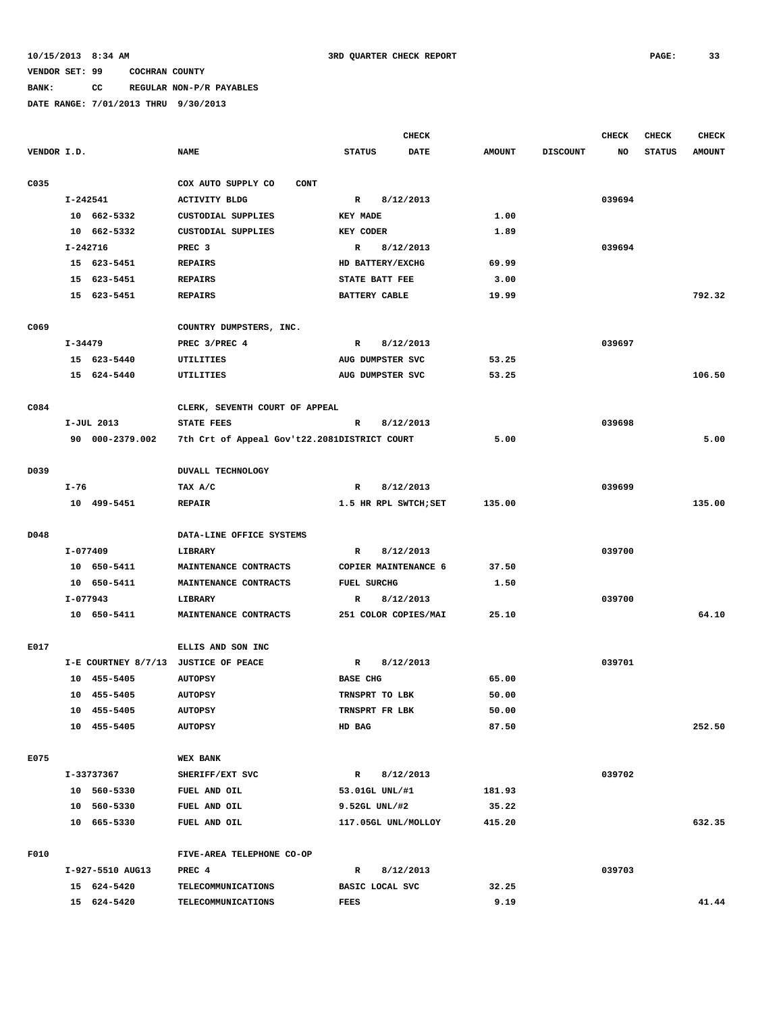### **BANK: CC REGULAR NON-P/R PAYABLES**

|             |         |                           |                                              |                    | <b>CHECK</b>          |               |                 | <b>CHECK</b> | <b>CHECK</b>  | <b>CHECK</b>  |
|-------------|---------|---------------------------|----------------------------------------------|--------------------|-----------------------|---------------|-----------------|--------------|---------------|---------------|
| VENDOR I.D. |         |                           | <b>NAME</b>                                  | <b>STATUS</b>      | <b>DATE</b>           | <b>AMOUNT</b> | <b>DISCOUNT</b> | NO           | <b>STATUS</b> | <b>AMOUNT</b> |
| C035        |         |                           | COX AUTO SUPPLY CO<br><b>CONT</b>            |                    |                       |               |                 |              |               |               |
|             |         | $I - 242541$              | <b>ACTIVITY BLDG</b>                         | R                  | 8/12/2013             |               |                 | 039694       |               |               |
|             |         | 10 662-5332               | CUSTODIAL SUPPLIES                           | <b>KEY MADE</b>    |                       | 1.00          |                 |              |               |               |
|             |         | 10 662-5332               | CUSTODIAL SUPPLIES                           | <b>KEY CODER</b>   |                       | 1.89          |                 |              |               |               |
|             |         | I-242716                  | PREC <sub>3</sub>                            | R                  | 8/12/2013             |               |                 | 039694       |               |               |
|             |         | 15 623-5451               | <b>REPAIRS</b>                               |                    | HD BATTERY/EXCHG      | 69.99         |                 |              |               |               |
|             |         | 15 623-5451               | <b>REPAIRS</b>                               | STATE BATT FEE     |                       | 3.00          |                 |              |               |               |
|             |         | 15 623-5451               | <b>REPAIRS</b>                               | BATTERY CABLE      |                       | 19.99         |                 |              |               | 792.32        |
| C069        |         |                           | COUNTRY DUMPSTERS, INC.                      |                    |                       |               |                 |              |               |               |
|             | I-34479 |                           | PREC 3/PREC 4                                | $\mathbb{R}$       | 8/12/2013             |               |                 | 039697       |               |               |
|             |         | 15 623-5440               | UTILITIES                                    |                    | AUG DUMPSTER SVC      | 53.25         |                 |              |               |               |
|             |         | 15 624-5440               | UTILITIES                                    |                    | AUG DUMPSTER SVC      | 53.25         |                 |              |               | 106.50        |
|             |         |                           |                                              |                    |                       |               |                 |              |               |               |
| C084        |         |                           | CLERK, SEVENTH COURT OF APPEAL               |                    |                       |               |                 |              |               |               |
|             |         | I-JUL 2013                | STATE FEES                                   | R                  | 8/12/2013             |               |                 | 039698       |               |               |
|             |         | 90 000-2379.002           | 7th Crt of Appeal Gov't22.2081DISTRICT COURT |                    |                       | 5.00          |                 |              |               | 5.00          |
| D039        |         |                           | <b>DUVALL TECHNOLOGY</b>                     |                    |                       |               |                 |              |               |               |
|             | $I-76$  |                           | TAX A/C                                      | R                  | 8/12/2013             |               |                 | 039699       |               |               |
|             |         | 10 499-5451               | <b>REPAIR</b>                                |                    | 1.5 HR RPL SWTCH; SET | 135.00        |                 |              |               | 135.00        |
|             |         |                           |                                              |                    |                       |               |                 |              |               |               |
| D048        |         |                           | DATA-LINE OFFICE SYSTEMS                     |                    |                       |               |                 |              |               |               |
|             |         | I-077409                  | LIBRARY                                      | $\mathbb{R}$       | 8/12/2013             |               |                 | 039700       |               |               |
|             |         | 10 650-5411               | MAINTENANCE CONTRACTS                        |                    | COPIER MAINTENANCE 6  | 37.50         |                 |              |               |               |
|             |         | 10 650-5411               | MAINTENANCE CONTRACTS                        | <b>FUEL SURCHG</b> |                       | 1.50          |                 |              |               |               |
|             |         | I-077943                  | LIBRARY                                      | R                  | 8/12/2013             |               |                 | 039700       |               |               |
|             |         | 10 650-5411               | MAINTENANCE CONTRACTS                        |                    | 251 COLOR COPIES/MAI  | 25.10         |                 |              |               | 64.10         |
| E017        |         |                           | ELLIS AND SON INC                            |                    |                       |               |                 |              |               |               |
|             |         |                           | I-E COURTNEY 8/7/13 JUSTICE OF PEACE         | $\mathbb{R}$       | 8/12/2013             |               |                 | 039701       |               |               |
|             |         | 10 455-5405               | <b>AUTOPSY</b>                               | <b>BASE CHG</b>    |                       | 65.00         |                 |              |               |               |
|             |         | 10 455-5405               | <b>AUTOPSY</b>                               | TRNSPRT TO LBK     |                       | 50.00         |                 |              |               |               |
|             |         | 10 455-5405               | <b>AUTOPSY</b>                               | TRNSPRT FR LBK     |                       | 50.00         |                 |              |               |               |
|             |         | 10 455-5405               | <b>AUTOPSY</b>                               | HD BAG             |                       | 87.50         |                 |              |               | 252.50        |
|             |         |                           |                                              |                    |                       |               |                 |              |               |               |
| E075        |         |                           | <b>WEX BANK</b>                              |                    |                       |               |                 |              |               |               |
|             |         | I-33737367<br>10 560-5330 | SHERIFF/EXT SVC<br>FUEL AND OIL              | $\mathbf{R}$       | 8/12/2013             |               |                 | 039702       |               |               |
|             |         |                           |                                              | 53.01GL UNL/#1     |                       | 181.93        |                 |              |               |               |
|             |         | 10 560-5330               | FUEL AND OIL                                 | 9.52GL UNL/#2      |                       | 35.22         |                 |              |               |               |
|             |         | 10 665-5330               | FUEL AND OIL                                 |                    | 117.05GL UNL/MOLLOY   | 415.20        |                 |              |               | 632.35        |
| F010        |         |                           | FIVE-AREA TELEPHONE CO-OP                    |                    |                       |               |                 |              |               |               |
|             |         | I-927-5510 AUG13          | PREC 4                                       | R                  | 8/12/2013             |               |                 | 039703       |               |               |
|             |         | 15 624-5420               | TELECOMMUNICATIONS                           | BASIC LOCAL SVC    |                       | 32.25         |                 |              |               |               |
|             |         | 15 624-5420               | TELECOMMUNICATIONS                           | FEES               |                       | 9.19          |                 |              |               | 41.44         |
|             |         |                           |                                              |                    |                       |               |                 |              |               |               |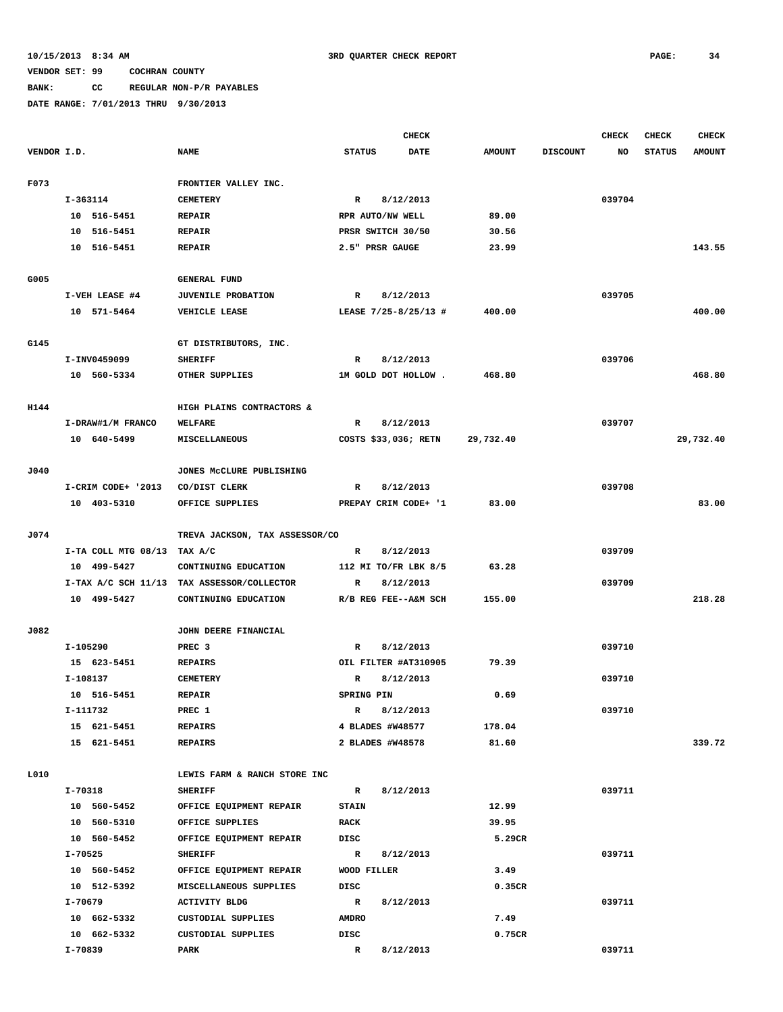## **BANK: CC REGULAR NON-P/R PAYABLES**

|             |                     |                                            |                           | <b>CHECK</b> |               |                 | <b>CHECK</b> | <b>CHECK</b>  | <b>CHECK</b>  |
|-------------|---------------------|--------------------------------------------|---------------------------|--------------|---------------|-----------------|--------------|---------------|---------------|
| VENDOR I.D. |                     | <b>NAME</b>                                | <b>STATUS</b>             | <b>DATE</b>  | <b>AMOUNT</b> | <b>DISCOUNT</b> | NO           | <b>STATUS</b> | <b>AMOUNT</b> |
| F073        |                     | FRONTIER VALLEY INC.                       |                           |              |               |                 |              |               |               |
|             | $I-363114$          | <b>CEMETERY</b>                            | $\mathbf{R}$<br>8/12/2013 |              |               |                 | 039704       |               |               |
|             | 10 516-5451         | <b>REPAIR</b>                              | RPR AUTO/NW WELL          |              | 89.00         |                 |              |               |               |
|             | 10 516-5451         | <b>REPAIR</b>                              | PRSR SWITCH 30/50         |              | 30.56         |                 |              |               |               |
|             | 10 516-5451         | <b>REPAIR</b>                              | 2.5" PRSR GAUGE           |              | 23.99         |                 |              |               | 143.55        |
|             |                     |                                            |                           |              |               |                 |              |               |               |
| G005        |                     | <b>GENERAL FUND</b>                        |                           |              |               |                 |              |               |               |
|             | I-VEH LEASE #4      | <b>JUVENILE PROBATION</b>                  | $\mathbf{R}$              | 8/12/2013    |               |                 | 039705       |               |               |
|             | 10 571-5464         | VEHICLE LEASE                              | LEASE 7/25-8/25/13 #      |              | 400.00        |                 |              |               | 400.00        |
| G145        |                     | GT DISTRIBUTORS, INC.                      |                           |              |               |                 |              |               |               |
|             | I-INV0459099        | <b>SHERIFF</b>                             | $\mathbb{R}$              | 8/12/2013    |               |                 | 039706       |               |               |
|             | 10 560-5334         | OTHER SUPPLIES                             | 1M GOLD DOT HOLLOW.       |              | 468.80        |                 |              |               | 468.80        |
| H144        |                     | HIGH PLAINS CONTRACTORS &                  |                           |              |               |                 |              |               |               |
|             | I-DRAW#1/M FRANCO   | <b>WELFARE</b>                             | $\mathbb{R}$              | 8/12/2013    |               |                 | 039707       |               |               |
|             | 10 640-5499         | <b>MISCELLANEOUS</b>                       | COSTS \$33,036; RETN      |              | 29,732.40     |                 |              |               | 29,732.40     |
|             |                     |                                            |                           |              |               |                 |              |               |               |
| J040        |                     | JONES MCCLURE PUBLISHING                   |                           |              |               |                 |              |               |               |
|             | I-CRIM CODE+ '2013  | CO/DIST CLERK                              | $\mathbf{R}$              | 8/12/2013    |               |                 | 039708       |               |               |
|             | 10 403-5310         | OFFICE SUPPLIES                            | PREPAY CRIM CODE+ '1      |              | 83.00         |                 |              |               | 83.00         |
| J074        |                     | TREVA JACKSON, TAX ASSESSOR/CO             |                           |              |               |                 |              |               |               |
|             | I-TA COLL MTG 08/13 | TAX A/C                                    | R                         | 8/12/2013    |               |                 | 039709       |               |               |
|             | 10 499-5427         | CONTINUING EDUCATION                       | 112 MI TO/FR LBK 8/5      |              | 63.28         |                 |              |               |               |
|             |                     | I-TAX A/C SCH 11/13 TAX ASSESSOR/COLLECTOR | $\mathbb{R}$              | 8/12/2013    |               |                 | 039709       |               |               |
|             | 10 499-5427         | CONTINUING EDUCATION                       | R/B REG FEE--A&M SCH      |              | 155.00        |                 |              |               | 218.28        |
|             |                     |                                            |                           |              |               |                 |              |               |               |
| J082        |                     | JOHN DEERE FINANCIAL                       |                           |              |               |                 |              |               |               |
|             | I-105290            | PREC <sub>3</sub>                          | R                         | 8/12/2013    |               |                 | 039710       |               |               |
|             | 15 623-5451         | <b>REPAIRS</b>                             | OIL FILTER #AT310905      |              | 79.39         |                 |              |               |               |
|             | I-108137            | <b>CEMETERY</b>                            | R                         | 8/12/2013    |               |                 | 039710       |               |               |
|             | 10 516-5451         | <b>REPAIR</b>                              | SPRING PIN                |              | 0.69          |                 |              |               |               |
|             | I-111732            | PREC 1                                     | R                         | 8/12/2013    |               |                 | 039710       |               |               |
|             | 15 621-5451         | <b>REPAIRS</b>                             | 4 BLADES #W48577          |              | 178.04        |                 |              |               |               |
|             | 15 621-5451         | REPAIRS                                    | 2 BLADES #W48578          |              | 81.60         |                 |              |               | 339.72        |
| L010        |                     | LEWIS FARM & RANCH STORE INC               |                           |              |               |                 |              |               |               |
|             | I-70318             | <b>SHERIFF</b>                             | R                         | 8/12/2013    |               |                 | 039711       |               |               |
|             | 10 560-5452         | OFFICE EQUIPMENT REPAIR                    | <b>STAIN</b>              |              | 12.99         |                 |              |               |               |
|             | 10 560-5310         | OFFICE SUPPLIES                            | RACK                      |              | 39.95         |                 |              |               |               |
|             | 10 560-5452         | OFFICE EQUIPMENT REPAIR                    | DISC                      |              | 5.29CR        |                 |              |               |               |
|             | I-70525             | <b>SHERIFF</b>                             | R                         | 8/12/2013    |               |                 | 039711       |               |               |
|             | 10 560-5452         | OFFICE EQUIPMENT REPAIR                    | WOOD FILLER               |              | 3.49          |                 |              |               |               |
|             | 10 512-5392         | MISCELLANEOUS SUPPLIES                     | DISC                      |              | 0.35CR        |                 |              |               |               |
|             | I-70679             | <b>ACTIVITY BLDG</b>                       | R                         | 8/12/2013    |               |                 | 039711       |               |               |
|             | 10 662-5332         | CUSTODIAL SUPPLIES                         | <b>AMDRO</b>              |              | 7.49          |                 |              |               |               |
|             | 10 662-5332         | CUSTODIAL SUPPLIES                         | DISC                      |              | 0.75CR        |                 |              |               |               |
|             | I-70839             | PARK                                       | $\mathbf{R}$              | 8/12/2013    |               |                 | 039711       |               |               |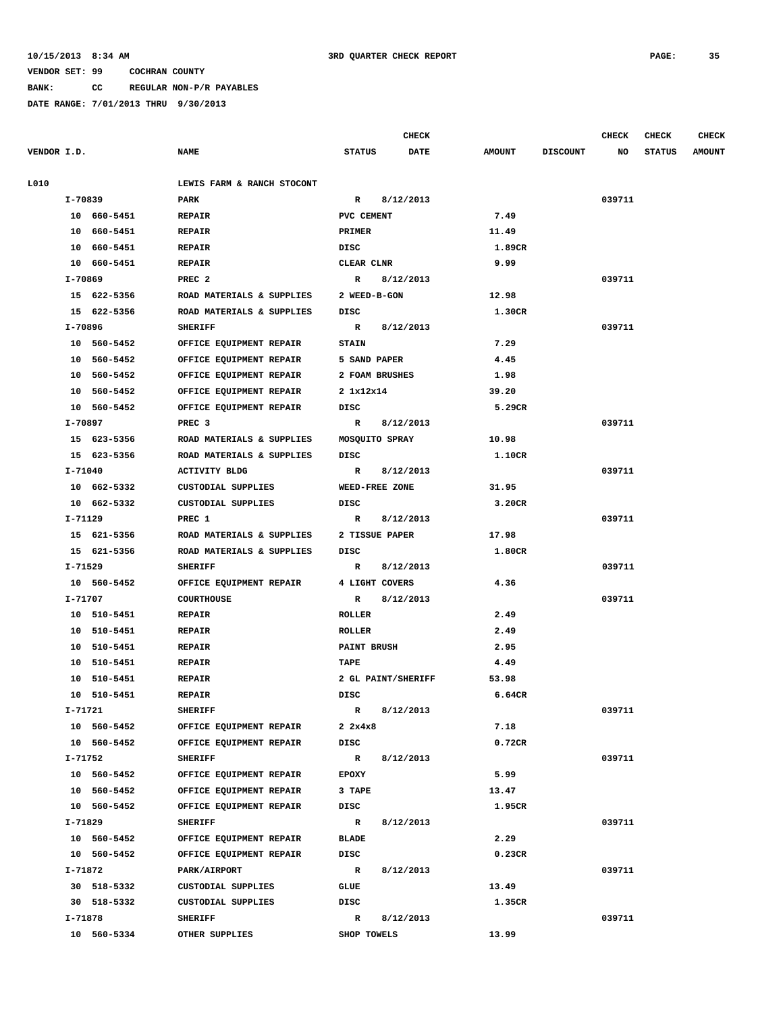#### **10/15/2013 8:34 AM 3RD QUARTER CHECK REPORT PAGE: 35**

### **VENDOR SET: 99 COCHRAN COUNTY**

## **BANK: CC REGULAR NON-P/R PAYABLES**

|             |                |                            |                       | <b>CHECK</b> |               |                 | <b>CHECK</b> | <b>CHECK</b>  | CHECK         |
|-------------|----------------|----------------------------|-----------------------|--------------|---------------|-----------------|--------------|---------------|---------------|
| VENDOR I.D. |                | <b>NAME</b>                | <b>STATUS</b>         | DATE         | <b>AMOUNT</b> | <b>DISCOUNT</b> | NO           | <b>STATUS</b> | <b>AMOUNT</b> |
| L010        |                | LEWIS FARM & RANCH STOCONT |                       |              |               |                 |              |               |               |
|             | I-70839        | PARK                       | $\mathbb{R}$          | 8/12/2013    |               |                 | 039711       |               |               |
|             | 10 660-5451    | <b>REPAIR</b>              | PVC CEMENT            |              | 7.49          |                 |              |               |               |
|             | 10 660-5451    | <b>REPAIR</b>              | PRIMER                |              | 11.49         |                 |              |               |               |
|             | 10 660-5451    | <b>REPAIR</b>              | DISC                  |              | 1.89CR        |                 |              |               |               |
|             | 10 660-5451    | <b>REPAIR</b>              | CLEAR CLNR            |              | 9.99          |                 |              |               |               |
|             | I-70869        | PREC <sub>2</sub>          | $\mathbf R$           | 8/12/2013    |               |                 | 039711       |               |               |
|             | 15 622-5356    | ROAD MATERIALS & SUPPLIES  | 2 WEED-B-GON          |              | 12.98         |                 |              |               |               |
|             | 15 622-5356    | ROAD MATERIALS & SUPPLIES  | DISC                  |              | 1.30CR        |                 |              |               |               |
|             | I-70896        | <b>SHERIFF</b>             | $\mathbf R$           | 8/12/2013    |               |                 | 039711       |               |               |
|             | 10 560-5452    | OFFICE EQUIPMENT REPAIR    | <b>STAIN</b>          |              | 7.29          |                 |              |               |               |
|             | 10 560-5452    | OFFICE EQUIPMENT REPAIR    | 5 SAND PAPER          |              | 4.45          |                 |              |               |               |
|             | 10 560-5452    | OFFICE EQUIPMENT REPAIR    | 2 FOAM BRUSHES        |              | 1.98          |                 |              |               |               |
|             | 10 560-5452    | OFFICE EQUIPMENT REPAIR    | 2 1x12x14             |              | 39.20         |                 |              |               |               |
|             | 10 560-5452    | OFFICE EQUIPMENT REPAIR    | DISC                  |              | 5.29CR        |                 |              |               |               |
|             | I-70897        | PREC <sub>3</sub>          | $\mathbb{R}$          | 8/12/2013    |               |                 | 039711       |               |               |
|             | 15 623-5356    | ROAD MATERIALS & SUPPLIES  | MOSQUITO SPRAY        |              | 10.98         |                 |              |               |               |
|             | 15 623-5356    | ROAD MATERIALS & SUPPLIES  | DISC                  |              | 1.10CR        |                 |              |               |               |
|             | I-71040        | <b>ACTIVITY BLDG</b>       | R                     | 8/12/2013    |               |                 | 039711       |               |               |
|             | 10 662-5332    | CUSTODIAL SUPPLIES         | WEED-FREE ZONE        |              | 31.95         |                 |              |               |               |
|             | 10 662-5332    | CUSTODIAL SUPPLIES         | DISC                  |              | 3.20CR        |                 |              |               |               |
|             | I-71129        | PREC 1                     | $\mathbb{R}$          | 8/12/2013    |               |                 | 039711       |               |               |
|             | 15 621-5356    | ROAD MATERIALS & SUPPLIES  | 2 TISSUE PAPER        |              | 17.98         |                 |              |               |               |
|             | 15 621-5356    | ROAD MATERIALS & SUPPLIES  | DISC                  |              | 1.80CR        |                 |              |               |               |
|             | I-71529        | <b>SHERIFF</b>             | $\mathbb{R}$          | 8/12/2013    |               |                 | 039711       |               |               |
|             | 10 560-5452    | OFFICE EQUIPMENT REPAIR    | 4 LIGHT COVERS        |              | 4.36          |                 |              |               |               |
|             | I-71707        | <b>COURTHOUSE</b>          | R                     | 8/12/2013    |               |                 | 039711       |               |               |
|             | 10 510-5451    | <b>REPAIR</b>              | <b>ROLLER</b>         |              | 2.49          |                 |              |               |               |
|             | 10 510-5451    | <b>REPAIR</b>              | ROLLER                |              | 2.49          |                 |              |               |               |
|             | 10 510-5451    | <b>REPAIR</b>              | PAINT BRUSH           |              | 2.95          |                 |              |               |               |
|             | 10 510-5451    | <b>REPAIR</b>              | TAPE                  |              | 4.49          |                 |              |               |               |
|             | 10<br>510-5451 | <b>REPAIR</b>              | 2 GL PAINT/SHERIFF    |              | 53.98         |                 |              |               |               |
|             | 10 510-5451    | <b>REPAIR</b>              | DISC                  |              | 6.64CR        |                 |              |               |               |
|             | I-71721        | <b>SHERIFF</b>             | $\mathbb{R}$          | 8/12/2013    |               |                 | 039711       |               |               |
|             | 10 560-5452    | OFFICE EQUIPMENT REPAIR    | $2 \times 4 \times 8$ |              | 7.18          |                 |              |               |               |
|             | 10 560-5452    | OFFICE EQUIPMENT REPAIR    | DISC                  |              | 0.72CR        |                 |              |               |               |
|             | I-71752        | <b>SHERIFF</b>             | $\mathbb{R}$          | 8/12/2013    |               |                 | 039711       |               |               |
|             | 10 560-5452    | OFFICE EQUIPMENT REPAIR    | <b>EPOXY</b>          |              | 5.99          |                 |              |               |               |
|             | 10 560-5452    | OFFICE EQUIPMENT REPAIR    | 3 TAPE                |              | 13.47         |                 |              |               |               |
|             | 10 560-5452    | OFFICE EQUIPMENT REPAIR    | DISC                  |              | 1.95CR        |                 |              |               |               |
|             | I-71829        | <b>SHERIFF</b>             | R                     | 8/12/2013    |               |                 | 039711       |               |               |
|             | 10 560-5452    | OFFICE EQUIPMENT REPAIR    | <b>BLADE</b>          |              | 2.29          |                 |              |               |               |
|             | 10 560-5452    | OFFICE EQUIPMENT REPAIR    | DISC                  |              | 0.23CR        |                 |              |               |               |
|             | I-71872        | PARK/AIRPORT               | $\mathbb{R}$          | 8/12/2013    |               |                 | 039711       |               |               |
|             | 30 518-5332    | CUSTODIAL SUPPLIES         | GLUE                  |              | 13.49         |                 |              |               |               |
|             | 30 518-5332    | CUSTODIAL SUPPLIES         | DISC                  |              | 1.35CR        |                 |              |               |               |
|             | I-71878        | <b>SHERIFF</b>             | R                     | 8/12/2013    |               |                 | 039711       |               |               |
|             | 10 560-5334    | OTHER SUPPLIES             | SHOP TOWELS           |              | 13.99         |                 |              |               |               |
|             |                |                            |                       |              |               |                 |              |               |               |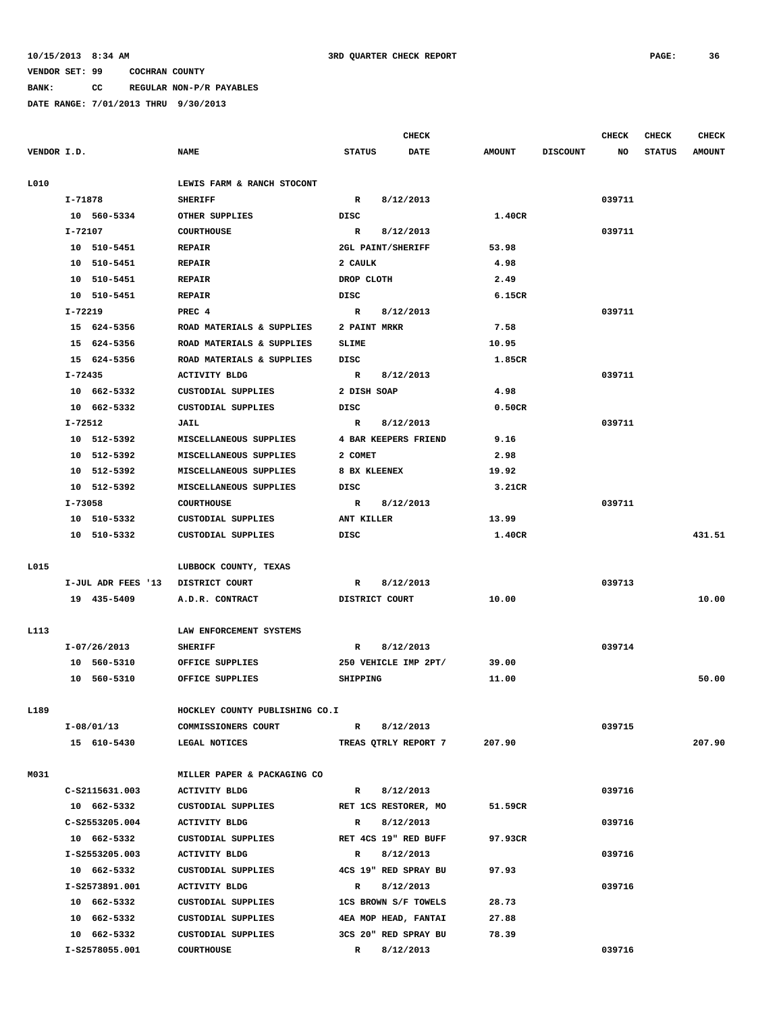**BANK: CC REGULAR NON-P/R PAYABLES**

|             |                               |                                |                      | <b>CHECK</b>         |               |                 | <b>CHECK</b> | <b>CHECK</b>  | <b>CHECK</b>  |
|-------------|-------------------------------|--------------------------------|----------------------|----------------------|---------------|-----------------|--------------|---------------|---------------|
| VENDOR I.D. |                               | <b>NAME</b>                    | <b>STATUS</b>        | <b>DATE</b>          | <b>AMOUNT</b> | <b>DISCOUNT</b> | NO           | <b>STATUS</b> | <b>AMOUNT</b> |
| L010        |                               | LEWIS FARM & RANCH STOCONT     |                      |                      |               |                 |              |               |               |
|             | I-71878                       | <b>SHERIFF</b>                 |                      | 8/12/2013            |               |                 | 039711       |               |               |
|             | 10 560-5334<br>OTHER SUPPLIES |                                | DISC                 |                      | 1.40CR        |                 |              |               |               |
|             | I-72107                       | <b>COURTHOUSE</b>              |                      | 8/12/2013            |               |                 | 039711       |               |               |
|             | 10 510-5451                   | <b>REPAIR</b>                  | 2GL PAINT/SHERIFF    |                      | 53.98         |                 |              |               |               |
|             | 10 510-5451                   | <b>REPAIR</b>                  | 2 CAULK              |                      | 4.98          |                 |              |               |               |
|             | 10 510-5451                   | <b>REPAIR</b>                  | DROP CLOTH           |                      | 2.49          |                 |              |               |               |
|             | 10 510-5451                   | <b>REPAIR</b>                  | DISC                 |                      | 6.15CR        |                 |              |               |               |
|             | $I - 72219$                   | PREC 4                         | $\mathbf R$          | 8/12/2013            |               |                 | 039711       |               |               |
|             | 15 624-5356                   | ROAD MATERIALS & SUPPLIES      | 2 PAINT MRKR         |                      | 7.58          |                 |              |               |               |
|             | 15 624-5356                   | ROAD MATERIALS & SUPPLIES      | SLIME                |                      | 10.95         |                 |              |               |               |
|             | 15 624-5356                   | ROAD MATERIALS & SUPPLIES      | DISC                 |                      | 1.85CR        |                 |              |               |               |
|             | I-72435                       | <b>ACTIVITY BLDG</b>           | $\mathbb{R}$         | 8/12/2013            |               |                 | 039711       |               |               |
|             | 10 662-5332                   | CUSTODIAL SUPPLIES             | 2 DISH SOAP          |                      | 4.98          |                 |              |               |               |
|             | 10 662-5332                   | CUSTODIAL SUPPLIES             | DISC                 |                      | 0.50CR        |                 |              |               |               |
|             | I-72512                       | JAIL                           | R                    | 8/12/2013            |               |                 | 039711       |               |               |
|             | 10 512-5392                   | MISCELLANEOUS SUPPLIES         |                      | 4 BAR KEEPERS FRIEND | 9.16          |                 |              |               |               |
|             | 10 512-5392                   | MISCELLANEOUS SUPPLIES         | 2 COMET              |                      | 2.98          |                 |              |               |               |
|             | 10 512-5392                   | MISCELLANEOUS SUPPLIES         | 8 BX KLEENEX         |                      | 19.92         |                 |              |               |               |
|             | 512-5392<br>10                | MISCELLANEOUS SUPPLIES         | DISC                 |                      | 3.21CR        |                 |              |               |               |
|             | I-73058                       | <b>COURTHOUSE</b>              | $\mathbb{R}$         | 8/12/2013            |               |                 | 039711       |               |               |
|             | 10 510-5332                   | CUSTODIAL SUPPLIES             | ANT KILLER           |                      | 13.99         |                 |              |               |               |
|             | 10 510-5332                   | CUSTODIAL SUPPLIES             | DISC                 |                      | 1.40CR        |                 |              |               | 431.51        |
| L015        |                               | LUBBOCK COUNTY, TEXAS          |                      |                      |               |                 |              |               |               |
|             | I-JUL ADR FEES '13            | DISTRICT COURT                 | $\mathbb{R}$         | 8/12/2013            |               |                 | 039713       |               |               |
|             | 19 435-5409                   | A.D.R. CONTRACT                | DISTRICT COURT       |                      | 10.00         |                 |              |               | 10.00         |
| L113        |                               | LAW ENFORCEMENT SYSTEMS        |                      |                      |               |                 |              |               |               |
|             | I-07/26/2013                  | <b>SHERIFF</b>                 | R                    | 8/12/2013            |               |                 | 039714       |               |               |
|             | 10 560-5310                   | OFFICE SUPPLIES                | 250 VEHICLE IMP 2PT/ |                      | 39.00         |                 |              |               |               |
|             | 10 560-5310                   | OFFICE SUPPLIES                | SHIPPING             |                      | 11.00         |                 |              |               | 50.00         |
| L189        |                               | HOCKLEY COUNTY PUBLISHING CO.I |                      |                      |               |                 |              |               |               |
|             | I-08/01/13                    | COMMISSIONERS COURT            | $\mathbb{R}$         | 8/12/2013            |               |                 | 039715       |               |               |
|             | 15 610-5430                   | LEGAL NOTICES                  |                      | TREAS QTRLY REPORT 7 | 207.90        |                 |              |               | 207.90        |
|             |                               |                                |                      |                      |               |                 |              |               |               |
| M031        |                               | MILLER PAPER & PACKAGING CO    |                      |                      |               |                 |              |               |               |
|             | C-S2115631.003                | <b>ACTIVITY BLDG</b>           | R                    | 8/12/2013            |               |                 | 039716       |               |               |
|             | 10 662-5332                   | CUSTODIAL SUPPLIES             | RET 1CS RESTORER, MO |                      | 51.59CR       |                 |              |               |               |
|             | C-S2553205.004                | <b>ACTIVITY BLDG</b>           | R                    | 8/12/2013            |               |                 | 039716       |               |               |
|             | 10 662-5332                   | CUSTODIAL SUPPLIES             | RET 4CS 19" RED BUFF |                      | 97.93CR       |                 |              |               |               |
|             | I-S2553205.003                | <b>ACTIVITY BLDG</b>           | R                    | 8/12/2013            |               |                 | 039716       |               |               |
|             | 10 662-5332                   | CUSTODIAL SUPPLIES             |                      | 4CS 19" RED SPRAY BU | 97.93         |                 |              |               |               |
|             | I-S2573891.001                | <b>ACTIVITY BLDG</b>           | $\mathbb{R}$         | 8/12/2013            |               |                 | 039716       |               |               |
|             | 10 662-5332                   | CUSTODIAL SUPPLIES             | 1CS BROWN S/F TOWELS |                      | 28.73         |                 |              |               |               |
|             | 10 662-5332                   | CUSTODIAL SUPPLIES             |                      | 4EA MOP HEAD, FANTAI | 27.88         |                 |              |               |               |
|             | 10 662-5332                   | CUSTODIAL SUPPLIES             |                      | 3CS 20" RED SPRAY BU | 78.39         |                 |              |               |               |
|             | I-S2578055.001                | <b>COURTHOUSE</b>              | R                    | 8/12/2013            |               |                 | 039716       |               |               |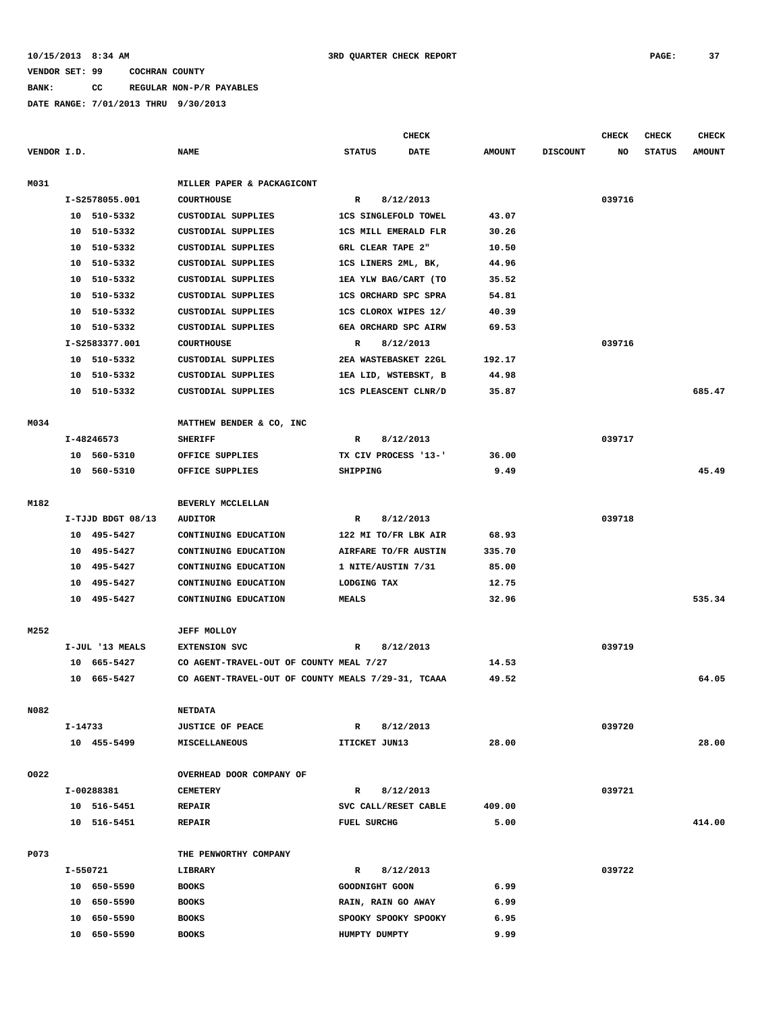**BANK: CC REGULAR NON-P/R PAYABLES**

|             |         |                   |                                                    |                    |                          | <b>CHECK</b>                |               |                 | <b>CHECK</b> | CHECK         | <b>CHECK</b>  |
|-------------|---------|-------------------|----------------------------------------------------|--------------------|--------------------------|-----------------------------|---------------|-----------------|--------------|---------------|---------------|
| VENDOR I.D. |         |                   | <b>NAME</b>                                        | <b>STATUS</b>      |                          | <b>DATE</b>                 | <b>AMOUNT</b> | <b>DISCOUNT</b> | NO           | <b>STATUS</b> | <b>AMOUNT</b> |
| M031        |         |                   | MILLER PAPER & PACKAGICONT                         |                    |                          |                             |               |                 |              |               |               |
|             |         | I-S2578055.001    | <b>COURTHOUSE</b>                                  | R                  | 8/12/2013                |                             |               |                 | 039716       |               |               |
|             |         | 10 510-5332       | CUSTODIAL SUPPLIES                                 |                    |                          | <b>1CS SINGLEFOLD TOWEL</b> | 43.07         |                 |              |               |               |
|             |         | 10 510-5332       | CUSTODIAL SUPPLIES                                 |                    |                          | <b>1CS MILL EMERALD FLR</b> | 30.26         |                 |              |               |               |
|             |         | 10 510-5332       | CUSTODIAL SUPPLIES                                 |                    | <b>6RL CLEAR TAPE 2"</b> |                             | 10.50         |                 |              |               |               |
|             |         | 10 510-5332       | CUSTODIAL SUPPLIES                                 |                    | 1CS LINERS 2ML, BK,      |                             | 44.96         |                 |              |               |               |
|             |         | 10 510-5332       | CUSTODIAL SUPPLIES                                 |                    |                          | 1EA YLW BAG/CART (TO        | 35.52         |                 |              |               |               |
|             |         | 10 510-5332       | CUSTODIAL SUPPLIES                                 |                    |                          | <b>1CS ORCHARD SPC SPRA</b> | 54.81         |                 |              |               |               |
|             |         | 10 510-5332       | CUSTODIAL SUPPLIES                                 |                    |                          | 1CS CLOROX WIPES 12/        | 40.39         |                 |              |               |               |
|             |         | 10 510-5332       | CUSTODIAL SUPPLIES                                 |                    |                          | 6EA ORCHARD SPC AIRW        | 69.53         |                 |              |               |               |
|             |         | I-S2583377.001    | <b>COURTHOUSE</b>                                  | R                  | 8/12/2013                |                             |               |                 | 039716       |               |               |
|             |         | 10 510-5332       | CUSTODIAL SUPPLIES                                 |                    |                          | 2EA WASTEBASKET 22GL        | 192.17        |                 |              |               |               |
|             |         | 10 510-5332       | CUSTODIAL SUPPLIES                                 |                    |                          | 1EA LID, WSTEBSKT, B        | 44.98         |                 |              |               |               |
|             |         | 10 510-5332       | CUSTODIAL SUPPLIES                                 |                    |                          | 1CS PLEASCENT CLNR/D        | 35.87         |                 |              |               | 685.47        |
|             |         |                   |                                                    |                    |                          |                             |               |                 |              |               |               |
| M034        |         |                   | MATTHEW BENDER & CO, INC                           |                    |                          |                             |               |                 |              |               |               |
|             |         | I-48246573        | <b>SHERIFF</b>                                     | R                  | 8/12/2013                |                             |               |                 | 039717       |               |               |
|             |         | 10 560-5310       | OFFICE SUPPLIES                                    |                    |                          | TX CIV PROCESS '13-'        | 36.00         |                 |              |               |               |
|             |         | 10 560-5310       | OFFICE SUPPLIES                                    | SHIPPING           |                          |                             | 9.49          |                 |              |               | 45.49         |
|             |         |                   |                                                    |                    |                          |                             |               |                 |              |               |               |
| M182        |         |                   | BEVERLY MCCLELLAN                                  |                    |                          |                             |               |                 |              |               |               |
|             |         | I-TJJD BDGT 08/13 | <b>AUDITOR</b>                                     | R                  | 8/12/2013                |                             |               |                 | 039718       |               |               |
|             |         | 10 495-5427       | CONTINUING EDUCATION                               |                    |                          | 122 MI TO/FR LBK AIR        | 68.93         |                 |              |               |               |
|             |         | 10 495-5427       | CONTINUING EDUCATION                               |                    |                          | AIRFARE TO/FR AUSTIN        | 335.70        |                 |              |               |               |
|             |         | 10 495-5427       | CONTINUING EDUCATION                               |                    | 1 NITE/AUSTIN 7/31       |                             | 85.00         |                 |              |               |               |
|             |         | 10 495-5427       | CONTINUING EDUCATION                               | LODGING TAX        |                          |                             | 12.75         |                 |              |               |               |
|             |         | 10 495-5427       | CONTINUING EDUCATION                               | <b>MEALS</b>       |                          |                             | 32.96         |                 |              |               | 535.34        |
| M252        |         |                   | <b>JEFF MOLLOY</b>                                 |                    |                          |                             |               |                 |              |               |               |
|             |         | I-JUL '13 MEALS   | <b>EXTENSION SVC</b>                               | R                  | 8/12/2013                |                             |               |                 | 039719       |               |               |
|             |         | 10 665-5427       | CO AGENT-TRAVEL-OUT OF COUNTY MEAL 7/27            |                    |                          |                             | 14.53         |                 |              |               |               |
|             |         | 10 665-5427       | CO AGENT-TRAVEL-OUT OF COUNTY MEALS 7/29-31, TCAAA |                    |                          |                             | 49.52         |                 |              |               | 64.05         |
|             |         |                   |                                                    |                    |                          |                             |               |                 |              |               |               |
| N082        |         |                   | <b>NETDATA</b>                                     |                    |                          |                             |               |                 |              |               |               |
|             | I-14733 |                   | <b>JUSTICE OF PEACE</b>                            | R                  | 8/12/2013                |                             |               |                 | 039720       |               |               |
|             |         | 10 455-5499       | <b>MISCELLANEOUS</b>                               |                    | ITICKET JUN13            |                             | 28.00         |                 |              |               | 28.00         |
|             |         |                   |                                                    |                    |                          |                             |               |                 |              |               |               |
| 0022        |         |                   | OVERHEAD DOOR COMPANY OF                           |                    |                          |                             |               |                 |              |               |               |
|             |         | I-00288381        | <b>CEMETERY</b>                                    | R                  | 8/12/2013                |                             |               |                 | 039721       |               |               |
|             |         | 10 516-5451       | <b>REPAIR</b>                                      |                    |                          | SVC CALL/RESET CABLE        | 409.00        |                 |              |               |               |
|             |         | 10 516-5451       | <b>REPAIR</b>                                      | <b>FUEL SURCHG</b> |                          |                             | 5.00          |                 |              |               | 414.00        |
|             |         |                   |                                                    |                    |                          |                             |               |                 |              |               |               |
| P073        |         |                   | THE PENWORTHY COMPANY                              |                    |                          |                             |               |                 |              |               |               |
|             |         | I-550721          | <b>LIBRARY</b>                                     | R                  | 8/12/2013                |                             |               |                 | 039722       |               |               |
|             |         | 10 650-5590       | <b>BOOKS</b>                                       |                    | GOODNIGHT GOON           |                             | 6.99          |                 |              |               |               |
|             |         | 10 650-5590       | <b>BOOKS</b>                                       |                    | RAIN, RAIN GO AWAY       |                             | 6.99          |                 |              |               |               |
|             |         | 10 650-5590       | <b>BOOKS</b>                                       |                    |                          | SPOOKY SPOOKY SPOOKY        | 6.95          |                 |              |               |               |
|             |         | 10 650-5590       | <b>BOOKS</b>                                       |                    | HUMPTY DUMPTY            |                             | 9.99          |                 |              |               |               |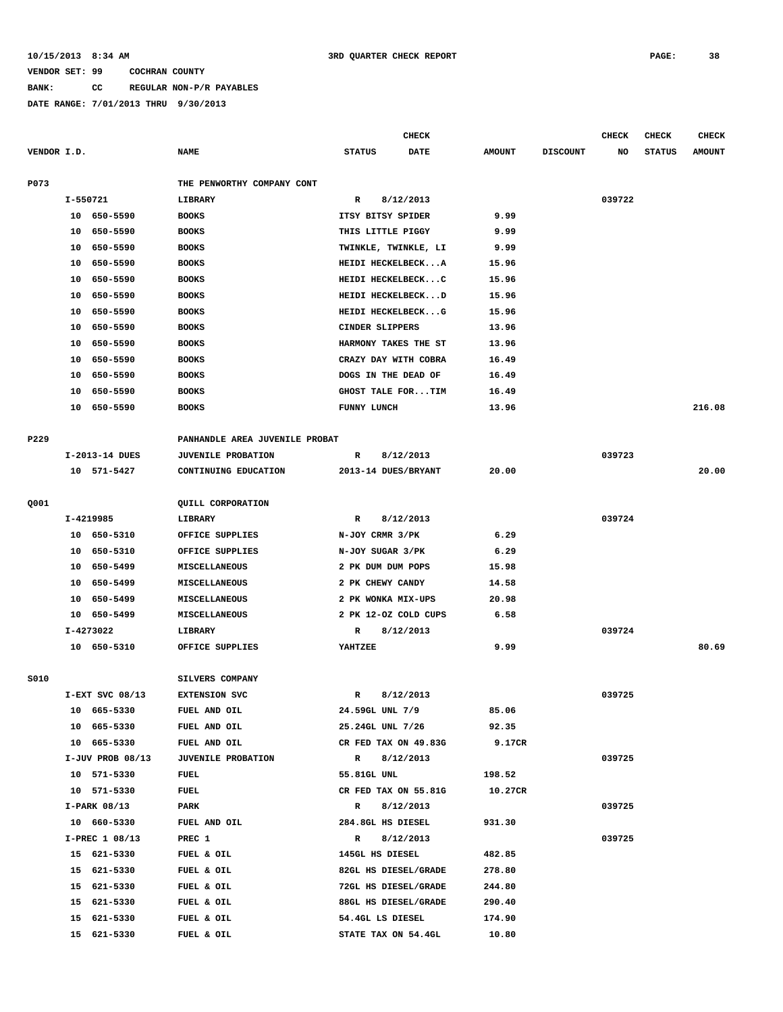# **BANK: CC REGULAR NON-P/R PAYABLES**

|             |          |                   |                                 |                      | <b>CHECK</b> |               |                 | <b>CHECK</b> | <b>CHECK</b>  | <b>CHECK</b>  |
|-------------|----------|-------------------|---------------------------------|----------------------|--------------|---------------|-----------------|--------------|---------------|---------------|
| VENDOR I.D. |          |                   | <b>NAME</b>                     | <b>STATUS</b>        | <b>DATE</b>  | <b>AMOUNT</b> | <b>DISCOUNT</b> | NO           | <b>STATUS</b> | <b>AMOUNT</b> |
| P073        |          |                   | THE PENWORTHY COMPANY CONT      |                      |              |               |                 |              |               |               |
|             | I-550721 |                   | LIBRARY                         | R                    | 8/12/2013    |               |                 | 039722       |               |               |
|             |          | 10 650-5590       | <b>BOOKS</b>                    | ITSY BITSY SPIDER    |              | 9.99          |                 |              |               |               |
|             | 10       | 650-5590          | <b>BOOKS</b>                    | THIS LITTLE PIGGY    |              | 9.99          |                 |              |               |               |
|             | 10       | 650-5590          | <b>BOOKS</b>                    | TWINKLE, TWINKLE, LI |              | 9.99          |                 |              |               |               |
|             | 10       | 650-5590          | <b>BOOKS</b>                    | HEIDI HECKELBECKA    |              | 15.96         |                 |              |               |               |
|             | 10       | 650-5590          | <b>BOOKS</b>                    | HEIDI HECKELBECKC    |              | 15.96         |                 |              |               |               |
|             | 10       | 650-5590          | <b>BOOKS</b>                    | HEIDI HECKELBECKD    |              | 15.96         |                 |              |               |               |
|             | 10       | 650-5590          | <b>BOOKS</b>                    | HEIDI HECKELBECKG    |              | 15.96         |                 |              |               |               |
|             | 10       | 650-5590          |                                 | CINDER SLIPPERS      |              | 13.96         |                 |              |               |               |
|             |          |                   | <b>BOOKS</b>                    |                      |              | 13.96         |                 |              |               |               |
|             | 10       | 650-5590          | <b>BOOKS</b>                    | HARMONY TAKES THE ST |              |               |                 |              |               |               |
|             | 10       | 650-5590          | <b>BOOKS</b>                    | CRAZY DAY WITH COBRA |              | 16.49         |                 |              |               |               |
|             | 10       | 650-5590          | <b>BOOKS</b>                    | DOGS IN THE DEAD OF  |              | 16.49         |                 |              |               |               |
|             | 10       | 650-5590          | <b>BOOKS</b>                    | GHOST TALE FORTIM    |              | 16.49         |                 |              |               |               |
|             | 10       | 650-5590          | <b>BOOKS</b>                    | FUNNY LUNCH          |              | 13.96         |                 |              |               | 216.08        |
| P229        |          |                   | PANHANDLE AREA JUVENILE PROBAT  |                      |              |               |                 |              |               |               |
|             |          | I-2013-14 DUES    | <b>JUVENILE PROBATION</b>       | R                    | 8/12/2013    |               |                 | 039723       |               |               |
|             |          | 10 571-5427       | CONTINUING EDUCATION            | 2013-14 DUES/BRYANT  |              | 20.00         |                 |              |               | 20.00         |
| Q001        |          |                   | QUILL CORPORATION               |                      |              |               |                 |              |               |               |
|             |          | I-4219985         | LIBRARY                         | R                    | 8/12/2013    |               |                 | 039724       |               |               |
|             |          | 10 650-5310       | OFFICE SUPPLIES                 | N-JOY CRMR 3/PK      |              | 6.29          |                 |              |               |               |
|             | 10       | 650-5310          | OFFICE SUPPLIES                 | N-JOY SUGAR 3/PK     |              | 6.29          |                 |              |               |               |
|             | 10       | 650–5499          | MISCELLANEOUS                   | 2 PK DUM DUM POPS    |              | 15.98         |                 |              |               |               |
|             | 10       | 650–5499          | <b>MISCELLANEOUS</b>            | 2 PK CHEWY CANDY     |              | 14.58         |                 |              |               |               |
|             | 10       | 650-5499          | MISCELLANEOUS                   | 2 PK WONKA MIX-UPS   |              | 20.98         |                 |              |               |               |
|             |          | 650-5499          |                                 |                      |              | 6.58          |                 |              |               |               |
|             | 10       |                   | MISCELLANEOUS<br><b>LIBRARY</b> | 2 PK 12-OZ COLD CUPS |              |               |                 |              |               |               |
|             |          | I-4273022         |                                 | R                    | 8/12/2013    |               |                 | 039724       |               |               |
|             |          | 10 650-5310       | OFFICE SUPPLIES                 | YAHTZEE              |              | 9.99          |                 |              |               | 80.69         |
| S010        |          |                   | SILVERS COMPANY                 |                      |              |               |                 |              |               |               |
|             |          | $I-EXT$ SVC 08/13 | <b>EXTENSION SVC</b>            | $\mathbb{R}$         | 8/12/2013    |               |                 | 039725       |               |               |
|             |          | 10 665-5330       | FUEL AND OIL                    | 24.59GL UNL 7/9      |              | 85.06         |                 |              |               |               |
|             |          | 10 665-5330       | FUEL AND OIL                    | 25.24GL UNL 7/26     |              | 92.35         |                 |              |               |               |
|             |          | 10 665-5330       | FUEL AND OIL                    | CR FED TAX ON 49.83G |              | 9.17CR        |                 |              |               |               |
|             |          | I-JUV PROB 08/13  | JUVENILE PROBATION              | R                    | 8/12/2013    |               |                 | 039725       |               |               |
|             |          | 10 571-5330       | FUEL                            | 55.81GL UNL          |              | 198.52        |                 |              |               |               |
|             |          | 10 571-5330       | <b>FUEL</b>                     | CR FED TAX ON 55.81G |              | 10.27CR       |                 |              |               |               |
|             |          | $I-PARK$ 08/13    | PARK                            | $\mathbb{R}$         | 8/12/2013    |               |                 | 039725       |               |               |
|             |          | 10 660-5330       | FUEL AND OIL                    | 284.8GL HS DIESEL    |              | 931.30        |                 |              |               |               |
|             |          | I-PREC 1 08/13    | PREC 1                          | R                    | 8/12/2013    |               |                 | 039725       |               |               |
|             |          | 15 621-5330       | FUEL & OIL                      | 145GL HS DIESEL      |              | 482.85        |                 |              |               |               |
|             |          | 15 621-5330       | FUEL & OIL                      | 82GL HS DIESEL/GRADE |              | 278.80        |                 |              |               |               |
|             |          | 15 621-5330       | FUEL & OIL                      | 72GL HS DIESEL/GRADE |              | 244.80        |                 |              |               |               |
|             |          | 15 621-5330       | FUEL & OIL                      | 88GL HS DIESEL/GRADE |              | 290.40        |                 |              |               |               |
|             | 15       | 621-5330          | FUEL & OIL                      | 54.4GL LS DIESEL     |              | 174.90        |                 |              |               |               |
|             |          | 15 621-5330       | FUEL & OIL                      | STATE TAX ON 54.4GL  |              | 10.80         |                 |              |               |               |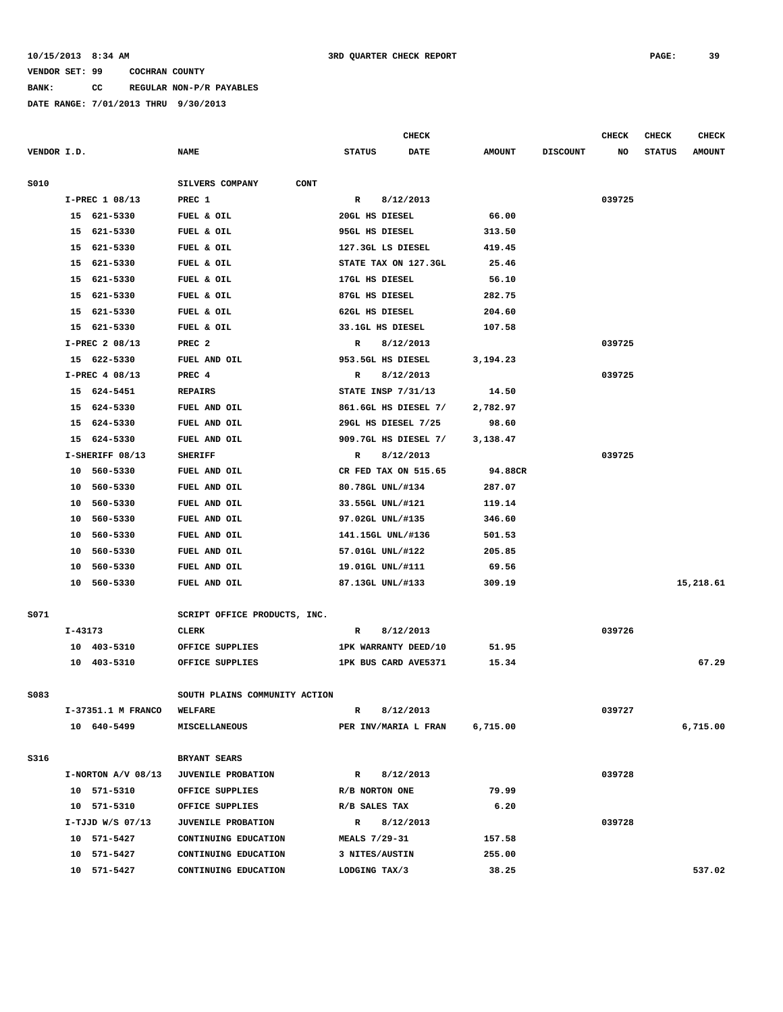**BANK: CC REGULAR NON-P/R PAYABLES**

|             |         |                      |                                | CHECK          |                      |               |                 | <b>CHECK</b> | <b>CHECK</b>  | <b>CHECK</b>  |
|-------------|---------|----------------------|--------------------------------|----------------|----------------------|---------------|-----------------|--------------|---------------|---------------|
| VENDOR I.D. |         |                      | <b>NAME</b>                    | <b>STATUS</b>  | <b>DATE</b>          | <b>AMOUNT</b> | <b>DISCOUNT</b> | NO           | <b>STATUS</b> | <b>AMOUNT</b> |
|             |         |                      |                                |                |                      |               |                 |              |               |               |
| S010        |         |                      | SILVERS COMPANY<br><b>CONT</b> |                |                      |               |                 |              |               |               |
|             |         | I-PREC 1 08/13       | PREC 1                         | R              | 8/12/2013            |               |                 | 039725       |               |               |
|             |         | 15 621-5330          | FUEL & OIL                     | 20GL HS DIESEL |                      | 66.00         |                 |              |               |               |
|             |         | 15 621-5330          | FUEL & OIL                     | 95GL HS DIESEL |                      | 313.50        |                 |              |               |               |
|             |         | 15 621-5330          | FUEL & OIL                     |                | 127.3GL LS DIESEL    | 419.45        |                 |              |               |               |
|             |         | 15 621-5330          | FUEL & OIL                     |                | STATE TAX ON 127.3GL | 25.46         |                 |              |               |               |
|             |         | 15 621-5330          | FUEL & OIL                     | 17GL HS DIESEL |                      | 56.10         |                 |              |               |               |
|             | 15      | 621-5330             | FUEL & OIL                     | 87GL HS DIESEL |                      | 282.75        |                 |              |               |               |
|             |         | 15 621-5330          | FUEL & OIL                     | 62GL HS DIESEL |                      | 204.60        |                 |              |               |               |
|             | 15      | 621-5330             | FUEL & OIL                     |                | 33.1GL HS DIESEL     | 107.58        |                 |              |               |               |
|             |         | I-PREC 2 08/13       | PREC <sub>2</sub>              | R              | 8/12/2013            |               |                 | 039725       |               |               |
|             |         | 15 622-5330          | FUEL AND OIL                   |                | 953.5GL HS DIESEL    | 3,194.23      |                 |              |               |               |
|             |         | I-PREC 4 08/13       | PREC 4                         | R              | 8/12/2013            |               |                 | 039725       |               |               |
|             |         | 15 624-5451          | <b>REPAIRS</b>                 |                | STATE INSP 7/31/13   | 14.50         |                 |              |               |               |
|             |         | 15 624-5330          | FUEL AND OIL                   |                | 861.6GL HS DIESEL 7/ | 2,782.97      |                 |              |               |               |
|             |         | 15 624-5330          | FUEL AND OIL                   |                | 29GL HS DIESEL 7/25  | 98.60         |                 |              |               |               |
|             | 15      | 624-5330             | FUEL AND OIL                   |                | 909.7GL HS DIESEL 7/ | 3,138.47      |                 |              |               |               |
|             |         | I-SHERIFF 08/13      | <b>SHERIFF</b>                 | R              | 8/12/2013            |               |                 | 039725       |               |               |
|             |         | 10 560-5330          | FUEL AND OIL                   |                | CR FED TAX ON 515.65 | 94.88CR       |                 |              |               |               |
|             |         | 10 560-5330          | FUEL AND OIL                   |                | 80.78GL UNL/#134     | 287.07        |                 |              |               |               |
|             |         | 10 560-5330          | FUEL AND OIL                   |                | 33.55GL UNL/#121     | 119.14        |                 |              |               |               |
|             | 10      | 560-5330             | FUEL AND OIL                   |                | 97.02GL UNL/#135     | 346.60        |                 |              |               |               |
|             | 10      | 560-5330             | FUEL AND OIL                   |                | 141.15GL UNL/#136    | 501.53        |                 |              |               |               |
|             | 10      | 560-5330             | FUEL AND OIL                   |                | 57.01GL UNL/#122     | 205.85        |                 |              |               |               |
|             | 10      | 560-5330             | FUEL AND OIL                   |                | 19.01GL UNL/#111     | 69.56         |                 |              |               |               |
|             |         | 10 560-5330          | FUEL AND OIL                   |                | 87.13GL UNL/#133     | 309.19        |                 |              |               | 15,218.61     |
|             |         |                      |                                |                |                      |               |                 |              |               |               |
| S071        |         |                      | SCRIPT OFFICE PRODUCTS, INC.   |                |                      |               |                 |              |               |               |
|             | I-43173 |                      | <b>CLERK</b>                   | R              | 8/12/2013            |               |                 | 039726       |               |               |
|             |         | 10 403-5310          | OFFICE SUPPLIES                |                | 1PK WARRANTY DEED/10 | 51.95         |                 |              |               |               |
|             |         | 10 403-5310          | OFFICE SUPPLIES                |                | 1PK BUS CARD AVE5371 | 15.34         |                 |              |               | 67.29         |
|             |         |                      |                                |                |                      |               |                 |              |               |               |
| S083        |         |                      | SOUTH PLAINS COMMUNITY ACTION  |                |                      |               |                 |              |               |               |
|             |         | I-37351.1 M FRANCO   | <b>WELFARE</b>                 | R              | 8/12/2013            |               |                 | 039727       |               |               |
|             |         | 10 640-5499          | <b>MISCELLANEOUS</b>           |                | PER INV/MARIA L FRAN | 6,715.00      |                 |              |               | 6,715.00      |
|             |         |                      |                                |                |                      |               |                 |              |               |               |
| S316        |         |                      | BRYANT SEARS                   |                |                      |               |                 |              |               |               |
|             |         | $I-NORTON A/V 08/13$ | <b>JUVENILE PROBATION</b>      | $\mathbf{R}$   | 8/12/2013            |               |                 | 039728       |               |               |
|             |         | 10 571-5310          | OFFICE SUPPLIES                | R/B NORTON ONE |                      | 79.99         |                 |              |               |               |
|             |         | 10 571-5310          | OFFICE SUPPLIES                | R/B SALES TAX  |                      | 6.20          |                 |              |               |               |
|             |         | $I-TJJD W/S 07/13$   | <b>JUVENILE PROBATION</b>      | $\mathbb{R}$   | 8/12/2013            |               |                 | 039728       |               |               |
|             |         | 10 571-5427          | CONTINUING EDUCATION           | MEALS 7/29-31  |                      | 157.58        |                 |              |               |               |
|             |         | 10 571-5427          | CONTINUING EDUCATION           | 3 NITES/AUSTIN |                      | 255.00        |                 |              |               |               |
|             |         | 10 571-5427          | CONTINUING EDUCATION           | LODGING TAX/3  |                      | 38.25         |                 |              |               | 537.02        |
|             |         |                      |                                |                |                      |               |                 |              |               |               |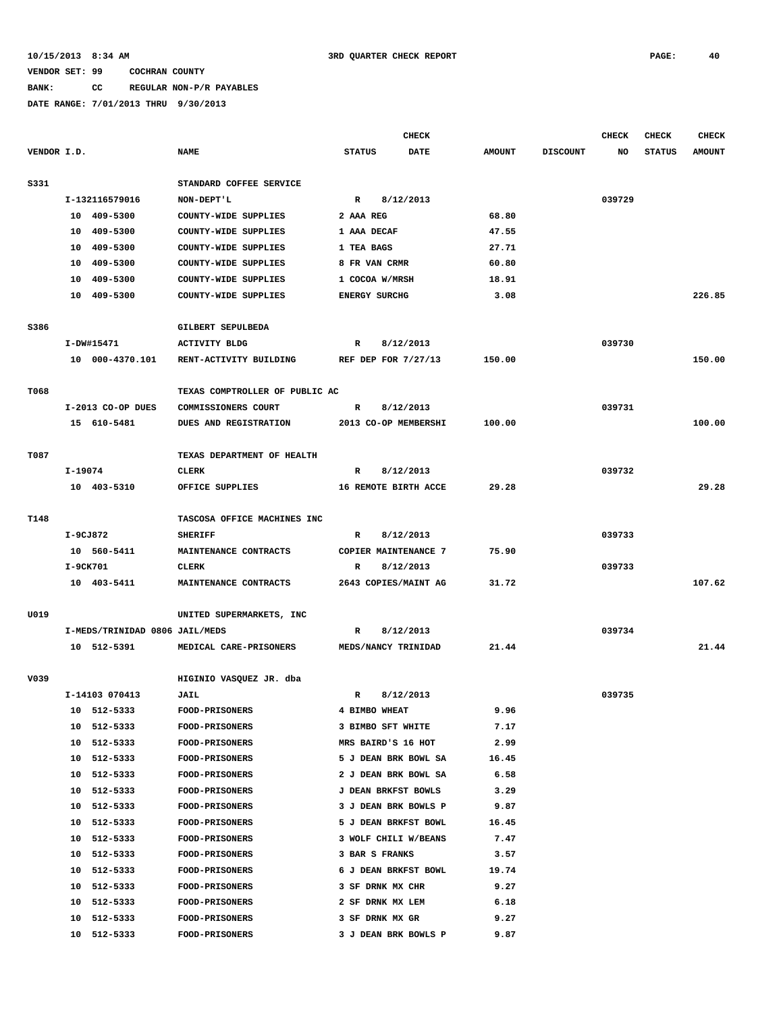## **BANK: CC REGULAR NON-P/R PAYABLES**

|             |         |                                |                                  |                                              | <b>CHECK</b> |               |                 | <b>CHECK</b> | <b>CHECK</b>  | <b>CHECK</b>  |
|-------------|---------|--------------------------------|----------------------------------|----------------------------------------------|--------------|---------------|-----------------|--------------|---------------|---------------|
| VENDOR I.D. |         |                                | <b>NAME</b>                      | <b>STATUS</b>                                | <b>DATE</b>  | <b>AMOUNT</b> | <b>DISCOUNT</b> | NO           | <b>STATUS</b> | <b>AMOUNT</b> |
| S331        |         |                                | STANDARD COFFEE SERVICE          |                                              |              |               |                 |              |               |               |
|             |         | I-132116579016                 | NON-DEPT'L                       | $\mathbb{R}$                                 | 8/12/2013    |               |                 | 039729       |               |               |
|             |         | 10 409-5300                    | COUNTY-WIDE SUPPLIES             | 2 AAA REG                                    |              | 68.80         |                 |              |               |               |
|             | 10      | 409-5300                       | COUNTY-WIDE SUPPLIES             | 1 AAA DECAF                                  |              | 47.55         |                 |              |               |               |
|             | 10      | 409-5300                       | COUNTY-WIDE SUPPLIES             | 1 TEA BAGS                                   |              | 27.71         |                 |              |               |               |
|             | 10      | 409-5300                       | COUNTY-WIDE SUPPLIES             | 8 FR VAN CRMR                                |              | 60.80         |                 |              |               |               |
|             | 10      | 409-5300                       | COUNTY-WIDE SUPPLIES             | 1 COCOA W/MRSH                               |              | 18.91         |                 |              |               |               |
|             |         | 10 409-5300                    | COUNTY-WIDE SUPPLIES             | <b>ENERGY SURCHG</b>                         |              | 3.08          |                 |              |               | 226.85        |
| S386        |         |                                | <b>GILBERT SEPULBEDA</b>         |                                              |              |               |                 |              |               |               |
|             |         | I-DW#15471                     | <b>ACTIVITY BLDG</b>             | R                                            | 8/12/2013    |               |                 | 039730       |               |               |
|             |         | 10 000-4370.101                | RENT-ACTIVITY BUILDING           | REF DEP FOR 7/27/13                          |              | 150.00        |                 |              |               | 150.00        |
| T068        |         |                                | TEXAS COMPTROLLER OF PUBLIC AC   |                                              |              |               |                 |              |               |               |
|             |         | I-2013 CO-OP DUES              | COMMISSIONERS COURT              | R                                            | 8/12/2013    |               |                 | 039731       |               |               |
|             |         | 15 610-5481                    | DUES AND REGISTRATION            | 2013 CO-OP MEMBERSHI                         |              | 100.00        |                 |              |               | 100.00        |
| T087        |         |                                | TEXAS DEPARTMENT OF HEALTH       |                                              |              |               |                 |              |               |               |
|             | I-19074 |                                | <b>CLERK</b>                     | R                                            | 8/12/2013    |               |                 | 039732       |               |               |
|             |         | 10 403-5310                    | OFFICE SUPPLIES                  | 16 REMOTE BIRTH ACCE                         |              | 29.28         |                 |              |               | 29.28         |
| T148        |         |                                | TASCOSA OFFICE MACHINES INC      |                                              |              |               |                 |              |               |               |
|             |         | I-9CJ872                       | <b>SHERIFF</b>                   | $\mathbb{R}$                                 | 8/12/2013    |               |                 | 039733       |               |               |
|             |         | 10 560-5411                    | MAINTENANCE CONTRACTS            | COPIER MAINTENANCE 7                         |              | 75.90         |                 |              |               |               |
|             |         | I-9CK701                       | <b>CLERK</b>                     | R                                            | 8/12/2013    |               |                 | 039733       |               |               |
|             |         | 10 403-5411                    | MAINTENANCE CONTRACTS            | 2643 COPIES/MAINT AG                         |              | 31.72         |                 |              |               | 107.62        |
|             |         |                                |                                  |                                              |              |               |                 |              |               |               |
| U019        |         | I-MEDS/TRINIDAD 0806 JAIL/MEDS | UNITED SUPERMARKETS, INC         |                                              |              |               |                 |              |               |               |
|             |         | 10 512-5391                    | MEDICAL CARE-PRISONERS           | R<br>MEDS/NANCY TRINIDAD                     | 8/12/2013    | 21.44         |                 | 039734       |               | 21.44         |
|             |         |                                |                                  |                                              |              |               |                 |              |               |               |
| V039        |         |                                | HIGINIO VASQUEZ JR. dba          |                                              |              |               |                 |              |               |               |
|             |         | I-14103 070413                 | <b>JAIL</b>                      | $\mathbb{R}$                                 | 8/12/2013    |               |                 | 039735       |               |               |
|             |         | 10 512-5333                    | <b>FOOD-PRISONERS</b>            | 4 BIMBO WHEAT                                |              | 9.96          |                 |              |               |               |
|             |         | 10 512-5333                    | <b>FOOD-PRISONERS</b>            | 3 BIMBO SFT WHITE                            |              | 7.17          |                 |              |               |               |
|             |         | 10 512-5333                    | FOOD-PRISONERS                   | MRS BAIRD'S 16 HOT                           |              | 2.99          |                 |              |               |               |
|             |         | 10 512-5333<br>10 512-5333     | FOOD-PRISONERS<br>FOOD-PRISONERS | 5 J DEAN BRK BOWL SA<br>2 J DEAN BRK BOWL SA |              | 16.45<br>6.58 |                 |              |               |               |
|             |         | 10 512-5333                    | <b>FOOD-PRISONERS</b>            | J DEAN BRKFST BOWLS                          |              | 3.29          |                 |              |               |               |
|             | 10      | 512-5333                       | FOOD-PRISONERS                   | 3 J DEAN BRK BOWLS P                         |              | 9.87          |                 |              |               |               |
|             | 10      | 512-5333                       | FOOD-PRISONERS                   | 5 J DEAN BRKFST BOWL                         |              | 16.45         |                 |              |               |               |
|             | 10      | 512-5333                       | FOOD-PRISONERS                   | 3 WOLF CHILI W/BEANS                         |              | 7.47          |                 |              |               |               |
|             |         | 10 512-5333                    | <b>FOOD-PRISONERS</b>            | 3 BAR S FRANKS                               |              | 3.57          |                 |              |               |               |
|             |         | 10 512-5333                    | <b>FOOD-PRISONERS</b>            | 6 J DEAN BRKFST BOWL                         |              | 19.74         |                 |              |               |               |
|             |         | 10 512-5333                    | <b>FOOD-PRISONERS</b>            | 3 SF DRNK MX CHR                             |              | 9.27          |                 |              |               |               |
|             |         | 10 512-5333                    | <b>FOOD-PRISONERS</b>            | 2 SF DRNK MX LEM                             |              | 6.18          |                 |              |               |               |
|             | 10      | 512-5333                       | <b>FOOD-PRISONERS</b>            | 3 SF DRNK MX GR                              |              | 9.27          |                 |              |               |               |
|             |         | 10 512-5333                    | FOOD-PRISONERS                   | 3 J DEAN BRK BOWLS P                         |              | 9.87          |                 |              |               |               |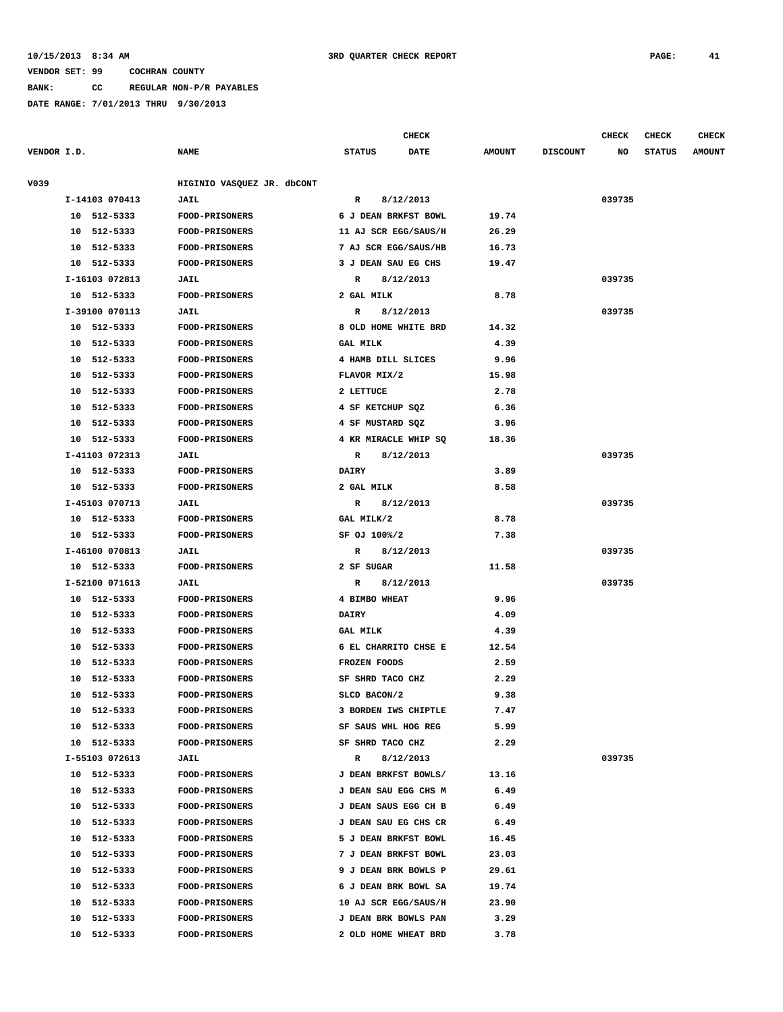**BANK: CC REGULAR NON-P/R PAYABLES**

|             |                            |                                                | <b>CHECK</b>                                |           |                |                 | <b>CHECK</b> | <b>CHECK</b>  | <b>CHECK</b>  |
|-------------|----------------------------|------------------------------------------------|---------------------------------------------|-----------|----------------|-----------------|--------------|---------------|---------------|
| VENDOR I.D. |                            | <b>NAME</b>                                    | <b>STATUS</b><br><b>DATE</b>                |           | <b>AMOUNT</b>  | <b>DISCOUNT</b> | NO           | <b>STATUS</b> | <b>AMOUNT</b> |
|             |                            |                                                |                                             |           |                |                 |              |               |               |
| V039        |                            | HIGINIO VASQUEZ JR. dbCONT                     |                                             |           |                |                 |              |               |               |
|             | I-14103 070413             | JAIL                                           | R                                           | 8/12/2013 |                |                 | 039735       |               |               |
|             | 10 512-5333                | FOOD-PRISONERS                                 | 6 J DEAN BRKFST BOWL                        |           | 19.74          |                 |              |               |               |
|             | 10 512-5333                | <b>FOOD-PRISONERS</b>                          | 11 AJ SCR EGG/SAUS/H                        |           | 26.29          |                 |              |               |               |
|             | 10 512-5333<br>10 512-5333 | <b>FOOD-PRISONERS</b><br><b>FOOD-PRISONERS</b> | 7 AJ SCR EGG/SAUS/HB<br>3 J DEAN SAU EG CHS |           | 16.73<br>19.47 |                 |              |               |               |
|             | I-16103 072813             | <b>JAIL</b>                                    | R                                           | 8/12/2013 |                |                 | 039735       |               |               |
|             | 10 512-5333                | <b>FOOD-PRISONERS</b>                          | 2 GAL MILK                                  |           | 8.78           |                 |              |               |               |
|             | I-39100 070113             | <b>JAIL</b>                                    | R                                           | 8/12/2013 |                |                 | 039735       |               |               |
|             | 10 512-5333                | <b>FOOD-PRISONERS</b>                          | 8 OLD HOME WHITE BRD                        |           | 14.32          |                 |              |               |               |
|             | 10 512-5333                | <b>FOOD-PRISONERS</b>                          | <b>GAL MILK</b>                             |           | 4.39           |                 |              |               |               |
|             | 10 512-5333                | <b>FOOD-PRISONERS</b>                          | 4 HAMB DILL SLICES                          |           | 9.96           |                 |              |               |               |
|             | 10<br>512-5333             | <b>FOOD-PRISONERS</b>                          | FLAVOR MIX/2                                |           | 15.98          |                 |              |               |               |
|             | 512-5333<br>10             | FOOD-PRISONERS                                 | 2 LETTUCE                                   |           | 2.78           |                 |              |               |               |
|             | 512-5333<br>10             | <b>FOOD-PRISONERS</b>                          | 4 SF KETCHUP SQZ                            |           | 6.36           |                 |              |               |               |
|             | 512-5333<br>10             | <b>FOOD-PRISONERS</b>                          | 4 SF MUSTARD SQZ                            |           | 3.96           |                 |              |               |               |
|             | 10 512-5333                | <b>FOOD-PRISONERS</b>                          | 4 KR MIRACLE WHIP SQ                        |           | 18.36          |                 |              |               |               |
|             | I-41103 072313             | <b>JAIL</b>                                    | R                                           | 8/12/2013 |                |                 | 039735       |               |               |
|             | 10 512-5333                | FOOD-PRISONERS                                 | <b>DAIRY</b>                                |           | 3.89           |                 |              |               |               |
|             | 10 512-5333                | <b>FOOD-PRISONERS</b>                          | 2 GAL MILK                                  |           | 8.58           |                 |              |               |               |
|             | I-45103 070713             | JAIL                                           | R                                           | 8/12/2013 |                |                 | 039735       |               |               |
|             | 512-5333<br>10             | <b>FOOD-PRISONERS</b>                          | GAL MILK/2                                  |           | 8.78           |                 |              |               |               |
|             | 10 512-5333                | FOOD-PRISONERS                                 | SF OJ 100%/2                                |           | 7.38           |                 |              |               |               |
|             | I-46100 070813             | JAIL                                           | R                                           | 8/12/2013 |                |                 | 039735       |               |               |
|             | 10 512-5333                | <b>FOOD-PRISONERS</b>                          | 2 SF SUGAR                                  |           | 11.58          |                 |              |               |               |
|             | I-52100 071613             | <b>JAIL</b>                                    | R                                           | 8/12/2013 |                |                 | 039735       |               |               |
|             | 10 512-5333                | <b>FOOD-PRISONERS</b>                          | 4 BIMBO WHEAT                               |           | 9.96           |                 |              |               |               |
|             | 10 512-5333                | FOOD-PRISONERS                                 | <b>DAIRY</b>                                |           | 4.09           |                 |              |               |               |
|             | 10 512-5333                | FOOD-PRISONERS                                 | <b>GAL MILK</b>                             |           | 4.39           |                 |              |               |               |
|             | 512-5333<br>10             | <b>FOOD-PRISONERS</b>                          | 6 EL CHARRITO CHSE E                        |           | 12.54          |                 |              |               |               |
|             | 10<br>512-5333             | FOOD-PRISONERS                                 | FROZEN FOODS                                |           | 2.59           |                 |              |               |               |
|             | 512-5333<br>10             | <b>FOOD-PRISONERS</b>                          | SF SHRD TACO CHZ                            |           | 2.29           |                 |              |               |               |
|             | 10 512-5333                | FOOD-PRISONERS                                 | SLCD BACON/2                                |           | 9.38           |                 |              |               |               |
|             | 10 512-5333                | <b>FOOD-PRISONERS</b>                          | 3 BORDEN IWS CHIPTLE                        |           | 7.47           |                 |              |               |               |
|             | 10 512-5333                | <b>FOOD-PRISONERS</b>                          | SF SAUS WHL HOG REG                         |           | 5.99           |                 |              |               |               |
|             | 10 512-5333                | <b>FOOD-PRISONERS</b>                          | SF SHRD TACO CHZ                            |           | 2.29           |                 |              |               |               |
|             | I-55103 072613             | <b>JAIL</b>                                    | $\mathbb{R}$                                | 8/12/2013 |                |                 | 039735       |               |               |
|             | 10 512-5333                | FOOD-PRISONERS                                 | J DEAN BRKFST BOWLS/                        |           | 13.16          |                 |              |               |               |
|             | 10 512-5333                | <b>FOOD-PRISONERS</b>                          | J DEAN SAU EGG CHS M                        |           | 6.49           |                 |              |               |               |
|             | 10 512-5333                | <b>FOOD-PRISONERS</b>                          | J DEAN SAUS EGG CH B                        |           | 6.49           |                 |              |               |               |
|             | 10 512-5333                | FOOD-PRISONERS                                 | J DEAN SAU EG CHS CR                        |           | 6.49           |                 |              |               |               |
|             | 10 512-5333                | FOOD-PRISONERS                                 | 5 J DEAN BRKFST BOWL                        |           | 16.45          |                 |              |               |               |
|             | 10 512-5333                | <b>FOOD-PRISONERS</b>                          | 7 J DEAN BRKFST BOWL                        |           | 23.03          |                 |              |               |               |
|             | 10 512-5333                | FOOD-PRISONERS                                 | 9 J DEAN BRK BOWLS P                        |           | 29.61          |                 |              |               |               |
|             | 10 512-5333                | <b>FOOD-PRISONERS</b>                          | 6 J DEAN BRK BOWL SA                        |           | 19.74          |                 |              |               |               |
|             | 10 512-5333                | <b>FOOD-PRISONERS</b>                          | 10 AJ SCR EGG/SAUS/H                        |           | 23.90          |                 |              |               |               |
|             | 10 512-5333                | FOOD-PRISONERS                                 | J DEAN BRK BOWLS PAN                        |           | 3.29           |                 |              |               |               |
|             | 10 512-5333                | <b>FOOD-PRISONERS</b>                          | 2 OLD HOME WHEAT BRD                        |           | 3.78           |                 |              |               |               |
|             |                            |                                                |                                             |           |                |                 |              |               |               |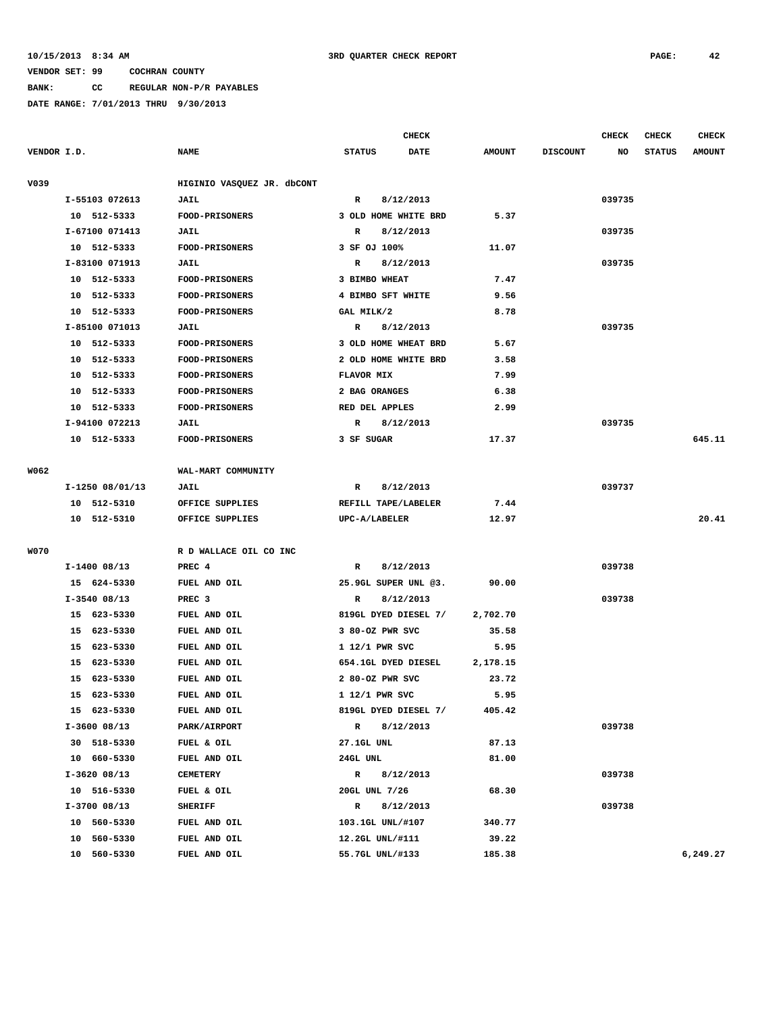**BANK: CC REGULAR NON-P/R PAYABLES**

|             |                 |                            | <b>CHECK</b>              |                       |                 | <b>CHECK</b> | CHECK         | <b>CHECK</b>  |
|-------------|-----------------|----------------------------|---------------------------|-----------------------|-----------------|--------------|---------------|---------------|
| VENDOR I.D. |                 | <b>NAME</b>                | <b>STATUS</b>             | DATE<br><b>AMOUNT</b> | <b>DISCOUNT</b> | NO           | <b>STATUS</b> | <b>AMOUNT</b> |
| V039        |                 | HIGINIO VASQUEZ JR. dbCONT |                           |                       |                 |              |               |               |
|             | I-55103 072613  | JAIL                       | $\mathbb{R}$<br>8/12/2013 |                       |                 | 039735       |               |               |
|             | 10 512-5333     | <b>FOOD-PRISONERS</b>      | 3 OLD HOME WHITE BRD      | 5.37                  |                 |              |               |               |
|             | I-67100 071413  | JAIL                       | 8/12/2013<br>R            |                       |                 | 039735       |               |               |
|             | 10 512-5333     | <b>FOOD-PRISONERS</b>      | 3 SF OJ 100%              | 11.07                 |                 |              |               |               |
|             | I-83100 071913  | JAIL                       | 8/12/2013<br>R            |                       |                 | 039735       |               |               |
|             | 10 512-5333     | FOOD-PRISONERS             | 3 BIMBO WHEAT             | 7.47                  |                 |              |               |               |
|             | 10 512-5333     | <b>FOOD-PRISONERS</b>      | 4 BIMBO SFT WHITE         | 9.56                  |                 |              |               |               |
|             | 10 512-5333     | <b>FOOD-PRISONERS</b>      | GAL MILK/2                | 8.78                  |                 |              |               |               |
|             | I-85100 071013  | JAIL                       | 8/12/2013<br>R            |                       |                 | 039735       |               |               |
|             | 10 512-5333     | <b>FOOD-PRISONERS</b>      | 3 OLD HOME WHEAT BRD      | 5.67                  |                 |              |               |               |
|             | 10 512-5333     | <b>FOOD-PRISONERS</b>      | 2 OLD HOME WHITE BRD      | 3.58                  |                 |              |               |               |
|             | 10 512-5333     | FOOD-PRISONERS             | FLAVOR MIX                | 7.99                  |                 |              |               |               |
|             | 10 512-5333     | FOOD-PRISONERS             | 2 BAG ORANGES             | 6.38                  |                 |              |               |               |
|             | 10 512-5333     | <b>FOOD-PRISONERS</b>      | RED DEL APPLES            | 2.99                  |                 |              |               |               |
|             | I-94100 072213  | JAIL                       | 8/12/2013<br>R            |                       |                 | 039735       |               |               |
|             | 10 512-5333     | FOOD-PRISONERS             | 3 SF SUGAR                | 17.37                 |                 |              |               | 645.11        |
| W062        |                 | WAL-MART COMMUNITY         |                           |                       |                 |              |               |               |
|             | I-1250 08/01/13 | JAIL                       | 8/12/2013<br>R            |                       |                 | 039737       |               |               |
|             | 10 512-5310     | OFFICE SUPPLIES            | REFILL TAPE/LABELER       | 7.44                  |                 |              |               |               |
|             | 10 512-5310     | OFFICE SUPPLIES            | UPC-A/LABELER             | 12.97                 |                 |              |               | 20.41         |
| <b>W070</b> |                 | R D WALLACE OIL CO INC     |                           |                       |                 |              |               |               |
|             | $I-1400$ 08/13  | PREC 4                     | $\mathbb{R}$<br>8/12/2013 |                       |                 | 039738       |               |               |
|             | 15 624-5330     | FUEL AND OIL               | 25.9GL SUPER UNL @3.      | 90.00                 |                 |              |               |               |
|             | $I-3540$ 08/13  | PREC <sub>3</sub>          | 8/12/2013<br>R            |                       |                 | 039738       |               |               |
|             | 15 623-5330     | FUEL AND OIL               | 819GL DYED DIESEL 7/      | 2,702.70              |                 |              |               |               |
|             | 15 623-5330     | FUEL AND OIL               | 3 80-OZ PWR SVC           | 35.58                 |                 |              |               |               |
|             | 15 623-5330     | FUEL AND OIL               | 1 12/1 PWR SVC            | 5.95                  |                 |              |               |               |
|             | 15 623-5330     | FUEL AND OIL               | 654.1GL DYED DIESEL       | 2,178.15              |                 |              |               |               |
|             | 15<br>623-5330  | FUEL AND OIL               | 2 80-OZ PWR SVC           | 23.72                 |                 |              |               |               |
|             | 15 623-5330     | FUEL AND OIL               | 1 12/1 PWR SVC            | 5.95                  |                 |              |               |               |
|             | 15 623-5330     | FUEL AND OIL               | 819GL DYED DIESEL 7/      | 405.42                |                 |              |               |               |
|             | $I-3600$ 08/13  | PARK/AIRPORT               | $\mathbb{R}$<br>8/12/2013 |                       |                 | 039738       |               |               |
|             | 30 518-5330     | FUEL & OIL                 | 27.1GL UNL                | 87.13                 |                 |              |               |               |
|             | 10 660-5330     | FUEL AND OIL               | 24GL UNL                  | 81.00                 |                 |              |               |               |
|             | $I-3620$ 08/13  | <b>CEMETERY</b>            | 8/12/2013<br>$\mathbf{R}$ |                       |                 | 039738       |               |               |
|             | 10 516-5330     | FUEL & OIL                 | 20GL UNL 7/26             | 68.30                 |                 |              |               |               |
|             | $I-3700$ 08/13  | SHERIFF                    | 8/12/2013<br>$\mathbb{R}$ |                       |                 | 039738       |               |               |
|             | 10 560-5330     | FUEL AND OIL               | 103.1GL UNL/#107          | 340.77                |                 |              |               |               |
|             | 10 560-5330     | FUEL AND OIL               | 12.2GL UNL/#111           | 39.22                 |                 |              |               |               |
|             | 10 560-5330     | FUEL AND OIL               | 55.7GL UNL/#133           | 185.38                |                 |              |               | 6,249.27      |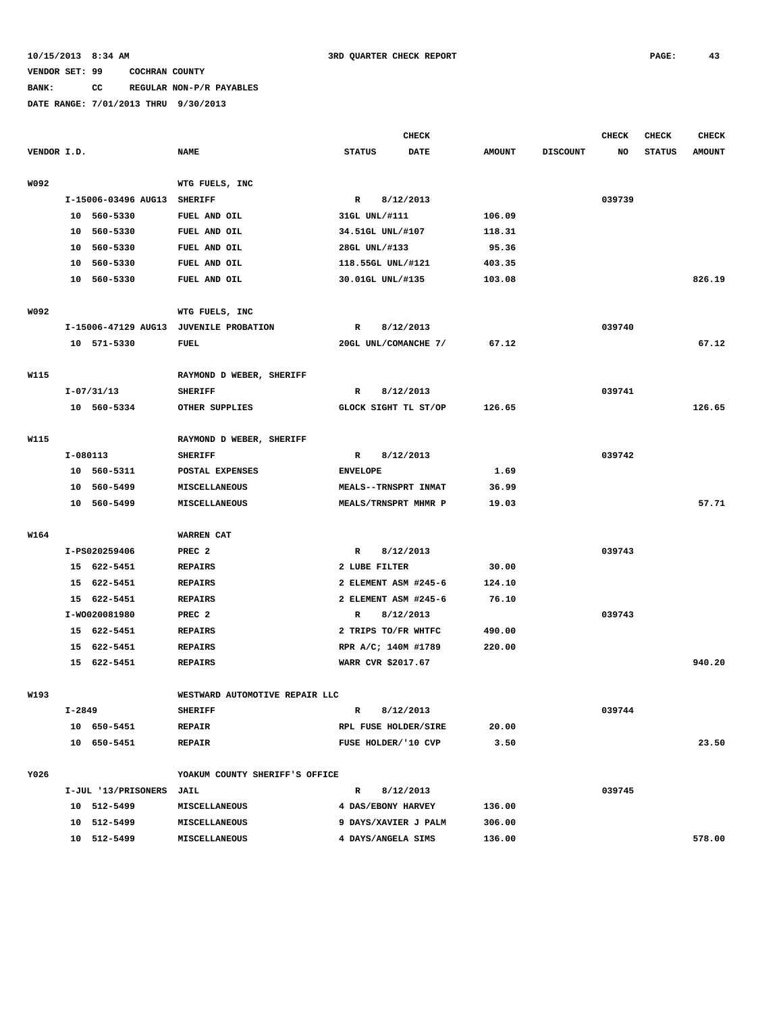# **BANK: CC REGULAR NON-P/R PAYABLES**

|             |        |                          |                                |                  | <b>CHECK</b>         |               |                 | <b>CHECK</b> | <b>CHECK</b>  | <b>CHECK</b>  |
|-------------|--------|--------------------------|--------------------------------|------------------|----------------------|---------------|-----------------|--------------|---------------|---------------|
| VENDOR I.D. |        |                          | <b>NAME</b>                    | <b>STATUS</b>    | <b>DATE</b>          | <b>AMOUNT</b> | <b>DISCOUNT</b> | NO           | <b>STATUS</b> | <b>AMOUNT</b> |
| W092        |        |                          | WTG FUELS, INC                 |                  |                      |               |                 |              |               |               |
|             |        | I-15006-03496 AUG13      | <b>SHERIFF</b>                 | R                | 8/12/2013            |               |                 | 039739       |               |               |
|             |        | 10 560-5330              | FUEL AND OIL                   | 31GL UNL/#111    |                      | 106.09        |                 |              |               |               |
|             | 10     | 560-5330                 | FUEL AND OIL                   | 34.51GL UNL/#107 |                      | 118.31        |                 |              |               |               |
|             | 10     | 560-5330                 | FUEL AND OIL                   | 28GL UNL/#133    |                      | 95.36         |                 |              |               |               |
|             | 10     | 560-5330                 | FUEL AND OIL                   |                  | 118.55GL UNL/#121    | 403.35        |                 |              |               |               |
|             |        | 10 560-5330              | FUEL AND OIL                   |                  | 30.01GL UNL/#135     | 103.08        |                 |              |               | 826.19        |
| W092        |        |                          | WTG FUELS, INC                 |                  |                      |               |                 |              |               |               |
|             |        | I-15006-47129 AUG13      | <b>JUVENILE PROBATION</b>      | R                | 8/12/2013            |               |                 | 039740       |               |               |
|             |        | 10 571-5330              | FUEL                           |                  | 20GL UNL/COMANCHE 7/ | 67.12         |                 |              |               | 67.12         |
|             |        |                          |                                |                  |                      |               |                 |              |               |               |
| W115        |        |                          | RAYMOND D WEBER, SHERIFF       |                  |                      |               |                 |              |               |               |
|             |        | $I-07/31/13$             | <b>SHERIFF</b>                 | R                | 8/12/2013            |               |                 | 039741       |               |               |
|             |        | 10 560-5334              | OTHER SUPPLIES                 |                  | GLOCK SIGHT TL ST/OP | 126.65        |                 |              |               | 126.65        |
| W115        |        |                          | RAYMOND D WEBER, SHERIFF       |                  |                      |               |                 |              |               |               |
|             |        | I-080113                 | <b>SHERIFF</b>                 | R                | 8/12/2013            |               |                 | 039742       |               |               |
|             |        | 10 560-5311              | POSTAL EXPENSES                | <b>ENVELOPE</b>  |                      | 1.69          |                 |              |               |               |
|             | 10     | 560-5499                 | <b>MISCELLANEOUS</b>           |                  | MEALS--TRNSPRT INMAT | 36.99         |                 |              |               |               |
|             |        | 10 560-5499              | MISCELLANEOUS                  |                  | MEALS/TRNSPRT MHMR P | 19.03         |                 |              |               | 57.71         |
|             |        |                          |                                |                  |                      |               |                 |              |               |               |
| W164        |        |                          | WARREN CAT                     |                  |                      |               |                 |              |               |               |
|             |        | I-PS020259406            | PREC <sub>2</sub>              | $\mathbb{R}$     | 8/12/2013            |               |                 | 039743       |               |               |
|             |        | 15 622-5451              | <b>REPAIRS</b>                 | 2 LUBE FILTER    |                      | 30.00         |                 |              |               |               |
|             |        | 15 622-5451              | <b>REPAIRS</b>                 |                  | 2 ELEMENT ASM #245-6 | 124.10        |                 |              |               |               |
|             |        | 15 622-5451              | <b>REPAIRS</b>                 |                  | 2 ELEMENT ASM #245-6 | 76.10         |                 |              |               |               |
|             |        | I-W0020081980            | PREC <sub>2</sub>              | R                | 8/12/2013            |               |                 | 039743       |               |               |
|             |        | 15 622-5451              | <b>REPAIRS</b>                 |                  | 2 TRIPS TO/FR WHTFC  | 490.00        |                 |              |               |               |
|             | 15     | 622-5451                 | <b>REPAIRS</b>                 |                  | RPR A/C; 140M #1789  | 220.00        |                 |              |               |               |
|             |        | 15 622-5451              | <b>REPAIRS</b>                 |                  | WARR CVR \$2017.67   |               |                 |              |               | 940.20        |
| W193        |        |                          | WESTWARD AUTOMOTIVE REPAIR LLC |                  |                      |               |                 |              |               |               |
|             | I-2849 |                          | <b>SHERIFF</b>                 | R                | 8/12/2013            |               |                 | 039744       |               |               |
|             |        | 10 650-5451              | <b>REPAIR</b>                  |                  | RPL FUSE HOLDER/SIRE | 20.00         |                 |              |               |               |
|             |        | 10 650-5451              | <b>REPAIR</b>                  |                  | FUSE HOLDER/'10 CVP  | 3.50          |                 |              |               | 23.50         |
|             |        |                          |                                |                  |                      |               |                 |              |               |               |
| Y026        |        |                          | YOAKUM COUNTY SHERIFF'S OFFICE |                  |                      |               |                 |              |               |               |
|             |        | I-JUL '13/PRISONERS JAIL |                                | $\mathbb{R}$     | 8/12/2013            |               |                 | 039745       |               |               |
|             |        | 10 512-5499              | MISCELLANEOUS                  |                  | 4 DAS/EBONY HARVEY   | 136.00        |                 |              |               |               |
|             |        | 10 512-5499              | <b>MISCELLANEOUS</b>           |                  | 9 DAYS/XAVIER J PALM | 306.00        |                 |              |               |               |
|             |        | 10 512-5499              | MISCELLANEOUS                  |                  | 4 DAYS/ANGELA SIMS   | 136.00        |                 |              |               | 578.00        |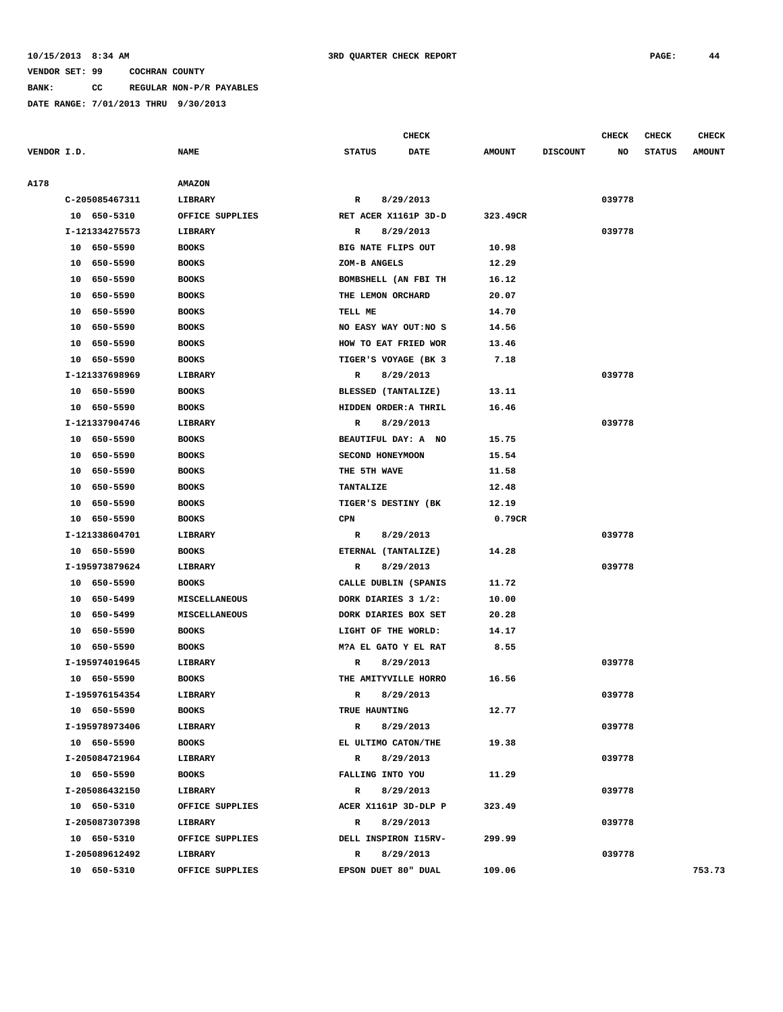**BANK: CC REGULAR NON-P/R PAYABLES**

**DATE RANGE: 7/01/2013 THRU 9/30/2013**

**CHECK CHECK CHECK CHECK CHECK CHECK CHECK** 

| VENDOR I.D. |                | <b>NAME</b>          | <b>STATUS</b><br><b>DATE</b> | <b>AMOUNT</b> | <b>DISCOUNT</b> | NO     | <b>STATUS</b> | <b>AMOUNT</b> |
|-------------|----------------|----------------------|------------------------------|---------------|-----------------|--------|---------------|---------------|
| A178        |                | <b>AMAZON</b>        |                              |               |                 |        |               |               |
|             | C-205085467311 | LIBRARY              | 8/29/2013<br>R               |               |                 | 039778 |               |               |
|             | 10 650-5310    | OFFICE SUPPLIES      | RET ACER X1161P 3D-D         | 323.49CR      |                 |        |               |               |
|             | I-121334275573 | LIBRARY              | 8/29/2013<br>$\mathbb{R}$    |               |                 | 039778 |               |               |
|             | 10 650-5590    | <b>BOOKS</b>         | BIG NATE FLIPS OUT           | 10.98         |                 |        |               |               |
|             | 10 650-5590    | <b>BOOKS</b>         | ZOM-B ANGELS                 | 12.29         |                 |        |               |               |
|             | 10 650-5590    | <b>BOOKS</b>         | BOMBSHELL (AN FBI TH         | 16.12         |                 |        |               |               |
|             | 10 650-5590    | <b>BOOKS</b>         | THE LEMON ORCHARD            | 20.07         |                 |        |               |               |
|             | 10 650-5590    | <b>BOOKS</b>         | TELL ME                      | 14.70         |                 |        |               |               |
|             | 10 650-5590    | <b>BOOKS</b>         | NO EASY WAY OUT:NO S         | 14.56         |                 |        |               |               |
|             | 10 650-5590    | <b>BOOKS</b>         | HOW TO EAT FRIED WOR         | 13.46         |                 |        |               |               |
|             | 10 650-5590    | <b>BOOKS</b>         | TIGER'S VOYAGE (BK 3         | 7.18          |                 |        |               |               |
|             | I-121337698969 | LIBRARY              | 8/29/2013<br>R               |               |                 | 039778 |               |               |
|             | 10 650-5590    | <b>BOOKS</b>         | BLESSED (TANTALIZE)          | 13.11         |                 |        |               |               |
|             | 10 650-5590    | <b>BOOKS</b>         | HIDDEN ORDER: A THRIL        | 16.46         |                 |        |               |               |
|             | I-121337904746 | LIBRARY              | 8/29/2013<br>R               |               |                 | 039778 |               |               |
|             | 10 650-5590    | <b>BOOKS</b>         | BEAUTIFUL DAY: A NO          | 15.75         |                 |        |               |               |
|             | 10 650-5590    | <b>BOOKS</b>         | SECOND HONEYMOON             | 15.54         |                 |        |               |               |
|             | 10 650-5590    | <b>BOOKS</b>         | THE 5TH WAVE                 | 11.58         |                 |        |               |               |
|             | 10 650-5590    | <b>BOOKS</b>         | TANTALIZE                    | 12.48         |                 |        |               |               |
|             | 10 650-5590    | <b>BOOKS</b>         | TIGER'S DESTINY (BK          | 12.19         |                 |        |               |               |
|             | 10 650-5590    | <b>BOOKS</b>         | $\mathtt{CPN}$               | 0.79CR        |                 |        |               |               |
|             | I-121338604701 | LIBRARY              | 8/29/2013<br>R               |               |                 | 039778 |               |               |
|             | 10 650-5590    | <b>BOOKS</b>         | ETERNAL (TANTALIZE)          | 14.28         |                 |        |               |               |
|             | I-195973879624 | LIBRARY              | 8/29/2013<br>$\mathbb{R}$    |               |                 | 039778 |               |               |
|             | 10 650-5590    | <b>BOOKS</b>         | CALLE DUBLIN (SPANIS         | 11.72         |                 |        |               |               |
|             | 10 650-5499    | <b>MISCELLANEOUS</b> | DORK DIARIES 3 1/2:          | 10.00         |                 |        |               |               |
|             | 10 650-5499    | MISCELLANEOUS        | DORK DIARIES BOX SET         | 20.28         |                 |        |               |               |
|             | 10 650-5590    | <b>BOOKS</b>         | LIGHT OF THE WORLD:          | 14.17         |                 |        |               |               |
|             | 10 650-5590    | <b>BOOKS</b>         | M?A EL GATO Y EL RAT         | 8.55          |                 |        |               |               |
|             | I-195974019645 | LIBRARY              | R<br>8/29/2013               |               |                 | 039778 |               |               |
|             | 10 650-5590    | <b>BOOKS</b>         | THE AMITYVILLE HORRO         | 16.56         |                 |        |               |               |
|             | I-195976154354 | LIBRARY              | R<br>8/29/2013               |               |                 | 039778 |               |               |
|             | 10 650-5590    | <b>BOOKS</b>         | TRUE HAUNTING                | 12.77         |                 |        |               |               |
|             | I-195978973406 | LIBRARY              | 8/29/2013<br>R               |               |                 | 039778 |               |               |
|             | 10 650-5590    | BOOKS                | EL ULTIMO CATON/THE          | 19.38         |                 |        |               |               |
|             | I-205084721964 | LIBRARY              | 8/29/2013<br>$\mathbb{R}$    |               |                 | 039778 |               |               |
|             | 10 650-5590    | BOOKS                | FALLING INTO YOU             | 11.29         |                 |        |               |               |
|             | I-205086432150 | LIBRARY              | 8/29/2013<br>$\mathbb{R}$    |               |                 | 039778 |               |               |
|             | 10 650-5310    | OFFICE SUPPLIES      | ACER X1161P 3D-DLP P         | 323.49        |                 |        |               |               |
|             | I-205087307398 | LIBRARY              | 8/29/2013<br>$\mathbb{R}$    |               |                 | 039778 |               |               |
|             | 10 650-5310    | OFFICE SUPPLIES      | DELL INSPIRON I15RV-         | 299.99        |                 |        |               |               |
|             | I-205089612492 | LIBRARY              | R 8/29/2013                  |               |                 | 039778 |               |               |
|             | 10 650-5310    | OFFICE SUPPLIES      | EPSON DUET 80" DUAL          | 109.06        |                 |        |               | 753.73        |
|             |                |                      |                              |               |                 |        |               |               |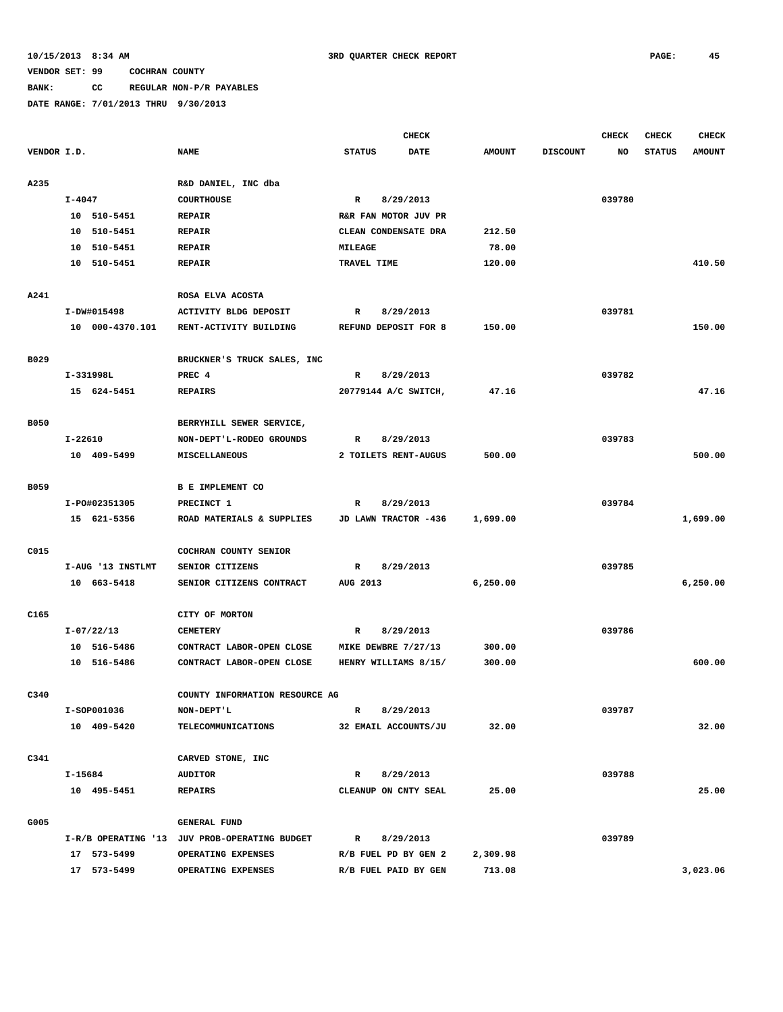# **BANK: CC REGULAR NON-P/R PAYABLES**

|             |             |                   |                                               |                      | <b>CHECK</b> |               |                 | <b>CHECK</b> | CHECK         | <b>CHECK</b>  |
|-------------|-------------|-------------------|-----------------------------------------------|----------------------|--------------|---------------|-----------------|--------------|---------------|---------------|
| VENDOR I.D. |             |                   | <b>NAME</b>                                   | <b>STATUS</b>        | <b>DATE</b>  | <b>AMOUNT</b> | <b>DISCOUNT</b> | NO           | <b>STATUS</b> | <b>AMOUNT</b> |
| A235        |             |                   | R&D DANIEL, INC dba                           |                      |              |               |                 |              |               |               |
|             | I-4047      |                   | <b>COURTHOUSE</b>                             | $\mathbb{R}$         | 8/29/2013    |               |                 | 039780       |               |               |
|             |             | 10 510-5451       | <b>REPAIR</b>                                 | R&R FAN MOTOR JUV PR |              |               |                 |              |               |               |
|             |             | 10 510-5451       | <b>REPAIR</b>                                 | CLEAN CONDENSATE DRA |              | 212.50        |                 |              |               |               |
|             |             | 10 510-5451       | <b>REPAIR</b>                                 | MILEAGE              |              | 78.00         |                 |              |               |               |
|             |             | 10 510-5451       | <b>REPAIR</b>                                 | TRAVEL TIME          |              | 120.00        |                 |              |               | 410.50        |
| A241        |             |                   | ROSA ELVA ACOSTA                              |                      |              |               |                 |              |               |               |
|             |             | I-DW#015498       | ACTIVITY BLDG DEPOSIT                         | R                    | 8/29/2013    |               |                 | 039781       |               |               |
|             |             | 10 000-4370.101   | RENT-ACTIVITY BUILDING                        | REFUND DEPOSIT FOR 8 |              | 150.00        |                 |              |               | 150.00        |
|             |             |                   |                                               |                      |              |               |                 |              |               |               |
| B029        |             |                   | BRUCKNER'S TRUCK SALES, INC                   |                      |              |               |                 |              |               |               |
|             |             | I-331998L         | PREC 4                                        | $\mathbb{R}$         | 8/29/2013    |               |                 | 039782       |               |               |
|             |             | 15 624-5451       | <b>REPAIRS</b>                                | 20779144 A/C SWITCH, |              | 47.16         |                 |              |               | 47.16         |
| <b>B050</b> |             |                   | BERRYHILL SEWER SERVICE,                      |                      |              |               |                 |              |               |               |
|             | $I - 22610$ |                   | NON-DEPT'L-RODEO GROUNDS                      | R                    | 8/29/2013    |               |                 | 039783       |               |               |
|             |             | 10 409-5499       | MISCELLANEOUS                                 | 2 TOILETS RENT-AUGUS |              | 500.00        |                 |              |               | 500.00        |
|             |             |                   |                                               |                      |              |               |                 |              |               |               |
| <b>B059</b> |             |                   | B E IMPLEMENT CO                              |                      |              |               |                 |              |               |               |
|             |             | I-P0#02351305     | PRECINCT 1                                    | R                    | 8/29/2013    |               |                 | 039784       |               |               |
|             |             | 15 621-5356       | ROAD MATERIALS & SUPPLIES                     | JD LAWN TRACTOR -436 |              | 1,699.00      |                 |              |               | 1,699.00      |
| C015        |             |                   | COCHRAN COUNTY SENIOR                         |                      |              |               |                 |              |               |               |
|             |             | I-AUG '13 INSTLMT | SENIOR CITIZENS                               | R                    | 8/29/2013    |               |                 | 039785       |               |               |
|             |             | 10 663-5418       | SENIOR CITIZENS CONTRACT                      | AUG 2013             |              | 6,250.00      |                 |              |               | 6,250.00      |
| C165        |             |                   | CITY OF MORTON                                |                      |              |               |                 |              |               |               |
|             |             | $I-07/22/13$      | <b>CEMETERY</b>                               | R                    | 8/29/2013    |               |                 | 039786       |               |               |
|             |             | 10 516-5486       | CONTRACT LABOR-OPEN CLOSE                     |                      |              | 300.00        |                 |              |               |               |
|             |             | 10 516-5486       | CONTRACT LABOR-OPEN CLOSE                     | MIKE DEWBRE 7/27/13  |              |               |                 |              |               | 600.00        |
|             |             |                   |                                               | HENRY WILLIAMS 8/15/ |              | 300.00        |                 |              |               |               |
| C340        |             |                   | COUNTY INFORMATION RESOURCE AG                |                      |              |               |                 |              |               |               |
|             |             | I-SOP001036       | NON-DEPT'L                                    | R                    | 8/29/2013    |               |                 | 039787       |               |               |
|             |             | 10 409-5420       | <b>TELECOMMUNICATIONS</b>                     | 32 EMAIL ACCOUNTS/JU |              | 32.00         |                 |              |               | 32.00         |
| C341        |             |                   | CARVED STONE, INC                             |                      |              |               |                 |              |               |               |
|             | I-15684     |                   | <b>AUDITOR</b>                                | $\mathbb{R}$         | 8/29/2013    |               |                 | 039788       |               |               |
|             |             | 10 495-5451       | <b>REPAIRS</b>                                | CLEANUP ON CNTY SEAL |              | 25.00         |                 |              |               | 25.00         |
|             |             |                   |                                               |                      |              |               |                 |              |               |               |
| G005        |             |                   | <b>GENERAL FUND</b>                           |                      |              |               |                 |              |               |               |
|             |             |                   | I-R/B OPERATING '13 JUV PROB-OPERATING BUDGET | R                    | 8/29/2013    |               |                 | 039789       |               |               |
|             |             | 17 573-5499       | OPERATING EXPENSES                            | R/B FUEL PD BY GEN 2 |              | 2,309.98      |                 |              |               |               |
|             |             | 17 573-5499       | OPERATING EXPENSES                            | R/B FUEL PAID BY GEN |              | 713.08        |                 |              |               | 3,023.06      |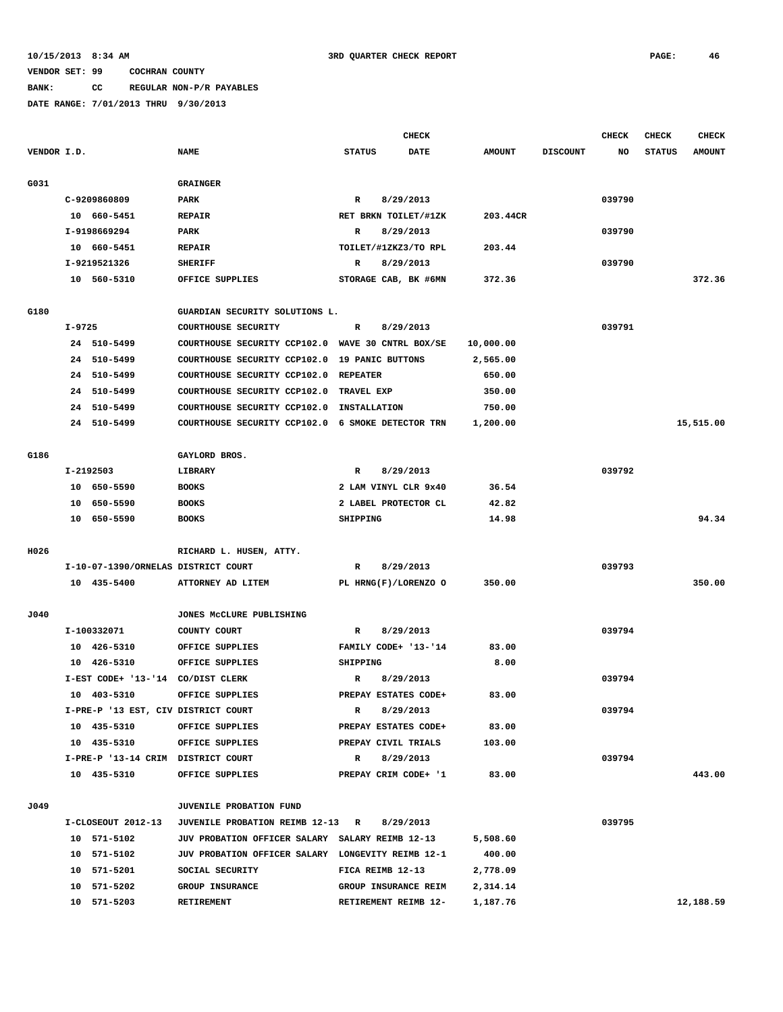# **BANK: CC REGULAR NON-P/R PAYABLES**

|             |        |                                     |                                                   |                     | <b>CHECK</b>         |               |                 | CHECK  | <b>CHECK</b>  | <b>CHECK</b>  |
|-------------|--------|-------------------------------------|---------------------------------------------------|---------------------|----------------------|---------------|-----------------|--------|---------------|---------------|
| VENDOR I.D. |        |                                     | <b>NAME</b>                                       | <b>STATUS</b>       | <b>DATE</b>          | <b>AMOUNT</b> | <b>DISCOUNT</b> | NO     | <b>STATUS</b> | <b>AMOUNT</b> |
|             |        |                                     |                                                   |                     |                      |               |                 |        |               |               |
| G031        |        |                                     | <b>GRAINGER</b>                                   |                     |                      |               |                 |        |               |               |
|             |        | C-9209860809                        | PARK                                              | $\mathbb{R}$        | 8/29/2013            |               |                 | 039790 |               |               |
|             |        | 10 660-5451                         | <b>REPAIR</b>                                     |                     | RET BRKN TOILET/#1ZK | 203.44CR      |                 |        |               |               |
|             |        | I-9198669294                        | PARK                                              | R                   | 8/29/2013            |               |                 | 039790 |               |               |
|             |        | 10 660-5451                         | <b>REPAIR</b>                                     |                     | TOILET/#1ZKZ3/TO RPL | 203.44        |                 |        |               |               |
|             |        | I-9219521326                        | <b>SHERIFF</b>                                    | R                   | 8/29/2013            |               |                 | 039790 |               |               |
|             |        | 10 560-5310                         | OFFICE SUPPLIES                                   |                     | STORAGE CAB, BK #6MN | 372.36        |                 |        |               | 372.36        |
|             |        |                                     |                                                   |                     |                      |               |                 |        |               |               |
| G180        |        |                                     | GUARDIAN SECURITY SOLUTIONS L.                    |                     |                      |               |                 |        |               |               |
|             | I-9725 |                                     | COURTHOUSE SECURITY                               | R                   | 8/29/2013            |               |                 | 039791 |               |               |
|             |        | 24 510-5499                         | COURTHOUSE SECURITY CCP102.0 WAVE 30 CNTRL BOX/SE |                     |                      | 10,000.00     |                 |        |               |               |
|             |        | 24 510-5499                         | COURTHOUSE SECURITY CCP102.0                      |                     | 19 PANIC BUTTONS     | 2,565.00      |                 |        |               |               |
|             |        | 24 510-5499                         | COURTHOUSE SECURITY CCP102.0                      | <b>REPEATER</b>     |                      | 650.00        |                 |        |               |               |
|             |        | 24 510-5499                         | COURTHOUSE SECURITY CCP102.0                      | TRAVEL EXP          |                      | 350.00        |                 |        |               |               |
|             |        | 24 510-5499                         | COURTHOUSE SECURITY CCP102.0                      | <b>INSTALLATION</b> |                      | 750.00        |                 |        |               |               |
|             |        | 24 510-5499                         | COURTHOUSE SECURITY CCP102.0 6 SMOKE DETECTOR TRN |                     |                      | 1,200.00      |                 |        |               | 15,515.00     |
|             |        |                                     |                                                   |                     |                      |               |                 |        |               |               |
| G186        |        |                                     | GAYLORD BROS.                                     |                     |                      |               |                 |        |               |               |
|             |        | I-2192503                           | LIBRARY                                           | R                   | 8/29/2013            |               |                 | 039792 |               |               |
|             |        | 10 650-5590                         | <b>BOOKS</b>                                      |                     | 2 LAM VINYL CLR 9x40 | 36.54         |                 |        |               |               |
|             |        | 10 650-5590                         | <b>BOOKS</b>                                      |                     | 2 LABEL PROTECTOR CL | 42.82         |                 |        |               |               |
|             |        | 10 650-5590                         | <b>BOOKS</b>                                      | SHIPPING            |                      | 14.98         |                 |        |               | 94.34         |
|             |        |                                     |                                                   |                     |                      |               |                 |        |               |               |
| H026        |        |                                     | RICHARD L. HUSEN, ATTY.                           |                     |                      |               |                 |        |               |               |
|             |        | I-10-07-1390/ORNELAS DISTRICT COURT |                                                   | R                   | 8/29/2013            |               |                 | 039793 |               |               |
|             |        | 10 435-5400                         | ATTORNEY AD LITEM                                 |                     | PL HRNG(F)/LORENZO O | 350.00        |                 |        |               | 350.00        |
|             |        |                                     |                                                   |                     |                      |               |                 |        |               |               |
| J040        |        |                                     | JONES MCCLURE PUBLISHING                          |                     |                      |               |                 |        |               |               |
|             |        | I-100332071                         | COUNTY COURT                                      | R                   | 8/29/2013            |               |                 | 039794 |               |               |
|             |        | 10 426-5310                         | OFFICE SUPPLIES                                   |                     | FAMILY CODE+ '13-'14 | 83.00         |                 |        |               |               |
|             |        | 10 426-5310                         | OFFICE SUPPLIES                                   | SHIPPING            |                      | 8.00          |                 |        |               |               |
|             |        | I-EST CODE+ '13-'14 CO/DIST CLERK   |                                                   | R                   | 8/29/2013            |               |                 | 039794 |               |               |
|             |        | 10 403-5310                         | OFFICE SUPPLIES                                   |                     | PREPAY ESTATES CODE+ | 83.00         |                 |        |               |               |
|             |        | I-PRE-P '13 EST, CIV DISTRICT COURT |                                                   | R                   | 8/29/2013            |               |                 | 039794 |               |               |
|             |        | 10 435-5310                         | OFFICE SUPPLIES                                   |                     | PREPAY ESTATES CODE+ | 83.00         |                 |        |               |               |
|             |        | 10 435-5310                         | OFFICE SUPPLIES                                   |                     | PREPAY CIVIL TRIALS  | 103.00        |                 |        |               |               |
|             |        | I-PRE-P '13-14 CRIM DISTRICT COURT  |                                                   | $\mathbf R$         | 8/29/2013            |               |                 | 039794 |               |               |
|             |        | 10 435-5310                         | OFFICE SUPPLIES                                   |                     | PREPAY CRIM CODE+ '1 | 83.00         |                 |        |               | 443.00        |
|             |        |                                     |                                                   |                     |                      |               |                 |        |               |               |
| J049        |        |                                     | JUVENILE PROBATION FUND                           |                     |                      |               |                 |        |               |               |
|             |        | I-CLOSEOUT 2012-13                  | <b>JUVENILE PROBATION REIMB 12-13 R</b>           |                     | 8/29/2013            |               |                 | 039795 |               |               |
|             |        | 10 571-5102                         | JUV PROBATION OFFICER SALARY SALARY REIMB 12-13   |                     |                      | 5,508.60      |                 |        |               |               |
|             |        | 10 571-5102                         | JUV PROBATION OFFICER SALARY LONGEVITY REIMB 12-1 |                     |                      | 400.00        |                 |        |               |               |
|             |        | 10 571-5201                         | SOCIAL SECURITY                                   |                     | FICA REIMB 12-13     | 2,778.09      |                 |        |               |               |
|             |        | 10 571-5202                         | GROUP INSURANCE                                   |                     | GROUP INSURANCE REIM | 2,314.14      |                 |        |               |               |
|             |        | 10 571-5203                         | RETIREMENT                                        |                     | RETIREMENT REIMB 12- | 1,187.76      |                 |        |               | 12,188.59     |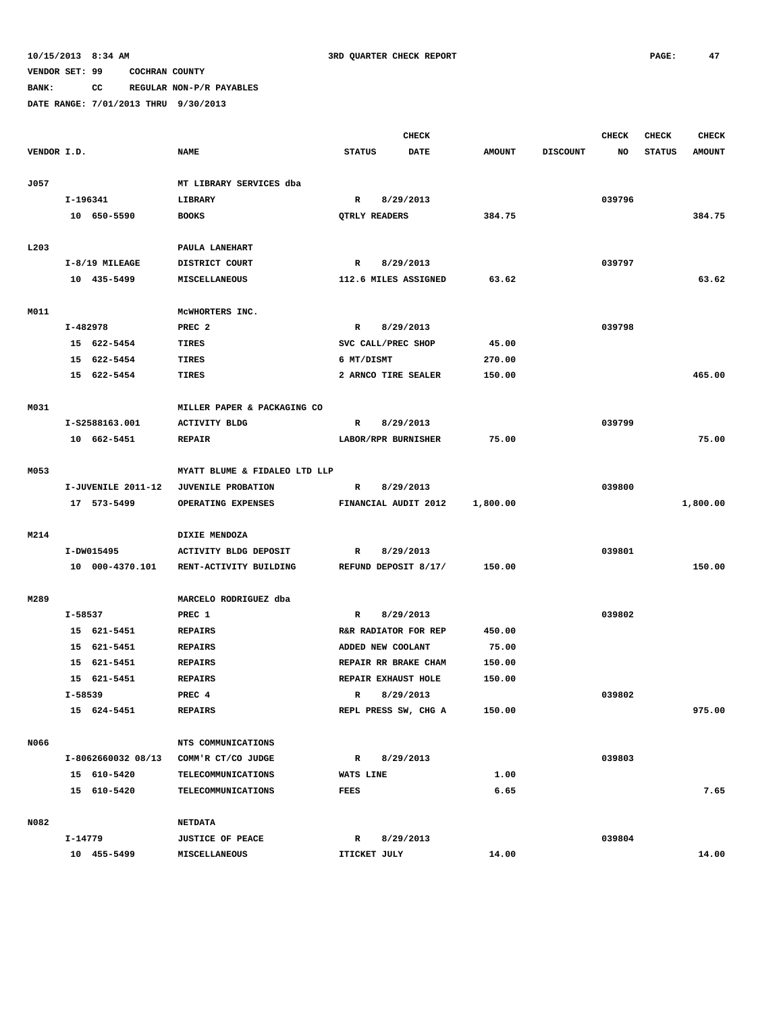# **BANK: CC REGULAR NON-P/R PAYABLES**

|                  |          |                    |                               |               |                   | <b>CHECK</b>         |               |                 | <b>CHECK</b> | <b>CHECK</b>  | <b>CHECK</b>  |
|------------------|----------|--------------------|-------------------------------|---------------|-------------------|----------------------|---------------|-----------------|--------------|---------------|---------------|
| VENDOR I.D.      |          |                    | <b>NAME</b>                   | <b>STATUS</b> |                   | <b>DATE</b>          | <b>AMOUNT</b> | <b>DISCOUNT</b> | NO           | <b>STATUS</b> | <b>AMOUNT</b> |
|                  |          |                    |                               |               |                   |                      |               |                 |              |               |               |
| J057             |          |                    | MT LIBRARY SERVICES dba       |               |                   |                      |               |                 |              |               |               |
|                  | I-196341 |                    | LIBRARY                       | $\mathbb{R}$  |                   | 8/29/2013            |               |                 | 039796       |               |               |
|                  |          | 10 650-5590        | <b>BOOKS</b>                  |               | QTRLY READERS     |                      | 384.75        |                 |              |               | 384.75        |
|                  |          |                    |                               |               |                   |                      |               |                 |              |               |               |
| L <sub>203</sub> |          |                    | PAULA LANEHART                |               |                   |                      |               |                 |              |               |               |
|                  |          | $I-8/19$ MILEAGE   | DISTRICT COURT                | $\mathbb{R}$  |                   | 8/29/2013            |               |                 | 039797       |               |               |
|                  |          | 10 435-5499        | MISCELLANEOUS                 |               |                   | 112.6 MILES ASSIGNED | 63.62         |                 |              |               | 63.62         |
|                  |          |                    |                               |               |                   |                      |               |                 |              |               |               |
| M011             |          |                    | MCWHORTERS INC.               |               |                   |                      |               |                 |              |               |               |
|                  | I-482978 |                    | PREC <sub>2</sub>             | R             |                   | 8/29/2013            |               |                 | 039798       |               |               |
|                  |          | 15 622-5454        | <b>TIRES</b>                  |               |                   | SVC CALL/PREC SHOP   | 45.00         |                 |              |               |               |
|                  |          | 15 622-5454        | TIRES                         | 6 MT/DISMT    |                   |                      | 270.00        |                 |              |               |               |
|                  |          | 15 622-5454        | TIRES                         |               |                   | 2 ARNCO TIRE SEALER  | 150.00        |                 |              |               | 465.00        |
|                  |          |                    |                               |               |                   |                      |               |                 |              |               |               |
| M031             |          |                    | MILLER PAPER & PACKAGING CO   |               |                   |                      |               |                 |              |               |               |
|                  |          | I-S2588163.001     | <b>ACTIVITY BLDG</b>          | R             |                   | 8/29/2013            |               |                 | 039799       |               |               |
|                  |          | 10 662-5451        | <b>REPAIR</b>                 |               |                   | LABOR/RPR BURNISHER  | 75.00         |                 |              |               | 75.00         |
|                  |          |                    |                               |               |                   |                      |               |                 |              |               |               |
| M053             |          |                    | MYATT BLUME & FIDALEO LTD LLP |               |                   |                      |               |                 |              |               |               |
|                  |          | I-JUVENILE 2011-12 | <b>JUVENILE PROBATION</b>     | $\mathbb{R}$  |                   | 8/29/2013            |               |                 | 039800       |               |               |
|                  |          | 17 573-5499        | OPERATING EXPENSES            |               |                   | FINANCIAL AUDIT 2012 | 1,800.00      |                 |              |               | 1,800.00      |
|                  |          |                    |                               |               |                   |                      |               |                 |              |               |               |
| M214             |          |                    | DIXIE MENDOZA                 |               |                   |                      |               |                 |              |               |               |
|                  |          | I-DW015495         | ACTIVITY BLDG DEPOSIT         | R             |                   | 8/29/2013            |               |                 | 039801       |               |               |
|                  |          | 10 000-4370.101    | RENT-ACTIVITY BUILDING        |               |                   | REFUND DEPOSIT 8/17/ | 150.00        |                 |              |               | 150.00        |
|                  |          |                    |                               |               |                   |                      |               |                 |              |               |               |
| M289             |          |                    | MARCELO RODRIGUEZ dba         |               |                   |                      |               |                 |              |               |               |
|                  | I-58537  |                    | PREC 1                        | R             |                   | 8/29/2013            |               |                 | 039802       |               |               |
|                  |          | 15 621-5451        | <b>REPAIRS</b>                |               |                   | R&R RADIATOR FOR REP | 450.00        |                 |              |               |               |
|                  |          | 15 621-5451        | <b>REPAIRS</b>                |               | ADDED NEW COOLANT |                      | 75.00         |                 |              |               |               |
|                  |          | 15 621-5451        | <b>REPAIRS</b>                |               |                   | REPAIR RR BRAKE CHAM | 150.00        |                 |              |               |               |
|                  |          | 15 621-5451        | <b>REPAIRS</b>                |               |                   | REPAIR EXHAUST HOLE  | 150.00        |                 |              |               |               |
|                  | I-58539  |                    | PREC 4                        | $\mathbb{R}$  |                   | 8/29/2013            |               |                 | 039802       |               |               |
|                  |          | 15 624-5451        | <b>REPAIRS</b>                |               |                   | REPL PRESS SW, CHG A | 150.00        |                 |              |               | 975.00        |
|                  |          |                    |                               |               |                   |                      |               |                 |              |               |               |
| N066             |          |                    | NTS COMMUNICATIONS            |               |                   |                      |               |                 |              |               |               |
|                  |          | I-8062660032 08/13 | COMM'R CT/CO JUDGE            | R             |                   | 8/29/2013            |               |                 | 039803       |               |               |
|                  |          | 15 610-5420        | TELECOMMUNICATIONS            | WATS LINE     |                   |                      | 1.00          |                 |              |               |               |
|                  |          | 15 610-5420        | TELECOMMUNICATIONS            | FEES          |                   |                      | 6.65          |                 |              |               | 7.65          |
|                  |          |                    |                               |               |                   |                      |               |                 |              |               |               |
| N082             |          |                    | <b>NETDATA</b>                |               |                   |                      |               |                 |              |               |               |
|                  | I-14779  |                    | <b>JUSTICE OF PEACE</b>       | R             |                   | 8/29/2013            |               |                 | 039804       |               |               |
|                  |          | 10 455-5499        | MISCELLANEOUS                 |               | ITICKET JULY      |                      | 14.00         |                 |              |               | 14.00         |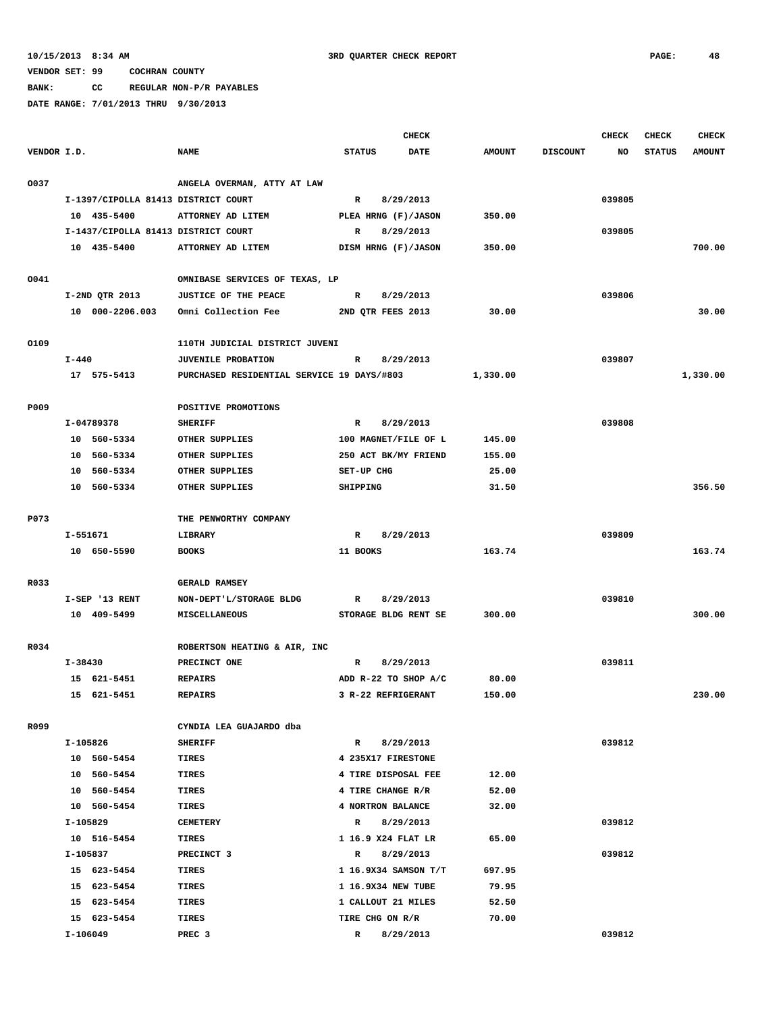**BANK: CC REGULAR NON-P/R PAYABLES**

|             |                                     |                                            |                      | <b>CHECK</b> |               |                 | CHECK  | <b>CHECK</b>  | <b>CHECK</b>  |
|-------------|-------------------------------------|--------------------------------------------|----------------------|--------------|---------------|-----------------|--------|---------------|---------------|
| VENDOR I.D. |                                     | <b>NAME</b>                                | <b>STATUS</b>        | DATE         | <b>AMOUNT</b> | <b>DISCOUNT</b> | NO     | <b>STATUS</b> | <b>AMOUNT</b> |
|             |                                     |                                            |                      |              |               |                 |        |               |               |
| 0037        |                                     | ANGELA OVERMAN, ATTY AT LAW                |                      |              |               |                 |        |               |               |
|             | I-1397/CIPOLLA 81413 DISTRICT COURT |                                            | $\mathbb{R}$         | 8/29/2013    |               |                 | 039805 |               |               |
|             | 10 435-5400                         | ATTORNEY AD LITEM                          | PLEA HRNG (F)/JASON  |              | 350.00        |                 |        |               |               |
|             | I-1437/CIPOLLA 81413 DISTRICT COURT |                                            | R                    | 8/29/2013    |               |                 | 039805 |               |               |
|             | 10 435-5400                         | ATTORNEY AD LITEM                          | DISM HRNG (F)/JASON  |              | 350.00        |                 |        |               | 700.00        |
| 0041        |                                     | OMNIBASE SERVICES OF TEXAS, LP             |                      |              |               |                 |        |               |               |
|             | I-2ND QTR 2013                      | JUSTICE OF THE PEACE                       | $\mathbb{R}$         | 8/29/2013    |               |                 | 039806 |               |               |
|             | 10 000-2206.003                     | Omni Collection Fee                        | 2ND QTR FEES 2013    |              | 30.00         |                 |        |               | 30.00         |
|             |                                     |                                            |                      |              |               |                 |        |               |               |
| 0109        |                                     | 110TH JUDICIAL DISTRICT JUVENI             |                      |              |               |                 |        |               |               |
|             | $I - 440$                           | JUVENILE PROBATION                         | R                    | 8/29/2013    |               |                 | 039807 |               |               |
|             | 17 575-5413                         | PURCHASED RESIDENTIAL SERVICE 19 DAYS/#803 |                      |              | 1,330.00      |                 |        |               | 1,330.00      |
|             |                                     |                                            |                      |              |               |                 |        |               |               |
| P009        |                                     | POSITIVE PROMOTIONS                        |                      |              |               |                 |        |               |               |
|             | I-04789378                          | <b>SHERIFF</b>                             | R                    | 8/29/2013    |               |                 | 039808 |               |               |
|             | 10 560-5334                         | OTHER SUPPLIES                             | 100 MAGNET/FILE OF L |              | 145.00        |                 |        |               |               |
|             | 10 560-5334                         | OTHER SUPPLIES                             | 250 ACT BK/MY FRIEND |              | 155.00        |                 |        |               |               |
|             | 10 560-5334                         | OTHER SUPPLIES                             | SET-UP CHG           |              | 25.00         |                 |        |               |               |
|             | 10 560-5334                         | OTHER SUPPLIES                             | SHIPPING             |              | 31.50         |                 |        |               | 356.50        |
| P073        |                                     | THE PENWORTHY COMPANY                      |                      |              |               |                 |        |               |               |
|             | I-551671                            | LIBRARY                                    | $\mathbb{R}$         | 8/29/2013    |               |                 | 039809 |               |               |
|             | 10 650-5590                         | <b>BOOKS</b>                               | 11 BOOKS             |              | 163.74        |                 |        |               | 163.74        |
|             |                                     |                                            |                      |              |               |                 |        |               |               |
| R033        |                                     | <b>GERALD RAMSEY</b>                       |                      |              |               |                 |        |               |               |
|             | I-SEP '13 RENT                      | NON-DEPT'L/STORAGE BLDG                    | R                    | 8/29/2013    |               |                 | 039810 |               |               |
|             | 10 409-5499                         | MISCELLANEOUS                              | STORAGE BLDG RENT SE |              | 300.00        |                 |        |               | 300.00        |
|             |                                     |                                            |                      |              |               |                 |        |               |               |
| R034        |                                     | ROBERTSON HEATING & AIR, INC               |                      |              |               |                 |        |               |               |
|             | I-38430                             | PRECINCT ONE                               | R                    | 8/29/2013    |               |                 | 039811 |               |               |
|             | 15 621-5451                         | <b>REPAIRS</b>                             | ADD R-22 TO SHOP A/C |              | 80.00         |                 |        |               |               |
|             | 15 621-5451                         | <b>REPAIRS</b>                             | 3 R-22 REFRIGERANT   |              | 150.00        |                 |        |               | 230.00        |
| R099        |                                     | CYNDIA LEA GUAJARDO dba                    |                      |              |               |                 |        |               |               |
|             | I-105826                            | <b>SHERIFF</b>                             | $\mathbb{R}$         | 8/29/2013    |               |                 | 039812 |               |               |
|             | 10 560-5454                         | TIRES                                      | 4 235X17 FIRESTONE   |              |               |                 |        |               |               |
|             | 10 560-5454                         | TIRES                                      | 4 TIRE DISPOSAL FEE  |              | 12.00         |                 |        |               |               |
|             | 10 560-5454                         | TIRES                                      | 4 TIRE CHANGE R/R    |              | 52.00         |                 |        |               |               |
|             | 10 560-5454                         | TIRES                                      | 4 NORTRON BALANCE    |              | 32.00         |                 |        |               |               |
|             | I-105829                            | <b>CEMETERY</b>                            | $\mathbb{R}$         | 8/29/2013    |               |                 | 039812 |               |               |
|             | 10 516-5454                         | TIRES                                      | 1 16.9 X24 FLAT LR   |              | 65.00         |                 |        |               |               |
|             | I-105837                            | PRECINCT 3                                 | R                    | 8/29/2013    |               |                 | 039812 |               |               |
|             | 15 623-5454                         | TIRES                                      | 1 16.9X34 SAMSON T/T |              | 697.95        |                 |        |               |               |
|             | 15 623-5454                         | TIRES                                      | 1 16.9X34 NEW TUBE   |              | 79.95         |                 |        |               |               |
|             | 15 623-5454                         | TIRES                                      | 1 CALLOUT 21 MILES   |              | 52.50         |                 |        |               |               |
|             | 15 623-5454                         | TIRES                                      | TIRE CHG ON R/R      |              | 70.00         |                 |        |               |               |
|             | I-106049                            | PREC <sub>3</sub>                          | $\mathbb{R}$         | 8/29/2013    |               |                 | 039812 |               |               |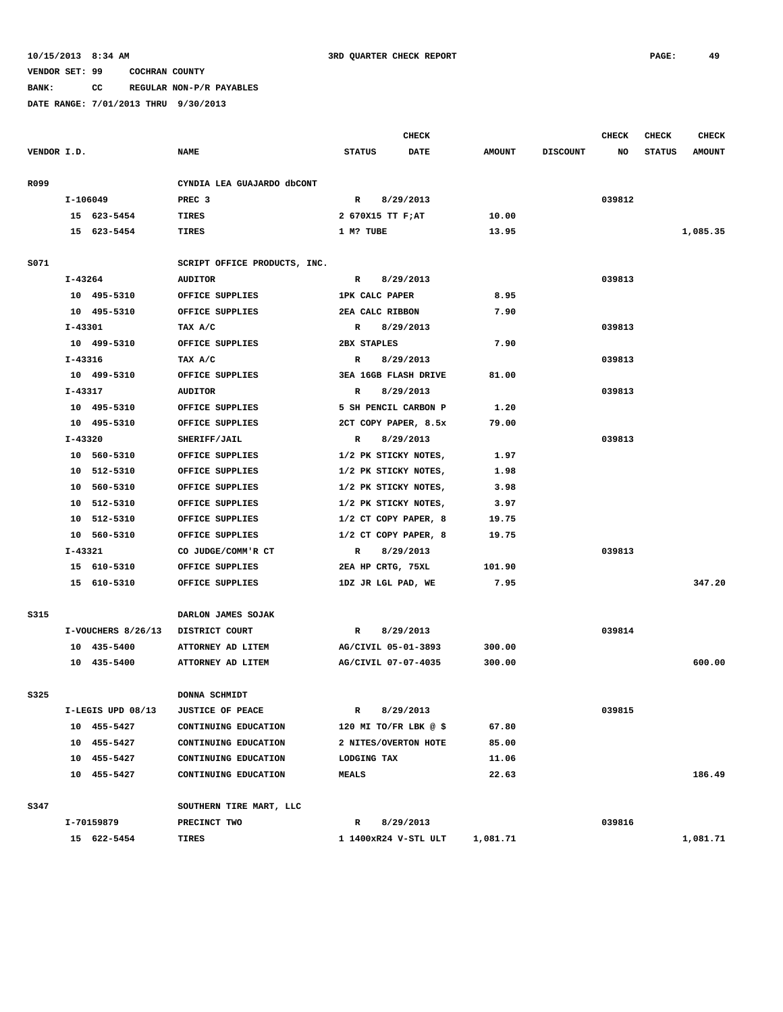**BANK: CC REGULAR NON-P/R PAYABLES**

|             |         |                    |                              |                             | <b>CHECK</b> |               |                 | <b>CHECK</b> | <b>CHECK</b>  | <b>CHECK</b>  |
|-------------|---------|--------------------|------------------------------|-----------------------------|--------------|---------------|-----------------|--------------|---------------|---------------|
| VENDOR I.D. |         |                    | <b>NAME</b>                  | <b>STATUS</b>               | <b>DATE</b>  | <b>AMOUNT</b> | <b>DISCOUNT</b> | NO           | <b>STATUS</b> | <b>AMOUNT</b> |
| R099        |         |                    | CYNDIA LEA GUAJARDO dbCONT   |                             |              |               |                 |              |               |               |
|             |         | I-106049           | PREC <sub>3</sub>            | $\mathbb{R}$                | 8/29/2013    |               |                 | 039812       |               |               |
|             |         | 15 623-5454        | TIRES                        | 2 670X15 TT F;AT            |              | 10.00         |                 |              |               |               |
|             |         | 15 623-5454        | <b>TIRES</b>                 | 1 M? TUBE                   |              | 13.95         |                 |              |               | 1,085.35      |
| S071        |         |                    | SCRIPT OFFICE PRODUCTS, INC. |                             |              |               |                 |              |               |               |
|             | I-43264 |                    | <b>AUDITOR</b>               | R                           | 8/29/2013    |               |                 | 039813       |               |               |
|             |         | 10 495-5310        | OFFICE SUPPLIES              | 1PK CALC PAPER              |              | 8.95          |                 |              |               |               |
|             |         | 10 495-5310        | OFFICE SUPPLIES              | 2EA CALC RIBBON             |              | 7.90          |                 |              |               |               |
|             | I-43301 |                    | TAX A/C                      | $\mathbb{R}$                | 8/29/2013    |               |                 | 039813       |               |               |
|             |         | 10 499-5310        | OFFICE SUPPLIES              | 2BX STAPLES                 |              | 7.90          |                 |              |               |               |
|             | I-43316 |                    |                              | R                           | 8/29/2013    |               |                 | 039813       |               |               |
|             |         | 10 499-5310        | TAX A/C<br>OFFICE SUPPLIES   | <b>3EA 16GB FLASH DRIVE</b> |              | 81.00         |                 |              |               |               |
|             |         |                    |                              |                             |              |               |                 |              |               |               |
|             | I-43317 |                    | <b>AUDITOR</b>               | R                           | 8/29/2013    |               |                 | 039813       |               |               |
|             |         | 10 495-5310        | OFFICE SUPPLIES              | 5 SH PENCIL CARBON P        |              | 1.20          |                 |              |               |               |
|             |         | 10 495-5310        | OFFICE SUPPLIES              | 2CT COPY PAPER, 8.5x        |              | 79.00         |                 |              |               |               |
|             | I-43320 |                    | SHERIFF/JAIL                 | $\mathbb{R}$                | 8/29/2013    |               |                 | 039813       |               |               |
|             |         | 10 560-5310        | OFFICE SUPPLIES              | 1/2 PK STICKY NOTES,        |              | 1.97          |                 |              |               |               |
|             |         | 10 512-5310        | OFFICE SUPPLIES              | 1/2 PK STICKY NOTES,        |              | 1.98          |                 |              |               |               |
|             |         | 10 560-5310        | OFFICE SUPPLIES              | 1/2 PK STICKY NOTES,        |              | 3.98          |                 |              |               |               |
|             |         | 10 512-5310        | OFFICE SUPPLIES              | 1/2 PK STICKY NOTES,        |              | 3.97          |                 |              |               |               |
|             |         | 10 512-5310        | OFFICE SUPPLIES              | 1/2 CT COPY PAPER, 8        |              | 19.75         |                 |              |               |               |
|             |         | 10 560-5310        | OFFICE SUPPLIES              | 1/2 CT COPY PAPER, 8        |              | 19.75         |                 |              |               |               |
|             | I-43321 |                    | CO JUDGE/COMM'R CT           | $\mathbf R$                 | 8/29/2013    |               |                 | 039813       |               |               |
|             |         | 15 610-5310        | OFFICE SUPPLIES              | 2EA HP CRTG, 75XL           |              | 101.90        |                 |              |               |               |
|             |         | 15 610-5310        | OFFICE SUPPLIES              | 1DZ JR LGL PAD, WE          |              | 7.95          |                 |              |               | 347.20        |
| S315        |         |                    | DARLON JAMES SOJAK           |                             |              |               |                 |              |               |               |
|             |         | I-VOUCHERS 8/26/13 | DISTRICT COURT               | $\mathbb{R}$                | 8/29/2013    |               |                 | 039814       |               |               |
|             |         | 10 435-5400        | ATTORNEY AD LITEM            | AG/CIVIL 05-01-3893         |              | 300.00        |                 |              |               |               |
|             |         | 10 435-5400        | ATTORNEY AD LITEM            | AG/CIVIL 07-07-4035         |              | 300.00        |                 |              |               | 600.00        |
| S325        |         |                    | DONNA SCHMIDT                |                             |              |               |                 |              |               |               |
|             |         | I-LEGIS UPD 08/13  | <b>JUSTICE OF PEACE</b>      | R                           | 8/29/2013    |               |                 | 039815       |               |               |
|             |         | 10 455-5427        | CONTINUING EDUCATION         | 120 MI TO/FR LBK @ \$       |              | 67.80         |                 |              |               |               |
|             |         | 10 455-5427        | CONTINUING EDUCATION         | 2 NITES/OVERTON HOTE        |              | 85.00         |                 |              |               |               |
|             |         | 10 455-5427        | CONTINUING EDUCATION         | LODGING TAX                 |              | 11.06         |                 |              |               |               |
|             |         | 10 455-5427        | CONTINUING EDUCATION         | <b>MEALS</b>                |              | 22.63         |                 |              |               | 186.49        |
|             |         |                    |                              |                             |              |               |                 |              |               |               |
| S347        |         |                    | SOUTHERN TIRE MART, LLC      |                             |              |               |                 |              |               |               |
|             |         | I-70159879         | PRECINCT TWO                 | $\mathbb{R}$                | 8/29/2013    |               |                 | 039816       |               |               |
|             |         | 15 622-5454        | TIRES                        | 1 1400xR24 V-STL ULT        |              | 1,081.71      |                 |              |               | 1,081.71      |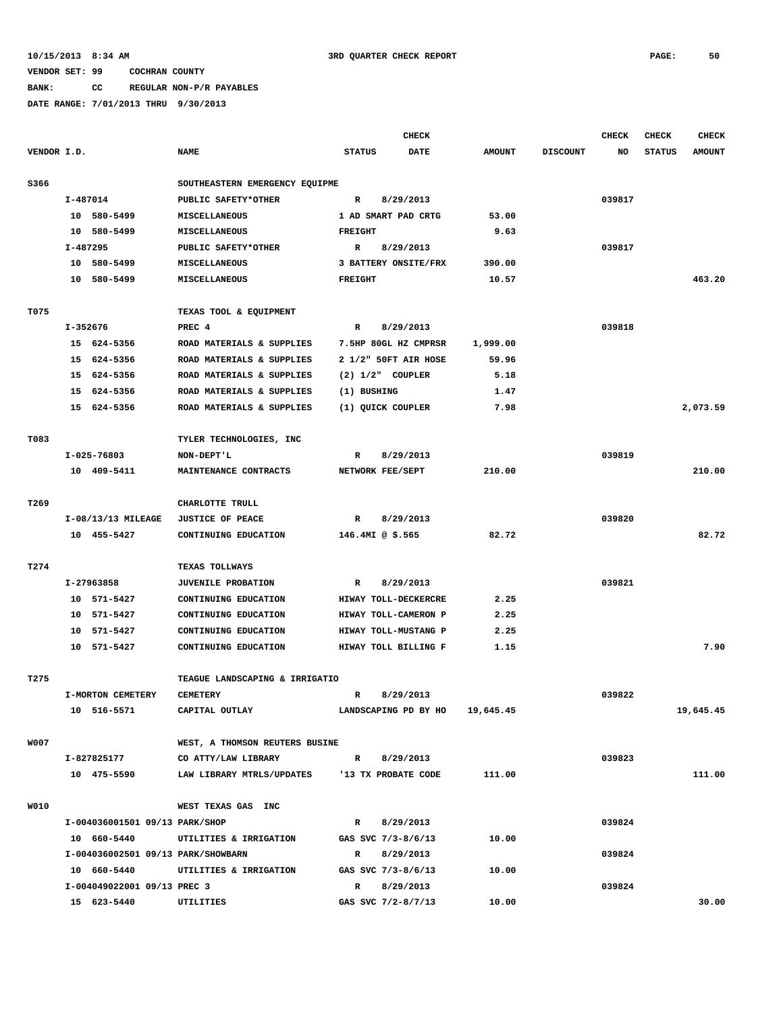## **BANK: CC REGULAR NON-P/R PAYABLES**

|             |          |                                    |                                              |                       | <b>CHECK</b>                   |               |                 | <b>CHECK</b> | <b>CHECK</b>  | <b>CHECK</b>  |
|-------------|----------|------------------------------------|----------------------------------------------|-----------------------|--------------------------------|---------------|-----------------|--------------|---------------|---------------|
| VENDOR I.D. |          |                                    | <b>NAME</b>                                  | <b>STATUS</b>         | <b>DATE</b>                    | <b>AMOUNT</b> | <b>DISCOUNT</b> | NO           | <b>STATUS</b> | <b>AMOUNT</b> |
| S366        |          |                                    | SOUTHEASTERN EMERGENCY EQUIPME               |                       |                                |               |                 |              |               |               |
|             | I-487014 |                                    | PUBLIC SAFETY*OTHER                          | R                     | 8/29/2013                      |               |                 | 039817       |               |               |
|             |          | 10 580-5499                        | MISCELLANEOUS                                |                       | 1 AD SMART PAD CRTG            | 53.00         |                 |              |               |               |
|             |          | 10 580-5499                        | <b>MISCELLANEOUS</b>                         | <b>FREIGHT</b>        |                                | 9.63          |                 |              |               |               |
|             | I-487295 |                                    | PUBLIC SAFETY*OTHER                          | R                     | 8/29/2013                      |               |                 | 039817       |               |               |
|             |          | 10 580-5499                        | MISCELLANEOUS                                |                       | 3 BATTERY ONSITE/FRX           | 390.00        |                 |              |               |               |
|             |          | 10 580-5499                        | MISCELLANEOUS                                | <b>FREIGHT</b>        |                                | 10.57         |                 |              |               | 463.20        |
| T075        |          |                                    | TEXAS TOOL & EQUIPMENT                       |                       |                                |               |                 |              |               |               |
|             | I-352676 |                                    | PREC <sub>4</sub>                            | R                     | 8/29/2013                      |               |                 | 039818       |               |               |
|             |          | 15 624-5356                        | ROAD MATERIALS & SUPPLIES                    |                       | 7.5HP 80GL HZ CMPRSR           | 1,999.00      |                 |              |               |               |
|             |          | 15 624-5356                        | ROAD MATERIALS & SUPPLIES                    |                       | 2 1/2" 50FT AIR HOSE           | 59.96         |                 |              |               |               |
|             |          | 15 624-5356                        | ROAD MATERIALS & SUPPLIES                    | $(2)$ $1/2$ " COUPLER |                                | 5.18          |                 |              |               |               |
|             |          | 15 624-5356                        | ROAD MATERIALS & SUPPLIES                    | (1) BUSHING           |                                | 1.47          |                 |              |               |               |
|             |          | 15 624-5356                        | ROAD MATERIALS & SUPPLIES                    | (1) QUICK COUPLER     |                                | 7.98          |                 |              |               | 2,073.59      |
|             |          |                                    |                                              |                       |                                |               |                 |              |               |               |
| T083        |          |                                    | TYLER TECHNOLOGIES, INC                      |                       |                                |               |                 |              |               |               |
|             |          | $I-025-76803$                      | NON-DEPT'L                                   | $\mathbb{R}$          | 8/29/2013                      |               |                 | 039819       |               |               |
|             |          | 10 409-5411                        | MAINTENANCE CONTRACTS                        | NETWORK FEE/SEPT      |                                | 210.00        |                 |              |               | 210.00        |
| T269        |          |                                    | CHARLOTTE TRULL                              |                       |                                |               |                 |              |               |               |
|             |          | $I-08/13/13$ MILEAGE               | <b>JUSTICE OF PEACE</b>                      | R                     | 8/29/2013                      |               |                 | 039820       |               |               |
|             |          | 10 455-5427                        | CONTINUING EDUCATION                         | 146.4MI @ $$.565$     |                                | 82.72         |                 |              |               | 82.72         |
|             |          |                                    |                                              |                       |                                |               |                 |              |               |               |
| T274        |          |                                    | TEXAS TOLLWAYS                               |                       |                                |               |                 |              |               |               |
|             |          | I-27963858                         | <b>JUVENILE PROBATION</b>                    | R                     | 8/29/2013                      |               |                 | 039821       |               |               |
|             |          | 10 571-5427                        | CONTINUING EDUCATION                         |                       | HIWAY TOLL-DECKERCRE           | 2.25          |                 |              |               |               |
|             |          | 10 571-5427                        | CONTINUING EDUCATION                         |                       | HIWAY TOLL-CAMERON P           | 2.25          |                 |              |               |               |
|             |          | 10 571-5427                        | CONTINUING EDUCATION                         |                       | HIWAY TOLL-MUSTANG P           | 2.25          |                 |              |               |               |
|             |          | 10 571-5427                        | CONTINUING EDUCATION                         |                       | HIWAY TOLL BILLING F           | 1.15          |                 |              |               | 7.90          |
| T275        |          |                                    | TEAGUE LANDSCAPING & IRRIGATIO               |                       |                                |               |                 |              |               |               |
|             |          | I-MORTON CEMETERY                  | <b>CEMETERY</b>                              | $\mathbb{R}$          | 8/29/2013                      |               |                 | 039822       |               |               |
|             |          | 10 516-5571                        | CAPITAL OUTLAY                               |                       | LANDSCAPING PD BY HO 19,645.45 |               |                 |              |               | 19,645.45     |
| <b>W007</b> |          |                                    | WEST, A THOMSON REUTERS BUSINE               |                       |                                |               |                 |              |               |               |
|             |          | I-827825177                        | CO ATTY/LAW LIBRARY                          | $\mathbb{R}$          | 8/29/2013                      |               |                 | 039823       |               |               |
|             |          | 10 475-5590                        | LAW LIBRARY MTRLS/UPDATES 13 TX PROBATE CODE |                       |                                | 111.00        |                 |              |               | 111.00        |
|             |          |                                    |                                              |                       |                                |               |                 |              |               |               |
| W010        |          |                                    | WEST TEXAS GAS INC                           |                       |                                |               |                 |              |               |               |
|             |          | I-004036001501 09/13 PARK/SHOP     |                                              | $\mathbb{R}$          | 8/29/2013                      |               |                 | 039824       |               |               |
|             |          | 10 660-5440                        | UTILITIES & IRRIGATION                       | GAS SVC 7/3-8/6/13    |                                | 10.00         |                 |              |               |               |
|             |          | I-004036002501 09/13 PARK/SHOWBARN |                                              | $\mathbb{R}$          | 8/29/2013                      |               |                 | 039824       |               |               |
|             |          | 10 660-5440                        | UTILITIES & IRRIGATION                       | GAS SVC 7/3-8/6/13    |                                | 10.00         |                 |              |               |               |
|             |          | I-004049022001 09/13 PREC 3        |                                              | $\mathbb{R}$          | 8/29/2013                      |               |                 | 039824       |               |               |
|             |          | 15 623-5440                        | UTILITIES                                    | GAS SVC 7/2-8/7/13    |                                | 10.00         |                 |              |               | 30.00         |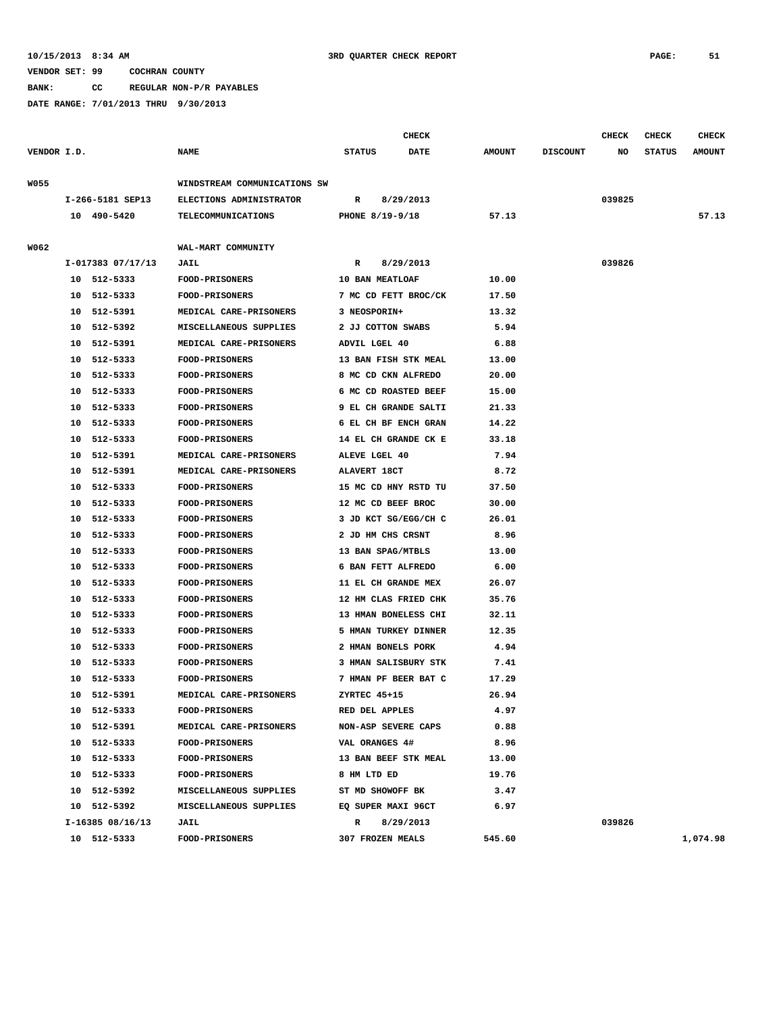**BANK: CC REGULAR NON-P/R PAYABLES**

|             |    |                   |                              |               |                      | <b>CHECK</b> |               |                 | <b>CHECK</b> | <b>CHECK</b>  | <b>CHECK</b>  |
|-------------|----|-------------------|------------------------------|---------------|----------------------|--------------|---------------|-----------------|--------------|---------------|---------------|
| VENDOR I.D. |    |                   | <b>NAME</b>                  | <b>STATUS</b> |                      | <b>DATE</b>  | <b>AMOUNT</b> | <b>DISCOUNT</b> | NO           | <b>STATUS</b> | <b>AMOUNT</b> |
| W055        |    |                   | WINDSTREAM COMMUNICATIONS SW |               |                      |              |               |                 |              |               |               |
|             |    | I-266-5181 SEP13  | ELECTIONS ADMINISTRATOR      | R             | 8/29/2013            |              |               |                 | 039825       |               |               |
|             |    | 10 490-5420       |                              |               |                      |              |               |                 |              |               | 57.13         |
|             |    |                   | TELECOMMUNICATIONS           |               | PHONE 8/19-9/18      |              | 57.13         |                 |              |               |               |
| W062        |    |                   | WAL-MART COMMUNITY           |               |                      |              |               |                 |              |               |               |
|             |    | I-017383 07/17/13 | <b>JAIL</b>                  | R             | 8/29/2013            |              |               |                 | 039826       |               |               |
|             |    | 10 512-5333       | <b>FOOD-PRISONERS</b>        |               | 10 BAN MEATLOAF      |              | 10.00         |                 |              |               |               |
|             | 10 | 512-5333          | <b>FOOD-PRISONERS</b>        |               | 7 MC CD FETT BROC/CK |              | 17.50         |                 |              |               |               |
|             | 10 | 512-5391          | MEDICAL CARE-PRISONERS       |               | 3 NEOSPORIN+         |              | 13.32         |                 |              |               |               |
|             | 10 | 512-5392          | MISCELLANEOUS SUPPLIES       |               | 2 JJ COTTON SWABS    |              | 5.94          |                 |              |               |               |
|             | 10 | 512-5391          | MEDICAL CARE-PRISONERS       |               | ADVIL LGEL 40        |              | 6.88          |                 |              |               |               |
|             | 10 | 512-5333          | <b>FOOD-PRISONERS</b>        |               | 13 BAN FISH STK MEAL |              | 13.00         |                 |              |               |               |
|             | 10 | 512-5333          | <b>FOOD-PRISONERS</b>        |               | 8 MC CD CKN ALFREDO  |              | 20.00         |                 |              |               |               |
|             | 10 | 512-5333          | FOOD-PRISONERS               |               | 6 MC CD ROASTED BEEF |              | 15.00         |                 |              |               |               |
|             | 10 | 512-5333          | FOOD-PRISONERS               |               | 9 EL CH GRANDE SALTI |              | 21.33         |                 |              |               |               |
|             | 10 | 512-5333          | <b>FOOD-PRISONERS</b>        |               | 6 EL CH BF ENCH GRAN |              | 14.22         |                 |              |               |               |
|             | 10 | 512-5333          | <b>FOOD-PRISONERS</b>        |               | 14 EL CH GRANDE CK E |              | 33.18         |                 |              |               |               |
|             | 10 | 512-5391          | MEDICAL CARE-PRISONERS       |               | ALEVE LGEL 40        |              | 7.94          |                 |              |               |               |
|             | 10 | 512-5391          | MEDICAL CARE-PRISONERS       |               | <b>ALAVERT 18CT</b>  |              | 8.72          |                 |              |               |               |
|             | 10 | 512-5333          | <b>FOOD-PRISONERS</b>        |               | 15 MC CD HNY RSTD TU |              | 37.50         |                 |              |               |               |
|             | 10 | 512-5333          | <b>FOOD-PRISONERS</b>        |               | 12 MC CD BEEF BROC   |              | 30.00         |                 |              |               |               |
|             | 10 | 512-5333          | <b>FOOD-PRISONERS</b>        |               | 3 JD KCT SG/EGG/CH C |              | 26.01         |                 |              |               |               |
|             | 10 | 512-5333          | <b>FOOD-PRISONERS</b>        |               | 2 JD HM CHS CRSNT    |              | 8.96          |                 |              |               |               |
|             | 10 | 512-5333          | <b>FOOD-PRISONERS</b>        |               | 13 BAN SPAG/MTBLS    |              | 13.00         |                 |              |               |               |
|             | 10 | 512-5333          | <b>FOOD-PRISONERS</b>        |               | 6 BAN FETT ALFREDO   |              | 6.00          |                 |              |               |               |
|             | 10 | 512-5333          | <b>FOOD-PRISONERS</b>        |               | 11 EL CH GRANDE MEX  |              | 26.07         |                 |              |               |               |
|             | 10 | 512-5333          | FOOD-PRISONERS               |               | 12 HM CLAS FRIED CHK |              | 35.76         |                 |              |               |               |
|             | 10 | 512-5333          | <b>FOOD-PRISONERS</b>        |               | 13 HMAN BONELESS CHI |              | 32.11         |                 |              |               |               |
|             | 10 | 512-5333          | <b>FOOD-PRISONERS</b>        |               | 5 HMAN TURKEY DINNER |              | 12.35         |                 |              |               |               |
|             | 10 | 512-5333          | FOOD-PRISONERS               |               | 2 HMAN BONELS PORK   |              | 4.94          |                 |              |               |               |
|             | 10 | 512-5333          | <b>FOOD-PRISONERS</b>        |               | 3 HMAN SALISBURY STK |              | 7.41          |                 |              |               |               |
|             | 10 | 512-5333          | <b>FOOD-PRISONERS</b>        |               | 7 HMAN PF BEER BAT C |              | 17.29         |                 |              |               |               |
|             |    | 10 512-5391       | MEDICAL CARE-PRISONERS       |               | ZYRTEC 45+15         |              | 26.94         |                 |              |               |               |
|             |    | 10 512-5333       | <b>FOOD-PRISONERS</b>        |               | RED DEL APPLES       |              | 4.97          |                 |              |               |               |
|             |    | 10 512-5391       | MEDICAL CARE-PRISONERS       |               | NON-ASP SEVERE CAPS  |              | 0.88          |                 |              |               |               |
|             |    | 10 512-5333       | <b>FOOD-PRISONERS</b>        |               | VAL ORANGES 4#       |              | 8.96          |                 |              |               |               |
|             |    | 10 512-5333       | <b>FOOD-PRISONERS</b>        |               | 13 BAN BEEF STK MEAL |              | 13.00         |                 |              |               |               |
|             |    | 10 512-5333       | <b>FOOD-PRISONERS</b>        |               | 8 HM LTD ED          |              | 19.76         |                 |              |               |               |
|             |    | 10 512-5392       | MISCELLANEOUS SUPPLIES       |               | ST MD SHOWOFF BK     |              | 3.47          |                 |              |               |               |
|             |    | 10 512-5392       | MISCELLANEOUS SUPPLIES       |               | EQ SUPER MAXI 96CT   |              | 6.97          |                 |              |               |               |
|             |    | I-16385 08/16/13  | JAIL                         | R             | 8/29/2013            |              |               |                 | 039826       |               |               |
|             |    | 10 512-5333       | FOOD-PRISONERS               |               | 307 FROZEN MEALS     |              | 545.60        |                 |              |               | 1,074.98      |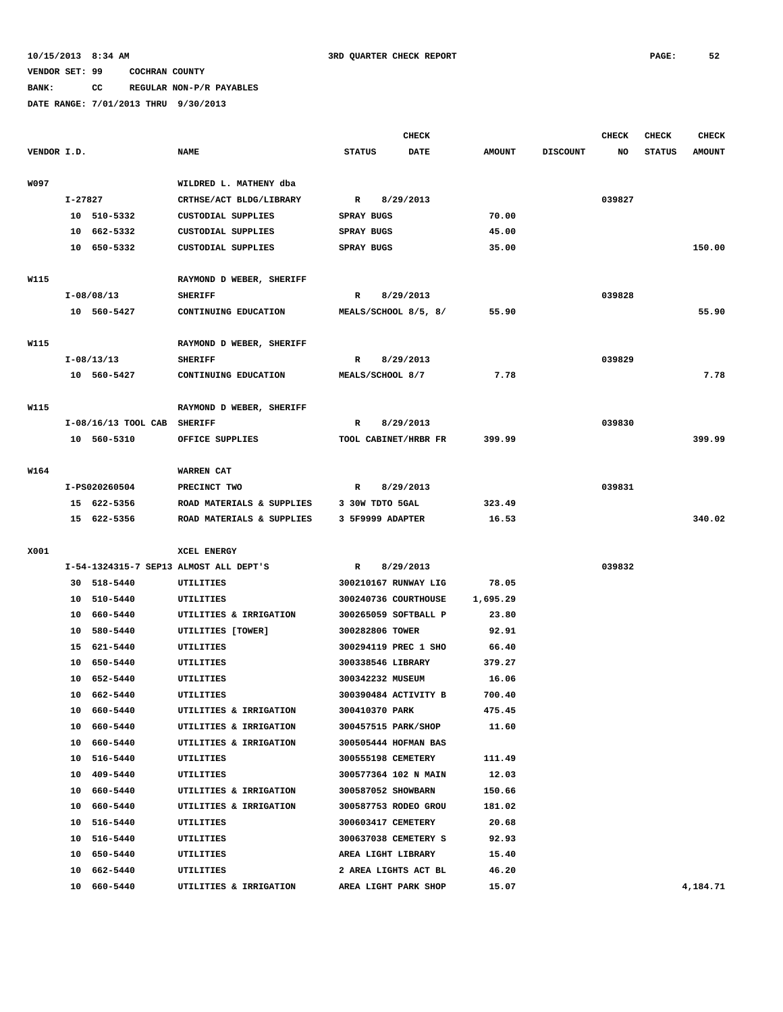# **BANK: CC REGULAR NON-P/R PAYABLES**

|             |         |                             |                                        |                      | <b>CHECK</b> |               |                 | <b>CHECK</b> | <b>CHECK</b>  | <b>CHECK</b>  |
|-------------|---------|-----------------------------|----------------------------------------|----------------------|--------------|---------------|-----------------|--------------|---------------|---------------|
| VENDOR I.D. |         |                             | <b>NAME</b>                            | <b>STATUS</b>        | <b>DATE</b>  | <b>AMOUNT</b> | <b>DISCOUNT</b> | NO           | <b>STATUS</b> | <b>AMOUNT</b> |
|             |         |                             |                                        |                      |              |               |                 |              |               |               |
| W097        |         |                             | WILDRED L. MATHENY dba                 |                      |              |               |                 |              |               |               |
|             | I-27827 |                             | CRTHSE/ACT BLDG/LIBRARY                | $\mathbb{R}$         | 8/29/2013    |               |                 | 039827       |               |               |
|             |         | 10 510-5332                 | <b>CUSTODIAL SUPPLIES</b>              | SPRAY BUGS           |              | 70.00         |                 |              |               |               |
|             |         | 10 662-5332                 | CUSTODIAL SUPPLIES                     | SPRAY BUGS           |              | 45.00         |                 |              |               |               |
|             |         | 10 650-5332                 | CUSTODIAL SUPPLIES                     | <b>SPRAY BUGS</b>    |              | 35.00         |                 |              |               | 150.00        |
|             |         |                             |                                        |                      |              |               |                 |              |               |               |
| <b>W115</b> |         |                             | RAYMOND D WEBER, SHERIFF               |                      |              |               |                 |              |               |               |
|             |         | I-08/08/13                  | <b>SHERIFF</b>                         | R                    | 8/29/2013    |               |                 | 039828       |               |               |
|             |         | 10 560-5427                 | CONTINUING EDUCATION                   | MEALS/SCHOOL 8/5, 8/ |              | 55.90         |                 |              |               | 55.90         |
|             |         |                             |                                        |                      |              |               |                 |              |               |               |
| W115        |         |                             | RAYMOND D WEBER, SHERIFF               |                      |              |               |                 |              |               |               |
|             |         | I-08/13/13                  | <b>SHERIFF</b>                         | R                    | 8/29/2013    |               |                 | 039829       |               |               |
|             |         | 10 560-5427                 | CONTINUING EDUCATION                   | MEALS/SCHOOL 8/7     |              | 7.78          |                 |              |               | 7.78          |
|             |         |                             |                                        |                      |              |               |                 |              |               |               |
| W115        |         |                             | RAYMOND D WEBER, SHERIFF               |                      |              |               |                 |              |               |               |
|             |         | I-08/16/13 TOOL CAB SHERIFF |                                        | R                    | 8/29/2013    |               |                 | 039830       |               |               |
|             |         | 10 560-5310                 | OFFICE SUPPLIES                        | TOOL CABINET/HRBR FR |              | 399.99        |                 |              |               | 399.99        |
|             |         |                             |                                        |                      |              |               |                 |              |               |               |
| W164        |         |                             | <b>WARREN CAT</b>                      |                      |              |               |                 |              |               |               |
|             |         | I-PS020260504               | PRECINCT TWO                           | R                    | 8/29/2013    |               |                 | 039831       |               |               |
|             |         | 15 622-5356                 | ROAD MATERIALS & SUPPLIES              | 3 30W TDTO 5GAL      |              | 323.49        |                 |              |               |               |
|             |         | 15 622-5356                 | ROAD MATERIALS & SUPPLIES              | 3 5F9999 ADAPTER     |              | 16.53         |                 |              |               | 340.02        |
|             |         |                             |                                        |                      |              |               |                 |              |               |               |
| X001        |         |                             | XCEL ENERGY                            |                      |              |               |                 |              |               |               |
|             |         |                             | I-54-1324315-7 SEP13 ALMOST ALL DEPT'S | R                    | 8/29/2013    |               |                 | 039832       |               |               |
|             |         | 30 518-5440                 | UTILITIES                              | 300210167 RUNWAY LIG |              | 78.05         |                 |              |               |               |
|             |         | 10 510-5440                 | UTILITIES                              | 300240736 COURTHOUSE |              | 1,695.29      |                 |              |               |               |
|             |         | 10 660-5440                 | UTILITIES & IRRIGATION                 | 300265059 SOFTBALL P |              | 23.80         |                 |              |               |               |
|             |         | 10 580-5440                 | UTILITIES [TOWER]                      | 300282806 TOWER      |              | 92.91         |                 |              |               |               |
|             |         | 15 621-5440                 | UTILITIES                              | 300294119 PREC 1 SHO |              | 66.40         |                 |              |               |               |
|             |         | 10 650-5440                 | UTILITIES                              | 300338546 LIBRARY    |              | 379.27        |                 |              |               |               |
|             | 10      | 652-5440                    | UTILITIES                              | 300342232 MUSEUM     |              | 16.06         |                 |              |               |               |
|             |         | 10 662-5440                 | <b>UTILITIES</b>                       | 300390484 ACTIVITY B |              | 700.40        |                 |              |               |               |
|             |         | 10 660-5440                 | UTILITIES & IRRIGATION                 | 300410370 PARK       |              | 475.45        |                 |              |               |               |
|             |         | 10 660-5440                 | UTILITIES & IRRIGATION                 | 300457515 PARK/SHOP  |              | 11.60         |                 |              |               |               |
|             |         | 10 660-5440                 | UTILITIES & IRRIGATION                 | 300505444 HOFMAN BAS |              |               |                 |              |               |               |
|             |         | 10 516-5440                 | UTILITIES                              | 300555198 CEMETERY   |              | 111.49        |                 |              |               |               |
|             |         | 10 409-5440                 | UTILITIES                              | 300577364 102 N MAIN |              | 12.03         |                 |              |               |               |
|             |         | 10 660-5440                 | UTILITIES & IRRIGATION                 | 300587052 SHOWBARN   |              | 150.66        |                 |              |               |               |
|             |         | 10 660-5440                 | UTILITIES & IRRIGATION                 | 300587753 RODEO GROU |              | 181.02        |                 |              |               |               |
|             |         | 10 516-5440                 | UTILITIES                              | 300603417 CEMETERY   |              | 20.68         |                 |              |               |               |
|             |         | 10 516-5440                 | UTILITIES                              | 300637038 CEMETERY S |              | 92.93         |                 |              |               |               |
|             |         | 10 650-5440                 | UTILITIES                              | AREA LIGHT LIBRARY   |              | 15.40         |                 |              |               |               |
|             |         | 10 662-5440                 | UTILITIES                              | 2 AREA LIGHTS ACT BL |              | 46.20         |                 |              |               |               |
|             |         | 10 660-5440                 | UTILITIES & IRRIGATION                 | AREA LIGHT PARK SHOP |              | 15.07         |                 |              |               | 4,184.71      |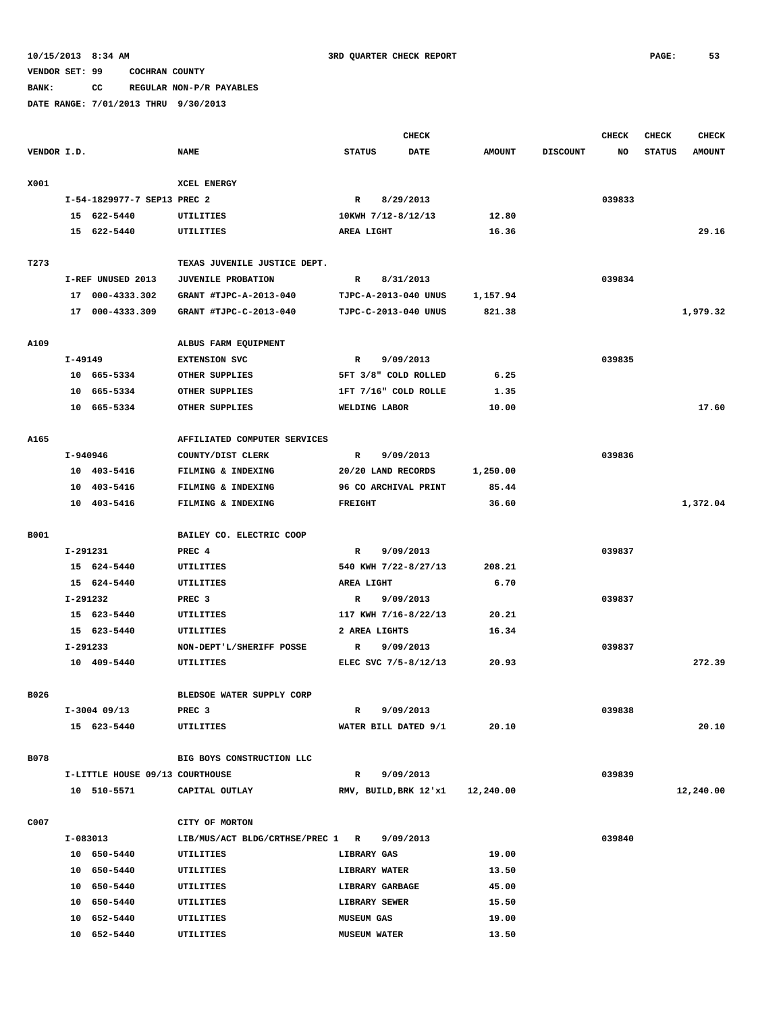# **BANK: CC REGULAR NON-P/R PAYABLES**

|             |            |                                 |                                  |                      | <b>CHECK</b>                     |               |                 | <b>CHECK</b> | <b>CHECK</b>  | <b>CHECK</b>  |
|-------------|------------|---------------------------------|----------------------------------|----------------------|----------------------------------|---------------|-----------------|--------------|---------------|---------------|
| VENDOR I.D. |            |                                 | <b>NAME</b>                      | <b>STATUS</b>        | <b>DATE</b>                      | <b>AMOUNT</b> | <b>DISCOUNT</b> | NO           | <b>STATUS</b> | <b>AMOUNT</b> |
|             |            |                                 |                                  |                      |                                  |               |                 |              |               |               |
| X001        |            |                                 | XCEL ENERGY                      |                      |                                  |               |                 |              |               |               |
|             |            | I-54-1829977-7 SEP13 PREC 2     |                                  | R                    | 8/29/2013                        |               |                 | 039833       |               |               |
|             |            | 15 622-5440                     | UTILITIES                        | 10KWH 7/12-8/12/13   |                                  | 12.80         |                 |              |               |               |
|             |            | 15 622-5440                     | UTILITIES                        | AREA LIGHT           |                                  | 16.36         |                 |              |               | 29.16         |
|             |            |                                 |                                  |                      |                                  |               |                 |              |               |               |
| T273        |            |                                 | TEXAS JUVENILE JUSTICE DEPT.     |                      |                                  |               |                 |              |               |               |
|             |            | I-REF UNUSED 2013               | JUVENILE PROBATION               | $\mathbb{R}$         | 8/31/2013                        |               |                 | 039834       |               |               |
|             |            | 17 000-4333.302                 | GRANT #TJPC-A-2013-040           | TJPC-A-2013-040 UNUS |                                  | 1,157.94      |                 |              |               |               |
|             |            | 17 000-4333.309                 | GRANT #TJPC-C-2013-040           | TJPC-C-2013-040 UNUS |                                  | 821.38        |                 |              |               | 1,979.32      |
|             |            |                                 |                                  |                      |                                  |               |                 |              |               |               |
| A109        |            |                                 | ALBUS FARM EQUIPMENT             |                      |                                  |               |                 |              |               |               |
|             | I-49149    |                                 | <b>EXTENSION SVC</b>             | $\mathbb{R}$         | 9/09/2013                        |               |                 | 039835       |               |               |
|             |            | 10 665-5334                     | OTHER SUPPLIES                   | 5FT 3/8" COLD ROLLED |                                  | 6.25          |                 |              |               |               |
|             | 10         | 665–5334                        | OTHER SUPPLIES                   | 1FT 7/16" COLD ROLLE |                                  | 1.35          |                 |              |               |               |
|             |            | 10 665-5334                     | OTHER SUPPLIES                   | WELDING LABOR        |                                  | 10.00         |                 |              |               | 17.60         |
|             |            |                                 |                                  |                      |                                  |               |                 |              |               |               |
| A165        |            |                                 | AFFILIATED COMPUTER SERVICES     |                      |                                  |               |                 |              |               |               |
|             | I-940946   |                                 | COUNTY/DIST CLERK                | $\mathbb{R}$         | 9/09/2013                        |               |                 | 039836       |               |               |
|             |            | 10 403-5416                     | FILMING & INDEXING               | 20/20 LAND RECORDS   |                                  | 1,250.00      |                 |              |               |               |
|             |            | 10 403-5416                     | FILMING & INDEXING               | 96 CO ARCHIVAL PRINT |                                  | 85.44         |                 |              |               |               |
|             |            | 10 403-5416                     | FILMING & INDEXING               | <b>FREIGHT</b>       |                                  | 36.60         |                 |              |               | 1,372.04      |
|             |            |                                 |                                  |                      |                                  |               |                 |              |               |               |
| B001        |            |                                 | BAILEY CO. ELECTRIC COOP         |                      |                                  |               |                 |              |               |               |
|             | I-291231   |                                 | PREC 4                           | $\mathbb{R}$         | 9/09/2013                        |               |                 | 039837       |               |               |
|             |            | 15 624-5440                     | <b>UTILITIES</b>                 | 540 KWH 7/22-8/27/13 |                                  | 208.21        |                 |              |               |               |
|             |            | 15 624-5440                     | UTILITIES                        | AREA LIGHT           |                                  | 6.70          |                 |              |               |               |
|             | I-291232   |                                 | PREC <sub>3</sub>                | $\mathbb{R}$         | 9/09/2013                        |               |                 | 039837       |               |               |
|             |            | 15 623-5440                     | UTILITIES                        | 117 KWH 7/16-8/22/13 |                                  | 20.21         |                 |              |               |               |
|             |            | 15 623-5440                     | UTILITIES                        | 2 AREA LIGHTS        |                                  | 16.34         |                 |              |               |               |
|             | I-291233   |                                 | NON-DEPT'L/SHERIFF POSSE         | R                    | 9/09/2013                        |               |                 | 039837       |               |               |
|             |            | 10 409-5440                     | UTILITIES                        | ELEC SVC 7/5-8/12/13 |                                  | 20.93         |                 |              |               | 272.39        |
|             |            |                                 |                                  |                      |                                  |               |                 |              |               |               |
| B026        |            |                                 | BLEDSOE WATER SUPPLY CORP        |                      |                                  |               |                 |              |               |               |
|             |            | $I-3004$ 09/13                  | PREC 3                           | R                    | 9/09/2013                        |               |                 | 039838       |               |               |
|             |            | 15 623-5440                     | UTILITIES                        | WATER BILL DATED 9/1 |                                  | 20.10         |                 |              |               | 20.10         |
|             |            |                                 |                                  |                      |                                  |               |                 |              |               |               |
| <b>B078</b> |            |                                 | BIG BOYS CONSTRUCTION LLC        |                      |                                  |               |                 |              |               |               |
|             |            | I-LITTLE HOUSE 09/13 COURTHOUSE |                                  | $\mathbb{R}$         | 9/09/2013                        |               |                 | 039839       |               |               |
|             |            | 10 510-5571                     | CAPITAL OUTLAY                   |                      | RMV, BUILD, BRK 12'x1 12, 240.00 |               |                 |              |               | 12,240.00     |
|             |            |                                 |                                  |                      |                                  |               |                 |              |               |               |
| C007        |            |                                 | CITY OF MORTON                   |                      |                                  |               |                 |              |               |               |
|             | $I-083013$ |                                 | LIB/MUS/ACT BLDG/CRTHSE/PREC 1 R |                      | 9/09/2013                        |               |                 | 039840       |               |               |
|             |            | 10 650-5440                     | UTILITIES                        | <b>LIBRARY GAS</b>   |                                  | 19.00         |                 |              |               |               |
|             |            | 10 650-5440                     | UTILITIES                        | <b>LIBRARY WATER</b> |                                  | 13.50         |                 |              |               |               |
|             |            | 10 650-5440                     | UTILITIES                        | LIBRARY GARBAGE      |                                  | 45.00         |                 |              |               |               |
|             |            | 10 650-5440                     | UTILITIES                        | LIBRARY SEWER        |                                  | 15.50         |                 |              |               |               |
|             |            | 10 652-5440                     | UTILITIES                        | <b>MUSEUM GAS</b>    |                                  | 19.00         |                 |              |               |               |
|             |            | 10 652-5440                     | UTILITIES                        | <b>MUSEUM WATER</b>  |                                  | 13.50         |                 |              |               |               |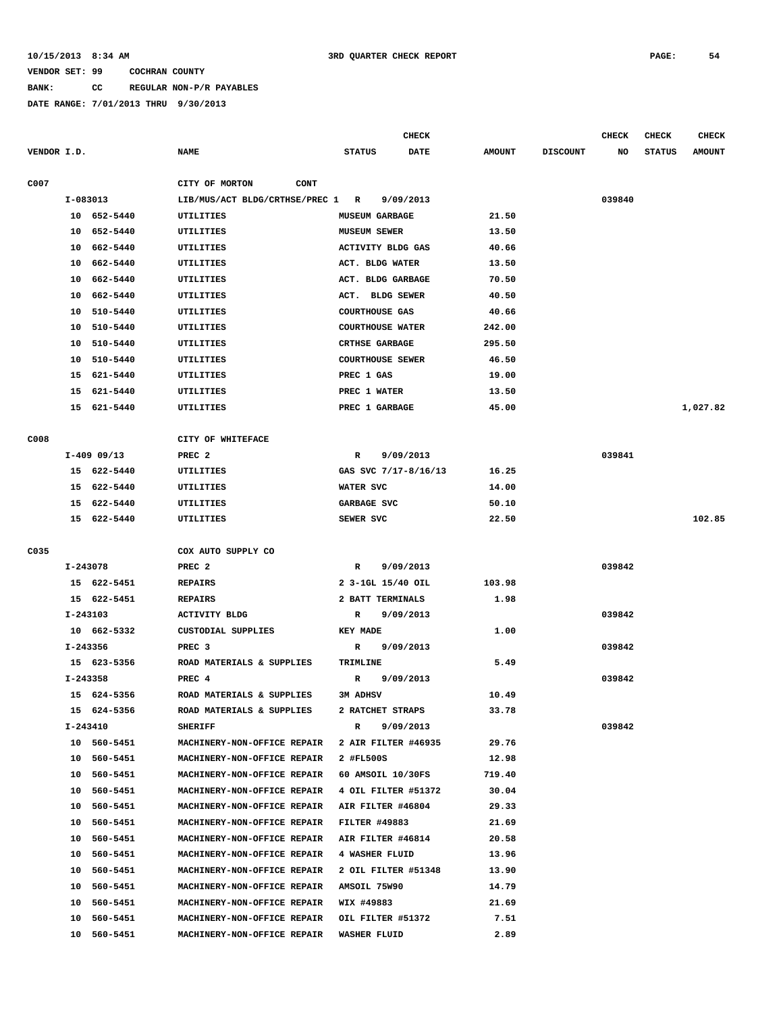#### **BANK: CC REGULAR NON-P/R PAYABLES**

|             |          |               |                                |                         | CHECK                    |               |                 | CHECK  | CHECK         | <b>CHECK</b>  |
|-------------|----------|---------------|--------------------------------|-------------------------|--------------------------|---------------|-----------------|--------|---------------|---------------|
| VENDOR I.D. |          |               | <b>NAME</b>                    | <b>STATUS</b>           | <b>DATE</b>              | <b>AMOUNT</b> | <b>DISCOUNT</b> | NO     | <b>STATUS</b> | <b>AMOUNT</b> |
| C007        |          |               | CITY OF MORTON<br><b>CONT</b>  |                         |                          |               |                 |        |               |               |
|             |          | I-083013      | LIB/MUS/ACT BLDG/CRTHSE/PREC 1 | R                       | 9/09/2013                |               |                 | 039840 |               |               |
|             |          | 10 652-5440   | UTILITIES                      | <b>MUSEUM GARBAGE</b>   |                          | 21.50         |                 |        |               |               |
|             | 10       | 652-5440      | UTILITIES                      | MUSEUM SEWER            |                          | 13.50         |                 |        |               |               |
|             | 10       | 662-5440      | UTILITIES                      |                         | <b>ACTIVITY BLDG GAS</b> | 40.66         |                 |        |               |               |
|             | 10       | 662-5440      | <b>UTILITIES</b>               | ACT. BLDG WATER         |                          | 13.50         |                 |        |               |               |
|             | 10       | 662-5440      | UTILITIES                      |                         | ACT. BLDG GARBAGE        | 70.50         |                 |        |               |               |
|             | 10       | 662-5440      | UTILITIES                      | ACT.                    | <b>BLDG SEWER</b>        | 40.50         |                 |        |               |               |
|             | 10       | 510-5440      | UTILITIES                      | <b>COURTHOUSE GAS</b>   |                          | 40.66         |                 |        |               |               |
|             | 10       | 510-5440      | UTILITIES                      | <b>COURTHOUSE WATER</b> |                          | 242.00        |                 |        |               |               |
|             | 10       | 510-5440      | UTILITIES                      | <b>CRTHSE GARBAGE</b>   |                          | 295.50        |                 |        |               |               |
|             | 10       | 510-5440      | UTILITIES                      | <b>COURTHOUSE SEWER</b> |                          | 46.50         |                 |        |               |               |
|             |          | 15 621-5440   | UTILITIES                      | PREC 1 GAS              |                          | 19.00         |                 |        |               |               |
|             |          |               |                                | PREC 1 WATER            |                          |               |                 |        |               |               |
|             | 15       | 621-5440      | UTILITIES                      |                         |                          | 13.50         |                 |        |               |               |
|             |          | 15 621-5440   | UTILITIES                      | PREC 1 GARBAGE          |                          | 45.00         |                 |        |               | 1,027.82      |
| C008        |          |               | CITY OF WHITEFACE              |                         |                          |               |                 |        |               |               |
|             |          | $I-409$ 09/13 | PREC <sub>2</sub>              | R                       | 9/09/2013                |               |                 | 039841 |               |               |
|             |          | 15 622-5440   | UTILITIES                      |                         | GAS SVC 7/17-8/16/13     | 16.25         |                 |        |               |               |
|             | 15       | 622-5440      | UTILITIES                      | WATER SVC               |                          | 14.00         |                 |        |               |               |
|             | 15       | 622-5440      | UTILITIES                      | GARBAGE SVC             |                          | 50.10         |                 |        |               |               |
|             |          | 15 622-5440   | UTILITIES                      | SEWER SVC               |                          | 22.50         |                 |        |               | 102.85        |
| C035        |          |               | COX AUTO SUPPLY CO             |                         |                          |               |                 |        |               |               |
|             | I-243078 |               | PREC <sub>2</sub>              | R                       | 9/09/2013                |               |                 | 039842 |               |               |
|             |          | 15 622-5451   | <b>REPAIRS</b>                 |                         | 2 3-1GL 15/40 OIL        | 103.98        |                 |        |               |               |
|             |          | 15 622-5451   | <b>REPAIRS</b>                 | 2 BATT TERMINALS        |                          | 1.98          |                 |        |               |               |
|             |          |               |                                |                         |                          |               |                 |        |               |               |
|             | I-243103 |               | <b>ACTIVITY BLDG</b>           | R                       | 9/09/2013                |               |                 | 039842 |               |               |
|             |          | 10 662-5332   | CUSTODIAL SUPPLIES             | KEY MADE                |                          | 1.00          |                 |        |               |               |
|             | I-243356 |               | PREC <sub>3</sub>              | R                       | 9/09/2013                |               |                 | 039842 |               |               |
|             |          | 15 623-5356   | ROAD MATERIALS & SUPPLIES      | TRIMLINE                |                          | 5.49          |                 |        |               |               |
|             | I-243358 |               | PREC <sub>4</sub>              | R                       | 9/09/2013                |               |                 | 039842 |               |               |
|             |          | 15 624-5356   | ROAD MATERIALS & SUPPLIES      | <b>3M ADHSV</b>         |                          | 10.49         |                 |        |               |               |
|             |          | 15 624-5356   | ROAD MATERIALS & SUPPLIES      |                         | 2 RATCHET STRAPS         | 33.78         |                 |        |               |               |
|             |          | I-243410      | SHERIFF                        | R                       | 9/09/2013                |               |                 | 039842 |               |               |
|             |          | 10 560-5451   | MACHINERY-NON-OFFICE REPAIR    |                         | 2 AIR FILTER #46935      | 29.76         |                 |        |               |               |
|             |          | 10 560-5451   | MACHINERY-NON-OFFICE REPAIR    | 2 #FL500S               |                          | 12.98         |                 |        |               |               |
|             |          | 10 560-5451   | MACHINERY-NON-OFFICE REPAIR    |                         | 60 AMSOIL 10/30FS        | 719.40        |                 |        |               |               |
|             |          | 10 560-5451   | MACHINERY-NON-OFFICE REPAIR    |                         | 4 OIL FILTER #51372      | 30.04         |                 |        |               |               |
|             |          | 10 560-5451   | MACHINERY-NON-OFFICE REPAIR    |                         | AIR FILTER #46804        | 29.33         |                 |        |               |               |
|             |          | 10 560-5451   | MACHINERY-NON-OFFICE REPAIR    | FILTER #49883           |                          | 21.69         |                 |        |               |               |
|             |          | 10 560-5451   | MACHINERY-NON-OFFICE REPAIR    |                         | AIR FILTER #46814        | 20.58         |                 |        |               |               |
|             |          | 10 560-5451   | MACHINERY-NON-OFFICE REPAIR    | 4 WASHER FLUID          |                          | 13.96         |                 |        |               |               |
|             |          | 10 560-5451   | MACHINERY-NON-OFFICE REPAIR    |                         | 2 OIL FILTER #51348      | 13.90         |                 |        |               |               |
|             |          | 10 560-5451   | MACHINERY-NON-OFFICE REPAIR    | AMSOIL 75W90            |                          | 14.79         |                 |        |               |               |
|             |          | 10 560-5451   | MACHINERY-NON-OFFICE REPAIR    | WIX #49883              |                          | 21.69         |                 |        |               |               |
|             |          | 10 560-5451   | MACHINERY-NON-OFFICE REPAIR    |                         | OIL FILTER #51372        | 7.51          |                 |        |               |               |
|             |          | 10 560-5451   | MACHINERY-NON-OFFICE REPAIR    | <b>WASHER FLUID</b>     |                          | 2.89          |                 |        |               |               |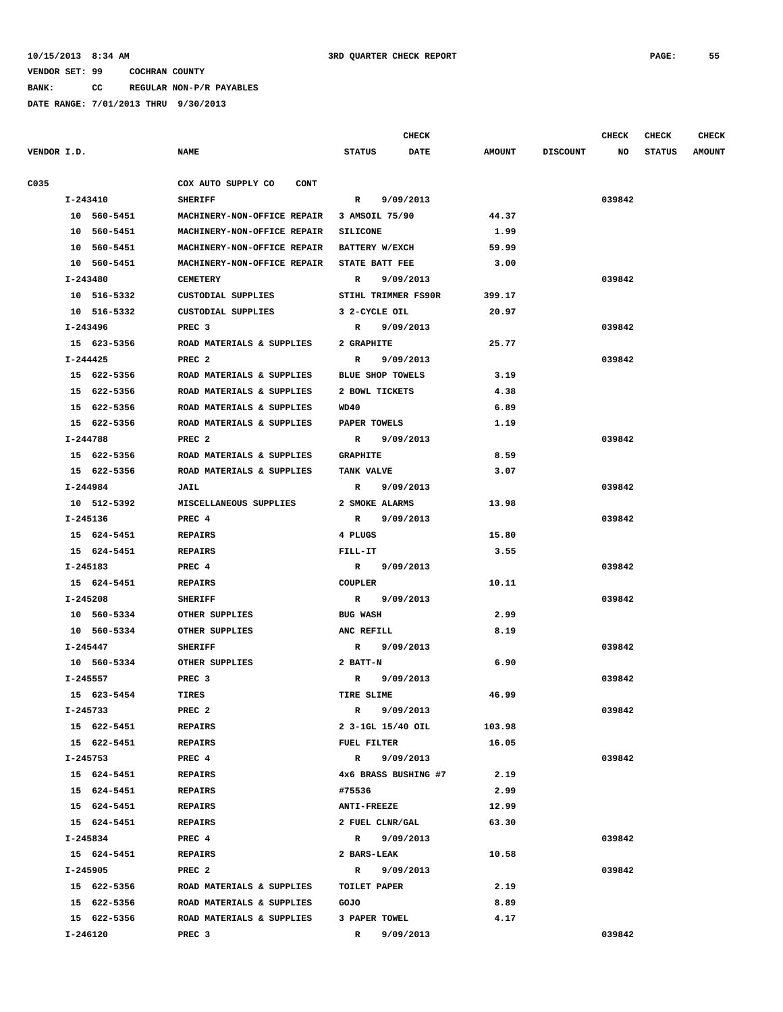**BANK: CC REGULAR NON-P/R PAYABLES**

|             |                         |                                       | <b>CHECK</b>                            |                 |                 | <b>CHECK</b> | <b>CHECK</b>  | <b>CHECK</b>  |
|-------------|-------------------------|---------------------------------------|-----------------------------------------|-----------------|-----------------|--------------|---------------|---------------|
| VENDOR I.D. |                         | <b>NAME</b>                           | <b>STATUS</b><br><b>DATE</b>            | <b>AMOUNT</b>   | <b>DISCOUNT</b> | NO           | <b>STATUS</b> | <b>AMOUNT</b> |
| C035        |                         | COX AUTO SUPPLY CO<br><b>CONT</b>     |                                         |                 |                 |              |               |               |
|             | I-243410                | <b>SHERIFF</b>                        | R<br>9/09/2013                          |                 |                 | 039842       |               |               |
|             | 10 560-5451             | MACHINERY-NON-OFFICE REPAIR           | 3 AMSOIL 75/90                          | 44.37           |                 |              |               |               |
|             | 10 560-5451             | MACHINERY-NON-OFFICE REPAIR           | <b>SILICONE</b>                         | 1.99            |                 |              |               |               |
|             | 10 560-5451             | MACHINERY-NON-OFFICE REPAIR           | BATTERY W/EXCH                          | 59.99           |                 |              |               |               |
|             | 10 560-5451             | MACHINERY-NON-OFFICE REPAIR           | STATE BATT FEE                          | 3.00            |                 |              |               |               |
|             | I-243480                | <b>CEMETERY</b>                       | 9/09/2013<br>$\mathbb{R}$               |                 |                 | 039842       |               |               |
|             | 10 516-5332             | CUSTODIAL SUPPLIES                    | STIHL TRIMMER FS90R                     | 399.17          |                 |              |               |               |
|             | 10 516-5332             | CUSTODIAL SUPPLIES                    | 3 2-CYCLE OIL                           | 20.97           |                 |              |               |               |
|             | I-243496                | PREC <sub>3</sub>                     | 9/09/2013<br>R                          |                 |                 | 039842       |               |               |
|             | 15 623-5356             | ROAD MATERIALS & SUPPLIES             | 2 GRAPHITE                              | 25.77           |                 |              |               |               |
|             | I-244425                | PREC <sub>2</sub>                     | 9/09/2013<br>R                          |                 |                 | 039842       |               |               |
|             | 15 622-5356             | ROAD MATERIALS & SUPPLIES             | <b>BLUE SHOP TOWELS</b>                 | 3.19            |                 |              |               |               |
|             | 15 622-5356             | ROAD MATERIALS & SUPPLIES             | 2 BOWL TICKETS                          | 4.38            |                 |              |               |               |
|             | 15 622-5356             | ROAD MATERIALS & SUPPLIES             | WD40                                    | 6.89            |                 |              |               |               |
|             | 15 622-5356             | ROAD MATERIALS & SUPPLIES             | PAPER TOWELS                            | 1.19            |                 |              |               |               |
|             | I-244788                | PREC <sub>2</sub>                     | 9/09/2013<br>$\mathbb{R}$               |                 |                 | 039842       |               |               |
|             | 15 622-5356             | ROAD MATERIALS & SUPPLIES             | <b>GRAPHITE</b>                         | 8.59            |                 |              |               |               |
|             | 15 622-5356             | ROAD MATERIALS & SUPPLIES             | TANK VALVE                              | 3.07            |                 |              |               |               |
|             | I-244984                | <b>JAIL</b>                           | $\mathbb{R}$<br>9/09/2013               |                 |                 | 039842       |               |               |
|             | 10 512-5392             | MISCELLANEOUS SUPPLIES                | 2 SMOKE ALARMS                          | 13.98           |                 |              |               |               |
|             | I-245136                | PREC 4                                | R 9/09/2013                             |                 |                 | 039842       |               |               |
|             | 15 624-5451             | <b>REPAIRS</b>                        | 4 PLUGS                                 | 15.80           |                 |              |               |               |
|             | 15 624-5451             | <b>REPAIRS</b>                        | FILL-IT                                 | 3.55            |                 |              |               |               |
|             | I-245183                | PREC 4                                | R 9/09/2013                             |                 |                 | 039842       |               |               |
|             | 15 624-5451             | <b>REPAIRS</b>                        | COUPLER                                 | 10.11           |                 |              |               |               |
|             | I-245208                | <b>SHERIFF</b>                        | R 9/09/2013                             |                 |                 | 039842       |               |               |
|             | 10 560-5334             | OTHER SUPPLIES                        | <b>BUG WASH</b>                         | 2.99            |                 |              |               |               |
|             | 10 560-5334             |                                       | ANC REFILL                              | 8.19            |                 |              |               |               |
|             | I-245447                | OTHER SUPPLIES<br><b>SHERIFF</b>      | R 9/09/2013                             |                 |                 | 039842       |               |               |
|             | 10 560-5334             | OTHER SUPPLIES                        | 2 BATT-N                                | 6.90            |                 |              |               |               |
|             |                         |                                       | 9/09/2013                               |                 |                 |              |               |               |
|             | I-245557<br>15 623-5454 | PREC 3<br><b>TIRES</b>                | R<br>TIRE SLIME                         | 46.99           |                 | 039842       |               |               |
|             |                         |                                       |                                         |                 |                 |              |               |               |
|             | I-245733<br>15 622-5451 | PREC <sub>2</sub>                     | R 9/09/2013                             |                 |                 | 039842       |               |               |
|             | 15 622-5451             | <b>REPAIRS</b><br><b>REPAIRS</b>      | 2 3-1GL 15/40 OIL<br><b>FUEL FILTER</b> | 103.98<br>16.05 |                 |              |               |               |
|             |                         |                                       |                                         |                 |                 | 039842       |               |               |
|             | I-245753                | PREC 4                                | R 9/09/2013                             | 2.19            |                 |              |               |               |
|             | 15 624-5451             | REPAIRS                               | 4x6 BRASS BUSHING #7                    |                 |                 |              |               |               |
|             | 15 624-5451             | <b>REPAIRS</b><br><b>REPAIRS</b>      | #75536                                  | 2.99            |                 |              |               |               |
|             | 15 624-5451             |                                       | <b>ANTI-FREEZE</b>                      | 12.99           |                 |              |               |               |
|             | 15 624-5451<br>I-245834 | REPAIRS                               | 2 FUEL CLNR/GAL                         | 63.30           |                 |              |               |               |
|             |                         | PREC 4                                | R 9/09/2013                             |                 |                 | 039842       |               |               |
|             | 15 624-5451             | <b>REPAIRS</b>                        | 2 BARS-LEAK                             | 10.58           |                 |              |               |               |
|             | I-245905                | PREC <sub>2</sub>                     | R 9/09/2013                             |                 |                 | 039842       |               |               |
|             | 15 622-5356             | ROAD MATERIALS & SUPPLIES             | TOILET PAPER                            | 2.19            |                 |              |               |               |
|             |                         | 15 622-5356 ROAD MATERIALS & SUPPLIES | GOJO                                    | 8.89            |                 |              |               |               |
|             |                         | 15 622-5356 ROAD MATERIALS & SUPPLIES | 3 PAPER TOWEL                           | 4.17            |                 |              |               |               |
|             | I-246120                | PREC <sub>3</sub>                     | $\mathbb{R}$<br>9/09/2013               |                 |                 | 039842       |               |               |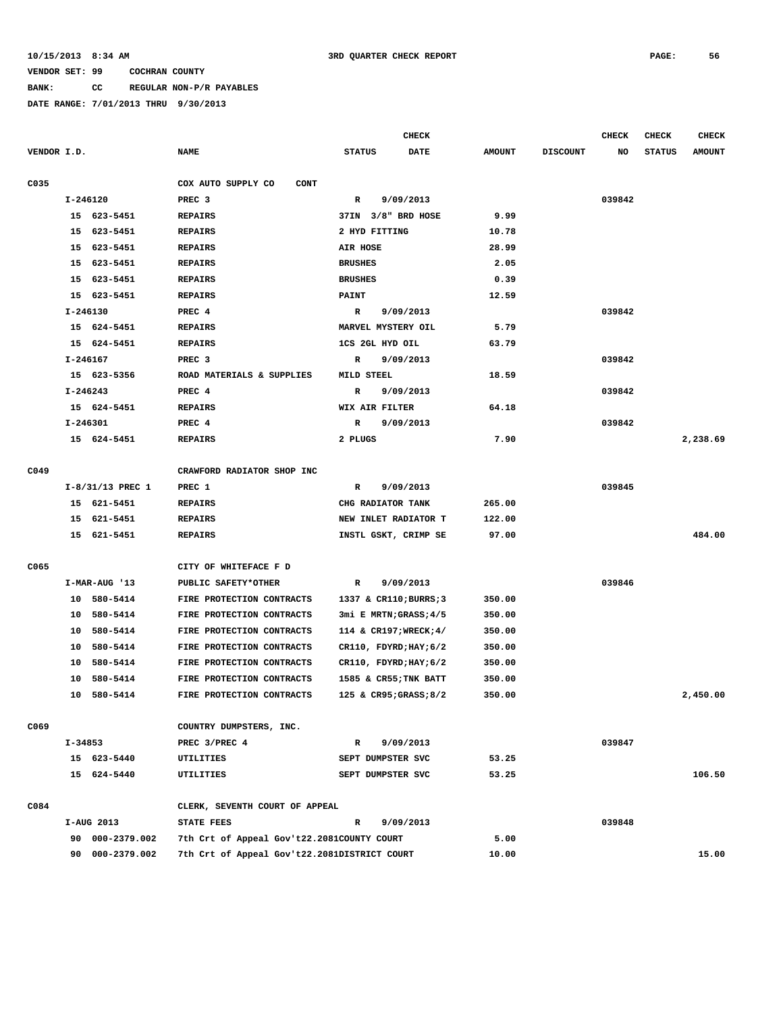**BANK: CC REGULAR NON-P/R PAYABLES**

|             |    |                    |                                              |                                   | <b>CHECK</b> |               |                 | CHECK  | CHECK         | CHECK         |
|-------------|----|--------------------|----------------------------------------------|-----------------------------------|--------------|---------------|-----------------|--------|---------------|---------------|
| VENDOR I.D. |    |                    | <b>NAME</b>                                  | <b>STATUS</b>                     | <b>DATE</b>  | <b>AMOUNT</b> | <b>DISCOUNT</b> | NO     | <b>STATUS</b> | <b>AMOUNT</b> |
| C035        |    |                    | COX AUTO SUPPLY CO<br>CONT                   |                                   |              |               |                 |        |               |               |
|             |    | $I - 246120$       | PREC <sub>3</sub>                            | R                                 | 9/09/2013    |               |                 | 039842 |               |               |
|             |    | 15 623-5451        | <b>REPAIRS</b>                               | 37IN 3/8" BRD HOSE                |              | 9.99          |                 |        |               |               |
|             |    | 15 623-5451        | <b>REPAIRS</b>                               | 2 HYD FITTING                     |              | 10.78         |                 |        |               |               |
|             | 15 | 623-5451           | <b>REPAIRS</b>                               | AIR HOSE                          |              | 28.99         |                 |        |               |               |
|             | 15 | 623-5451           | <b>REPAIRS</b>                               | <b>BRUSHES</b>                    |              | 2.05          |                 |        |               |               |
|             | 15 | 623-5451           | <b>REPAIRS</b>                               | <b>BRUSHES</b>                    |              | 0.39          |                 |        |               |               |
|             |    | 15 623-5451        | <b>REPAIRS</b>                               | <b>PAINT</b>                      |              | 12.59         |                 |        |               |               |
|             |    | I-246130           | PREC 4                                       | R                                 | 9/09/2013    |               |                 | 039842 |               |               |
|             |    | 15 624-5451        | <b>REPAIRS</b>                               | MARVEL MYSTERY OIL                |              | 5.79          |                 |        |               |               |
|             |    | 15 624-5451        | <b>REPAIRS</b>                               | 1CS 2GL HYD OIL                   |              | 63.79         |                 |        |               |               |
|             |    | I-246167           | PREC <sub>3</sub>                            | R                                 | 9/09/2013    |               |                 | 039842 |               |               |
|             |    | 15 623-5356        | ROAD MATERIALS & SUPPLIES                    | MILD STEEL                        |              | 18.59         |                 |        |               |               |
|             |    | $I - 246243$       | PREC 4                                       | R                                 | 9/09/2013    |               |                 | 039842 |               |               |
|             |    | 15 624-5451        | <b>REPAIRS</b>                               | WIX AIR FILTER                    |              | 64.18         |                 |        |               |               |
|             |    | I-246301           | PREC 4                                       | R                                 | 9/09/2013    |               |                 | 039842 |               |               |
|             |    | 15 624-5451        | <b>REPAIRS</b>                               | 2 PLUGS                           |              | 7.90          |                 |        |               | 2,238.69      |
|             |    |                    |                                              |                                   |              |               |                 |        |               |               |
| C049        |    |                    | CRAWFORD RADIATOR SHOP INC                   |                                   |              |               |                 |        |               |               |
|             |    | $I-8/31/13$ PREC 1 | PREC 1                                       | R                                 | 9/09/2013    |               |                 | 039845 |               |               |
|             |    | 15 621-5451        | <b>REPAIRS</b>                               | CHG RADIATOR TANK                 |              | 265.00        |                 |        |               |               |
|             | 15 | 621-5451           | <b>REPAIRS</b>                               | NEW INLET RADIATOR T              |              | 122.00        |                 |        |               |               |
|             |    | 15 621-5451        | <b>REPAIRS</b>                               | INSTL GSKT, CRIMP SE              |              | 97.00         |                 |        |               | 484.00        |
|             |    |                    |                                              |                                   |              |               |                 |        |               |               |
| C065        |    |                    | CITY OF WHITEFACE F D                        |                                   |              |               |                 |        |               |               |
|             |    | I-MAR-AUG '13      | PUBLIC SAFETY*OTHER                          | R                                 | 9/09/2013    |               |                 | 039846 |               |               |
|             |    | 10 580-5414        | FIRE PROTECTION CONTRACTS                    | 1337 & CR110; BURRS; 3            |              | 350.00        |                 |        |               |               |
|             |    | 10 580-5414        | FIRE PROTECTION CONTRACTS                    | 3mi E MRTN; GRASS; 4/5            |              | 350.00        |                 |        |               |               |
|             | 10 | 580-5414           | FIRE PROTECTION CONTRACTS                    | 114 & CR197; WRECK; 4/            |              | 350.00        |                 |        |               |               |
|             | 10 | 580-5414           | FIRE PROTECTION CONTRACTS                    | $CR110$ , $FDYRD; HAY; 6/2$       |              | 350.00        |                 |        |               |               |
|             | 10 | 580-5414           | FIRE PROTECTION CONTRACTS                    | $CR110$ , $FDYRD$ ; $HAY$ ; $6/2$ |              | 350.00        |                 |        |               |               |
|             | 10 | 580-5414           | FIRE PROTECTION CONTRACTS                    | 1585 & CR55; TNK BATT             |              | 350.00        |                 |        |               | 2,450.00      |
|             |    | 10 580-5414        | FIRE PROTECTION CONTRACTS                    | 125 & CR95; GRASS; 8/2            |              | 350.00        |                 |        |               |               |
| C069        |    |                    | COUNTRY DUMPSTERS, INC.                      |                                   |              |               |                 |        |               |               |
|             |    | I-34853            | PREC 3/PREC 4                                | $\mathbb{R}$                      | 9/09/2013    |               |                 | 039847 |               |               |
|             |    | 15 623-5440        | UTILITIES                                    | SEPT DUMPSTER SVC                 |              | 53.25         |                 |        |               |               |
|             |    | 15 624-5440        | UTILITIES                                    | SEPT DUMPSTER SVC                 |              | 53.25         |                 |        |               | 106.50        |
|             |    |                    |                                              |                                   |              |               |                 |        |               |               |
| C084        |    |                    | CLERK, SEVENTH COURT OF APPEAL               |                                   |              |               |                 |        |               |               |
|             |    | I-AUG 2013         | STATE FEES                                   | $\mathbb{R}$                      | 9/09/2013    |               |                 | 039848 |               |               |
|             |    | 90 000-2379.002    | 7th Crt of Appeal Gov't22.2081COUNTY COURT   |                                   |              | 5.00          |                 |        |               |               |
|             |    | 90 000-2379.002    | 7th Crt of Appeal Gov't22.2081DISTRICT COURT |                                   |              | 10.00         |                 |        |               | 15.00         |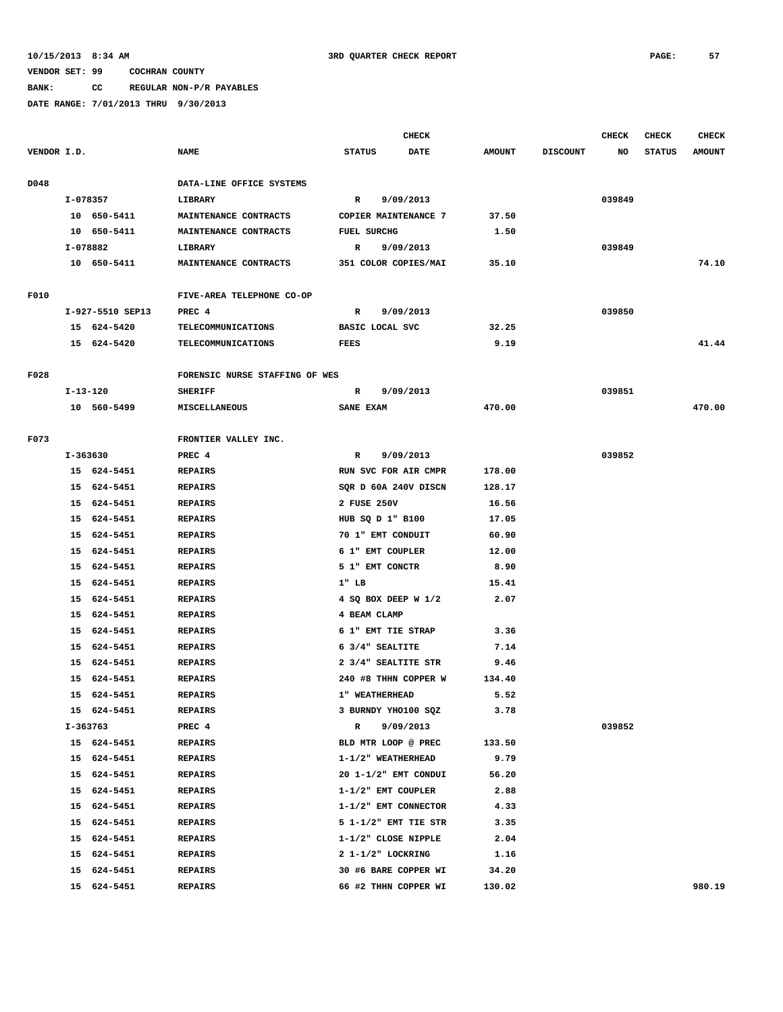### **BANK: CC REGULAR NON-P/R PAYABLES**

|             |          |                  |                                |                    | <b>CHECK</b>                          |               |                 | <b>CHECK</b> | CHECK         | <b>CHECK</b>  |
|-------------|----------|------------------|--------------------------------|--------------------|---------------------------------------|---------------|-----------------|--------------|---------------|---------------|
| VENDOR I.D. |          |                  | <b>NAME</b>                    | <b>STATUS</b>      | DATE                                  | <b>AMOUNT</b> | <b>DISCOUNT</b> | NO           | <b>STATUS</b> | <b>AMOUNT</b> |
| D048        |          |                  | DATA-LINE OFFICE SYSTEMS       |                    |                                       |               |                 |              |               |               |
|             | I-078357 |                  | LIBRARY                        | $\mathbb{R}$       | 9/09/2013                             |               |                 | 039849       |               |               |
|             |          | 10 650-5411      | MAINTENANCE CONTRACTS          |                    | COPIER MAINTENANCE 7                  | 37.50         |                 |              |               |               |
|             |          | 10 650-5411      | MAINTENANCE CONTRACTS          | <b>FUEL SURCHG</b> |                                       | 1.50          |                 |              |               |               |
|             | I-078882 |                  | LIBRARY                        | R                  | 9/09/2013                             |               |                 | 039849       |               |               |
|             |          | 10 650-5411      | MAINTENANCE CONTRACTS          |                    | 351 COLOR COPIES/MAI                  | 35.10         |                 |              |               | 74.10         |
| F010        |          |                  | FIVE-AREA TELEPHONE CO-OP      |                    |                                       |               |                 |              |               |               |
|             |          | I-927-5510 SEP13 | PREC 4                         | $\mathbb{R}$       | 9/09/2013                             |               |                 | 039850       |               |               |
|             |          | 15 624-5420      | TELECOMMUNICATIONS             |                    | BASIC LOCAL SVC                       | 32.25         |                 |              |               |               |
|             |          | 15 624-5420      | <b>TELECOMMUNICATIONS</b>      | <b>FEES</b>        |                                       | 9.19          |                 |              |               | 41.44         |
| F028        |          |                  | FORENSIC NURSE STAFFING OF WES |                    |                                       |               |                 |              |               |               |
|             | I-13-120 |                  | <b>SHERIFF</b>                 | R                  | 9/09/2013                             |               |                 | 039851       |               |               |
|             |          | 10 560-5499      | <b>MISCELLANEOUS</b>           | SANE EXAM          |                                       | 470.00        |                 |              |               | 470.00        |
|             |          |                  |                                |                    |                                       |               |                 |              |               |               |
| F073        |          |                  | FRONTIER VALLEY INC.           |                    |                                       |               |                 |              |               |               |
|             | I-363630 | 15 624-5451      | PREC 4<br><b>REPAIRS</b>       | R                  | 9/09/2013<br>RUN SVC FOR AIR CMPR     | 178.00        |                 | 039852       |               |               |
|             |          | 15 624-5451      | <b>REPAIRS</b>                 |                    | SQR D 60A 240V DISCN                  | 128.17        |                 |              |               |               |
|             |          | 15 624-5451      | <b>REPAIRS</b>                 | 2 FUSE 250V        |                                       | 16.56         |                 |              |               |               |
|             |          | 15 624-5451      | <b>REPAIRS</b>                 |                    |                                       | 17.05         |                 |              |               |               |
|             |          | 15 624-5451      | <b>REPAIRS</b>                 |                    | HUB SQ D 1" B100<br>70 1" EMT CONDUIT | 60.90         |                 |              |               |               |
|             |          | 15 624-5451      | <b>REPAIRS</b>                 |                    | 6 1" EMT COUPLER                      | 12.00         |                 |              |               |               |
|             |          | 15 624-5451      | <b>REPAIRS</b>                 |                    | 5 1" EMT CONCTR                       | 8.90          |                 |              |               |               |
|             |          | 15 624-5451      | <b>REPAIRS</b>                 | $1"$ LB            |                                       | 15.41         |                 |              |               |               |
|             | 15       | 624-5451         | <b>REPAIRS</b>                 |                    | 4 SQ BOX DEEP W 1/2                   | 2.07          |                 |              |               |               |
|             |          | 15 624-5451      | <b>REPAIRS</b>                 | 4 BEAM CLAMP       |                                       |               |                 |              |               |               |
|             | 15       | 624-5451         | <b>REPAIRS</b>                 |                    | 6 1" EMT TIE STRAP                    | 3.36          |                 |              |               |               |
|             | 15       | 624-5451         | <b>REPAIRS</b>                 |                    | 6 3/4" SEALTITE                       | 7.14          |                 |              |               |               |
|             | 15       | 624-5451         | <b>REPAIRS</b>                 |                    | 2 3/4" SEALTITE STR                   | 9.46          |                 |              |               |               |
|             | 15       | 624-5451         | <b>REPAIRS</b>                 |                    | 240 #8 THHN COPPER W                  | 134.40        |                 |              |               |               |
|             |          | 15 624-5451      | <b>REPAIRS</b>                 |                    | 1" WEATHERHEAD                        | 5.52          |                 |              |               |               |
|             |          |                  |                                |                    |                                       |               |                 |              |               |               |
|             |          | 15 624-5451      | <b>REPAIRS</b>                 |                    | 3 BURNDY YHO100 SQZ                   | 3.78          |                 |              |               |               |
|             |          | I-363763         | PREC 4                         | $\mathbb{R}$       | 9/09/2013                             |               |                 | 039852       |               |               |
|             |          | 15 624-5451      | <b>REPAIRS</b>                 |                    | BLD MTR LOOP @ PREC                   | 133.50        |                 |              |               |               |
|             |          | 15 624-5451      | <b>REPAIRS</b>                 |                    | 1-1/2" WEATHERHEAD                    | 9.79          |                 |              |               |               |
|             |          | 15 624-5451      | <b>REPAIRS</b>                 |                    | 20 1-1/2" EMT CONDUI                  | 56.20         |                 |              |               |               |
|             |          | 15 624-5451      | <b>REPAIRS</b>                 |                    | 1-1/2" EMT COUPLER                    | 2.88          |                 |              |               |               |
|             |          | 15 624-5451      | <b>REPAIRS</b>                 |                    | 1-1/2" EMT CONNECTOR                  | 4.33          |                 |              |               |               |
|             |          | 15 624-5451      | <b>REPAIRS</b>                 |                    | 5 1-1/2" EMT TIE STR                  | 3.35          |                 |              |               |               |
|             |          | 15 624-5451      | <b>REPAIRS</b>                 |                    | 1-1/2" CLOSE NIPPLE                   | 2.04          |                 |              |               |               |
|             |          | 15 624-5451      | <b>REPAIRS</b>                 |                    | 2 1-1/2" LOCKRING                     | 1.16          |                 |              |               |               |
|             |          | 15 624-5451      | <b>REPAIRS</b>                 |                    | 30 #6 BARE COPPER WI                  | 34.20         |                 |              |               |               |
|             |          | 15 624-5451      | <b>REPAIRS</b>                 |                    | 66 #2 THHN COPPER WI                  | 130.02        |                 |              |               | 980.19        |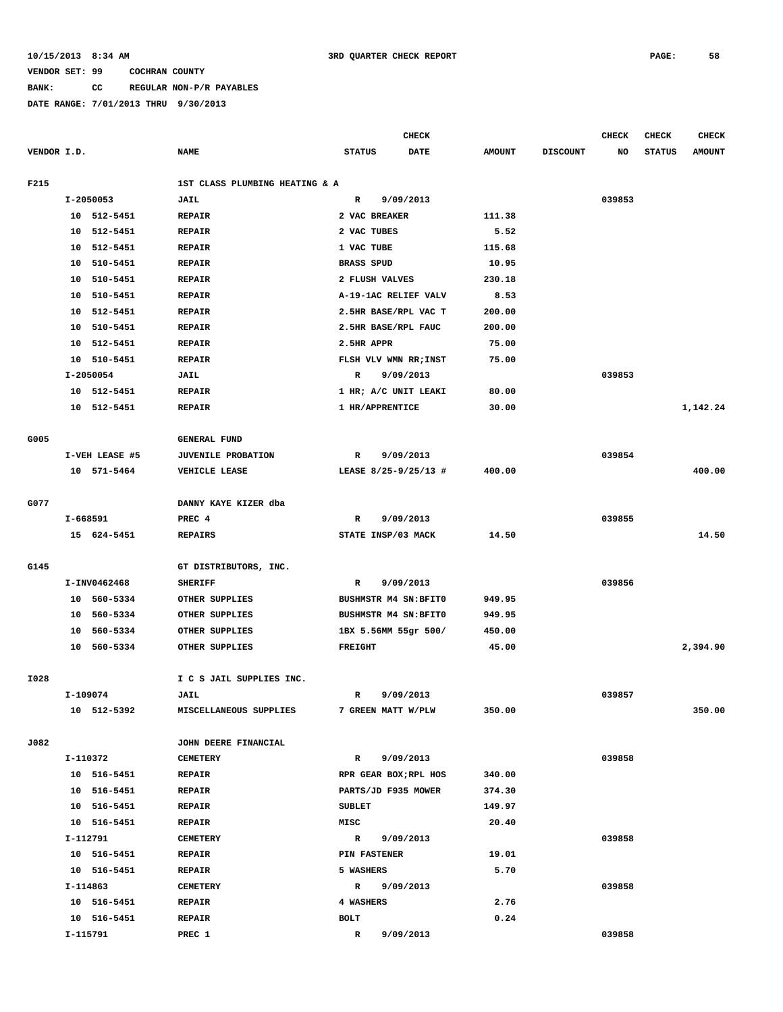**BANK: CC REGULAR NON-P/R PAYABLES**

|             |          |                |                                |                   | CHECK                 |               |                 | <b>CHECK</b> | <b>CHECK</b>  | <b>CHECK</b>  |
|-------------|----------|----------------|--------------------------------|-------------------|-----------------------|---------------|-----------------|--------------|---------------|---------------|
| VENDOR I.D. |          |                | <b>NAME</b>                    | <b>STATUS</b>     | <b>DATE</b>           | <b>AMOUNT</b> | <b>DISCOUNT</b> | NO           | <b>STATUS</b> | <b>AMOUNT</b> |
| F215        |          |                | 1ST CLASS PLUMBING HEATING & A |                   |                       |               |                 |              |               |               |
|             |          | I-2050053      | <b>JAIL</b>                    | R                 | 9/09/2013             |               |                 | 039853       |               |               |
|             |          | 10 512-5451    | <b>REPAIR</b>                  | 2 VAC BREAKER     |                       | 111.38        |                 |              |               |               |
|             | 10       | 512-5451       | <b>REPAIR</b>                  | 2 VAC TUBES       |                       | 5.52          |                 |              |               |               |
|             | 10       | 512-5451       | <b>REPAIR</b>                  | 1 VAC TUBE        |                       | 115.68        |                 |              |               |               |
|             | 10       | 510-5451       | <b>REPAIR</b>                  | <b>BRASS SPUD</b> |                       | 10.95         |                 |              |               |               |
|             | 10       | 510-5451       | <b>REPAIR</b>                  | 2 FLUSH VALVES    |                       | 230.18        |                 |              |               |               |
|             | 10       | 510-5451       | <b>REPAIR</b>                  |                   | A-19-1AC RELIEF VALV  | 8.53          |                 |              |               |               |
|             | 10       | 512-5451       | <b>REPAIR</b>                  |                   | 2.5HR BASE/RPL VAC T  | 200.00        |                 |              |               |               |
|             | 10       | 510-5451       | <b>REPAIR</b>                  |                   | 2.5HR BASE/RPL FAUC   | 200.00        |                 |              |               |               |
|             | 10       | 512-5451       | <b>REPAIR</b>                  | 2.5HR APPR        |                       | 75.00         |                 |              |               |               |
|             |          | 10 510-5451    | <b>REPAIR</b>                  |                   |                       | 75.00         |                 |              |               |               |
|             |          |                |                                | R                 | FLSH VLV WMN RR; INST |               |                 | 039853       |               |               |
|             |          | I-2050054      | JAIL                           |                   | 9/09/2013             |               |                 |              |               |               |
|             |          | 10 512-5451    | <b>REPAIR</b>                  |                   | 1 HR; A/C UNIT LEAKI  | 80.00         |                 |              |               |               |
|             | 10       | 512-5451       | <b>REPAIR</b>                  | 1 HR/APPRENTICE   |                       | 30.00         |                 |              |               | 1,142.24      |
| G005        |          |                | <b>GENERAL FUND</b>            |                   |                       |               |                 |              |               |               |
|             |          | I-VEH LEASE #5 | <b>JUVENILE PROBATION</b>      | R                 | 9/09/2013             |               |                 | 039854       |               |               |
|             |          | 10 571-5464    | VEHICLE LEASE                  |                   | LEASE 8/25-9/25/13 #  | 400.00        |                 |              |               | 400.00        |
|             |          |                |                                |                   |                       |               |                 |              |               |               |
| G077        |          |                | DANNY KAYE KIZER dba           |                   |                       |               |                 |              |               |               |
|             | I-668591 |                | PREC 4                         | R                 | 9/09/2013             |               |                 | 039855       |               |               |
|             |          | 15 624-5451    | <b>REPAIRS</b>                 |                   | STATE INSP/03 MACK    | 14.50         |                 |              |               | 14.50         |
| G145        |          |                | GT DISTRIBUTORS, INC.          |                   |                       |               |                 |              |               |               |
|             |          | I-INV0462468   | <b>SHERIFF</b>                 | R                 | 9/09/2013             |               |                 | 039856       |               |               |
|             |          | 10 560-5334    | OTHER SUPPLIES                 |                   | BUSHMSTR M4 SN: BFIT0 | 949.95        |                 |              |               |               |
|             |          | 10 560-5334    | OTHER SUPPLIES                 |                   | BUSHMSTR M4 SN: BFIT0 | 949.95        |                 |              |               |               |
|             | 10       | 560-5334       | OTHER SUPPLIES                 |                   | 1BX 5.56MM 55gr 500/  | 450.00        |                 |              |               |               |
|             |          | 10 560-5334    | OTHER SUPPLIES                 | <b>FREIGHT</b>    |                       | 45.00         |                 |              |               | 2,394.90      |
|             |          |                |                                |                   |                       |               |                 |              |               |               |
| I028        |          |                | I C S JAIL SUPPLIES INC.       |                   |                       |               |                 |              |               |               |
|             | I-109074 |                | JAIL                           | $\mathbb{R}$      | 9/09/2013             |               |                 | 039857       |               |               |
|             |          | 10 512-5392    | MISCELLANEOUS SUPPLIES         |                   | 7 GREEN MATT W/PLW    | 350.00        |                 |              |               | 350.00        |
| J082        |          |                | JOHN DEERE FINANCIAL           |                   |                       |               |                 |              |               |               |
|             |          | I-110372       | <b>CEMETERY</b>                | $\mathbb{R}$      | 9/09/2013             |               |                 | 039858       |               |               |
|             |          | 10 516-5451    | <b>REPAIR</b>                  |                   | RPR GEAR BOX; RPL HOS | 340.00        |                 |              |               |               |
|             |          | 10 516-5451    | <b>REPAIR</b>                  |                   | PARTS/JD F935 MOWER   | 374.30        |                 |              |               |               |
|             |          | 10 516-5451    | <b>REPAIR</b>                  | <b>SUBLET</b>     |                       | 149.97        |                 |              |               |               |
|             |          | 10 516-5451    | <b>REPAIR</b>                  | MISC              |                       | 20.40         |                 |              |               |               |
|             |          | I-112791       | <b>CEMETERY</b>                | $\mathbb{R}$      | 9/09/2013             |               |                 | 039858       |               |               |
|             |          | 10 516-5451    | <b>REPAIR</b>                  | PIN FASTENER      |                       | 19.01         |                 |              |               |               |
|             |          | 10 516-5451    | <b>REPAIR</b>                  | 5 WASHERS         |                       | 5.70          |                 |              |               |               |
|             |          | I-114863       | <b>CEMETERY</b>                | $\mathbb{R}$      | 9/09/2013             |               |                 | 039858       |               |               |
|             |          | 10 516-5451    | <b>REPAIR</b>                  | 4 WASHERS         |                       | 2.76          |                 |              |               |               |
|             |          | 10 516-5451    | <b>REPAIR</b>                  | <b>BOLT</b>       |                       | 0.24          |                 |              |               |               |
|             |          | I-115791       | PREC 1                         | $\mathbf R$       | 9/09/2013             |               |                 | 039858       |               |               |
|             |          |                |                                |                   |                       |               |                 |              |               |               |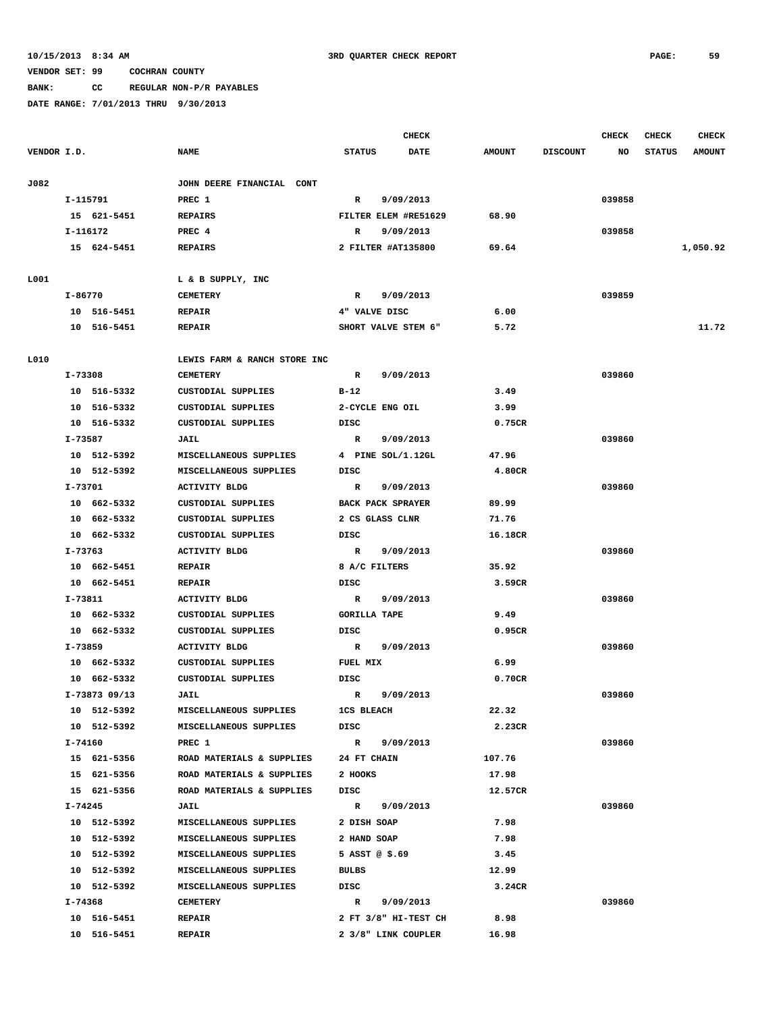# **BANK: CC REGULAR NON-P/R PAYABLES**

|             |               |                              |                          | <b>CHECK</b>         |               |                 | <b>CHECK</b> | <b>CHECK</b>  | <b>CHECK</b>  |
|-------------|---------------|------------------------------|--------------------------|----------------------|---------------|-----------------|--------------|---------------|---------------|
| VENDOR I.D. |               | <b>NAME</b>                  | <b>STATUS</b>            | DATE                 | <b>AMOUNT</b> | <b>DISCOUNT</b> | NO           | <b>STATUS</b> | <b>AMOUNT</b> |
| J082        |               | JOHN DEERE FINANCIAL CONT    |                          |                      |               |                 |              |               |               |
|             | I-115791      | PREC 1                       | R                        | 9/09/2013            |               |                 | 039858       |               |               |
|             | 15 621-5451   | <b>REPAIRS</b>               |                          | FILTER ELEM #RE51629 | 68.90         |                 |              |               |               |
|             | I-116172      | PREC 4                       | R                        | 9/09/2013            |               |                 | 039858       |               |               |
|             | 15 624-5451   | <b>REPAIRS</b>               | 2 FILTER #AT135800       |                      | 69.64         |                 |              |               | 1,050.92      |
|             |               |                              |                          |                      |               |                 |              |               |               |
| L001        |               | L & B SUPPLY, INC            |                          |                      |               |                 |              |               |               |
|             | I-86770       | <b>CEMETERY</b>              | R                        | 9/09/2013            |               |                 | 039859       |               |               |
|             | 10 516-5451   | <b>REPAIR</b>                | 4" VALVE DISC            |                      | 6.00          |                 |              |               |               |
|             | 10 516-5451   | <b>REPAIR</b>                | SHORT VALVE STEM 6"      |                      | 5.72          |                 |              |               | 11.72         |
| L010        |               | LEWIS FARM & RANCH STORE INC |                          |                      |               |                 |              |               |               |
|             | I-73308       | <b>CEMETERY</b>              | R                        | 9/09/2013            |               |                 | 039860       |               |               |
|             | 10 516-5332   | CUSTODIAL SUPPLIES           | $B-12$                   |                      | 3.49          |                 |              |               |               |
|             | 10 516-5332   | CUSTODIAL SUPPLIES           | 2-CYCLE ENG OIL          |                      | 3.99          |                 |              |               |               |
|             | 10 516-5332   | CUSTODIAL SUPPLIES           | DISC                     |                      | 0.75CR        |                 |              |               |               |
|             | I-73587       | JAIL                         | R                        | 9/09/2013            |               |                 | 039860       |               |               |
|             | 10 512-5392   | MISCELLANEOUS SUPPLIES       | 4 PINE SOL/1.12GL        |                      | 47.96         |                 |              |               |               |
|             | 10 512-5392   | MISCELLANEOUS SUPPLIES       | DISC                     |                      | 4.80CR        |                 |              |               |               |
|             | I-73701       | <b>ACTIVITY BLDG</b>         | R                        | 9/09/2013            |               |                 | 039860       |               |               |
|             | 10 662-5332   | CUSTODIAL SUPPLIES           | <b>BACK PACK SPRAYER</b> |                      | 89.99         |                 |              |               |               |
|             | 10 662-5332   | CUSTODIAL SUPPLIES           | 2 CS GLASS CLNR          |                      | 71.76         |                 |              |               |               |
|             | 10 662-5332   | CUSTODIAL SUPPLIES           | DISC                     |                      | 16.18CR       |                 |              |               |               |
|             | I-73763       | <b>ACTIVITY BLDG</b>         | $\mathbb{R}$             | 9/09/2013            |               |                 | 039860       |               |               |
|             | 10 662-5451   | <b>REPAIR</b>                | 8 A/C FILTERS            |                      | 35.92         |                 |              |               |               |
|             | 10 662-5451   | <b>REPAIR</b>                | DISC                     |                      | 3.59CR        |                 |              |               |               |
|             | I-73811       | <b>ACTIVITY BLDG</b>         | R                        | 9/09/2013            |               |                 | 039860       |               |               |
|             | 10 662-5332   | CUSTODIAL SUPPLIES           | <b>GORILLA TAPE</b>      |                      | 9.49          |                 |              |               |               |
|             | 10 662-5332   | CUSTODIAL SUPPLIES           | DISC                     |                      | 0.95CR        |                 |              |               |               |
|             | I-73859       | <b>ACTIVITY BLDG</b>         | R                        | 9/09/2013            |               |                 | 039860       |               |               |
|             | 10 662-5332   | CUSTODIAL SUPPLIES           | FUEL MIX                 |                      | 6.99          |                 |              |               |               |
|             | 10 662-5332   | CUSTODIAL SUPPLIES           | DISC                     |                      | 0.70CR        |                 |              |               |               |
|             | I-73873 09/13 | JAIL                         | $\mathbb{R}$             | 9/09/2013            |               |                 | 039860       |               |               |
|             | 10 512-5392   | MISCELLANEOUS SUPPLIES       | <b>1CS BLEACH</b>        |                      | 22.32         |                 |              |               |               |
|             | 10 512-5392   | MISCELLANEOUS SUPPLIES       | DISC                     |                      | 2.23CR        |                 |              |               |               |
|             | I-74160       | PREC 1                       | R 9/09/2013              |                      |               |                 | 039860       |               |               |
|             | 15 621-5356   | ROAD MATERIALS & SUPPLIES    | <b>24 FT CHAIN</b>       |                      | 107.76        |                 |              |               |               |
|             | 15 621-5356   | ROAD MATERIALS & SUPPLIES    | 2 HOOKS                  |                      | 17.98         |                 |              |               |               |
|             | 15 621-5356   | ROAD MATERIALS & SUPPLIES    | DISC                     |                      | 12.57CR       |                 |              |               |               |
|             | I-74245       | JAIL                         | R 9/09/2013              |                      |               |                 | 039860       |               |               |
|             | 10 512-5392   | MISCELLANEOUS SUPPLIES       | 2 DISH SOAP              |                      | 7.98          |                 |              |               |               |
|             | 10 512-5392   | MISCELLANEOUS SUPPLIES       | 2 HAND SOAP              |                      | 7.98          |                 |              |               |               |
|             | 10 512-5392   | MISCELLANEOUS SUPPLIES       | 5 ASST $@$ \$.69         |                      | 3.45          |                 |              |               |               |
|             | 10 512-5392   | MISCELLANEOUS SUPPLIES       | BULBS                    |                      | 12.99         |                 |              |               |               |
|             | 10 512-5392   | MISCELLANEOUS SUPPLIES       | DISC                     |                      | 3.24CR        |                 |              |               |               |
|             | I-74368       | CEMETERY                     | R 9/09/2013              |                      |               |                 | 039860       |               |               |
|             | 10 516-5451   | <b>REPAIR</b>                |                          | 2 FT 3/8" HI-TEST CH | 8.98          |                 |              |               |               |
|             | 10 516-5451   | <b>REPAIR</b>                |                          | 2 3/8" LINK COUPLER  | 16.98         |                 |              |               |               |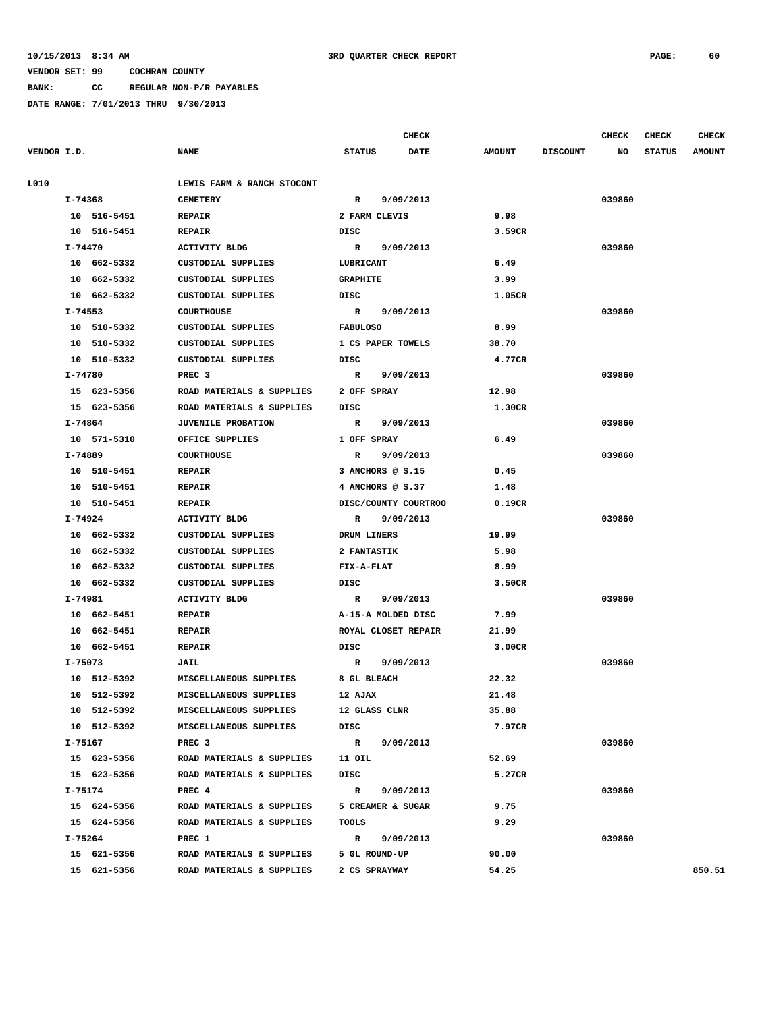**BANK: CC REGULAR NON-P/R PAYABLES**

|             |             |                            |                     | <b>CHECK</b>         |               |                 | CHECK  | CHECK         | <b>CHECK</b>  |
|-------------|-------------|----------------------------|---------------------|----------------------|---------------|-----------------|--------|---------------|---------------|
| VENDOR I.D. |             | <b>NAME</b>                | <b>STATUS</b>       | <b>DATE</b>          | <b>AMOUNT</b> | <b>DISCOUNT</b> | NO     | <b>STATUS</b> | <b>AMOUNT</b> |
| L010        |             | LEWIS FARM & RANCH STOCONT |                     |                      |               |                 |        |               |               |
|             | I-74368     | <b>CEMETERY</b>            | $\mathbf{R}$        | 9/09/2013            |               |                 | 039860 |               |               |
|             | 10 516-5451 | <b>REPAIR</b>              | 2 FARM CLEVIS       |                      | 9.98          |                 |        |               |               |
|             | 10 516-5451 | <b>REPAIR</b>              | DISC                |                      | 3.59CR        |                 |        |               |               |
|             | I-74470     | ACTIVITY BLDG              | R 9/09/2013         |                      |               |                 | 039860 |               |               |
|             | 10 662-5332 | <b>CUSTODIAL SUPPLIES</b>  | LUBRICANT           |                      | 6.49          |                 |        |               |               |
|             | 10 662-5332 | CUSTODIAL SUPPLIES         | <b>GRAPHITE</b>     |                      | 3.99          |                 |        |               |               |
|             | 10 662-5332 | CUSTODIAL SUPPLIES         | DISC                |                      | 1.05CR        |                 |        |               |               |
|             | I-74553     | <b>COURTHOUSE</b>          | R 9/09/2013         |                      |               |                 | 039860 |               |               |
|             | 10 510-5332 | CUSTODIAL SUPPLIES         | <b>FABULOSO</b>     |                      | 8.99          |                 |        |               |               |
|             | 10 510-5332 | CUSTODIAL SUPPLIES         | 1 CS PAPER TOWELS   |                      | 38.70         |                 |        |               |               |
|             | 10 510-5332 | CUSTODIAL SUPPLIES         | DISC                |                      | 4.77CR        |                 |        |               |               |
|             | I-74780     | PREC <sub>3</sub>          | R 9/09/2013         |                      |               |                 | 039860 |               |               |
|             | 15 623-5356 | ROAD MATERIALS & SUPPLIES  | 2 OFF SPRAY         |                      | 12.98         |                 |        |               |               |
|             | 15 623-5356 | ROAD MATERIALS & SUPPLIES  | DISC                |                      | 1.30CR        |                 |        |               |               |
|             | I-74864     | <b>JUVENILE PROBATION</b>  |                     | R 9/09/2013          |               |                 | 039860 |               |               |
|             | 10 571-5310 | OFFICE SUPPLIES            | 1 OFF SPRAY         |                      | 6.49          |                 |        |               |               |
|             | I-74889     | <b>COURTHOUSE</b>          |                     | R 9/09/2013          |               |                 | 039860 |               |               |
|             | 10 510-5451 | <b>REPAIR</b>              | 3 ANCHORS @ \$.15   |                      | 0.45          |                 |        |               |               |
|             | 10 510-5451 | <b>REPAIR</b>              | 4 ANCHORS @ \$.37   |                      | 1.48          |                 |        |               |               |
|             | 10 510-5451 | <b>REPAIR</b>              |                     | DISC/COUNTY COURTROO | 0.19CR        |                 |        |               |               |
|             | I-74924     | <b>ACTIVITY BLDG</b>       | R                   | 9/09/2013            |               |                 | 039860 |               |               |
|             | 10 662-5332 | CUSTODIAL SUPPLIES         | DRUM LINERS         |                      | 19.99         |                 |        |               |               |
|             | 10 662-5332 | CUSTODIAL SUPPLIES         | <b>2 FANTASTIK</b>  |                      | 5.98          |                 |        |               |               |
|             | 10 662-5332 | CUSTODIAL SUPPLIES         | FIX-A-FLAT          |                      | 8.99          |                 |        |               |               |
|             | 10 662-5332 | CUSTODIAL SUPPLIES         | DISC                |                      | 3.50CR        |                 |        |               |               |
|             | I-74981     | <b>ACTIVITY BLDG</b>       | R 9/09/2013         |                      |               |                 | 039860 |               |               |
|             | 10 662-5451 | <b>REPAIR</b>              | A-15-A MOLDED DISC  |                      | 7.99          |                 |        |               |               |
|             | 10 662-5451 | <b>REPAIR</b>              | ROYAL CLOSET REPAIR |                      | 21.99         |                 |        |               |               |
|             | 10 662-5451 | <b>REPAIR</b>              | DISC                |                      | 3.00CR        |                 |        |               |               |
|             | I-75073     | <b>JAIL</b>                | R 9/09/2013         |                      |               |                 | 039860 |               |               |
|             | 10 512-5392 | MISCELLANEOUS SUPPLIES     | 8 GL BLEACH         |                      | 22.32         |                 |        |               |               |
|             | 10 512-5392 | MISCELLANEOUS SUPPLIES     | 12 AJAX             |                      | 21.48         |                 |        |               |               |
|             | 10 512-5392 | MISCELLANEOUS SUPPLIES     | 12 GLASS CLNR       |                      | 35.88         |                 |        |               |               |
|             | 10 512-5392 | MISCELLANEOUS SUPPLIES     | DISC                |                      | 7.97CR        |                 |        |               |               |
|             | I-75167     | PREC <sub>3</sub>          | R 9/09/2013         |                      |               |                 | 039860 |               |               |
|             | 15 623-5356 | ROAD MATERIALS & SUPPLIES  | 11 OIL              |                      | 52.69         |                 |        |               |               |
|             | 15 623-5356 | ROAD MATERIALS & SUPPLIES  | DISC                |                      | 5.27CR        |                 |        |               |               |
|             | I-75174     | PREC 4                     | $\mathbb{R}$        | 9/09/2013            |               |                 | 039860 |               |               |
|             | 15 624-5356 | ROAD MATERIALS & SUPPLIES  | 5 CREAMER & SUGAR   |                      | 9.75          |                 |        |               |               |
|             | 15 624-5356 | ROAD MATERIALS & SUPPLIES  | TOOLS               |                      | 9.29          |                 |        |               |               |
|             | I-75264     | PREC 1                     | R 9/09/2013         |                      |               |                 | 039860 |               |               |
|             | 15 621-5356 | ROAD MATERIALS & SUPPLIES  | 5 GL ROUND-UP       |                      | 90.00         |                 |        |               |               |
|             | 15 621-5356 | ROAD MATERIALS & SUPPLIES  | 2 CS SPRAYWAY       |                      | 54.25         |                 |        |               | 850.51        |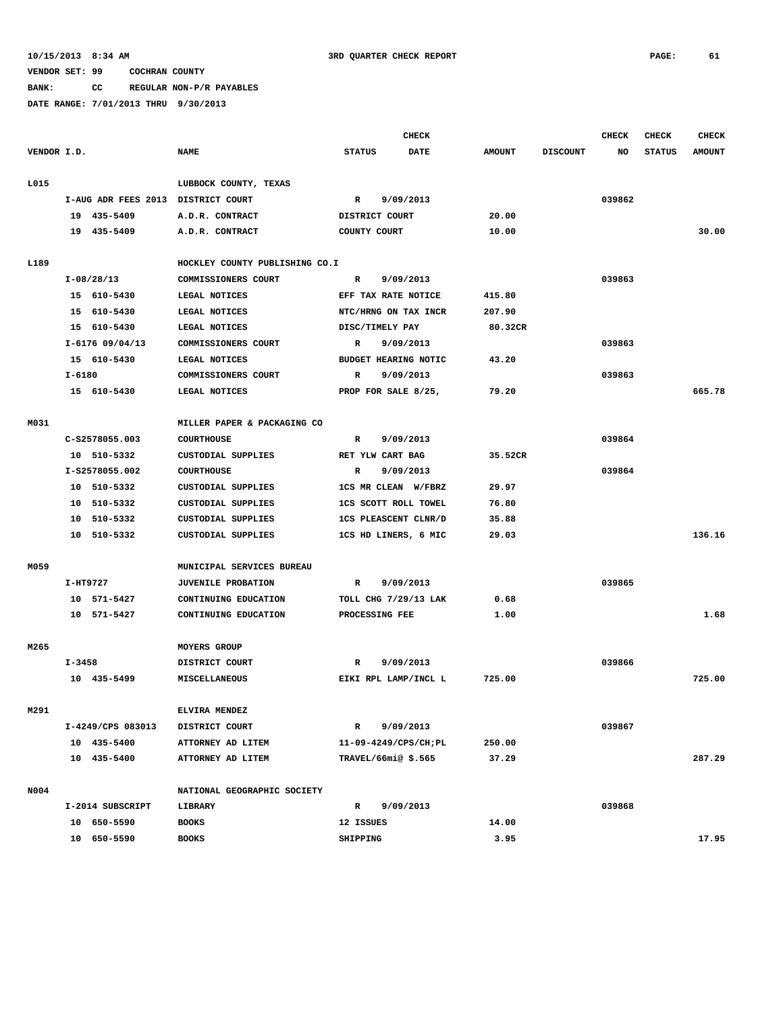**BANK: CC REGULAR NON-P/R PAYABLES**

|             |                                    |                                |                             | <b>CHECK</b> |               |                 | <b>CHECK</b> | <b>CHECK</b>  | <b>CHECK</b>  |
|-------------|------------------------------------|--------------------------------|-----------------------------|--------------|---------------|-----------------|--------------|---------------|---------------|
| VENDOR I.D. |                                    | <b>NAME</b>                    | <b>STATUS</b>               | <b>DATE</b>  | <b>AMOUNT</b> | <b>DISCOUNT</b> | NO           | <b>STATUS</b> | <b>AMOUNT</b> |
| L015        |                                    | LUBBOCK COUNTY, TEXAS          |                             |              |               |                 |              |               |               |
|             | I-AUG ADR FEES 2013 DISTRICT COURT |                                | $\mathbb{R}$                | 9/09/2013    |               |                 | 039862       |               |               |
|             | 19 435-5409                        | A.D.R. CONTRACT                | DISTRICT COURT              |              | 20.00         |                 |              |               |               |
|             | 19 435-5409                        | A.D.R. CONTRACT                | COUNTY COURT                |              | 10.00         |                 |              |               | 30.00         |
|             |                                    |                                |                             |              |               |                 |              |               |               |
| L189        |                                    | HOCKLEY COUNTY PUBLISHING CO.I |                             |              |               |                 |              |               |               |
|             | I-08/28/13                         | COMMISSIONERS COURT            | R                           | 9/09/2013    |               |                 | 039863       |               |               |
|             | 15 610-5430                        | LEGAL NOTICES                  | EFF TAX RATE NOTICE         |              | 415.80        |                 |              |               |               |
|             | 15 610-5430                        | LEGAL NOTICES                  | NTC/HRNG ON TAX INCR        |              | 207.90        |                 |              |               |               |
|             | 15 610-5430                        | LEGAL NOTICES                  | DISC/TIMELY PAY             |              | 80.32CR       |                 |              |               |               |
|             | $I-6176$ 09/04/13                  | COMMISSIONERS COURT            | $\mathbb{R}$                | 9/09/2013    |               |                 | 039863       |               |               |
|             | 15 610-5430                        | LEGAL NOTICES                  | <b>BUDGET HEARING NOTIC</b> |              | 43.20         |                 |              |               |               |
|             | $I - 6180$                         | COMMISSIONERS COURT            | R                           | 9/09/2013    |               |                 | 039863       |               |               |
|             | 15 610-5430                        | LEGAL NOTICES                  | PROP FOR SALE 8/25,         |              | 79.20         |                 |              |               | 665.78        |
| M031        |                                    | MILLER PAPER & PACKAGING CO    |                             |              |               |                 |              |               |               |
|             | C-S2578055.003                     | <b>COURTHOUSE</b>              | R                           | 9/09/2013    |               |                 | 039864       |               |               |
|             | 10 510-5332                        | CUSTODIAL SUPPLIES             | RET YLW CART BAG            |              | 35.52CR       |                 |              |               |               |
|             | I-S2578055.002                     | <b>COURTHOUSE</b>              | R                           | 9/09/2013    |               |                 | 039864       |               |               |
|             | 10 510-5332                        | CUSTODIAL SUPPLIES             | 1CS MR CLEAN W/FBRZ         |              | 29.97         |                 |              |               |               |
|             | 10 510-5332                        | CUSTODIAL SUPPLIES             | <b>1CS SCOTT ROLL TOWEL</b> |              | 76.80         |                 |              |               |               |
|             | 10 510-5332                        | <b>CUSTODIAL SUPPLIES</b>      | 1CS PLEASCENT CLNR/D        |              | 35.88         |                 |              |               |               |
|             | 10 510-5332                        | CUSTODIAL SUPPLIES             | 1CS HD LINERS, 6 MIC        |              | 29.03         |                 |              |               | 136.16        |
| M059        |                                    | MUNICIPAL SERVICES BUREAU      |                             |              |               |                 |              |               |               |
|             | I-HT9727                           | JUVENILE PROBATION             | $\mathbf{R}$                | 9/09/2013    |               |                 | 039865       |               |               |
|             | 10 571-5427                        | CONTINUING EDUCATION           | TOLL CHG 7/29/13 LAK        |              | 0.68          |                 |              |               |               |
|             | 10 571-5427                        | CONTINUING EDUCATION           | PROCESSING FEE              |              | 1.00          |                 |              |               | 1.68          |
| M265        |                                    | <b>MOYERS GROUP</b>            |                             |              |               |                 |              |               |               |
|             | I-3458                             | DISTRICT COURT                 | R                           | 9/09/2013    |               |                 | 039866       |               |               |
|             | 10 435-5499                        | MISCELLANEOUS                  | EIKI RPL LAMP/INCL L        |              | 725.00        |                 |              |               | 725.00        |
| M291        |                                    | ELVIRA MENDEZ                  |                             |              |               |                 |              |               |               |
|             | I-4249/CPS 083013                  | DISTRICT COURT                 | $\mathbf R$                 | 9/09/2013    |               |                 | 039867       |               |               |
|             | 10 435-5400                        | ATTORNEY AD LITEM              | 11-09-4249/CPS/CH; PL       |              | 250.00        |                 |              |               |               |
|             | 10 435-5400                        | ATTORNEY AD LITEM              | TRAVEL/66mi@\$.565          |              | 37.29         |                 |              |               | 287.29        |
| N004        |                                    | NATIONAL GEOGRAPHIC SOCIETY    |                             |              |               |                 |              |               |               |
|             | I-2014 SUBSCRIPT                   | LIBRARY                        | R                           | 9/09/2013    |               |                 | 039868       |               |               |
|             | 10 650-5590                        | <b>BOOKS</b>                   | 12 ISSUES                   |              | 14.00         |                 |              |               |               |
|             | 10 650-5590                        | <b>BOOKS</b>                   | SHIPPING                    |              | 3.95          |                 |              |               | 17.95         |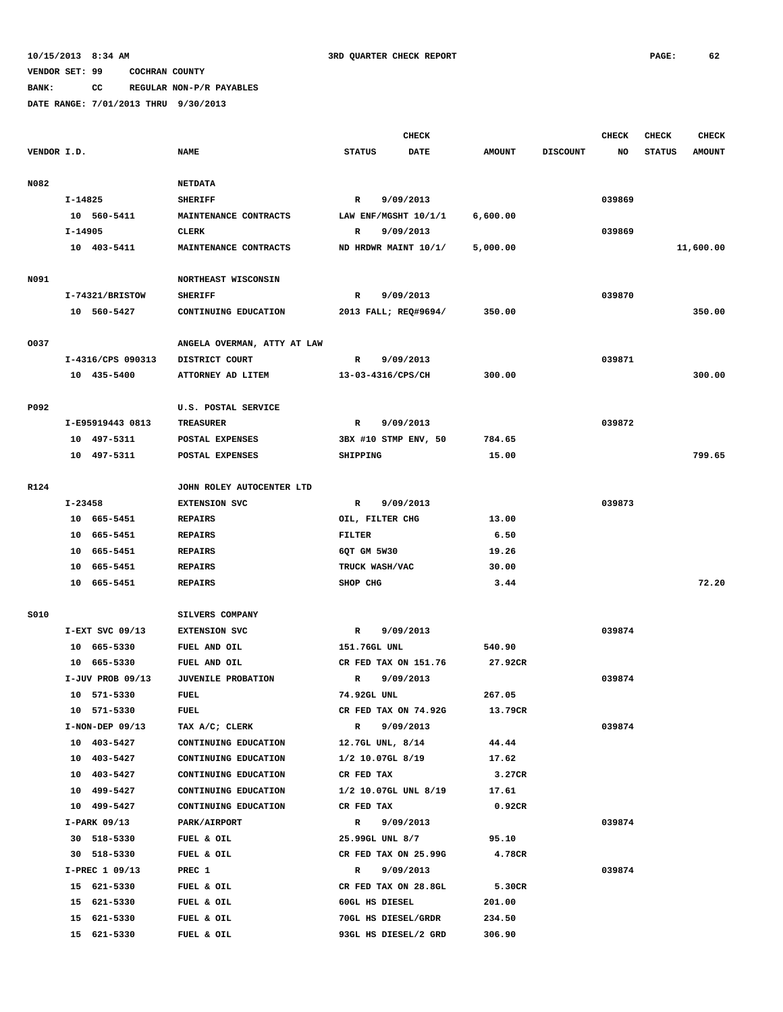## **BANK: CC REGULAR NON-P/R PAYABLES**

|             |         |                            |                                               | <b>CHECK</b>  |                    |                      |                   |                 | CHECK  | <b>CHECK</b>  | <b>CHECK</b>  |
|-------------|---------|----------------------------|-----------------------------------------------|---------------|--------------------|----------------------|-------------------|-----------------|--------|---------------|---------------|
| VENDOR I.D. |         |                            | <b>NAME</b>                                   | <b>STATUS</b> |                    | <b>DATE</b>          | <b>AMOUNT</b>     | <b>DISCOUNT</b> | NO     | <b>STATUS</b> | <b>AMOUNT</b> |
|             |         |                            |                                               |               |                    |                      |                   |                 |        |               |               |
| N082        |         |                            | <b>NETDATA</b>                                |               |                    |                      |                   |                 |        |               |               |
|             | I-14825 |                            | <b>SHERIFF</b>                                | R             |                    | 9/09/2013            |                   |                 | 039869 |               |               |
|             |         | 10 560-5411                | MAINTENANCE CONTRACTS                         |               |                    | LAW ENF/MGSHT 10/1/1 | 6,600.00          |                 |        |               |               |
|             | I-14905 |                            | CLERK                                         | R             |                    | 9/09/2013            |                   |                 | 039869 |               |               |
|             |         | 10 403-5411                | MAINTENANCE CONTRACTS                         |               |                    | ND HRDWR MAINT 10/1/ | 5,000.00          |                 |        |               | 11,600.00     |
|             |         |                            |                                               |               |                    |                      |                   |                 |        |               |               |
| N091        |         |                            | NORTHEAST WISCONSIN                           |               |                    |                      |                   |                 |        |               |               |
|             |         | I-74321/BRISTOW            | <b>SHERIFF</b>                                | R             |                    | 9/09/2013            |                   |                 | 039870 |               |               |
|             |         | 10 560-5427                | CONTINUING EDUCATION                          |               |                    | 2013 FALL; REQ#9694/ | 350.00            |                 |        |               | 350.00        |
|             |         |                            |                                               |               |                    |                      |                   |                 |        |               |               |
| 0037        |         | I-4316/CPS 090313          | ANGELA OVERMAN, ATTY AT LAW<br>DISTRICT COURT | R             |                    | 9/09/2013            |                   |                 | 039871 |               |               |
|             |         | 10 435-5400                | ATTORNEY AD LITEM                             |               | 13-03-4316/CPS/CH  |                      | 300.00            |                 |        |               | 300.00        |
|             |         |                            |                                               |               |                    |                      |                   |                 |        |               |               |
| P092        |         |                            | U.S. POSTAL SERVICE                           |               |                    |                      |                   |                 |        |               |               |
|             |         | I-E95919443 0813           | <b>TREASURER</b>                              | R             |                    | 9/09/2013            |                   |                 | 039872 |               |               |
|             |         | 10 497-5311                | POSTAL EXPENSES                               |               |                    | 3BX #10 STMP ENV, 50 | 784.65            |                 |        |               |               |
|             |         | 10 497-5311                | POSTAL EXPENSES                               | SHIPPING      |                    |                      | 15.00             |                 |        |               | 799.65        |
|             |         |                            |                                               |               |                    |                      |                   |                 |        |               |               |
| R124        |         |                            | JOHN ROLEY AUTOCENTER LTD                     |               |                    |                      |                   |                 |        |               |               |
|             | I-23458 |                            | <b>EXTENSION SVC</b>                          | R             |                    | 9/09/2013            |                   |                 | 039873 |               |               |
|             |         | 10 665-5451                | <b>REPAIRS</b>                                |               | OIL, FILTER CHG    |                      | 13.00             |                 |        |               |               |
|             |         | 10 665-5451                | <b>REPAIRS</b>                                | <b>FILTER</b> |                    |                      | 6.50              |                 |        |               |               |
|             |         | 10 665-5451                | <b>REPAIRS</b>                                | 6QT GM 5W30   |                    |                      | 19.26             |                 |        |               |               |
|             |         | 10 665-5451                | <b>REPAIRS</b>                                |               | TRUCK WASH/VAC     |                      | 30.00             |                 |        |               |               |
|             |         | 10 665-5451                | REPAIRS                                       | SHOP CHG      |                    |                      | 3.44              |                 |        |               | 72.20         |
|             |         |                            |                                               |               |                    |                      |                   |                 |        |               |               |
| <b>S010</b> |         |                            | SILVERS COMPANY                               |               |                    |                      |                   |                 |        |               |               |
|             |         | $I-EXT$ SVC 09/13          | <b>EXTENSION SVC</b>                          | R             |                    | 9/09/2013            |                   |                 | 039874 |               |               |
|             |         | 10 665-5330                | FUEL AND OIL                                  |               | 151.76GL UNL       |                      | 540.90            |                 |        |               |               |
|             |         | 10 665-5330                | FUEL AND OIL                                  |               |                    | CR FED TAX ON 151.76 | 27.92CR           |                 |        |               |               |
|             |         | $I-JUV$ PROB 09/13         | JUVENILE PROBATION                            | R             |                    | 9/09/2013            |                   |                 | 039874 |               |               |
|             |         | 10 571-5330<br>10 571-5330 | <b>FUEL</b><br>FUEL                           | 74.92GL UNL   |                    | CR FED TAX ON 74.92G | 267.05<br>13.79CR |                 |        |               |               |
|             |         | $I-NON-DEF$ 09/13          | TAX A/C; CLERK                                | $\mathbb{R}$  |                    | 9/09/2013            |                   |                 | 039874 |               |               |
|             |         | 10 403-5427                | CONTINUING EDUCATION                          |               | 12.7GL UNL, 8/14   |                      | 44.44             |                 |        |               |               |
|             |         | 10 403-5427                | CONTINUING EDUCATION                          |               | $1/2$ 10.07GL 8/19 |                      | 17.62             |                 |        |               |               |
|             |         | 10 403-5427                | CONTINUING EDUCATION                          | CR FED TAX    |                    |                      | 3.27CR            |                 |        |               |               |
|             |         | 10 499-5427                | CONTINUING EDUCATION                          |               |                    | 1/2 10.07GL UNL 8/19 | 17.61             |                 |        |               |               |
|             |         | 10 499-5427                | CONTINUING EDUCATION                          | CR FED TAX    |                    |                      | 0.92CR            |                 |        |               |               |
|             |         | $I-PARK$ 09/13             | PARK/AIRPORT                                  | $\mathbb{R}$  |                    | 9/09/2013            |                   |                 | 039874 |               |               |
|             |         | 30 518-5330                | FUEL & OIL                                    |               | 25.99GL UNL 8/7    |                      | 95.10             |                 |        |               |               |
|             |         | 30 518-5330                | FUEL & OIL                                    |               |                    | CR FED TAX ON 25.99G | 4.78CR            |                 |        |               |               |
|             |         | I-PREC 1 09/13             | PREC 1                                        | $\mathbf R$   |                    | 9/09/2013            |                   |                 | 039874 |               |               |
|             |         | 15 621-5330                | FUEL & OIL                                    |               |                    | CR FED TAX ON 28.8GL | 5.30CR            |                 |        |               |               |
|             |         | 15 621-5330                | FUEL & OIL                                    |               | 60GL HS DIESEL     |                      | 201.00            |                 |        |               |               |
|             |         | 15 621-5330                | FUEL & OIL                                    |               |                    | 70GL HS DIESEL/GRDR  | 234.50            |                 |        |               |               |
|             |         | 15 621-5330                | FUEL & OIL                                    |               |                    | 93GL HS DIESEL/2 GRD | 306.90            |                 |        |               |               |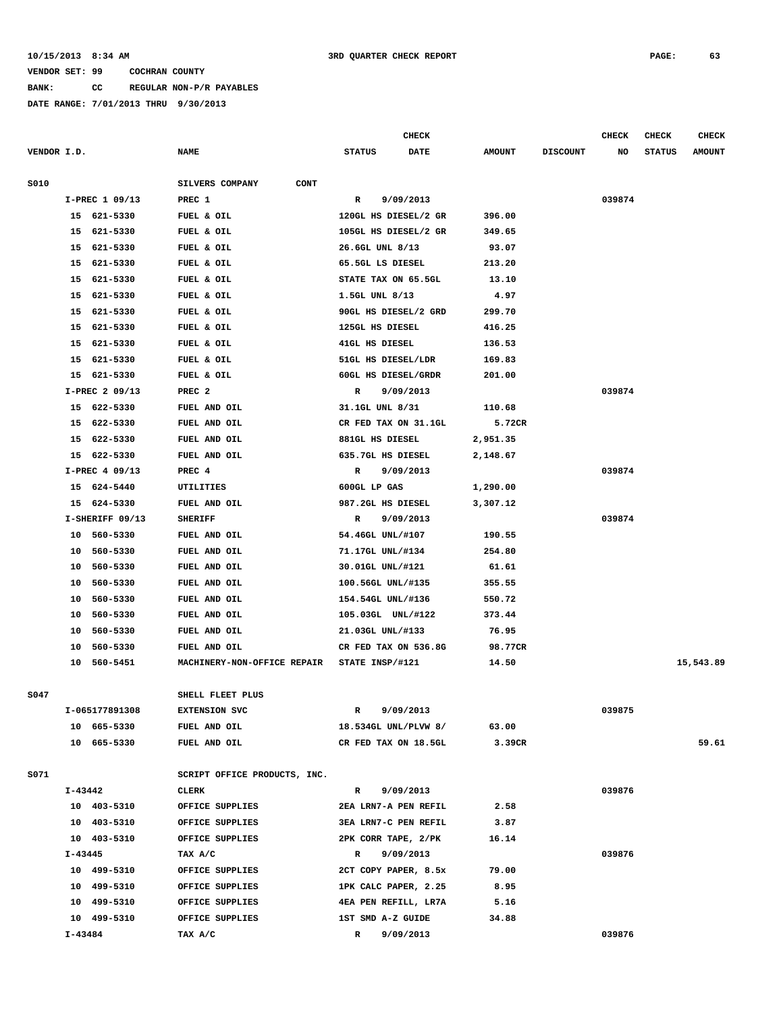#### **10/15/2013 8:34 AM 3RD QUARTER CHECK REPORT PAGE: 63**

#### **VENDOR SET: 99 COCHRAN COUNTY**

**BANK: CC REGULAR NON-P/R PAYABLES**

|             |             |                 |                              |                   | CHECK                |               |                 | <b>CHECK</b> | CHECK         | <b>CHECK</b>  |
|-------------|-------------|-----------------|------------------------------|-------------------|----------------------|---------------|-----------------|--------------|---------------|---------------|
| VENDOR I.D. |             |                 | <b>NAME</b>                  | <b>STATUS</b>     | <b>DATE</b>          | <b>AMOUNT</b> | <b>DISCOUNT</b> | NO           | <b>STATUS</b> | <b>AMOUNT</b> |
| S010        |             |                 | SILVERS COMPANY<br>CONT      |                   |                      |               |                 |              |               |               |
|             |             | I-PREC 1 09/13  | PREC 1                       | R                 | 9/09/2013            |               |                 | 039874       |               |               |
|             |             | 15 621-5330     | FUEL & OIL                   |                   | 120GL HS DIESEL/2 GR | 396.00        |                 |              |               |               |
|             |             | 15 621-5330     | FUEL & OIL                   |                   | 105GL HS DIESEL/2 GR | 349.65        |                 |              |               |               |
|             |             | 15 621-5330     | FUEL & OIL                   | 26.6GL UNL 8/13   |                      | 93.07         |                 |              |               |               |
|             |             | 15 621-5330     | FUEL & OIL                   | 65.5GL LS DIESEL  |                      | 213.20        |                 |              |               |               |
|             |             | 15 621-5330     | FUEL & OIL                   |                   | STATE TAX ON 65.5GL  | 13.10         |                 |              |               |               |
|             | 15          | 621-5330        | FUEL & OIL                   | 1.5GL UNL 8/13    |                      | 4.97          |                 |              |               |               |
|             |             | 15 621-5330     | FUEL & OIL                   |                   | 90GL HS DIESEL/2 GRD | 299.70        |                 |              |               |               |
|             | 15          | 621-5330        | FUEL & OIL                   | 125GL HS DIESEL   |                      | 416.25        |                 |              |               |               |
|             | 15          | 621-5330        | FUEL & OIL                   | 41GL HS DIESEL    |                      | 136.53        |                 |              |               |               |
|             | 15          | 621-5330        | FUEL & OIL                   |                   | 51GL HS DIESEL/LDR   | 169.83        |                 |              |               |               |
|             |             | 15 621-5330     | FUEL & OIL                   |                   | 60GL HS DIESEL/GRDR  | 201.00        |                 |              |               |               |
|             |             | I-PREC 2 09/13  | PREC <sub>2</sub>            | R                 | 9/09/2013            |               |                 | 039874       |               |               |
|             |             | 15 622-5330     | FUEL AND OIL                 | 31.1GL UNL 8/31   |                      | 110.68        |                 |              |               |               |
|             |             | 15 622-5330     | FUEL AND OIL                 |                   | CR FED TAX ON 31.1GL | 5.72CR        |                 |              |               |               |
|             | 15          | 622-5330        | FUEL AND OIL                 | 881GL HS DIESEL   |                      | 2,951.35      |                 |              |               |               |
|             |             | 15 622-5330     | FUEL AND OIL                 | 635.7GL HS DIESEL |                      | 2,148.67      |                 |              |               |               |
|             |             | I-PREC 4 09/13  | PREC 4                       | R                 | 9/09/2013            |               |                 | 039874       |               |               |
|             |             | 15 624-5440     | UTILITIES                    | 600GL LP GAS      |                      | 1,290.00      |                 |              |               |               |
|             |             | 15 624-5330     | FUEL AND OIL                 | 987.2GL HS DIESEL |                      | 3,307.12      |                 |              |               |               |
|             |             | I-SHERIFF 09/13 | <b>SHERIFF</b>               | $\mathbb{R}$      | 9/09/2013            |               |                 | 039874       |               |               |
|             | 10          | 560-5330        | FUEL AND OIL                 | 54.46GL UNL/#107  |                      | 190.55        |                 |              |               |               |
|             | 10          | 560-5330        | FUEL AND OIL                 | 71.17GL UNL/#134  |                      | 254.80        |                 |              |               |               |
|             | 10          | 560-5330        | FUEL AND OIL                 | 30.01GL UNL/#121  |                      | 61.61         |                 |              |               |               |
|             | 10          | 560-5330        | FUEL AND OIL                 | 100.56GL UNL/#135 |                      | 355.55        |                 |              |               |               |
|             | 10          | 560-5330        | FUEL AND OIL                 | 154.54GL UNL/#136 |                      | 550.72        |                 |              |               |               |
|             | 10          | 560-5330        | FUEL AND OIL                 |                   | 105.03GL UNL/#122    | 373.44        |                 |              |               |               |
|             | 10          | 560-5330        | FUEL AND OIL                 | 21.03GL UNL/#133  |                      | 76.95         |                 |              |               |               |
|             | 10          | 560-5330        | FUEL AND OIL                 |                   | CR FED TAX ON 536.8G | 98.77CR       |                 |              |               |               |
|             | 10          | 560-5451        | MACHINERY-NON-OFFICE REPAIR  | STATE INSP/#121   |                      | 14.50         |                 |              |               | 15,543.89     |
|             |             |                 |                              |                   |                      |               |                 |              |               |               |
| S047        |             |                 | SHELL FLEET PLUS             |                   |                      |               |                 |              |               |               |
|             |             | I-065177891308  | <b>EXTENSION SVC</b>         | R                 | 9/09/2013            |               |                 | 039875       |               |               |
|             |             | 10 665-5330     | FUEL AND OIL                 |                   | 18.534GL UNL/PLVW 8/ | 63.00         |                 |              |               |               |
|             |             | 10 665-5330     | FUEL AND OIL                 |                   | CR FED TAX ON 18.5GL | 3.39CR        |                 |              |               | 59.61         |
| S071        |             |                 | SCRIPT OFFICE PRODUCTS, INC. |                   |                      |               |                 |              |               |               |
|             | $I - 43442$ |                 | CLERK                        | $\mathbf{R}$      | 9/09/2013            |               |                 | 039876       |               |               |
|             |             | 10 403-5310     | OFFICE SUPPLIES              |                   | 2EA LRN7-A PEN REFIL | 2.58          |                 |              |               |               |
|             |             | 10 403-5310     | OFFICE SUPPLIES              |                   | 3EA LRN7-C PEN REFIL | 3.87          |                 |              |               |               |
|             |             | 10 403-5310     | OFFICE SUPPLIES              |                   | 2PK CORR TAPE, 2/PK  | 16.14         |                 |              |               |               |
|             | I-43445     |                 | TAX A/C                      | $\mathbf R$       | 9/09/2013            |               |                 | 039876       |               |               |
|             |             | 10 499-5310     | OFFICE SUPPLIES              |                   | 2CT COPY PAPER, 8.5x | 79.00         |                 |              |               |               |
|             |             | 10 499-5310     | OFFICE SUPPLIES              |                   | 1PK CALC PAPER, 2.25 | 8.95          |                 |              |               |               |
|             |             | 10 499-5310     | OFFICE SUPPLIES              |                   | 4EA PEN REFILL, LR7A | 5.16          |                 |              |               |               |
|             |             | 10 499-5310     | OFFICE SUPPLIES              | 1ST SMD A-Z GUIDE |                      | 34.88         |                 |              |               |               |
|             | I-43484     |                 | TAX A/C                      | $\mathbb{R}$      | 9/09/2013            |               |                 | 039876       |               |               |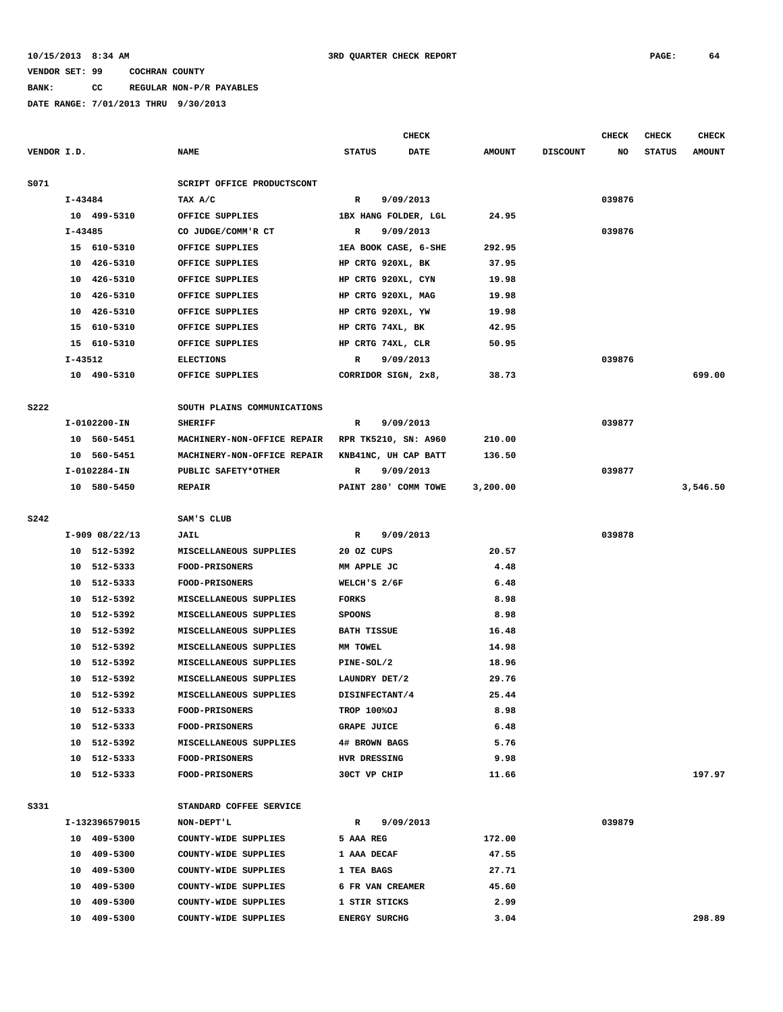# **BANK: CC REGULAR NON-P/R PAYABLES**

|             |             |                |                             |                      | <b>CHECK</b>         |               |                 | <b>CHECK</b> | <b>CHECK</b>  | <b>CHECK</b>  |
|-------------|-------------|----------------|-----------------------------|----------------------|----------------------|---------------|-----------------|--------------|---------------|---------------|
| VENDOR I.D. |             |                | <b>NAME</b>                 | <b>STATUS</b>        | <b>DATE</b>          | <b>AMOUNT</b> | <b>DISCOUNT</b> | NO           | <b>STATUS</b> | <b>AMOUNT</b> |
|             |             |                |                             |                      |                      |               |                 |              |               |               |
| S071        |             |                | SCRIPT OFFICE PRODUCTSCONT  |                      |                      |               |                 |              |               |               |
|             | I-43484     |                | TAX A/C                     | $\mathbb{R}$         | 9/09/2013            |               |                 | 039876       |               |               |
|             |             | 10 499-5310    | OFFICE SUPPLIES             |                      | 1BX HANG FOLDER, LGL | 24.95         |                 |              |               |               |
|             | $I - 43485$ |                | CO JUDGE/COMM'R CT          | R                    | 9/09/2013            |               |                 | 039876       |               |               |
|             |             | 15 610-5310    | OFFICE SUPPLIES             |                      | 1EA BOOK CASE, 6-SHE | 292.95        |                 |              |               |               |
|             |             | 10 426-5310    | OFFICE SUPPLIES             |                      | HP CRTG 920XL, BK    | 37.95         |                 |              |               |               |
|             |             | 10 426-5310    | OFFICE SUPPLIES             |                      | HP CRTG 920XL, CYN   | 19.98         |                 |              |               |               |
|             |             | 10 426-5310    | OFFICE SUPPLIES             |                      | HP CRTG 920XL, MAG   | 19.98         |                 |              |               |               |
|             |             | 10 426-5310    | OFFICE SUPPLIES             |                      | HP CRTG 920XL, YW    | 19.98         |                 |              |               |               |
|             | 15          | 610-5310       | OFFICE SUPPLIES             |                      | HP CRTG 74XL, BK     | 42.95         |                 |              |               |               |
|             |             | 15 610-5310    | OFFICE SUPPLIES             |                      | HP CRTG 74XL, CLR    | 50.95         |                 |              |               |               |
|             | I-43512     |                | <b>ELECTIONS</b>            | R                    | 9/09/2013            |               |                 | 039876       |               |               |
|             |             | 10 490-5310    | OFFICE SUPPLIES             |                      | CORRIDOR SIGN, 2x8,  | 38.73         |                 |              |               | 699.00        |
|             |             |                |                             |                      |                      |               |                 |              |               |               |
| <b>S222</b> |             |                | SOUTH PLAINS COMMUNICATIONS |                      |                      |               |                 |              |               |               |
|             |             | I-0102200-IN   | <b>SHERIFF</b>              | $\mathbb{R}$         | 9/09/2013            |               |                 | 039877       |               |               |
|             |             | 10 560-5451    | MACHINERY-NON-OFFICE REPAIR |                      | RPR TK5210, SN: A960 | 210.00        |                 |              |               |               |
|             |             | 10 560-5451    | MACHINERY-NON-OFFICE REPAIR |                      | KNB41NC, UH CAP BATT | 136.50        |                 |              |               |               |
|             |             | I-0102284-IN   | PUBLIC SAFETY*OTHER         | R                    | 9/09/2013            |               |                 | 039877       |               |               |
|             |             | 10 580-5450    | <b>REPAIR</b>               |                      | PAINT 280' COMM TOWE | 3,200.00      |                 |              |               | 3,546.50      |
|             |             |                |                             |                      |                      |               |                 |              |               |               |
| S242        |             |                | SAM'S CLUB                  |                      |                      |               |                 |              |               |               |
|             |             | I-909 08/22/13 | JAIL                        | $\mathbf R$          | 9/09/2013            |               |                 | 039878       |               |               |
|             |             | 10 512-5392    | MISCELLANEOUS SUPPLIES      | 20 OZ CUPS           |                      | 20.57         |                 |              |               |               |
|             |             | 10 512-5333    | <b>FOOD-PRISONERS</b>       | MM APPLE JC          |                      | 4.48          |                 |              |               |               |
|             |             | 10 512-5333    | <b>FOOD-PRISONERS</b>       | WELCH'S 2/6F         |                      | 6.48          |                 |              |               |               |
|             |             | 10 512-5392    | MISCELLANEOUS SUPPLIES      | <b>FORKS</b>         |                      | 8.98          |                 |              |               |               |
|             | 10          | 512-5392       | MISCELLANEOUS SUPPLIES      | <b>SPOONS</b>        |                      | 8.98          |                 |              |               |               |
|             |             | 10 512-5392    | MISCELLANEOUS SUPPLIES      | <b>BATH TISSUE</b>   |                      | 16.48         |                 |              |               |               |
|             |             | 10 512-5392    | MISCELLANEOUS SUPPLIES      | MM TOWEL             |                      | 14.98         |                 |              |               |               |
|             | 10          | 512-5392       | MISCELLANEOUS SUPPLIES      | PINE-SOL/2           |                      | 18.96         |                 |              |               |               |
|             | 10          | 512-5392       | MISCELLANEOUS SUPPLIES      | LAUNDRY DET/2        |                      | 29.76         |                 |              |               |               |
|             |             | 10 512-5392    | MISCELLANEOUS SUPPLIES      | DISINFECTANT/4       |                      | 25.44         |                 |              |               |               |
|             |             | 10 512-5333    | <b>FOOD-PRISONERS</b>       | <b>TROP 100%OJ</b>   |                      | 8.98          |                 |              |               |               |
|             |             | 10 512-5333    | FOOD-PRISONERS              | <b>GRAPE JUICE</b>   |                      | 6.48          |                 |              |               |               |
|             |             | 10 512-5392    | MISCELLANEOUS SUPPLIES      | 4# BROWN BAGS        |                      | 5.76          |                 |              |               |               |
|             |             | 10 512-5333    | <b>FOOD-PRISONERS</b>       | HVR DRESSING         |                      | 9.98          |                 |              |               |               |
|             |             | 10 512-5333    | FOOD-PRISONERS              | 30CT VP CHIP         |                      | 11.66         |                 |              |               | 197.97        |
|             |             |                |                             |                      |                      |               |                 |              |               |               |
| S331        |             |                | STANDARD COFFEE SERVICE     |                      |                      |               |                 |              |               |               |
|             |             | I-132396579015 | NON-DEPT'L                  | $\mathbb{R}$         | 9/09/2013            |               |                 | 039879       |               |               |
|             |             | 10 409-5300    | COUNTY-WIDE SUPPLIES        | 5 AAA REG            |                      | 172.00        |                 |              |               |               |
|             |             | 10 409-5300    | COUNTY-WIDE SUPPLIES        | 1 AAA DECAF          |                      | 47.55         |                 |              |               |               |
|             |             | 10 409-5300    | COUNTY-WIDE SUPPLIES        | 1 TEA BAGS           |                      | 27.71         |                 |              |               |               |
|             |             | 10 409-5300    | COUNTY-WIDE SUPPLIES        |                      | 6 FR VAN CREAMER     | 45.60         |                 |              |               |               |
|             |             | 10 409-5300    | COUNTY-WIDE SUPPLIES        | 1 STIR STICKS        |                      | 2.99          |                 |              |               |               |
|             |             | 10 409-5300    | COUNTY-WIDE SUPPLIES        | <b>ENERGY SURCHG</b> |                      | 3.04          |                 |              |               | 298.89        |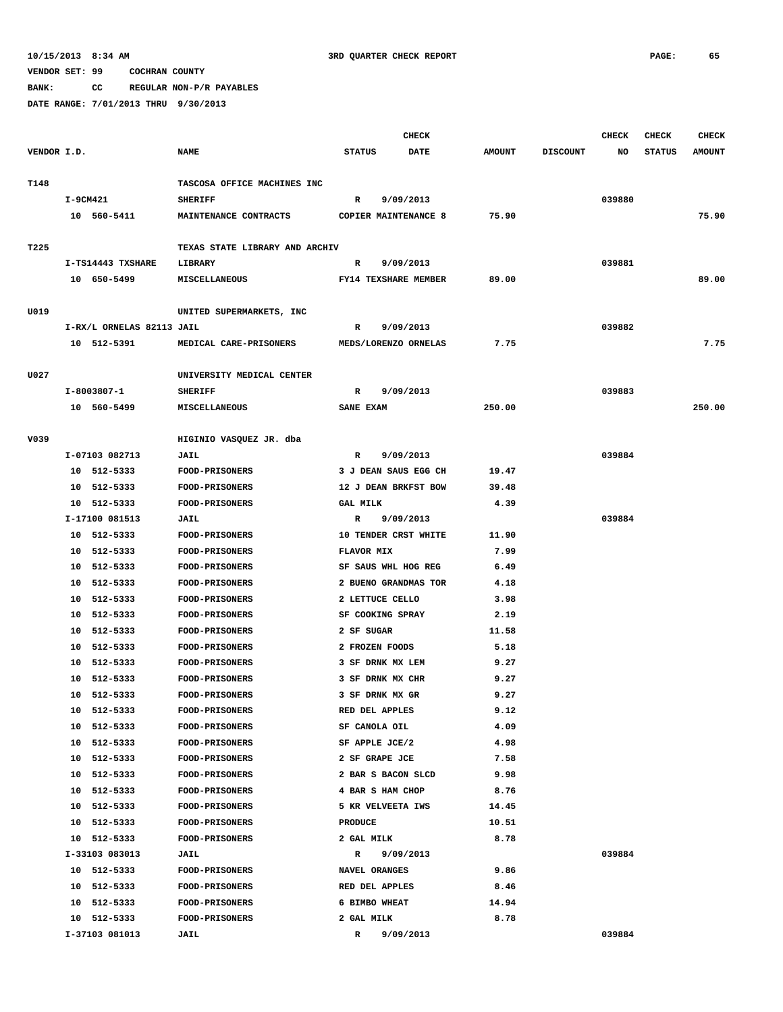**BANK: CC REGULAR NON-P/R PAYABLES**

| VENDOR I.D.<br><b>NAME</b><br><b>STATUS</b><br><b>DATE</b><br><b>AMOUNT</b><br><b>DISCOUNT</b><br>NO<br><b>STATUS</b><br><b>AMOUNT</b><br>T148<br>TASCOSA OFFICE MACHINES INC<br>$I-9CM421$<br><b>SHERIFF</b><br>9/09/2013<br>039880<br>R<br>75.90<br>10 560-5411<br>MAINTENANCE CONTRACTS<br><b>COPIER MAINTENANCE 8</b><br>75.90<br>T225<br>TEXAS STATE LIBRARY AND ARCHIV<br>I-TS14443 TXSHARE<br>9/09/2013<br>039881<br>LIBRARY<br>R<br>89.00<br>10 650-5499<br>MISCELLANEOUS<br>FY14 TEXSHARE MEMBER<br>89.00<br>U019<br>UNITED SUPERMARKETS, INC<br>I-RX/L ORNELAS 82113 JAIL<br>9/09/2013<br>039882<br>R<br>7.75<br>10 512-5391<br>7.75<br>MEDICAL CARE-PRISONERS<br>MEDS/LORENZO ORNELAS<br>U027<br>UNIVERSITY MEDICAL CENTER<br>I-8003807-1<br>9/09/2013<br>039883<br><b>SHERIFF</b><br>R<br>10 560-5499<br><b>MISCELLANEOUS</b><br>SANE EXAM<br>250.00<br>250.00<br>V039<br>HIGINIO VASQUEZ JR. dba<br>I-07103 082713<br>JAIL<br>9/09/2013<br>039884<br>R<br>10 512-5333<br><b>FOOD-PRISONERS</b><br>3 J DEAN SAUS EGG CH<br>19.47<br>10 512-5333<br>12 J DEAN BRKFST BOW<br>39.48<br><b>FOOD-PRISONERS</b><br>10 512-5333<br><b>FOOD-PRISONERS</b><br>4.39<br><b>GAL MILK</b><br>I-17100 081513<br>9/09/2013<br>039884<br><b>JAIL</b><br>R<br>10 512-5333<br>10 TENDER CRST WHITE<br><b>FOOD-PRISONERS</b><br>11.90<br>10 512-5333<br><b>FLAVOR MIX</b><br>7.99<br><b>FOOD-PRISONERS</b><br>10 512-5333<br>FOOD-PRISONERS<br>SF SAUS WHL HOG REG<br>6.49<br>512-5333<br>2 BUENO GRANDMAS TOR<br>4.18<br>10<br><b>FOOD-PRISONERS</b><br>10 512-5333<br><b>FOOD-PRISONERS</b><br>2 LETTUCE CELLO<br>3.98<br>10 512-5333<br>FOOD-PRISONERS<br>SF COOKING SPRAY<br>2.19<br>512-5333<br>2 SF SUGAR<br>10<br><b>FOOD-PRISONERS</b><br>11.58<br>10 512-5333<br>2 FROZEN FOODS<br>5.18<br><b>FOOD-PRISONERS</b><br>10 512-5333<br>FOOD-PRISONERS<br>3 SF DRNK MX LEM<br>9.27<br>512-5333<br>9.27<br>10<br><b>FOOD-PRISONERS</b><br>3 SF DRNK MX CHR<br>10 512-5333<br><b>FOOD-PRISONERS</b><br>3 SF DRNK MX GR<br>9.27<br>9.12<br>10 512-5333<br>RED DEL APPLES<br><b>FOOD-PRISONERS</b> |  |
|---------------------------------------------------------------------------------------------------------------------------------------------------------------------------------------------------------------------------------------------------------------------------------------------------------------------------------------------------------------------------------------------------------------------------------------------------------------------------------------------------------------------------------------------------------------------------------------------------------------------------------------------------------------------------------------------------------------------------------------------------------------------------------------------------------------------------------------------------------------------------------------------------------------------------------------------------------------------------------------------------------------------------------------------------------------------------------------------------------------------------------------------------------------------------------------------------------------------------------------------------------------------------------------------------------------------------------------------------------------------------------------------------------------------------------------------------------------------------------------------------------------------------------------------------------------------------------------------------------------------------------------------------------------------------------------------------------------------------------------------------------------------------------------------------------------------------------------------------------------------------------------------------------------------------------------------------------------------------------------------------------------------------------------------------------------------------------------------|--|
|                                                                                                                                                                                                                                                                                                                                                                                                                                                                                                                                                                                                                                                                                                                                                                                                                                                                                                                                                                                                                                                                                                                                                                                                                                                                                                                                                                                                                                                                                                                                                                                                                                                                                                                                                                                                                                                                                                                                                                                                                                                                                             |  |
|                                                                                                                                                                                                                                                                                                                                                                                                                                                                                                                                                                                                                                                                                                                                                                                                                                                                                                                                                                                                                                                                                                                                                                                                                                                                                                                                                                                                                                                                                                                                                                                                                                                                                                                                                                                                                                                                                                                                                                                                                                                                                             |  |
|                                                                                                                                                                                                                                                                                                                                                                                                                                                                                                                                                                                                                                                                                                                                                                                                                                                                                                                                                                                                                                                                                                                                                                                                                                                                                                                                                                                                                                                                                                                                                                                                                                                                                                                                                                                                                                                                                                                                                                                                                                                                                             |  |
|                                                                                                                                                                                                                                                                                                                                                                                                                                                                                                                                                                                                                                                                                                                                                                                                                                                                                                                                                                                                                                                                                                                                                                                                                                                                                                                                                                                                                                                                                                                                                                                                                                                                                                                                                                                                                                                                                                                                                                                                                                                                                             |  |
|                                                                                                                                                                                                                                                                                                                                                                                                                                                                                                                                                                                                                                                                                                                                                                                                                                                                                                                                                                                                                                                                                                                                                                                                                                                                                                                                                                                                                                                                                                                                                                                                                                                                                                                                                                                                                                                                                                                                                                                                                                                                                             |  |
|                                                                                                                                                                                                                                                                                                                                                                                                                                                                                                                                                                                                                                                                                                                                                                                                                                                                                                                                                                                                                                                                                                                                                                                                                                                                                                                                                                                                                                                                                                                                                                                                                                                                                                                                                                                                                                                                                                                                                                                                                                                                                             |  |
|                                                                                                                                                                                                                                                                                                                                                                                                                                                                                                                                                                                                                                                                                                                                                                                                                                                                                                                                                                                                                                                                                                                                                                                                                                                                                                                                                                                                                                                                                                                                                                                                                                                                                                                                                                                                                                                                                                                                                                                                                                                                                             |  |
|                                                                                                                                                                                                                                                                                                                                                                                                                                                                                                                                                                                                                                                                                                                                                                                                                                                                                                                                                                                                                                                                                                                                                                                                                                                                                                                                                                                                                                                                                                                                                                                                                                                                                                                                                                                                                                                                                                                                                                                                                                                                                             |  |
|                                                                                                                                                                                                                                                                                                                                                                                                                                                                                                                                                                                                                                                                                                                                                                                                                                                                                                                                                                                                                                                                                                                                                                                                                                                                                                                                                                                                                                                                                                                                                                                                                                                                                                                                                                                                                                                                                                                                                                                                                                                                                             |  |
|                                                                                                                                                                                                                                                                                                                                                                                                                                                                                                                                                                                                                                                                                                                                                                                                                                                                                                                                                                                                                                                                                                                                                                                                                                                                                                                                                                                                                                                                                                                                                                                                                                                                                                                                                                                                                                                                                                                                                                                                                                                                                             |  |
|                                                                                                                                                                                                                                                                                                                                                                                                                                                                                                                                                                                                                                                                                                                                                                                                                                                                                                                                                                                                                                                                                                                                                                                                                                                                                                                                                                                                                                                                                                                                                                                                                                                                                                                                                                                                                                                                                                                                                                                                                                                                                             |  |
|                                                                                                                                                                                                                                                                                                                                                                                                                                                                                                                                                                                                                                                                                                                                                                                                                                                                                                                                                                                                                                                                                                                                                                                                                                                                                                                                                                                                                                                                                                                                                                                                                                                                                                                                                                                                                                                                                                                                                                                                                                                                                             |  |
|                                                                                                                                                                                                                                                                                                                                                                                                                                                                                                                                                                                                                                                                                                                                                                                                                                                                                                                                                                                                                                                                                                                                                                                                                                                                                                                                                                                                                                                                                                                                                                                                                                                                                                                                                                                                                                                                                                                                                                                                                                                                                             |  |
|                                                                                                                                                                                                                                                                                                                                                                                                                                                                                                                                                                                                                                                                                                                                                                                                                                                                                                                                                                                                                                                                                                                                                                                                                                                                                                                                                                                                                                                                                                                                                                                                                                                                                                                                                                                                                                                                                                                                                                                                                                                                                             |  |
|                                                                                                                                                                                                                                                                                                                                                                                                                                                                                                                                                                                                                                                                                                                                                                                                                                                                                                                                                                                                                                                                                                                                                                                                                                                                                                                                                                                                                                                                                                                                                                                                                                                                                                                                                                                                                                                                                                                                                                                                                                                                                             |  |
|                                                                                                                                                                                                                                                                                                                                                                                                                                                                                                                                                                                                                                                                                                                                                                                                                                                                                                                                                                                                                                                                                                                                                                                                                                                                                                                                                                                                                                                                                                                                                                                                                                                                                                                                                                                                                                                                                                                                                                                                                                                                                             |  |
|                                                                                                                                                                                                                                                                                                                                                                                                                                                                                                                                                                                                                                                                                                                                                                                                                                                                                                                                                                                                                                                                                                                                                                                                                                                                                                                                                                                                                                                                                                                                                                                                                                                                                                                                                                                                                                                                                                                                                                                                                                                                                             |  |
|                                                                                                                                                                                                                                                                                                                                                                                                                                                                                                                                                                                                                                                                                                                                                                                                                                                                                                                                                                                                                                                                                                                                                                                                                                                                                                                                                                                                                                                                                                                                                                                                                                                                                                                                                                                                                                                                                                                                                                                                                                                                                             |  |
|                                                                                                                                                                                                                                                                                                                                                                                                                                                                                                                                                                                                                                                                                                                                                                                                                                                                                                                                                                                                                                                                                                                                                                                                                                                                                                                                                                                                                                                                                                                                                                                                                                                                                                                                                                                                                                                                                                                                                                                                                                                                                             |  |
|                                                                                                                                                                                                                                                                                                                                                                                                                                                                                                                                                                                                                                                                                                                                                                                                                                                                                                                                                                                                                                                                                                                                                                                                                                                                                                                                                                                                                                                                                                                                                                                                                                                                                                                                                                                                                                                                                                                                                                                                                                                                                             |  |
|                                                                                                                                                                                                                                                                                                                                                                                                                                                                                                                                                                                                                                                                                                                                                                                                                                                                                                                                                                                                                                                                                                                                                                                                                                                                                                                                                                                                                                                                                                                                                                                                                                                                                                                                                                                                                                                                                                                                                                                                                                                                                             |  |
|                                                                                                                                                                                                                                                                                                                                                                                                                                                                                                                                                                                                                                                                                                                                                                                                                                                                                                                                                                                                                                                                                                                                                                                                                                                                                                                                                                                                                                                                                                                                                                                                                                                                                                                                                                                                                                                                                                                                                                                                                                                                                             |  |
|                                                                                                                                                                                                                                                                                                                                                                                                                                                                                                                                                                                                                                                                                                                                                                                                                                                                                                                                                                                                                                                                                                                                                                                                                                                                                                                                                                                                                                                                                                                                                                                                                                                                                                                                                                                                                                                                                                                                                                                                                                                                                             |  |
|                                                                                                                                                                                                                                                                                                                                                                                                                                                                                                                                                                                                                                                                                                                                                                                                                                                                                                                                                                                                                                                                                                                                                                                                                                                                                                                                                                                                                                                                                                                                                                                                                                                                                                                                                                                                                                                                                                                                                                                                                                                                                             |  |
|                                                                                                                                                                                                                                                                                                                                                                                                                                                                                                                                                                                                                                                                                                                                                                                                                                                                                                                                                                                                                                                                                                                                                                                                                                                                                                                                                                                                                                                                                                                                                                                                                                                                                                                                                                                                                                                                                                                                                                                                                                                                                             |  |
|                                                                                                                                                                                                                                                                                                                                                                                                                                                                                                                                                                                                                                                                                                                                                                                                                                                                                                                                                                                                                                                                                                                                                                                                                                                                                                                                                                                                                                                                                                                                                                                                                                                                                                                                                                                                                                                                                                                                                                                                                                                                                             |  |
|                                                                                                                                                                                                                                                                                                                                                                                                                                                                                                                                                                                                                                                                                                                                                                                                                                                                                                                                                                                                                                                                                                                                                                                                                                                                                                                                                                                                                                                                                                                                                                                                                                                                                                                                                                                                                                                                                                                                                                                                                                                                                             |  |
|                                                                                                                                                                                                                                                                                                                                                                                                                                                                                                                                                                                                                                                                                                                                                                                                                                                                                                                                                                                                                                                                                                                                                                                                                                                                                                                                                                                                                                                                                                                                                                                                                                                                                                                                                                                                                                                                                                                                                                                                                                                                                             |  |
|                                                                                                                                                                                                                                                                                                                                                                                                                                                                                                                                                                                                                                                                                                                                                                                                                                                                                                                                                                                                                                                                                                                                                                                                                                                                                                                                                                                                                                                                                                                                                                                                                                                                                                                                                                                                                                                                                                                                                                                                                                                                                             |  |
|                                                                                                                                                                                                                                                                                                                                                                                                                                                                                                                                                                                                                                                                                                                                                                                                                                                                                                                                                                                                                                                                                                                                                                                                                                                                                                                                                                                                                                                                                                                                                                                                                                                                                                                                                                                                                                                                                                                                                                                                                                                                                             |  |
|                                                                                                                                                                                                                                                                                                                                                                                                                                                                                                                                                                                                                                                                                                                                                                                                                                                                                                                                                                                                                                                                                                                                                                                                                                                                                                                                                                                                                                                                                                                                                                                                                                                                                                                                                                                                                                                                                                                                                                                                                                                                                             |  |
|                                                                                                                                                                                                                                                                                                                                                                                                                                                                                                                                                                                                                                                                                                                                                                                                                                                                                                                                                                                                                                                                                                                                                                                                                                                                                                                                                                                                                                                                                                                                                                                                                                                                                                                                                                                                                                                                                                                                                                                                                                                                                             |  |
|                                                                                                                                                                                                                                                                                                                                                                                                                                                                                                                                                                                                                                                                                                                                                                                                                                                                                                                                                                                                                                                                                                                                                                                                                                                                                                                                                                                                                                                                                                                                                                                                                                                                                                                                                                                                                                                                                                                                                                                                                                                                                             |  |
| 10 512-5333<br>SF CANOLA OIL<br>4.09<br><b>FOOD-PRISONERS</b>                                                                                                                                                                                                                                                                                                                                                                                                                                                                                                                                                                                                                                                                                                                                                                                                                                                                                                                                                                                                                                                                                                                                                                                                                                                                                                                                                                                                                                                                                                                                                                                                                                                                                                                                                                                                                                                                                                                                                                                                                               |  |
| 10 512-5333<br>FOOD-PRISONERS<br>SF APPLE JCE/2<br>4.98                                                                                                                                                                                                                                                                                                                                                                                                                                                                                                                                                                                                                                                                                                                                                                                                                                                                                                                                                                                                                                                                                                                                                                                                                                                                                                                                                                                                                                                                                                                                                                                                                                                                                                                                                                                                                                                                                                                                                                                                                                     |  |
| 10 512-5333<br>2 SF GRAPE JCE<br>7.58<br>FOOD-PRISONERS                                                                                                                                                                                                                                                                                                                                                                                                                                                                                                                                                                                                                                                                                                                                                                                                                                                                                                                                                                                                                                                                                                                                                                                                                                                                                                                                                                                                                                                                                                                                                                                                                                                                                                                                                                                                                                                                                                                                                                                                                                     |  |
| 10 512-5333<br>2 BAR S BACON SLCD<br>9.98<br><b>FOOD-PRISONERS</b>                                                                                                                                                                                                                                                                                                                                                                                                                                                                                                                                                                                                                                                                                                                                                                                                                                                                                                                                                                                                                                                                                                                                                                                                                                                                                                                                                                                                                                                                                                                                                                                                                                                                                                                                                                                                                                                                                                                                                                                                                          |  |
| 10 512-5333<br>4 BAR S HAM CHOP<br>8.76<br><b>FOOD-PRISONERS</b>                                                                                                                                                                                                                                                                                                                                                                                                                                                                                                                                                                                                                                                                                                                                                                                                                                                                                                                                                                                                                                                                                                                                                                                                                                                                                                                                                                                                                                                                                                                                                                                                                                                                                                                                                                                                                                                                                                                                                                                                                            |  |
| 10 512-5333<br>14.45<br><b>FOOD-PRISONERS</b><br>5 KR VELVEETA IWS                                                                                                                                                                                                                                                                                                                                                                                                                                                                                                                                                                                                                                                                                                                                                                                                                                                                                                                                                                                                                                                                                                                                                                                                                                                                                                                                                                                                                                                                                                                                                                                                                                                                                                                                                                                                                                                                                                                                                                                                                          |  |
| 10 512-5333<br><b>FOOD-PRISONERS</b><br>PRODUCE<br>10.51                                                                                                                                                                                                                                                                                                                                                                                                                                                                                                                                                                                                                                                                                                                                                                                                                                                                                                                                                                                                                                                                                                                                                                                                                                                                                                                                                                                                                                                                                                                                                                                                                                                                                                                                                                                                                                                                                                                                                                                                                                    |  |
| 10 512-5333<br>2 GAL MILK<br>8.78<br><b>FOOD-PRISONERS</b>                                                                                                                                                                                                                                                                                                                                                                                                                                                                                                                                                                                                                                                                                                                                                                                                                                                                                                                                                                                                                                                                                                                                                                                                                                                                                                                                                                                                                                                                                                                                                                                                                                                                                                                                                                                                                                                                                                                                                                                                                                  |  |
| I-33103 083013<br>9/09/2013<br>039884<br><b>JAIL</b><br>$\mathbb{R}$                                                                                                                                                                                                                                                                                                                                                                                                                                                                                                                                                                                                                                                                                                                                                                                                                                                                                                                                                                                                                                                                                                                                                                                                                                                                                                                                                                                                                                                                                                                                                                                                                                                                                                                                                                                                                                                                                                                                                                                                                        |  |
| 10 512-5333<br>9.86<br><b>FOOD-PRISONERS</b><br>NAVEL ORANGES                                                                                                                                                                                                                                                                                                                                                                                                                                                                                                                                                                                                                                                                                                                                                                                                                                                                                                                                                                                                                                                                                                                                                                                                                                                                                                                                                                                                                                                                                                                                                                                                                                                                                                                                                                                                                                                                                                                                                                                                                               |  |
| 10 512-5333<br>8.46<br><b>FOOD-PRISONERS</b><br>RED DEL APPLES                                                                                                                                                                                                                                                                                                                                                                                                                                                                                                                                                                                                                                                                                                                                                                                                                                                                                                                                                                                                                                                                                                                                                                                                                                                                                                                                                                                                                                                                                                                                                                                                                                                                                                                                                                                                                                                                                                                                                                                                                              |  |
| 10 512-5333<br>14.94<br><b>FOOD-PRISONERS</b><br>6 BIMBO WHEAT                                                                                                                                                                                                                                                                                                                                                                                                                                                                                                                                                                                                                                                                                                                                                                                                                                                                                                                                                                                                                                                                                                                                                                                                                                                                                                                                                                                                                                                                                                                                                                                                                                                                                                                                                                                                                                                                                                                                                                                                                              |  |
| 10 512-5333<br>8.78<br><b>FOOD-PRISONERS</b><br>2 GAL MILK                                                                                                                                                                                                                                                                                                                                                                                                                                                                                                                                                                                                                                                                                                                                                                                                                                                                                                                                                                                                                                                                                                                                                                                                                                                                                                                                                                                                                                                                                                                                                                                                                                                                                                                                                                                                                                                                                                                                                                                                                                  |  |
| I-37103 081013<br>9/09/2013<br>039884<br><b>JAIL</b><br>R                                                                                                                                                                                                                                                                                                                                                                                                                                                                                                                                                                                                                                                                                                                                                                                                                                                                                                                                                                                                                                                                                                                                                                                                                                                                                                                                                                                                                                                                                                                                                                                                                                                                                                                                                                                                                                                                                                                                                                                                                                   |  |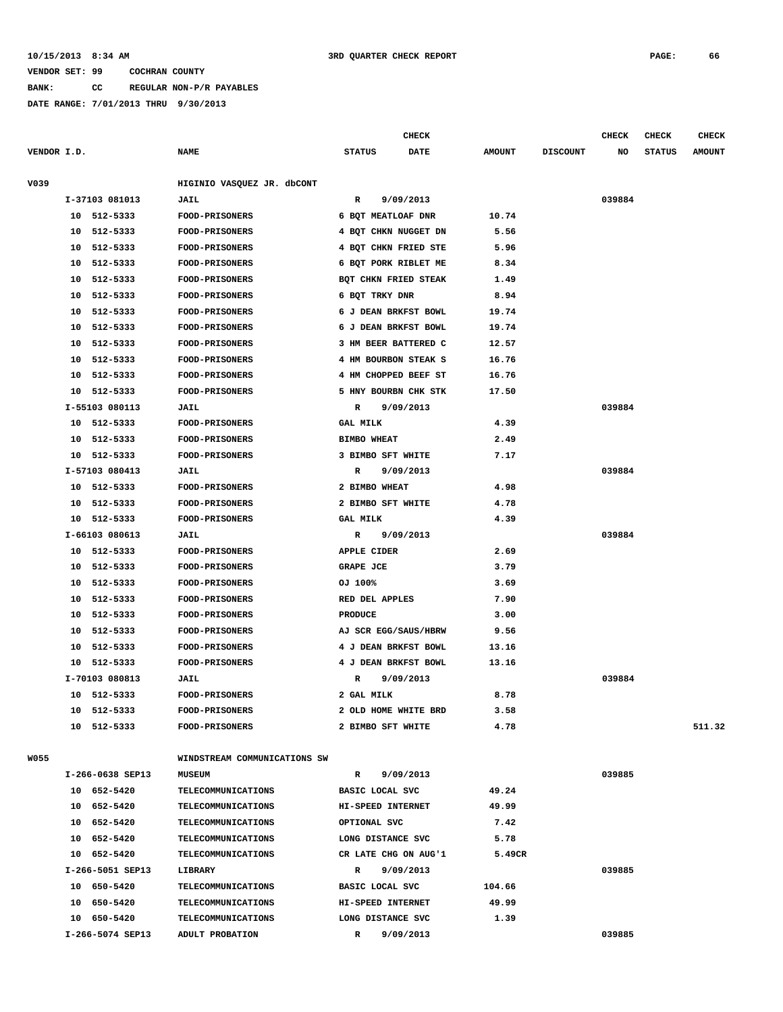#### **10/15/2013 8:34 AM 3RD QUARTER CHECK REPORT PAGE: 66**

### **VENDOR SET: 99 COCHRAN COUNTY**

**BANK: CC REGULAR NON-P/R PAYABLES**

|             |                  |                              | <b>CHECK</b>              |               |                 | CHECK  | <b>CHECK</b>  | <b>CHECK</b>  |
|-------------|------------------|------------------------------|---------------------------|---------------|-----------------|--------|---------------|---------------|
| VENDOR I.D. |                  | <b>NAME</b>                  | <b>STATUS</b><br>DATE     | <b>AMOUNT</b> | <b>DISCOUNT</b> | NO     | <b>STATUS</b> | <b>AMOUNT</b> |
| V039        |                  | HIGINIO VASQUEZ JR. dbCONT   |                           |               |                 |        |               |               |
|             | I-37103 081013   | JAIL                         | R<br>9/09/2013            |               |                 | 039884 |               |               |
|             | 10 512-5333      | <b>FOOD-PRISONERS</b>        | 6 BQT MEATLOAF DNR        | 10.74         |                 |        |               |               |
|             | 10<br>512-5333   | <b>FOOD-PRISONERS</b>        | 4 BQT CHKN NUGGET DN      | 5.56          |                 |        |               |               |
|             | 512-5333<br>10   | <b>FOOD-PRISONERS</b>        | 4 BQT CHKN FRIED STE      | 5.96          |                 |        |               |               |
|             | 512-5333<br>10   | <b>FOOD-PRISONERS</b>        | 6 BQT PORK RIBLET ME      | 8.34          |                 |        |               |               |
|             | 10<br>512-5333   | <b>FOOD-PRISONERS</b>        | BOT CHKN FRIED STEAK      | 1.49          |                 |        |               |               |
|             | 512-5333<br>10   | FOOD-PRISONERS               | 6 BQT TRKY DNR            | 8.94          |                 |        |               |               |
|             | 512-5333<br>10   | <b>FOOD-PRISONERS</b>        | 6 J DEAN BRKFST BOWL      | 19.74         |                 |        |               |               |
|             | 512-5333<br>10   | <b>FOOD-PRISONERS</b>        | 6 J DEAN BRKFST BOWL      | 19.74         |                 |        |               |               |
|             | 512-5333<br>10   | <b>FOOD-PRISONERS</b>        | 3 HM BEER BATTERED C      | 12.57         |                 |        |               |               |
|             | 512-5333<br>10   | FOOD-PRISONERS               | 4 HM BOURBON STEAK S      | 16.76         |                 |        |               |               |
|             | 512-5333<br>10   | <b>FOOD-PRISONERS</b>        | 4 HM CHOPPED BEEF ST      | 16.76         |                 |        |               |               |
|             | 512-5333<br>10   | FOOD-PRISONERS               | 5 HNY BOURBN CHK STK      | 17.50         |                 |        |               |               |
|             | I-55103 080113   | JAIL                         | 9/09/2013<br>R            |               |                 | 039884 |               |               |
|             | 512-5333<br>10   | FOOD-PRISONERS               | <b>GAL MILK</b>           | 4.39          |                 |        |               |               |
|             | 512-5333<br>10   | <b>FOOD-PRISONERS</b>        | <b>BIMBO WHEAT</b>        | 2.49          |                 |        |               |               |
|             | 512-5333<br>10   | FOOD-PRISONERS               | 3 BIMBO SFT WHITE         | 7.17          |                 |        |               |               |
|             | I-57103 080413   | JAIL                         | 9/09/2013<br>R            |               |                 | 039884 |               |               |
|             | 512-5333<br>10   | <b>FOOD-PRISONERS</b>        | 2 BIMBO WHEAT             | 4.98          |                 |        |               |               |
|             | 512-5333<br>10   | FOOD-PRISONERS               | 2 BIMBO SFT WHITE         | 4.78          |                 |        |               |               |
|             | 512-5333<br>10   | <b>FOOD-PRISONERS</b>        | <b>GAL MILK</b>           | 4.39          |                 |        |               |               |
|             | I-66103 080613   | JAIL                         | 9/09/2013<br>R            |               |                 | 039884 |               |               |
|             | 10 512-5333      | FOOD-PRISONERS               | APPLE CIDER               | 2.69          |                 |        |               |               |
|             | 512-5333<br>10   | <b>FOOD-PRISONERS</b>        | GRAPE JCE                 | 3.79          |                 |        |               |               |
|             | 512-5333<br>10   | <b>FOOD-PRISONERS</b>        | OJ 100%                   | 3.69          |                 |        |               |               |
|             | 512-5333<br>10   | FOOD-PRISONERS               | RED DEL APPLES            | 7.90          |                 |        |               |               |
|             | 10<br>512-5333   | <b>FOOD-PRISONERS</b>        | <b>PRODUCE</b>            | 3.00          |                 |        |               |               |
|             | 512-5333<br>10   | FOOD-PRISONERS               | AJ SCR EGG/SAUS/HBRW      | 9.56          |                 |        |               |               |
|             | 512-5333<br>10   | <b>FOOD-PRISONERS</b>        | 4 J DEAN BRKFST BOWL      | 13.16         |                 |        |               |               |
|             | 10<br>512-5333   | FOOD-PRISONERS               | 4 J DEAN BRKFST BOWL      | 13.16         |                 |        |               |               |
|             | I-70103 080813   | JAIL                         | R<br>9/09/2013            |               |                 | 039884 |               |               |
|             | 10 512-5333      | FOOD-PRISONERS               | 2 GAL MILK                | 8.78          |                 |        |               |               |
|             | 10 512-5333      | <b>FOOD-PRISONERS</b>        | 2 OLD HOME WHITE BRD      | 3.58          |                 |        |               |               |
|             | 10 512-5333      | <b>FOOD-PRISONERS</b>        | 2 BIMBO SFT WHITE         | 4.78          |                 |        |               | 511.32        |
|             |                  |                              |                           |               |                 |        |               |               |
| <b>W055</b> |                  | WINDSTREAM COMMUNICATIONS SW |                           |               |                 |        |               |               |
|             | I-266-0638 SEP13 | <b>MUSEUM</b>                | 9/09/2013<br>R            |               |                 | 039885 |               |               |
|             | 10 652-5420      | TELECOMMUNICATIONS           | BASIC LOCAL SVC           | 49.24         |                 |        |               |               |
|             | 10 652-5420      | <b>TELECOMMUNICATIONS</b>    | HI-SPEED INTERNET         | 49.99         |                 |        |               |               |
|             | 10 652-5420      | <b>TELECOMMUNICATIONS</b>    | OPTIONAL SVC              | 7.42          |                 |        |               |               |
|             | 10 652-5420      | <b>TELECOMMUNICATIONS</b>    | LONG DISTANCE SVC         | 5.78          |                 |        |               |               |
|             | 10 652-5420      | <b>TELECOMMUNICATIONS</b>    | CR LATE CHG ON AUG'1      | 5.49CR        |                 |        |               |               |
|             | I-266-5051 SEP13 | LIBRARY                      | 9/09/2013<br>R            |               |                 | 039885 |               |               |
|             | 10 650-5420      | <b>TELECOMMUNICATIONS</b>    | BASIC LOCAL SVC           | 104.66        |                 |        |               |               |
|             | 10 650-5420      | <b>TELECOMMUNICATIONS</b>    | HI-SPEED INTERNET         | 49.99         |                 |        |               |               |
|             | 10 650-5420      | <b>TELECOMMUNICATIONS</b>    | LONG DISTANCE SVC         | 1.39          |                 |        |               |               |
|             | I-266-5074 SEP13 | ADULT PROBATION              | $\mathbb{R}$<br>9/09/2013 |               |                 | 039885 |               |               |
|             |                  |                              |                           |               |                 |        |               |               |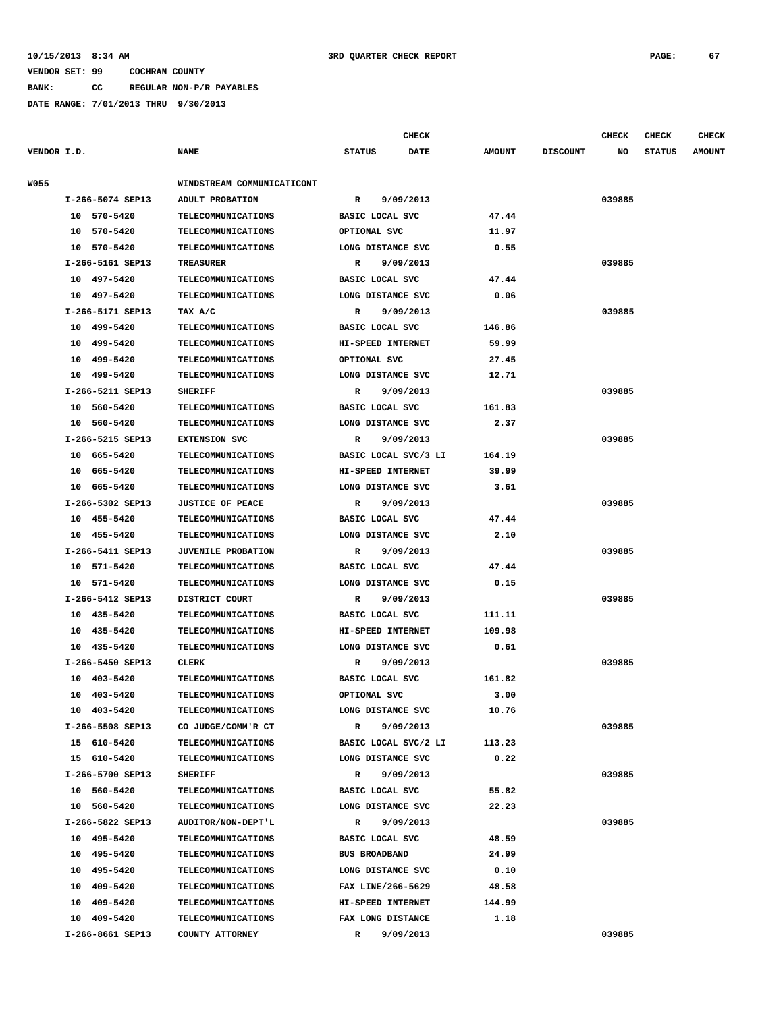**BANK: CC REGULAR NON-P/R PAYABLES**

**DATE RANGE: 7/01/2013 THRU 9/30/2013**

|             |                  |                            |                      | CHECK       |               |                 | CHECK   | <b>CHECK</b>  | <b>CHECK</b>  |
|-------------|------------------|----------------------------|----------------------|-------------|---------------|-----------------|---------|---------------|---------------|
| VENDOR I.D. |                  | <b>NAME</b>                | <b>STATUS</b>        | <b>DATE</b> | <b>AMOUNT</b> | <b>DISCOUNT</b> | NO      | <b>STATUS</b> | <b>AMOUNT</b> |
| W055        |                  | WINDSTREAM COMMUNICATICONT |                      |             |               |                 |         |               |               |
|             | I-266-5074 SEP13 | ADULT PROBATION            | $\mathbb{R}$         | 9/09/2013   |               |                 | 039885  |               |               |
|             | 10 570-5420      | <b>TELECOMMUNICATIONS</b>  | BASIC LOCAL SVC      |             | 47.44         |                 |         |               |               |
|             | 10 570-5420      | <b>TELECOMMUNICATIONS</b>  | OPTIONAL SVC         |             | 11.97         |                 |         |               |               |
|             | 10 570-5420      | <b>TELECOMMUNICATIONS</b>  | LONG DISTANCE SVC    |             | 0.55          |                 |         |               |               |
|             | I-266-5161 SEP13 | <b>TREASURER</b>           | R                    | 9/09/2013   |               |                 | 039885  |               |               |
|             | 10 497-5420      | <b>TELECOMMUNICATIONS</b>  | BASIC LOCAL SVC      |             | 47.44         |                 |         |               |               |
|             | 10 497-5420      | <b>TELECOMMUNICATIONS</b>  | LONG DISTANCE SVC    |             | 0.06          |                 |         |               |               |
|             | I-266-5171 SEP13 | TAX A/C                    | R                    | 9/09/2013   |               |                 | 039885  |               |               |
|             | 10 499-5420      | <b>TELECOMMUNICATIONS</b>  | BASIC LOCAL SVC      |             | 146.86        |                 |         |               |               |
|             | 10 499-5420      | <b>TELECOMMUNICATIONS</b>  | HI-SPEED INTERNET    |             | 59.99         |                 |         |               |               |
|             | 10 499-5420      | <b>TELECOMMUNICATIONS</b>  | OPTIONAL SVC         |             | 27.45         |                 |         |               |               |
|             | 10<br>499-5420   | <b>TELECOMMUNICATIONS</b>  | LONG DISTANCE SVC    |             | 12.71         |                 |         |               |               |
|             | I-266-5211 SEP13 | <b>SHERIFF</b>             | $\mathbb{R}$         | 9/09/2013   |               |                 | 039885  |               |               |
|             | 10 560-5420      | TELECOMMUNICATIONS         | BASIC LOCAL SVC      |             | 161.83        |                 |         |               |               |
|             | 10 560-5420      | <b>TELECOMMUNICATIONS</b>  | LONG DISTANCE SVC    |             | 2.37          |                 |         |               |               |
|             | I-266-5215 SEP13 | <b>EXTENSION SVC</b>       | $\mathbb{R}$         | 9/09/2013   |               |                 | 039885  |               |               |
|             | 10 665-5420      | TELECOMMUNICATIONS         | BASIC LOCAL SVC/3 LI |             | 164.19        |                 |         |               |               |
|             | 10 665-5420      | <b>TELECOMMUNICATIONS</b>  | HI-SPEED INTERNET    |             | 39.99         |                 |         |               |               |
|             | 10 665-5420      | <b>TELECOMMUNICATIONS</b>  | LONG DISTANCE SVC    |             | 3.61          |                 |         |               |               |
|             | I-266-5302 SEP13 | <b>JUSTICE OF PEACE</b>    | R                    | 9/09/2013   |               |                 | 039885  |               |               |
|             | 10 455-5420      | <b>TELECOMMUNICATIONS</b>  | BASIC LOCAL SVC      |             | 47.44         |                 |         |               |               |
|             | 10 455-5420      | <b>TELECOMMUNICATIONS</b>  | LONG DISTANCE SVC    |             | 2.10          |                 |         |               |               |
|             | I-266-5411 SEP13 | <b>JUVENILE PROBATION</b>  | R                    | 9/09/2013   |               |                 | 039885  |               |               |
|             | 10 571-5420      | <b>TELECOMMUNICATIONS</b>  | BASIC LOCAL SVC      |             | 47.44         |                 |         |               |               |
|             | 10 571-5420      | TELECOMMUNICATIONS         | LONG DISTANCE SVC    |             | 0.15          |                 |         |               |               |
|             | I-266-5412 SEP13 | DISTRICT COURT             | R                    | 9/09/2013   |               |                 | 039885  |               |               |
|             | 10 435-5420      | <b>TELECOMMUNICATIONS</b>  | BASIC LOCAL SVC      |             | 111.11        |                 |         |               |               |
|             | 10 435-5420      | <b>TELECOMMUNICATIONS</b>  | HI-SPEED INTERNET    |             | 109.98        |                 |         |               |               |
|             | 10 435-5420      | <b>TELECOMMUNICATIONS</b>  | LONG DISTANCE SVC    |             | 0.61          |                 |         |               |               |
|             | I-266-5450 SEP13 | CLERK                      | R                    | 9/09/2013   |               |                 | 039885  |               |               |
|             | 10 403-5420      | <b>TELECOMMUNICATIONS</b>  | BASIC LOCAL SVC      |             | 161.82        |                 |         |               |               |
|             | 10 403-5420      | TELECOMMUNICATIONS         | OPTIONAL SVC         |             | 3.00          |                 |         |               |               |
|             | 10 403-5420      | <b>TELECOMMUNICATIONS</b>  | LONG DISTANCE SVC    |             | 10.76         |                 |         |               |               |
|             | I-266-5508 SEP13 | CO JUDGE/COMM'R CT         | $\mathbf{R}$         | 9/09/2013   |               |                 | 039885  |               |               |
|             | 15 610-5420      | TELECOMMUNICATIONS         | BASIC LOCAL SVC/2 LI |             | 113.23        |                 |         |               |               |
|             | 15 610-5420      | <b>TELECOMMUNICATIONS</b>  | LONG DISTANCE SVC    |             | 0.22          |                 |         |               |               |
|             | I-266-5700 SEP13 | <b>SHERIFF</b>             | $\mathbb{R}$         | 9/09/2013   |               |                 | 039885  |               |               |
|             | 10 560-5420      | <b>TELECOMMUNICATIONS</b>  | BASIC LOCAL SVC      |             | 55.82         |                 |         |               |               |
|             | 10 560-5420      | <b>TELECOMMUNICATIONS</b>  | LONG DISTANCE SVC    |             | 22.23         |                 |         |               |               |
|             | I-266-5822 SEP13 | AUDITOR/NON-DEPT'L         | $\mathbb{R}$         | 9/09/2013   |               |                 | 039885  |               |               |
|             | 10 495-5420      | <b>TELECOMMUNICATIONS</b>  | BASIC LOCAL SVC      |             | 48.59         |                 |         |               |               |
|             | 10 495-5420      | <b>TELECOMMUNICATIONS</b>  | <b>BUS BROADBAND</b> |             | 24.99         |                 |         |               |               |
|             | 10 495-5420      | <b>TELECOMMUNICATIONS</b>  | LONG DISTANCE SVC    |             | 0.10          |                 |         |               |               |
|             | 10 409-5420      | <b>TELECOMMUNICATIONS</b>  | FAX LINE/266-5629    |             | 48.58         |                 |         |               |               |
|             | 10 409-5420      | <b>TELECOMMUNICATIONS</b>  | HI-SPEED INTERNET    |             | 144.99        |                 |         |               |               |
|             | 10 409-5420      | <b>TELECOMMUNICATIONS</b>  | FAX LONG DISTANCE    |             | 1.18          |                 |         |               |               |
|             |                  |                            |                      | 0.10010012  |               |                 | 0.20005 |               |               |

 **I-266-8661 SEP13 COUNTY ATTORNEY R 9/09/2013 039885**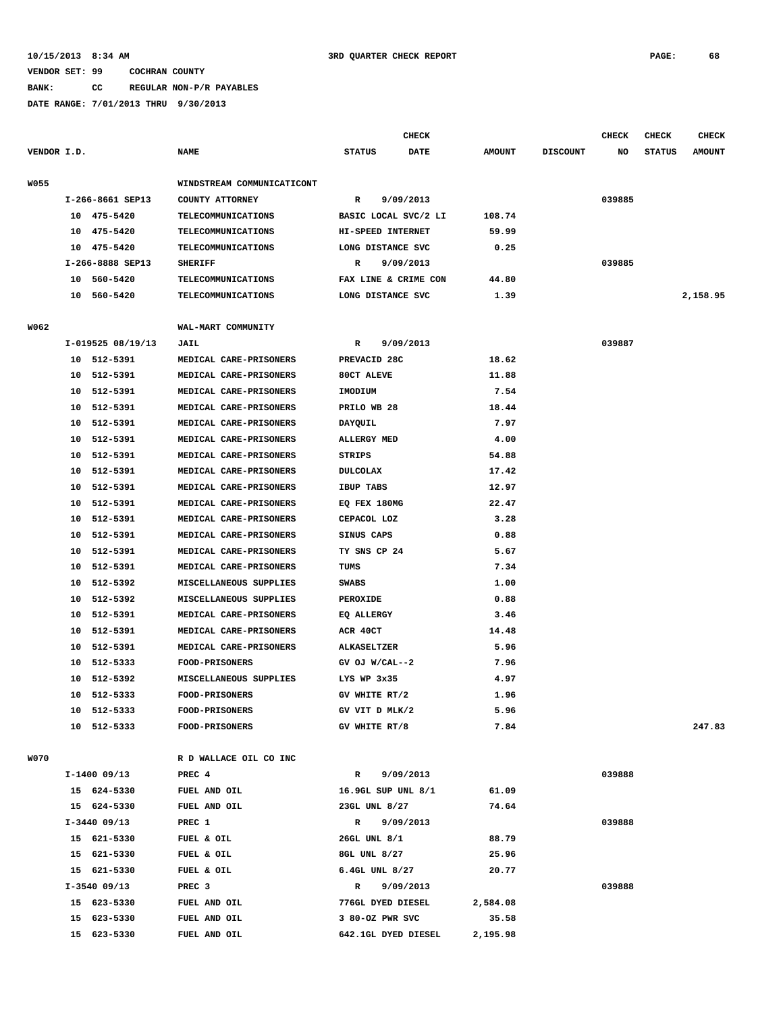**BANK: CC REGULAR NON-P/R PAYABLES**

**DATE RANGE: 7/01/2013 THRU 9/30/2013**

|             | DATE RANGE: 7/01/2013 THRU 9/30/2013 |                            |               |              |               |                 |              |               |               |
|-------------|--------------------------------------|----------------------------|---------------|--------------|---------------|-----------------|--------------|---------------|---------------|
|             |                                      |                            |               | <b>CHECK</b> |               |                 | <b>CHECK</b> | <b>CHECK</b>  | <b>CHECK</b>  |
| VENDOR I.D. |                                      | <b>NAME</b>                | <b>STATUS</b> | <b>DATE</b>  | <b>AMOUNT</b> | <b>DISCOUNT</b> | NO           | <b>STATUS</b> | <b>AMOUNT</b> |
|             |                                      |                            |               |              |               |                 |              |               |               |
| <b>W055</b> |                                      | WINDSTREAM COMMUNICATICONT |               |              |               |                 |              |               |               |
|             | I-266-8661 SEP13                     | COUNTY ATTORNEY            | R             | 9/09/2013    |               |                 | 039885       |               |               |

|      | I-266-8661 SEP13  | COUNTY ATTORNEY            | 9/09/2013<br>R            |        | 039885 |          |
|------|-------------------|----------------------------|---------------------------|--------|--------|----------|
|      | 10 475-5420       | <b>TELECOMMUNICATIONS</b>  | BASIC LOCAL SVC/2 LI      | 108.74 |        |          |
|      | 10 475-5420       | TELECOMMUNICATIONS         | HI-SPEED INTERNET         | 59.99  |        |          |
|      | 10 475-5420       | <b>TELECOMMUNICATIONS</b>  | LONG DISTANCE SVC         | 0.25   |        |          |
|      | I-266-8888 SEP13  | <b>SHERIFF</b>             | 9/09/2013<br>R            |        | 039885 |          |
|      | 10 560-5420       | <b>TELECOMMUNICATIONS</b>  | FAX LINE & CRIME CON      | 44.80  |        |          |
|      | 10 560-5420       | TELECOMMUNICATIONS         | LONG DISTANCE SVC         | 1.39   |        | 2,158.95 |
|      |                   |                            |                           |        |        |          |
| W062 | I-019525 08/19/13 | WAL-MART COMMUNITY<br>JAIL | 9/09/2013<br>$\mathbb{R}$ |        | 039887 |          |
|      | 10 512-5391       | MEDICAL CARE-PRISONERS     | PREVACID 28C              | 18.62  |        |          |
|      | 10 512-5391       | MEDICAL CARE-PRISONERS     | 80CT ALEVE                | 11.88  |        |          |
|      | 10 512-5391       | MEDICAL CARE-PRISONERS     | IMODIUM                   | 7.54   |        |          |
|      | 10 512-5391       | MEDICAL CARE-PRISONERS     | PRILO WB 28               | 18.44  |        |          |
|      | 10 512-5391       | MEDICAL CARE-PRISONERS     | DAYQUIL                   | 7.97   |        |          |
|      | 512-5391<br>10    | MEDICAL CARE-PRISONERS     | <b>ALLERGY MED</b>        | 4.00   |        |          |
|      | 10 512-5391       | MEDICAL CARE-PRISONERS     | <b>STRIPS</b>             | 54.88  |        |          |
|      | 10 512-5391       | MEDICAL CARE-PRISONERS     | <b>DULCOLAX</b>           | 17.42  |        |          |
|      | 512-5391<br>10    | MEDICAL CARE-PRISONERS     | IBUP TABS                 | 12.97  |        |          |
|      | 10 512-5391       | MEDICAL CARE-PRISONERS     | EQ FEX 180MG              | 22.47  |        |          |
|      | 10 512-5391       | MEDICAL CARE-PRISONERS     | CEPACOL LOZ               | 3.28   |        |          |
|      | 512-5391<br>10    | MEDICAL CARE-PRISONERS     | SINUS CAPS                | 0.88   |        |          |
|      | 10 512-5391       | MEDICAL CARE-PRISONERS     | TY SNS CP 24              | 5.67   |        |          |
|      | 10<br>512-5391    | MEDICAL CARE-PRISONERS     | TUMS                      | 7.34   |        |          |
|      | 10<br>512-5392    | MISCELLANEOUS SUPPLIES     | <b>SWABS</b>              | 1.00   |        |          |
|      | 10 512-5392       | MISCELLANEOUS SUPPLIES     | PEROXIDE                  | 0.88   |        |          |
|      | 10 512-5391       | MEDICAL CARE-PRISONERS     | EQ ALLERGY                | 3.46   |        |          |
|      | 10<br>512-5391    | MEDICAL CARE-PRISONERS     | ACR 40CT                  | 14.48  |        |          |
|      | 10 512-5391       | MEDICAL CARE-PRISONERS     | ALKASELTZER               | 5.96   |        |          |
|      | 10 512-5333       | FOOD-PRISONERS             | GV OJ W/CAL--2            | 7.96   |        |          |
|      | 512-5392<br>10    | MISCELLANEOUS SUPPLIES     | LYS WP 3x35               | 4.97   |        |          |
|      | 10 512-5333       | FOOD-PRISONERS             | GV WHITE RT/2             | 1.96   |        |          |
|      | 512-5333<br>10    | FOOD-PRISONERS             | GV VIT D MLK/2            | 5.96   |        |          |
|      | 512-5333<br>10    | FOOD-PRISONERS             | GV WHITE RT/8             | 7.84   |        | 247.83   |
|      |                   |                            |                           |        |        |          |
| WO70 |                   | R D WALLACE OIL CO INC     |                           |        |        |          |
|      | $I-1400$ 09/13    | PREC <sub>4</sub>          | 9/09/2013<br>$\mathbf{R}$ |        | 039888 |          |
|      | 15 624-5330       | FUEL AND OIL               | 16.9GL SUP UNL 8/1        | 61.09  |        |          |
|      | 15 624-5330       | FUEL AND OIL               | 23GL UNL 8/27             | 74.64  |        |          |
|      | $I-3440$ 09/13    | PREC 1                     | 9/09/2013<br>R            |        | 039888 |          |
|      | 15 621-5330       | FUEL & OIL                 | 26GL UNL 8/1              | 88.79  |        |          |
|      |                   |                            |                           |        |        |          |

 **15 623-5330 FUEL AND OIL 3 80-OZ PWR SVC 35.58**

- -
- 
- 
- **15 623-5330 FUEL AND OIL 642.1GL DYED DIESEL 2,195.98**
- 15 621–5330 FUEL & OIL 8GL UNL 8/27 25.96  **15 621-5330 FUEL & OIL 6.4GL UNL 8/27 20.77 I-3540 09/13 PREC 3 R 9/09/2013 039888 15 623-5330 FUEL AND OIL 776GL DYED DIESEL 2,584.08**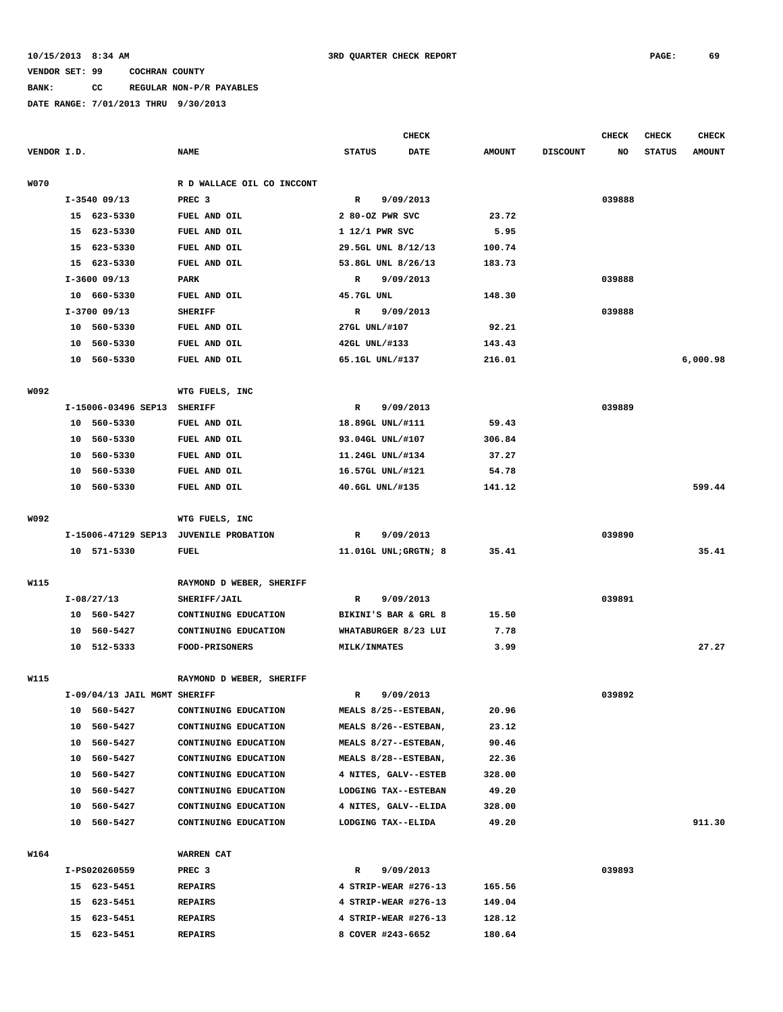# **BANK: CC REGULAR NON-P/R PAYABLES**

|             |    |                              |                                          |                      | <b>CHECK</b> |               |                 | <b>CHECK</b> | CHECK         | <b>CHECK</b>  |
|-------------|----|------------------------------|------------------------------------------|----------------------|--------------|---------------|-----------------|--------------|---------------|---------------|
| VENDOR I.D. |    |                              | <b>NAME</b>                              | <b>STATUS</b>        | DATE         | <b>AMOUNT</b> | <b>DISCOUNT</b> | NO           | <b>STATUS</b> | <b>AMOUNT</b> |
| <b>W070</b> |    |                              | R D WALLACE OIL CO INCCONT               |                      |              |               |                 |              |               |               |
|             |    | $I-3540$ 09/13               | PREC <sub>3</sub>                        | R                    | 9/09/2013    |               |                 | 039888       |               |               |
|             |    | 15 623-5330                  | FUEL AND OIL                             | 2 80-OZ PWR SVC      |              | 23.72         |                 |              |               |               |
|             |    | 15 623-5330                  | FUEL AND OIL                             | 1 12/1 PWR SVC       |              | 5.95          |                 |              |               |               |
|             | 15 | 623-5330                     | FUEL AND OIL                             | 29.5GL UNL 8/12/13   |              | 100.74        |                 |              |               |               |
|             | 15 | 623-5330                     | FUEL AND OIL                             | 53.8GL UNL 8/26/13   |              | 183.73        |                 |              |               |               |
|             |    | $I-3600$ 09/13               | PARK                                     | R                    | 9/09/2013    |               |                 | 039888       |               |               |
|             |    | 10 660-5330                  | FUEL AND OIL                             | 45.7GL UNL           |              | 148.30        |                 |              |               |               |
|             |    | $I-3700$ 09/13               | <b>SHERIFF</b>                           | $\mathbb R$          | 9/09/2013    |               |                 | 039888       |               |               |
|             |    | 10 560-5330                  | FUEL AND OIL                             | 27GL UNL/#107        |              | 92.21         |                 |              |               |               |
|             | 10 | 560-5330                     | FUEL AND OIL                             | 42GL UNL/#133        |              | 143.43        |                 |              |               |               |
|             |    | 10 560-5330                  | FUEL AND OIL                             | 65.1GL UNL/#137      |              | 216.01        |                 |              |               | 6,000.98      |
|             |    |                              |                                          |                      |              |               |                 |              |               |               |
| W092        |    |                              | WTG FUELS, INC                           |                      |              |               |                 |              |               |               |
|             |    | I-15006-03496 SEP13          | <b>SHERIFF</b>                           | R                    | 9/09/2013    |               |                 | 039889       |               |               |
|             |    | 10 560-5330                  | FUEL AND OIL                             | 18.89GL UNL/#111     |              | 59.43         |                 |              |               |               |
|             | 10 | 560-5330                     | FUEL AND OIL                             | 93.04GL UNL/#107     |              | 306.84        |                 |              |               |               |
|             | 10 | 560-5330                     | FUEL AND OIL                             | 11.24GL UNL/#134     |              | 37.27         |                 |              |               |               |
|             | 10 | 560-5330                     | FUEL AND OIL                             | 16.57GL UNL/#121     |              | 54.78         |                 |              |               |               |
|             | 10 | 560-5330                     | FUEL AND OIL                             | 40.6GL UNL/#135      |              | 141.12        |                 |              |               | 599.44        |
|             |    |                              |                                          |                      |              |               |                 |              |               |               |
| W092        |    |                              | WTG FUELS, INC                           |                      |              |               |                 |              |               |               |
|             |    | I-15006-47129 SEP13          | <b>JUVENILE PROBATION</b>                | R                    | 9/09/2013    |               |                 | 039890       |               |               |
|             |    | 10 571-5330                  | <b>FUEL</b>                              | 11.01GL UNL;GRGTN; 8 |              | 35.41         |                 |              |               | 35.41         |
|             |    |                              |                                          |                      |              |               |                 |              |               |               |
| W115        |    | $I-08/27/13$                 | RAYMOND D WEBER, SHERIFF<br>SHERIFF/JAIL | R                    | 9/09/2013    |               |                 | 039891       |               |               |
|             |    | 10 560-5427                  | CONTINUING EDUCATION                     | BIKINI'S BAR & GRL 8 |              | 15.50         |                 |              |               |               |
|             | 10 | 560-5427                     | CONTINUING EDUCATION                     | WHATABURGER 8/23 LUI |              | 7.78          |                 |              |               |               |
|             |    | 10 512-5333                  | <b>FOOD-PRISONERS</b>                    | <b>MILK/INMATES</b>  |              | 3.99          |                 |              |               | 27.27         |
|             |    |                              |                                          |                      |              |               |                 |              |               |               |
| W115        |    |                              | RAYMOND D WEBER, SHERIFF                 |                      |              |               |                 |              |               |               |
|             |    | I-09/04/13 JAIL MGMT SHERIFF |                                          | $\mathbb{R}$         | 9/09/2013    |               |                 | 039892       |               |               |
|             | 10 | 560-5427                     | CONTINUING EDUCATION                     | MEALS 8/25--ESTEBAN, |              | 20.96         |                 |              |               |               |
|             |    | 10 560-5427                  | CONTINUING EDUCATION                     | MEALS 8/26--ESTEBAN, |              | 23.12         |                 |              |               |               |
|             |    | 10 560-5427                  | CONTINUING EDUCATION                     | MEALS 8/27--ESTEBAN, |              | 90.46         |                 |              |               |               |
|             |    | 10 560-5427                  | CONTINUING EDUCATION                     | MEALS 8/28--ESTEBAN, |              | 22.36         |                 |              |               |               |
|             |    | 10 560-5427                  | CONTINUING EDUCATION                     | 4 NITES, GALV--ESTEB |              | 328.00        |                 |              |               |               |
|             |    | 10 560-5427                  | CONTINUING EDUCATION                     | LODGING TAX--ESTEBAN |              | 49.20         |                 |              |               |               |
|             |    | 10 560-5427                  | CONTINUING EDUCATION                     | 4 NITES, GALV--ELIDA |              | 328.00        |                 |              |               |               |
|             |    | 10 560-5427                  | CONTINUING EDUCATION                     | LODGING TAX--ELIDA   |              | 49.20         |                 |              |               | 911.30        |
|             |    |                              |                                          |                      |              |               |                 |              |               |               |
| W164        |    |                              | <b>WARREN CAT</b>                        |                      |              |               |                 |              |               |               |
|             |    | I-PS020260559                | PREC <sub>3</sub>                        | R                    | 9/09/2013    |               |                 | 039893       |               |               |
|             |    | 15 623-5451                  | REPAIRS                                  | 4 STRIP-WEAR #276-13 |              | 165.56        |                 |              |               |               |
|             |    | 15 623-5451                  | REPAIRS                                  | 4 STRIP-WEAR #276-13 |              | 149.04        |                 |              |               |               |
|             |    | 15 623-5451                  | REPAIRS                                  | 4 STRIP-WEAR #276-13 |              | 128.12        |                 |              |               |               |
|             |    | 15 623-5451                  | <b>REPAIRS</b>                           | 8 COVER #243-6652    |              | 180.64        |                 |              |               |               |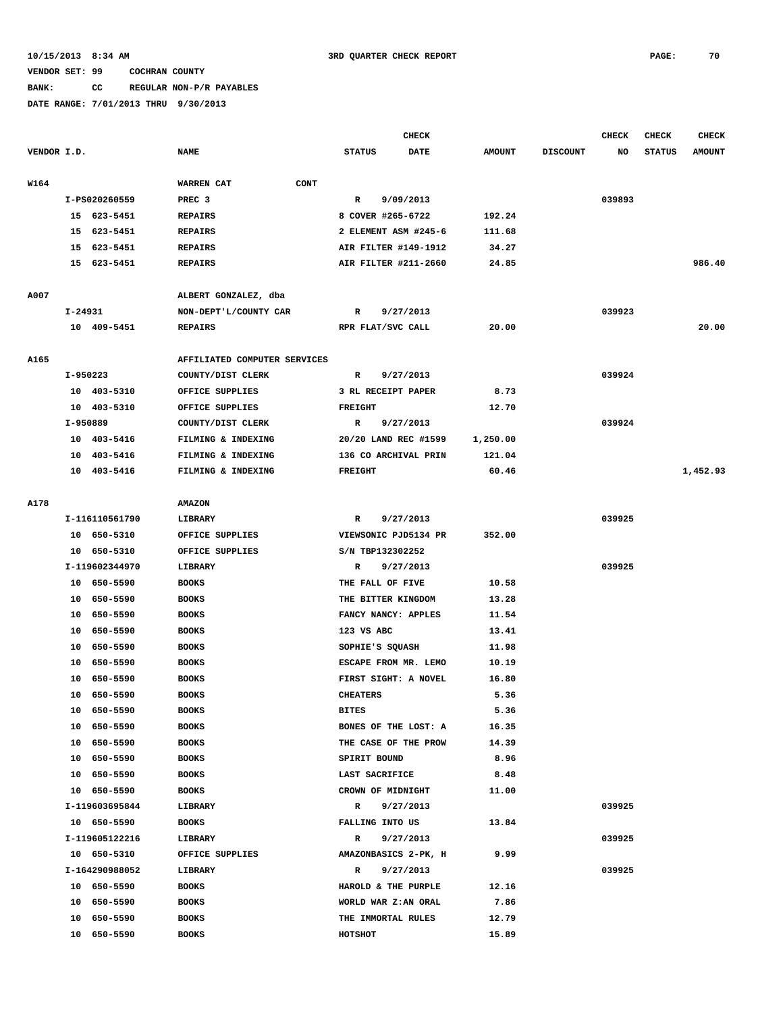#### **BANK: CC REGULAR NON-P/R PAYABLES**

|             |          |                            |                                      |                           | <b>CHECK</b> |               |                 | <b>CHECK</b> | <b>CHECK</b>  | <b>CHECK</b>  |
|-------------|----------|----------------------------|--------------------------------------|---------------------------|--------------|---------------|-----------------|--------------|---------------|---------------|
| VENDOR I.D. |          |                            | <b>NAME</b>                          | <b>STATUS</b>             | <b>DATE</b>  | <b>AMOUNT</b> | <b>DISCOUNT</b> | NO           | <b>STATUS</b> | <b>AMOUNT</b> |
|             |          |                            |                                      |                           |              |               |                 |              |               |               |
| W164        |          |                            | WARREN CAT<br><b>CONT</b>            |                           |              |               |                 |              |               |               |
|             |          | I-PS020260559              | PREC <sub>3</sub>                    | $\mathbb{R}$              | 9/09/2013    |               |                 | 039893       |               |               |
|             |          | 15 623-5451                | <b>REPAIRS</b>                       | 8 COVER #265-6722         |              | 192.24        |                 |              |               |               |
|             |          | 15 623-5451                | <b>REPAIRS</b>                       | 2 ELEMENT ASM #245-6      |              | 111.68        |                 |              |               |               |
|             |          | 15 623-5451                | <b>REPAIRS</b>                       | AIR FILTER #149-1912      |              | 34.27         |                 |              |               |               |
|             |          | 15 623-5451                | <b>REPAIRS</b>                       | AIR FILTER #211-2660      |              | 24.85         |                 |              |               | 986.40        |
|             |          |                            |                                      |                           |              |               |                 |              |               |               |
| A007        |          |                            | ALBERT GONZALEZ, dba                 |                           |              |               |                 |              |               |               |
|             | I-24931  |                            | NON-DEPT'L/COUNTY CAR                | R                         | 9/27/2013    |               |                 | 039923       |               |               |
|             |          | 10 409-5451                | <b>REPAIRS</b>                       | RPR FLAT/SVC CALL         |              | 20.00         |                 |              |               | 20.00         |
|             |          |                            |                                      |                           |              |               |                 |              |               |               |
| A165        |          |                            | AFFILIATED COMPUTER SERVICES         |                           |              |               |                 |              |               |               |
|             | I-950223 |                            | COUNTY/DIST CLERK                    | R                         | 9/27/2013    |               |                 | 039924       |               |               |
|             |          | 10 403-5310<br>10 403-5310 | OFFICE SUPPLIES                      | 3 RL RECEIPT PAPER        |              | 8.73          |                 |              |               |               |
|             | I-950889 |                            | OFFICE SUPPLIES<br>COUNTY/DIST CLERK | <b>FREIGHT</b>            |              | 12.70         |                 | 039924       |               |               |
|             |          | 10 403-5416                | FILMING & INDEXING                   | R<br>20/20 LAND REC #1599 | 9/27/2013    | 1,250.00      |                 |              |               |               |
|             |          | 10 403-5416                | FILMING & INDEXING                   | 136 CO ARCHIVAL PRIN      |              | 121.04        |                 |              |               |               |
|             |          | 10 403-5416                | FILMING & INDEXING                   | <b>FREIGHT</b>            |              | 60.46         |                 |              |               | 1,452.93      |
|             |          |                            |                                      |                           |              |               |                 |              |               |               |
| A178        |          |                            | <b>AMAZON</b>                        |                           |              |               |                 |              |               |               |
|             |          | I-116110561790             | LIBRARY                              | R                         | 9/27/2013    |               |                 | 039925       |               |               |
|             |          | 10 650-5310                | OFFICE SUPPLIES                      | VIEWSONIC PJD5134 PR      |              | 352.00        |                 |              |               |               |
|             |          | 10 650-5310                | OFFICE SUPPLIES                      | S/N TBP132302252          |              |               |                 |              |               |               |
|             |          | I-119602344970             | LIBRARY                              | R                         | 9/27/2013    |               |                 | 039925       |               |               |
|             |          | 10 650-5590                | <b>BOOKS</b>                         | THE FALL OF FIVE          |              | 10.58         |                 |              |               |               |
|             |          | 10 650-5590                | <b>BOOKS</b>                         | THE BITTER KINGDOM        |              | 13.28         |                 |              |               |               |
|             |          | 10 650-5590                | <b>BOOKS</b>                         | FANCY NANCY: APPLES       |              | 11.54         |                 |              |               |               |
|             |          | 10 650-5590                | <b>BOOKS</b>                         | 123 VS ABC                |              | 13.41         |                 |              |               |               |
|             |          | 10 650-5590                | <b>BOOKS</b>                         | SOPHIE'S SQUASH           |              | 11.98         |                 |              |               |               |
|             |          | 10 650-5590                | <b>BOOKS</b>                         | ESCAPE FROM MR. LEMO      |              | 10.19         |                 |              |               |               |
|             | 10       | 650-5590                   | <b>BOOKS</b>                         | FIRST SIGHT: A NOVEL      |              | 16.80         |                 |              |               |               |
|             |          | 10 650-5590                | <b>BOOKS</b>                         | <b>CHEATERS</b>           |              | 5.36          |                 |              |               |               |
|             |          | 10 650-5590                | <b>BOOKS</b>                         | <b>BITES</b>              |              | 5.36          |                 |              |               |               |
|             |          | 10 650-5590                | <b>BOOKS</b>                         | BONES OF THE LOST: A      |              | 16.35         |                 |              |               |               |
|             |          | 10 650-5590                | <b>BOOKS</b>                         | THE CASE OF THE PROW      |              | 14.39         |                 |              |               |               |
|             |          | 10 650-5590                | <b>BOOKS</b>                         | SPIRIT BOUND              |              | 8.96          |                 |              |               |               |
|             |          | 10 650-5590                | <b>BOOKS</b>                         | LAST SACRIFICE            |              | 8.48          |                 |              |               |               |
|             |          | 10 650-5590                | <b>BOOKS</b>                         | CROWN OF MIDNIGHT         |              | 11.00         |                 |              |               |               |
|             |          | I-119603695844             | LIBRARY                              | R                         | 9/27/2013    |               |                 | 039925       |               |               |
|             |          | 10 650-5590                | <b>BOOKS</b>                         | FALLING INTO US           |              | 13.84         |                 |              |               |               |
|             |          | I-119605122216             | LIBRARY                              | R                         | 9/27/2013    |               |                 | 039925       |               |               |
|             |          | 10 650-5310                | OFFICE SUPPLIES                      | AMAZONBASICS 2-PK, H      |              | 9.99          |                 |              |               |               |
|             |          | I-164290988052             | LIBRARY                              | R                         | 9/27/2013    |               |                 | 039925       |               |               |
|             |          | 10 650-5590                | <b>BOOKS</b>                         | HAROLD & THE PURPLE       |              | 12.16         |                 |              |               |               |
|             |          | 10 650-5590                | <b>BOOKS</b>                         | WORLD WAR Z: AN ORAL      |              | 7.86          |                 |              |               |               |
|             | 10       | 650-5590                   | <b>BOOKS</b>                         | THE IMMORTAL RULES        |              | 12.79         |                 |              |               |               |
|             |          | 10 650-5590                | <b>BOOKS</b>                         | HOTSHOT                   |              | 15.89         |                 |              |               |               |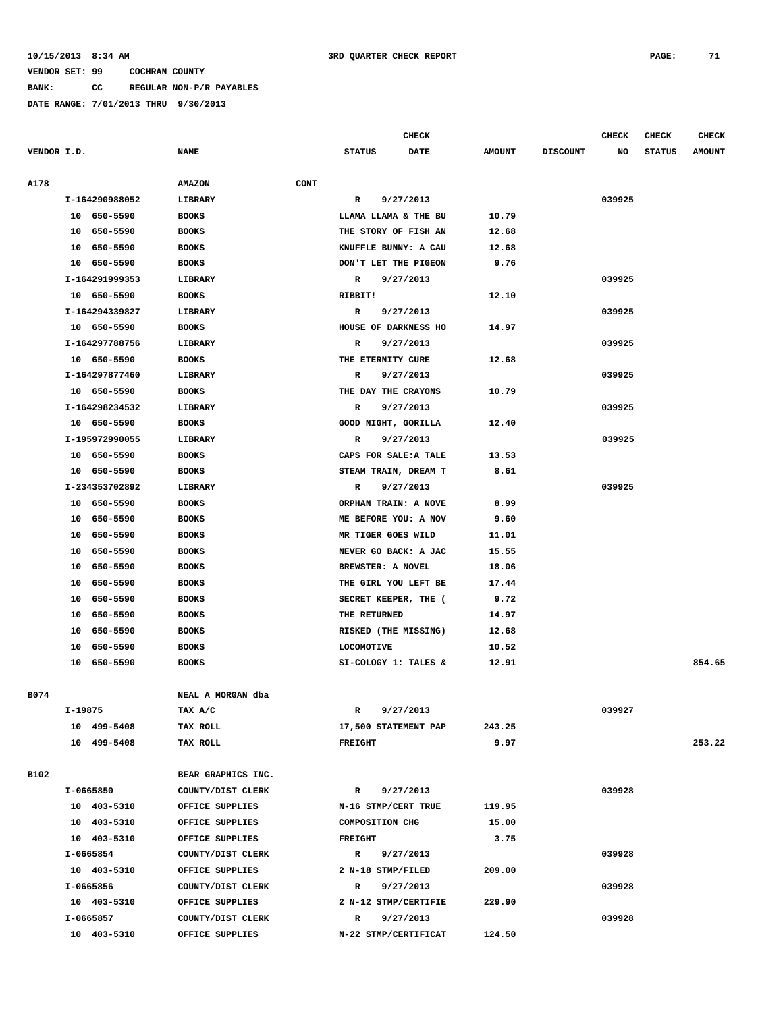**BANK: CC REGULAR NON-P/R PAYABLES**

**DATE RANGE: 7/01/2013 THRU 9/30/2013**

**CHECK CHECK CHECK CHECK** 

| VENDOR I.D. |                | <b>NAME</b>        |             | <b>STATUS</b>         | <b>DATE</b> | <b>AMOUNT</b> | <b>DISCOUNT</b> | NO     | <b>STATUS</b> | <b>AMOUNT</b> |
|-------------|----------------|--------------------|-------------|-----------------------|-------------|---------------|-----------------|--------|---------------|---------------|
| A178        |                | <b>AMAZON</b>      | <b>CONT</b> |                       |             |               |                 |        |               |               |
|             | I-164290988052 | LIBRARY            |             | R                     | 9/27/2013   |               |                 | 039925 |               |               |
|             | 10 650-5590    | <b>BOOKS</b>       |             | LLAMA LLAMA & THE BU  |             | 10.79         |                 |        |               |               |
|             | 10 650-5590    | <b>BOOKS</b>       |             | THE STORY OF FISH AN  |             | 12.68         |                 |        |               |               |
|             | 10 650-5590    | <b>BOOKS</b>       |             | KNUFFLE BUNNY: A CAU  |             | 12.68         |                 |        |               |               |
|             | 10 650-5590    | <b>BOOKS</b>       |             | DON'T LET THE PIGEON  |             | 9.76          |                 |        |               |               |
|             | I-164291999353 | LIBRARY            |             | $\mathbb{R}$          | 9/27/2013   |               |                 | 039925 |               |               |
|             | 10 650-5590    | <b>BOOKS</b>       |             | RIBBIT!               |             | 12.10         |                 |        |               |               |
|             | I-164294339827 | LIBRARY            |             | R                     | 9/27/2013   |               |                 | 039925 |               |               |
|             | 10 650-5590    | <b>BOOKS</b>       |             | HOUSE OF DARKNESS HO  |             | 14.97         |                 |        |               |               |
|             | I-164297788756 | LIBRARY            |             | R                     | 9/27/2013   |               |                 | 039925 |               |               |
|             | 10 650-5590    | <b>BOOKS</b>       |             | THE ETERNITY CURE     |             | 12.68         |                 |        |               |               |
|             | I-164297877460 | LIBRARY            |             | R                     | 9/27/2013   |               |                 | 039925 |               |               |
|             | 10 650-5590    | <b>BOOKS</b>       |             | THE DAY THE CRAYONS   |             | 10.79         |                 |        |               |               |
|             | I-164298234532 | LIBRARY            |             | R                     | 9/27/2013   |               |                 | 039925 |               |               |
|             | 10 650-5590    | <b>BOOKS</b>       |             | GOOD NIGHT, GORILLA   |             | 12.40         |                 |        |               |               |
|             | I-195972990055 | LIBRARY            |             | R                     | 9/27/2013   |               |                 | 039925 |               |               |
|             | 10 650-5590    | <b>BOOKS</b>       |             | CAPS FOR SALE: A TALE |             | 13.53         |                 |        |               |               |
|             | 10 650-5590    | <b>BOOKS</b>       |             | STEAM TRAIN, DREAM T  |             | 8.61          |                 |        |               |               |
|             | I-234353702892 | LIBRARY            |             | R                     | 9/27/2013   |               |                 | 039925 |               |               |
|             | 10 650-5590    | <b>BOOKS</b>       |             | ORPHAN TRAIN: A NOVE  |             | 8.99          |                 |        |               |               |
|             | 10 650-5590    | <b>BOOKS</b>       |             | ME BEFORE YOU: A NOV  |             | 9.60          |                 |        |               |               |
|             | 10 650-5590    | <b>BOOKS</b>       |             | MR TIGER GOES WILD    |             | 11.01         |                 |        |               |               |
|             | 10 650-5590    | <b>BOOKS</b>       |             | NEVER GO BACK: A JAC  |             | 15.55         |                 |        |               |               |
|             | 10 650-5590    | <b>BOOKS</b>       |             | BREWSTER: A NOVEL     |             | 18.06         |                 |        |               |               |
|             | 650-5590<br>10 | <b>BOOKS</b>       |             | THE GIRL YOU LEFT BE  |             | 17.44         |                 |        |               |               |
|             | 10 650-5590    | <b>BOOKS</b>       |             | SECRET KEEPER, THE (  |             | 9.72          |                 |        |               |               |
|             | 10 650-5590    | <b>BOOKS</b>       |             | THE RETURNED          |             | 14.97         |                 |        |               |               |
|             | 10 650-5590    | <b>BOOKS</b>       |             | RISKED (THE MISSING)  |             | 12.68         |                 |        |               |               |
|             | 10 650-5590    | <b>BOOKS</b>       |             | <b>LOCOMOTIVE</b>     |             | 10.52         |                 |        |               |               |
|             | 10 650-5590    | <b>BOOKS</b>       |             | SI-COLOGY 1: TALES &  |             | 12.91         |                 |        |               | 854.65        |
|             |                |                    |             |                       |             |               |                 |        |               |               |
| B074        |                | NEAL A MORGAN dba  |             |                       |             |               |                 |        |               |               |
|             | I-19875        | TAX A/C            |             | R                     | 9/27/2013   |               |                 | 039927 |               |               |
|             | 10 499-5408    | TAX ROLL           |             | 17,500 STATEMENT PAP  |             | 243.25        |                 |        |               |               |
|             | 10 499-5408    | TAX ROLL           |             | <b>FREIGHT</b>        |             | 9.97          |                 |        |               | 253.22        |
|             |                |                    |             |                       |             |               |                 |        |               |               |
| B102        |                | BEAR GRAPHICS INC. |             |                       |             |               |                 |        |               |               |
|             | I-0665850      | COUNTY/DIST CLERK  |             | R 9/27/2013           |             |               |                 | 039928 |               |               |
|             | 10 403-5310    | OFFICE SUPPLIES    |             | N-16 STMP/CERT TRUE   |             | 119.95        |                 |        |               |               |
|             | 10 403-5310    | OFFICE SUPPLIES    |             | COMPOSITION CHG       |             | 15.00         |                 |        |               |               |
|             | 10 403-5310    | OFFICE SUPPLIES    |             | <b>FREIGHT</b>        |             | 3.75          |                 |        |               |               |
|             | I-0665854      | COUNTY/DIST CLERK  |             | R 9/27/2013           |             |               |                 | 039928 |               |               |
|             | 10 403-5310    | OFFICE SUPPLIES    |             | 2 N-18 STMP/FILED     |             | 209.00        |                 |        |               |               |
|             | I-0665856      | COUNTY/DIST CLERK  |             | $\mathbb{R}$          | 9/27/2013   |               |                 | 039928 |               |               |
|             | 10 403-5310    | OFFICE SUPPLIES    |             | 2 N-12 STMP/CERTIFIE  |             | 229.90        |                 |        |               |               |
|             | I-0665857      | COUNTY/DIST CLERK  |             | R 9/27/2013           |             |               |                 | 039928 |               |               |
|             | 10 403-5310    | OFFICE SUPPLIES    |             | N-22 STMP/CERTIFICAT  |             | 124.50        |                 |        |               |               |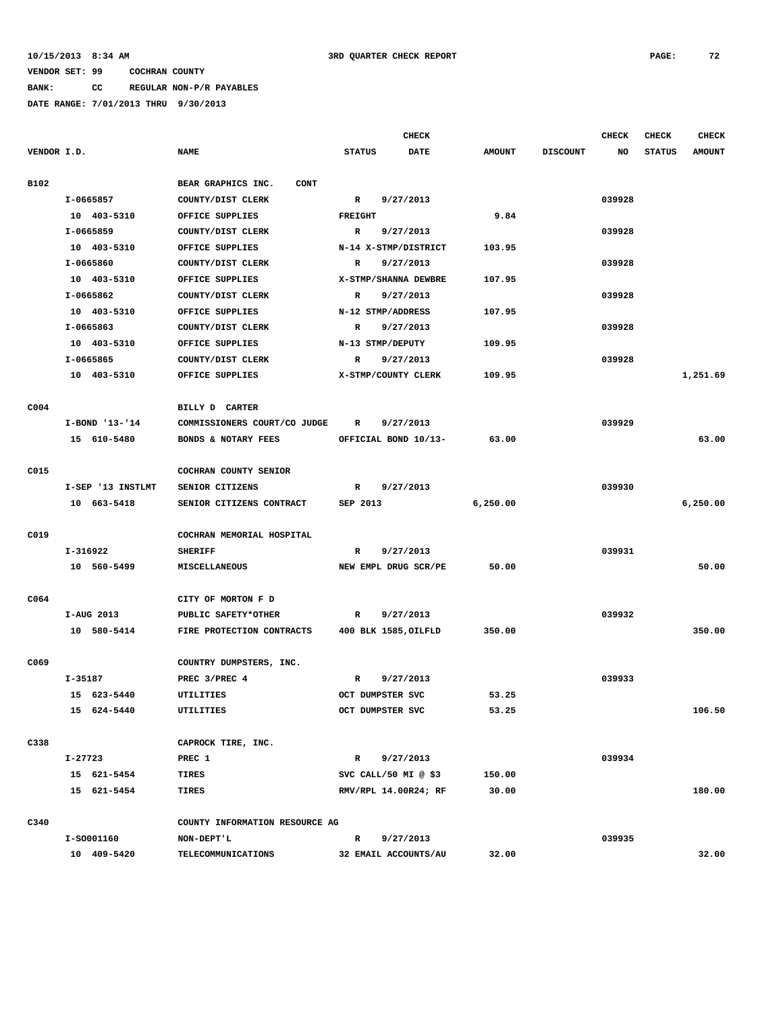# **BANK: CC REGULAR NON-P/R PAYABLES**

|                  |                                |                              |                           | <b>CHECK</b> |               |                 | <b>CHECK</b> | <b>CHECK</b>  | <b>CHECK</b>  |
|------------------|--------------------------------|------------------------------|---------------------------|--------------|---------------|-----------------|--------------|---------------|---------------|
| VENDOR I.D.      |                                | <b>NAME</b>                  | <b>STATUS</b>             | <b>DATE</b>  | <b>AMOUNT</b> | <b>DISCOUNT</b> | NO           | <b>STATUS</b> | <b>AMOUNT</b> |
| B102             |                                | BEAR GRAPHICS INC.<br>CONT   |                           |              |               |                 |              |               |               |
|                  | I-0665857                      | COUNTY/DIST CLERK            | $\mathbb{R}$              | 9/27/2013    |               |                 | 039928       |               |               |
|                  | 10 403-5310                    | OFFICE SUPPLIES              | <b>FREIGHT</b>            |              | 9.84          |                 |              |               |               |
|                  | I-0665859                      | COUNTY/DIST CLERK            | R                         | 9/27/2013    |               |                 | 039928       |               |               |
|                  | 10 403-5310                    | OFFICE SUPPLIES              | N-14 X-STMP/DISTRICT      |              | 103.95        |                 |              |               |               |
|                  | I-0665860                      | COUNTY/DIST CLERK            | $\mathbb{R}$<br>9/27/2013 |              |               |                 | 039928       |               |               |
|                  | 10 403-5310                    | OFFICE SUPPLIES              | X-STMP/SHANNA DEWBRE      |              | 107.95        |                 |              |               |               |
|                  | I-0665862                      | COUNTY/DIST CLERK            | 9/27/2013<br>R            |              |               |                 | 039928       |               |               |
|                  | 10 403-5310                    | OFFICE SUPPLIES              | N-12 STMP/ADDRESS         |              | 107.95        |                 |              |               |               |
|                  | I-0665863                      | COUNTY/DIST CLERK            | R                         | 9/27/2013    |               |                 | 039928       |               |               |
|                  | 10 403-5310                    | OFFICE SUPPLIES              | N-13 STMP/DEPUTY          |              | 109.95        |                 |              |               |               |
|                  | I-0665865                      | COUNTY/DIST CLERK            | R                         | 9/27/2013    |               |                 | 039928       |               |               |
|                  | 10 403-5310                    | OFFICE SUPPLIES              | X-STMP/COUNTY CLERK       |              | 109.95        |                 |              |               | 1,251.69      |
| C <sub>004</sub> |                                | BILLY D CARTER               |                           |              |               |                 |              |               |               |
|                  | I-BOND '13-'14                 | COMMISSIONERS COURT/CO JUDGE | R                         | 9/27/2013    |               |                 | 039929       |               |               |
|                  | 15 610-5480                    | BONDS & NOTARY FEES          | OFFICIAL BOND 10/13-      |              | 63.00         |                 |              |               | 63.00         |
| C015             |                                | COCHRAN COUNTY SENIOR        |                           |              |               |                 |              |               |               |
|                  | I-SEP '13 INSTLMT              | SENIOR CITIZENS              | R                         | 9/27/2013    |               |                 | 039930       |               |               |
|                  | 10 663-5418                    | SENIOR CITIZENS CONTRACT     | SEP 2013                  |              | 6, 250.00     |                 |              |               | 6,250.00      |
| C019             |                                | COCHRAN MEMORIAL HOSPITAL    |                           |              |               |                 |              |               |               |
|                  | I-316922                       | <b>SHERIFF</b>               | $\mathbb{R}$              | 9/27/2013    |               |                 | 039931       |               |               |
|                  | 10 560-5499                    | <b>MISCELLANEOUS</b>         | NEW EMPL DRUG SCR/PE      |              | 50.00         |                 |              |               | 50.00         |
| C064             |                                | CITY OF MORTON F D           |                           |              |               |                 |              |               |               |
|                  | I-AUG 2013                     | PUBLIC SAFETY*OTHER          | $\mathbb{R}$              | 9/27/2013    |               |                 | 039932       |               |               |
|                  | 10 580-5414                    | FIRE PROTECTION CONTRACTS    | 400 BLK 1585, OILFLD      |              | 350.00        |                 |              |               | 350.00        |
|                  |                                |                              |                           |              |               |                 |              |               |               |
| C069             |                                | COUNTRY DUMPSTERS, INC.      |                           |              |               |                 |              |               |               |
|                  | I-35187                        | PREC 3/PREC 4                | R                         | 9/27/2013    |               |                 | 039933       |               |               |
|                  | 15 623-5440                    | <b>UTILITIES</b>             | OCT DUMPSTER SVC          |              | 53.25         |                 |              |               |               |
|                  | 15 624-5440                    | UTILITIES                    | OCT DUMPSTER SVC          |              | 53.25         |                 |              |               | 106.50        |
| C338             |                                | CAPROCK TIRE, INC.           |                           |              |               |                 |              |               |               |
|                  | I-27723                        | PREC 1                       | $\mathbb{R}$              | 9/27/2013    |               |                 | 039934       |               |               |
|                  | 15 621-5454                    | <b>TIRES</b>                 | SVC CALL/50 MI $@$ \$3    |              | 150.00        |                 |              |               |               |
|                  | 15 621-5454                    | <b>TIRES</b>                 | RMV/RPL 14.00R24; RF      |              | 30.00         |                 |              |               | 180.00        |
| C340             | COUNTY INFORMATION RESOURCE AG |                              |                           |              |               |                 |              |               |               |
|                  | I-S0001160                     | NON-DEPT'L                   | $\mathbb{R}$              | 9/27/2013    |               |                 | 039935       |               |               |
|                  | 10 409-5420                    | TELECOMMUNICATIONS           | 32 EMAIL ACCOUNTS/AU      |              | 32.00         |                 |              |               | 32.00         |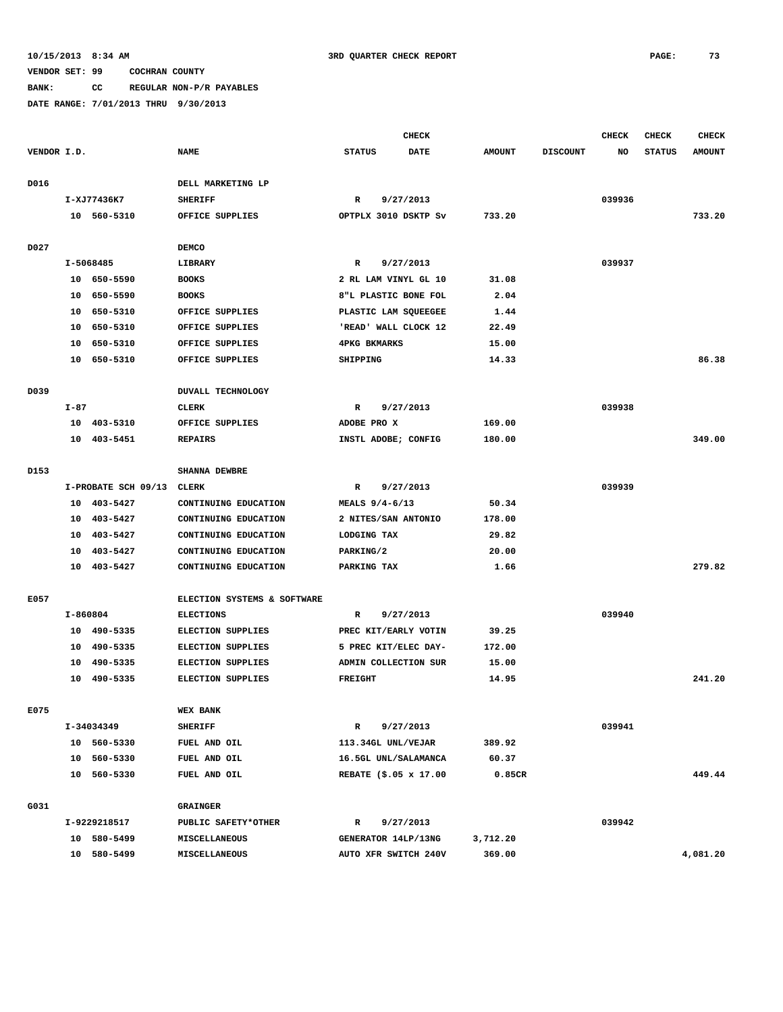**BANK: CC REGULAR NON-P/R PAYABLES**

|             |          |                     |                             |                     | <b>CHECK</b>          |               |                 | <b>CHECK</b> | CHECK         | <b>CHECK</b>  |
|-------------|----------|---------------------|-----------------------------|---------------------|-----------------------|---------------|-----------------|--------------|---------------|---------------|
| VENDOR I.D. |          |                     | <b>NAME</b>                 | <b>STATUS</b>       | DATE                  | <b>AMOUNT</b> | <b>DISCOUNT</b> | NO           | <b>STATUS</b> | <b>AMOUNT</b> |
| D016        |          |                     | DELL MARKETING LP           |                     |                       |               |                 |              |               |               |
|             |          | I-XJ77436K7         | <b>SHERIFF</b>              | R                   | 9/27/2013             |               |                 | 039936       |               |               |
|             |          | 10 560-5310         | OFFICE SUPPLIES             |                     | OPTPLX 3010 DSKTP Sv  | 733.20        |                 |              |               | 733.20        |
| D027        |          |                     | <b>DEMCO</b>                |                     |                       |               |                 |              |               |               |
|             |          | I-5068485           | LIBRARY                     | $\mathbb{R}$        | 9/27/2013             |               |                 | 039937       |               |               |
|             |          | 10 650-5590         | <b>BOOKS</b>                |                     | 2 RL LAM VINYL GL 10  | 31.08         |                 |              |               |               |
|             | 10       | 650-5590            | <b>BOOKS</b>                |                     | 8"L PLASTIC BONE FOL  | 2.04          |                 |              |               |               |
|             | 10       | 650-5310            | OFFICE SUPPLIES             |                     | PLASTIC LAM SQUEEGEE  | 1.44          |                 |              |               |               |
|             | 10       | 650-5310            | OFFICE SUPPLIES             |                     | 'READ' WALL CLOCK 12  | 22.49         |                 |              |               |               |
|             | 10       | 650-5310            | OFFICE SUPPLIES             | <b>4PKG BKMARKS</b> |                       | 15.00         |                 |              |               |               |
|             |          | 10 650-5310         | OFFICE SUPPLIES             | SHIPPING            |                       | 14.33         |                 |              |               | 86.38         |
|             |          |                     |                             |                     |                       |               |                 |              |               |               |
| D039        |          |                     | <b>DUVALL TECHNOLOGY</b>    |                     |                       |               |                 |              |               |               |
|             | $I-87$   |                     | <b>CLERK</b>                | R                   | 9/27/2013             |               |                 | 039938       |               |               |
|             |          | 10 403-5310         | OFFICE SUPPLIES             | ADOBE PRO X         |                       | 169.00        |                 |              |               |               |
|             | 10       | 403-5451            | <b>REPAIRS</b>              |                     | INSTL ADOBE; CONFIG   | 180.00        |                 |              |               | 349.00        |
| D153        |          |                     | <b>SHANNA DEWBRE</b>        |                     |                       |               |                 |              |               |               |
|             |          |                     |                             |                     |                       |               |                 | 039939       |               |               |
|             |          | I-PROBATE SCH 09/13 | CLERK                       | R                   | 9/27/2013             |               |                 |              |               |               |
|             | 10       | 403-5427            | CONTINUING EDUCATION        | MEALS $9/4-6/13$    |                       | 50.34         |                 |              |               |               |
|             | 10       | 403-5427            | CONTINUING EDUCATION        |                     | 2 NITES/SAN ANTONIO   | 178.00        |                 |              |               |               |
|             | 10<br>10 | 403-5427            | CONTINUING EDUCATION        | LODGING TAX         |                       | 29.82         |                 |              |               |               |
|             |          | 403-5427            | CONTINUING EDUCATION        | PARKING/2           |                       | 20.00         |                 |              |               | 279.82        |
|             |          | 10 403-5427         | CONTINUING EDUCATION        | PARKING TAX         |                       | 1.66          |                 |              |               |               |
| E057        |          |                     | ELECTION SYSTEMS & SOFTWARE |                     |                       |               |                 |              |               |               |
|             | I-860804 |                     | <b>ELECTIONS</b>            | R                   | 9/27/2013             |               |                 | 039940       |               |               |
|             |          | 10 490-5335         | <b>ELECTION SUPPLIES</b>    |                     | PREC KIT/EARLY VOTIN  | 39.25         |                 |              |               |               |
|             | 10       | 490-5335            | <b>ELECTION SUPPLIES</b>    |                     | 5 PREC KIT/ELEC DAY-  | 172.00        |                 |              |               |               |
|             | 10       | 490-5335            | <b>ELECTION SUPPLIES</b>    |                     | ADMIN COLLECTION SUR  | 15.00         |                 |              |               |               |
|             | 10       | 490-5335            | <b>ELECTION SUPPLIES</b>    | <b>FREIGHT</b>      |                       | 14.95         |                 |              |               | 241.20        |
| E075        |          |                     | <b>WEX BANK</b>             |                     |                       |               |                 |              |               |               |
|             |          | I-34034349          | <b>SHERIFF</b>              | R                   | 9/27/2013             |               |                 | 039941       |               |               |
|             |          | 10 560-5330         | FUEL AND OIL                |                     | 113.34GL UNL/VEJAR    | 389.92        |                 |              |               |               |
|             |          | 10 560-5330         | FUEL AND OIL                |                     | 16.5GL UNL/SALAMANCA  | 60.37         |                 |              |               |               |
|             |          | 10 560-5330         | FUEL AND OIL                |                     | REBATE (\$.05 x 17.00 | 0.85CR        |                 |              |               | 449.44        |
|             |          |                     |                             |                     |                       |               |                 |              |               |               |
| G031        |          |                     | <b>GRAINGER</b>             |                     |                       |               |                 |              |               |               |
|             |          | I-9229218517        | PUBLIC SAFETY*OTHER         | R                   | 9/27/2013             |               |                 | 039942       |               |               |
|             |          | 10 580-5499         | MISCELLANEOUS               |                     | GENERATOR 14LP/13NG   | 3,712.20      |                 |              |               |               |
|             |          | 10 580-5499         | MISCELLANEOUS               |                     | AUTO XFR SWITCH 240V  | 369.00        |                 |              |               | 4,081.20      |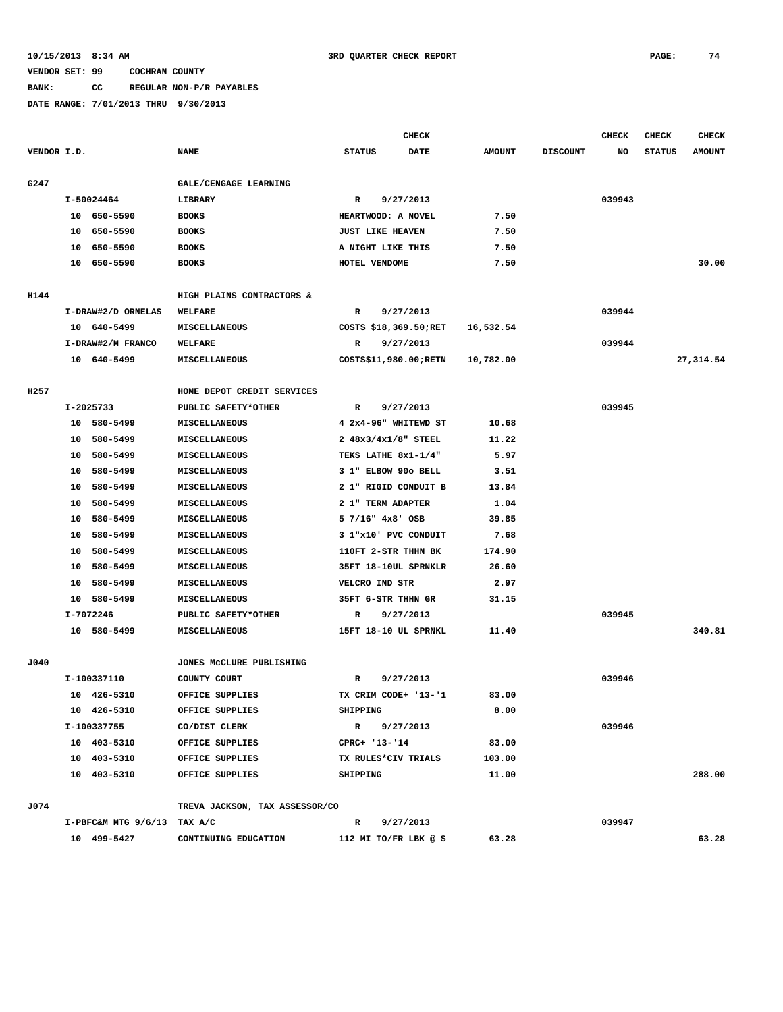# **BANK: CC REGULAR NON-P/R PAYABLES**

|             |    |                             |                                |                         | <b>CHECK</b> |               |                 | <b>CHECK</b> | <b>CHECK</b>  | <b>CHECK</b>  |
|-------------|----|-----------------------------|--------------------------------|-------------------------|--------------|---------------|-----------------|--------------|---------------|---------------|
| VENDOR I.D. |    |                             | <b>NAME</b>                    | <b>STATUS</b>           | DATE         | <b>AMOUNT</b> | <b>DISCOUNT</b> | NO           | <b>STATUS</b> | <b>AMOUNT</b> |
| G247        |    |                             | GALE/CENGAGE LEARNING          |                         |              |               |                 |              |               |               |
|             |    | I-50024464                  | LIBRARY                        | R                       | 9/27/2013    |               |                 | 039943       |               |               |
|             |    | 10 650-5590                 | <b>BOOKS</b>                   | HEARTWOOD: A NOVEL      |              | 7.50          |                 |              |               |               |
|             | 10 | 650-5590                    | <b>BOOKS</b>                   | <b>JUST LIKE HEAVEN</b> |              | 7.50          |                 |              |               |               |
|             |    | 10 650-5590                 | <b>BOOKS</b>                   | A NIGHT LIKE THIS       |              | 7.50          |                 |              |               |               |
|             |    | 10 650-5590                 | <b>BOOKS</b>                   | HOTEL VENDOME           |              | 7.50          |                 |              |               | 30.00         |
|             |    |                             |                                |                         |              |               |                 |              |               |               |
| H144        |    |                             | HIGH PLAINS CONTRACTORS &      |                         |              |               |                 |              |               |               |
|             |    | I-DRAW#2/D ORNELAS          | WELFARE                        | R                       | 9/27/2013    |               |                 | 039944       |               |               |
|             |    | 10 640-5499                 | MISCELLANEOUS                  | COSTS \$18,369.50; RET  |              | 16,532.54     |                 |              |               |               |
|             |    | I-DRAW#2/M FRANCO           | <b>WELFARE</b>                 | 9/27/2013<br>R          |              |               |                 | 039944       |               |               |
|             |    | 10 640-5499                 | MISCELLANEOUS                  | COSTS\$11,980.00; RETN  |              | 10,782.00     |                 |              |               | 27,314.54     |
|             |    |                             |                                |                         |              |               |                 |              |               |               |
| H257        |    |                             | HOME DEPOT CREDIT SERVICES     |                         |              |               |                 |              |               |               |
|             |    | I-2025733                   | PUBLIC SAFETY*OTHER            | R                       | 9/27/2013    |               |                 | 039945       |               |               |
|             |    | 10 580-5499                 | MISCELLANEOUS                  | 4 2x4-96" WHITEWD ST    |              | 10.68         |                 |              |               |               |
|             |    | 10 580-5499                 | <b>MISCELLANEOUS</b>           | 2 48x3/4x1/8" STEEL     |              | 11.22         |                 |              |               |               |
|             | 10 | 580-5499                    | MISCELLANEOUS                  | TEKS LATHE 8x1-1/4"     |              | 5.97          |                 |              |               |               |
|             | 10 | 580-5499                    | <b>MISCELLANEOUS</b>           | 3 1" ELBOW 90o BELL     |              | 3.51          |                 |              |               |               |
|             | 10 | 580-5499                    | MISCELLANEOUS                  | 2 1" RIGID CONDUIT B    |              | 13.84         |                 |              |               |               |
|             | 10 | 580-5499                    | MISCELLANEOUS                  | 2 1" TERM ADAPTER       |              | 1.04          |                 |              |               |               |
|             | 10 | 580-5499                    | MISCELLANEOUS                  | $57/16$ " $4x8$ ' OSB   |              | 39.85         |                 |              |               |               |
|             | 10 | 580-5499                    | MISCELLANEOUS                  | 3 1"x10' PVC CONDUIT    |              | 7.68          |                 |              |               |               |
|             |    | 10 580-5499                 | MISCELLANEOUS                  | 110FT 2-STR THHN BK     |              | 174.90        |                 |              |               |               |
|             | 10 | 580-5499                    | <b>MISCELLANEOUS</b>           | 35FT 18-10UL SPRNKLR    |              | 26.60         |                 |              |               |               |
|             | 10 | 580-5499                    | MISCELLANEOUS                  | VELCRO IND STR          |              | 2.97          |                 |              |               |               |
|             |    | 10 580-5499                 | MISCELLANEOUS                  | 35FT 6-STR THHN GR      |              | 31.15         |                 |              |               |               |
|             |    | I-7072246                   | PUBLIC SAFETY*OTHER            | R                       | 9/27/2013    |               |                 | 039945       |               |               |
|             |    | 10 580-5499                 | MISCELLANEOUS                  | 15FT 18-10 UL SPRNKL    |              | 11.40         |                 |              |               | 340.81        |
| J040        |    |                             | JONES MCCLURE PUBLISHING       |                         |              |               |                 |              |               |               |
|             |    | I-100337110                 | COUNTY COURT                   | R                       | 9/27/2013    |               |                 | 039946       |               |               |
|             |    | 10 426-5310                 | OFFICE SUPPLIES                | TX CRIM CODE+ '13-'1    |              | 83.00         |                 |              |               |               |
|             |    | 10 426-5310                 | OFFICE SUPPLIES                | SHIPPING                |              | 8.00          |                 |              |               |               |
|             |    | I-100337755                 | CO/DIST CLERK                  | R 9/27/2013             |              |               |                 | 039946       |               |               |
|             |    | 10 403-5310                 | OFFICE SUPPLIES                | CPRC+ '13-'14           |              | 83.00         |                 |              |               |               |
|             |    | 10 403-5310                 | OFFICE SUPPLIES                | TX RULES*CIV TRIALS     |              | 103.00        |                 |              |               |               |
|             |    | 10 403-5310                 | OFFICE SUPPLIES                | SHIPPING                |              | 11.00         |                 |              |               | 288.00        |
|             |    |                             |                                |                         |              |               |                 |              |               |               |
| J074        |    |                             | TREVA JACKSON, TAX ASSESSOR/CO |                         |              |               |                 |              |               |               |
|             |    | I-PBFC&M MTG 9/6/13 TAX A/C |                                | R 9/27/2013             |              |               |                 | 039947       |               |               |
|             |    | 10 499-5427                 | CONTINUING EDUCATION           | 112 MI TO/FR LBK $@$ \$ |              | 63.28         |                 |              |               | 63.28         |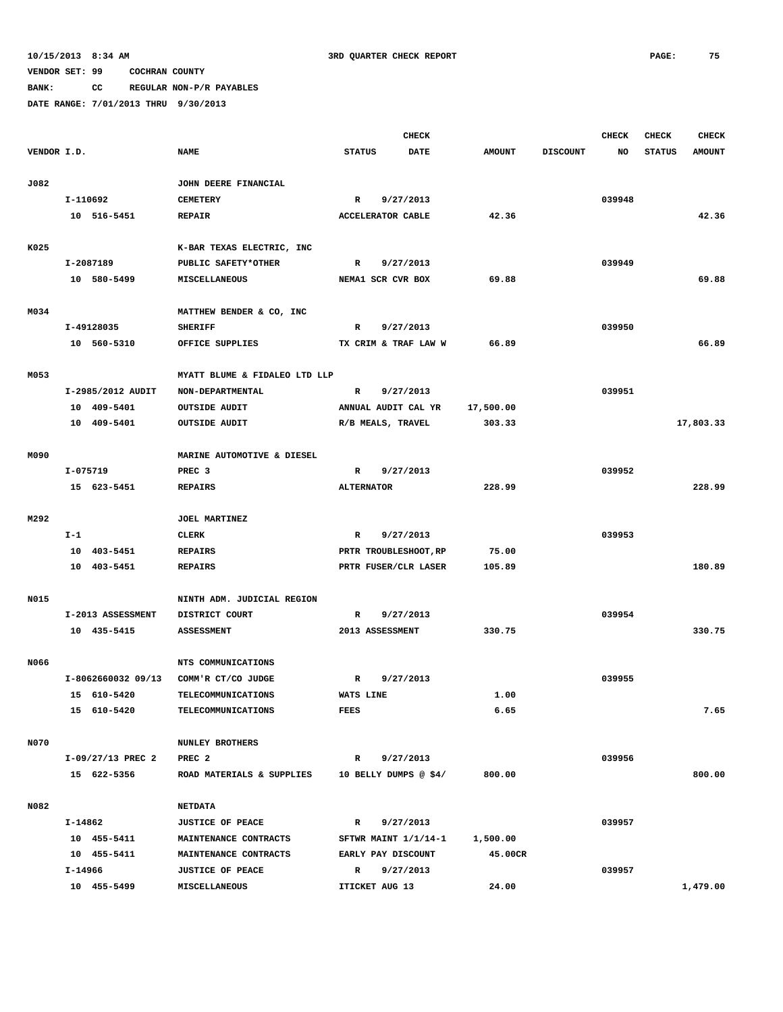## **BANK: CC REGULAR NON-P/R PAYABLES**

|             |          |                                   |                               |                   | <b>CHECK</b>             |               |                 | <b>CHECK</b> | <b>CHECK</b>  | <b>CHECK</b>  |
|-------------|----------|-----------------------------------|-------------------------------|-------------------|--------------------------|---------------|-----------------|--------------|---------------|---------------|
| VENDOR I.D. |          |                                   | <b>NAME</b>                   | <b>STATUS</b>     | <b>DATE</b>              | <b>AMOUNT</b> | <b>DISCOUNT</b> | NO           | <b>STATUS</b> | <b>AMOUNT</b> |
|             |          |                                   |                               |                   |                          |               |                 |              |               |               |
| J082        |          |                                   | JOHN DEERE FINANCIAL          |                   |                          |               |                 |              |               |               |
|             | I-110692 |                                   | <b>CEMETERY</b>               | R                 | 9/27/2013                |               |                 | 039948       |               |               |
|             |          | 10 516-5451                       | <b>REPAIR</b>                 |                   | <b>ACCELERATOR CABLE</b> | 42.36         |                 |              |               | 42.36         |
|             |          |                                   |                               |                   |                          |               |                 |              |               |               |
| K025        |          |                                   | K-BAR TEXAS ELECTRIC, INC     |                   |                          |               |                 |              |               |               |
|             |          | I-2087189                         | PUBLIC SAFETY*OTHER           | R                 | 9/27/2013                |               |                 | 039949       |               |               |
|             |          | 10 580-5499                       | MISCELLANEOUS                 |                   | NEMA1 SCR CVR BOX        | 69.88         |                 |              |               | 69.88         |
| M034        |          |                                   | MATTHEW BENDER & CO, INC      |                   |                          |               |                 |              |               |               |
|             |          | I-49128035                        | <b>SHERIFF</b>                | R                 | 9/27/2013                |               |                 | 039950       |               |               |
|             |          | 10 560-5310                       | OFFICE SUPPLIES               |                   | TX CRIM & TRAF LAW W     | 66.89         |                 |              |               | 66.89         |
|             |          |                                   |                               |                   |                          |               |                 |              |               |               |
| M053        |          |                                   | MYATT BLUME & FIDALEO LTD LLP |                   |                          |               |                 |              |               |               |
|             |          | I-2985/2012 AUDIT                 | NON-DEPARTMENTAL              | R                 | 9/27/2013                |               |                 | 039951       |               |               |
|             |          | 10 409-5401                       | <b>OUTSIDE AUDIT</b>          |                   | ANNUAL AUDIT CAL YR      | 17,500.00     |                 |              |               |               |
|             |          | 10 409-5401                       | <b>OUTSIDE AUDIT</b>          |                   | R/B MEALS, TRAVEL        | 303.33        |                 |              |               | 17,803.33     |
|             |          |                                   |                               |                   |                          |               |                 |              |               |               |
| M090        |          |                                   | MARINE AUTOMOTIVE & DIESEL    |                   |                          |               |                 |              |               |               |
|             |          | I-075719                          | PREC <sub>3</sub>             | $\mathbb{R}$      | 9/27/2013                |               |                 | 039952       |               |               |
|             |          | 15 623-5451                       | <b>REPAIRS</b>                | <b>ALTERNATOR</b> |                          | 228.99        |                 |              |               | 228.99        |
|             |          |                                   |                               |                   |                          |               |                 |              |               |               |
| M292        |          |                                   | JOEL MARTINEZ                 |                   |                          |               |                 |              |               |               |
|             | $I-1$    |                                   | CLERK                         | R                 | 9/27/2013                |               |                 | 039953       |               |               |
|             |          | 10 403-5451                       | <b>REPAIRS</b>                |                   | PRTR TROUBLESHOOT, RP    | 75.00         |                 |              |               |               |
|             |          | 10 403-5451                       | <b>REPAIRS</b>                |                   | PRTR FUSER/CLR LASER     | 105.89        |                 |              |               | 180.89        |
|             |          |                                   |                               |                   |                          |               |                 |              |               |               |
| N015        |          |                                   | NINTH ADM. JUDICIAL REGION    |                   |                          |               |                 |              |               |               |
|             |          | I-2013 ASSESSMENT                 | DISTRICT COURT                | R                 | 9/27/2013                |               |                 | 039954       |               |               |
|             |          | 10 435-5415                       | <b>ASSESSMENT</b>             |                   | 2013 ASSESSMENT          | 330.75        |                 |              |               | 330.75        |
|             |          |                                   |                               |                   |                          |               |                 |              |               |               |
| N066        |          |                                   | NTS COMMUNICATIONS            |                   |                          |               |                 |              |               |               |
|             |          | I-8062660032 09/13<br>15 610-5420 | COMM'R CT/CO JUDGE            | R                 | 9/27/2013                |               |                 | 039955       |               |               |
|             |          |                                   | TELECOMMUNICATIONS            | WATS LINE         |                          | 1.00          |                 |              |               |               |
|             |          | 15 610-5420                       | TELECOMMUNICATIONS            | FEES              |                          | 6.65          |                 |              |               | 7.65          |
| N070        |          |                                   | <b>NUNLEY BROTHERS</b>        |                   |                          |               |                 |              |               |               |
|             |          | I-09/27/13 PREC 2                 | PREC <sub>2</sub>             | $\mathbf{R}$      | 9/27/2013                |               |                 | 039956       |               |               |
|             |          | 15 622-5356                       | ROAD MATERIALS & SUPPLIES     |                   | 10 BELLY DUMPS @ \$4/    | 800.00        |                 |              |               | 800.00        |
|             |          |                                   |                               |                   |                          |               |                 |              |               |               |
| N082        |          |                                   | <b>NETDATA</b>                |                   |                          |               |                 |              |               |               |
|             | I-14862  |                                   | <b>JUSTICE OF PEACE</b>       | $\mathbb{R}$      | 9/27/2013                |               |                 | 039957       |               |               |
|             |          | 10 455-5411                       | <b>MAINTENANCE CONTRACTS</b>  |                   | SFTWR MAINT 1/1/14-1     | 1,500.00      |                 |              |               |               |
|             |          | 10 455-5411                       | MAINTENANCE CONTRACTS         |                   | EARLY PAY DISCOUNT       | 45.00CR       |                 |              |               |               |
|             | I-14966  |                                   | <b>JUSTICE OF PEACE</b>       | $\mathbb{R}$      | 9/27/2013                |               |                 | 039957       |               |               |
|             |          | 10 455-5499                       | MISCELLANEOUS                 |                   | ITICKET AUG 13           | 24.00         |                 |              |               | 1,479.00      |
|             |          |                                   |                               |                   |                          |               |                 |              |               |               |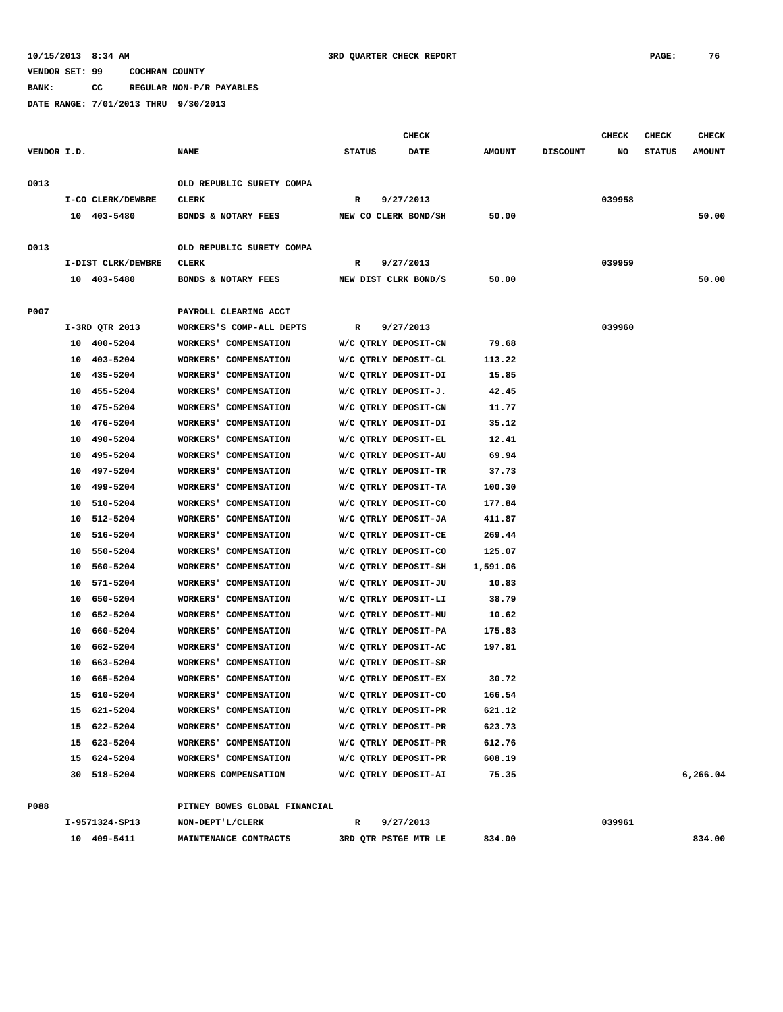### **10/15/2013 8:34 AM 3RD QUARTER CHECK REPORT PAGE: 76**

## **VENDOR SET: 99 COCHRAN COUNTY**

**BANK: CC REGULAR NON-P/R PAYABLES**

**DATE RANGE: 7/01/2013 THRU 9/30/2013**

|             |    |                    |                                          |               | <b>CHECK</b>         |               |                 | <b>CHECK</b> | <b>CHECK</b>  | <b>CHECK</b>  |
|-------------|----|--------------------|------------------------------------------|---------------|----------------------|---------------|-----------------|--------------|---------------|---------------|
| VENDOR I.D. |    |                    | <b>NAME</b>                              | <b>STATUS</b> | <b>DATE</b>          | <b>AMOUNT</b> | <b>DISCOUNT</b> | NO.          | <b>STATUS</b> | <b>AMOUNT</b> |
| 0013        |    |                    | OLD REPUBLIC SURETY COMPA                |               |                      |               |                 |              |               |               |
|             |    | I-CO CLERK/DEWBRE  | CLERK                                    | $\mathbb{R}$  | 9/27/2013            |               |                 | 039958       |               |               |
|             |    | 10 403-5480        | BONDS & NOTARY FEES NEW CO CLERK BOND/SH |               |                      | 50.00         |                 |              |               | 50.00         |
| 0013        |    |                    | OLD REPUBLIC SURETY COMPA                |               |                      |               |                 |              |               |               |
|             |    | I-DIST CLRK/DEWBRE | <b>CLERK</b>                             | $\mathbb{R}$  | 9/27/2013            |               |                 | 039959       |               |               |
|             |    | 10 403-5480        | BONDS & NOTARY FEES NEW DIST CLRK BOND/S |               |                      | 50.00         |                 |              |               | 50.00         |
| P007        |    |                    | PAYROLL CLEARING ACCT                    |               |                      |               |                 |              |               |               |
|             |    | I-3RD QTR 2013     | WORKERS'S COMP-ALL DEPTS R 9/27/2013     |               |                      |               |                 | 039960       |               |               |
|             |    | 10 400-5204        | WORKERS' COMPENSATION                    |               | W/C QTRLY DEPOSIT-CN | 79.68         |                 |              |               |               |
|             |    | 10 403-5204        | WORKERS' COMPENSATION                    |               | W/C QTRLY DEPOSIT-CL | 113.22        |                 |              |               |               |
|             |    | 10 435-5204        | WORKERS' COMPENSATION                    |               | W/C QTRLY DEPOSIT-DI | 15.85         |                 |              |               |               |
|             |    | 10 455-5204        | WORKERS' COMPENSATION                    |               | W/C QTRLY DEPOSIT-J. | 42.45         |                 |              |               |               |
|             |    | 10 475-5204        | WORKERS' COMPENSATION                    |               | W/C QTRLY DEPOSIT-CN | 11.77         |                 |              |               |               |
|             | 10 | 476-5204           | WORKERS' COMPENSATION                    |               | W/C QTRLY DEPOSIT-DI | 35.12         |                 |              |               |               |
|             |    | 10 490-5204        | WORKERS' COMPENSATION                    |               | W/C QTRLY DEPOSIT-EL | 12.41         |                 |              |               |               |
|             | 10 | 495-5204           | WORKERS' COMPENSATION                    |               | W/C QTRLY DEPOSIT-AU | 69.94         |                 |              |               |               |
|             | 10 | 497-5204           | WORKERS' COMPENSATION                    |               | W/C QTRLY DEPOSIT-TR | 37.73         |                 |              |               |               |
|             |    | 10 499-5204        | WORKERS' COMPENSATION                    |               | W/C QTRLY DEPOSIT-TA | 100.30        |                 |              |               |               |
|             |    | 10 510-5204        | WORKERS' COMPENSATION                    |               | W/C QTRLY DEPOSIT-CO | 177.84        |                 |              |               |               |

 **10 512-5204 WORKERS' COMPENSATION W/C QTRLY DEPOSIT-JA 411.87 10 516-5204 WORKERS' COMPENSATION W/C QTRLY DEPOSIT-CE 269.44 10 550-5204 WORKERS' COMPENSATION W/C QTRLY DEPOSIT-CO 125.07 10 560-5204 WORKERS' COMPENSATION W/C QTRLY DEPOSIT-SH 1,591.06 10 571-5204 WORKERS' COMPENSATION W/C QTRLY DEPOSIT-JU 10.83 10 650-5204 WORKERS' COMPENSATION W/C QTRLY DEPOSIT-LI 38.79 10 652-5204 WORKERS' COMPENSATION W/C QTRLY DEPOSIT-MU 10.62 10 660-5204 WORKERS' COMPENSATION W/C QTRLY DEPOSIT-PA 175.83 10 662-5204 WORKERS' COMPENSATION W/C QTRLY DEPOSIT-AC 197.81**

 **10 665-5204 WORKERS' COMPENSATION W/C QTRLY DEPOSIT-EX 30.72 15 610-5204 WORKERS' COMPENSATION W/C QTRLY DEPOSIT-CO 166.54 15 621-5204 WORKERS' COMPENSATION W/C QTRLY DEPOSIT-PR 621.12 15 622-5204 WORKERS' COMPENSATION W/C QTRLY DEPOSIT-PR 623.73 15 623-5204 WORKERS' COMPENSATION W/C QTRLY DEPOSIT-PR 612.76 15 624-5204 WORKERS' COMPENSATION W/C QTRLY DEPOSIT-PR 608.19**

 **10 663-5204 WORKERS' COMPENSATION W/C QTRLY DEPOSIT-SR**

| P088 |                | PITNEY BOWES GLOBAL FINANCIAL |                      |        |        |        |
|------|----------------|-------------------------------|----------------------|--------|--------|--------|
|      | I-9571324-SP13 | NON-DEPT'L/CLERK              | 9/27/2013            |        | 039961 |        |
|      | 409-5411<br>10 | MAINTENANCE CONTRACTS         | 3RD QTR PSTGE MTR LE | 834.00 |        | 834.00 |

 **30 518-5204 WORKERS COMPENSATION W/C QTRLY DEPOSIT-AI 75.35 6,266.04**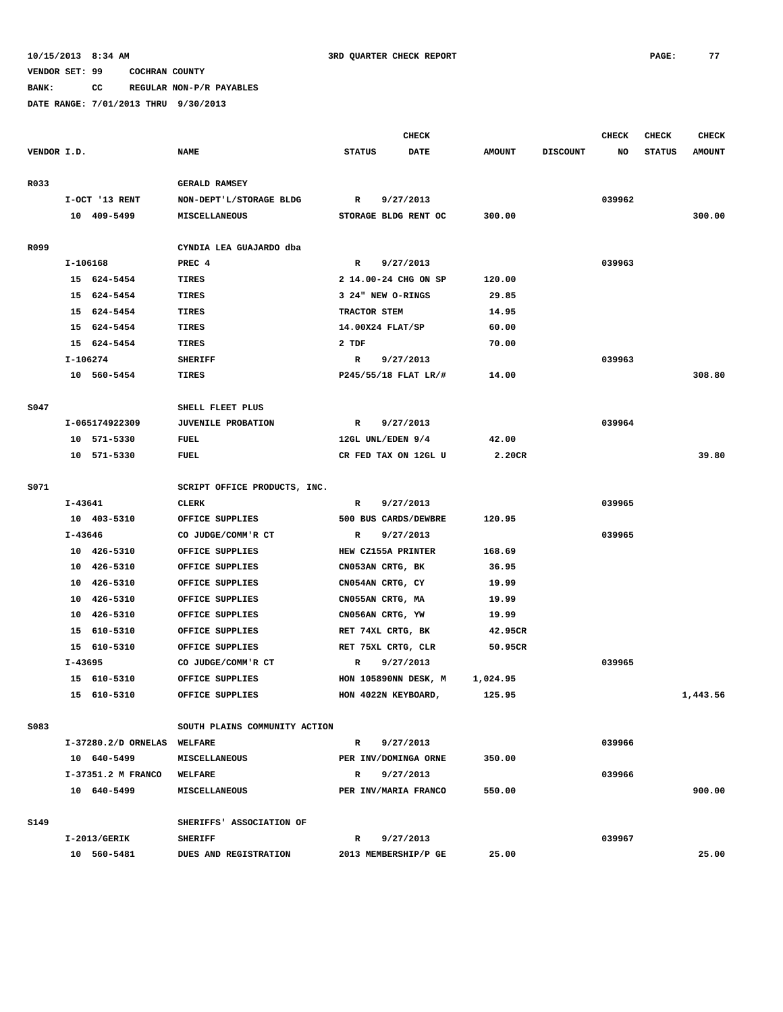# **BANK: CC REGULAR NON-P/R PAYABLES**

|             |          |                             |                               | <b>CHECK</b>  |                      |               |                 | CHECK  | <b>CHECK</b>  | <b>CHECK</b>  |
|-------------|----------|-----------------------------|-------------------------------|---------------|----------------------|---------------|-----------------|--------|---------------|---------------|
| VENDOR I.D. |          |                             | <b>NAME</b>                   | <b>STATUS</b> | <b>DATE</b>          | <b>AMOUNT</b> | <b>DISCOUNT</b> | NO     | <b>STATUS</b> | <b>AMOUNT</b> |
| R033        |          |                             | <b>GERALD RAMSEY</b>          |               |                      |               |                 |        |               |               |
|             |          | I-OCT '13 RENT              | NON-DEPT'L/STORAGE BLDG       | $\mathbb{R}$  | 9/27/2013            |               |                 | 039962 |               |               |
|             |          | 10 409-5499                 | MISCELLANEOUS                 |               | STORAGE BLDG RENT OC | 300.00        |                 |        |               | 300.00        |
|             |          |                             |                               |               |                      |               |                 |        |               |               |
| R099        |          |                             | CYNDIA LEA GUAJARDO dba       |               |                      |               |                 |        |               |               |
|             | I-106168 |                             | PREC 4                        | R             | 9/27/2013            |               |                 | 039963 |               |               |
|             |          | 15 624-5454                 | TIRES                         |               | 2 14.00-24 CHG ON SP | 120.00        |                 |        |               |               |
|             |          | 15 624-5454                 | TIRES                         |               | 3 24" NEW O-RINGS    | 29.85         |                 |        |               |               |
|             |          | 15 624-5454                 | <b>TIRES</b>                  | TRACTOR STEM  |                      | 14.95         |                 |        |               |               |
|             |          | 15 624-5454                 | <b>TIRES</b>                  |               | 14.00X24 FLAT/SP     | 60.00         |                 |        |               |               |
|             |          | 15 624-5454                 | <b>TIRES</b>                  | 2 TDF         |                      | 70.00         |                 |        |               |               |
|             | I-106274 |                             | <b>SHERIFF</b>                | R             | 9/27/2013            |               |                 | 039963 |               |               |
|             |          | 10 560-5454                 | TIRES                         |               | P245/55/18 FLAT LR/# | 14.00         |                 |        |               | 308.80        |
|             |          |                             |                               |               |                      |               |                 |        |               |               |
| S047        |          |                             | SHELL FLEET PLUS              |               |                      |               |                 |        |               |               |
|             |          | I-065174922309              | <b>JUVENILE PROBATION</b>     | R             | 9/27/2013            |               |                 | 039964 |               |               |
|             |          | 10 571-5330                 | FUEL                          |               | 12GL UNL/EDEN 9/4    | 42.00         |                 |        |               |               |
|             |          | 10 571-5330                 | FUEL                          |               | CR FED TAX ON 12GL U | 2.20CR        |                 |        |               | 39.80         |
| S071        |          |                             | SCRIPT OFFICE PRODUCTS, INC.  |               |                      |               |                 |        |               |               |
|             | I-43641  |                             | <b>CLERK</b>                  | R             | 9/27/2013            |               |                 | 039965 |               |               |
|             |          | 10 403-5310                 | OFFICE SUPPLIES               |               | 500 BUS CARDS/DEWBRE | 120.95        |                 |        |               |               |
|             | I-43646  |                             | CO JUDGE/COMM'R CT            | R             | 9/27/2013            |               |                 | 039965 |               |               |
|             |          | 10 426-5310                 | OFFICE SUPPLIES               |               | HEW CZ155A PRINTER   | 168.69        |                 |        |               |               |
|             |          | 10 426-5310                 | OFFICE SUPPLIES               |               | CN053AN CRTG, BK     | 36.95         |                 |        |               |               |
|             |          | 10 426-5310                 | OFFICE SUPPLIES               |               | CN054AN CRTG, CY     | 19.99         |                 |        |               |               |
|             |          | 10 426-5310                 | OFFICE SUPPLIES               |               | CN055AN CRTG, MA     | 19.99         |                 |        |               |               |
|             | 10       | 426-5310                    | OFFICE SUPPLIES               |               | CN056AN CRTG, YW     | 19.99         |                 |        |               |               |
|             |          | 15 610-5310                 | OFFICE SUPPLIES               |               | RET 74XL CRTG, BK    | 42.95CR       |                 |        |               |               |
|             |          | 15 610-5310                 | OFFICE SUPPLIES               |               | RET 75XL CRTG, CLR   | 50.95CR       |                 |        |               |               |
|             | I-43695  |                             | CO JUDGE/COMM'R CT            | R             | 9/27/2013            |               |                 | 039965 |               |               |
|             |          | 15 610-5310                 | OFFICE SUPPLIES               |               | HON 105890NN DESK, M | 1,024.95      |                 |        |               |               |
|             |          | 15 610-5310                 | OFFICE SUPPLIES               |               | HON 4022N KEYBOARD,  | 125.95        |                 |        |               | 1,443.56      |
|             |          |                             |                               |               |                      |               |                 |        |               |               |
| S083        |          |                             | SOUTH PLAINS COMMUNITY ACTION |               |                      |               |                 |        |               |               |
|             |          | I-37280.2/D ORNELAS WELFARE |                               | R             | 9/27/2013            |               |                 | 039966 |               |               |
|             |          | 10 640-5499                 | <b>MISCELLANEOUS</b>          |               | PER INV/DOMINGA ORNE | 350.00        |                 |        |               |               |
|             |          | I-37351.2 M FRANCO          | WELFARE                       | $\mathbb{R}$  | 9/27/2013            |               |                 | 039966 |               |               |
|             |          | 10 640-5499                 | <b>MISCELLANEOUS</b>          |               | PER INV/MARIA FRANCO | 550.00        |                 |        |               | 900.00        |
|             |          |                             |                               |               |                      |               |                 |        |               |               |
| S149        |          |                             | SHERIFFS' ASSOCIATION OF      |               |                      |               |                 |        |               |               |
|             |          | I-2013/GERIK                | <b>SHERIFF</b>                | R             | 9/27/2013            |               |                 | 039967 |               |               |
|             |          | 10 560-5481                 | DUES AND REGISTRATION         |               | 2013 MEMBERSHIP/P GE | 25.00         |                 |        |               | 25.00         |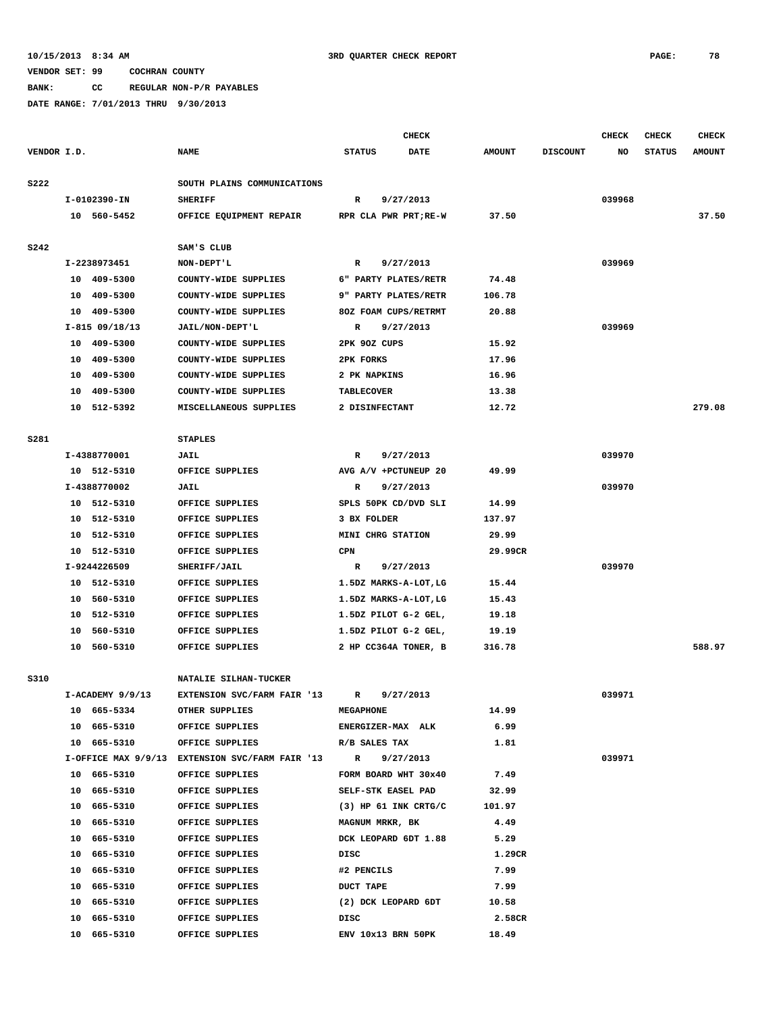**BANK: CC REGULAR NON-P/R PAYABLES**

|             |                  |                                                             |                     | <b>CHECK</b>             |               |                 | <b>CHECK</b> | <b>CHECK</b>  | <b>CHECK</b>  |
|-------------|------------------|-------------------------------------------------------------|---------------------|--------------------------|---------------|-----------------|--------------|---------------|---------------|
| VENDOR I.D. |                  | <b>NAME</b>                                                 | <b>STATUS</b>       | <b>DATE</b>              | <b>AMOUNT</b> | <b>DISCOUNT</b> | NO           | <b>STATUS</b> | <b>AMOUNT</b> |
| <b>S222</b> |                  | SOUTH PLAINS COMMUNICATIONS                                 |                     |                          |               |                 |              |               |               |
|             | I-0102390-IN     | <b>SHERIFF</b>                                              | R                   | 9/27/2013                |               |                 | 039968       |               |               |
|             | 10 560-5452      | OFFICE EQUIPMENT REPAIR                                     |                     | RPR CLA PWR PRT; RE-W    | 37.50         |                 |              |               | 37.50         |
| <b>S242</b> |                  | SAM'S CLUB                                                  |                     |                          |               |                 |              |               |               |
|             | I-2238973451     | NON-DEPT'L                                                  | R                   | 9/27/2013                |               |                 | 039969       |               |               |
|             | 10 409-5300      | COUNTY-WIDE SUPPLIES                                        |                     | 6" PARTY PLATES/RETR     | 74.48         |                 |              |               |               |
|             | 10 409-5300      | COUNTY-WIDE SUPPLIES                                        |                     | 9" PARTY PLATES/RETR     | 106.78        |                 |              |               |               |
|             | 10 409-5300      | COUNTY-WIDE SUPPLIES                                        |                     | 80Z FOAM CUPS/RETRMT     | 20.88         |                 |              |               |               |
|             | $I-815$ 09/18/13 | JAIL/NON-DEPT'L                                             | R                   | 9/27/2013                |               |                 | 039969       |               |               |
|             | 10 409-5300      | COUNTY-WIDE SUPPLIES                                        | 2PK 90Z CUPS        |                          | 15.92         |                 |              |               |               |
|             | 10 409-5300      | COUNTY-WIDE SUPPLIES                                        | 2PK FORKS           |                          | 17.96         |                 |              |               |               |
|             | 10 409-5300      | COUNTY-WIDE SUPPLIES                                        | 2 PK NAPKINS        |                          | 16.96         |                 |              |               |               |
|             | 10 409-5300      | COUNTY-WIDE SUPPLIES                                        | <b>TABLECOVER</b>   |                          | 13.38         |                 |              |               |               |
|             | 10 512-5392      | MISCELLANEOUS SUPPLIES                                      | 2 DISINFECTANT      |                          | 12.72         |                 |              |               | 279.08        |
| S281        |                  | <b>STAPLES</b>                                              |                     |                          |               |                 |              |               |               |
|             | I-4388770001     | JAIL                                                        | R                   | 9/27/2013                |               |                 | 039970       |               |               |
|             | 10 512-5310      | OFFICE SUPPLIES                                             |                     | AVG A/V +PCTUNEUP 20     | 49.99         |                 |              |               |               |
|             | I-4388770002     | JAIL                                                        | R                   | 9/27/2013                |               |                 | 039970       |               |               |
|             | 10 512-5310      | OFFICE SUPPLIES                                             |                     | SPLS 50PK CD/DVD SLI     | 14.99         |                 |              |               |               |
|             | 10 512-5310      | OFFICE SUPPLIES                                             | 3 BX FOLDER         |                          | 137.97        |                 |              |               |               |
|             | 10 512-5310      | OFFICE SUPPLIES                                             | MINI CHRG STATION   |                          | 29.99         |                 |              |               |               |
|             | 10 512-5310      | OFFICE SUPPLIES                                             | CPN                 |                          | 29.99CR       |                 |              |               |               |
|             | I-9244226509     | SHERIFF/JAIL                                                | R                   | 9/27/2013                |               |                 | 039970       |               |               |
|             | 10 512-5310      | OFFICE SUPPLIES                                             |                     | 1.5DZ MARKS-A-LOT, LG    | 15.44         |                 |              |               |               |
|             | 10 560-5310      | OFFICE SUPPLIES                                             |                     | 1.5DZ MARKS-A-LOT, LG    | 15.43         |                 |              |               |               |
|             | 10 512-5310      | OFFICE SUPPLIES                                             |                     | 1.5DZ PILOT G-2 GEL,     | 19.18         |                 |              |               |               |
|             | 10 560-5310      | OFFICE SUPPLIES                                             |                     | 1.5DZ PILOT G-2 GEL,     | 19.19         |                 |              |               |               |
|             | 10 560-5310      | OFFICE SUPPLIES                                             |                     | 2 HP CC364A TONER, B     | 316.78        |                 |              |               | 588.97        |
| S310        |                  | NATALIE SILHAN-TUCKER                                       |                     |                          |               |                 |              |               |               |
|             | I-ACADEMY 9/9/13 | EXTENSION SVC/FARM FAIR '13                                 | R                   | 9/27/2013                |               |                 | 039971       |               |               |
|             | 10 665-5334      | OTHER SUPPLIES                                              | <b>MEGAPHONE</b>    |                          | 14.99         |                 |              |               |               |
|             | 10 665-5310      | OFFICE SUPPLIES                                             | ENERGIZER-MAX ALK   |                          | 6.99          |                 |              |               |               |
|             | 10 665-5310      | OFFICE SUPPLIES                                             | R/B SALES TAX       |                          | 1.81          |                 |              |               |               |
|             |                  | I-OFFICE MAX 9/9/13 EXTENSION SVC/FARM FAIR '13 R 9/27/2013 |                     |                          |               |                 | 039971       |               |               |
|             | 10 665-5310      | OFFICE SUPPLIES                                             |                     | FORM BOARD WHT 30x40     | 7.49          |                 |              |               |               |
|             | 10 665-5310      | OFFICE SUPPLIES                                             | SELF-STK EASEL PAD  |                          | 32.99         |                 |              |               |               |
|             | 10 665-5310      | OFFICE SUPPLIES                                             |                     | $(3)$ HP $61$ INK CRTG/C | 101.97        |                 |              |               |               |
|             | 10 665-5310      | OFFICE SUPPLIES                                             | MAGNUM MRKR, BK     |                          | 4.49          |                 |              |               |               |
|             | 10 665-5310      | OFFICE SUPPLIES                                             |                     | DCK LEOPARD 6DT 1.88     | 5.29          |                 |              |               |               |
|             | 10 665-5310      | OFFICE SUPPLIES                                             | DISC                |                          | 1.29CR        |                 |              |               |               |
|             | 10 665-5310      | OFFICE SUPPLIES                                             | #2 PENCILS          |                          | 7.99          |                 |              |               |               |
|             | 10 665-5310      | OFFICE SUPPLIES                                             | <b>DUCT TAPE</b>    |                          | 7.99          |                 |              |               |               |
|             | 10 665-5310      | OFFICE SUPPLIES                                             | (2) DCK LEOPARD 6DT |                          | 10.58         |                 |              |               |               |
|             | 10 665-5310      | OFFICE SUPPLIES                                             | DISC                |                          | 2.58CR        |                 |              |               |               |
|             | 10 665-5310      | OFFICE SUPPLIES                                             | ENV 10x13 BRN 50PK  |                          | 18.49         |                 |              |               |               |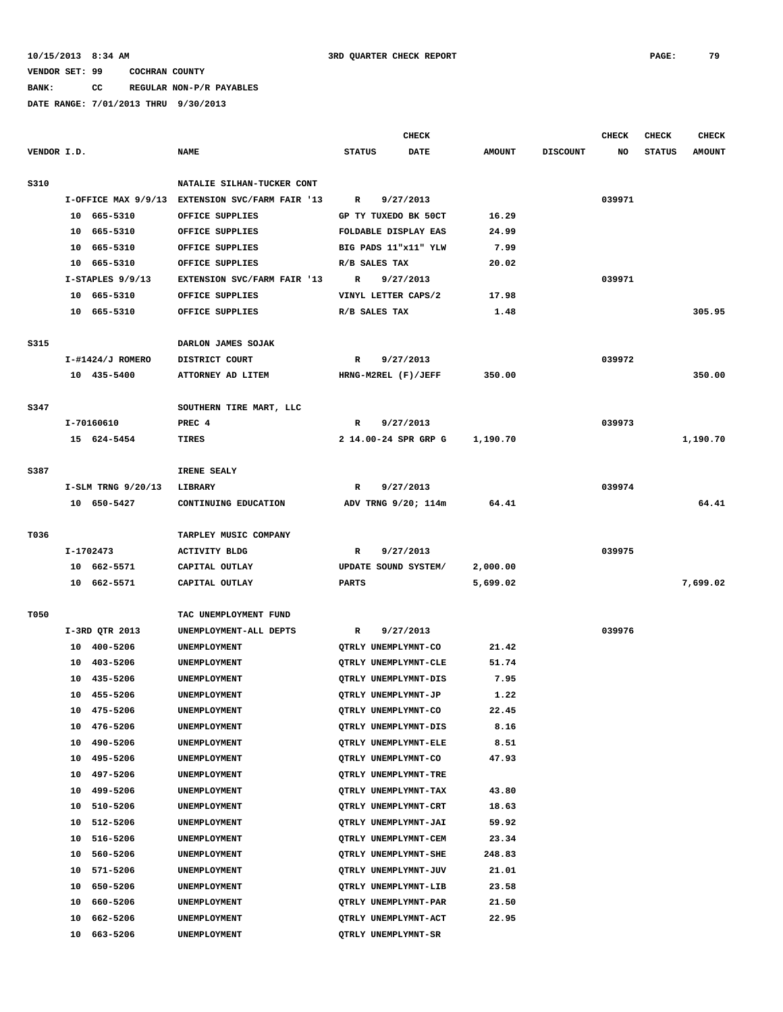**BANK: CC REGULAR NON-P/R PAYABLES DATE RANGE: 7/01/2013 THRU 9/30/2013**

|             |          |                            |                                                 |               | <b>CHECK</b>                                 |                      |                 | <b>CHECK</b> | <b>CHECK</b>  | <b>CHECK</b>  |
|-------------|----------|----------------------------|-------------------------------------------------|---------------|----------------------------------------------|----------------------|-----------------|--------------|---------------|---------------|
| VENDOR I.D. |          |                            | <b>NAME</b>                                     | <b>STATUS</b> | DATE                                         | <b>AMOUNT</b>        | <b>DISCOUNT</b> | NO           | <b>STATUS</b> | <b>AMOUNT</b> |
| S310        |          |                            | NATALIE SILHAN-TUCKER CONT                      |               |                                              |                      |                 |              |               |               |
|             |          |                            | I-OFFICE MAX 9/9/13 EXTENSION SVC/FARM FAIR '13 | R             | 9/27/2013                                    |                      |                 | 039971       |               |               |
|             |          | 10 665-5310                | OFFICE SUPPLIES                                 |               | GP TY TUXEDO BK 50CT                         | 16.29                |                 |              |               |               |
|             |          | 10 665-5310                | OFFICE SUPPLIES                                 |               | FOLDABLE DISPLAY EAS                         | 24.99                |                 |              |               |               |
|             |          | 10 665-5310                | OFFICE SUPPLIES                                 |               | BIG PADS 11"x11" YLW                         | 7.99                 |                 |              |               |               |
|             |          | 10 665-5310                | OFFICE SUPPLIES                                 | R/B SALES TAX |                                              | 20.02                |                 |              |               |               |
|             |          | $I-STAPLES$ 9/9/13         | EXTENSION SVC/FARM FAIR '13                     | R             | 9/27/2013                                    |                      |                 | 039971       |               |               |
|             |          | 10 665-5310                | OFFICE SUPPLIES                                 |               | VINYL LETTER CAPS/2                          | 17.98                |                 |              |               |               |
|             |          | 10 665-5310                | OFFICE SUPPLIES                                 | R/B SALES TAX |                                              | 1.48                 |                 |              |               | 305.95        |
|             |          |                            |                                                 |               |                                              |                      |                 |              |               |               |
| S315        |          |                            | DARLON JAMES SOJAK                              |               |                                              |                      |                 |              |               |               |
|             |          | I-#1424/J ROMERO           | DISTRICT COURT                                  | R             | 9/27/2013                                    |                      |                 | 039972       |               |               |
|             |          | 10 435-5400                | ATTORNEY AD LITEM                               |               | HRNG-M2REL (F)/JEFF                          | 350.00               |                 |              |               | 350.00        |
| S347        |          |                            | SOUTHERN TIRE MART, LLC                         |               |                                              |                      |                 |              |               |               |
|             |          | I-70160610                 | PREC 4                                          | R             | 9/27/2013                                    |                      |                 | 039973       |               |               |
|             |          | 15 624-5454                | TIRES                                           |               | 2 14.00-24 SPR GRP G                         | 1,190.70             |                 |              |               | 1,190.70      |
|             |          |                            |                                                 |               |                                              |                      |                 |              |               |               |
| S387        |          |                            | IRENE SEALY                                     |               |                                              |                      |                 |              |               |               |
|             |          | I-SLM TRNG 9/20/13         | LIBRARY                                         | R             | 9/27/2013                                    |                      |                 | 039974       |               |               |
|             |          | 10 650-5427                | CONTINUING EDUCATION                            |               | ADV TRNG 9/20; 114m                          | 64.41                |                 |              |               | 64.41         |
|             |          |                            |                                                 |               |                                              |                      |                 |              |               |               |
| T036        |          |                            | TARPLEY MUSIC COMPANY                           |               |                                              |                      |                 |              |               |               |
|             |          | I-1702473                  | <b>ACTIVITY BLDG</b>                            | R             | 9/27/2013                                    |                      |                 | 039975       |               |               |
|             |          | 10 662-5571<br>10 662-5571 | CAPITAL OUTLAY<br>CAPITAL OUTLAY                | <b>PARTS</b>  | UPDATE SOUND SYSTEM/                         | 2,000.00<br>5,699.02 |                 |              |               | 7,699.02      |
|             |          |                            |                                                 |               |                                              |                      |                 |              |               |               |
| T050        |          |                            | TAC UNEMPLOYMENT FUND                           |               |                                              |                      |                 |              |               |               |
|             |          | I-3RD QTR 2013             | UNEMPLOYMENT-ALL DEPTS                          | R             | 9/27/2013                                    |                      |                 | 039976       |               |               |
|             |          | 10 400-5206                | UNEMPLOYMENT                                    |               | QTRLY UNEMPLYMNT-CO                          | 21.42                |                 |              |               |               |
|             |          | 10 403-5206                | UNEMPLOYMENT                                    |               | QTRLY UNEMPLYMNT-CLE                         | 51.74                |                 |              |               |               |
|             |          | 10 435-5206                | UNEMPLOYMENT                                    |               | QTRLY UNEMPLYMNT-DIS                         | 7.95                 |                 |              |               |               |
|             |          | 10 455-5206                | UNEMPLOYMENT                                    |               | QTRLY UNEMPLYMNT-JP                          | 1.22                 |                 |              |               |               |
|             | 10       | 475-5206                   | UNEMPLOYMENT                                    |               | QTRLY UNEMPLYMNT-CO                          | 22.45                |                 |              |               |               |
|             | 10       | 476-5206                   | UNEMPLOYMENT                                    |               | QTRLY UNEMPLYMNT-DIS                         | 8.16                 |                 |              |               |               |
|             | 10       | 490-5206                   | UNEMPLOYMENT                                    |               | QTRLY UNEMPLYMNT-ELE                         | 8.51                 |                 |              |               |               |
|             | 10       | 495-5206                   | UNEMPLOYMENT                                    |               | QTRLY UNEMPLYMNT-CO                          | 47.93                |                 |              |               |               |
|             | 10       | 497-5206                   | UNEMPLOYMENT                                    |               | <b>OTRLY UNEMPLYMNT-TRE</b>                  |                      |                 |              |               |               |
|             | 10       | 499-5206                   | UNEMPLOYMENT                                    |               | QTRLY UNEMPLYMNT-TAX                         | 43.80                |                 |              |               |               |
|             | 10       | 510-5206                   | UNEMPLOYMENT                                    |               | QTRLY UNEMPLYMNT-CRT                         | 18.63                |                 |              |               |               |
|             | 10       | 512-5206                   | UNEMPLOYMENT                                    |               | QTRLY UNEMPLYMNT-JAI                         | 59.92                |                 |              |               |               |
|             | 10       | 516-5206                   | UNEMPLOYMENT                                    |               | QTRLY UNEMPLYMNT-CEM                         | 23.34                |                 |              |               |               |
|             | 10       | 560-5206                   | UNEMPLOYMENT                                    |               | QTRLY UNEMPLYMNT-SHE                         | 248.83               |                 |              |               |               |
|             | 10       | 571-5206                   | UNEMPLOYMENT                                    |               | QTRLY UNEMPLYMNT-JUV                         | 21.01                |                 |              |               |               |
|             | 10<br>10 | 650-5206                   | UNEMPLOYMENT                                    |               | QTRLY UNEMPLYMNT-LIB                         | 23.58                |                 |              |               |               |
|             | 10       | 660-5206<br>662-5206       | UNEMPLOYMENT                                    |               | QTRLY UNEMPLYMNT-PAR<br>QTRLY UNEMPLYMNT-ACT | 21.50                |                 |              |               |               |
|             | 10       | 663-5206                   | UNEMPLOYMENT<br>UNEMPLOYMENT                    |               | QTRLY UNEMPLYMNT-SR                          | 22.95                |                 |              |               |               |
|             |          |                            |                                                 |               |                                              |                      |                 |              |               |               |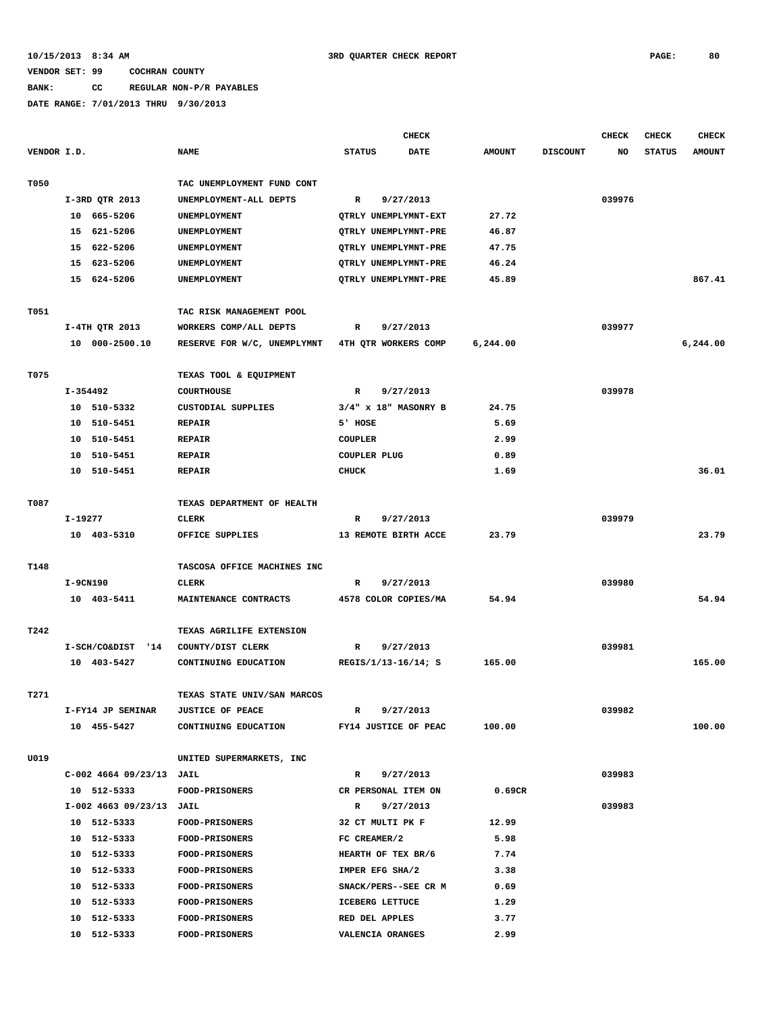## **BANK: CC REGULAR NON-P/R PAYABLES**

|             |          |                          |                                                |                | <b>CHECK</b>                     |               |                 | <b>CHECK</b> | <b>CHECK</b>  | <b>CHECK</b>  |
|-------------|----------|--------------------------|------------------------------------------------|----------------|----------------------------------|---------------|-----------------|--------------|---------------|---------------|
| VENDOR I.D. |          |                          | <b>NAME</b>                                    | <b>STATUS</b>  | DATE                             | <b>AMOUNT</b> | <b>DISCOUNT</b> | NO           | <b>STATUS</b> | <b>AMOUNT</b> |
| T050        |          |                          | TAC UNEMPLOYMENT FUND CONT                     |                |                                  |               |                 |              |               |               |
|             |          | I-3RD QTR 2013           | UNEMPLOYMENT-ALL DEPTS                         | R              | 9/27/2013                        |               |                 | 039976       |               |               |
|             |          | 10 665-5206              | UNEMPLOYMENT                                   |                | QTRLY UNEMPLYMNT-EXT             | 27.72         |                 |              |               |               |
|             |          | 15 621-5206              | UNEMPLOYMENT                                   |                | QTRLY UNEMPLYMNT-PRE             | 46.87         |                 |              |               |               |
|             |          | 15 622-5206              | UNEMPLOYMENT                                   |                | QTRLY UNEMPLYMNT-PRE             | 47.75         |                 |              |               |               |
|             |          | 15 623-5206              | UNEMPLOYMENT                                   |                | QTRLY UNEMPLYMNT-PRE             | 46.24         |                 |              |               |               |
|             |          | 15 624-5206              | UNEMPLOYMENT                                   |                | QTRLY UNEMPLYMNT-PRE             | 45.89         |                 |              |               | 867.41        |
|             |          |                          |                                                |                |                                  |               |                 |              |               |               |
| T051        |          |                          | TAC RISK MANAGEMENT POOL                       |                |                                  |               |                 |              |               |               |
|             |          | I-4TH QTR 2013           | WORKERS COMP/ALL DEPTS                         | R              | 9/27/2013                        |               |                 | 039977       |               |               |
|             |          | 10 000-2500.10           | RESERVE FOR W/C, UNEMPLYMNT                    |                | 4TH QTR WORKERS COMP             | 6,244.00      |                 |              |               | 6,244.00      |
| T075        |          |                          | TEXAS TOOL & EQUIPMENT                         |                |                                  |               |                 |              |               |               |
|             | I-354492 |                          | <b>COURTHOUSE</b>                              | R              | 9/27/2013                        |               |                 | 039978       |               |               |
|             |          | 10 510-5332              | CUSTODIAL SUPPLIES                             |                | $3/4"$ x $18"$ MASONRY B         | 24.75         |                 |              |               |               |
|             |          | 10 510-5451              | <b>REPAIR</b>                                  | 5' HOSE        |                                  | 5.69          |                 |              |               |               |
|             |          | 10 510-5451              | <b>REPAIR</b>                                  | <b>COUPLER</b> |                                  | 2.99          |                 |              |               |               |
|             |          | 10 510-5451              | <b>REPAIR</b>                                  |                | <b>COUPLER PLUG</b>              | 0.89          |                 |              |               |               |
|             |          | 10 510-5451              | <b>REPAIR</b>                                  | <b>CHUCK</b>   |                                  | 1.69          |                 |              |               | 36.01         |
|             |          |                          |                                                |                |                                  |               |                 |              |               |               |
| T087        |          |                          | TEXAS DEPARTMENT OF HEALTH                     |                |                                  |               |                 |              |               |               |
|             | I-19277  |                          | <b>CLERK</b>                                   | R              | 9/27/2013                        |               |                 | 039979       |               |               |
|             |          | 10 403-5310              | OFFICE SUPPLIES                                |                | 13 REMOTE BIRTH ACCE             | 23.79         |                 |              |               | 23.79         |
| T148        |          |                          | TASCOSA OFFICE MACHINES INC                    |                |                                  |               |                 |              |               |               |
|             | I-9CN190 |                          | <b>CLERK</b>                                   | R              | 9/27/2013                        |               |                 | 039980       |               |               |
|             |          | 10 403-5411              | MAINTENANCE CONTRACTS                          |                | 4578 COLOR COPIES/MA             | 54.94         |                 |              |               | 54.94         |
|             |          |                          |                                                |                |                                  |               |                 |              |               |               |
| T242        |          |                          | TEXAS AGRILIFE EXTENSION                       |                |                                  |               |                 |              |               |               |
|             |          | I-SCH/CO&DIST '14        | COUNTY/DIST CLERK                              | $\mathbb{R}$   | 9/27/2013                        |               |                 | 039981       |               |               |
|             |          | 10 403-5427              | CONTINUING EDUCATION                           |                | REGIS/1/13-16/14; S              | 165.00        |                 |              |               | 165.00        |
| T271        |          |                          | TEXAS STATE UNIV/SAN MARCOS                    |                |                                  |               |                 |              |               |               |
|             |          | I-FY14 JP SEMINAR        | <b>JUSTICE OF PEACE</b>                        | R              | 9/27/2013                        |               |                 | 039982       |               |               |
|             |          | 10 455-5427              | CONTINUING EDUCATION                           |                | FY14 JUSTICE OF PEAC             | 100.00        |                 |              |               | 100.00        |
| U019        |          |                          | UNITED SUPERMARKETS, INC                       |                |                                  |               |                 |              |               |               |
|             |          | C-002 4664 09/23/13 JAIL |                                                | R              | 9/27/2013                        |               |                 | 039983       |               |               |
|             |          | 10 512-5333              | FOOD-PRISONERS                                 |                | CR PERSONAL ITEM ON              | 0.69CR        |                 |              |               |               |
|             |          | I-002 4663 09/23/13 JAIL |                                                | R              | 9/27/2013                        |               |                 | 039983       |               |               |
|             |          | 10 512-5333              |                                                |                |                                  |               |                 |              |               |               |
|             |          | 10 512-5333              | <b>FOOD-PRISONERS</b><br><b>FOOD-PRISONERS</b> |                | 32 CT MULTI PK F<br>FC CREAMER/2 | 12.99<br>5.98 |                 |              |               |               |
|             |          |                          |                                                |                |                                  | 7.74          |                 |              |               |               |
|             |          | 10 512-5333              | FOOD-PRISONERS                                 |                | HEARTH OF TEX BR/6               |               |                 |              |               |               |
|             |          | 10 512-5333              | <b>FOOD-PRISONERS</b>                          |                | IMPER EFG SHA/2                  | 3.38          |                 |              |               |               |
|             |          | 10 512-5333              | <b>FOOD-PRISONERS</b>                          |                | SNACK/PERS--SEE CR M             | 0.69          |                 |              |               |               |
|             |          | 10 512-5333              | <b>FOOD-PRISONERS</b>                          |                | ICEBERG LETTUCE                  | 1.29          |                 |              |               |               |
|             |          | 10 512-5333              | <b>FOOD-PRISONERS</b>                          |                | RED DEL APPLES                   | 3.77          |                 |              |               |               |
|             |          | 10 512-5333              | FOOD-PRISONERS                                 |                | VALENCIA ORANGES                 | 2.99          |                 |              |               |               |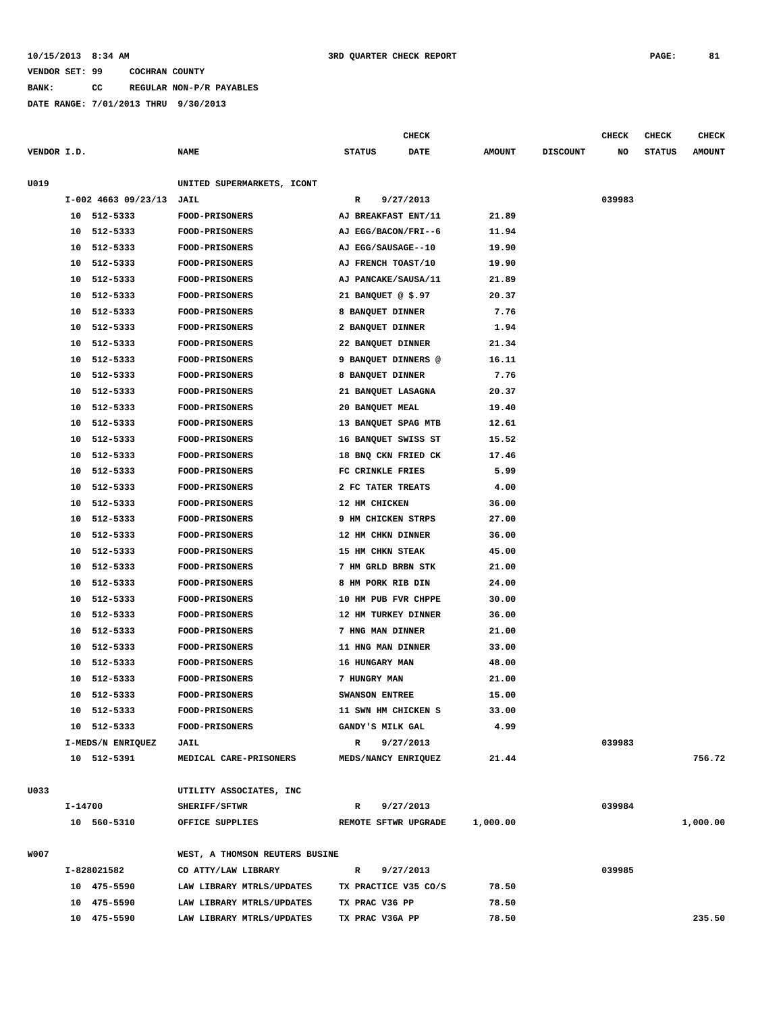## **10/15/2013 8:34 AM 3RD QUARTER CHECK REPORT PAGE: 81**

## **VENDOR SET: 99 COCHRAN COUNTY**

**BANK: CC REGULAR NON-P/R PAYABLES**

|             |         |                       |                                |                      | <b>CHECK</b> |               |                 | <b>CHECK</b> | CHECK         | <b>CHECK</b>  |
|-------------|---------|-----------------------|--------------------------------|----------------------|--------------|---------------|-----------------|--------------|---------------|---------------|
| VENDOR I.D. |         |                       | <b>NAME</b>                    | <b>STATUS</b>        | DATE         | <b>AMOUNT</b> | <b>DISCOUNT</b> | NO           | <b>STATUS</b> | <b>AMOUNT</b> |
|             |         |                       |                                |                      |              |               |                 |              |               |               |
| U019        |         |                       | UNITED SUPERMARKETS, ICONT     |                      |              |               |                 |              |               |               |
|             |         | $I-002$ 4663 09/23/13 | JAIL                           | R                    | 9/27/2013    |               |                 | 039983       |               |               |
|             |         | 10 512-5333           | <b>FOOD-PRISONERS</b>          | AJ BREAKFAST ENT/11  |              | 21.89         |                 |              |               |               |
|             | 10      | 512-5333              | <b>FOOD-PRISONERS</b>          | AJ EGG/BACON/FRI--6  |              | 11.94         |                 |              |               |               |
|             | 10      | 512-5333              | <b>FOOD-PRISONERS</b>          | AJ EGG/SAUSAGE--10   |              | 19.90         |                 |              |               |               |
|             | 10      | 512-5333              | <b>FOOD-PRISONERS</b>          | AJ FRENCH TOAST/10   |              | 19.90         |                 |              |               |               |
|             | 10      | 512-5333              | FOOD-PRISONERS                 | AJ PANCAKE/SAUSA/11  |              | 21.89         |                 |              |               |               |
|             | 10      | 512-5333              | <b>FOOD-PRISONERS</b>          | 21 BANQUET @ \$.97   |              | 20.37         |                 |              |               |               |
|             | 10      | 512-5333              | FOOD-PRISONERS                 | 8 BANQUET DINNER     |              | 7.76          |                 |              |               |               |
|             | 10      | 512-5333              | <b>FOOD-PRISONERS</b>          | 2 BANQUET DINNER     |              | 1.94          |                 |              |               |               |
|             | 10      | 512-5333              | <b>FOOD-PRISONERS</b>          | 22 BANQUET DINNER    |              | 21.34         |                 |              |               |               |
|             | 10      | 512-5333              | FOOD-PRISONERS                 | 9 BANQUET DINNERS @  |              | 16.11         |                 |              |               |               |
|             | 10      | 512-5333              | FOOD-PRISONERS                 | 8 BANQUET DINNER     |              | 7.76          |                 |              |               |               |
|             | 10      | 512-5333              | FOOD-PRISONERS                 | 21 BANQUET LASAGNA   |              | 20.37         |                 |              |               |               |
|             | 10      | 512-5333              | FOOD-PRISONERS                 | 20 BANQUET MEAL      |              | 19.40         |                 |              |               |               |
|             | 10      | 512-5333              | FOOD-PRISONERS                 | 13 BANQUET SPAG MTB  |              | 12.61         |                 |              |               |               |
|             | 10      | 512-5333              | FOOD-PRISONERS                 | 16 BANQUET SWISS ST  |              | 15.52         |                 |              |               |               |
|             | 10      | 512-5333              | <b>FOOD-PRISONERS</b>          | 18 BNQ CKN FRIED CK  |              | 17.46         |                 |              |               |               |
|             | 10      | 512-5333              | FOOD-PRISONERS                 | FC CRINKLE FRIES     |              | 5.99          |                 |              |               |               |
|             | 10      | 512-5333              | <b>FOOD-PRISONERS</b>          | 2 FC TATER TREATS    |              | 4.00          |                 |              |               |               |
|             | 10      | 512-5333              | <b>FOOD-PRISONERS</b>          | 12 HM CHICKEN        |              | 36.00         |                 |              |               |               |
|             | 10      | 512-5333              | <b>FOOD-PRISONERS</b>          | 9 HM CHICKEN STRPS   |              | 27.00         |                 |              |               |               |
|             | 10      | 512-5333              | <b>FOOD-PRISONERS</b>          | 12 HM CHKN DINNER    |              | 36.00         |                 |              |               |               |
|             | 10      | 512-5333              | <b>FOOD-PRISONERS</b>          | 15 HM CHKN STEAK     |              | 45.00         |                 |              |               |               |
|             | 10      | 512-5333              | FOOD-PRISONERS                 | 7 HM GRLD BRBN STK   |              | 21.00         |                 |              |               |               |
|             | 10      | 512-5333              | <b>FOOD-PRISONERS</b>          | 8 HM PORK RIB DIN    |              | 24.00         |                 |              |               |               |
|             | 10      | 512-5333              | FOOD-PRISONERS                 | 10 HM PUB FVR CHPPE  |              | 30.00         |                 |              |               |               |
|             | 10      | 512-5333              | <b>FOOD-PRISONERS</b>          | 12 HM TURKEY DINNER  |              | 36.00         |                 |              |               |               |
|             | 10      | 512-5333              | <b>FOOD-PRISONERS</b>          | 7 HNG MAN DINNER     |              | 21.00         |                 |              |               |               |
|             | 10      | 512-5333              | <b>FOOD-PRISONERS</b>          | 11 HNG MAN DINNER    |              | 33.00         |                 |              |               |               |
|             | 10      | 512-5333              | FOOD-PRISONERS                 | 16 HUNGARY MAN       |              | 48.00         |                 |              |               |               |
|             | 10      | 512-5333              | FOOD-PRISONERS                 | 7 HUNGRY MAN         |              | 21.00         |                 |              |               |               |
|             | 10      | 512-5333              | <b>FOOD-PRISONERS</b>          | SWANSON ENTREE       |              | 15.00         |                 |              |               |               |
|             |         | 10 512-5333           | <b>FOOD-PRISONERS</b>          | 11 SWN HM CHICKEN S  |              | 33.00         |                 |              |               |               |
|             |         | 10 512-5333           | FOOD-PRISONERS                 | GANDY'S MILK GAL     |              | 4.99          |                 |              |               |               |
|             |         | I-MEDS/N ENRIQUEZ     | JAIL                           | R                    | 9/27/2013    |               |                 | 039983       |               |               |
|             |         | 10 512-5391           | MEDICAL CARE-PRISONERS         | MEDS/NANCY ENRIQUEZ  |              | 21.44         |                 |              |               | 756.72        |
|             |         |                       |                                |                      |              |               |                 |              |               |               |
| U033        |         |                       | UTILITY ASSOCIATES, INC        |                      |              |               |                 |              |               |               |
|             | I-14700 |                       | SHERIFF/SFTWR                  | R                    | 9/27/2013    |               |                 | 039984       |               |               |
|             |         | 10 560-5310           | OFFICE SUPPLIES                | REMOTE SFTWR UPGRADE |              | 1,000.00      |                 |              |               | 1,000.00      |
| W007        |         |                       | WEST, A THOMSON REUTERS BUSINE |                      |              |               |                 |              |               |               |
|             |         | I-828021582           | CO ATTY/LAW LIBRARY            | $\mathbf R$          | 9/27/2013    |               |                 | 039985       |               |               |
|             |         | 10 475-5590           | LAW LIBRARY MTRLS/UPDATES      | TX PRACTICE V35 CO/S |              | 78.50         |                 |              |               |               |
|             |         | 10 475-5590           | LAW LIBRARY MTRLS/UPDATES      | TX PRAC V36 PP       |              | 78.50         |                 |              |               |               |
|             |         | 10 475-5590           | LAW LIBRARY MTRLS/UPDATES      | TX PRAC V36A PP      |              | 78.50         |                 |              |               | 235.50        |
|             |         |                       |                                |                      |              |               |                 |              |               |               |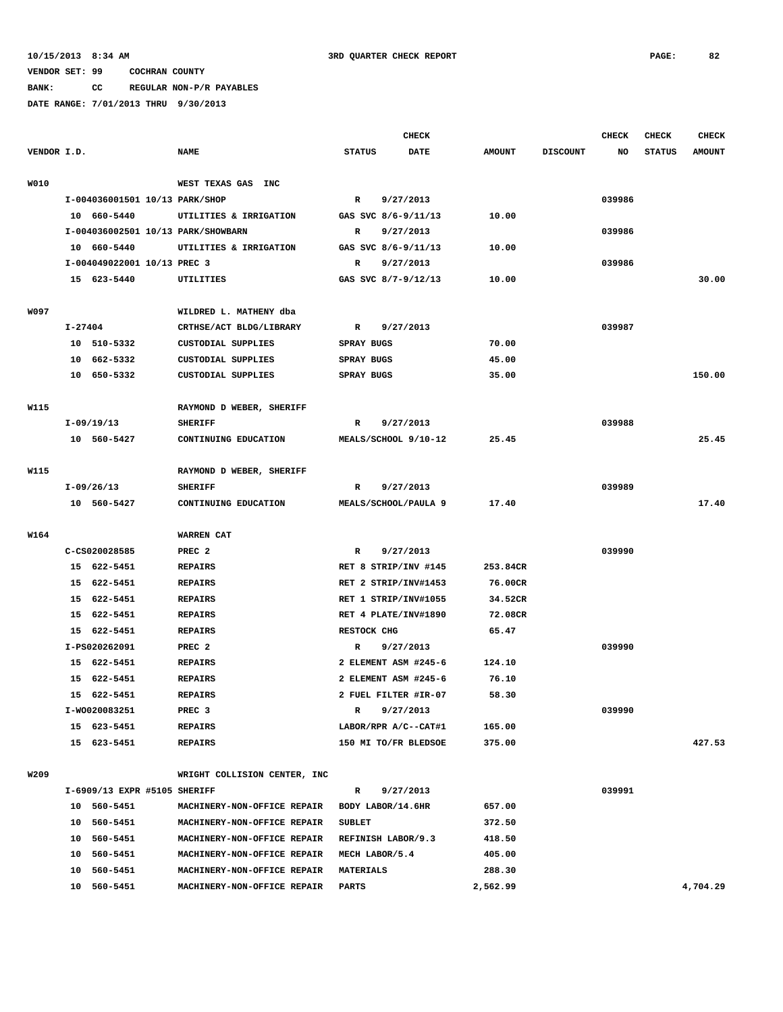**BANK: CC REGULAR NON-P/R PAYABLES**

|             |                                    |                              |                   | <b>CHECK</b>         |               |                 | <b>CHECK</b> | <b>CHECK</b>  | <b>CHECK</b>  |
|-------------|------------------------------------|------------------------------|-------------------|----------------------|---------------|-----------------|--------------|---------------|---------------|
| VENDOR I.D. |                                    | <b>NAME</b>                  | <b>STATUS</b>     | DATE                 | <b>AMOUNT</b> | <b>DISCOUNT</b> | NO           | <b>STATUS</b> | <b>AMOUNT</b> |
| W010        |                                    | WEST TEXAS GAS INC           |                   |                      |               |                 |              |               |               |
|             | I-004036001501 10/13 PARK/SHOP     |                              | $\mathbf{R}$      | 9/27/2013            |               |                 | 039986       |               |               |
|             | 10 660-5440                        | UTILITIES & IRRIGATION       |                   | GAS SVC 8/6-9/11/13  | 10.00         |                 |              |               |               |
|             | I-004036002501 10/13 PARK/SHOWBARN |                              | R                 | 9/27/2013            |               |                 | 039986       |               |               |
|             | 10 660-5440                        | UTILITIES & IRRIGATION       |                   | GAS SVC 8/6-9/11/13  | 10.00         |                 |              |               |               |
|             | I-004049022001 10/13 PREC 3        |                              | R                 | 9/27/2013            |               |                 | 039986       |               |               |
|             | 15 623-5440                        | UTILITIES                    |                   | GAS SVC 8/7-9/12/13  | 10.00         |                 |              |               | 30.00         |
|             |                                    |                              |                   |                      |               |                 |              |               |               |
| <b>W097</b> |                                    | WILDRED L. MATHENY dba       |                   |                      |               |                 |              |               |               |
|             | $I - 27404$                        | CRTHSE/ACT BLDG/LIBRARY      | $\mathbb{R}$      | 9/27/2013            |               |                 | 039987       |               |               |
|             | 10 510-5332                        | <b>CUSTODIAL SUPPLIES</b>    | SPRAY BUGS        |                      | 70.00         |                 |              |               |               |
|             | 10 662-5332                        | CUSTODIAL SUPPLIES           | <b>SPRAY BUGS</b> |                      | 45.00         |                 |              |               |               |
|             | 10 650-5332                        | <b>CUSTODIAL SUPPLIES</b>    | SPRAY BUGS        |                      | 35.00         |                 |              |               | 150.00        |
| W115        |                                    | RAYMOND D WEBER, SHERIFF     |                   |                      |               |                 |              |               |               |
|             | $I-09/19/13$                       | <b>SHERIFF</b>               | R                 | 9/27/2013            |               |                 | 039988       |               |               |
|             | 10 560-5427                        | CONTINUING EDUCATION         |                   | MEALS/SCHOOL 9/10-12 | 25.45         |                 |              |               | 25.45         |
|             |                                    |                              |                   |                      |               |                 |              |               |               |
| W115        |                                    | RAYMOND D WEBER, SHERIFF     |                   |                      |               |                 |              |               |               |
|             | $I-09/26/13$                       | <b>SHERIFF</b>               | R                 | 9/27/2013            |               |                 | 039989       |               |               |
|             | 10 560-5427                        | CONTINUING EDUCATION         |                   | MEALS/SCHOOL/PAULA 9 | 17.40         |                 |              |               | 17.40         |
| W164        |                                    | WARREN CAT                   |                   |                      |               |                 |              |               |               |
|             | C-CS020028585                      | PREC <sub>2</sub>            | R                 | 9/27/2013            |               |                 | 039990       |               |               |
|             | 15 622-5451                        | <b>REPAIRS</b>               |                   | RET 8 STRIP/INV #145 | 253.84CR      |                 |              |               |               |
|             | 15 622-5451                        | <b>REPAIRS</b>               |                   | RET 2 STRIP/INV#1453 | 76.00CR       |                 |              |               |               |
|             | 15 622-5451                        | <b>REPAIRS</b>               |                   | RET 1 STRIP/INV#1055 | 34.52CR       |                 |              |               |               |
|             | 15<br>622-5451                     | <b>REPAIRS</b>               |                   | RET 4 PLATE/INV#1890 | 72.08CR       |                 |              |               |               |
|             | 15 622-5451                        | <b>REPAIRS</b>               | RESTOCK CHG       |                      | 65.47         |                 |              |               |               |
|             | I-PS020262091                      | PREC <sub>2</sub>            | R                 | 9/27/2013            |               |                 | 039990       |               |               |
|             | 15 622-5451                        |                              |                   |                      |               |                 |              |               |               |
|             |                                    | <b>REPAIRS</b>               |                   | 2 ELEMENT ASM #245-6 | 124.10        |                 |              |               |               |
|             | 622-5451<br>15                     | <b>REPAIRS</b>               |                   | 2 ELEMENT ASM #245-6 | 76.10         |                 |              |               |               |
|             | 15 622-5451                        | <b>REPAIRS</b>               |                   | 2 FUEL FILTER #IR-07 | 58.30         |                 |              |               |               |
|             | I-W0020083251                      | PREC 3                       | R                 | 9/27/2013            |               |                 | 039990       |               |               |
|             | 15 623-5451                        | <b>REPAIRS</b>               |                   | LABOR/RPR A/C--CAT#1 | 165.00        |                 |              |               |               |
|             | 15 623-5451                        | REPAIRS                      |                   | 150 MI TO/FR BLEDSOE | 375.00        |                 |              |               | 427.53        |
| W209        |                                    | WRIGHT COLLISION CENTER, INC |                   |                      |               |                 |              |               |               |
|             | I-6909/13 EXPR #5105 SHERIFF       |                              | R                 | 9/27/2013            |               |                 | 039991       |               |               |
|             | 10 560-5451                        | MACHINERY-NON-OFFICE REPAIR  |                   | BODY LABOR/14.6HR    | 657.00        |                 |              |               |               |
|             | 10 560-5451                        | MACHINERY-NON-OFFICE REPAIR  | <b>SUBLET</b>     |                      | 372.50        |                 |              |               |               |
|             | 10 560-5451                        | MACHINERY-NON-OFFICE REPAIR  |                   | REFINISH LABOR/9.3   | 418.50        |                 |              |               |               |
|             | 10 560-5451                        | MACHINERY-NON-OFFICE REPAIR  | MECH LABOR/5.4    |                      | 405.00        |                 |              |               |               |
|             | 10 560-5451                        | MACHINERY-NON-OFFICE REPAIR  | <b>MATERIALS</b>  |                      | 288.30        |                 |              |               |               |
|             | 10 560-5451                        | MACHINERY-NON-OFFICE REPAIR  | <b>PARTS</b>      |                      | 2,562.99      |                 |              |               | 4,704.29      |
|             |                                    |                              |                   |                      |               |                 |              |               |               |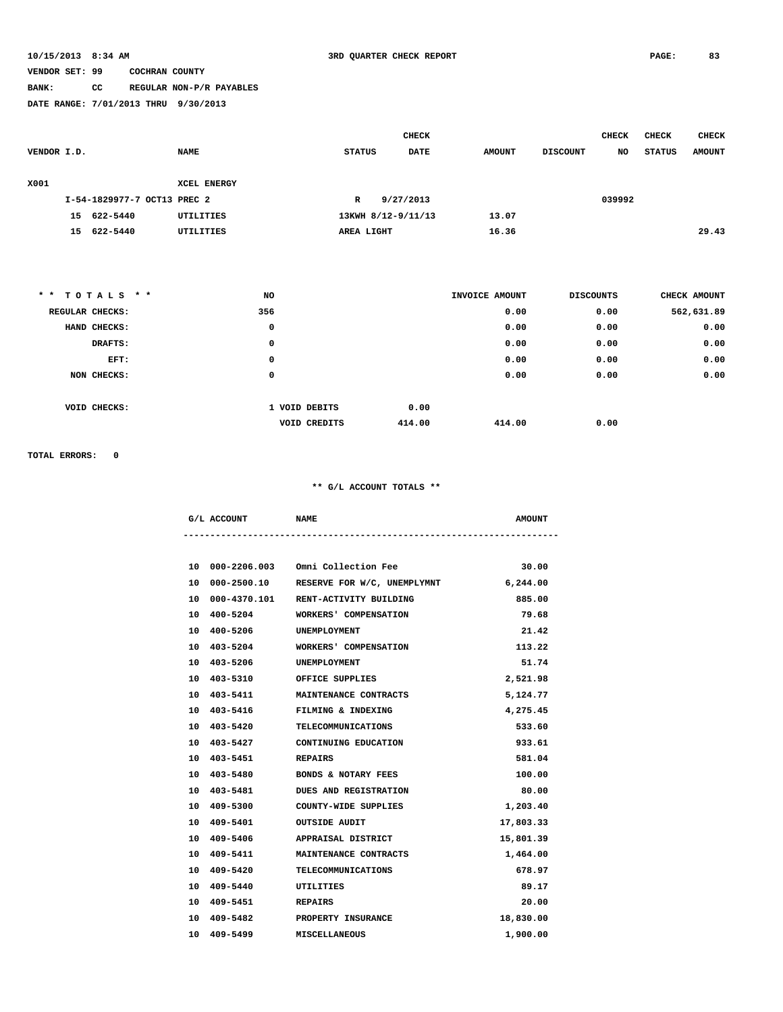# **BANK: CC REGULAR NON-P/R PAYABLES**

**DATE RANGE: 7/01/2013 THRU 9/30/2013**

|             |    |                             |             |               | <b>CHECK</b>       |               |                 | <b>CHECK</b> | <b>CHECK</b>  | <b>CHECK</b>  |
|-------------|----|-----------------------------|-------------|---------------|--------------------|---------------|-----------------|--------------|---------------|---------------|
| VENDOR I.D. |    |                             | <b>NAME</b> | <b>STATUS</b> | <b>DATE</b>        | <b>AMOUNT</b> | <b>DISCOUNT</b> | NO           | <b>STATUS</b> | <b>AMOUNT</b> |
|             |    |                             |             |               |                    |               |                 |              |               |               |
| X001        |    |                             | XCEL ENERGY |               |                    |               |                 |              |               |               |
|             |    | I-54-1829977-7 OCT13 PREC 2 |             | R             | 9/27/2013          |               |                 | 039992       |               |               |
|             | 15 | 622-5440                    | UTILITIES   |               | 13KWH 8/12-9/11/13 | 13.07         |                 |              |               |               |
|             | 15 | 622-5440                    | UTILITIES   | AREA LIGHT    |                    | 16.36         |                 |              |               | 29.43         |
|             |    |                             |             |               |                    |               |                 |              |               |               |

| ** TOTALS **    | NO  |                               | INVOICE AMOUNT | <b>DISCOUNTS</b> | CHECK AMOUNT |
|-----------------|-----|-------------------------------|----------------|------------------|--------------|
| REGULAR CHECKS: | 356 |                               | 0.00           | 0.00             | 562,631.89   |
| HAND CHECKS:    | 0   |                               | 0.00           | 0.00             | 0.00         |
| DRAFTS:         | 0   |                               | 0.00           | 0.00             | 0.00         |
| EFT:            | 0   |                               | 0.00           | 0.00             | 0.00         |
| NON CHECKS:     | 0   |                               | 0.00           | 0.00             | 0.00         |
|                 |     |                               |                |                  |              |
| VOID CHECKS:    |     | 0.00<br>1 VOID DEBITS         |                |                  |              |
|                 |     | 414.00<br><b>VOID CREDITS</b> | 414.00         | 0.00             |              |

**TOTAL ERRORS: 0**

| G/L ACCOUNT | <b>NAME</b> | <b>AMOUNT</b> |
|-------------|-------------|---------------|
|             |             |               |

|    | 10 000-2206.003 | Omni Collection Fee                    | 30.00     |
|----|-----------------|----------------------------------------|-----------|
|    | 10 000-2500.10  | RESERVE FOR W/C, UNEMPLYMNT 6,244.00   |           |
|    |                 | 10 000-4370.101 RENT-ACTIVITY BUILDING | 885.00    |
|    | 10 400-5204     | WORKERS' COMPENSATION                  | 79.68     |
|    | 10 400-5206     | UNEMPLOYMENT                           | 21.42     |
|    | 10 403-5204     | WORKERS' COMPENSATION                  | 113.22    |
|    | 10 403-5206     | UNEMPLOYMENT                           | 51.74     |
|    | 10 403-5310     | OFFICE SUPPLIES                        | 2,521.98  |
|    | 10 403-5411     | MAINTENANCE CONTRACTS                  | 5,124.77  |
|    | 10 403-5416     | FILMING & INDEXING                     | 4,275.45  |
|    | 10 403-5420     | <b>TELECOMMUNICATIONS</b>              | 533.60    |
|    | 10 403-5427     | CONTINUING EDUCATION                   | 933.61    |
|    | 10 403-5451     | REPAIRS                                | 581.04    |
|    | 10 403-5480     | <b>BONDS &amp; NOTARY FEES</b>         | 100.00    |
|    | 10 403-5481     | DUES AND REGISTRATION                  | 80.00     |
|    | 10 409-5300     | COUNTY-WIDE SUPPLIES                   | 1,203.40  |
|    | 10 409-5401     | <b>OUTSIDE AUDIT</b>                   | 17,803.33 |
|    | 10 409-5406     | APPRAISAL DISTRICT                     | 15,801.39 |
|    | 10 409-5411     | MAINTENANCE CONTRACTS                  | 1,464.00  |
| 10 | 409-5420        | <b>TELECOMMUNICATIONS</b>              | 678.97    |
|    | 10 409-5440     | UTILITIES                              | 89.17     |
|    | 10 409-5451     | <b>REPAIRS</b>                         | 20.00     |
|    | 10 409-5482     | PROPERTY INSURANCE                     | 18,830.00 |
|    | 10 409-5499     | <b>MISCELLANEOUS</b>                   | 1,900.00  |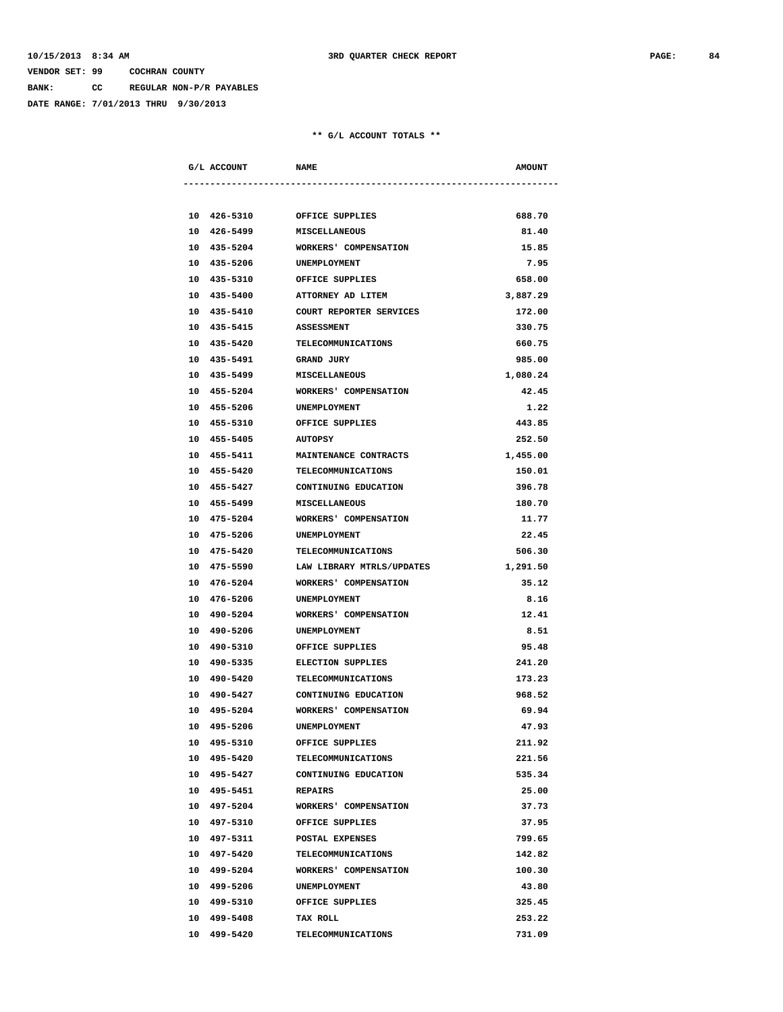**BANK: CC REGULAR NON-P/R PAYABLES**

**DATE RANGE: 7/01/2013 THRU 9/30/2013**

| G/L ACCOUNT |                     | <b>NAME</b>                  | <b>AMOUNT</b> |  |
|-------------|---------------------|------------------------------|---------------|--|
|             |                     |                              |               |  |
|             |                     | 10 426-5310 OFFICE SUPPLIES  | 688.70        |  |
|             |                     | 10 426-5499 MISCELLANEOUS    | 81.40         |  |
| 10 435-5204 |                     | WORKERS' COMPENSATION        | 15.85         |  |
| 10 435-5206 |                     | <b>UNEMPLOYMENT</b>          | 7.95          |  |
| 10 435-5310 |                     | OFFICE SUPPLIES              | 658.00        |  |
| 10 435-5400 |                     | ATTORNEY AD LITEM            | 3,887.29      |  |
| 10 435-5410 |                     | COURT REPORTER SERVICES      | 172.00        |  |
| 10 435-5415 |                     | <b>ASSESSMENT</b>            | 330.75        |  |
| 10 435-5420 |                     | TELECOMMUNICATIONS           | 660.75        |  |
| 10 435-5491 |                     | GRAND JURY                   | 985.00        |  |
| 10 435-5499 |                     | <b>MISCELLANEOUS</b>         | 1,080.24      |  |
| 10 455-5204 |                     | WORKERS' COMPENSATION        | 42.45         |  |
| 10 455-5206 |                     | UNEMPLOYMENT                 | 1.22          |  |
| 10 455-5310 |                     | OFFICE SUPPLIES              | 443.85        |  |
|             | 10 455-5405 AUTOPSY |                              | 252.50        |  |
| 10 455-5411 |                     | MAINTENANCE CONTRACTS        | 1,455.00      |  |
| 10 455-5420 |                     | TELECOMMUNICATIONS           | 150.01        |  |
| 10 455-5427 |                     | CONTINUING EDUCATION         | 396.78        |  |
| 10 455-5499 |                     | <b>MISCELLANEOUS</b>         | 180.70        |  |
| 10 475-5204 |                     | WORKERS' COMPENSATION        | 11.77         |  |
| 10 475-5206 |                     | UNEMPLOYMENT                 | 22.45         |  |
| 10 475-5420 |                     | TELECOMMUNICATIONS           | 506.30        |  |
| 10 475-5590 |                     | LAW LIBRARY MTRLS/UPDATES    | 1,291.50      |  |
| 10 476-5204 |                     | WORKERS' COMPENSATION        | 35.12         |  |
| 10 476-5206 |                     | UNEMPLOYMENT                 | 8.16          |  |
| 10 490-5204 |                     | WORKERS' COMPENSATION        | 12.41         |  |
| 10 490-5206 |                     | UNEMPLOYMENT                 | 8.51          |  |
| 10 490-5310 |                     | OFFICE SUPPLIES              | 95.48         |  |
| 10 490-5335 |                     | <b>ELECTION SUPPLIES</b>     | 241.20        |  |
| 10 490-5420 |                     | TELECOMMUNICATIONS           | 173.23        |  |
| 10 490-5427 |                     | CONTINUING EDUCATION         | 968.52        |  |
| 10 495-5204 |                     | WORKERS' COMPENSATION        | 69.94         |  |
| 10 495-5206 |                     | UNEMPLOYMENT                 | 47.93         |  |
| 10 495-5310 |                     | OFFICE SUPPLIES              | 211.92        |  |
| 10 495-5420 |                     | <b>TELECOMMUNICATIONS</b>    | 221.56        |  |
| 10 495-5427 |                     | CONTINUING EDUCATION         | 535.34        |  |
| 10 495-5451 |                     | REPAIRS                      | 25.00         |  |
| 10 497-5204 |                     | <b>WORKERS' COMPENSATION</b> | 37.73         |  |
| 10 497-5310 |                     | OFFICE SUPPLIES              | 37.95         |  |
| 10 497-5311 |                     | POSTAL EXPENSES              | 799.65        |  |
| 10 497-5420 |                     | <b>TELECOMMUNICATIONS</b>    | 142.82        |  |
| 10 499-5204 |                     | WORKERS' COMPENSATION        | 100.30        |  |
| 10 499-5206 |                     | UNEMPLOYMENT                 | 43.80         |  |
| 10 499-5310 |                     | OFFICE SUPPLIES              | 325.45        |  |
| 10 499-5408 |                     | TAX ROLL                     | 253.22        |  |
| 10 499-5420 |                     | TELECOMMUNICATIONS           | 731.09        |  |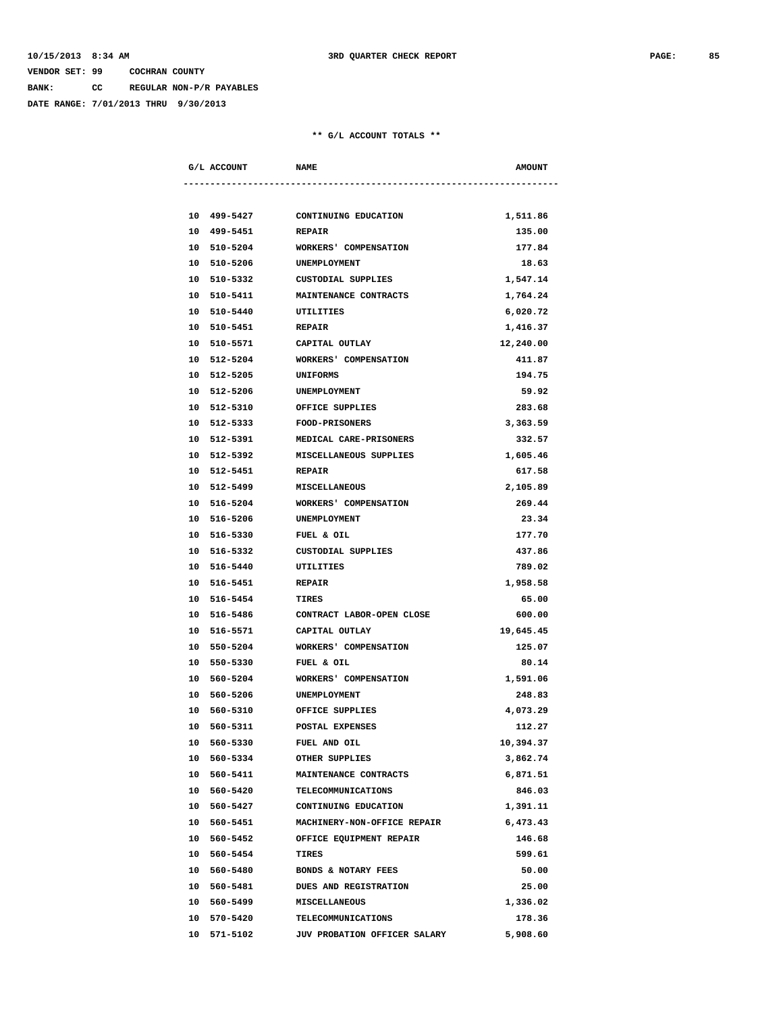**BANK: CC REGULAR NON-P/R PAYABLES**

**DATE RANGE: 7/01/2013 THRU 9/30/2013**

| G/L ACCOUNT                | <b>NAME</b>                           | <b>AMOUNT</b> |
|----------------------------|---------------------------------------|---------------|
|                            |                                       |               |
|                            |                                       |               |
| 10 499-5427                | CONTINUING EDUCATION                  | 1,511.86      |
| 10 499-5451                | <b>REPAIR</b>                         | 135.00        |
| 10 510-5204                | WORKERS' COMPENSATION                 | 177.84        |
| 10 510-5206                | UNEMPLOYMENT                          | 18.63         |
| 10 510-5332                | CUSTODIAL SUPPLIES                    | 1,547.14      |
| 10 510-5411                | MAINTENANCE CONTRACTS                 | 1,764.24      |
| 10 510-5440                | UTILITIES                             | 6,020.72      |
| 10 510-5451                | <b>REPAIR</b>                         | 1,416.37      |
| 10 510-5571                | CAPITAL OUTLAY                        | 12,240.00     |
| 10 512-5204                | WORKERS' COMPENSATION                 | 411.87        |
| 10 512-5205                | <b>UNIFORMS</b>                       | 194.75        |
| 10 512-5206                | UNEMPLOYMENT                          | 59.92         |
| 10 512-5310                | OFFICE SUPPLIES                       | 283.68        |
| 10 512-5333 FOOD-PRISONERS |                                       | 3,363.59      |
| 10 512-5391                | MEDICAL CARE-PRISONERS                | 332.57        |
| 10 512-5392                | MISCELLANEOUS SUPPLIES                | 1,605.46      |
| 10 512-5451                | <b>REPAIR</b>                         | 617.58        |
| 10 512-5499                | <b>MISCELLANEOUS</b>                  | 2,105.89      |
| 10 516-5204                | WORKERS' COMPENSATION                 | 269.44        |
| 10 516-5206                | UNEMPLOYMENT                          | 23.34         |
| 10 516-5330                | FUEL & OIL                            | 177.70        |
| 10 516-5332                | CUSTODIAL SUPPLIES                    | 437.86        |
| 10 516-5440                | UTILITIES                             | 789.02        |
| 10 516-5451                | <b>REPAIR</b>                         | 1,958.58      |
| 10 516-5454                | TIRES                                 | 65.00         |
|                            | 10 516-5486 CONTRACT LABOR-OPEN CLOSE | 600.00        |
| 10 516-5571                | CAPITAL OUTLAY                        | 19,645.45     |
| 10 550-5204                | WORKERS' COMPENSATION                 | 125.07        |
| 10 550-5330                | FUEL & OIL                            | 80.14         |
| 10 560-5204                | WORKERS' COMPENSATION                 | 1,591.06      |
| 10 560-5206                | UNEMPLOYMENT                          | 248.83        |
| 10 560-5310                | OFFICE SUPPLIES                       | 4,073.29      |
| 10 560-5311                | POSTAL EXPENSES                       | 112.27        |
| 10 560-5330                | FUEL AND OIL                          | 10,394.37     |
| 10 560-5334                | OTHER SUPPLIES                        | 3,862.74      |
| 10 560-5411                | MAINTENANCE CONTRACTS                 | 6,871.51      |
| 10 560-5420                | <b>TELECOMMUNICATIONS</b>             | 846.03        |
| 10 560-5427                | CONTINUING EDUCATION                  | 1,391.11      |
| 10 560-5451                | MACHINERY-NON-OFFICE REPAIR           | 6,473.43      |
| 10 560-5452                | OFFICE EQUIPMENT REPAIR               | 146.68        |
| 10 560-5454                | TIRES                                 | 599.61        |
| 10 560-5480                | BONDS & NOTARY FEES                   | 50.00         |
| 10 560-5481                | DUES AND REGISTRATION                 | 25.00         |
| 10 560-5499                | <b>MISCELLANEOUS</b>                  | 1,336.02      |
| 10 570-5420                | <b>TELECOMMUNICATIONS</b>             | 178.36        |
| 10 571-5102                | JUV PROBATION OFFICER SALARY          | 5,908.60      |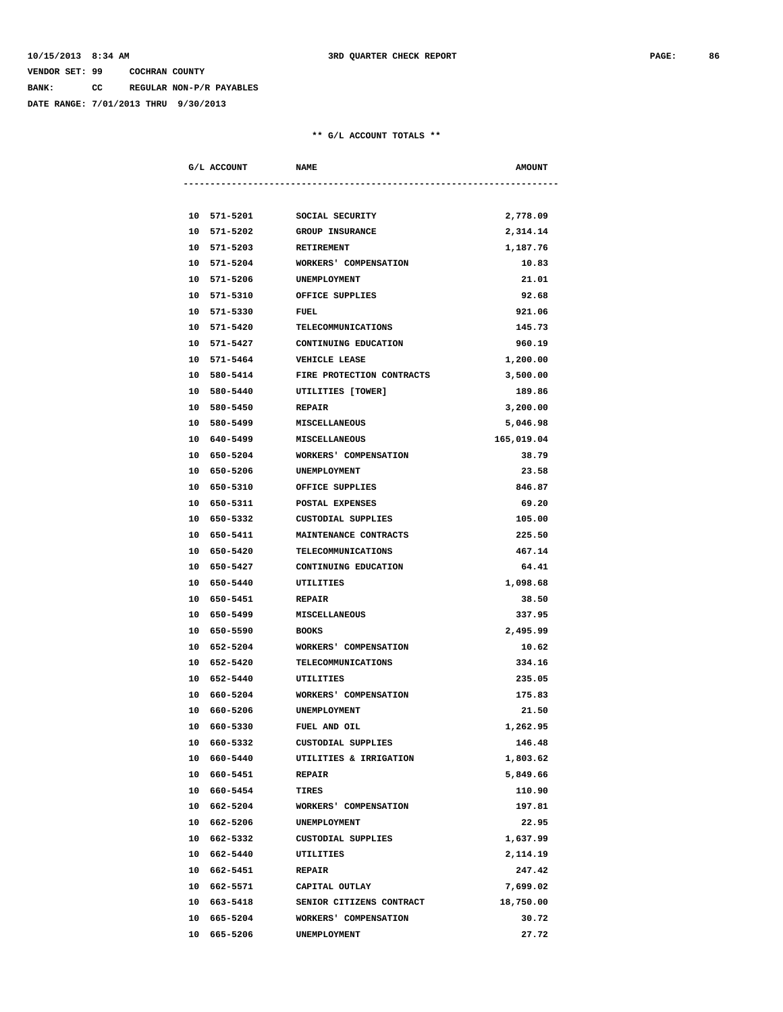**BANK: CC REGULAR NON-P/R PAYABLES**

**DATE RANGE: 7/01/2013 THRU 9/30/2013**

| G/L ACCOUNT | <b>NAME</b>                  | <b>AMOUNT</b> |
|-------------|------------------------------|---------------|
|             |                              |               |
| 10 571-5201 | SOCIAL SECURITY              | 2,778.09      |
| 10 571-5202 | <b>GROUP INSURANCE</b>       | 2,314.14      |
| 10 571-5203 | <b>RETIREMENT</b>            | 1,187.76      |
| 10 571-5204 | <b>WORKERS' COMPENSATION</b> | 10.83         |
| 10 571-5206 | UNEMPLOYMENT                 | 21.01         |
| 10 571-5310 | OFFICE SUPPLIES              | 92.68         |
| 10 571-5330 | FUEL                         | 921.06        |
| 10 571-5420 | TELECOMMUNICATIONS           | 145.73        |
| 10 571-5427 | CONTINUING EDUCATION         | 960.19        |
| 10 571-5464 | <b>VEHICLE LEASE</b>         | 1,200.00      |
| 10 580-5414 | FIRE PROTECTION CONTRACTS    | 3,500.00      |
| 10 580-5440 | UTILITIES [TOWER]            | 189.86        |
| 10 580-5450 | <b>REPAIR</b>                | 3,200,00      |
| 10 580-5499 | <b>MISCELLANEOUS</b>         | 5,046.98      |
| 10 640-5499 | <b>MISCELLANEOUS</b>         | 165,019.04    |
| 10 650-5204 | WORKERS' COMPENSATION        | 38.79         |
| 10 650-5206 | <b>UNEMPLOYMENT</b>          | 23.58         |
| 10 650-5310 | OFFICE SUPPLIES              | 846.87        |
| 10 650-5311 | POSTAL EXPENSES              | 69.20         |
| 10 650-5332 | CUSTODIAL SUPPLIES           | 105.00        |
| 10 650-5411 | <b>MAINTENANCE CONTRACTS</b> | 225.50        |
| 10 650-5420 | <b>TELECOMMUNICATIONS</b>    | 467.14        |
| 10 650-5427 | CONTINUING EDUCATION         | 64.41         |
| 10 650-5440 | UTILITIES                    | 1,098.68      |
| 10 650-5451 | <b>REPAIR</b>                | 38.50         |
| 10 650-5499 | <b>MISCELLANEOUS</b>         | 337.95        |
| 10 650-5590 | <b>BOOKS</b>                 | 2,495.99      |
| 10 652-5204 | WORKERS' COMPENSATION        | 10.62         |
| 10 652-5420 | TELECOMMUNICATIONS           | 334.16        |
| 10 652-5440 | UTILITIES                    | 235.05        |
| 10 660-5204 | <b>WORKERS' COMPENSATION</b> | 175.83        |
| 10 660-5206 | UNEMPLOYMENT                 | 21.50         |
| 10 660-5330 | FUEL AND OIL                 | 1,262.95      |
| 10 660-5332 | CUSTODIAL SUPPLIES           | 146.48        |
| 10 660-5440 | UTILITIES & IRRIGATION       | 1,803.62      |
| 10 660-5451 | <b>REPAIR</b>                | 5,849.66      |
| 10 660-5454 | TIRES                        | 110.90        |
| 10 662-5204 | WORKERS' COMPENSATION        | 197.81        |
| 10 662-5206 | UNEMPLOYMENT                 | 22.95         |
| 10 662-5332 | CUSTODIAL SUPPLIES           | 1,637.99      |
| 10 662-5440 | UTILITIES                    | 2,114.19      |
| 10 662-5451 | <b>REPAIR</b>                | 247.42        |
| 10 662-5571 | CAPITAL OUTLAY               | 7,699.02      |
| 10 663-5418 | SENIOR CITIZENS CONTRACT     | 18,750.00     |
| 10 665-5204 | WORKERS' COMPENSATION        | 30.72         |
| 10 665-5206 | UNEMPLOYMENT                 | 27.72         |
|             |                              |               |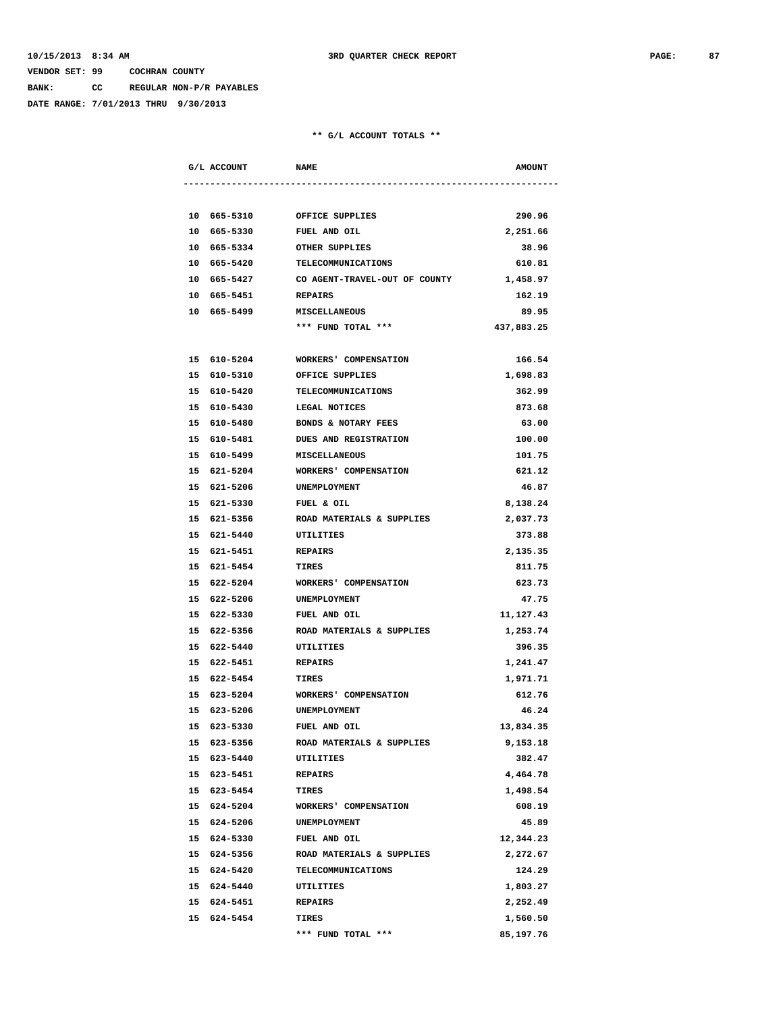**BANK: CC REGULAR NON-P/R PAYABLES**

**DATE RANGE: 7/01/2013 THRU 9/30/2013**

|  | G/L ACCOUNT         | <b>NAME</b>                               | <b>AMOUNT</b> |
|--|---------------------|-------------------------------------------|---------------|
|  |                     |                                           |               |
|  | 10 665-5310         | OFFICE SUPPLIES                           | 290.96        |
|  | 10 665-5330         | FUEL AND OIL                              | 2,251.66      |
|  | 10 665-5334         | OTHER SUPPLIES                            | 38.96         |
|  |                     | 10 665-5420 TELECOMMUNICATIONS            | 610.81        |
|  |                     | 10 665-5427 CO AGENT-TRAVEL-OUT OF COUNTY | 1,458.97      |
|  | 10 665-5451 REPAIRS |                                           | 162.19        |
|  | 10 665-5499         | <b>MISCELLANEOUS</b>                      | 89.95         |
|  |                     | *** FUND TOTAL ***                        | 437,883.25    |
|  |                     |                                           |               |
|  | 15 610-5204         | WORKERS' COMPENSATION                     | 166.54        |
|  | 15 610-5310         | OFFICE SUPPLIES                           | 1,698.83      |
|  | 15 610-5420         | TELECOMMUNICATIONS                        | 362.99        |
|  | 15 610-5430         | <b>LEGAL NOTICES</b>                      | 873.68        |
|  |                     | 15 610-5480 BONDS & NOTARY FEES           | 63.00         |
|  | 15 610-5481         | <b>DUES AND REGISTRATION</b>              | 100.00        |
|  |                     | 15 610-5499 MISCELLANEOUS                 | 101.75        |
|  |                     | 15 621-5204 WORKERS' COMPENSATION         | 621.12        |
|  |                     | 15 621-5206 UNEMPLOYMENT                  | 46.87         |
|  | 15 621-5330         | FUEL & OIL                                | 8,138.24      |
|  | 15 621-5356         | ROAD MATERIALS & SUPPLIES                 | 2,037.73      |
|  | 15 621-5440         | UTILITIES                                 | 373.88        |
|  | 15 621-5451         | <b>REPAIRS</b>                            | 2,135.35      |
|  | 15 621-5454         | TIRES                                     | 811.75        |
|  | 15 622-5204         | WORKERS' COMPENSATION                     | 623.73        |
|  | 15 622-5206         | UNEMPLOYMENT                              | 47.75         |
|  | 15 622-5330         | FUEL AND OIL                              | 11,127.43     |
|  |                     | 15 622-5356 ROAD MATERIALS & SUPPLIES     | 1,253.74      |
|  | 15 622-5440         | UTILITIES                                 | 396.35        |
|  | 15 622-5451         | <b>REPAIRS</b>                            | 1,241.47      |
|  | 15 622-5454 TIRES   |                                           | 1,971.71      |
|  |                     | 15 623-5204 WORKERS' COMPENSATION         | 612.76        |
|  | 15 623-5206         | UNEMPLOYMENT                              | 46.24         |
|  | 15 623-5330         | <b>FUEL AND OIL</b>                       | 13,834.35     |
|  | 15 623-5356         | ROAD MATERIALS & SUPPLIES                 | 9,153.18      |
|  | 15 623-5440         | UTILITIES                                 | 382.47        |
|  | 15 623-5451         | REPAIRS                                   | 4,464.78      |
|  | 15 623-5454         | TIRES                                     | 1,498.54      |
|  | 15 624-5204         | WORKERS' COMPENSATION                     | 608.19        |
|  | 15 624-5206         | UNEMPLOYMENT                              | 45.89         |
|  | 15 624-5330         | FUEL AND OIL                              | 12,344.23     |
|  | 15 624-5356         | ROAD MATERIALS & SUPPLIES                 | 2,272.67      |
|  | 15 624-5420         | TELECOMMUNICATIONS                        | 124.29        |
|  | 15 624-5440         | UTILITIES                                 | 1,803.27      |
|  | 15 624-5451         | REPAIRS                                   | 2,252.49      |
|  | 15 624-5454         | TIRES                                     | 1,560.50      |
|  |                     | *** FUND TOTAL ***                        | 85,197.76     |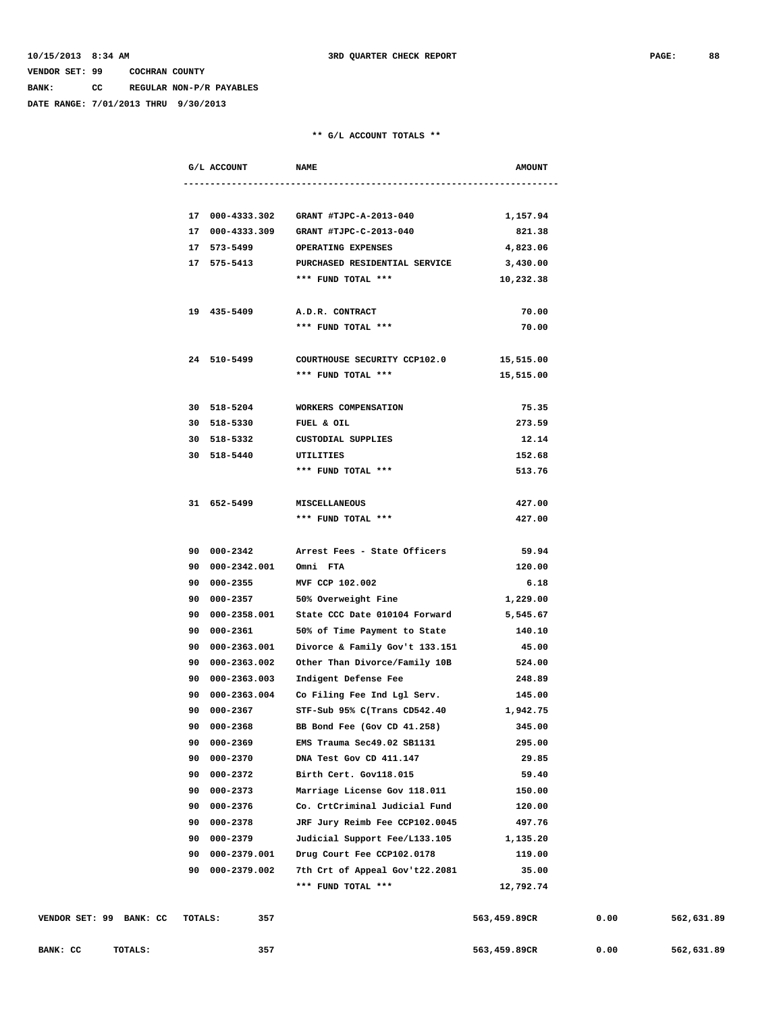**BANK: CC REGULAR NON-P/R PAYABLES**

**DATE RANGE: 7/01/2013 THRU 9/30/2013**

|                        |                | G/L ACCOUNT              | <b>NAME</b>                                                 | <b>AMOUNT</b> |
|------------------------|----------------|--------------------------|-------------------------------------------------------------|---------------|
|                        |                |                          |                                                             |               |
|                        |                |                          | 17 000-4333.302 GRANT #TJPC-A-2013-040 1,157.94             |               |
|                        |                |                          | 17 000-4333.309 GRANT #TJPC-C-2013-040                      | 821.38        |
|                        |                |                          | 17 573-5499 OPERATING EXPENSES                              | 4,823.06      |
|                        |                |                          | 17 575-5413 PURCHASED RESIDENTIAL SERVICE 3,430.00          |               |
|                        |                |                          | *** FUND TOTAL ***                                          | 10,232.38     |
|                        |                | 19 435-5409              | A.D.R. CONTRACT                                             | 70.00         |
|                        |                |                          | *** FUND TOTAL ***                                          | 70.00         |
|                        |                | 24 510-5499              | COURTHOUSE SECURITY CCP102.0                                | 15,515.00     |
|                        |                |                          | *** FUND TOTAL ***                                          | 15,515.00     |
|                        |                | 30 518-5204              | WORKERS COMPENSATION                                        | 75.35         |
|                        |                |                          | 30 518-5330 FUEL & OIL                                      | 273.59        |
|                        |                |                          | 30 518-5332 CUSTODIAL SUPPLIES                              | 12.14         |
|                        |                | 30 518-5440 UTILITIES    |                                                             | 152.68        |
|                        |                |                          | *** FUND TOTAL ***                                          | 513.76        |
|                        |                | 31 652-5499              | <b>MISCELLANEOUS</b>                                        | 427.00        |
|                        |                |                          | *** FUND TOTAL ***                                          | 427.00        |
|                        |                |                          | 90 000-2342 Arrest Fees - State Officers                    | 59.94         |
|                        |                | 90 000-2342.001 Omni FTA |                                                             | 120.00        |
|                        |                |                          | 90 000-2355 MVF CCP 102.002                                 | 6.18          |
|                        |                |                          | 90 000-2357 50% Overweight Fine 1,229.00                    |               |
|                        |                |                          | 90  000-2358.001  State CCC Date  010104  Forward  5,545.67 |               |
|                        |                | 90 000-2361              | 50% of Time Payment to State                                | 140.10        |
|                        |                | 90 000-2363.001          | Divorce & Family Gov't 133.151                              | 45.00         |
|                        |                |                          | 90 000-2363.002 Other Than Divorce/Family 10B               | 524.00        |
|                        |                |                          | 90 000-2363.003 Indigent Defense Fee                        | 248.89        |
|                        |                |                          | 90 000-2363.004 Co Filing Fee Ind Lgl Serv.                 | 145.00        |
|                        |                | 90 000-2367              | STF-Sub 95% C(Trans CD542.40                                | 1,942.75      |
|                        |                | 90 000-2368              | BB Bond Fee (Gov CD 41.258)                                 | 345.00        |
|                        |                | 90 000-2369              | EMS Trauma Sec49.02 SB1131                                  | 295.00        |
|                        |                | 90 000-2370              | DNA Test Gov CD 411.147                                     | 29.85         |
|                        |                | 90 000-2372              | Birth Cert. Gov118.015                                      | 59.40         |
|                        |                | 90 000-2373              | Marriage License Gov 118.011                                | 150.00        |
|                        |                | 90 000-2376              | Co. CrtCriminal Judicial Fund                               | 120.00        |
|                        |                | 90 000-2378              | JRF Jury Reimb Fee CCP102.0045                              | 497.76        |
|                        |                | 90 000-2379              | Judicial Support Fee/L133.105                               | 1,135.20      |
|                        |                | 90 000-2379.001          | Drug Court Fee CCP102.0178                                  | 119.00        |
|                        |                | 90 000-2379.002          | 7th Crt of Appeal Gov't22.2081                              | 35.00         |
|                        |                |                          | *** FUND TOTAL ***                                          | 12,792.74     |
| ററ<br>DANIE.<br>$\sim$ | <b>MOMATC.</b> | 2E7                      |                                                             | EC2 AE0 0000  |

| VENDOR SET: 99 | BANK: CC | 357<br>TOTALS: | 563,459.89CR | 0.00 | 562,631.89 |
|----------------|----------|----------------|--------------|------|------------|
| BANK: CC       | TOTALS:  | 357            | 563,459.89CR | 0.00 | 562,631.89 |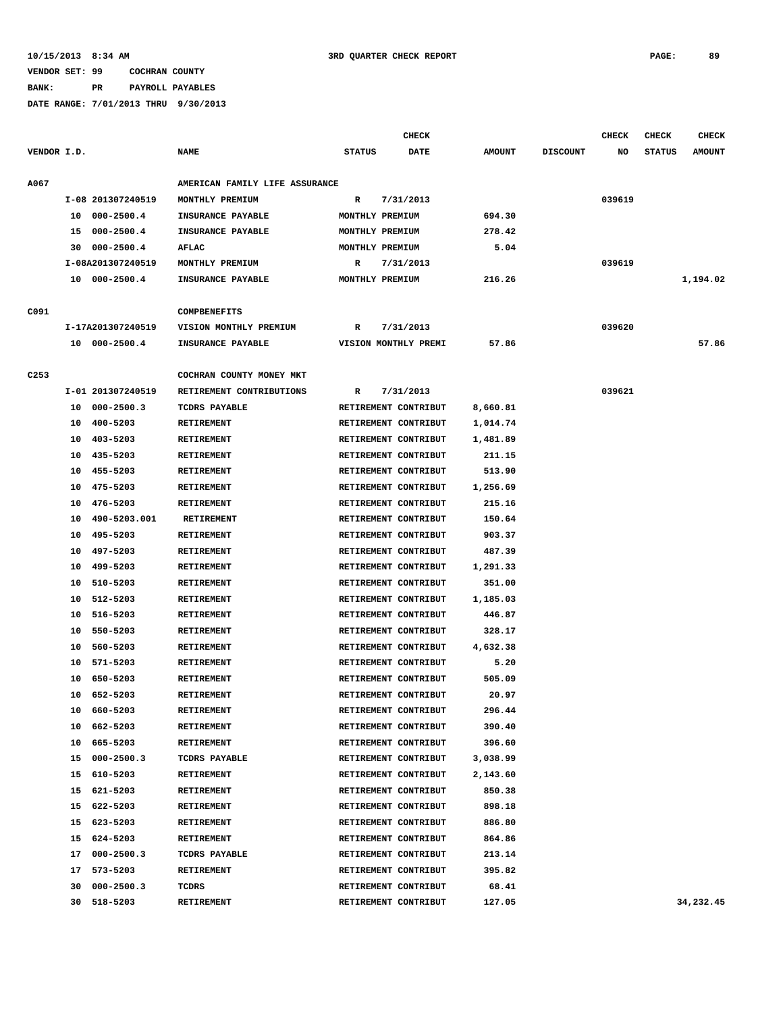**BANK: PR PAYROLL PAYABLES**

|                  |    |                   |                                |               | <b>CHECK</b>         |               |                 | <b>CHECK</b> | <b>CHECK</b>  | <b>CHECK</b>  |
|------------------|----|-------------------|--------------------------------|---------------|----------------------|---------------|-----------------|--------------|---------------|---------------|
| VENDOR I.D.      |    |                   | <b>NAME</b>                    | <b>STATUS</b> | DATE                 | <b>AMOUNT</b> | <b>DISCOUNT</b> | NO           | <b>STATUS</b> | <b>AMOUNT</b> |
| <b>A067</b>      |    |                   | AMERICAN FAMILY LIFE ASSURANCE |               |                      |               |                 |              |               |               |
|                  |    | I-08 201307240519 | MONTHLY PREMIUM                | R             | 7/31/2013            |               |                 | 039619       |               |               |
|                  |    | 10 000-2500.4     | INSURANCE PAYABLE              |               | MONTHLY PREMIUM      | 694.30        |                 |              |               |               |
|                  | 15 | 000-2500.4        | INSURANCE PAYABLE              |               | MONTHLY PREMIUM      | 278.42        |                 |              |               |               |
|                  | 30 | $000 - 2500.4$    | <b>AFLAC</b>                   |               | MONTHLY PREMIUM      | 5.04          |                 |              |               |               |
|                  |    | I-08A201307240519 | MONTHLY PREMIUM                | R             | 7/31/2013            |               |                 | 039619       |               |               |
|                  |    | 10 000-2500.4     | INSURANCE PAYABLE              |               | MONTHLY PREMIUM      | 216.26        |                 |              |               | 1,194.02      |
| C091             |    |                   | <b>COMPBENEFITS</b>            |               |                      |               |                 |              |               |               |
|                  |    | I-17A201307240519 | VISION MONTHLY PREMIUM         | R             | 7/31/2013            |               |                 | 039620       |               |               |
|                  |    | 10 000-2500.4     | INSURANCE PAYABLE              |               | VISION MONTHLY PREMI | 57.86         |                 |              |               | 57.86         |
| C <sub>253</sub> |    |                   | COCHRAN COUNTY MONEY MKT       |               |                      |               |                 |              |               |               |
|                  |    | I-01 201307240519 | RETIREMENT CONTRIBUTIONS       | R             | 7/31/2013            |               |                 | 039621       |               |               |
|                  |    | 10 000-2500.3     | <b>TCDRS PAYABLE</b>           |               | RETIREMENT CONTRIBUT | 8,660.81      |                 |              |               |               |
|                  | 10 | 400-5203          | <b>RETIREMENT</b>              |               | RETIREMENT CONTRIBUT | 1,014.74      |                 |              |               |               |
|                  | 10 | 403-5203          | <b>RETIREMENT</b>              |               | RETIREMENT CONTRIBUT | 1,481.89      |                 |              |               |               |
|                  | 10 | 435-5203          | <b>RETIREMENT</b>              |               | RETIREMENT CONTRIBUT | 211.15        |                 |              |               |               |
|                  | 10 | 455-5203          | RETIREMENT                     |               | RETIREMENT CONTRIBUT | 513.90        |                 |              |               |               |
|                  | 10 | 475-5203          | <b>RETIREMENT</b>              |               | RETIREMENT CONTRIBUT | 1,256.69      |                 |              |               |               |
|                  | 10 | 476-5203          | <b>RETIREMENT</b>              |               | RETIREMENT CONTRIBUT | 215.16        |                 |              |               |               |
|                  | 10 | 490-5203.001      | <b>RETIREMENT</b>              |               | RETIREMENT CONTRIBUT | 150.64        |                 |              |               |               |
|                  | 10 | 495-5203          | <b>RETIREMENT</b>              |               | RETIREMENT CONTRIBUT | 903.37        |                 |              |               |               |
|                  | 10 | 497-5203          | <b>RETIREMENT</b>              |               | RETIREMENT CONTRIBUT | 487.39        |                 |              |               |               |
|                  | 10 | 499-5203          | <b>RETIREMENT</b>              |               | RETIREMENT CONTRIBUT | 1,291.33      |                 |              |               |               |
|                  | 10 | 510-5203          | <b>RETIREMENT</b>              |               | RETIREMENT CONTRIBUT | 351.00        |                 |              |               |               |
|                  | 10 | 512-5203          | <b>RETIREMENT</b>              |               | RETIREMENT CONTRIBUT | 1,185.03      |                 |              |               |               |
|                  | 10 | 516-5203          | <b>RETIREMENT</b>              |               | RETIREMENT CONTRIBUT | 446.87        |                 |              |               |               |
|                  | 10 | 550-5203          | <b>RETIREMENT</b>              |               | RETIREMENT CONTRIBUT | 328.17        |                 |              |               |               |
|                  | 10 | 560-5203          | RETIREMENT                     |               | RETIREMENT CONTRIBUT | 4,632.38      |                 |              |               |               |
|                  | 10 | 571-5203          | RETIREMENT                     |               | RETIREMENT CONTRIBUT | 5.20          |                 |              |               |               |
|                  | 10 | 650-5203          | <b>RETIREMENT</b>              |               | RETIREMENT CONTRIBUT | 505.09        |                 |              |               |               |
|                  | 10 | 652-5203          | RETIREMENT                     |               | RETIREMENT CONTRIBUT | 20.97         |                 |              |               |               |
|                  | 10 | 660-5203          | RETIREMENT                     |               | RETIREMENT CONTRIBUT | 296.44        |                 |              |               |               |
|                  | 10 | 662-5203          | <b>RETIREMENT</b>              |               | RETIREMENT CONTRIBUT | 390.40        |                 |              |               |               |
|                  | 10 | 665-5203          | RETIREMENT                     |               | RETIREMENT CONTRIBUT | 396.60        |                 |              |               |               |
|                  | 15 | $000 - 2500.3$    | TCDRS PAYABLE                  |               | RETIREMENT CONTRIBUT | 3,038.99      |                 |              |               |               |
|                  |    | 15 610-5203       | <b>RETIREMENT</b>              |               | RETIREMENT CONTRIBUT | 2,143.60      |                 |              |               |               |
|                  |    | 15 621-5203       | RETIREMENT                     |               | RETIREMENT CONTRIBUT | 850.38        |                 |              |               |               |
|                  |    | 15 622-5203       | RETIREMENT                     |               | RETIREMENT CONTRIBUT | 898.18        |                 |              |               |               |
|                  |    | 15 623-5203       | <b>RETIREMENT</b>              |               | RETIREMENT CONTRIBUT | 886.80        |                 |              |               |               |
|                  |    | 15 624-5203       | RETIREMENT                     |               | RETIREMENT CONTRIBUT | 864.86        |                 |              |               |               |
|                  |    | 17 000-2500.3     | TCDRS PAYABLE                  |               | RETIREMENT CONTRIBUT | 213.14        |                 |              |               |               |
|                  | 17 | 573-5203          | RETIREMENT                     |               | RETIREMENT CONTRIBUT | 395.82        |                 |              |               |               |
|                  | 30 | $000 - 2500.3$    | TCDRS                          |               | RETIREMENT CONTRIBUT | 68.41         |                 |              |               |               |
|                  |    | 30 518-5203       | RETIREMENT                     |               | RETIREMENT CONTRIBUT | 127.05        |                 |              |               | 34,232.45     |
|                  |    |                   |                                |               |                      |               |                 |              |               |               |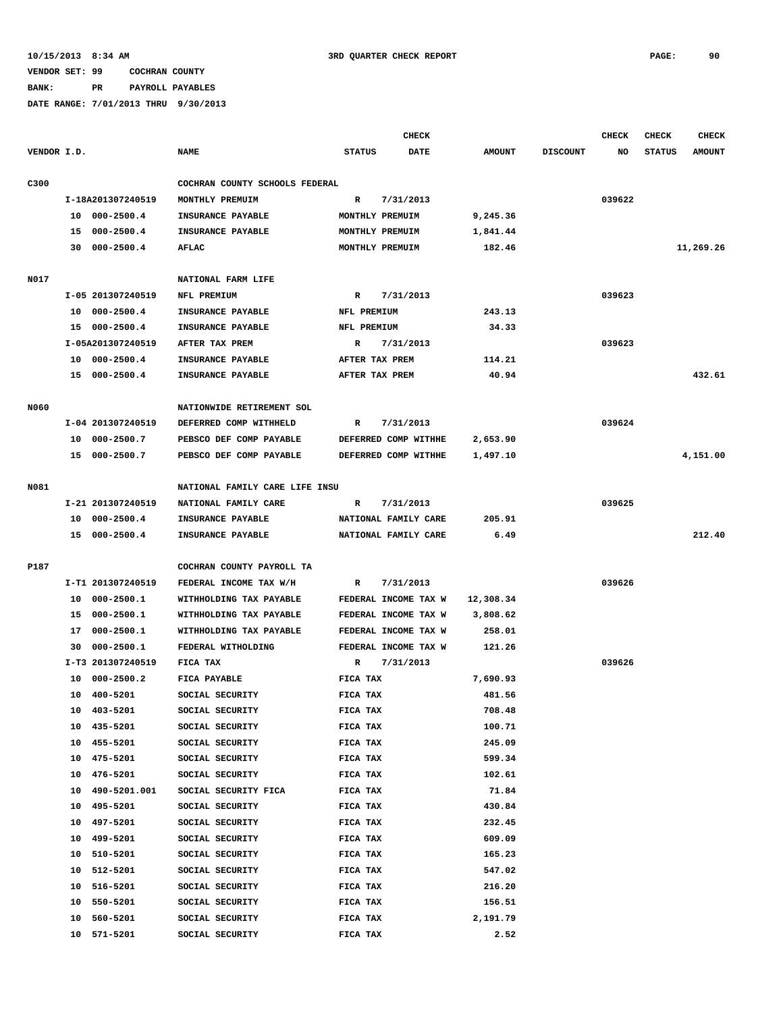**BANK: PR PAYROLL PAYABLES**

|             |                      |                                |                 | <b>CHECK</b>         |               |                 | <b>CHECK</b> | <b>CHECK</b>  | <b>CHECK</b>  |
|-------------|----------------------|--------------------------------|-----------------|----------------------|---------------|-----------------|--------------|---------------|---------------|
| VENDOR I.D. |                      | <b>NAME</b>                    | <b>STATUS</b>   | <b>DATE</b>          | <b>AMOUNT</b> | <b>DISCOUNT</b> | NO           | <b>STATUS</b> | <b>AMOUNT</b> |
| C300        |                      | COCHRAN COUNTY SCHOOLS FEDERAL |                 |                      |               |                 |              |               |               |
|             | I-18A201307240519    | MONTHLY PREMUIM                | $\mathbb{R}$    | 7/31/2013            |               |                 | 039622       |               |               |
|             | 10 000-2500.4        | INSURANCE PAYABLE              | MONTHLY PREMUIM |                      | 9,245.36      |                 |              |               |               |
|             | $000 - 2500.4$<br>15 | INSURANCE PAYABLE              | MONTHLY PREMUIM |                      | 1,841.44      |                 |              |               |               |
|             | 30 000-2500.4        | AFLAC                          | MONTHLY PREMUIM |                      | 182.46        |                 |              |               | 11,269.26     |
|             |                      |                                |                 |                      |               |                 |              |               |               |
| N017        |                      | NATIONAL FARM LIFE             |                 |                      |               |                 |              |               |               |
|             | I-05 201307240519    | NFL PREMIUM                    | R               | 7/31/2013            |               |                 | 039623       |               |               |
|             | 10 000-2500.4        | INSURANCE PAYABLE              | NFL PREMIUM     |                      | 243.13        |                 |              |               |               |
|             | 15 000-2500.4        | INSURANCE PAYABLE              | NFL PREMIUM     |                      | 34.33         |                 |              |               |               |
|             | I-05A201307240519    | AFTER TAX PREM                 | R               | 7/31/2013            |               |                 | 039623       |               |               |
|             | 10 000-2500.4        | INSURANCE PAYABLE              | AFTER TAX PREM  |                      | 114.21        |                 |              |               |               |
|             | 15 000-2500.4        | INSURANCE PAYABLE              | AFTER TAX PREM  |                      | 40.94         |                 |              |               | 432.61        |
|             |                      |                                |                 |                      |               |                 |              |               |               |
| <b>N060</b> |                      | NATIONWIDE RETIREMENT SOL      |                 |                      |               |                 |              |               |               |
|             | I-04 201307240519    | DEFERRED COMP WITHHELD         | R               | 7/31/2013            |               |                 | 039624       |               |               |
|             | 10 000-2500.7        | PEBSCO DEF COMP PAYABLE        |                 | DEFERRED COMP WITHHE | 2,653.90      |                 |              |               |               |
|             | 15 000-2500.7        | PEBSCO DEF COMP PAYABLE        |                 | DEFERRED COMP WITHHE | 1,497.10      |                 |              |               | 4,151.00      |
|             |                      |                                |                 |                      |               |                 |              |               |               |
| N081        |                      | NATIONAL FAMILY CARE LIFE INSU |                 |                      |               |                 |              |               |               |
|             | I-21 201307240519    | NATIONAL FAMILY CARE           | $\mathbb{R}$    | 7/31/2013            |               |                 | 039625       |               |               |
|             | 10 000-2500.4        | INSURANCE PAYABLE              |                 | NATIONAL FAMILY CARE | 205.91        |                 |              |               |               |
|             | 15 000-2500.4        | INSURANCE PAYABLE              |                 | NATIONAL FAMILY CARE | 6.49          |                 |              |               | 212.40        |
|             |                      |                                |                 |                      |               |                 |              |               |               |
| P187        |                      | COCHRAN COUNTY PAYROLL TA      |                 |                      |               |                 |              |               |               |
|             | I-T1 201307240519    | FEDERAL INCOME TAX W/H         | R               | 7/31/2013            |               |                 | 039626       |               |               |
|             | 000-2500.1<br>10     | WITHHOLDING TAX PAYABLE        |                 | FEDERAL INCOME TAX W | 12,308.34     |                 |              |               |               |
|             | 000-2500.1<br>15     | WITHHOLDING TAX PAYABLE        |                 | FEDERAL INCOME TAX W | 3,808.62      |                 |              |               |               |
|             | 17 000-2500.1        | WITHHOLDING TAX PAYABLE        |                 | FEDERAL INCOME TAX W | 258.01        |                 |              |               |               |
|             | $000 - 2500.1$<br>30 | FEDERAL WITHOLDING             |                 | FEDERAL INCOME TAX W | 121.26        |                 |              |               |               |
|             | I-T3 201307240519    | FICA TAX                       | R               | 7/31/2013            |               |                 | 039626       |               |               |
|             | $000 - 2500.2$<br>10 | FICA PAYABLE                   | FICA TAX        |                      | 7,690.93      |                 |              |               |               |
|             | 10 400-5201          | SOCIAL SECURITY                | FICA TAX        |                      | 481.56        |                 |              |               |               |
|             | 10 403-5201          | SOCIAL SECURITY                | FICA TAX        |                      | 708.48        |                 |              |               |               |
|             | 10 435-5201          | SOCIAL SECURITY                | FICA TAX        |                      | 100.71        |                 |              |               |               |
|             | 455-5201<br>10       | SOCIAL SECURITY                | FICA TAX        |                      | 245.09        |                 |              |               |               |
|             | 10 475-5201          | SOCIAL SECURITY                | FICA TAX        |                      | 599.34        |                 |              |               |               |
|             | 476-5201<br>10       | SOCIAL SECURITY                | FICA TAX        |                      | 102.61        |                 |              |               |               |
|             | 490-5201.001<br>10   | SOCIAL SECURITY FICA           | FICA TAX        |                      | 71.84         |                 |              |               |               |
|             | 495-5201<br>10       | SOCIAL SECURITY                | FICA TAX        |                      | 430.84        |                 |              |               |               |
|             | 10 497-5201          | SOCIAL SECURITY                | FICA TAX        |                      | 232.45        |                 |              |               |               |
|             | 10 499-5201          | SOCIAL SECURITY                | FICA TAX        |                      | 609.09        |                 |              |               |               |
|             | 10 510-5201          | SOCIAL SECURITY                | FICA TAX        |                      | 165.23        |                 |              |               |               |
|             | 512-5201<br>10       | SOCIAL SECURITY                | FICA TAX        |                      | 547.02        |                 |              |               |               |
|             | 516-5201<br>10       | SOCIAL SECURITY                | FICA TAX        |                      | 216.20        |                 |              |               |               |
|             | 550-5201<br>10       | SOCIAL SECURITY                | FICA TAX        |                      | 156.51        |                 |              |               |               |
|             | 560-5201<br>10       | SOCIAL SECURITY                | FICA TAX        |                      | 2,191.79      |                 |              |               |               |
|             | 10 571-5201          | SOCIAL SECURITY                | FICA TAX        |                      | 2.52          |                 |              |               |               |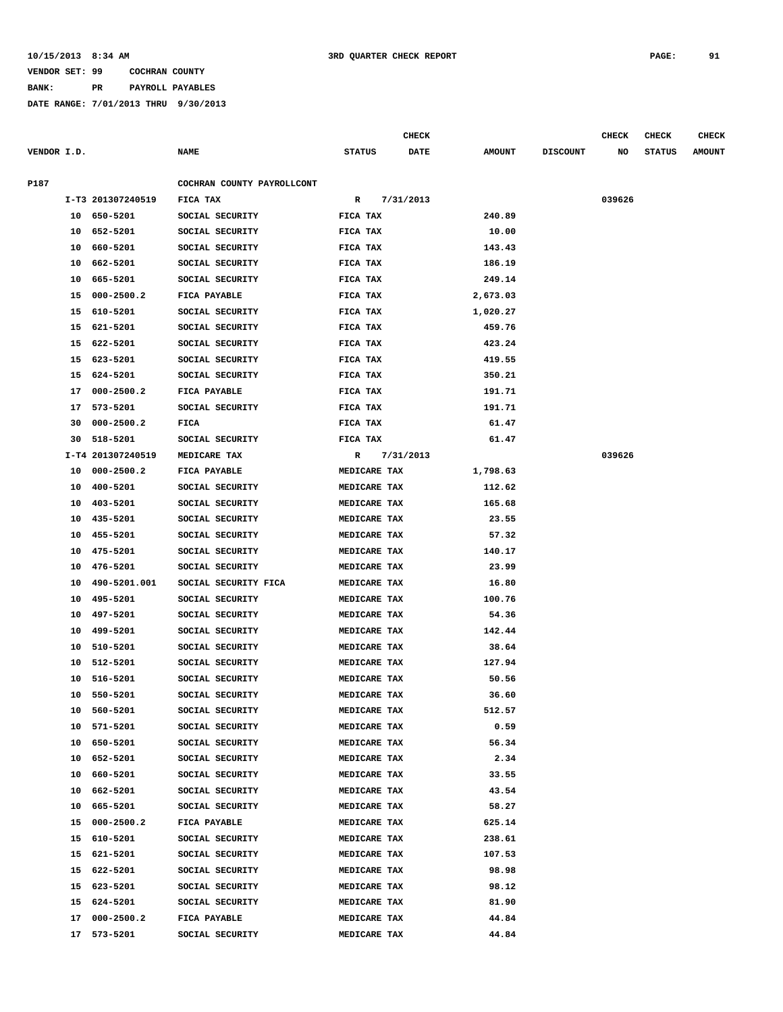**BANK: PR PAYROLL PAYABLES**

|             |    |                   |                            |               | CHECK       |               |                 | <b>CHECK</b> | <b>CHECK</b>  | <b>CHECK</b>  |
|-------------|----|-------------------|----------------------------|---------------|-------------|---------------|-----------------|--------------|---------------|---------------|
| VENDOR I.D. |    |                   | <b>NAME</b>                | <b>STATUS</b> | <b>DATE</b> | <b>AMOUNT</b> | <b>DISCOUNT</b> | NO           | <b>STATUS</b> | <b>AMOUNT</b> |
| P187        |    |                   | COCHRAN COUNTY PAYROLLCONT |               |             |               |                 |              |               |               |
|             |    | I-T3 201307240519 | FICA TAX                   | R             | 7/31/2013   |               |                 | 039626       |               |               |
|             |    | 10 650-5201       | SOCIAL SECURITY            | FICA TAX      |             | 240.89        |                 |              |               |               |
|             | 10 | 652-5201          | SOCIAL SECURITY            | FICA TAX      |             | 10.00         |                 |              |               |               |
|             | 10 | 660-5201          | SOCIAL SECURITY            | FICA TAX      |             | 143.43        |                 |              |               |               |
|             | 10 | 662-5201          | SOCIAL SECURITY            | FICA TAX      |             | 186.19        |                 |              |               |               |
|             | 10 | 665-5201          | SOCIAL SECURITY            | FICA TAX      |             | 249.14        |                 |              |               |               |
|             | 15 | $000 - 2500.2$    | FICA PAYABLE               | FICA TAX      |             | 2,673.03      |                 |              |               |               |
|             | 15 | 610-5201          | SOCIAL SECURITY            | FICA TAX      |             | 1,020.27      |                 |              |               |               |
|             | 15 | 621-5201          | SOCIAL SECURITY            | FICA TAX      |             | 459.76        |                 |              |               |               |
|             | 15 | 622-5201          | SOCIAL SECURITY            | FICA TAX      |             | 423.24        |                 |              |               |               |
|             | 15 | 623-5201          | SOCIAL SECURITY            | FICA TAX      |             | 419.55        |                 |              |               |               |
|             | 15 | 624-5201          | SOCIAL SECURITY            | FICA TAX      |             | 350.21        |                 |              |               |               |
|             | 17 | $000 - 2500.2$    | FICA PAYABLE               | FICA TAX      |             | 191.71        |                 |              |               |               |
|             | 17 | 573-5201          | SOCIAL SECURITY            | FICA TAX      |             | 191.71        |                 |              |               |               |
|             | 30 | $000 - 2500.2$    | FICA                       | FICA TAX      |             | 61.47         |                 |              |               |               |
|             | 30 | 518-5201          | SOCIAL SECURITY            | FICA TAX      |             | 61.47         |                 |              |               |               |
|             |    | I-T4 201307240519 | MEDICARE TAX               | R             | 7/31/2013   |               |                 | 039626       |               |               |
|             | 10 | $000 - 2500.2$    | FICA PAYABLE               | MEDICARE TAX  |             | 1,798.63      |                 |              |               |               |
|             | 10 | 400-5201          | SOCIAL SECURITY            | MEDICARE TAX  |             | 112.62        |                 |              |               |               |
|             | 10 | 403-5201          | SOCIAL SECURITY            | MEDICARE TAX  |             | 165.68        |                 |              |               |               |
|             | 10 | 435-5201          | SOCIAL SECURITY            | MEDICARE TAX  |             | 23.55         |                 |              |               |               |
|             | 10 | 455-5201          | SOCIAL SECURITY            | MEDICARE TAX  |             | 57.32         |                 |              |               |               |
|             | 10 | 475-5201          | SOCIAL SECURITY            | MEDICARE TAX  |             | 140.17        |                 |              |               |               |
|             | 10 | 476-5201          | SOCIAL SECURITY            | MEDICARE TAX  |             | 23.99         |                 |              |               |               |
|             | 10 | 490-5201.001      | SOCIAL SECURITY FICA       | MEDICARE TAX  |             | 16.80         |                 |              |               |               |
|             | 10 | 495-5201          | SOCIAL SECURITY            | MEDICARE TAX  |             | 100.76        |                 |              |               |               |
|             | 10 | 497-5201          | SOCIAL SECURITY            | MEDICARE TAX  |             | 54.36         |                 |              |               |               |
|             | 10 | 499-5201          | SOCIAL SECURITY            | MEDICARE TAX  |             | 142.44        |                 |              |               |               |
|             | 10 | 510-5201          | SOCIAL SECURITY            | MEDICARE TAX  |             | 38.64         |                 |              |               |               |
|             | 10 | 512-5201          | SOCIAL SECURITY            | MEDICARE TAX  |             | 127.94        |                 |              |               |               |
|             | 10 | 516-5201          | SOCIAL SECURITY            | MEDICARE TAX  |             | 50.56         |                 |              |               |               |
|             | 10 | 550-5201          | SOCIAL SECURITY            | MEDICARE TAX  |             | 36.60         |                 |              |               |               |
|             |    | 10 560-5201       | SOCIAL SECURITY            | MEDICARE TAX  |             | 512.57        |                 |              |               |               |
|             | 10 | 571-5201          | SOCIAL SECURITY            | MEDICARE TAX  |             | 0.59          |                 |              |               |               |
|             | 10 | 650-5201          | SOCIAL SECURITY            | MEDICARE TAX  |             | 56.34         |                 |              |               |               |
|             |    | 10 652-5201       | SOCIAL SECURITY            | MEDICARE TAX  |             | 2.34          |                 |              |               |               |
|             |    | 10 660-5201       | SOCIAL SECURITY            | MEDICARE TAX  |             | 33.55         |                 |              |               |               |
|             |    | 10 662-5201       | SOCIAL SECURITY            | MEDICARE TAX  |             | 43.54         |                 |              |               |               |
|             | 10 | 665-5201          | SOCIAL SECURITY            | MEDICARE TAX  |             | 58.27         |                 |              |               |               |
|             | 15 | $000 - 2500.2$    | FICA PAYABLE               | MEDICARE TAX  |             | 625.14        |                 |              |               |               |
|             |    | 15 610-5201       | SOCIAL SECURITY            | MEDICARE TAX  |             | 238.61        |                 |              |               |               |
|             |    | 15 621-5201       | SOCIAL SECURITY            | MEDICARE TAX  |             | 107.53        |                 |              |               |               |
|             |    | 15 622-5201       | SOCIAL SECURITY            | MEDICARE TAX  |             | 98.98         |                 |              |               |               |
|             |    | 15 623-5201       | SOCIAL SECURITY            | MEDICARE TAX  |             | 98.12         |                 |              |               |               |
|             |    | 15 624-5201       | SOCIAL SECURITY            | MEDICARE TAX  |             | 81.90         |                 |              |               |               |
|             | 17 | $000 - 2500.2$    | FICA PAYABLE               | MEDICARE TAX  |             | 44.84         |                 |              |               |               |
|             |    | 17 573-5201       | SOCIAL SECURITY            | MEDICARE TAX  |             | 44.84         |                 |              |               |               |
|             |    |                   |                            |               |             |               |                 |              |               |               |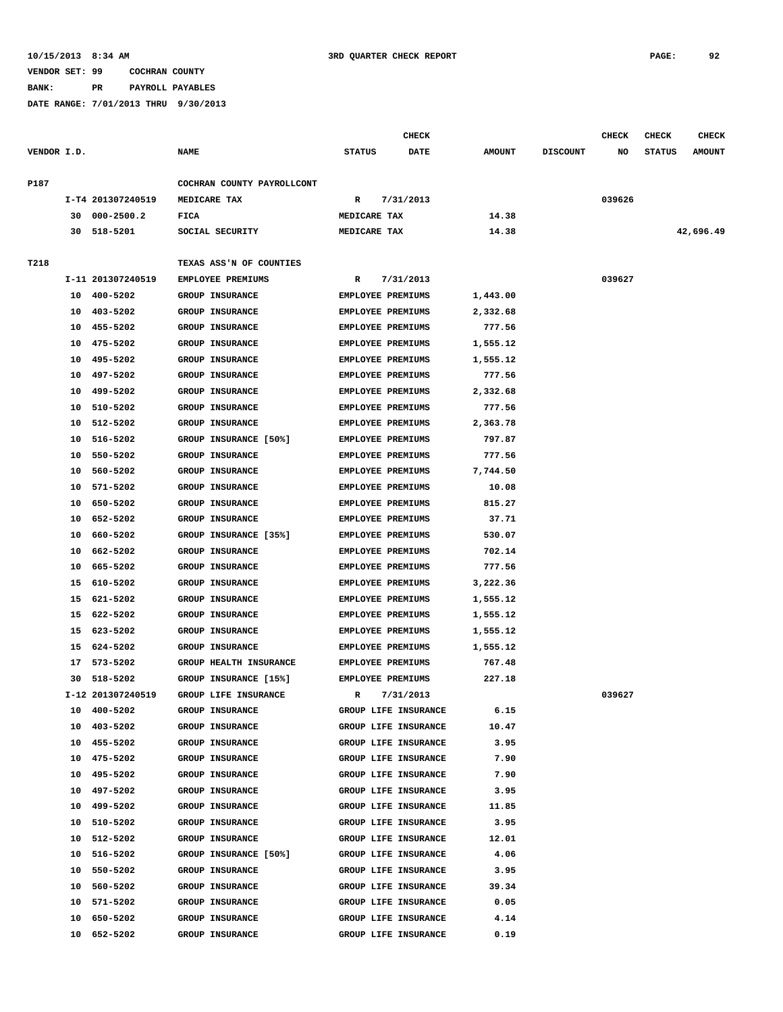**BANK: PR PAYROLL PAYABLES**

|             |    |                   |                            |               | CHECK                    |               |                 | <b>CHECK</b> | <b>CHECK</b>  | <b>CHECK</b>  |
|-------------|----|-------------------|----------------------------|---------------|--------------------------|---------------|-----------------|--------------|---------------|---------------|
| VENDOR I.D. |    |                   | <b>NAME</b>                | <b>STATUS</b> | <b>DATE</b>              | <b>AMOUNT</b> | <b>DISCOUNT</b> | NO           | <b>STATUS</b> | <b>AMOUNT</b> |
| P187        |    |                   | COCHRAN COUNTY PAYROLLCONT |               |                          |               |                 |              |               |               |
|             |    | I-T4 201307240519 | MEDICARE TAX               | R             | 7/31/2013                |               |                 | 039626       |               |               |
|             | 30 | 000-2500.2        | FICA                       | MEDICARE TAX  |                          | 14.38         |                 |              |               |               |
|             | 30 | 518-5201          | SOCIAL SECURITY            | MEDICARE TAX  |                          | 14.38         |                 |              |               | 42,696.49     |
| T218        |    |                   | TEXAS ASS'N OF COUNTIES    |               |                          |               |                 |              |               |               |
|             |    | I-11 201307240519 | EMPLOYEE PREMIUMS          | R             | 7/31/2013                |               |                 | 039627       |               |               |
|             | 10 | 400-5202          | <b>GROUP INSURANCE</b>     |               | <b>EMPLOYEE PREMIUMS</b> | 1,443.00      |                 |              |               |               |
|             | 10 | 403-5202          | <b>GROUP INSURANCE</b>     |               | <b>EMPLOYEE PREMIUMS</b> | 2,332.68      |                 |              |               |               |
|             | 10 | 455-5202          | GROUP INSURANCE            |               | <b>EMPLOYEE PREMIUMS</b> | 777.56        |                 |              |               |               |
|             | 10 | 475-5202          | GROUP INSURANCE            |               | <b>EMPLOYEE PREMIUMS</b> | 1,555.12      |                 |              |               |               |
|             | 10 | 495-5202          | <b>GROUP INSURANCE</b>     |               | <b>EMPLOYEE PREMIUMS</b> | 1,555.12      |                 |              |               |               |
|             | 10 | 497-5202          | GROUP INSURANCE            |               | EMPLOYEE PREMIUMS        | 777.56        |                 |              |               |               |
|             | 10 | 499-5202          | <b>GROUP INSURANCE</b>     |               | <b>EMPLOYEE PREMIUMS</b> | 2,332.68      |                 |              |               |               |
|             | 10 | 510-5202          | <b>GROUP INSURANCE</b>     |               | EMPLOYEE PREMIUMS        | 777.56        |                 |              |               |               |
|             | 10 | 512-5202          | <b>GROUP INSURANCE</b>     |               | EMPLOYEE PREMIUMS        | 2,363.78      |                 |              |               |               |
|             | 10 | 516-5202          | GROUP INSURANCE [50%]      |               | EMPLOYEE PREMIUMS        | 797.87        |                 |              |               |               |
|             | 10 | 550-5202          | <b>GROUP INSURANCE</b>     |               | EMPLOYEE PREMIUMS        | 777.56        |                 |              |               |               |
|             | 10 | 560-5202          | GROUP INSURANCE            |               | EMPLOYEE PREMIUMS        | 7,744.50      |                 |              |               |               |
|             | 10 | 571-5202          | <b>GROUP INSURANCE</b>     |               | <b>EMPLOYEE PREMIUMS</b> | 10.08         |                 |              |               |               |
|             | 10 | 650-5202          | <b>GROUP INSURANCE</b>     |               | <b>EMPLOYEE PREMIUMS</b> | 815.27        |                 |              |               |               |
|             | 10 | 652-5202          | GROUP INSURANCE            |               | <b>EMPLOYEE PREMIUMS</b> | 37.71         |                 |              |               |               |
|             | 10 | 660-5202          | GROUP INSURANCE [35%]      |               | <b>EMPLOYEE PREMIUMS</b> | 530.07        |                 |              |               |               |
|             | 10 | 662-5202          | <b>GROUP INSURANCE</b>     |               | <b>EMPLOYEE PREMIUMS</b> | 702.14        |                 |              |               |               |
|             | 10 | 665-5202          | GROUP INSURANCE            |               | <b>EMPLOYEE PREMIUMS</b> | 777.56        |                 |              |               |               |
|             | 15 | 610-5202          | <b>GROUP INSURANCE</b>     |               | <b>EMPLOYEE PREMIUMS</b> | 3,222.36      |                 |              |               |               |
|             | 15 | 621-5202          | <b>GROUP INSURANCE</b>     |               | EMPLOYEE PREMIUMS        | 1,555.12      |                 |              |               |               |
|             | 15 | 622-5202          | GROUP INSURANCE            |               | EMPLOYEE PREMIUMS        | 1,555.12      |                 |              |               |               |
|             | 15 | 623-5202          | <b>GROUP INSURANCE</b>     |               | <b>EMPLOYEE PREMIUMS</b> | 1,555.12      |                 |              |               |               |
|             | 15 | 624-5202          | <b>GROUP INSURANCE</b>     |               | <b>EMPLOYEE PREMIUMS</b> | 1,555.12      |                 |              |               |               |
|             |    | 17 573-5202       | GROUP HEALTH INSURANCE     |               | EMPLOYEE PREMIUMS        | 767.48        |                 |              |               |               |
|             | 30 | 518-5202          | GROUP INSURANCE [15%]      |               | <b>EMPLOYEE PREMIUMS</b> | 227.18        |                 |              |               |               |
|             |    | I-12 201307240519 | GROUP LIFE INSURANCE       | R             | 7/31/2013                |               |                 | 039627       |               |               |
|             | 10 | 400-5202          | <b>GROUP INSURANCE</b>     |               | GROUP LIFE INSURANCE     | 6.15          |                 |              |               |               |
|             | 10 | 403-5202          | <b>GROUP INSURANCE</b>     |               | GROUP LIFE INSURANCE     | 10.47         |                 |              |               |               |
|             | 10 | 455-5202          | GROUP INSURANCE            |               | GROUP LIFE INSURANCE     | 3.95          |                 |              |               |               |
|             | 10 | 475-5202          | GROUP INSURANCE            |               | GROUP LIFE INSURANCE     | 7.90          |                 |              |               |               |
|             | 10 | 495-5202          | GROUP INSURANCE            |               | GROUP LIFE INSURANCE     | 7.90          |                 |              |               |               |
|             |    | 10 497-5202       | GROUP INSURANCE            |               | GROUP LIFE INSURANCE     | 3.95          |                 |              |               |               |
|             | 10 | 499-5202          | GROUP INSURANCE            |               | GROUP LIFE INSURANCE     | 11.85         |                 |              |               |               |
|             | 10 | 510-5202          | GROUP INSURANCE            |               | GROUP LIFE INSURANCE     | 3.95          |                 |              |               |               |
|             |    | 10 512-5202       | GROUP INSURANCE            |               | GROUP LIFE INSURANCE     | 12.01         |                 |              |               |               |
|             |    | 10 516-5202       | GROUP INSURANCE [50%]      |               | GROUP LIFE INSURANCE     | 4.06          |                 |              |               |               |
|             | 10 | 550-5202          | GROUP INSURANCE            |               | GROUP LIFE INSURANCE     | 3.95          |                 |              |               |               |
|             |    | 10 560-5202       | GROUP INSURANCE            |               | GROUP LIFE INSURANCE     | 39.34         |                 |              |               |               |
|             | 10 | 571-5202          | GROUP INSURANCE            |               | GROUP LIFE INSURANCE     | 0.05          |                 |              |               |               |
|             | 10 | 650-5202          | GROUP INSURANCE            |               | GROUP LIFE INSURANCE     | 4.14          |                 |              |               |               |
|             | 10 | 652-5202          | GROUP INSURANCE            |               | GROUP LIFE INSURANCE     | 0.19          |                 |              |               |               |
|             |    |                   |                            |               |                          |               |                 |              |               |               |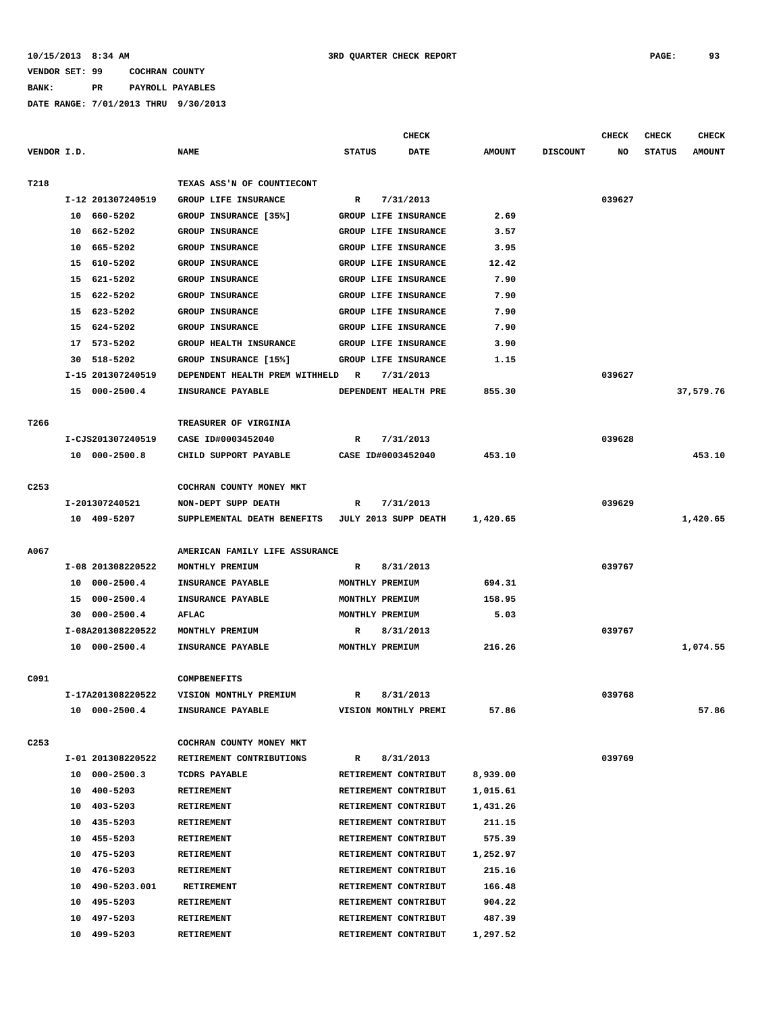**BANK: PR PAYROLL PAYABLES**

|                  |                            |                                               |                                              | <b>CHECK</b> |                      |                 | <b>CHECK</b> | <b>CHECK</b>  | <b>CHECK</b>  |
|------------------|----------------------------|-----------------------------------------------|----------------------------------------------|--------------|----------------------|-----------------|--------------|---------------|---------------|
| VENDOR I.D.      |                            | <b>NAME</b>                                   | <b>STATUS</b>                                | <b>DATE</b>  | <b>AMOUNT</b>        | <b>DISCOUNT</b> | NO           | <b>STATUS</b> | <b>AMOUNT</b> |
|                  |                            |                                               |                                              |              |                      |                 |              |               |               |
| T218             |                            | TEXAS ASS'N OF COUNTIECONT                    |                                              |              |                      |                 |              |               |               |
|                  | I-12 201307240519          | GROUP LIFE INSURANCE                          | R                                            | 7/31/2013    |                      |                 | 039627       |               |               |
|                  | 10 660-5202                | GROUP INSURANCE [35%]                         | GROUP LIFE INSURANCE                         |              | 2.69                 |                 |              |               |               |
|                  | 662-5202<br>10             | GROUP INSURANCE                               | GROUP LIFE INSURANCE                         |              | 3.57                 |                 |              |               |               |
|                  | 665-5202<br>10             | <b>GROUP INSURANCE</b>                        | GROUP LIFE INSURANCE                         |              | 3.95                 |                 |              |               |               |
|                  | 15<br>610-5202             | GROUP INSURANCE                               | GROUP LIFE INSURANCE                         |              | 12.42                |                 |              |               |               |
|                  | 15 621-5202                | GROUP INSURANCE                               | GROUP LIFE INSURANCE                         |              | 7.90                 |                 |              |               |               |
|                  | 15<br>622-5202             | <b>GROUP INSURANCE</b>                        | <b>GROUP LIFE INSURANCE</b>                  |              | 7.90                 |                 |              |               |               |
|                  | 623-5202<br>15             | GROUP INSURANCE                               | GROUP LIFE INSURANCE                         |              | 7.90                 |                 |              |               |               |
|                  | 624-5202<br>15             | GROUP INSURANCE                               | GROUP LIFE INSURANCE                         |              | 7.90                 |                 |              |               |               |
|                  | 573-5202<br>17             | GROUP HEALTH INSURANCE                        | GROUP LIFE INSURANCE                         |              | 3.90                 |                 |              |               |               |
|                  | 518-5202<br>30             | GROUP INSURANCE [15%]                         | GROUP LIFE INSURANCE                         |              | 1.15                 |                 |              |               |               |
|                  | I-15 201307240519          | DEPENDENT HEALTH PREM WITHHELD                | R                                            | 7/31/2013    |                      |                 | 039627       |               |               |
|                  | 15 000-2500.4              | INSURANCE PAYABLE                             | DEPENDENT HEALTH PRE                         |              | 855.30               |                 |              |               | 37,579.76     |
|                  |                            |                                               |                                              |              |                      |                 |              |               |               |
| T266             |                            | TREASURER OF VIRGINIA                         |                                              |              |                      |                 |              |               |               |
|                  | I-CJS201307240519          | CASE ID#0003452040                            | R                                            | 7/31/2013    |                      |                 | 039628       |               |               |
|                  | 10 000-2500.8              | CHILD SUPPORT PAYABLE                         | CASE ID#0003452040                           |              | 453.10               |                 |              |               | 453.10        |
|                  |                            |                                               |                                              |              |                      |                 |              |               |               |
| C <sub>253</sub> |                            | COCHRAN COUNTY MONEY MKT                      |                                              |              |                      |                 |              |               |               |
|                  | I-201307240521             | NON-DEPT SUPP DEATH                           | R                                            | 7/31/2013    |                      |                 | 039629       |               |               |
|                  | 10 409-5207                | SUPPLEMENTAL DEATH BENEFITS                   | JULY 2013 SUPP DEATH                         |              | 1,420.65             |                 |              |               | 1,420.65      |
|                  |                            |                                               |                                              |              |                      |                 |              |               |               |
| A067             |                            | AMERICAN FAMILY LIFE ASSURANCE                |                                              |              |                      |                 |              |               |               |
|                  | I-08 201308220522          | MONTHLY PREMIUM                               | R                                            | 8/31/2013    |                      |                 | 039767       |               |               |
|                  | $000 - 2500.4$<br>10       | INSURANCE PAYABLE                             | MONTHLY PREMIUM                              |              | 694.31               |                 |              |               |               |
|                  | $000 - 2500.4$<br>15       | INSURANCE PAYABLE                             | MONTHLY PREMIUM                              |              | 158.95               |                 |              |               |               |
|                  | $000 - 2500.4$<br>30       | AFLAC                                         | MONTHLY PREMIUM                              |              | 5.03                 |                 |              |               |               |
|                  | I-08A201308220522          | MONTHLY PREMIUM                               | R                                            | 8/31/2013    | 216.26               |                 | 039767       |               |               |
|                  | 10 000-2500.4              | INSURANCE PAYABLE                             | MONTHLY PREMIUM                              |              |                      |                 |              |               | 1,074.55      |
|                  |                            |                                               |                                              |              |                      |                 |              |               |               |
| C091             | I-17A201308220522          | <b>COMPBENEFITS</b><br>VISION MONTHLY PREMIUM | R                                            | 8/31/2013    |                      |                 | 039768       |               |               |
|                  |                            |                                               |                                              |              |                      |                 |              |               |               |
|                  | 10 000-2500.4              | INSURANCE PAYABLE                             | VISION MONTHLY PREMI                         |              | 57.86                |                 |              |               | 57.86         |
| C <sub>253</sub> |                            | COCHRAN COUNTY MONEY MKT                      |                                              |              |                      |                 |              |               |               |
|                  | I-01 201308220522          | RETIREMENT CONTRIBUTIONS                      | R                                            | 8/31/2013    |                      |                 | 039769       |               |               |
|                  | 10 000-2500.3              |                                               | RETIREMENT CONTRIBUT                         |              |                      |                 |              |               |               |
|                  | 10 400-5203                | TCDRS PAYABLE<br>RETIREMENT                   | RETIREMENT CONTRIBUT                         |              | 8,939.00<br>1,015.61 |                 |              |               |               |
|                  | 10 403-5203                | RETIREMENT                                    | RETIREMENT CONTRIBUT                         |              | 1,431.26             |                 |              |               |               |
|                  |                            | <b>RETIREMENT</b>                             |                                              |              |                      |                 |              |               |               |
|                  | 10 435-5203<br>10 455-5203 | RETIREMENT                                    | RETIREMENT CONTRIBUT<br>RETIREMENT CONTRIBUT |              | 211.15<br>575.39     |                 |              |               |               |
|                  | 10 475-5203                | RETIREMENT                                    | RETIREMENT CONTRIBUT                         |              | 1,252.97             |                 |              |               |               |
|                  | 10 476-5203                | <b>RETIREMENT</b>                             |                                              |              | 215.16               |                 |              |               |               |
|                  | 10 490-5203.001            | RETIREMENT                                    | RETIREMENT CONTRIBUT<br>RETIREMENT CONTRIBUT |              | 166.48               |                 |              |               |               |
|                  | 10 495-5203                | RETIREMENT                                    | RETIREMENT CONTRIBUT                         |              | 904.22               |                 |              |               |               |
|                  | 10<br>497-5203             | <b>RETIREMENT</b>                             | RETIREMENT CONTRIBUT                         |              | 487.39               |                 |              |               |               |
|                  | 10 499-5203                | <b>RETIREMENT</b>                             | RETIREMENT CONTRIBUT                         |              | 1,297.52             |                 |              |               |               |
|                  |                            |                                               |                                              |              |                      |                 |              |               |               |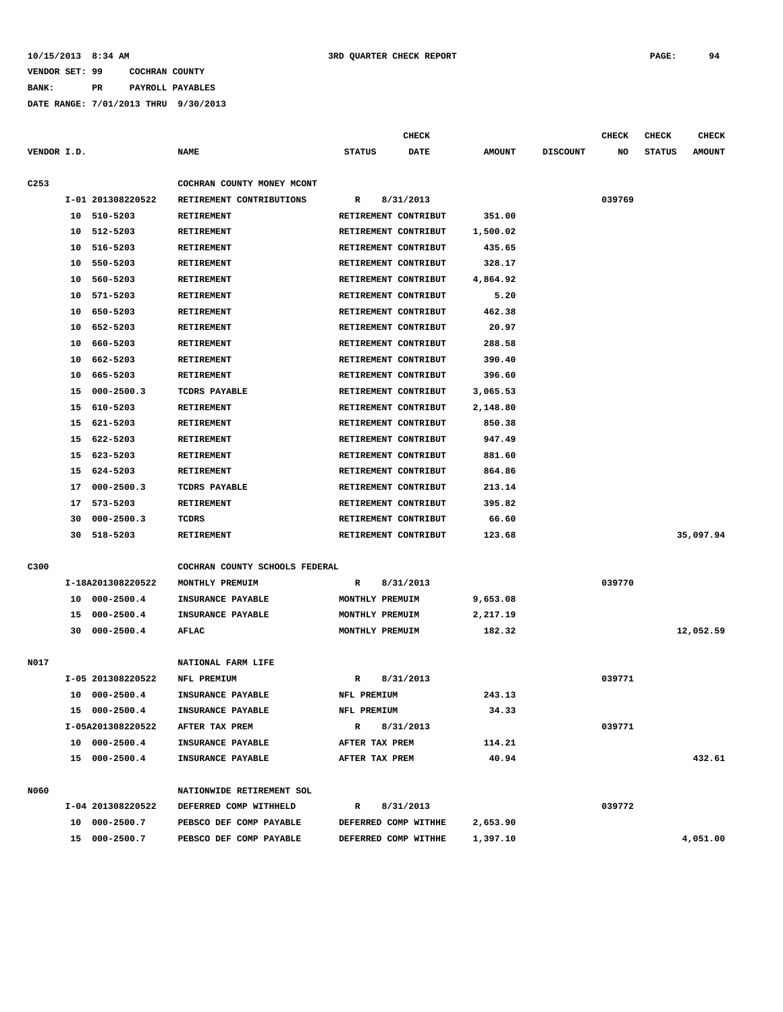**BANK: PR PAYROLL PAYABLES**

|                  |    |                   |                                |                      | <b>CHECK</b> |               |                 | <b>CHECK</b> | <b>CHECK</b>  | <b>CHECK</b>  |
|------------------|----|-------------------|--------------------------------|----------------------|--------------|---------------|-----------------|--------------|---------------|---------------|
| VENDOR I.D.      |    |                   | <b>NAME</b>                    | <b>STATUS</b>        | <b>DATE</b>  | <b>AMOUNT</b> | <b>DISCOUNT</b> | NO           | <b>STATUS</b> | <b>AMOUNT</b> |
| C <sub>253</sub> |    |                   | COCHRAN COUNTY MONEY MCONT     |                      |              |               |                 |              |               |               |
|                  |    | I-01 201308220522 | RETIREMENT CONTRIBUTIONS       | R                    | 8/31/2013    |               |                 | 039769       |               |               |
|                  | 10 | 510-5203          | RETIREMENT                     | RETIREMENT CONTRIBUT |              | 351.00        |                 |              |               |               |
|                  | 10 | 512-5203          | RETIREMENT                     | RETIREMENT CONTRIBUT |              | 1,500.02      |                 |              |               |               |
|                  | 10 | 516-5203          | RETIREMENT                     | RETIREMENT CONTRIBUT |              | 435.65        |                 |              |               |               |
|                  | 10 | 550-5203          | <b>RETIREMENT</b>              | RETIREMENT CONTRIBUT |              | 328.17        |                 |              |               |               |
|                  | 10 | 560-5203          | <b>RETIREMENT</b>              | RETIREMENT CONTRIBUT |              | 4,864.92      |                 |              |               |               |
|                  | 10 | 571-5203          | RETIREMENT                     | RETIREMENT CONTRIBUT |              | 5.20          |                 |              |               |               |
|                  | 10 | 650-5203          | RETIREMENT                     | RETIREMENT CONTRIBUT |              | 462.38        |                 |              |               |               |
|                  | 10 | 652-5203          | RETIREMENT                     | RETIREMENT CONTRIBUT |              | 20.97         |                 |              |               |               |
|                  | 10 | 660-5203          | RETIREMENT                     | RETIREMENT CONTRIBUT |              | 288.58        |                 |              |               |               |
|                  | 10 | 662-5203          | RETIREMENT                     | RETIREMENT CONTRIBUT |              | 390.40        |                 |              |               |               |
|                  | 10 | 665-5203          | RETIREMENT                     | RETIREMENT CONTRIBUT |              | 396.60        |                 |              |               |               |
|                  | 15 | $000 - 2500.3$    | <b>TCDRS PAYABLE</b>           | RETIREMENT CONTRIBUT |              | 3,065.53      |                 |              |               |               |
|                  | 15 | 610-5203          | RETIREMENT                     | RETIREMENT CONTRIBUT |              | 2,148.80      |                 |              |               |               |
|                  | 15 | 621-5203          | RETIREMENT                     | RETIREMENT CONTRIBUT |              | 850.38        |                 |              |               |               |
|                  | 15 | 622-5203          | RETIREMENT                     | RETIREMENT CONTRIBUT |              | 947.49        |                 |              |               |               |
|                  | 15 | 623-5203          | RETIREMENT                     | RETIREMENT CONTRIBUT |              | 881.60        |                 |              |               |               |
|                  | 15 | 624-5203          | RETIREMENT                     | RETIREMENT CONTRIBUT |              | 864.86        |                 |              |               |               |
|                  | 17 | $000 - 2500.3$    | <b>TCDRS PAYABLE</b>           | RETIREMENT CONTRIBUT |              | 213.14        |                 |              |               |               |
|                  | 17 | 573-5203          | RETIREMENT                     | RETIREMENT CONTRIBUT |              | 395.82        |                 |              |               |               |
|                  | 30 | $000 - 2500.3$    | TCDRS                          | RETIREMENT CONTRIBUT |              | 66.60         |                 |              |               |               |
|                  | 30 | 518-5203          | RETIREMENT                     | RETIREMENT CONTRIBUT |              | 123.68        |                 |              |               | 35,097.94     |
|                  |    |                   |                                |                      |              |               |                 |              |               |               |
| C300             |    |                   | COCHRAN COUNTY SCHOOLS FEDERAL |                      |              |               |                 |              |               |               |
|                  |    | I-18A201308220522 | MONTHLY PREMUIM                | R                    | 8/31/2013    |               |                 | 039770       |               |               |
|                  | 10 | $000 - 2500.4$    | INSURANCE PAYABLE              | MONTHLY PREMUIM      |              | 9,653.08      |                 |              |               |               |
|                  | 15 | $000 - 2500.4$    | INSURANCE PAYABLE              | MONTHLY PREMUIM      |              | 2,217.19      |                 |              |               |               |
|                  | 30 | $000 - 2500.4$    | AFLAC                          | MONTHLY PREMUIM      |              | 182.32        |                 |              |               | 12,052.59     |
|                  |    |                   |                                |                      |              |               |                 |              |               |               |
| N017             |    |                   | NATIONAL FARM LIFE             |                      |              |               |                 |              |               |               |
|                  |    | I-05 201308220522 | NFL PREMIUM                    | R                    | 8/31/2013    |               |                 | 039771       |               |               |
|                  | 10 | $000 - 2500.4$    | INSURANCE PAYABLE              | NFL PREMIUM          |              | 243.13        |                 |              |               |               |
|                  |    | 15 000-2500.4     | INSURANCE PAYABLE              | NFL PREMIUM          |              | 34.33         |                 |              |               |               |
|                  |    | I-05A201308220522 | AFTER TAX PREM                 | R                    | 8/31/2013    |               |                 | 039771       |               |               |
|                  |    | 10 000-2500.4     | INSURANCE PAYABLE              | AFTER TAX PREM       |              | 114.21        |                 |              |               |               |
|                  |    | 15 000-2500.4     | INSURANCE PAYABLE              | AFTER TAX PREM       |              | 40.94         |                 |              |               | 432.61        |
|                  |    |                   |                                |                      |              |               |                 |              |               |               |
| N060             |    |                   | NATIONWIDE RETIREMENT SOL      |                      |              |               |                 |              |               |               |
|                  |    | I-04 201308220522 | DEFERRED COMP WITHHELD         | R                    | 8/31/2013    |               |                 | 039772       |               |               |
|                  |    | 10 000-2500.7     | PEBSCO DEF COMP PAYABLE        | DEFERRED COMP WITHHE |              | 2,653.90      |                 |              |               |               |
|                  |    | 15 000-2500.7     | PEBSCO DEF COMP PAYABLE        | DEFERRED COMP WITHHE |              | 1,397.10      |                 |              |               | 4,051.00      |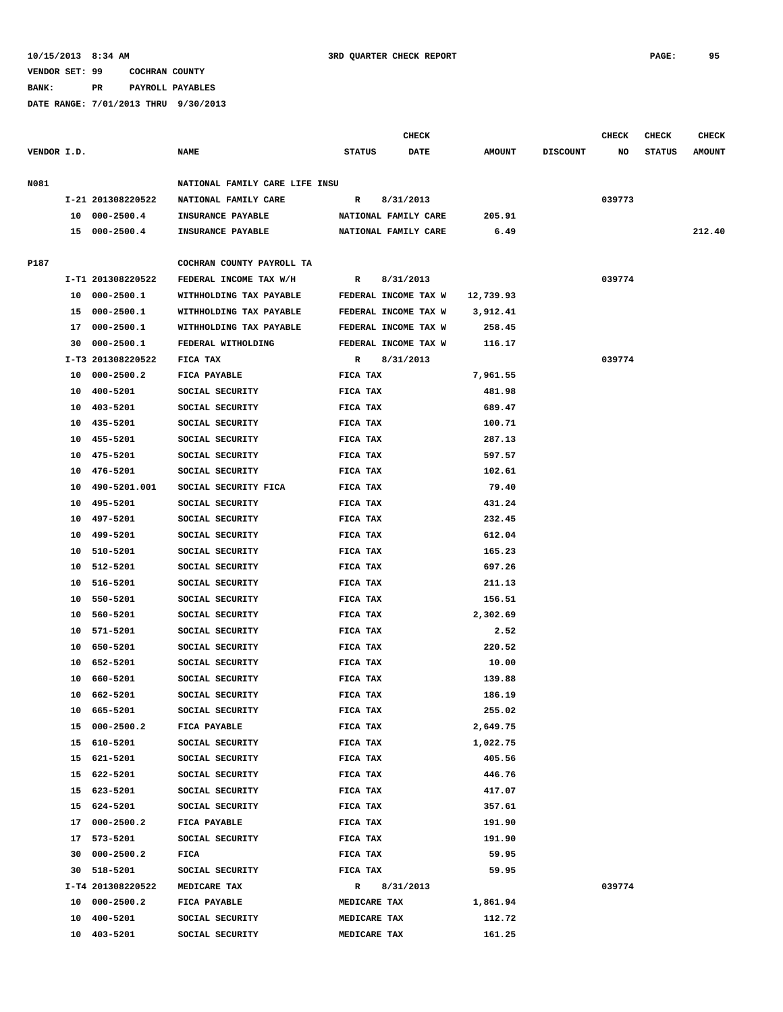**BANK: PR PAYROLL PAYABLES**

|             |    |                   |                                |                     | <b>CHECK</b>         |               |                 | <b>CHECK</b> | <b>CHECK</b>  | <b>CHECK</b>  |
|-------------|----|-------------------|--------------------------------|---------------------|----------------------|---------------|-----------------|--------------|---------------|---------------|
| VENDOR I.D. |    |                   | <b>NAME</b>                    | <b>STATUS</b>       | DATE                 | <b>AMOUNT</b> | <b>DISCOUNT</b> | NO           | <b>STATUS</b> | <b>AMOUNT</b> |
| N081        |    |                   | NATIONAL FAMILY CARE LIFE INSU |                     |                      |               |                 |              |               |               |
|             |    | I-21 201308220522 | NATIONAL FAMILY CARE           | R                   | 8/31/2013            |               |                 | 039773       |               |               |
|             |    | 10 000-2500.4     | INSURANCE PAYABLE              |                     | NATIONAL FAMILY CARE | 205.91        |                 |              |               |               |
|             |    | 15 000-2500.4     | <b>INSURANCE PAYABLE</b>       |                     | NATIONAL FAMILY CARE | 6.49          |                 |              |               | 212.40        |
|             |    |                   |                                |                     |                      |               |                 |              |               |               |
| P187        |    |                   | COCHRAN COUNTY PAYROLL TA      |                     |                      |               |                 |              |               |               |
|             |    | I-T1 201308220522 | FEDERAL INCOME TAX W/H         | R                   | 8/31/2013            |               |                 | 039774       |               |               |
|             |    | 10 000-2500.1     | WITHHOLDING TAX PAYABLE        |                     | FEDERAL INCOME TAX W | 12,739.93     |                 |              |               |               |
|             |    | 15 000-2500.1     | WITHHOLDING TAX PAYABLE        |                     | FEDERAL INCOME TAX W | 3,912.41      |                 |              |               |               |
|             | 17 | 000-2500.1        | WITHHOLDING TAX PAYABLE        |                     | FEDERAL INCOME TAX W | 258.45        |                 |              |               |               |
|             | 30 | $000 - 2500.1$    | FEDERAL WITHOLDING             |                     | FEDERAL INCOME TAX W | 116.17        |                 |              |               |               |
|             |    | I-T3 201308220522 | FICA TAX                       | R                   | 8/31/2013            |               |                 | 039774       |               |               |
|             | 10 | 000-2500.2        | FICA PAYABLE                   | FICA TAX            |                      | 7,961.55      |                 |              |               |               |
|             | 10 | 400-5201          | SOCIAL SECURITY                | FICA TAX            |                      | 481.98        |                 |              |               |               |
|             |    | 10 403-5201       | SOCIAL SECURITY                | FICA TAX            |                      | 689.47        |                 |              |               |               |
|             | 10 | 435-5201          | SOCIAL SECURITY                | FICA TAX            |                      | 100.71        |                 |              |               |               |
|             | 10 | 455-5201          | SOCIAL SECURITY                | FICA TAX            |                      | 287.13        |                 |              |               |               |
|             | 10 | 475-5201          | SOCIAL SECURITY                | FICA TAX            |                      | 597.57        |                 |              |               |               |
|             | 10 | 476-5201          | SOCIAL SECURITY                | FICA TAX            |                      | 102.61        |                 |              |               |               |
|             | 10 | 490-5201.001      | SOCIAL SECURITY FICA           | FICA TAX            |                      | 79.40         |                 |              |               |               |
|             | 10 | 495-5201          | SOCIAL SECURITY                | FICA TAX            |                      | 431.24        |                 |              |               |               |
|             | 10 | 497-5201          | SOCIAL SECURITY                | FICA TAX            |                      | 232.45        |                 |              |               |               |
|             | 10 | 499-5201          | SOCIAL SECURITY                | FICA TAX            |                      | 612.04        |                 |              |               |               |
|             | 10 | 510-5201          | SOCIAL SECURITY                | FICA TAX            |                      | 165.23        |                 |              |               |               |
|             |    | 10 512-5201       | SOCIAL SECURITY                | FICA TAX            |                      | 697.26        |                 |              |               |               |
|             |    | 10 516-5201       | SOCIAL SECURITY                | FICA TAX            |                      | 211.13        |                 |              |               |               |
|             |    | 10 550-5201       | SOCIAL SECURITY                | FICA TAX            |                      | 156.51        |                 |              |               |               |
|             | 10 | 560-5201          | SOCIAL SECURITY                | FICA TAX            |                      | 2,302.69      |                 |              |               |               |
|             | 10 | 571-5201          | SOCIAL SECURITY                | FICA TAX            |                      | 2.52          |                 |              |               |               |
|             | 10 | 650-5201          | SOCIAL SECURITY                | FICA TAX            |                      | 220.52        |                 |              |               |               |
|             |    | 10 652-5201       | SOCIAL SECURITY                | FICA TAX            |                      | 10.00         |                 |              |               |               |
|             | 10 | 660-5201          | SOCIAL SECURITY                | FICA TAX            |                      | 139.88        |                 |              |               |               |
|             |    | 10 662-5201       | SOCIAL SECURITY                | FICA TAX            |                      | 186.19        |                 |              |               |               |
|             |    | 10 665-5201       | SOCIAL SECURITY                | FICA TAX            |                      | 255.02        |                 |              |               |               |
|             |    | 15 000-2500.2     | FICA PAYABLE                   | FICA TAX            |                      | 2,649.75      |                 |              |               |               |
|             |    | 15 610-5201       | SOCIAL SECURITY                | FICA TAX            |                      | 1,022.75      |                 |              |               |               |
|             |    | 15 621-5201       | SOCIAL SECURITY                | FICA TAX            |                      | 405.56        |                 |              |               |               |
|             |    | 15 622-5201       | SOCIAL SECURITY                | FICA TAX            |                      | 446.76        |                 |              |               |               |
|             |    | 15 623-5201       | SOCIAL SECURITY                | FICA TAX            |                      | 417.07        |                 |              |               |               |
|             |    | 15 624-5201       | SOCIAL SECURITY                | FICA TAX            |                      | 357.61        |                 |              |               |               |
|             |    | 17 000-2500.2     | FICA PAYABLE                   | FICA TAX            |                      | 191.90        |                 |              |               |               |
|             |    | 17 573-5201       | SOCIAL SECURITY                | FICA TAX            |                      | 191.90        |                 |              |               |               |
|             |    | 30 000-2500.2     | FICA                           | FICA TAX            |                      | 59.95         |                 |              |               |               |
|             |    | 30 518-5201       | SOCIAL SECURITY                | FICA TAX            |                      | 59.95         |                 |              |               |               |
|             |    | I-T4 201308220522 | <b>MEDICARE TAX</b>            |                     | R 8/31/2013          |               |                 | 039774       |               |               |
|             |    | 10 000-2500.2     | <b>FICA PAYABLE</b>            | <b>MEDICARE TAX</b> |                      | 1,861.94      |                 |              |               |               |
|             |    | 10 400-5201       | SOCIAL SECURITY                | MEDICARE TAX        |                      | 112.72        |                 |              |               |               |
|             |    | 10 403-5201       | SOCIAL SECURITY                | MEDICARE TAX        |                      | 161.25        |                 |              |               |               |
|             |    |                   |                                |                     |                      |               |                 |              |               |               |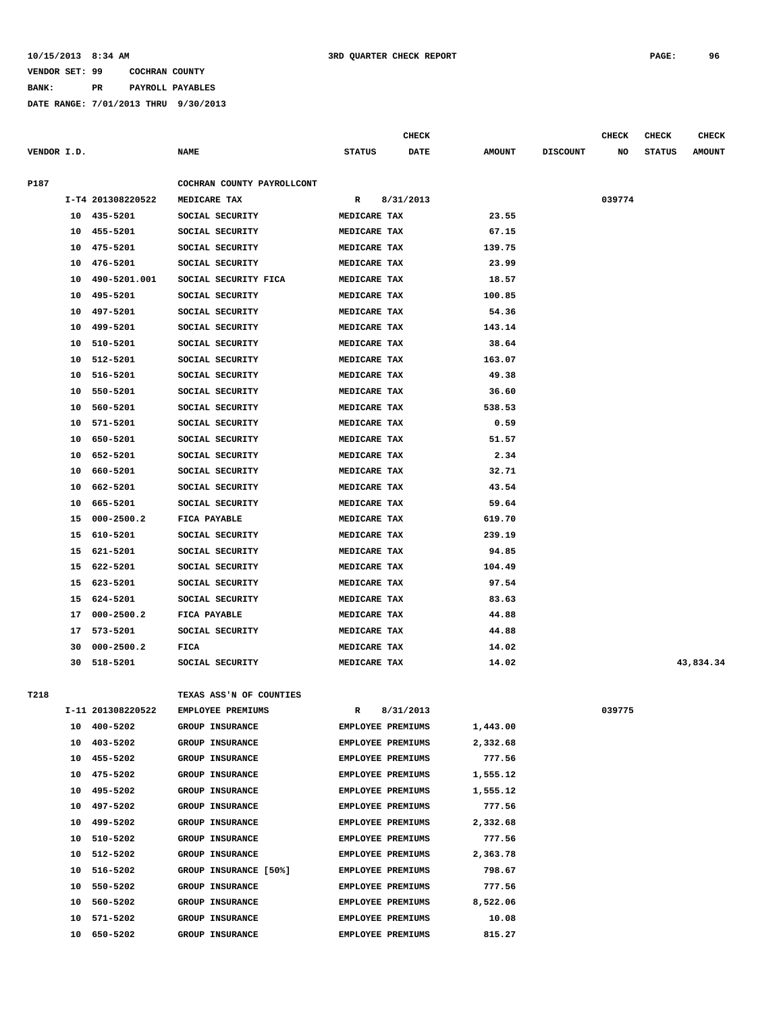**BANK: PR PAYROLL PAYABLES**

|             |          |                            |                                            |                              | CHECK     |               |                 | <b>CHECK</b> | CHECK         | <b>CHECK</b>  |
|-------------|----------|----------------------------|--------------------------------------------|------------------------------|-----------|---------------|-----------------|--------------|---------------|---------------|
| VENDOR I.D. |          |                            | <b>NAME</b>                                | <b>STATUS</b>                | DATE      | <b>AMOUNT</b> | <b>DISCOUNT</b> | NO           | <b>STATUS</b> | <b>AMOUNT</b> |
|             |          |                            |                                            |                              |           |               |                 |              |               |               |
| P187        |          | I-T4 201308220522          | COCHRAN COUNTY PAYROLLCONT<br>MEDICARE TAX | R                            | 8/31/2013 |               |                 | 039774       |               |               |
|             |          | 10 435-5201                | SOCIAL SECURITY                            | MEDICARE TAX                 |           | 23.55         |                 |              |               |               |
|             | 10       | 455-5201                   | SOCIAL SECURITY                            | MEDICARE TAX                 |           | 67.15         |                 |              |               |               |
|             | 10       | 475-5201                   | SOCIAL SECURITY                            | MEDICARE TAX                 |           | 139.75        |                 |              |               |               |
|             | 10       | 476-5201                   | SOCIAL SECURITY                            | MEDICARE TAX                 |           | 23.99         |                 |              |               |               |
|             | 10       | 490-5201.001               | SOCIAL SECURITY FICA                       | MEDICARE TAX                 |           | 18.57         |                 |              |               |               |
|             | 10       | 495-5201                   | SOCIAL SECURITY                            | MEDICARE TAX                 |           | 100.85        |                 |              |               |               |
|             | 10       | 497-5201                   | SOCIAL SECURITY                            | MEDICARE TAX                 |           | 54.36         |                 |              |               |               |
|             | 10       | 499-5201                   | SOCIAL SECURITY                            | MEDICARE TAX                 |           | 143.14        |                 |              |               |               |
|             | 10       | 510-5201                   | SOCIAL SECURITY                            | MEDICARE TAX                 |           | 38.64         |                 |              |               |               |
|             | 10       | 512-5201                   | SOCIAL SECURITY                            | MEDICARE TAX                 |           | 163.07        |                 |              |               |               |
|             | 10       | 516-5201                   | SOCIAL SECURITY                            | MEDICARE TAX                 |           | 49.38         |                 |              |               |               |
|             | 10       | 550-5201                   | SOCIAL SECURITY                            | MEDICARE TAX                 |           | 36.60         |                 |              |               |               |
|             | 10       | 560-5201                   | SOCIAL SECURITY                            | MEDICARE TAX                 |           | 538.53        |                 |              |               |               |
|             |          |                            |                                            |                              |           | 0.59          |                 |              |               |               |
|             | 10<br>10 | 571-5201<br>650-5201       | SOCIAL SECURITY<br>SOCIAL SECURITY         | MEDICARE TAX<br>MEDICARE TAX |           | 51.57         |                 |              |               |               |
|             | 10       | 652-5201                   |                                            | MEDICARE TAX                 |           | 2.34          |                 |              |               |               |
|             |          |                            | SOCIAL SECURITY<br>SOCIAL SECURITY         |                              |           | 32.71         |                 |              |               |               |
|             | 10<br>10 | 660-5201<br>662-5201       |                                            | MEDICARE TAX                 |           | 43.54         |                 |              |               |               |
|             |          |                            | SOCIAL SECURITY<br>SOCIAL SECURITY         | MEDICARE TAX                 |           |               |                 |              |               |               |
|             | 10       | 665-5201                   |                                            | MEDICARE TAX                 |           | 59.64         |                 |              |               |               |
|             | 15       | $000 - 2500.2$             | FICA PAYABLE                               | MEDICARE TAX                 |           | 619.70        |                 |              |               |               |
|             | 15       | 610-5201                   | SOCIAL SECURITY                            | MEDICARE TAX                 |           | 239.19        |                 |              |               |               |
|             | 15       | 621-5201                   | SOCIAL SECURITY                            | MEDICARE TAX                 |           | 94.85         |                 |              |               |               |
|             | 15       | 622-5201                   | SOCIAL SECURITY                            | MEDICARE TAX                 |           | 104.49        |                 |              |               |               |
|             | 15       | 623-5201                   | SOCIAL SECURITY<br>SOCIAL SECURITY         | MEDICARE TAX                 |           | 97.54         |                 |              |               |               |
|             | 15       | 624-5201                   |                                            | MEDICARE TAX                 |           | 83.63         |                 |              |               |               |
|             | 17       | $000 - 2500.2$             | FICA PAYABLE                               | MEDICARE TAX                 |           | 44.88         |                 |              |               |               |
|             | 17       | 573-5201<br>$000 - 2500.2$ | SOCIAL SECURITY                            | MEDICARE TAX                 |           | 44.88         |                 |              |               |               |
|             | 30       |                            | FICA                                       | MEDICARE TAX                 |           | 14.02         |                 |              |               |               |
|             | 30       | 518-5201                   | SOCIAL SECURITY                            | MEDICARE TAX                 |           | 14.02         |                 |              |               | 43,834.34     |
| T218        |          |                            | TEXAS ASS'N OF COUNTIES                    |                              |           |               |                 |              |               |               |
|             |          | I-11 201308220522          | <b>EMPLOYEE PREMIUMS</b>                   | R                            | 8/31/2013 |               |                 | 039775       |               |               |
|             |          | 10 400-5202                | GROUP INSURANCE                            | <b>EMPLOYEE PREMIUMS</b>     |           | 1,443.00      |                 |              |               |               |
|             | 10       | 403-5202                   | GROUP INSURANCE                            | EMPLOYEE PREMIUMS            |           | 2,332.68      |                 |              |               |               |
|             | 10       | 455-5202                   | GROUP INSURANCE                            | <b>EMPLOYEE PREMIUMS</b>     |           | 777.56        |                 |              |               |               |
|             | 10       | 475-5202                   | GROUP INSURANCE                            | <b>EMPLOYEE PREMIUMS</b>     |           | 1,555.12      |                 |              |               |               |
|             | 10       | 495-5202                   | GROUP INSURANCE                            | <b>EMPLOYEE PREMIUMS</b>     |           | 1,555.12      |                 |              |               |               |
|             | 10       | 497-5202                   | GROUP INSURANCE                            | <b>EMPLOYEE PREMIUMS</b>     |           | 777.56        |                 |              |               |               |
|             | 10       | 499-5202                   | GROUP INSURANCE                            | <b>EMPLOYEE PREMIUMS</b>     |           | 2,332.68      |                 |              |               |               |
|             | 10       | 510-5202                   | GROUP INSURANCE                            | <b>EMPLOYEE PREMIUMS</b>     |           | 777.56        |                 |              |               |               |
|             | 10       | 512-5202                   | GROUP INSURANCE                            | <b>EMPLOYEE PREMIUMS</b>     |           | 2,363.78      |                 |              |               |               |
|             | 10       | 516-5202                   | GROUP INSURANCE [50%]                      | <b>EMPLOYEE PREMIUMS</b>     |           | 798.67        |                 |              |               |               |
|             | 10       | 550-5202                   | GROUP INSURANCE                            | <b>EMPLOYEE PREMIUMS</b>     |           | 777.56        |                 |              |               |               |
|             | 10       | 560-5202                   | GROUP INSURANCE                            | <b>EMPLOYEE PREMIUMS</b>     |           | 8,522.06      |                 |              |               |               |
|             | 10       | 571-5202                   | GROUP INSURANCE                            | EMPLOYEE PREMIUMS            |           | 10.08         |                 |              |               |               |
|             | 10       | 650-5202                   | <b>GROUP INSURANCE</b>                     | <b>EMPLOYEE PREMIUMS</b>     |           | 815.27        |                 |              |               |               |
|             |          |                            |                                            |                              |           |               |                 |              |               |               |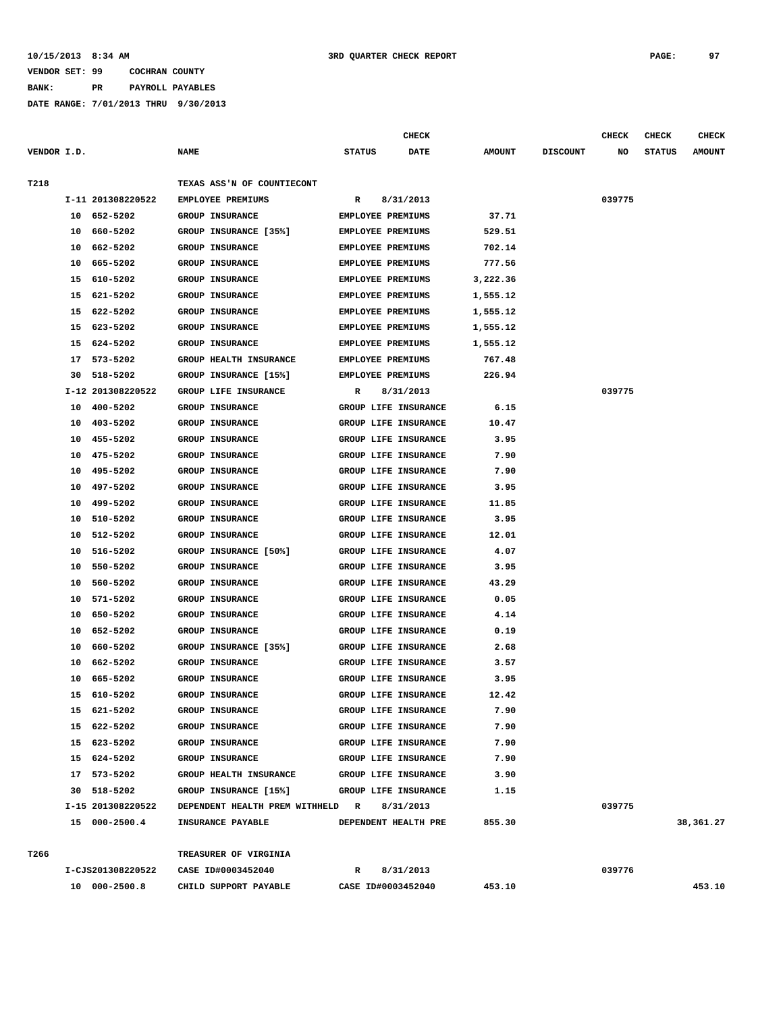## **10/15/2013 8:34 AM 3RD QUARTER CHECK REPORT PAGE: 97**

# **VENDOR SET: 99 COCHRAN COUNTY**

**BANK: PR PAYROLL PAYABLES**

|             |          |                      |                                                  |                          | CHECK                                        |               |                 | <b>CHECK</b> | CHECK         | <b>CHECK</b>  |
|-------------|----------|----------------------|--------------------------------------------------|--------------------------|----------------------------------------------|---------------|-----------------|--------------|---------------|---------------|
| VENDOR I.D. |          |                      | <b>NAME</b>                                      | <b>STATUS</b>            | DATE                                         | <b>AMOUNT</b> | <b>DISCOUNT</b> | NO           | <b>STATUS</b> | <b>AMOUNT</b> |
| T218        |          |                      | TEXAS ASS'N OF COUNTIECONT                       |                          |                                              |               |                 |              |               |               |
|             |          | I-11 201308220522    | EMPLOYEE PREMIUMS                                | R                        | 8/31/2013                                    |               |                 | 039775       |               |               |
|             | 10       | 652-5202             | <b>GROUP INSURANCE</b>                           | <b>EMPLOYEE PREMIUMS</b> |                                              | 37.71         |                 |              |               |               |
|             | 10       | 660-5202             | GROUP INSURANCE [35%]                            | <b>EMPLOYEE PREMIUMS</b> |                                              | 529.51        |                 |              |               |               |
|             | 10       | 662-5202             | <b>GROUP INSURANCE</b>                           | <b>EMPLOYEE PREMIUMS</b> |                                              | 702.14        |                 |              |               |               |
|             | 10       | 665-5202             | <b>GROUP INSURANCE</b>                           | <b>EMPLOYEE PREMIUMS</b> |                                              | 777.56        |                 |              |               |               |
|             | 15       | 610-5202             | <b>GROUP INSURANCE</b>                           | <b>EMPLOYEE PREMIUMS</b> |                                              | 3,222.36      |                 |              |               |               |
|             | 15       | 621-5202             | <b>GROUP INSURANCE</b>                           | <b>EMPLOYEE PREMIUMS</b> |                                              | 1,555.12      |                 |              |               |               |
|             | 15       | 622-5202             | <b>GROUP INSURANCE</b>                           | <b>EMPLOYEE PREMIUMS</b> |                                              | 1,555.12      |                 |              |               |               |
|             | 15       | 623-5202             | GROUP INSURANCE                                  | <b>EMPLOYEE PREMIUMS</b> |                                              | 1,555.12      |                 |              |               |               |
|             | 15       | 624-5202             | <b>GROUP INSURANCE</b>                           | <b>EMPLOYEE PREMIUMS</b> |                                              | 1,555.12      |                 |              |               |               |
|             | 17       | 573-5202             | GROUP HEALTH INSURANCE                           | EMPLOYEE PREMIUMS        |                                              | 767.48        |                 |              |               |               |
|             | 30       | 518-5202             | GROUP INSURANCE [15%]                            | EMPLOYEE PREMIUMS        |                                              | 226.94        |                 |              |               |               |
|             |          | I-12 201308220522    | GROUP LIFE INSURANCE                             | R                        | 8/31/2013                                    |               |                 | 039775       |               |               |
|             | 10       | 400-5202             | <b>GROUP INSURANCE</b>                           |                          | GROUP LIFE INSURANCE                         | 6.15          |                 |              |               |               |
|             | 10       | 403-5202             | <b>GROUP INSURANCE</b>                           |                          | GROUP LIFE INSURANCE                         | 10.47         |                 |              |               |               |
|             | 10       | 455-5202             | <b>GROUP INSURANCE</b>                           |                          | GROUP LIFE INSURANCE                         | 3.95          |                 |              |               |               |
|             | 10       | 475-5202             | <b>GROUP INSURANCE</b>                           |                          | GROUP LIFE INSURANCE                         | 7.90          |                 |              |               |               |
|             | 10       | 495-5202             | GROUP INSURANCE                                  |                          | GROUP LIFE INSURANCE                         | 7.90          |                 |              |               |               |
|             | 10       | 497-5202             | <b>GROUP INSURANCE</b>                           |                          | GROUP LIFE INSURANCE                         | 3.95          |                 |              |               |               |
|             | 10       | 499-5202             | <b>GROUP INSURANCE</b>                           |                          | GROUP LIFE INSURANCE                         | 11.85         |                 |              |               |               |
|             | 10       | 510-5202             | <b>GROUP INSURANCE</b>                           |                          | GROUP LIFE INSURANCE                         | 3.95          |                 |              |               |               |
|             | 10       | 512-5202             | <b>GROUP INSURANCE</b>                           |                          | GROUP LIFE INSURANCE                         | 12.01         |                 |              |               |               |
|             | 10       | 516-5202             | GROUP INSURANCE [50%]                            |                          | GROUP LIFE INSURANCE                         | 4.07          |                 |              |               |               |
|             | 10       | 550-5202<br>560-5202 | <b>GROUP INSURANCE</b>                           |                          | GROUP LIFE INSURANCE<br>GROUP LIFE INSURANCE | 3.95<br>43.29 |                 |              |               |               |
|             | 10<br>10 | 571-5202             | <b>GROUP INSURANCE</b><br><b>GROUP INSURANCE</b> |                          | GROUP LIFE INSURANCE                         | 0.05          |                 |              |               |               |
|             | 10       | 650-5202             | <b>GROUP INSURANCE</b>                           |                          | GROUP LIFE INSURANCE                         | 4.14          |                 |              |               |               |
|             | 10       | 652-5202             | <b>GROUP INSURANCE</b>                           |                          | GROUP LIFE INSURANCE                         | 0.19          |                 |              |               |               |
|             | 10       | 660-5202             | GROUP INSURANCE [35%]                            |                          | GROUP LIFE INSURANCE                         | 2.68          |                 |              |               |               |
|             | 10       | 662-5202             | GROUP INSURANCE                                  |                          | GROUP LIFE INSURANCE                         | 3.57          |                 |              |               |               |
|             | 10       | 665-5202             | <b>GROUP INSURANCE</b>                           |                          | GROUP LIFE INSURANCE                         | 3.95          |                 |              |               |               |
|             | 15       | 610-5202             | <b>GROUP INSURANCE</b>                           |                          | GROUP LIFE INSURANCE                         | 12.42         |                 |              |               |               |
|             |          | 15 621-5202          | GROUP INSURANCE                                  |                          | GROUP LIFE INSURANCE                         | 7.90          |                 |              |               |               |
|             |          | 15 622-5202          | <b>GROUP INSURANCE</b>                           |                          | GROUP LIFE INSURANCE                         | 7.90          |                 |              |               |               |
|             |          | 15 623-5202          | GROUP INSURANCE                                  |                          | GROUP LIFE INSURANCE                         | 7.90          |                 |              |               |               |
|             |          | 15 624-5202          | GROUP INSURANCE                                  |                          | GROUP LIFE INSURANCE                         | 7.90          |                 |              |               |               |
|             |          | 17 573-5202          | <b>GROUP HEALTH INSURANCE</b>                    |                          | GROUP LIFE INSURANCE                         | 3.90          |                 |              |               |               |
|             |          | 30 518-5202          | GROUP INSURANCE [15%]                            |                          | GROUP LIFE INSURANCE                         | 1.15          |                 |              |               |               |
|             |          | I-15 201308220522    | DEPENDENT HEALTH PREM WITHHELD R                 |                          | 8/31/2013                                    |               |                 | 039775       |               |               |
|             |          | 15 000-2500.4        | <b>INSURANCE PAYABLE</b>                         |                          | DEPENDENT HEALTH PRE                         | 855.30        |                 |              |               | 38,361.27     |
| T266        |          |                      | TREASURER OF VIRGINIA                            |                          |                                              |               |                 |              |               |               |
|             |          | I-CJS201308220522    | CASE ID#0003452040                               |                          | R 8/31/2013                                  |               |                 | 039776       |               |               |
|             |          | 10 000-2500.8        | CHILD SUPPORT PAYABLE                            |                          | CASE ID#0003452040                           | 453.10        |                 |              |               | 453.10        |
|             |          |                      |                                                  |                          |                                              |               |                 |              |               |               |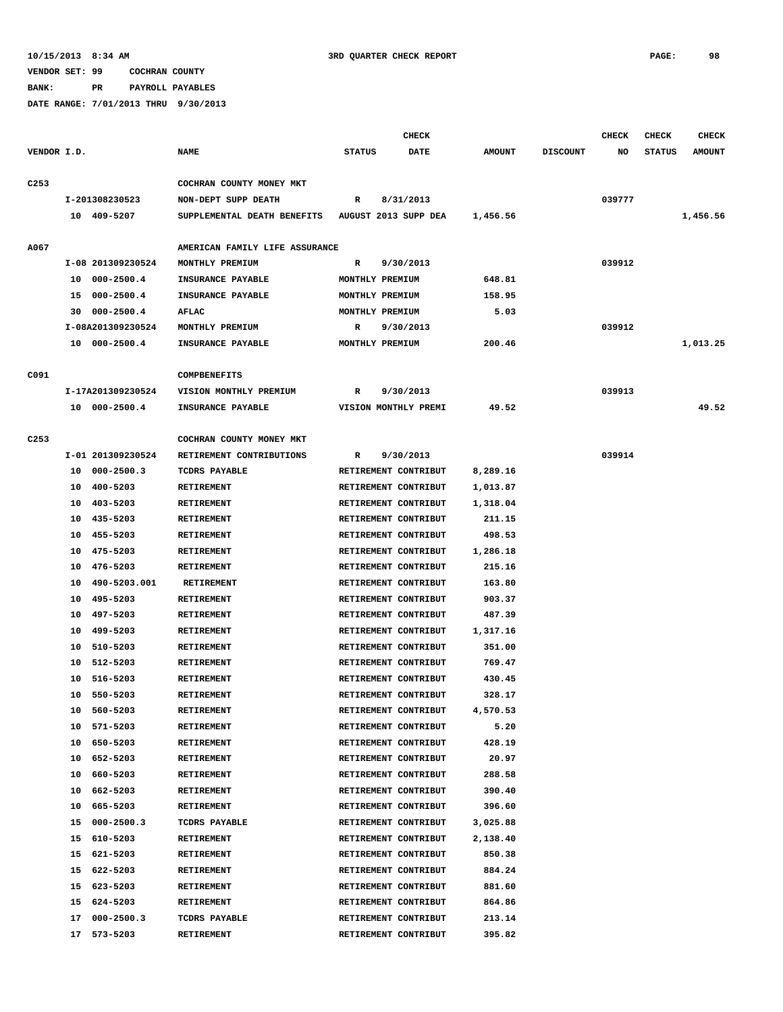**BANK: PR PAYROLL PAYABLES**

|                  |                      |                                | <b>CHECK</b>                 |               |                 | <b>CHECK</b> | <b>CHECK</b>  | <b>CHECK</b>  |
|------------------|----------------------|--------------------------------|------------------------------|---------------|-----------------|--------------|---------------|---------------|
| VENDOR I.D.      |                      | <b>NAME</b>                    | <b>DATE</b><br><b>STATUS</b> | <b>AMOUNT</b> | <b>DISCOUNT</b> | NO           | <b>STATUS</b> | <b>AMOUNT</b> |
| C <sub>253</sub> |                      | COCHRAN COUNTY MONEY MKT       |                              |               |                 |              |               |               |
|                  | I-201308230523       | NON-DEPT SUPP DEATH            | $\mathbb{R}$<br>8/31/2013    |               |                 | 039777       |               |               |
|                  | 10 409-5207          | SUPPLEMENTAL DEATH BENEFITS    | AUGUST 2013 SUPP DEA         | 1,456.56      |                 |              |               | 1,456.56      |
|                  |                      |                                |                              |               |                 |              |               |               |
| A067             |                      | AMERICAN FAMILY LIFE ASSURANCE |                              |               |                 |              |               |               |
|                  | I-08 201309230524    | MONTHLY PREMIUM                | 9/30/2013<br>R               |               |                 | 039912       |               |               |
|                  | 10 000-2500.4        | INSURANCE PAYABLE              | MONTHLY PREMIUM              | 648.81        |                 |              |               |               |
|                  | 15 000-2500.4        | INSURANCE PAYABLE              | MONTHLY PREMIUM              | 158.95        |                 |              |               |               |
|                  | 30 000-2500.4        | AFLAC                          | MONTHLY PREMIUM              | 5.03          |                 |              |               |               |
|                  | I-08A201309230524    | MONTHLY PREMIUM                | 9/30/2013<br>R               |               |                 | 039912       |               |               |
|                  | 10 000-2500.4        | INSURANCE PAYABLE              | MONTHLY PREMIUM              | 200.46        |                 |              |               | 1,013.25      |
| C091             |                      | <b>COMPBENEFITS</b>            |                              |               |                 |              |               |               |
|                  | I-17A201309230524    | VISION MONTHLY PREMIUM         | 9/30/2013<br>R               |               |                 | 039913       |               |               |
|                  |                      |                                |                              |               |                 |              |               | 49.52         |
|                  | 10 000-2500.4        | INSURANCE PAYABLE              | VISION MONTHLY PREMI         | 49.52         |                 |              |               |               |
| C <sub>253</sub> |                      | COCHRAN COUNTY MONEY MKT       |                              |               |                 |              |               |               |
|                  | I-01 201309230524    | RETIREMENT CONTRIBUTIONS       | 9/30/2013<br>R               |               |                 | 039914       |               |               |
|                  | 10 000-2500.3        | TCDRS PAYABLE                  | RETIREMENT CONTRIBUT         | 8,289.16      |                 |              |               |               |
|                  | 10 400-5203          | <b>RETIREMENT</b>              | RETIREMENT CONTRIBUT         | 1,013.87      |                 |              |               |               |
|                  | 10 403-5203          | <b>RETIREMENT</b>              | RETIREMENT CONTRIBUT         | 1,318.04      |                 |              |               |               |
|                  | 10 435-5203          | <b>RETIREMENT</b>              | RETIREMENT CONTRIBUT         | 211.15        |                 |              |               |               |
|                  | 10 455-5203          | <b>RETIREMENT</b>              | RETIREMENT CONTRIBUT         | 498.53        |                 |              |               |               |
|                  | 10 475-5203          | RETIREMENT                     | RETIREMENT CONTRIBUT         | 1,286.18      |                 |              |               |               |
|                  | 10<br>476-5203       | RETIREMENT                     | RETIREMENT CONTRIBUT         | 215.16        |                 |              |               |               |
|                  | 490-5203.001<br>10   | RETIREMENT                     | RETIREMENT CONTRIBUT         | 163.80        |                 |              |               |               |
|                  | 495-5203<br>10       | RETIREMENT                     | RETIREMENT CONTRIBUT         | 903.37        |                 |              |               |               |
|                  | 497-5203<br>10       | RETIREMENT                     | RETIREMENT CONTRIBUT         | 487.39        |                 |              |               |               |
|                  | 499-5203<br>10       | <b>RETIREMENT</b>              | RETIREMENT CONTRIBUT         | 1,317.16      |                 |              |               |               |
|                  | 510-5203<br>10       | RETIREMENT                     | RETIREMENT CONTRIBUT         | 351.00        |                 |              |               |               |
|                  | 512-5203<br>10       | RETIREMENT                     | RETIREMENT CONTRIBUT         | 769.47        |                 |              |               |               |
|                  | 516-5203<br>10       | <b>RETIREMENT</b>              | RETIREMENT CONTRIBUT         | 430.45        |                 |              |               |               |
|                  | 10<br>550-5203       | <b>RETIREMENT</b>              | RETIREMENT CONTRIBUT         | 328.17        |                 |              |               |               |
|                  | 560-5203<br>10       | RETIREMENT                     | RETIREMENT CONTRIBUT         | 4,570.53      |                 |              |               |               |
|                  | 10 571-5203          | RETIREMENT                     | RETIREMENT CONTRIBUT         | 5.20          |                 |              |               |               |
|                  | 10 650-5203          | RETIREMENT                     | RETIREMENT CONTRIBUT         | 428.19        |                 |              |               |               |
|                  | 652-5203<br>10       | <b>RETIREMENT</b>              | RETIREMENT CONTRIBUT         | 20.97         |                 |              |               |               |
|                  | 660-5203<br>10       | <b>RETIREMENT</b>              | RETIREMENT CONTRIBUT         | 288.58        |                 |              |               |               |
|                  | 10<br>662-5203       | RETIREMENT                     | RETIREMENT CONTRIBUT         | 390.40        |                 |              |               |               |
|                  | 10<br>665-5203       | RETIREMENT                     | RETIREMENT CONTRIBUT         | 396.60        |                 |              |               |               |
|                  | $000 - 2500.3$<br>15 | TCDRS PAYABLE                  | RETIREMENT CONTRIBUT         | 3,025.88      |                 |              |               |               |
|                  | 15 610-5203          | RETIREMENT                     | RETIREMENT CONTRIBUT         | 2,138.40      |                 |              |               |               |
|                  | 621-5203<br>15       | RETIREMENT                     | RETIREMENT CONTRIBUT         | 850.38        |                 |              |               |               |
|                  | 15 622-5203          | RETIREMENT                     | RETIREMENT CONTRIBUT         | 884.24        |                 |              |               |               |
|                  | 623-5203<br>15       | RETIREMENT                     | RETIREMENT CONTRIBUT         | 881.60        |                 |              |               |               |
|                  | 624-5203<br>15       | RETIREMENT                     | RETIREMENT CONTRIBUT         | 864.86        |                 |              |               |               |
|                  | 17<br>$000 - 2500.3$ | TCDRS PAYABLE                  | RETIREMENT CONTRIBUT         | 213.14        |                 |              |               |               |
|                  | 17 573-5203          | RETIREMENT                     | RETIREMENT CONTRIBUT         | 395.82        |                 |              |               |               |
|                  |                      |                                |                              |               |                 |              |               |               |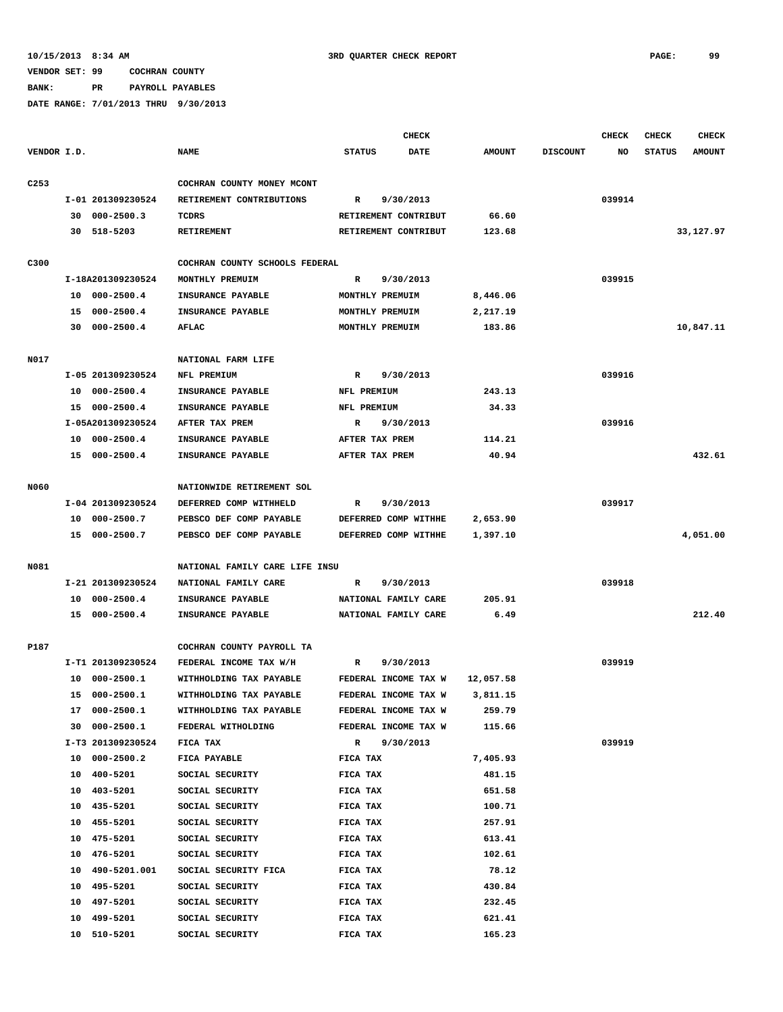**BANK: PR PAYROLL PAYABLES**

|                  |                    |                                | <b>CHECK</b>                 |               |                 | CHECK  | <b>CHECK</b>  | <b>CHECK</b>  |
|------------------|--------------------|--------------------------------|------------------------------|---------------|-----------------|--------|---------------|---------------|
| VENDOR I.D.      |                    | <b>NAME</b>                    | <b>STATUS</b><br><b>DATE</b> | <b>AMOUNT</b> | <b>DISCOUNT</b> | NO     | <b>STATUS</b> | <b>AMOUNT</b> |
| C <sub>253</sub> |                    | COCHRAN COUNTY MONEY MCONT     |                              |               |                 |        |               |               |
|                  | I-01 201309230524  | RETIREMENT CONTRIBUTIONS       | 9/30/2013<br>$\mathbb{R}$    |               |                 | 039914 |               |               |
|                  | $30000 - 2500.3$   | TCDRS                          | RETIREMENT CONTRIBUT         | 66.60         |                 |        |               |               |
|                  | 30 518-5203        | <b>RETIREMENT</b>              | RETIREMENT CONTRIBUT         | 123.68        |                 |        |               | 33,127.97     |
|                  |                    |                                |                              |               |                 |        |               |               |
| C300             |                    | COCHRAN COUNTY SCHOOLS FEDERAL |                              |               |                 |        |               |               |
|                  | I-18A201309230524  | MONTHLY PREMUIM                | 9/30/2013<br>R               |               |                 | 039915 |               |               |
|                  | 10 000-2500.4      | INSURANCE PAYABLE              | MONTHLY PREMUIM              | 8,446.06      |                 |        |               |               |
|                  | 15 000-2500.4      | INSURANCE PAYABLE              | MONTHLY PREMUIM              | 2,217.19      |                 |        |               |               |
|                  | 30 000-2500.4      | AFLAC                          | MONTHLY PREMUIM              | 183.86        |                 |        |               | 10,847.11     |
| N017             |                    | NATIONAL FARM LIFE             |                              |               |                 |        |               |               |
|                  | I-05 201309230524  | NFL PREMIUM                    | R<br>9/30/2013               |               |                 | 039916 |               |               |
|                  | 10 000-2500.4      | INSURANCE PAYABLE              | NFL PREMIUM                  | 243.13        |                 |        |               |               |
|                  | 15 000-2500.4      | INSURANCE PAYABLE              | NFL PREMIUM                  | 34.33         |                 |        |               |               |
|                  | I-05A201309230524  | AFTER TAX PREM                 | 9/30/2013<br>R               |               |                 | 039916 |               |               |
|                  | 10 000-2500.4      | INSURANCE PAYABLE              | AFTER TAX PREM               | 114.21        |                 |        |               |               |
|                  | 15 000-2500.4      | INSURANCE PAYABLE              | AFTER TAX PREM               | 40.94         |                 |        |               | 432.61        |
| N060             |                    | NATIONWIDE RETIREMENT SOL      |                              |               |                 |        |               |               |
|                  | I-04 201309230524  | DEFERRED COMP WITHHELD         | 9/30/2013<br>R               |               |                 | 039917 |               |               |
|                  | 10 000-2500.7      | PEBSCO DEF COMP PAYABLE        | DEFERRED COMP WITHHE         | 2,653.90      |                 |        |               |               |
|                  | 15 000-2500.7      | PEBSCO DEF COMP PAYABLE        | DEFERRED COMP WITHHE         | 1,397.10      |                 |        |               | 4,051.00      |
|                  |                    |                                |                              |               |                 |        |               |               |
| N081             |                    | NATIONAL FAMILY CARE LIFE INSU |                              |               |                 |        |               |               |
|                  | I-21 201309230524  | NATIONAL FAMILY CARE           | 9/30/2013<br>R               |               |                 | 039918 |               |               |
|                  | 10 000-2500.4      | INSURANCE PAYABLE              | NATIONAL FAMILY CARE         | 205.91        |                 |        |               |               |
|                  | 15 000-2500.4      | INSURANCE PAYABLE              | NATIONAL FAMILY CARE         | 6.49          |                 |        |               | 212.40        |
| P187             |                    | COCHRAN COUNTY PAYROLL TA      |                              |               |                 |        |               |               |
|                  | I-T1 201309230524  | FEDERAL INCOME TAX W/H         | R<br>9/30/2013               |               |                 | 039919 |               |               |
|                  | 000-2500.1<br>10   | WITHHOLDING TAX PAYABLE        | FEDERAL INCOME TAX W         | 12,057.58     |                 |        |               |               |
|                  | 15 000-2500.1      | WITHHOLDING TAX PAYABLE        | FEDERAL INCOME TAX W         | 3,811.15      |                 |        |               |               |
|                  | 000-2500.1<br>17   | WITHHOLDING TAX PAYABLE        | FEDERAL INCOME TAX W         | 259.79        |                 |        |               |               |
|                  | 30 000-2500.1      | FEDERAL WITHOLDING             | FEDERAL INCOME TAX W         | 115.66        |                 |        |               |               |
|                  | I-T3 201309230524  | FICA TAX                       | 9/30/2013<br>R               |               |                 | 039919 |               |               |
|                  | 10 000-2500.2      | FICA PAYABLE                   | FICA TAX                     | 7,405.93      |                 |        |               |               |
|                  | 400-5201<br>10     | SOCIAL SECURITY                | FICA TAX                     | 481.15        |                 |        |               |               |
|                  | 10<br>403-5201     | SOCIAL SECURITY                | FICA TAX                     | 651.58        |                 |        |               |               |
|                  | 10<br>435-5201     | SOCIAL SECURITY                | FICA TAX                     | 100.71        |                 |        |               |               |
|                  | 455-5201<br>10     | SOCIAL SECURITY                | FICA TAX                     | 257.91        |                 |        |               |               |
|                  | 475-5201<br>10     | SOCIAL SECURITY                | FICA TAX                     | 613.41        |                 |        |               |               |
|                  | 10<br>476-5201     | SOCIAL SECURITY                | FICA TAX                     | 102.61        |                 |        |               |               |
|                  | 490-5201.001<br>10 | SOCIAL SECURITY FICA           | FICA TAX                     | 78.12         |                 |        |               |               |
|                  | 495-5201<br>10     | SOCIAL SECURITY                | FICA TAX                     | 430.84        |                 |        |               |               |
|                  | 10<br>497-5201     | SOCIAL SECURITY                | FICA TAX                     | 232.45        |                 |        |               |               |
|                  | 499-5201<br>10     | SOCIAL SECURITY                | FICA TAX                     | 621.41        |                 |        |               |               |
|                  | 10 510-5201        | SOCIAL SECURITY                | FICA TAX                     | 165.23        |                 |        |               |               |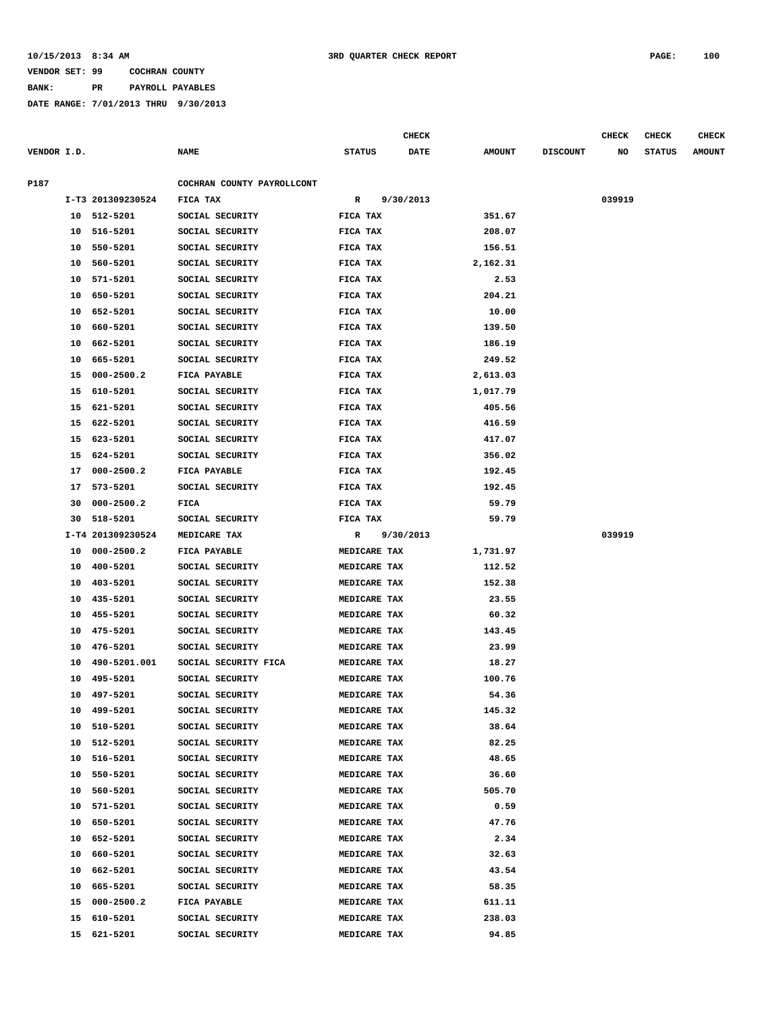**BANK: PR PAYROLL PAYABLES**

|             |    |                   |                            |               |                     | CHECK       |               |                 | <b>CHECK</b> | <b>CHECK</b>  | CHECK         |
|-------------|----|-------------------|----------------------------|---------------|---------------------|-------------|---------------|-----------------|--------------|---------------|---------------|
| VENDOR I.D. |    |                   | <b>NAME</b>                | <b>STATUS</b> |                     | <b>DATE</b> | <b>AMOUNT</b> | <b>DISCOUNT</b> | NO           | <b>STATUS</b> | <b>AMOUNT</b> |
| P187        |    |                   | COCHRAN COUNTY PAYROLLCONT |               |                     |             |               |                 |              |               |               |
|             |    | I-T3 201309230524 | FICA TAX                   | R             |                     | 9/30/2013   |               |                 | 039919       |               |               |
|             |    | 10 512-5201       | SOCIAL SECURITY            | FICA TAX      |                     |             | 351.67        |                 |              |               |               |
|             |    | 10 516-5201       | SOCIAL SECURITY            | FICA TAX      |                     |             | 208.07        |                 |              |               |               |
|             | 10 | 550-5201          | SOCIAL SECURITY            | FICA TAX      |                     |             | 156.51        |                 |              |               |               |
|             | 10 | 560-5201          | SOCIAL SECURITY            | FICA TAX      |                     |             | 2,162.31      |                 |              |               |               |
|             | 10 | 571-5201          | SOCIAL SECURITY            | FICA TAX      |                     |             | 2.53          |                 |              |               |               |
|             | 10 | 650-5201          | SOCIAL SECURITY            | FICA TAX      |                     |             | 204.21        |                 |              |               |               |
|             | 10 | 652-5201          | SOCIAL SECURITY            | FICA TAX      |                     |             | 10.00         |                 |              |               |               |
|             | 10 | 660-5201          | SOCIAL SECURITY            | FICA TAX      |                     |             | 139.50        |                 |              |               |               |
|             | 10 | 662-5201          | SOCIAL SECURITY            | FICA TAX      |                     |             | 186.19        |                 |              |               |               |
|             |    | 10 665-5201       | SOCIAL SECURITY            | FICA TAX      |                     |             | 249.52        |                 |              |               |               |
|             |    | 15 000-2500.2     | FICA PAYABLE               | FICA TAX      |                     |             | 2,613.03      |                 |              |               |               |
|             | 15 | 610-5201          | SOCIAL SECURITY            | FICA TAX      |                     |             | 1,017.79      |                 |              |               |               |
|             |    | 15 621-5201       | SOCIAL SECURITY            | FICA TAX      |                     |             | 405.56        |                 |              |               |               |
|             |    | 15 622-5201       | SOCIAL SECURITY            | FICA TAX      |                     |             | 416.59        |                 |              |               |               |
|             | 15 | 623-5201          | SOCIAL SECURITY            | FICA TAX      |                     |             | 417.07        |                 |              |               |               |
|             | 15 | 624-5201          | SOCIAL SECURITY            | FICA TAX      |                     |             | 356.02        |                 |              |               |               |
|             | 17 | $000 - 2500.2$    | FICA PAYABLE               | FICA TAX      |                     |             | 192.45        |                 |              |               |               |
|             | 17 | 573-5201          | SOCIAL SECURITY            | FICA TAX      |                     |             | 192.45        |                 |              |               |               |
|             | 30 | $000 - 2500.2$    | FICA                       | FICA TAX      |                     |             | 59.79         |                 |              |               |               |
|             | 30 | 518-5201          | SOCIAL SECURITY            | FICA TAX      |                     |             | 59.79         |                 |              |               |               |
|             |    | I-T4 201309230524 | MEDICARE TAX               | R             |                     | 9/30/2013   |               |                 | 039919       |               |               |
|             |    | 10 000-2500.2     | FICA PAYABLE               |               | MEDICARE TAX        |             | 1,731.97      |                 |              |               |               |
|             | 10 | 400-5201          | SOCIAL SECURITY            |               | MEDICARE TAX        |             | 112.52        |                 |              |               |               |
|             | 10 | 403-5201          | SOCIAL SECURITY            |               | MEDICARE TAX        |             | 152.38        |                 |              |               |               |
|             | 10 | 435-5201          | SOCIAL SECURITY            |               | MEDICARE TAX        |             | 23.55         |                 |              |               |               |
|             | 10 | 455-5201          | SOCIAL SECURITY            |               | MEDICARE TAX        |             | 60.32         |                 |              |               |               |
|             | 10 | 475-5201          | SOCIAL SECURITY            |               | MEDICARE TAX        |             | 143.45        |                 |              |               |               |
|             | 10 | 476-5201          | SOCIAL SECURITY            |               | MEDICARE TAX        |             | 23.99         |                 |              |               |               |
|             | 10 | 490-5201.001      | SOCIAL SECURITY FICA       |               | MEDICARE TAX        |             | 18.27         |                 |              |               |               |
|             | 10 | 495-5201          | SOCIAL SECURITY            |               | MEDICARE TAX        |             | 100.76        |                 |              |               |               |
|             | 10 | 497-5201          | SOCIAL SECURITY            |               | MEDICARE TAX        |             | 54.36         |                 |              |               |               |
|             | 10 | 499-5201          | SOCIAL SECURITY            |               | MEDICARE TAX        |             | 145.32        |                 |              |               |               |
|             |    | 10 510-5201       | SOCIAL SECURITY            |               | MEDICARE TAX        |             | 38.64         |                 |              |               |               |
|             |    | 10 512-5201       | SOCIAL SECURITY            |               | <b>MEDICARE TAX</b> |             | 82.25         |                 |              |               |               |
|             |    | 10 516-5201       | SOCIAL SECURITY            |               | MEDICARE TAX        |             | 48.65         |                 |              |               |               |
|             | 10 | 550-5201          | SOCIAL SECURITY            |               | MEDICARE TAX        |             | 36.60         |                 |              |               |               |
|             |    | 10 560-5201       | SOCIAL SECURITY            |               | MEDICARE TAX        |             | 505.70        |                 |              |               |               |
|             |    | 10 571-5201       | SOCIAL SECURITY            |               | MEDICARE TAX        |             | 0.59          |                 |              |               |               |
|             | 10 | 650-5201          | SOCIAL SECURITY            |               | MEDICARE TAX        |             | 47.76         |                 |              |               |               |
|             | 10 | 652-5201          | SOCIAL SECURITY            |               | MEDICARE TAX        |             | 2.34          |                 |              |               |               |
|             | 10 | 660-5201          | SOCIAL SECURITY            |               | MEDICARE TAX        |             | 32.63         |                 |              |               |               |
|             | 10 | 662-5201          | SOCIAL SECURITY            |               | MEDICARE TAX        |             | 43.54         |                 |              |               |               |
|             | 10 | 665-5201          | SOCIAL SECURITY            |               | MEDICARE TAX        |             | 58.35         |                 |              |               |               |
|             |    | 15 000-2500.2     | FICA PAYABLE               |               | MEDICARE TAX        |             | 611.11        |                 |              |               |               |
|             | 15 | 610-5201          | SOCIAL SECURITY            |               | MEDICARE TAX        |             | 238.03        |                 |              |               |               |
|             |    | 15 621-5201       | SOCIAL SECURITY            |               | MEDICARE TAX        |             | 94.85         |                 |              |               |               |
|             |    |                   |                            |               |                     |             |               |                 |              |               |               |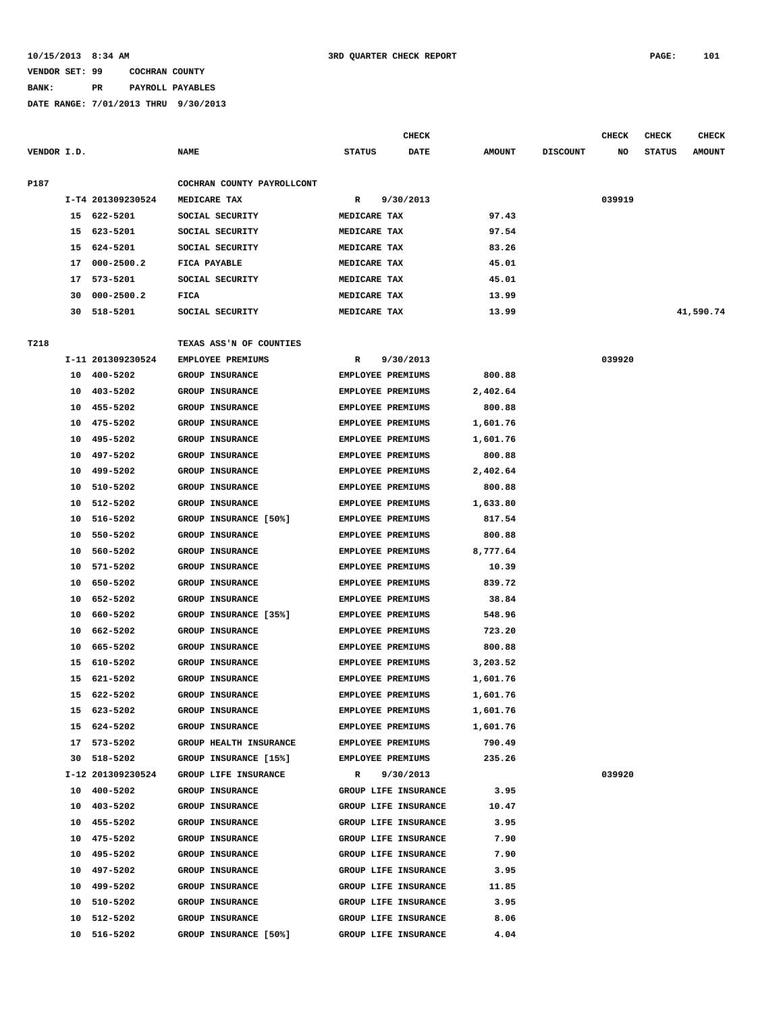**BANK: PR PAYROLL PAYABLES**

|             |          |                      |                                                  |                                                      | <b>CHECK</b>         |                  |                 | <b>CHECK</b> | <b>CHECK</b>  | <b>CHECK</b>  |
|-------------|----------|----------------------|--------------------------------------------------|------------------------------------------------------|----------------------|------------------|-----------------|--------------|---------------|---------------|
| VENDOR I.D. |          |                      | <b>NAME</b>                                      | <b>STATUS</b>                                        | DATE                 | <b>AMOUNT</b>    | <b>DISCOUNT</b> | NO           | <b>STATUS</b> | <b>AMOUNT</b> |
| P187        |          |                      | COCHRAN COUNTY PAYROLLCONT                       |                                                      |                      |                  |                 |              |               |               |
|             |          | I-T4 201309230524    | MEDICARE TAX                                     | R                                                    | 9/30/2013            |                  |                 | 039919       |               |               |
|             | 15       | 622-5201             | SOCIAL SECURITY                                  | MEDICARE TAX                                         |                      | 97.43            |                 |              |               |               |
|             | 15       | 623-5201             | SOCIAL SECURITY                                  | MEDICARE TAX                                         |                      | 97.54            |                 |              |               |               |
|             | 15       | 624-5201             | SOCIAL SECURITY                                  | MEDICARE TAX                                         |                      | 83.26            |                 |              |               |               |
|             | 17       | $000 - 2500.2$       | FICA PAYABLE                                     | MEDICARE TAX                                         |                      | 45.01            |                 |              |               |               |
|             | 17       | 573-5201             | SOCIAL SECURITY                                  | MEDICARE TAX                                         |                      | 45.01            |                 |              |               |               |
|             | 30       | $000 - 2500.2$       | FICA                                             | MEDICARE TAX                                         |                      | 13.99            |                 |              |               |               |
|             | 30       | 518-5201             | SOCIAL SECURITY                                  | MEDICARE TAX                                         |                      | 13.99            |                 |              |               | 41,590.74     |
| T218        |          |                      | TEXAS ASS'N OF COUNTIES                          |                                                      |                      |                  |                 |              |               |               |
|             |          | I-11 201309230524    | <b>EMPLOYEE PREMIUMS</b>                         | R                                                    | 9/30/2013            |                  |                 | 039920       |               |               |
|             | 10       | 400-5202             | <b>GROUP INSURANCE</b>                           | <b>EMPLOYEE PREMIUMS</b>                             |                      | 800.88           |                 |              |               |               |
|             | 10       | 403-5202             | <b>GROUP INSURANCE</b>                           | <b>EMPLOYEE PREMIUMS</b>                             |                      | 2,402.64         |                 |              |               |               |
|             | 10       | 455-5202             | <b>GROUP INSURANCE</b>                           | <b>EMPLOYEE PREMIUMS</b>                             |                      | 800.88           |                 |              |               |               |
|             | 10       | 475-5202             | <b>GROUP INSURANCE</b>                           | <b>EMPLOYEE PREMIUMS</b>                             |                      | 1,601.76         |                 |              |               |               |
|             | 10       | 495-5202             | GROUP INSURANCE                                  | EMPLOYEE PREMIUMS                                    |                      | 1,601.76         |                 |              |               |               |
|             | 10       | 497-5202             | <b>GROUP INSURANCE</b>                           | <b>EMPLOYEE PREMIUMS</b>                             |                      | 800.88           |                 |              |               |               |
|             | 10       | 499-5202             | <b>GROUP INSURANCE</b>                           | <b>EMPLOYEE PREMIUMS</b>                             |                      | 2,402.64         |                 |              |               |               |
|             | 10       | 510-5202             | GROUP INSURANCE                                  | EMPLOYEE PREMIUMS                                    |                      | 800.88           |                 |              |               |               |
|             | 10       | 512-5202             | <b>GROUP INSURANCE</b>                           | <b>EMPLOYEE PREMIUMS</b>                             |                      | 1,633.80         |                 |              |               |               |
|             |          |                      |                                                  |                                                      |                      |                  |                 |              |               |               |
|             | 10       | 516-5202<br>550-5202 | GROUP INSURANCE [50%]<br><b>GROUP INSURANCE</b>  | <b>EMPLOYEE PREMIUMS</b><br><b>EMPLOYEE PREMIUMS</b> |                      | 817.54<br>800.88 |                 |              |               |               |
|             | 10       | 560-5202             |                                                  | EMPLOYEE PREMIUMS                                    |                      | 8,777.64         |                 |              |               |               |
|             | 10<br>10 | 571-5202             | <b>GROUP INSURANCE</b><br><b>GROUP INSURANCE</b> | <b>EMPLOYEE PREMIUMS</b>                             |                      | 10.39            |                 |              |               |               |
|             |          | 650-5202             | <b>GROUP INSURANCE</b>                           | <b>EMPLOYEE PREMIUMS</b>                             |                      | 839.72           |                 |              |               |               |
|             | 10       | 652-5202             | <b>GROUP INSURANCE</b>                           | EMPLOYEE PREMIUMS                                    |                      | 38.84            |                 |              |               |               |
|             | 10       |                      |                                                  |                                                      |                      |                  |                 |              |               |               |
|             | 10       | 660-5202             | GROUP INSURANCE [35%]                            | <b>EMPLOYEE PREMIUMS</b>                             |                      | 548.96           |                 |              |               |               |
|             | 10       | 662-5202             | GROUP INSURANCE                                  | <b>EMPLOYEE PREMIUMS</b>                             |                      | 723.20           |                 |              |               |               |
|             | 10       | 665-5202             | <b>GROUP INSURANCE</b>                           | <b>EMPLOYEE PREMIUMS</b>                             |                      | 800.88           |                 |              |               |               |
|             | 15       | 610-5202             | GROUP INSURANCE                                  | <b>EMPLOYEE PREMIUMS</b>                             |                      | 3,203.52         |                 |              |               |               |
|             | 15       | 621-5202             | GROUP INSURANCE                                  | EMPLOYEE PREMIUMS                                    |                      | 1,601.76         |                 |              |               |               |
|             | 15       | 622-5202             | GROUP INSURANCE                                  | EMPLOYEE PREMIUMS                                    |                      | 1,601.76         |                 |              |               |               |
|             |          | 15 623-5202          | <b>GROUP INSURANCE</b>                           | EMPLOYEE PREMIUMS                                    |                      | 1,601.76         |                 |              |               |               |
|             | 15       | 624-5202             | <b>GROUP INSURANCE</b>                           | <b>EMPLOYEE PREMIUMS</b>                             |                      | 1,601.76         |                 |              |               |               |
|             | 17       | 573-5202             | <b>GROUP HEALTH INSURANCE</b>                    | <b>EMPLOYEE PREMIUMS</b>                             |                      | 790.49           |                 |              |               |               |
|             | 30       | 518-5202             | GROUP INSURANCE [15%]                            | EMPLOYEE PREMIUMS                                    |                      | 235.26           |                 |              |               |               |
|             |          | I-12 201309230524    | GROUP LIFE INSURANCE                             | R                                                    | 9/30/2013            |                  |                 | 039920       |               |               |
|             |          | 10 400-5202          | <b>GROUP INSURANCE</b>                           |                                                      | GROUP LIFE INSURANCE | 3.95             |                 |              |               |               |
|             |          | 10 403-5202          | GROUP INSURANCE                                  |                                                      | GROUP LIFE INSURANCE | 10.47            |                 |              |               |               |
|             | 10       | 455-5202             | <b>GROUP INSURANCE</b>                           |                                                      | GROUP LIFE INSURANCE | 3.95             |                 |              |               |               |
|             | 10       | 475-5202             | <b>GROUP INSURANCE</b>                           |                                                      | GROUP LIFE INSURANCE | 7.90             |                 |              |               |               |
|             | 10       | 495-5202             | GROUP INSURANCE                                  |                                                      | GROUP LIFE INSURANCE | 7.90             |                 |              |               |               |
|             | 10       | 497-5202             | GROUP INSURANCE                                  |                                                      | GROUP LIFE INSURANCE | 3.95             |                 |              |               |               |
|             | 10       | 499-5202             | GROUP INSURANCE                                  |                                                      | GROUP LIFE INSURANCE | 11.85            |                 |              |               |               |
|             | 10       | 510-5202             | GROUP INSURANCE                                  |                                                      | GROUP LIFE INSURANCE | 3.95             |                 |              |               |               |
|             | 10       | 512-5202             | <b>GROUP INSURANCE</b>                           |                                                      | GROUP LIFE INSURANCE | 8.06             |                 |              |               |               |
|             | 10       | 516-5202             | GROUP INSURANCE [50%]                            |                                                      | GROUP LIFE INSURANCE | 4.04             |                 |              |               |               |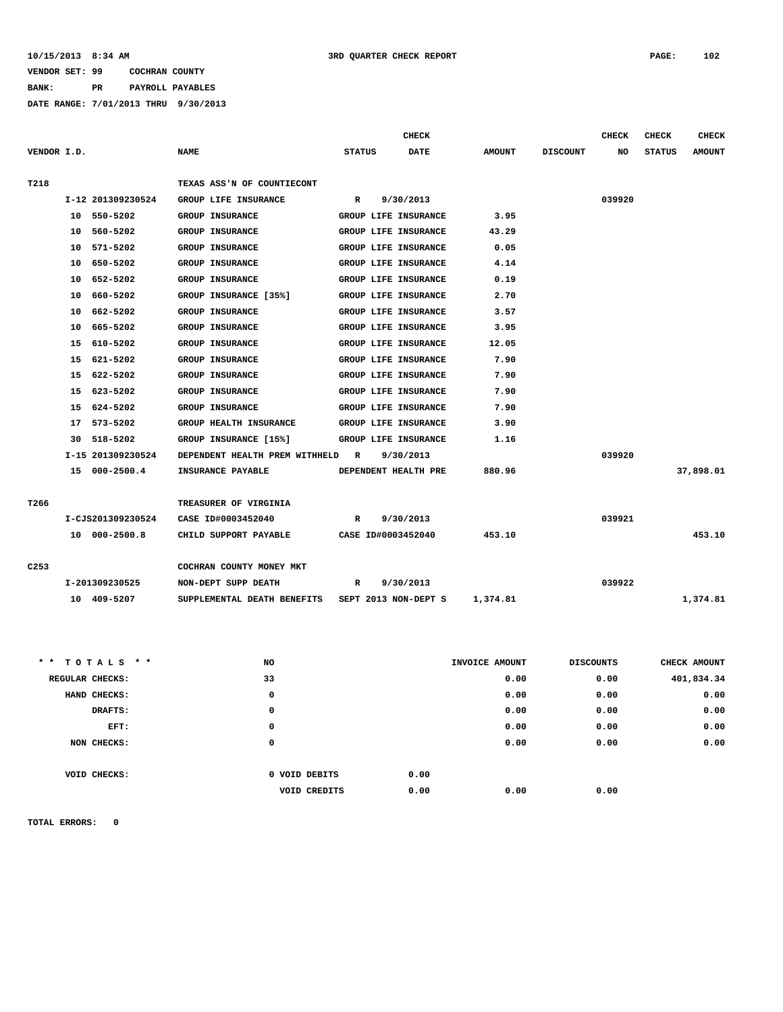**BANK: PR PAYROLL PAYABLES**

**DATE RANGE: 7/01/2013 THRU 9/30/2013**

|                  |                   |                                  |               | <b>CHECK</b>         |               |                 | <b>CHECK</b> | <b>CHECK</b>  | <b>CHECK</b>  |
|------------------|-------------------|----------------------------------|---------------|----------------------|---------------|-----------------|--------------|---------------|---------------|
| VENDOR I.D.      |                   | <b>NAME</b>                      | <b>STATUS</b> | <b>DATE</b>          | <b>AMOUNT</b> | <b>DISCOUNT</b> | NO           | <b>STATUS</b> | <b>AMOUNT</b> |
|                  |                   |                                  |               |                      |               |                 |              |               |               |
| T218             |                   | TEXAS ASS'N OF COUNTIECONT       |               |                      |               |                 |              |               |               |
|                  | I-12 201309230524 | GROUP LIFE INSURANCE             | R             | 9/30/2013            |               |                 | 039920       |               |               |
|                  | 10 550-5202       | <b>GROUP INSURANCE</b>           |               | GROUP LIFE INSURANCE | 3.95          |                 |              |               |               |
|                  | 10 560-5202       | <b>GROUP INSURANCE</b>           |               | GROUP LIFE INSURANCE | 43.29         |                 |              |               |               |
|                  | 10 571-5202       | <b>GROUP INSURANCE</b>           |               | GROUP LIFE INSURANCE | 0.05          |                 |              |               |               |
|                  | 10 650-5202       | <b>GROUP INSURANCE</b>           |               | GROUP LIFE INSURANCE | 4.14          |                 |              |               |               |
|                  | 10 652-5202       | <b>GROUP INSURANCE</b>           |               | GROUP LIFE INSURANCE | 0.19          |                 |              |               |               |
|                  | 10 660-5202       | GROUP INSURANCE [35%]            |               | GROUP LIFE INSURANCE | 2.70          |                 |              |               |               |
|                  | 10 662-5202       | <b>GROUP INSURANCE</b>           |               | GROUP LIFE INSURANCE | 3.57          |                 |              |               |               |
|                  | 10 665-5202       | <b>GROUP INSURANCE</b>           |               | GROUP LIFE INSURANCE | 3.95          |                 |              |               |               |
|                  | 15 610-5202       | <b>GROUP INSURANCE</b>           |               | GROUP LIFE INSURANCE | 12.05         |                 |              |               |               |
|                  | 15 621-5202       | <b>GROUP INSURANCE</b>           |               | GROUP LIFE INSURANCE | 7.90          |                 |              |               |               |
|                  | 15 622-5202       | <b>GROUP INSURANCE</b>           |               | GROUP LIFE INSURANCE | 7.90          |                 |              |               |               |
|                  | 15 623-5202       | <b>GROUP INSURANCE</b>           |               | GROUP LIFE INSURANCE | 7.90          |                 |              |               |               |
|                  | 15 624-5202       | <b>GROUP INSURANCE</b>           |               | GROUP LIFE INSURANCE | 7.90          |                 |              |               |               |
|                  | 17 573-5202       | <b>GROUP HEALTH INSURANCE</b>    |               | GROUP LIFE INSURANCE | 3.90          |                 |              |               |               |
|                  | 30 518-5202       | GROUP INSURANCE [15%]            |               | GROUP LIFE INSURANCE | 1.16          |                 |              |               |               |
|                  | I-15 201309230524 | DEPENDENT HEALTH PREM WITHHELD R |               | 9/30/2013            |               |                 | 039920       |               |               |
|                  | 15 000-2500.4     | <b>INSURANCE PAYABLE</b>         |               | DEPENDENT HEALTH PRE | 880.96        |                 |              |               | 37,898.01     |
|                  |                   |                                  |               |                      |               |                 |              |               |               |
| T266             |                   | TREASURER OF VIRGINIA            |               |                      |               |                 |              |               |               |
|                  | I-CJS201309230524 | CASE ID#0003452040               | $\mathbb{R}$  | 9/30/2013            |               |                 | 039921       |               |               |
|                  | 10 000-2500.8     | CHILD SUPPORT PAYABLE            |               | CASE ID#0003452040   | 453.10        |                 |              |               | 453.10        |
|                  |                   |                                  |               |                      |               |                 |              |               |               |
| C <sub>253</sub> |                   | COCHRAN COUNTY MONEY MKT         |               |                      |               |                 |              |               |               |
|                  | I-201309230525    | NON-DEPT SUPP DEATH              | R             | 9/30/2013            |               |                 | 039922       |               |               |
|                  | 10 409-5207       | SUPPLEMENTAL DEATH BENEFITS      |               | SEPT 2013 NON-DEPT S | 1,374.81      |                 |              |               | 1,374.81      |

| ** TOTALS **    | NO                  | INVOICE AMOUNT | <b>DISCOUNTS</b> | CHECK AMOUNT |
|-----------------|---------------------|----------------|------------------|--------------|
| REGULAR CHECKS: | 33                  | 0.00           | 0.00             | 401,834.34   |
| HAND CHECKS:    | 0                   | 0.00           | 0.00             | 0.00         |
| DRAFTS:         | 0                   | 0.00           | 0.00             | 0.00         |
| EFT:            | 0                   | 0.00           | 0.00             | 0.00         |
| NON CHECKS:     | 0                   | 0.00           | 0.00             | 0.00         |
|                 |                     |                |                  |              |
| VOID CHECKS:    | 0 VOID DEBITS       | 0.00           |                  |              |
|                 | <b>VOID CREDITS</b> | 0.00<br>0.00   | 0.00             |              |
|                 |                     |                |                  |              |

**TOTAL ERRORS: 0**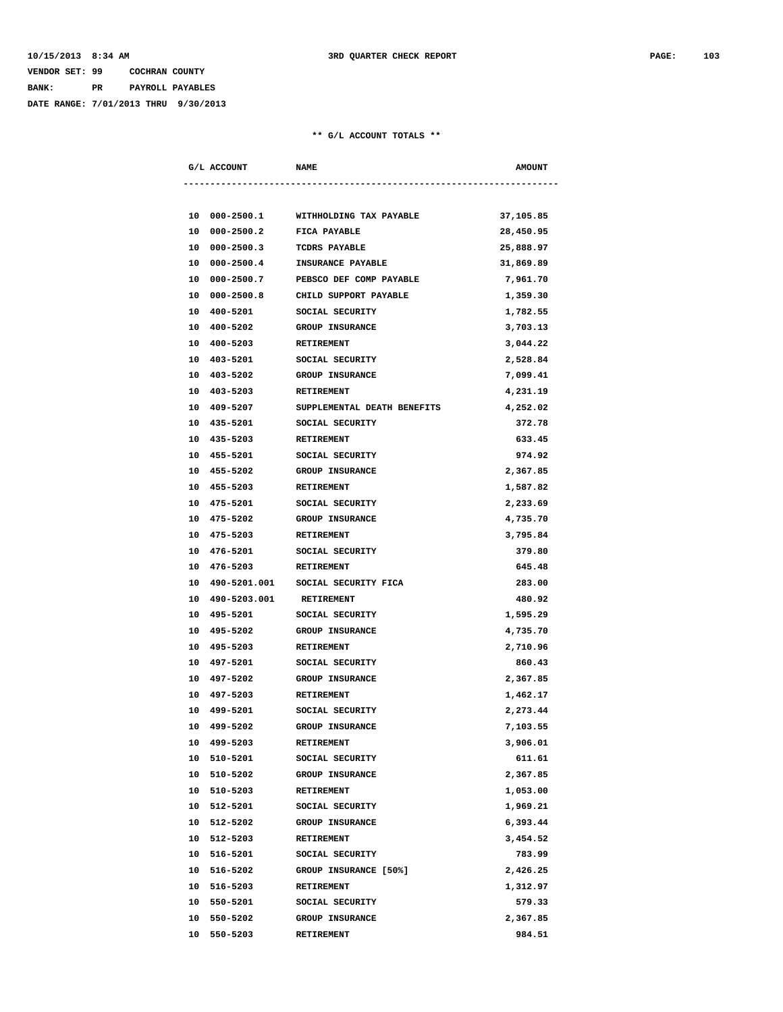## **VENDOR SET: 99 COCHRAN COUNTY BANK: PR PAYROLL PAYABLES**

**DATE RANGE: 7/01/2013 THRU 9/30/2013**

|    | G/L ACCOUNT                | <b>NAME</b>                               | <b>AMOUNT</b>        |
|----|----------------------------|-------------------------------------------|----------------------|
|    |                            |                                           |                      |
|    | 10 000-2500.1              | WITHHOLDING TAX PAYABLE                   | 37,105.85            |
|    | 10 000-2500.2              | FICA PAYABLE                              | 28,450.95            |
|    | 10 000-2500.3              | TCDRS PAYABLE                             | 25,888.97            |
|    | 10 000-2500.4              | INSURANCE PAYABLE                         | 31,869.89            |
|    | 10 000-2500.7              | PEBSCO DEF COMP PAYABLE                   | 7,961.70             |
|    | 10 000-2500.8              | CHILD SUPPORT PAYABLE                     |                      |
|    | 10 400-5201                | SOCIAL SECURITY                           | 1,359.30<br>1,782.55 |
|    | 10 400-5202                | GROUP INSURANCE                           | 3,703.13             |
|    | 10 400-5203                |                                           | 3,044.22             |
|    | 10 403-5201                | RETIREMENT<br>SOCIAL SECURITY             |                      |
|    | 10 403-5202                | <b>GROUP INSURANCE</b>                    | 2,528.84<br>7,099.41 |
|    |                            |                                           |                      |
|    | 10 403-5203<br>10 409-5207 | RETIREMENT<br>SUPPLEMENTAL DEATH BENEFITS | 4,231.19             |
|    |                            |                                           | 4,252.02             |
|    | 10 435-5201                | SOCIAL SECURITY                           | 372.78               |
| 10 | 435-5203                   | RETIREMENT                                | 633.45               |
|    | 10 455-5201                | SOCIAL SECURITY                           | 974.92               |
|    | 10 455-5202                | <b>GROUP INSURANCE</b>                    | 2,367.85             |
|    | 10 455-5203                | RETIREMENT                                | 1,587.82             |
|    | 10 475-5201                | SOCIAL SECURITY                           | 2,233.69             |
|    | 10 475-5202                | <b>GROUP INSURANCE</b>                    | 4,735.70             |
|    | 10 475-5203                | RETIREMENT                                | 3,795.84             |
|    | 10 476-5201                | SOCIAL SECURITY                           | 379.80               |
|    | 10 476-5203                | <b>RETIREMENT</b>                         | 645.48               |
|    |                            | 10 490-5201.001 SOCIAL SECURITY FICA      | 283.00               |
|    | 10 490-5203.001 RETIREMENT |                                           | 480.92               |
|    | 10 495-5201                | SOCIAL SECURITY                           | 1,595.29             |
| 10 | 495-5202                   | <b>GROUP INSURANCE</b>                    | 4,735.70             |
|    | 10 495-5203                | RETIREMENT                                | 2,710.96             |
|    | 10 497-5201                | SOCIAL SECURITY                           | 860.43               |
|    | 10 497-5202                | <b>GROUP INSURANCE</b>                    | 2,367.85             |
|    | 10 497-5203                | RETIREMENT                                | 1,462.17             |
|    | 10 499-5201                | SOCIAL SECURITY                           | 2,273.44             |
|    | 10 499-5202                | <b>GROUP INSURANCE</b>                    | 7,103.55             |
|    | 10 499-5203                | RETIREMENT                                | 3,906.01             |
|    | 10 510-5201                | SOCIAL SECURITY                           | 611.61               |
|    | 10 510-5202                | GROUP INSURANCE                           | 2,367.85             |
|    | 10 510-5203                | RETIREMENT                                | 1,053.00             |
|    | 10 512-5201                | SOCIAL SECURITY                           | 1,969.21             |
|    | 10 512-5202                | GROUP INSURANCE                           | 6,393.44             |
| 10 | 512-5203                   | RETIREMENT                                | 3,454.52             |
|    | 10 516-5201                | SOCIAL SECURITY                           | 783.99               |
|    | 10 516-5202                | GROUP INSURANCE [50%]                     | 2,426.25             |
|    | 10 516-5203                | RETIREMENT                                | 1,312.97             |
|    | 10 550-5201                | SOCIAL SECURITY                           | 579.33               |
|    | 10 550-5202                | GROUP INSURANCE                           | 2,367.85             |
| 10 | 550-5203                   | <b>RETIREMENT</b>                         | 984.51               |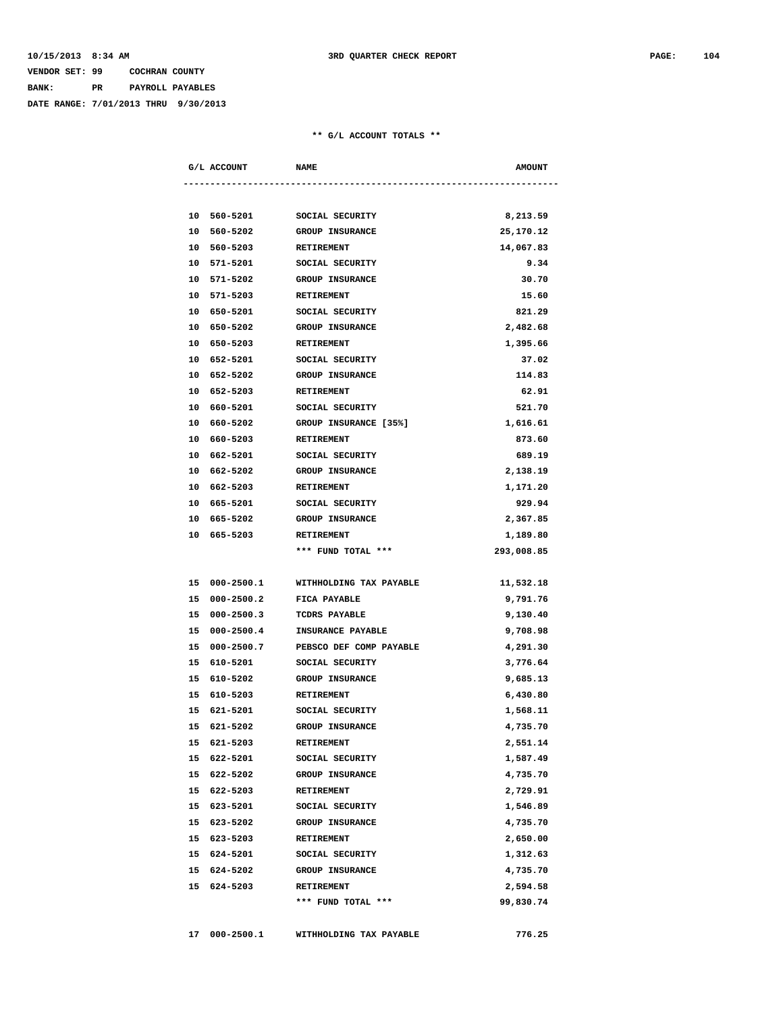## **VENDOR SET: 99 COCHRAN COUNTY BANK: PR PAYROLL PAYABLES**

**DATE RANGE: 7/01/2013 THRU 9/30/2013**

|    | G/L ACCOUNT   | <b>NAME</b>                  | <b>AMOUNT</b> |
|----|---------------|------------------------------|---------------|
|    |               |                              |               |
|    | 10 560-5201   | SOCIAL SECURITY              | 8,213.59      |
|    | 10 560-5202   | <b>GROUP INSURANCE</b>       | 25,170.12     |
|    | 10 560-5203   | <b>RETIREMENT</b>            | 14,067.83     |
| 10 | 571-5201      | SOCIAL SECURITY              | 9.34          |
|    | 10 571-5202   | <b>GROUP INSURANCE</b>       | 30.70         |
| 10 | 571-5203      | <b>RETIREMENT</b>            | 15.60         |
|    | 10 650-5201   | SOCIAL SECURITY              | 821.29        |
|    | 10 650-5202   | <b>GROUP INSURANCE</b>       | 2,482.68      |
|    | 10 650-5203   | <b>RETIREMENT</b>            | 1,395.66      |
|    | 10 652-5201   | SOCIAL SECURITY              | 37.02         |
|    | 10 652-5202   | <b>GROUP INSURANCE</b>       | 114.83        |
|    | 10 652-5203   | <b>RETIREMENT</b>            | 62.91         |
|    | 10 660-5201   | SOCIAL SECURITY              | 521.70        |
|    | 10 660-5202   | <b>GROUP INSURANCE [35%]</b> | 1,616.61      |
|    | 10 660-5203   | <b>RETIREMENT</b>            | 873.60        |
|    | 10 662-5201   | SOCIAL SECURITY              | 689.19        |
|    | 10 662-5202   | <b>GROUP INSURANCE</b>       | 2,138.19      |
|    | 10 662-5203   | <b>RETIREMENT</b>            | 1,171.20      |
|    | 10 665-5201   | SOCIAL SECURITY              | 929.94        |
|    | 10 665-5202   | <b>GROUP INSURANCE</b>       | 2,367.85      |
|    | 10 665-5203   | RETIREMENT                   | 1,189.80      |
|    |               | *** FUND TOTAL ***           | 293,008.85    |
|    |               |                              |               |
|    | 15 000-2500.1 | WITHHOLDING TAX PAYABLE      | 11,532.18     |
|    | 15 000-2500.2 | <b>FICA PAYABLE</b>          | 9,791.76      |
|    | 15 000-2500.3 | TCDRS PAYABLE                | 9,130.40      |
|    | 15 000-2500.4 | INSURANCE PAYABLE            | 9,708.98      |
|    | 15 000-2500.7 | PEBSCO DEF COMP PAYABLE      | 4,291.30      |
|    | 15 610-5201   | SOCIAL SECURITY              | 3,776.64      |
|    | 15 610-5202   | <b>GROUP INSURANCE</b>       | 9,685.13      |
|    | 15 610-5203   | <b>RETIREMENT</b>            | 6,430.80      |
|    | 15 621-5201   | SOCIAL SECURITY              | 1,568.11      |
|    | 15 621-5202   | GROUP INSURANCE              | 4,735.70      |
|    | 15 621-5203   | <b>RETIREMENT</b>            | 2,551.14      |
|    | 15 622-5201   | SOCIAL SECURITY              | 1,587.49      |
|    | 15 622-5202   | <b>GROUP INSURANCE</b>       | 4,735.70      |
|    | 15 622-5203   | <b>RETIREMENT</b>            | 2,729.91      |
|    | 15 623-5201   | SOCIAL SECURITY              | 1,546.89      |
|    | 15 623-5202   | <b>GROUP INSURANCE</b>       | 4,735.70      |
|    | 15 623-5203   | <b>RETIREMENT</b>            | 2,650.00      |
|    | 15 624-5201   | SOCIAL SECURITY              | 1,312.63      |
|    | 15 624-5202   | <b>GROUP INSURANCE</b>       | 4,735.70      |
|    | 15 624-5203   | RETIREMENT                   | 2,594.58      |
|    |               | *** FUND TOTAL ***           | 99,830.74     |
|    |               |                              |               |
|    | 17 000-2500.1 | WITHHOLDING TAX PAYABLE      | 776.25        |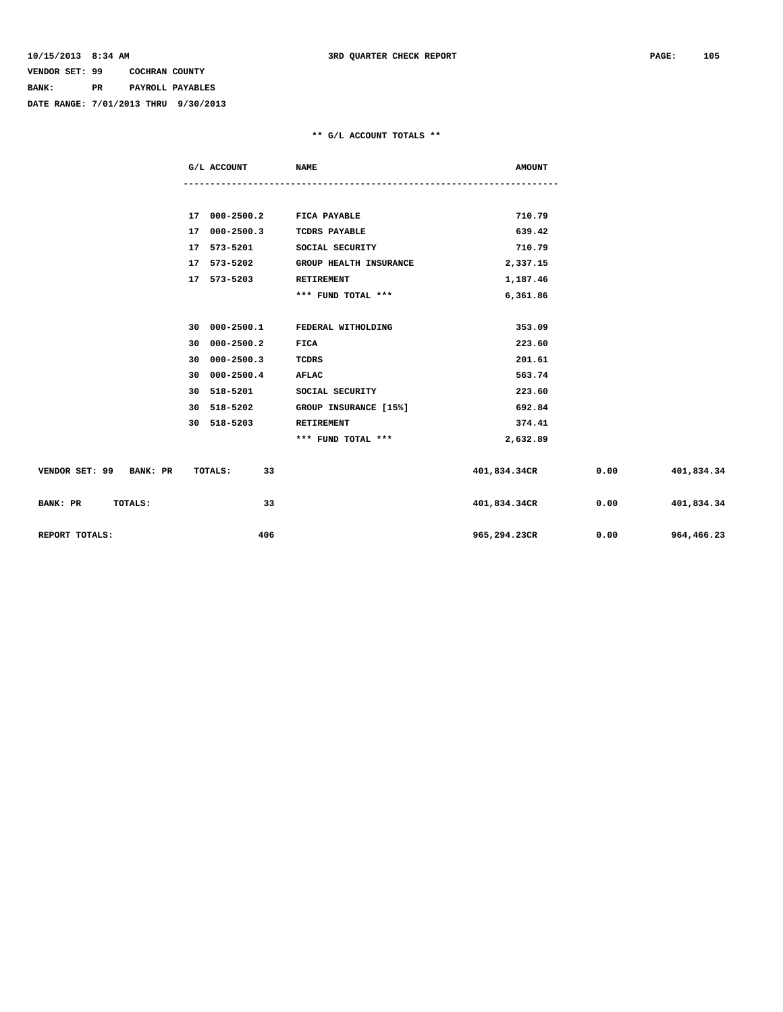## **VENDOR SET: 99 COCHRAN COUNTY BANK: PR PAYROLL PAYABLES**

**DATE RANGE: 7/01/2013 THRU 9/30/2013**

|                         | G/L ACCOUNT                      | <b>NAME</b>                   | <b>AMOUNT</b> |      |                   |
|-------------------------|----------------------------------|-------------------------------|---------------|------|-------------------|
|                         |                                  |                               |               |      |                   |
|                         |                                  |                               |               |      |                   |
|                         | 17 000-2500.2 FICA PAYABLE       |                               | 710.79        |      |                   |
|                         | 17 000-2500.3                    | <b>TCDRS PAYABLE</b>          | 639.42        |      |                   |
|                         | 17 573-5201 SOCIAL SECURITY      |                               | 710.79        |      |                   |
|                         | 17 573-5202                      | <b>GROUP HEALTH INSURANCE</b> | 2,337.15      |      |                   |
|                         | 17 573-5203                      | RETIREMENT                    | 1,187.46      |      |                   |
|                         |                                  | *** FUND TOTAL ***            | 6,361.86      |      |                   |
|                         |                                  |                               |               |      |                   |
|                         | 30 000-2500.1 FEDERAL WITHOLDING |                               | 353.09        |      |                   |
|                         | 30 000-2500.2                    | FICA                          | 223.60        |      |                   |
|                         | 30 000-2500.3                    | TCDRS                         | 201.61        |      |                   |
|                         | 30 000-2500.4                    | AFLAC                         | 563.74        |      |                   |
|                         | 30 518-5201                      | SOCIAL SECURITY               | 223.60        |      |                   |
|                         | 30 518-5202                      | GROUP INSURANCE [15%]         | 692.84        |      |                   |
|                         | 30 518-5203                      | RETIREMENT                    | 374.41        |      |                   |
|                         |                                  | *** FUND TOTAL ***            | 2,632.89      |      |                   |
|                         |                                  |                               |               |      |                   |
| VENDOR SET: 99 BANK: PR | 33<br>TOTALS:                    |                               | 401,834.34CR  |      | $0.00$ 401,834.34 |
| BANK: PR<br>TOTALS:     | 33                               |                               | 401,834.34CR  | 0.00 | 401,834.34        |
| REPORT TOTALS:          | 406                              |                               | 965,294.23CR  | 0.00 | 964,466.23        |